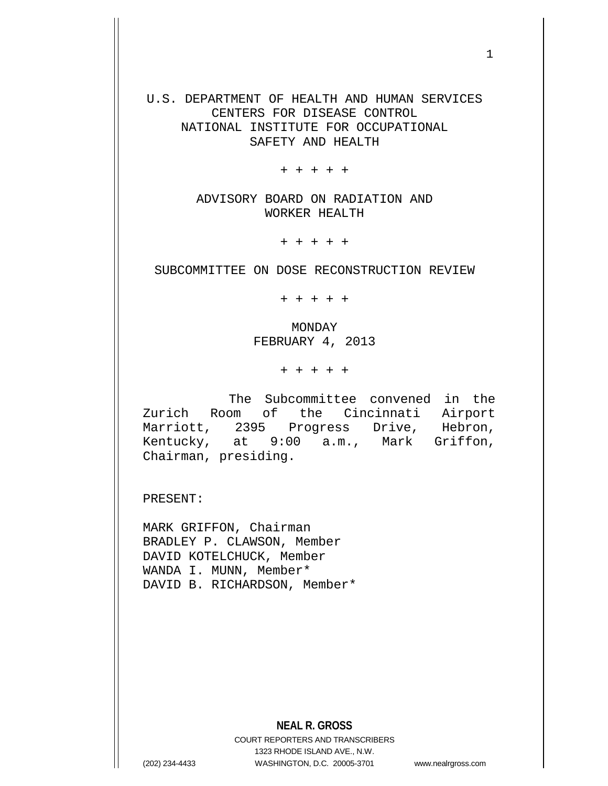U.S. DEPARTMENT OF HEALTH AND HUMAN SERVICES CENTERS FOR DISEASE CONTROL NATIONAL INSTITUTE FOR OCCUPATIONAL SAFETY AND HEALTH

+ + + + +

ADVISORY BOARD ON RADIATION AND WORKER HEALTH

+ + + + +

SUBCOMMITTEE ON DOSE RECONSTRUCTION REVIEW

+ + + + +

MONDAY FEBRUARY 4, 2013

+ + + + +

The Subcommittee convened in the Zurich Room of the Cincinnati Airport Marriott, 2395 Progress Drive, Hebron, Kentucky, at 9:00 a.m., Mark Griffon, Chairman, presiding.

PRESENT:

MARK GRIFFON, Chairman BRADLEY P. CLAWSON, Member DAVID KOTELCHUCK, Member WANDA I. MUNN, Member\* DAVID B. RICHARDSON, Member\*

**NEAL R. GROSS**

COURT REPORTERS AND TRANSCRIBERS 1323 RHODE ISLAND AVE., N.W. (202) 234-4433 WASHINGTON, D.C. 20005-3701 www.nealrgross.com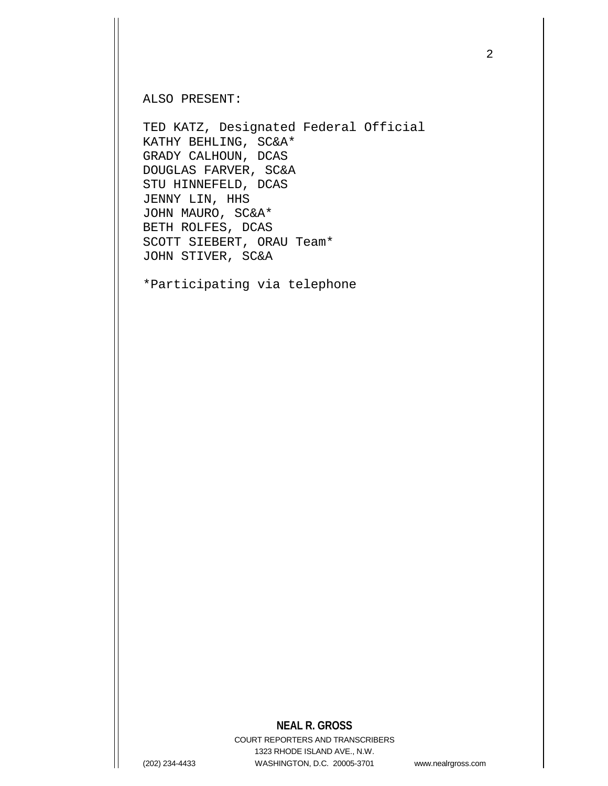ALSO PRESENT:

TED KATZ, Designated Federal Official KATHY BEHLING, SC&A\* GRADY CALHOUN, DCAS DOUGLAS FARVER, SC&A STU HINNEFELD, DCAS JENNY LIN, HHS JOHN MAURO, SC&A\* BETH ROLFES, DCAS SCOTT SIEBERT, ORAU Team\* JOHN STIVER, SC&A

\*Participating via telephone

#### **NEAL R. GROSS**

COURT REPORTERS AND TRANSCRIBERS 1323 RHODE ISLAND AVE., N.W. (202) 234-4433 WASHINGTON, D.C. 20005-3701 www.nealrgross.com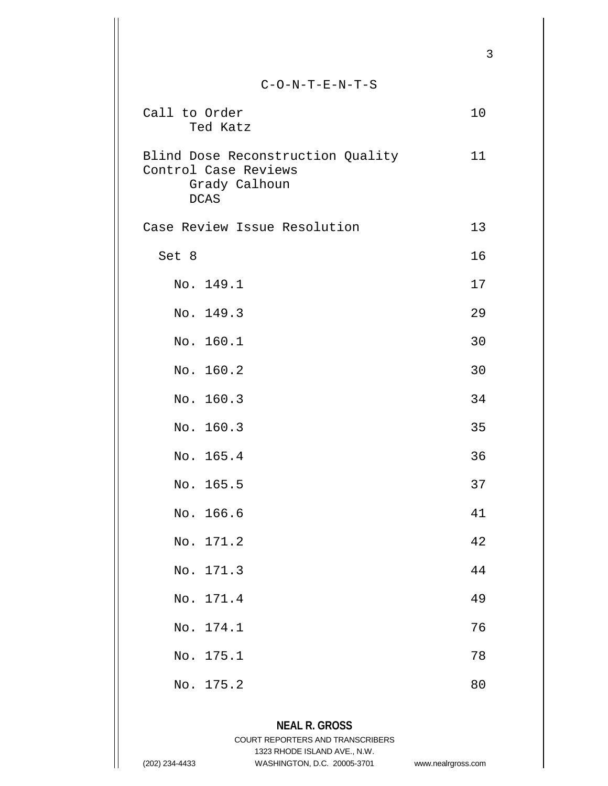|                                                                                           | 3  |
|-------------------------------------------------------------------------------------------|----|
| $C-O-N-T-E-N-T-S$                                                                         |    |
| Call to Order<br>Ted Katz                                                                 | 10 |
| Blind Dose Reconstruction Quality<br>Control Case Reviews<br>Grady Calhoun<br><b>DCAS</b> | 11 |
| Case Review Issue Resolution                                                              | 13 |
| Set 8                                                                                     | 16 |
| No. 149.1                                                                                 | 17 |
| No. 149.3                                                                                 | 29 |
| No. 160.1                                                                                 | 30 |
| No. 160.2                                                                                 | 30 |
| No. 160.3                                                                                 | 34 |
| No. 160.3                                                                                 | 35 |
| No. 165.4                                                                                 | 36 |
| No. 165.5                                                                                 | 37 |
| No. 166.6                                                                                 | 41 |
| No. 171.2                                                                                 | 42 |
| No. 171.3                                                                                 | 44 |
| No. 171.4                                                                                 | 49 |
| No. 174.1                                                                                 | 76 |
| No. 175.1                                                                                 | 78 |
| No. 175.2                                                                                 | 80 |
|                                                                                           |    |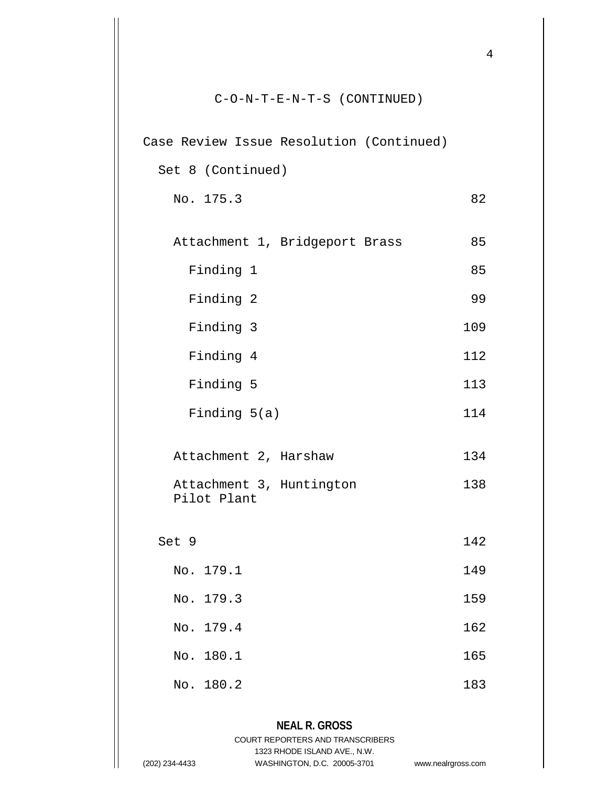| $C-O-N-T-E-N-T-S$ (CONTINUED)            |     |
|------------------------------------------|-----|
| Case Review Issue Resolution (Continued) |     |
| Set 8 (Continued)                        |     |
| No. 175.3                                | 82  |
| Attachment 1, Bridgeport Brass           | 85  |
| Finding 1                                | 85  |
| Finding 2                                | 99  |
| Finding 3                                | 109 |
| Finding 4                                | 112 |
| Finding 5                                | 113 |
| Finding $5(a)$                           | 114 |
| Attachment 2, Harshaw                    | 134 |
| Attachment 3, Huntington<br>Pilot Plant  | 138 |
| Set 9                                    | 142 |
| No. 179.1                                | 149 |
| No. 179.3                                | 159 |
| No. 179.4                                | 162 |
| No. 180.1                                | 165 |
| No. 180.2                                | 183 |

#### **NEAL R. GROSS** COURT REPORTERS AND TRANSCRIBERS 1323 RHODE ISLAND AVE., N.W. (202) 234-4433 WASHINGTON, D.C. 20005-3701 www.nealrgross.com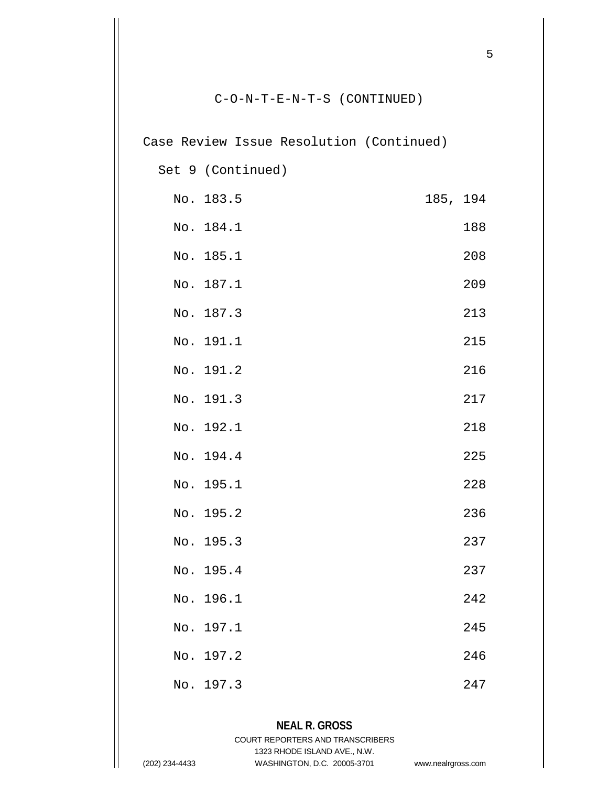Case Review Issue Resolution (Continued)

Set 9 (Continued)

|     | No. 183.5 | 185, 194 |     |
|-----|-----------|----------|-----|
|     | No. 184.1 |          | 188 |
|     | No. 185.1 |          | 208 |
|     | No. 187.1 |          | 209 |
|     | No. 187.3 |          | 213 |
| No. | 191.1     |          | 215 |
|     | No. 191.2 |          | 216 |
|     | No. 191.3 |          | 217 |
|     | No. 192.1 |          | 218 |
|     | No. 194.4 |          | 225 |
|     | No. 195.1 |          | 228 |
|     | No. 195.2 |          | 236 |
|     | No. 195.3 |          | 237 |
|     | No. 195.4 |          | 237 |
|     | No. 196.1 |          | 242 |
|     | No. 197.1 |          | 245 |
|     | No. 197.2 |          | 246 |
|     | No. 197.3 |          | 247 |

# **NEAL R. GROSS**

COURT REPORTERS AND TRANSCRIBERS 1323 RHODE ISLAND AVE., N.W.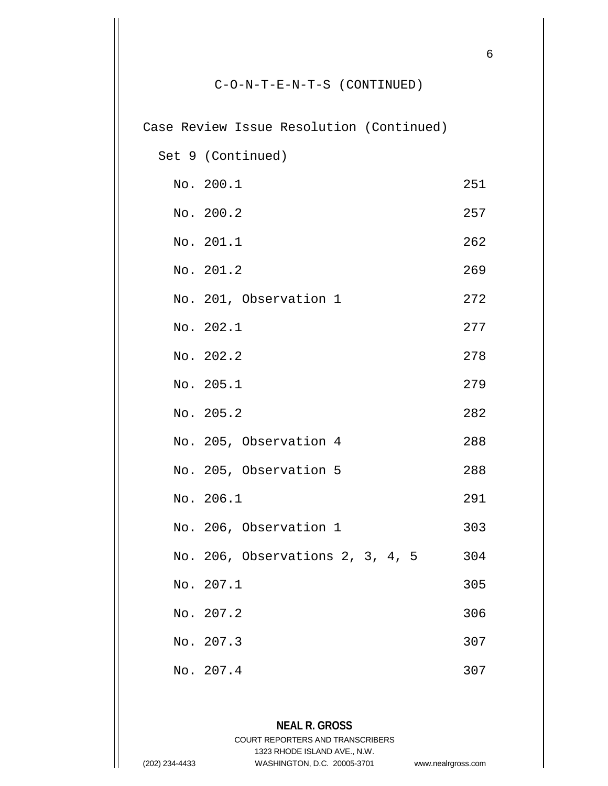|     | Case Review Issue Resolution (Continued) |     |
|-----|------------------------------------------|-----|
|     | Set 9 (Continued)                        |     |
|     | No. 200.1                                | 251 |
|     | No. 200.2                                | 257 |
|     | No. 201.1                                | 262 |
|     | No. 201.2                                | 269 |
|     | No. 201, Observation 1                   | 272 |
|     | No. 202.1                                | 277 |
|     | No. 202.2                                | 278 |
|     | No. 205.1                                | 279 |
|     | No. 205.2                                | 282 |
|     | No. 205, Observation 4                   | 288 |
|     | No. 205, Observation 5                   | 288 |
|     | No. 206.1                                | 291 |
|     | No. 206, Observation 1                   | 303 |
|     | No. 206, Observations 2, 3, 4, 5         | 304 |
|     | No. 207.1                                | 305 |
| No. | 207.2                                    | 306 |
|     | No. 207.3                                | 307 |
| No. | 207.4                                    | 307 |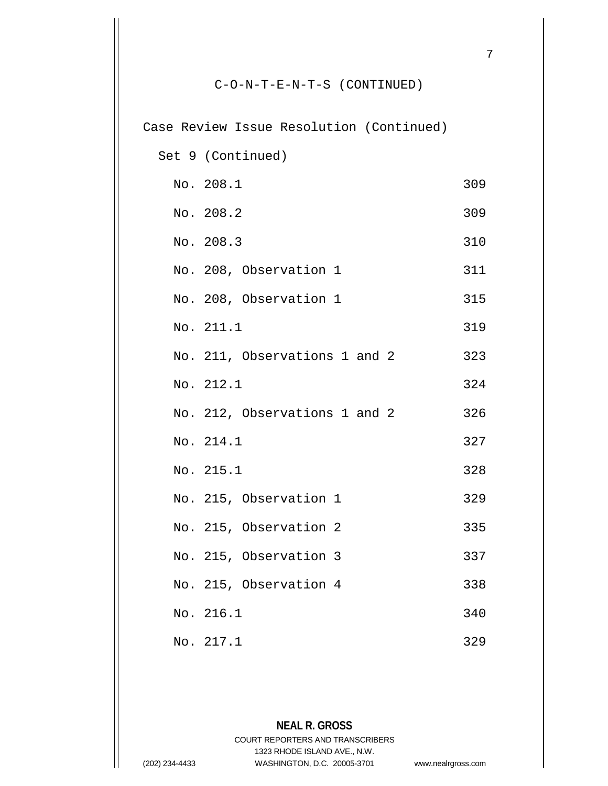| Case Review Issue Resolution (Continued) |     |
|------------------------------------------|-----|
| Set 9 (Continued)                        |     |
| No. 208.1                                | 309 |
| No. 208.2                                | 309 |
| No. 208.3                                | 310 |
| No. 208, Observation 1                   | 311 |
| No. 208, Observation 1                   | 315 |
| No. 211.1                                | 319 |
| No. 211, Observations 1 and 2            | 323 |
| No. 212.1                                | 324 |
| No. 212, Observations 1 and 2            | 326 |
| No. 214.1                                | 327 |
| No. 215.1                                | 328 |
| No. 215, Observation 1                   | 329 |
| No. 215, Observation 2                   | 335 |
| No. 215, Observation 3                   | 337 |
| No. 215, Observation 4                   | 338 |
| No. 216.1                                | 340 |
| No. 217.1                                | 329 |

**NEAL R. GROSS** COURT REPORTERS AND TRANSCRIBERS 1323 RHODE ISLAND AVE., N.W. (202) 234-4433 WASHINGTON, D.C. 20005-3701 www.nealrgross.com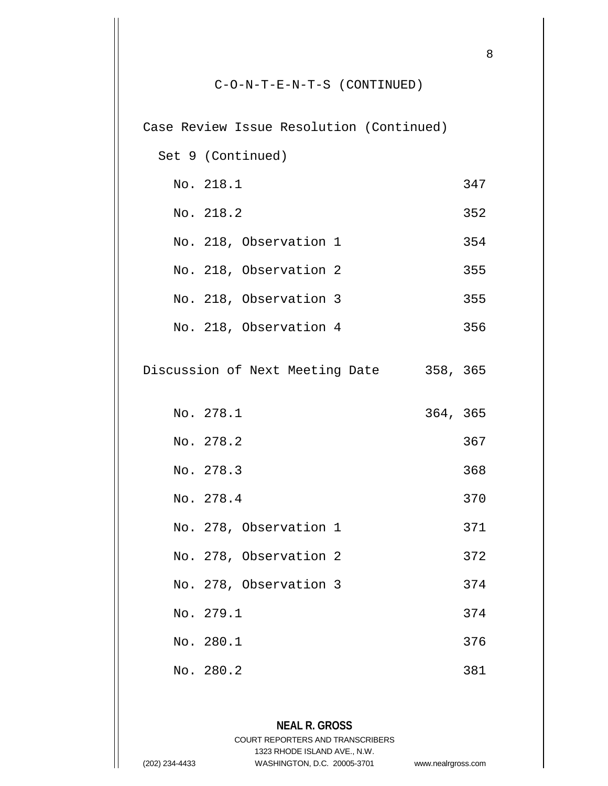|  | Case Review Issue Resolution (Continued) |          |     |
|--|------------------------------------------|----------|-----|
|  | Set 9 (Continued)                        |          |     |
|  | No. 218.1                                |          | 347 |
|  | No. 218.2                                |          | 352 |
|  | No. 218, Observation 1                   |          | 354 |
|  | No. 218, Observation 2                   |          | 355 |
|  | No. 218, Observation 3                   |          | 355 |
|  | No. 218, Observation 4                   |          | 356 |
|  | Discussion of Next Meeting Date          | 358, 365 |     |
|  | No. 278.1                                | 364, 365 |     |
|  | No. 278.2                                |          | 367 |
|  | No. 278.3                                |          | 368 |
|  | No. 278.4                                |          | 370 |
|  | No. 278, Observation 1                   |          | 371 |
|  | No. 278, Observation 2                   |          | 372 |
|  | No. 278, Observation 3                   |          | 374 |
|  | No. 279.1                                |          | 374 |
|  | No. 280.1                                |          | 376 |
|  | No. 280.2                                |          | 381 |

#### **NEAL R. GROSS** COURT REPORTERS AND TRANSCRIBERS 1323 RHODE ISLAND AVE., N.W. (202) 234-4433 WASHINGTON, D.C. 20005-3701 www.nealrgross.com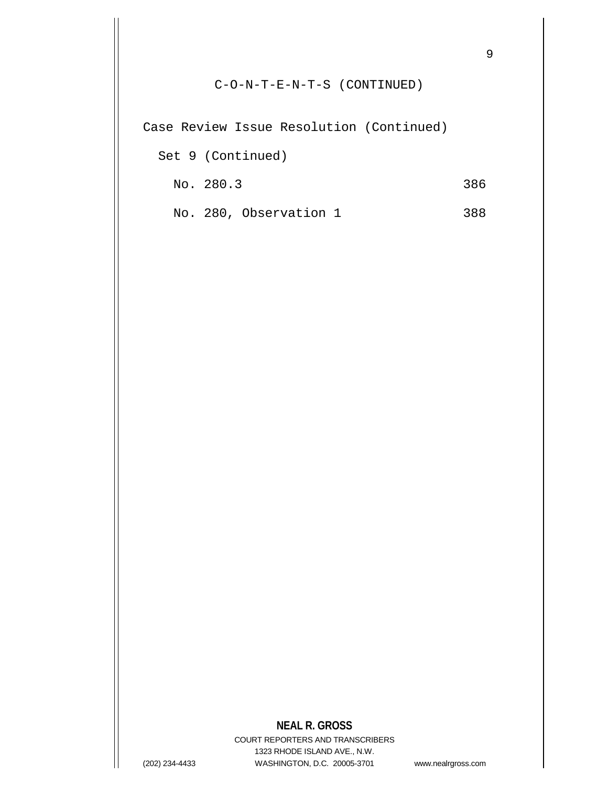Case Review Issue Resolution (Continued)

Set 9 (Continued)

No. 280.3 386

No. 280, Observation 1 388

#### **NEAL R. GROSS**

COURT REPORTERS AND TRANSCRIBERS 1323 RHODE ISLAND AVE., N.W. (202) 234-4433 WASHINGTON, D.C. 20005-3701 www.nealrgross.com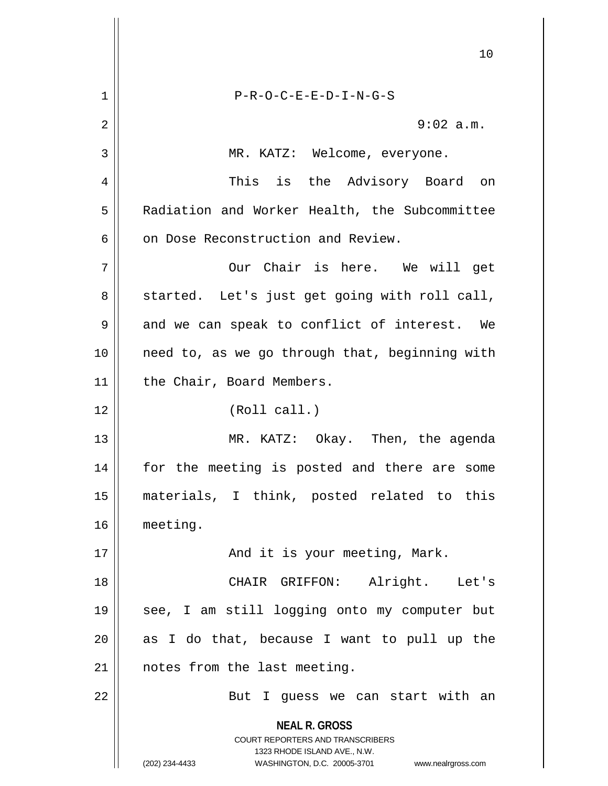**NEAL R. GROSS** COURT REPORTERS AND TRANSCRIBERS 1323 RHODE ISLAND AVE., N.W. (202) 234-4433 WASHINGTON, D.C. 20005-3701 www.nealrgross.com 10 1 P-R-O-C-E-E-D-I-N-G-S 2  $\parallel$  9:02 a.m. 3 || MR. KATZ: Welcome, everyone. 4 This is the Advisory Board on 5 | Radiation and Worker Health, the Subcommittee  $6$  | on Dose Reconstruction and Review. 7 || Our Chair is here. We will get  $8 \parallel$  started. Let's just get going with roll call,  $9 \parallel$  and we can speak to conflict of interest. We 10 || need to, as we go through that, beginning with 11 | the Chair, Board Members. 12 (Roll call.) 13 MR. KATZ: Okay. Then, the agenda 14 || for the meeting is posted and there are some 15 materials, I think, posted related to this 16 meeting. 17 And it is your meeting, Mark. 18 CHAIR GRIFFON: Alright. Let's 19 see, I am still logging onto my computer but  $20$  as I do that, because I want to pull up the 21 | notes from the last meeting. 22 || But I guess we can start with an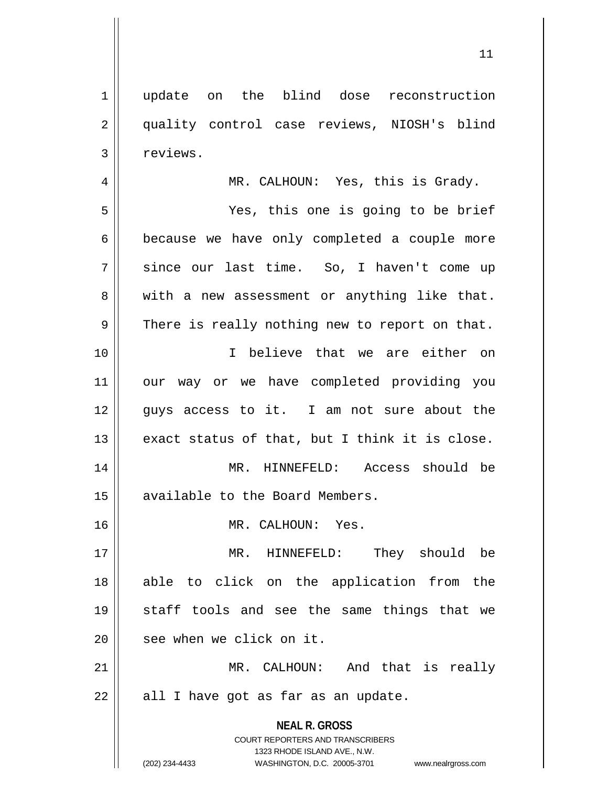1 update on the blind dose reconstruction 2 || quality control case reviews, NIOSH's blind 4 MR. CALHOUN: Yes, this is Grady.

5 Yes, this one is going to be brief 6 because we have only completed a couple more 7 || since our last time. So, I haven't come up 8 || with a new assessment or anything like that.

 $9 \parallel$  There is really nothing new to report on that.

10 I believe that we are either on 11 our way or we have completed providing you 12 || quys access to it. I am not sure about the  $13$  exact status of that, but I think it is close. 14 || MR. HINNEFELD: Access should be 15 | available to the Board Members.

16 || MR. CALHOUN: Yes.

 MR. HINNEFELD: They should be able to click on the application from the staff tools and see the same things that we 20 || see when we click on it.

21 MR. CALHOUN: And that is really  $22$  || all I have got as far as an update.

> **NEAL R. GROSS** COURT REPORTERS AND TRANSCRIBERS 1323 RHODE ISLAND AVE., N.W.

(202) 234-4433 WASHINGTON, D.C. 20005-3701 www.nealrgross.com

3 | reviews.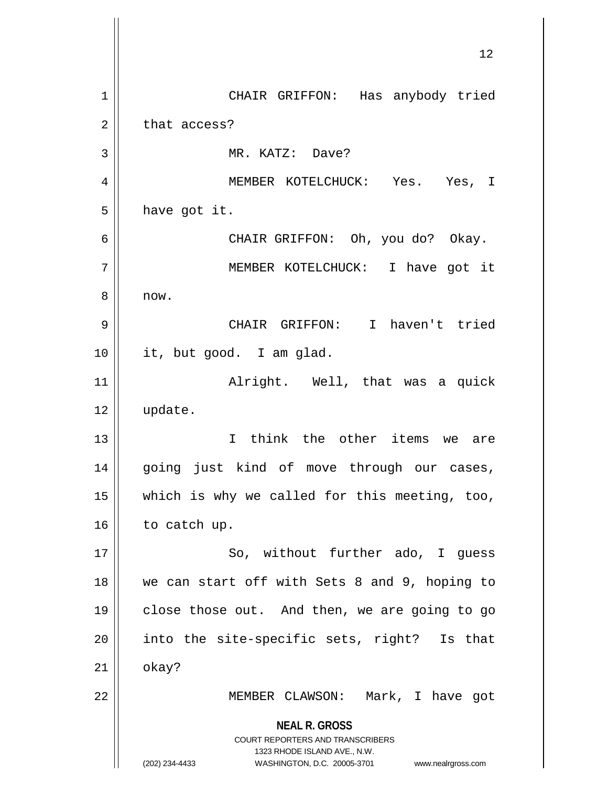**NEAL R. GROSS** COURT REPORTERS AND TRANSCRIBERS 1323 RHODE ISLAND AVE., N.W. (202) 234-4433 WASHINGTON, D.C. 20005-3701 www.nealrgross.com 12 1 || CHAIR GRIFFON: Has anybody tried  $2 \parallel$  that access? 3 || MR. KATZ: Dave? 4 MEMBER KOTELCHUCK: Yes. Yes, I  $5 \parallel$  have got it. 6 CHAIR GRIFFON: Oh, you do? Okay. 7 MEMBER KOTELCHUCK: I have got it 8 || now. 9 CHAIR GRIFFON: I haven't tried 10 it, but good. I am glad. 11 Alright. Well, that was a quick 12 update. 13 I think the other items we are 14 || going just kind of move through our cases, 15  $\parallel$  which is why we called for this meeting, too,  $16$  to catch up. 17 || So, without further ado, I guess 18 we can start off with Sets 8 and 9, hoping to 19 || close those out. And then, we are going to go 20 || into the site-specific sets, right? Is that  $21$   $\parallel$  okay? 22 || MEMBER CLAWSON: Mark, I have got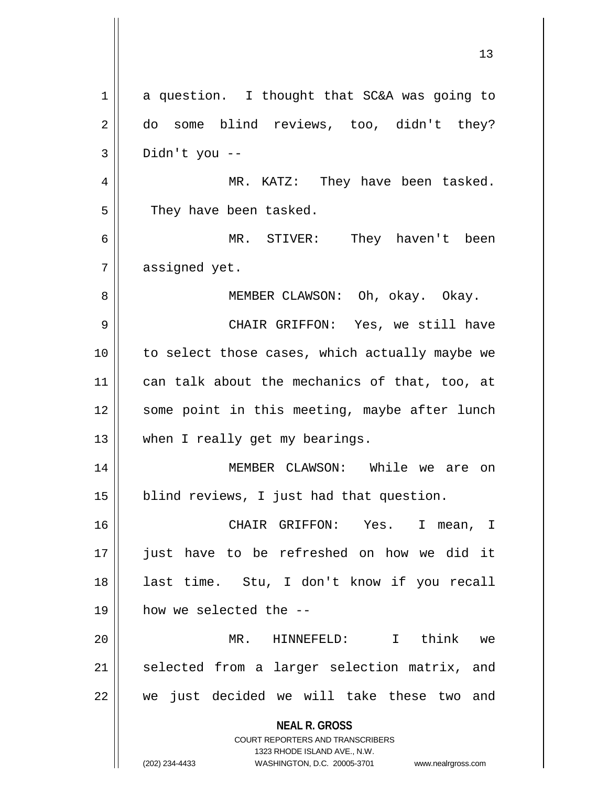**NEAL R. GROSS** COURT REPORTERS AND TRANSCRIBERS 1323 RHODE ISLAND AVE., N.W. (202) 234-4433 WASHINGTON, D.C. 20005-3701 www.nealrgross.com  $1 \parallel$  a question. I thought that SC&A was going to 2 do some blind reviews, too, didn't they?  $3 \parallel$  Didn't you --4 MR. KATZ: They have been tasked. 5 | They have been tasked. 6 MR. STIVER: They haven't been  $7 \parallel$  assigned yet. 8 || MEMBER CLAWSON: Oh, okay. Okay. 9 CHAIR GRIFFON: Yes, we still have 10 || to select those cases, which actually maybe we 11 || can talk about the mechanics of that, too, at 12 || some point in this meeting, maybe after lunch 13 || when I really get my bearings. 14 MEMBER CLAWSON: While we are on 15 || blind reviews, I just had that question. 16 CHAIR GRIFFON: Yes. I mean, I 17 just have to be refreshed on how we did it 18 last time. Stu, I don't know if you recall 19 how we selected the -- 20 MR. HINNEFELD: I think we 21 || selected from a larger selection matrix, and  $22$   $\parallel$  we just decided we will take these two and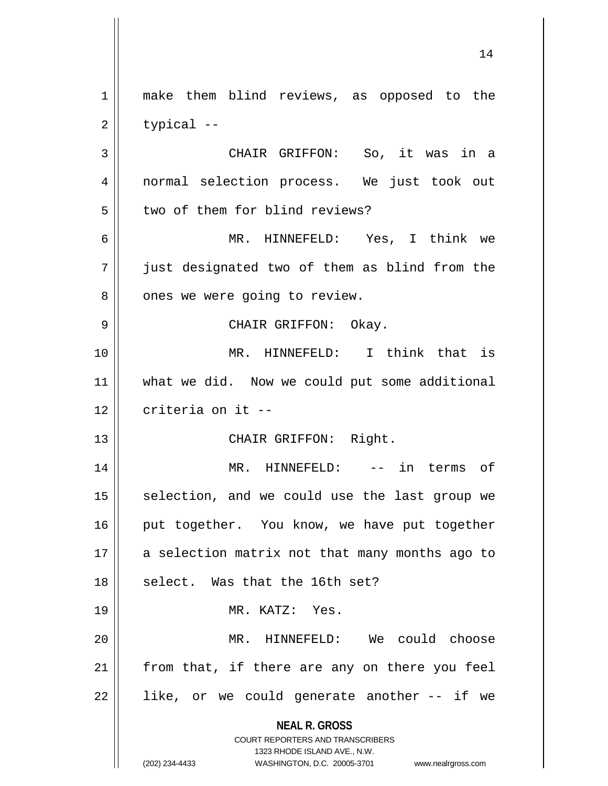**NEAL R. GROSS** COURT REPORTERS AND TRANSCRIBERS 1323 RHODE ISLAND AVE., N.W. (202) 234-4433 WASHINGTON, D.C. 20005-3701 www.nealrgross.com 1 || make them blind reviews, as opposed to the  $2 \parallel$  typical --3 || CHAIR GRIFFON: So, it was in a 4 || normal selection process. We just took out 5 || two of them for blind reviews? 6 MR. HINNEFELD: Yes, I think we 7 just designated two of them as blind from the 8 | ones we were going to review. 9 CHAIR GRIFFON: Okay. 10 MR. HINNEFELD: I think that is 11 || what we did. Now we could put some additional  $12$   $\parallel$  criteria on it --13 || CHAIR GRIFFON: Right. 14 MR. HINNEFELD: -- in terms of  $15$  selection, and we could use the last group we 16 || put together. You know, we have put together  $17$  || a selection matrix not that many months ago to  $18$  || select. Was that the 16th set? 19 MR. KATZ: Yes. 20 MR. HINNEFELD: We could choose  $21$  from that, if there are any on there you feel  $22 \parallel$  like, or we could generate another -- if we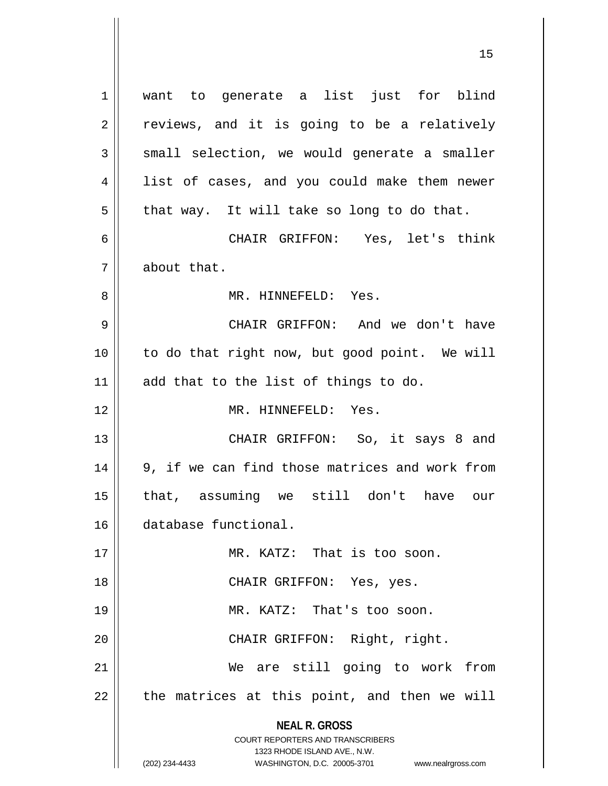**NEAL R. GROSS** COURT REPORTERS AND TRANSCRIBERS 1323 RHODE ISLAND AVE., N.W. (202) 234-4433 WASHINGTON, D.C. 20005-3701 www.nealrgross.com 1 || want to generate a list just for blind  $2 \parallel$  reviews, and it is going to be a relatively  $3 \parallel$  small selection, we would generate a smaller 4 || list of cases, and you could make them newer  $5 \parallel$  that way. It will take so long to do that. 6 CHAIR GRIFFON: Yes, let's think 7 about that. 8 MR. HINNEFELD: Yes. 9 CHAIR GRIFFON: And we don't have 10 to do that right now, but good point. We will 11 || add that to the list of things to do. 12 MR. HINNEFELD: Yes. 13 || CHAIR GRIFFON: So, it says 8 and  $14 \parallel 9$ , if we can find those matrices and work from 15 that, assuming we still don't have our 16 database functional. 17 || MR. KATZ: That is too soon. 18 CHAIR GRIFFON: Yes, yes. 19 || MR. KATZ: That's too soon. 20 || CHAIR GRIFFON: Right, right. 21 We are still going to work from  $22$  || the matrices at this point, and then we will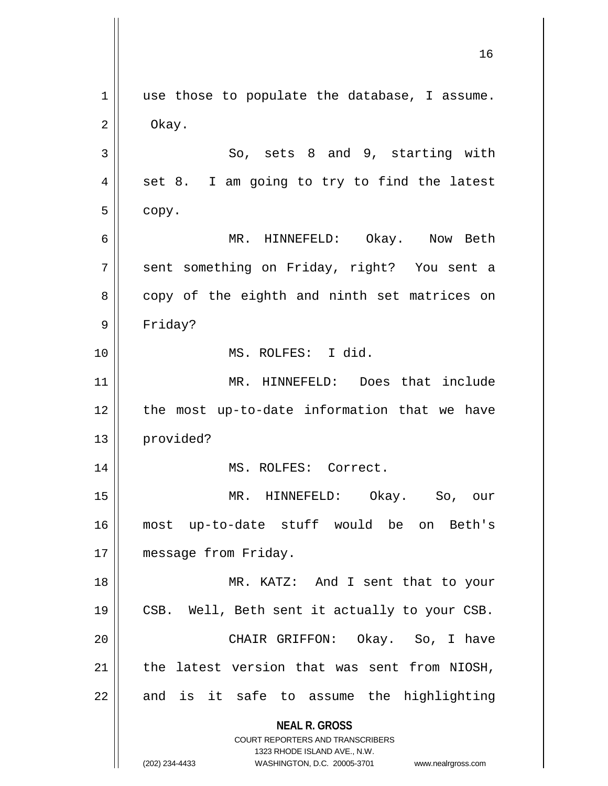**NEAL R. GROSS** COURT REPORTERS AND TRANSCRIBERS 1323 RHODE ISLAND AVE., N.W. (202) 234-4433 WASHINGTON, D.C. 20005-3701 www.nealrgross.com  $1$  use those to populate the database, I assume.  $2 \parallel$  Okay.  $3 \parallel$  So, sets 8 and 9, starting with  $4 \parallel$  set 8. I am going to try to find the latest  $5 \parallel$  copy. 6 MR. HINNEFELD: Okay. Now Beth 7 || sent something on Friday, right? You sent a 8 copy of the eighth and ninth set matrices on 9 Friday? 10 MS. ROLFES: I did. 11 || MR. HINNEFELD: Does that include 12 the most up-to-date information that we have 13 provided? 14 || MS. ROLFES: Correct. 15 MR. HINNEFELD: Okay. So, our 16 most up-to-date stuff would be on Beth's 17 | message from Friday. 18 || MR. KATZ: And I sent that to your 19 || CSB. Well, Beth sent it actually to your CSB. 20 CHAIR GRIFFON: Okay. So, I have  $21$  the latest version that was sent from NIOSH,  $22$  and is it safe to assume the highlighting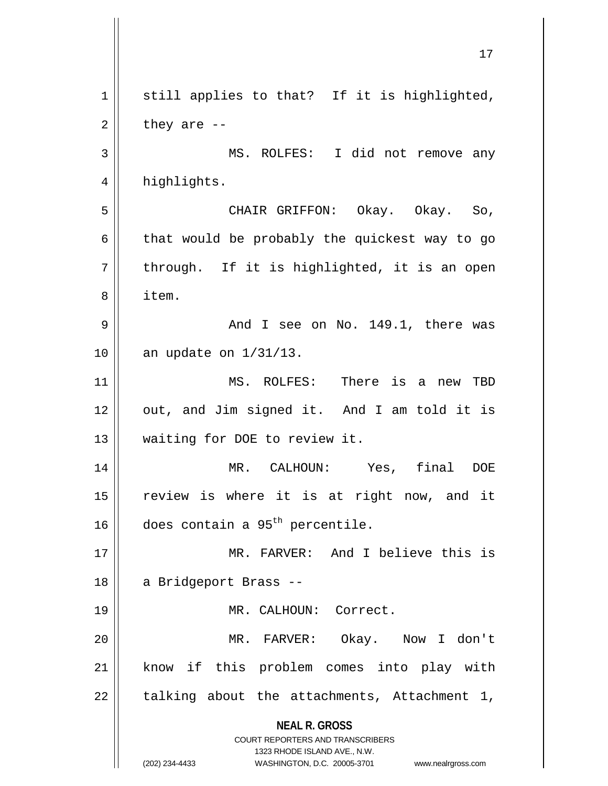**NEAL R. GROSS** COURT REPORTERS AND TRANSCRIBERS 1323 RHODE ISLAND AVE., N.W. (202) 234-4433 WASHINGTON, D.C. 20005-3701 www.nealrgross.com  $1$  still applies to that? If it is highlighted,  $2 \parallel$  they are --3 || MS. ROLFES: I did not remove any 4 | highlights. 5 CHAIR GRIFFON: Okay. Okay. So, 6  $\parallel$  that would be probably the quickest way to go  $7 \parallel$  through. If it is highlighted, it is an open 8 item.  $9 \parallel$  and I see on No. 149.1, there was 10 || an update on 1/31/13. 11 MS. ROLFES: There is a new TBD 12 || out, and Jim signed it. And I am told it is 13 || waiting for DOE to review it. 14 MR. CALHOUN: Yes, final DOE 15 review is where it is at right now, and it 16  $\parallel$  does contain a 95<sup>th</sup> percentile. 17 MR. FARVER: And I believe this is 18 | a Bridgeport Brass --19 || MR. CALHOUN: Correct. 20 MR. FARVER: Okay. Now I don't 21 || know if this problem comes into play with  $22$  || talking about the attachments, Attachment 1,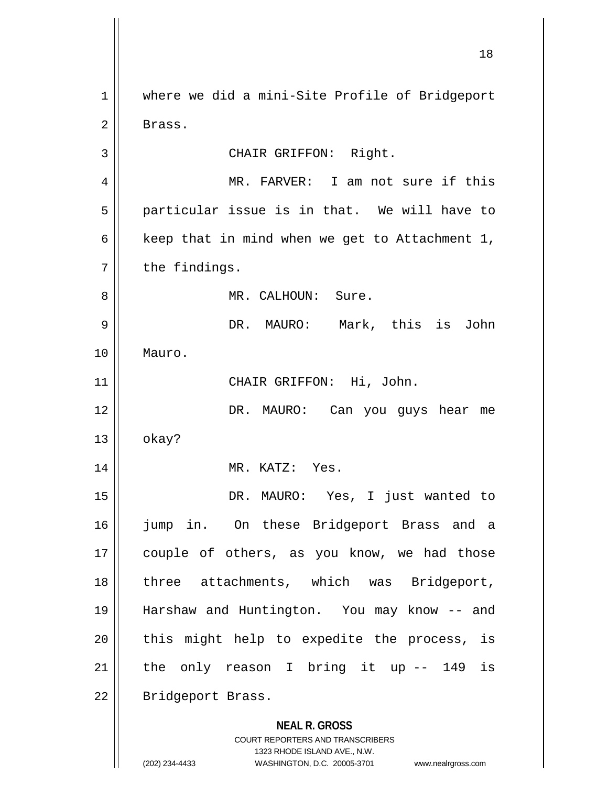**NEAL R. GROSS** COURT REPORTERS AND TRANSCRIBERS 1323 RHODE ISLAND AVE., N.W. (202) 234-4433 WASHINGTON, D.C. 20005-3701 www.nealrgross.com 18 1 | where we did a mini-Site Profile of Bridgeport 2 Brass. 3 || CHAIR GRIFFON: Right. 4 || MR. FARVER: I am not sure if this  $5 \parallel$  particular issue is in that. We will have to 6  $\parallel$  keep that in mind when we get to Attachment 1,  $7 \parallel$  the findings. 8 MR. CALHOUN: Sure. 9 DR. MAURO: Mark, this is John 10 Mauro. 11 CHAIR GRIFFON: Hi, John. 12 DR. MAURO: Can you guys hear me  $13 \parallel$  okay? 14 || MR. KATZ: Yes. 15 DR. MAURO: Yes, I just wanted to 16 jump in. On these Bridgeport Brass and a 17 || couple of others, as you know, we had those 18 || three attachments, which was Bridgeport, 19 Harshaw and Huntington. You may know -- and  $20$  || this might help to expedite the process, is  $21$  the only reason I bring it up  $-$  149 is 22 | Bridgeport Brass.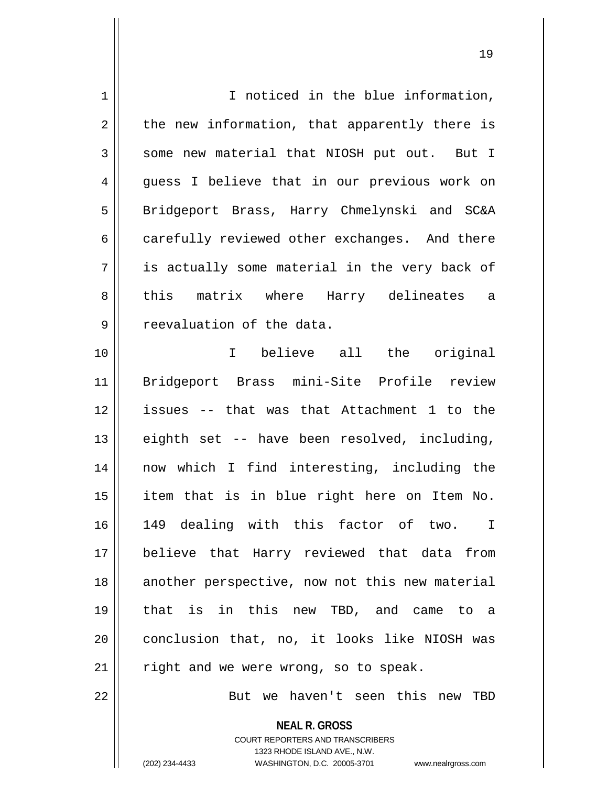| $\mathbf 1$    | I noticed in the blue information,             |
|----------------|------------------------------------------------|
| $\overline{2}$ | the new information, that apparently there is  |
| 3              | some new material that NIOSH put out. But I    |
| 4              | guess I believe that in our previous work on   |
| 5              | Bridgeport Brass, Harry Chmelynski and SC&A    |
| 6              | carefully reviewed other exchanges. And there  |
| 7              | is actually some material in the very back of  |
| 8              | this matrix where Harry delineates a           |
| 9              | reevaluation of the data.                      |
| 10             | I believe all the original                     |
| 11             | Bridgeport Brass mini-Site Profile review      |
| 12             | issues -- that was that Attachment 1 to the    |
| 13             | eighth set -- have been resolved, including,   |
| 14             | now which I find interesting, including the    |
| 15             | item that is in blue right here on Item No.    |
| 16             | 149 dealing with this factor of two. I         |
| 17             | believe that Harry reviewed that data from     |
| 18             | another perspective, now not this new material |
| 19             | that is in this new TBD, and came to a         |
| 20             | conclusion that, no, it looks like NIOSH was   |
| 21             | right and we were wrong, so to speak.          |
| 22             | But we haven't seen this new TBD               |

**NEAL R. GROSS** COURT REPORTERS AND TRANSCRIBERS 1323 RHODE ISLAND AVE., N.W.

 $\mathsf{I}$ 

(202) 234-4433 WASHINGTON, D.C. 20005-3701 www.nealrgross.com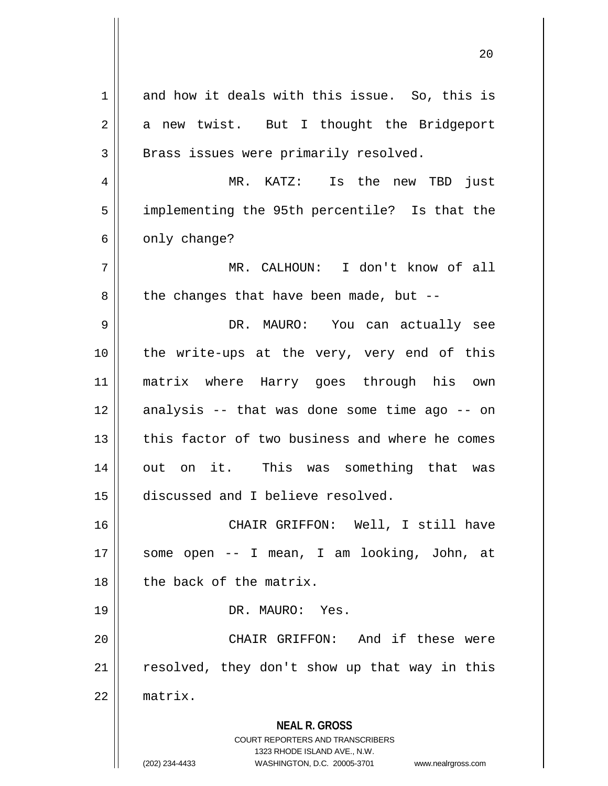**NEAL R. GROSS** COURT REPORTERS AND TRANSCRIBERS 1323 RHODE ISLAND AVE., N.W. (202) 234-4433 WASHINGTON, D.C. 20005-3701 www.nealrgross.com  $1 \parallel$  and how it deals with this issue. So, this is  $2 \parallel$  a new twist. But I thought the Bridgeport 3 || Brass issues were primarily resolved. 4 MR. KATZ: Is the new TBD just 5 || implementing the 95th percentile? Is that the  $6 \parallel$  only change? 7 MR. CALHOUN: I don't know of all  $8 \parallel$  the changes that have been made, but --9 DR. MAURO: You can actually see 10 the write-ups at the very, very end of this 11 matrix where Harry goes through his own  $12$  analysis -- that was done some time ago -- on 13 this factor of two business and where he comes 14 out on it. This was something that was 15 | discussed and I believe resolved. 16 CHAIR GRIFFON: Well, I still have 17 some open -- I mean, I am looking, John, at 18 l the back of the matrix. 19 DR. MAURO: Yes. 20 || CHAIR GRIFFON: And if these were  $21$  resolved, they don't show up that way in this 22 matrix.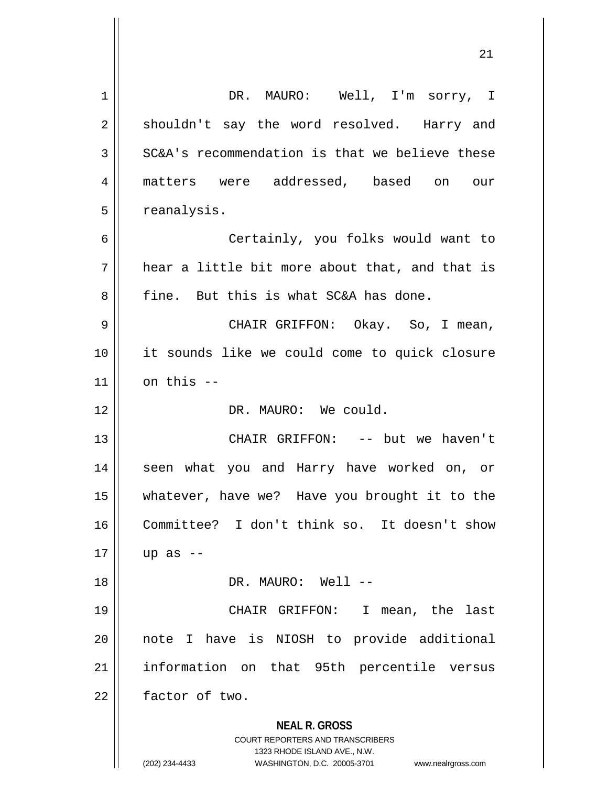|    | ∠⊥                                                                      |
|----|-------------------------------------------------------------------------|
| 1  | DR. MAURO: Well, I'm sorry, I                                           |
| 2  | shouldn't say the word resolved. Harry and                              |
| 3  | SC&A's recommendation is that we believe these                          |
| 4  | matters were addressed, based on our                                    |
| 5  | reanalysis.                                                             |
| 6  | Certainly, you folks would want to                                      |
| 7  | hear a little bit more about that, and that is                          |
| 8  | fine. But this is what SC&A has done.                                   |
| 9  | CHAIR GRIFFON: Okay. So, I mean,                                        |
| 10 | it sounds like we could come to quick closure                           |
| 11 | on this --                                                              |
| 12 | DR. MAURO: We could.                                                    |
| 13 | CHAIR GRIFFON: -- but we haven't                                        |
| 14 | seen what you and Harry have worked on, or                              |
| 15 | whatever, have we? Have you brought it to the                           |
| 16 | Committee? I don't think so. It doesn't show                            |
| 17 | up as $-$                                                               |
| 18 | DR. MAURO: Well --                                                      |
| 19 | CHAIR GRIFFON:<br>I.<br>mean, the last                                  |
| 20 | note I have is NIOSH to provide additional                              |
| 21 | information on that 95th percentile versus                              |
| 22 | factor of two.                                                          |
|    | <b>NEAL R. GROSS</b>                                                    |
|    | <b>COURT REPORTERS AND TRANSCRIBERS</b><br>1323 RHODE ISLAND AVE., N.W. |
|    | (202) 234-4433<br>WASHINGTON, D.C. 20005-3701<br>www.nealrgross.com     |

 $\overline{\mathsf{I}}$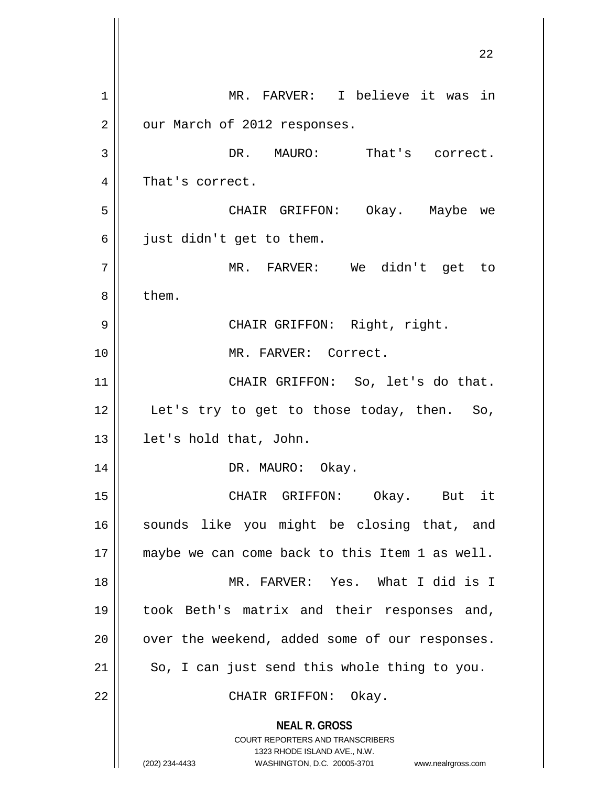**NEAL R. GROSS** COURT REPORTERS AND TRANSCRIBERS 1323 RHODE ISLAND AVE., N.W. (202) 234-4433 WASHINGTON, D.C. 20005-3701 www.nealrgross.com 1 | MR. FARVER: I believe it was in 2 | our March of 2012 responses. 3 DR. MAURO: That's correct. 4 || That's correct. 5 CHAIR GRIFFON: Okay. Maybe we  $6 \parallel$  just didn't get to them. 7 MR. FARVER: We didn't get to 8 | them. 9 CHAIR GRIFFON: Right, right. 10 MR. FARVER: Correct. 11 || CHAIR GRIFFON: So, let's do that. 12 || Let's try to get to those today, then. So, 13 || let's hold that, John. 14 || DR. MAURO: Okay. 15 CHAIR GRIFFON: Okay. But it 16 || sounds like you might be closing that, and 17 || maybe we can come back to this Item 1 as well. 18 MR. FARVER: Yes. What I did is I 19 took Beth's matrix and their responses and,  $20$  | over the weekend, added some of our responses.  $21$  So, I can just send this whole thing to you. 22 || CHAIR GRIFFON: Okay.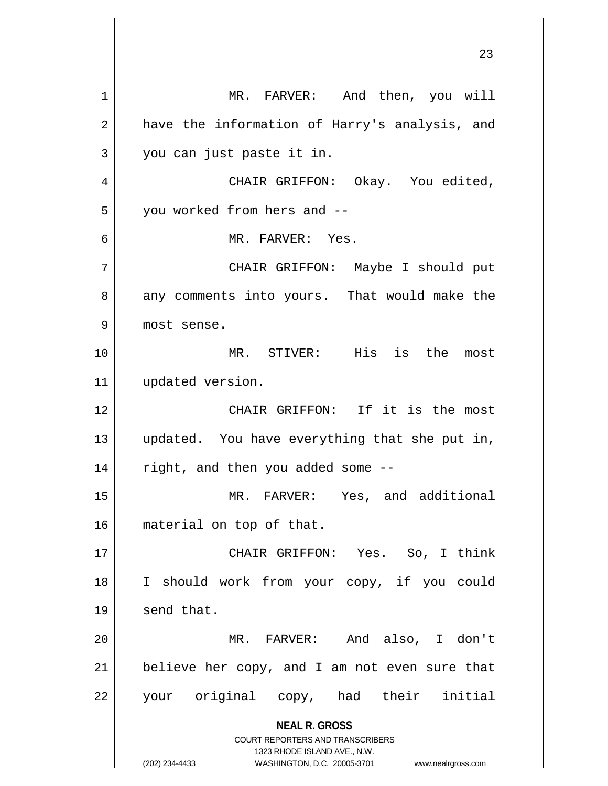**NEAL R. GROSS** COURT REPORTERS AND TRANSCRIBERS 1323 RHODE ISLAND AVE., N.W. (202) 234-4433 WASHINGTON, D.C. 20005-3701 www.nealrgross.com 1 | MR. FARVER: And then, you will 2 || have the information of Harry's analysis, and 3 || you can just paste it in. 4 CHAIR GRIFFON: Okay. You edited, 5 | vou worked from hers and --6 MR. FARVER: Yes. 7 CHAIR GRIFFON: Maybe I should put 8 || any comments into yours. That would make the 9 most sense. 10 MR. STIVER: His is the most 11 | updated version. 12 || CHAIR GRIFFON: If it is the most 13 updated. You have everything that she put in,  $14$  | right, and then you added some --15 MR. FARVER: Yes, and additional 16 material on top of that. 17 CHAIR GRIFFON: Yes. So, I think 18 || I should work from your copy, if you could  $19$  send that. 20 MR. FARVER: And also, I don't  $21$  | believe her copy, and I am not even sure that 22 your original copy, had their initial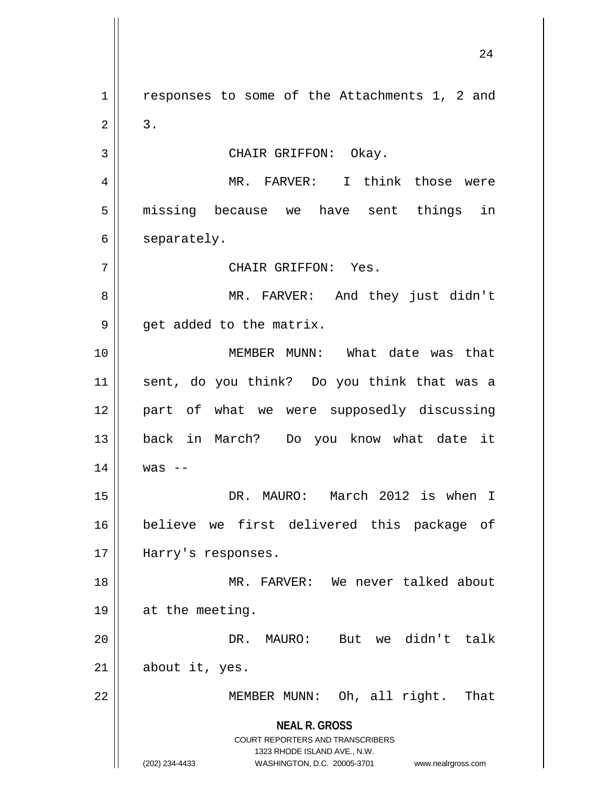**NEAL R. GROSS** COURT REPORTERS AND TRANSCRIBERS 1323 RHODE ISLAND AVE., N.W. (202) 234-4433 WASHINGTON, D.C. 20005-3701 www.nealrgross.com 1 || responses to some of the Attachments 1, 2 and  $2 \parallel 3$ . 3 | CHAIR GRIFFON: Okay. 4 MR. FARVER: I think those were 5 || missing because we have sent things in 6 | separately. 7 CHAIR GRIFFON: Yes. 8 MR. FARVER: And they just didn't  $9 \parallel$  get added to the matrix. 10 MEMBER MUNN: What date was that 11 sent, do you think? Do you think that was a 12 part of what we were supposedly discussing 13 back in March? Do you know what date it  $14$  | was --15 DR. MAURO: March 2012 is when I 16 believe we first delivered this package of 17 || Harry's responses. 18 MR. FARVER: We never talked about 19 || at the meeting. 20 DR. MAURO: But we didn't talk  $21$  || about it, yes. 22 MEMBER MUNN: Oh, all right. That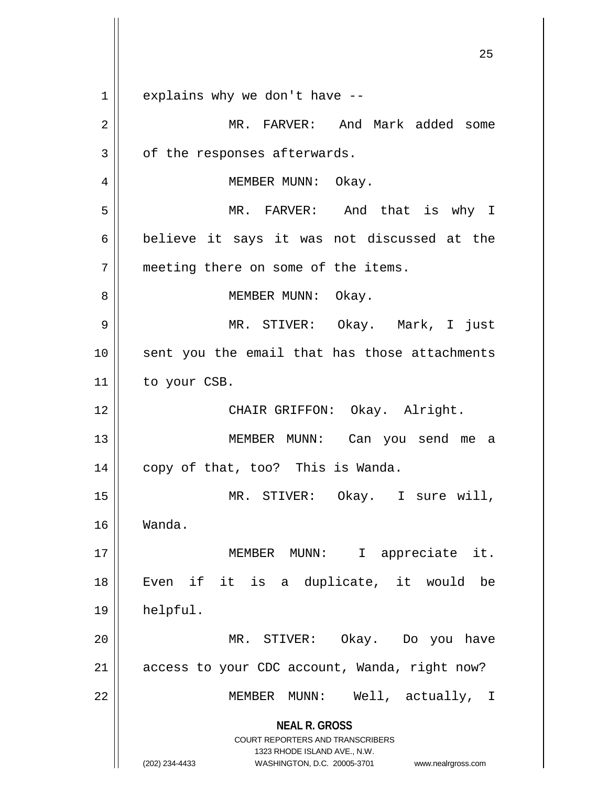**NEAL R. GROSS** COURT REPORTERS AND TRANSCRIBERS 1323 RHODE ISLAND AVE., N.W. (202) 234-4433 WASHINGTON, D.C. 20005-3701 www.nealrgross.com  $1 \parallel$  explains why we don't have  $-$ 2 MR. FARVER: And Mark added some  $3 \parallel$  of the responses afterwards. 4 | MEMBER MUNN: Okay. 5 MR. FARVER: And that is why I 6 believe it says it was not discussed at the 7 | meeting there on some of the items. 8 | MEMBER MUNN: Okay. 9 MR. STIVER: Okay. Mark, I just 10 || sent you the email that has those attachments 11 | to your CSB. 12 || CHAIR GRIFFON: Okay. Alright. 13 MEMBER MUNN: Can you send me a 14 || copy of that, too? This is Wanda. 15 MR. STIVER: Okay. I sure will, 16 Wanda. 17 || MEMBER MUNN: I appreciate it. 18 Even if it is a duplicate, it would be 19 helpful. 20 MR. STIVER: Okay. Do you have 21 | access to your CDC account, Wanda, right now? 22 || MEMBER MUNN: Well, actually, I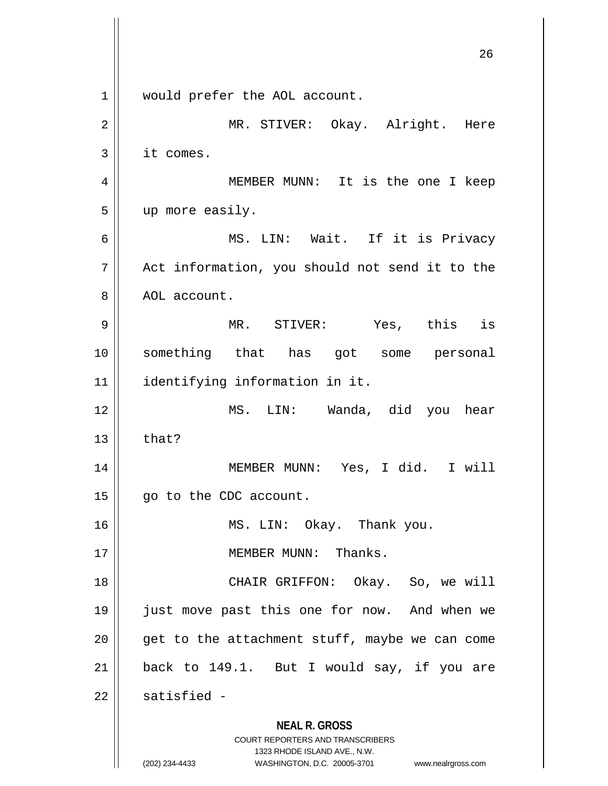**NEAL R. GROSS** COURT REPORTERS AND TRANSCRIBERS 1323 RHODE ISLAND AVE., N.W. (202) 234-4433 WASHINGTON, D.C. 20005-3701 www.nealrgross.com 26 1 || would prefer the AOL account. 2 MR. STIVER: Okay. Alright. Here 3 it comes. 4 MEMBER MUNN: It is the one I keep 5 up more easily. 6 MS. LIN: Wait. If it is Privacy  $7 \parallel$  Act information, you should not send it to the 8 | AOL account. 9 MR. STIVER: Yes, this is 10 something that has got some personal 11 identifying information in it. 12 MS. LIN: Wanda, did you hear  $13$   $\parallel$  that? 14 MEMBER MUNN: Yes, I did. I will 15 | go to the CDC account. 16 || MS. LIN: Okay. Thank you. 17 || **MEMBER MUNN:** Thanks. 18 || CHAIR GRIFFON: Okay. So, we will 19 just move past this one for now. And when we  $20$  || get to the attachment stuff, maybe we can come  $21$  | back to 149.1. But I would say, if you are  $22$  | satisfied -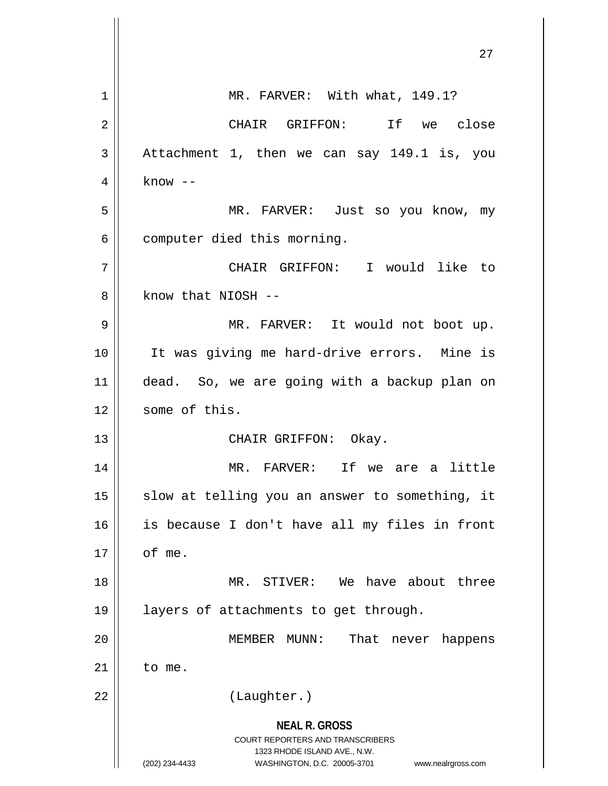|    | 27                                                                                                                                                              |
|----|-----------------------------------------------------------------------------------------------------------------------------------------------------------------|
| 1  | MR. FARVER: With what, 149.1?                                                                                                                                   |
| 2  | CHAIR GRIFFON: If we close                                                                                                                                      |
| 3  | Attachment 1, then we can say 149.1 is, you                                                                                                                     |
| 4  | $know --$                                                                                                                                                       |
| 5  | MR. FARVER: Just so you know, my                                                                                                                                |
| 6  | computer died this morning.                                                                                                                                     |
| 7  | CHAIR GRIFFON: I would like to                                                                                                                                  |
| 8  | know that NIOSH --                                                                                                                                              |
| 9  | MR. FARVER: It would not boot up.                                                                                                                               |
| 10 | It was giving me hard-drive errors. Mine is                                                                                                                     |
| 11 | dead. So, we are going with a backup plan on                                                                                                                    |
| 12 | some of this.                                                                                                                                                   |
| 13 | CHAIR GRIFFON: Okay.                                                                                                                                            |
| 14 | MR. FARVER:<br>Ιf<br>we<br>little<br>are<br>a                                                                                                                   |
| 15 | slow at telling you an answer to something, it                                                                                                                  |
| 16 | is because I don't have all my files in front                                                                                                                   |
| 17 | of me.                                                                                                                                                          |
| 18 | MR. STIVER: We have about three                                                                                                                                 |
| 19 | layers of attachments to get through.                                                                                                                           |
| 20 | That<br>MEMBER MUNN:<br>never<br>happens                                                                                                                        |
| 21 | to me.                                                                                                                                                          |
| 22 | (Laughter.)                                                                                                                                                     |
|    | <b>NEAL R. GROSS</b><br>COURT REPORTERS AND TRANSCRIBERS<br>1323 RHODE ISLAND AVE., N.W.<br>(202) 234-4433<br>WASHINGTON, D.C. 20005-3701<br>www.nealrgross.com |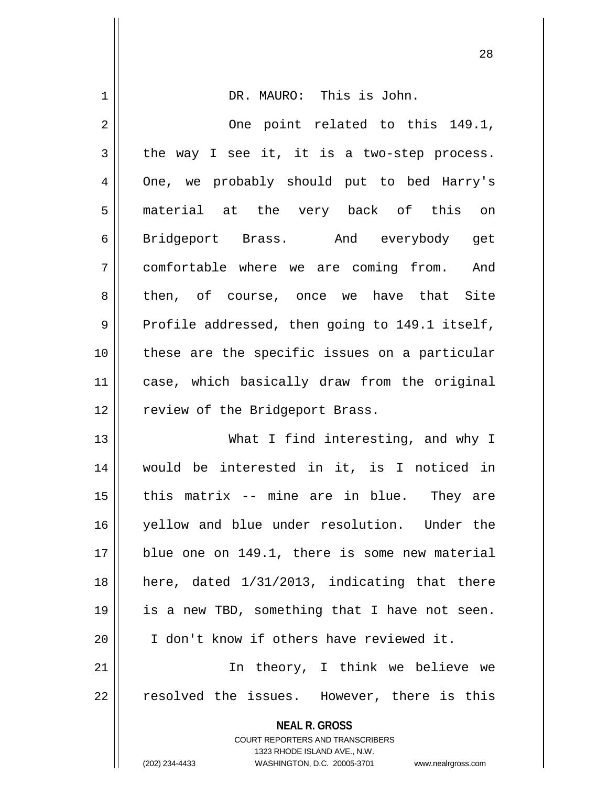| 1  | DR. MAURO: This is John.                                                                                                                                            |
|----|---------------------------------------------------------------------------------------------------------------------------------------------------------------------|
| 2  | One point related to this 149.1,                                                                                                                                    |
| 3  | the way I see it, it is a two-step process.                                                                                                                         |
| 4  | One, we probably should put to bed Harry's                                                                                                                          |
| 5  | material at the very back of this on                                                                                                                                |
| 6  | Bridgeport Brass. And everybody get                                                                                                                                 |
| 7  | comfortable where we are coming from. And                                                                                                                           |
| 8  | then, of course, once we have that Site                                                                                                                             |
| 9  | Profile addressed, then going to 149.1 itself,                                                                                                                      |
| 10 | these are the specific issues on a particular                                                                                                                       |
| 11 | case, which basically draw from the original                                                                                                                        |
| 12 | review of the Bridgeport Brass.                                                                                                                                     |
| 13 | What I find interesting, and why I                                                                                                                                  |
| 14 | would be interested in it, is I noticed in                                                                                                                          |
| 15 | this matrix -- mine are in blue. They are                                                                                                                           |
| 16 | yellow and blue under resolution. Under the                                                                                                                         |
| 17 | blue one on 149.1, there is some new material                                                                                                                       |
| 18 | here, dated 1/31/2013, indicating that there                                                                                                                        |
| 19 | is a new TBD, something that I have not seen.                                                                                                                       |
| 20 | I don't know if others have reviewed it.                                                                                                                            |
| 21 | In theory, I think we believe we                                                                                                                                    |
| 22 | resolved the issues. However, there is this                                                                                                                         |
|    | <b>NEAL R. GROSS</b><br><b>COURT REPORTERS AND TRANSCRIBERS</b><br>1323 RHODE ISLAND AVE., N.W.<br>(202) 234-4433<br>WASHINGTON, D.C. 20005-3701 www.nealrgross.com |

Ĥ

 $\mathsf{I}$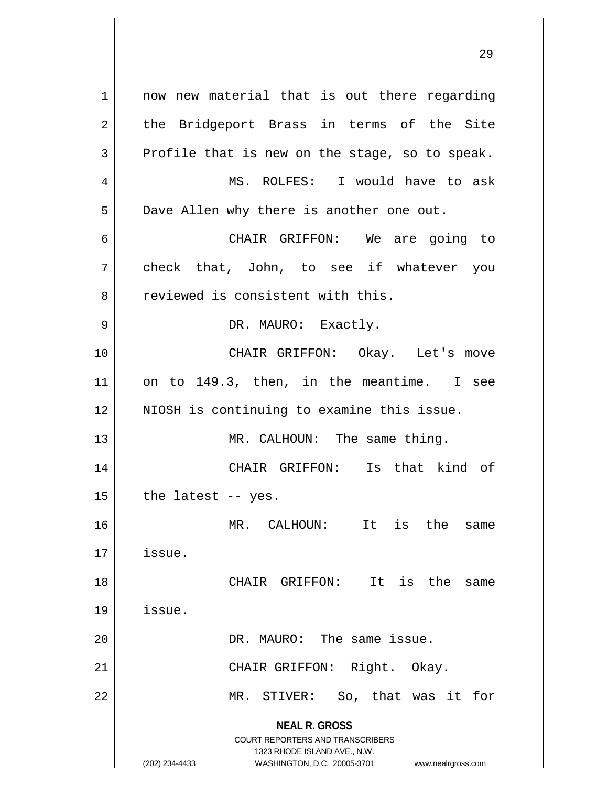**NEAL R. GROSS** COURT REPORTERS AND TRANSCRIBERS 1323 RHODE ISLAND AVE., N.W. (202) 234-4433 WASHINGTON, D.C. 20005-3701 www.nealrgross.com 1 || now new material that is out there regarding  $2 \parallel$  the Bridgeport Brass in terms of the Site  $3 \parallel$  Profile that is new on the stage, so to speak. 4 MS. ROLFES: I would have to ask 5 | Dave Allen why there is another one out. 6 CHAIR GRIFFON: We are going to 7 check that, John, to see if whatever you 8 || reviewed is consistent with this. 9 || DR. MAURO: Exactly. 10 || CHAIR GRIFFON: Okay. Let's move  $11$  on to 149.3, then, in the meantime. I see 12 || NIOSH is continuing to examine this issue. 13 || MR. CALHOUN: The same thing. 14 CHAIR GRIFFON: Is that kind of  $15$  | the latest -- yes. 16 MR. CALHOUN: It is the same 17 issue. 18 CHAIR GRIFFON: It is the same 19 issue. 20 DR. MAURO: The same issue. 21 || CHAIR GRIFFON: Right. Okay. 22 MR. STIVER: So, that was it for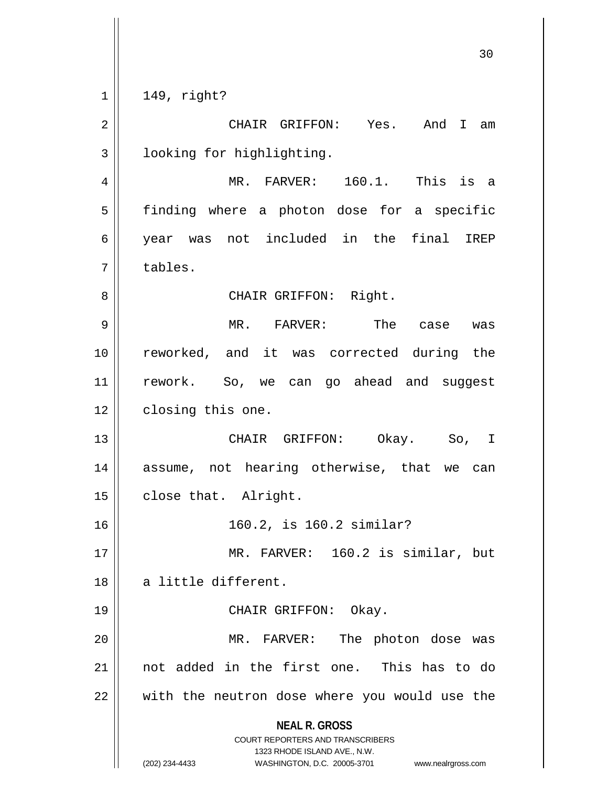$1 || 149, right?$ 

**NEAL R. GROSS** COURT REPORTERS AND TRANSCRIBERS 1323 RHODE ISLAND AVE., N.W. (202) 234-4433 WASHINGTON, D.C. 20005-3701 www.nealrgross.com 2 CHAIR GRIFFON: Yes. And I am 3 | looking for highlighting. 4 MR. FARVER: 160.1. This is a 5 | finding where a photon dose for a specific 6 year was not included in the final IREP 7 tables. 8 CHAIR GRIFFON: Right. 9 MR. FARVER: The case was 10 reworked, and it was corrected during the 11 || rework. So, we can go ahead and suggest 12 | closing this one. 13 CHAIR GRIFFON: Okay. So, I 14 assume, not hearing otherwise, that we can 15 | close that. Alright. 16 160.2, is 160.2 similar? 17 || MR. FARVER: 160.2 is similar, but 18 || a little different. 19 || CHAIR GRIFFON: Okay. 20 || MR. FARVER: The photon dose was 21 not added in the first one. This has to do  $22$   $\parallel$  with the neutron dose where you would use the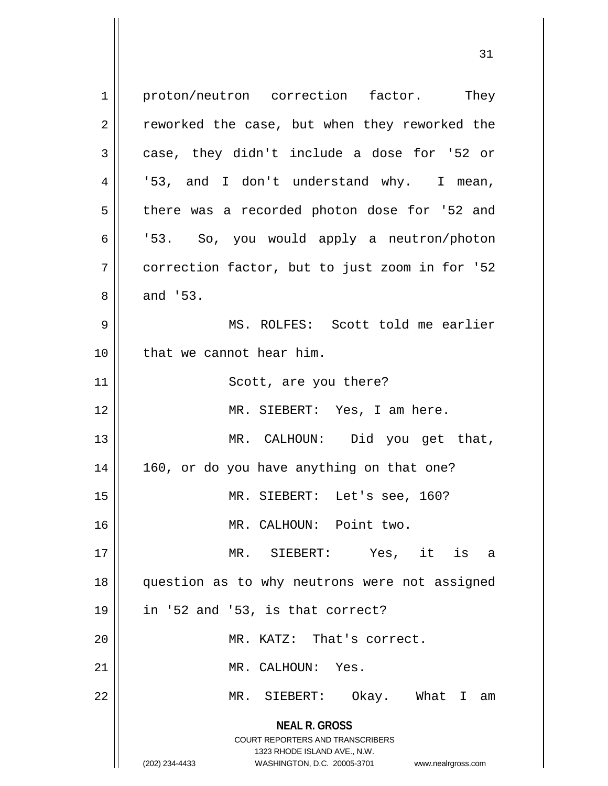**NEAL R. GROSS** COURT REPORTERS AND TRANSCRIBERS 1323 RHODE ISLAND AVE., N.W. (202) 234-4433 WASHINGTON, D.C. 20005-3701 www.nealrgross.com 1 | proton/neutron correction factor. They  $2 \parallel$  reworked the case, but when they reworked the  $3 \parallel$  case, they didn't include a dose for '52 or 4 || '53, and I don't understand why. I mean, 5 | there was a recorded photon dose for '52 and 6 | 53. So, you would apply a neutron/photon 7 correction factor, but to just zoom in for '52  $8 \parallel$  and '53. 9 MS. ROLFES: Scott told me earlier 10 l that we cannot hear him. 11 || Scott, are you there? 12 MR. SIEBERT: Yes, I am here. 13 || MR. CALHOUN: Did you get that, 14 160, or do you have anything on that one? 15 MR. SIEBERT: Let's see, 160? 16 MR. CALHOUN: Point two. 17 MR. SIEBERT: Yes, it is a 18 question as to why neutrons were not assigned  $19 \parallel$  in '52 and '53, is that correct? 20 MR. KATZ: That's correct. 21 | MR. CALHOUN: Yes. 22 MR. SIEBERT: Okay. What I am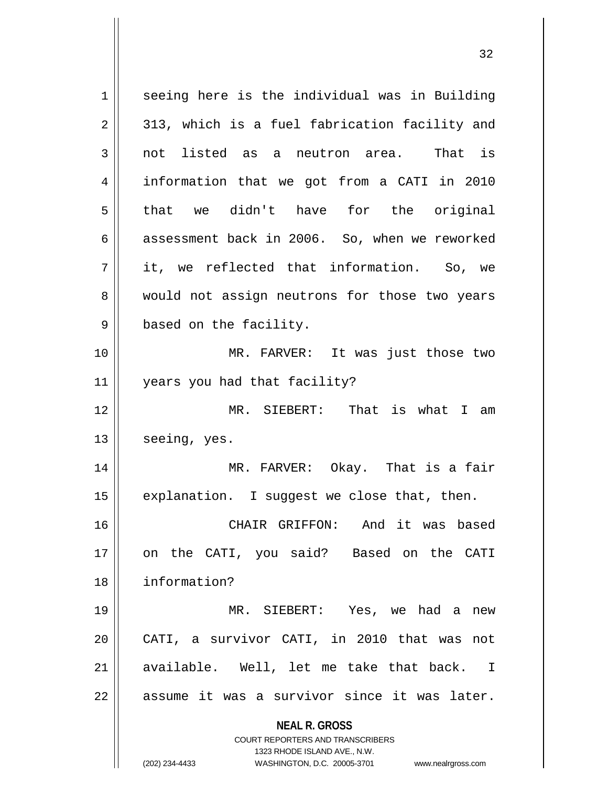**NEAL R. GROSS** COURT REPORTERS AND TRANSCRIBERS 1323 RHODE ISLAND AVE., N.W. (202) 234-4433 WASHINGTON, D.C. 20005-3701 www.nealrgross.com 1 || seeing here is the individual was in Building  $2 \parallel$  313, which is a fuel fabrication facility and 3 not listed as a neutron area. That is 4 information that we got from a CATI in 2010 5 that we didn't have for the original  $6 \parallel$  assessment back in 2006. So, when we reworked 7 it, we reflected that information. So, we 8 would not assign neutrons for those two years 9 | based on the facility. 10 MR. FARVER: It was just those two 11 years you had that facility? 12 MR. SIEBERT: That is what I am  $13 \parallel$  seeing, yes. 14 MR. FARVER: Okay. That is a fair  $15$  | explanation. I suggest we close that, then. 16 CHAIR GRIFFON: And it was based 17 || on the CATI, you said? Based on the CATI 18 information? 19 MR. SIEBERT: Yes, we had a new 20 CATI, a survivor CATI, in 2010 that was not  $21$  available. Well, let me take that back. I  $22$  || assume it was a survivor since it was later.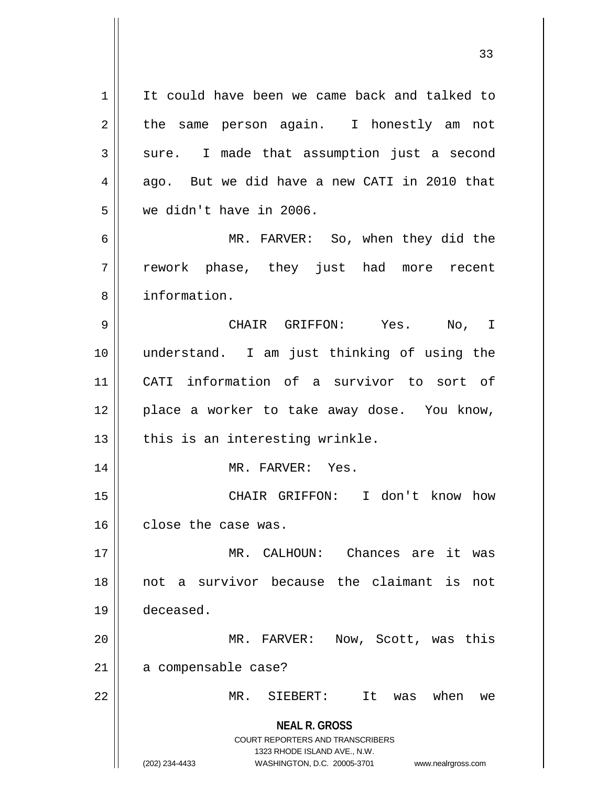**NEAL R. GROSS** COURT REPORTERS AND TRANSCRIBERS 1323 RHODE ISLAND AVE., N.W. (202) 234-4433 WASHINGTON, D.C. 20005-3701 www.nealrgross.com 1 | It could have been we came back and talked to  $2 \parallel$  the same person again. I honestly am not  $3 \parallel$  sure. I made that assumption just a second  $4 \parallel$  ago. But we did have a new CATI in 2010 that 5 we didn't have in 2006. 6 MR. FARVER: So, when they did the 7 rework phase, they just had more recent 8 || information. 9 CHAIR GRIFFON: Yes. No, I 10 understand. I am just thinking of using the 11 CATI information of a survivor to sort of 12 || place a worker to take away dose. You know,  $13$  | this is an interesting wrinkle. 14 || MR. FARVER: Yes. 15 CHAIR GRIFFON: I don't know how 16 close the case was. 17 MR. CALHOUN: Chances are it was 18 not a survivor because the claimant is not 19 deceased. 20 MR. FARVER: Now, Scott, was this 21 | a compensable case? 22 MR. SIEBERT: It was when we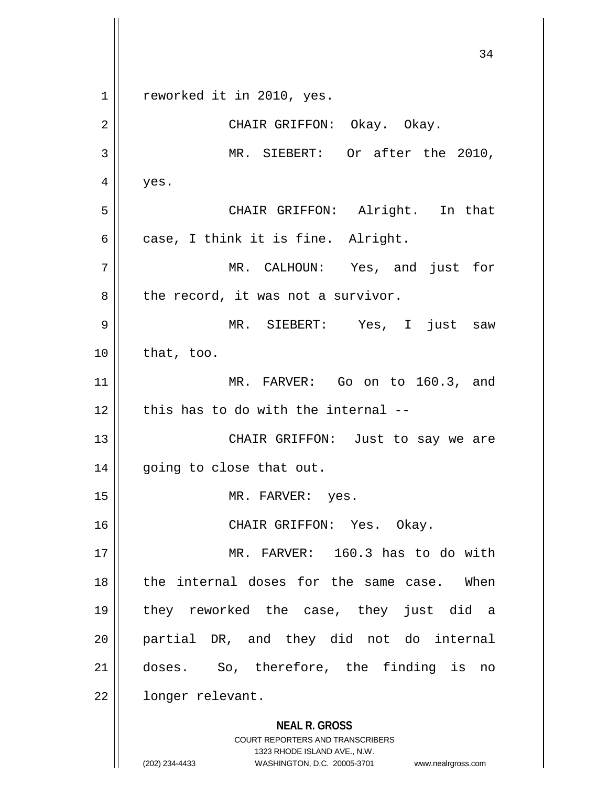**NEAL R. GROSS** COURT REPORTERS AND TRANSCRIBERS 1323 RHODE ISLAND AVE., N.W. 34 1 || reworked it in 2010, yes. 2 CHAIR GRIFFON: Okay. Okay. 3 || MR. SIEBERT: Or after the 2010,  $4 \mid \cdot \text{yes}.$ 5 CHAIR GRIFFON: Alright. In that  $6 \parallel$  case, I think it is fine. Alright. 7 MR. CALHOUN: Yes, and just for  $8$  | the record, it was not a survivor. 9 MR. SIEBERT: Yes, I just saw  $10$  | that, too. 11 MR. FARVER: Go on to 160.3, and  $12$  | this has to do with the internal --13 || CHAIR GRIFFON: Just to say we are 14 || going to close that out. 15 || MR. FARVER: yes. 16 CHAIR GRIFFON: Yes. Okay. 17 || MR. FARVER: 160.3 has to do with  $18$  || the internal doses for the same case. When 19 they reworked the case, they just did a 20 partial DR, and they did not do internal 21 doses. So, therefore, the finding is no 22 | longer relevant.

(202) 234-4433 WASHINGTON, D.C. 20005-3701 www.nealrgross.com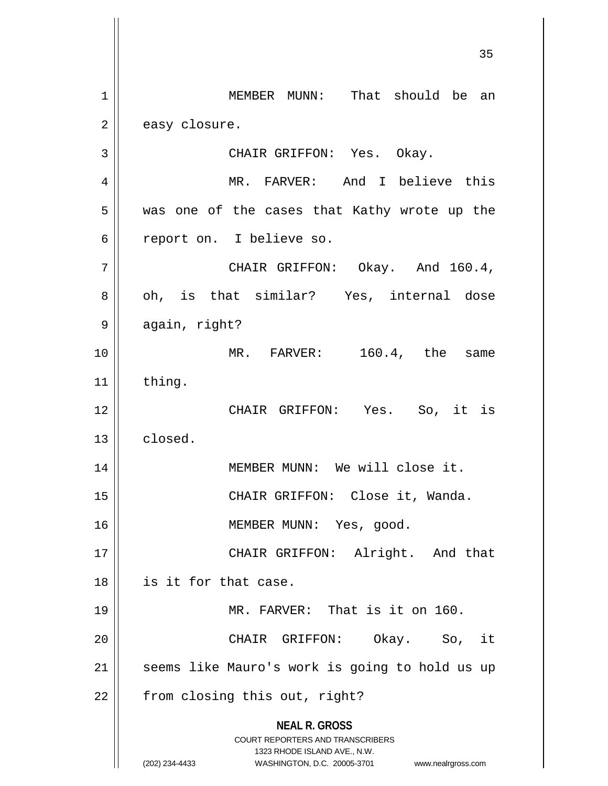**NEAL R. GROSS** COURT REPORTERS AND TRANSCRIBERS 1323 RHODE ISLAND AVE., N.W. (202) 234-4433 WASHINGTON, D.C. 20005-3701 www.nealrgross.com 1 MEMBER MUNN: That should be an  $2 \parallel$  easy closure. 3 CHAIR GRIFFON: Yes. Okay. 4 MR. FARVER: And I believe this 5 || was one of the cases that Kathy wrote up the 6 ceport on. I believe so.  $7 \parallel$  CHAIR GRIFFON: Okay. And 160.4, 8 oh, is that similar? Yes, internal dose 9 | again, right? 10 MR. FARVER: 160.4, the same  $11$  | thing. 12 CHAIR GRIFFON: Yes. So, it is  $13 \parallel$  closed. 14 || MEMBER MUNN: We will close it. 15 || CHAIR GRIFFON: Close it, Wanda. 16 || MEMBER MUNN: Yes, good. 17 || CHAIR GRIFFON: Alright. And that 18 is it for that case. 19 MR. FARVER: That is it on 160. 20 CHAIR GRIFFON: Okay. So, it 21 || seems like Mauro's work is going to hold us up  $22$  | from closing this out, right?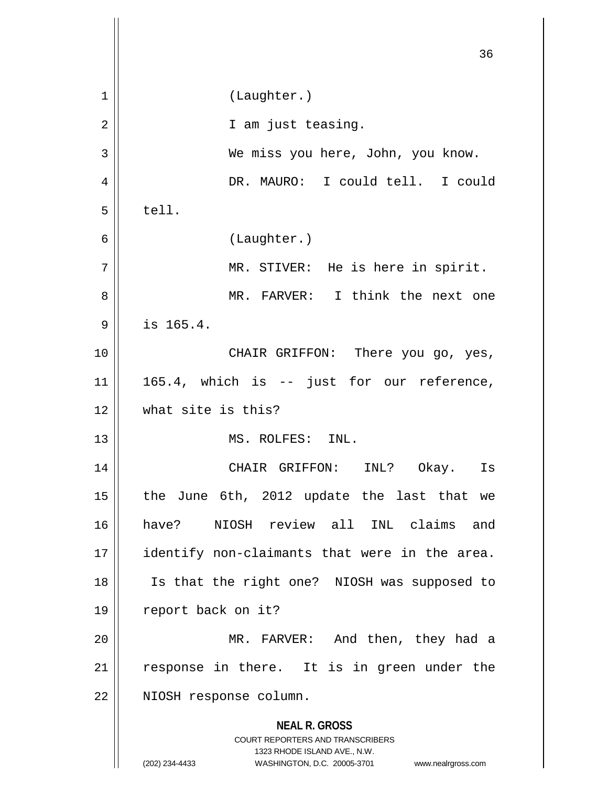|    | 36                                                                                                                                                                     |
|----|------------------------------------------------------------------------------------------------------------------------------------------------------------------------|
| 1  | (Laughter.)                                                                                                                                                            |
| 2  | I am just teasing.                                                                                                                                                     |
| 3  | We miss you here, John, you know.                                                                                                                                      |
| 4  | DR. MAURO: I could tell. I could                                                                                                                                       |
| 5  | tell.                                                                                                                                                                  |
| 6  | (Laughter.)                                                                                                                                                            |
| 7  | MR. STIVER: He is here in spirit.                                                                                                                                      |
| 8  | MR. FARVER: I think the next one                                                                                                                                       |
| 9  | is 165.4.                                                                                                                                                              |
| 10 | CHAIR GRIFFON: There you go, yes,                                                                                                                                      |
| 11 | 165.4, which is -- just for our reference,                                                                                                                             |
| 12 | what site is this?                                                                                                                                                     |
| 13 | MS. ROLFES: INL.                                                                                                                                                       |
| 14 | CHAIR GRIFFON:<br>Okay. Is<br>INL?                                                                                                                                     |
| 15 | the June 6th, 2012 update the last that we                                                                                                                             |
| 16 | NIOSH review all INL claims and<br>have?                                                                                                                               |
| 17 | identify non-claimants that were in the area.                                                                                                                          |
| 18 | Is that the right one? NIOSH was supposed to                                                                                                                           |
| 19 | report back on it?                                                                                                                                                     |
| 20 | MR. FARVER: And then, they had a                                                                                                                                       |
| 21 | response in there. It is in green under the                                                                                                                            |
| 22 | NIOSH response column.                                                                                                                                                 |
|    | <b>NEAL R. GROSS</b><br><b>COURT REPORTERS AND TRANSCRIBERS</b><br>1323 RHODE ISLAND AVE., N.W.<br>(202) 234-4433<br>WASHINGTON, D.C. 20005-3701<br>www.nealrgross.com |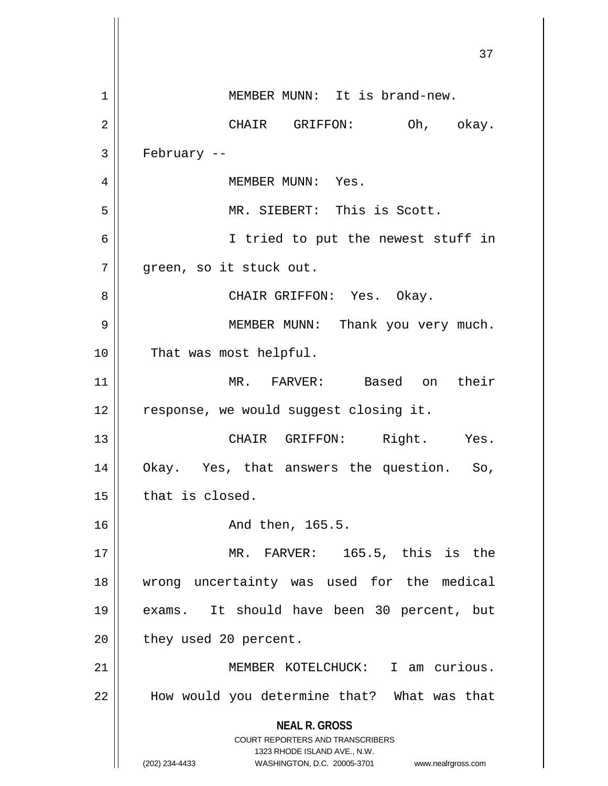**NEAL R. GROSS** COURT REPORTERS AND TRANSCRIBERS 1323 RHODE ISLAND AVE., N.W. (202) 234-4433 WASHINGTON, D.C. 20005-3701 www.nealrgross.com 37 1 | MEMBER MUNN: It is brand-new. 2 CHAIR GRIFFON: Oh, okay.  $3 \parallel$  February --4 MEMBER MUNN: Yes. 5 MR. SIEBERT: This is Scott. 6 || I tried to put the newest stuff in 7 || qreen, so it stuck out. 8 || CHAIR GRIFFON: Yes. Okay. 9 || MEMBER MUNN: Thank you very much. 10 || That was most helpful. 11 MR. FARVER: Based on their 12 || response, we would suggest closing it. 13 CHAIR GRIFFON: Right. Yes. 14 Okay. Yes, that answers the question. So,  $15$  | that is closed. 16 And then, 165.5. 17 || MR. FARVER: 165.5, this is the 18 wrong uncertainty was used for the medical 19 exams. It should have been 30 percent, but  $20$  || they used 20 percent. 21 MEMBER KOTELCHUCK: I am curious. 22 How would you determine that? What was that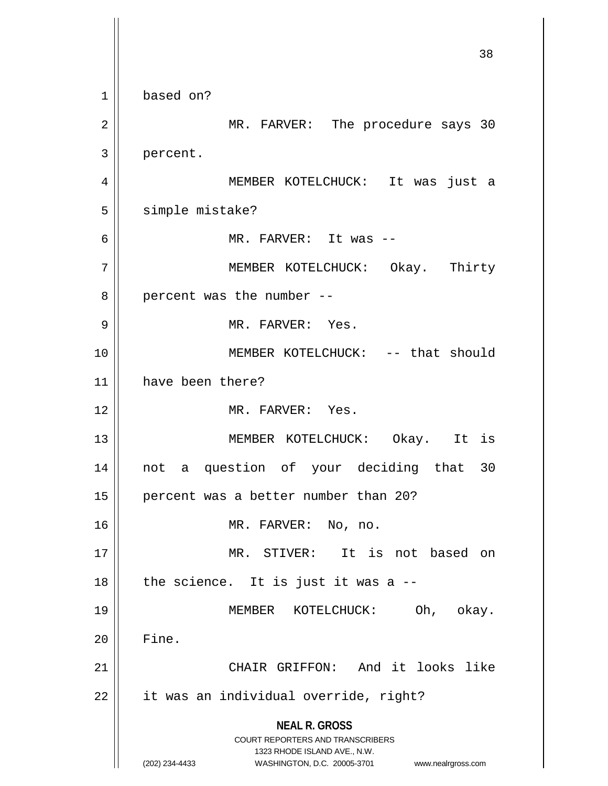**NEAL R. GROSS** COURT REPORTERS AND TRANSCRIBERS 1323 RHODE ISLAND AVE., N.W. (202) 234-4433 WASHINGTON, D.C. 20005-3701 www.nealrgross.com 38 1 | based on? 2 MR. FARVER: The procedure says 30 3 | percent. 4 MEMBER KOTELCHUCK: It was just a 5 | simple mistake? 6 MR. FARVER: It was -- 7 MEMBER KOTELCHUCK: Okay. Thirty  $8 \parallel$  percent was the number --9 MR. FARVER: Yes. 10 MEMBER KOTELCHUCK: -- that should 11 have been there? 12 MR. FARVER: Yes. 13 || MEMBER KOTELCHUCK: Okay. It is 14 not a question of your deciding that 30 15 || percent was a better number than 20? 16 || MR. FARVER: No, no. 17 MR. STIVER: It is not based on  $18$  || the science. It is just it was a  $-$ 19 MEMBER KOTELCHUCK: Oh, okay.  $20$   $\parallel$  Fine. 21 CHAIR GRIFFON: And it looks like  $22$  | it was an individual override, right?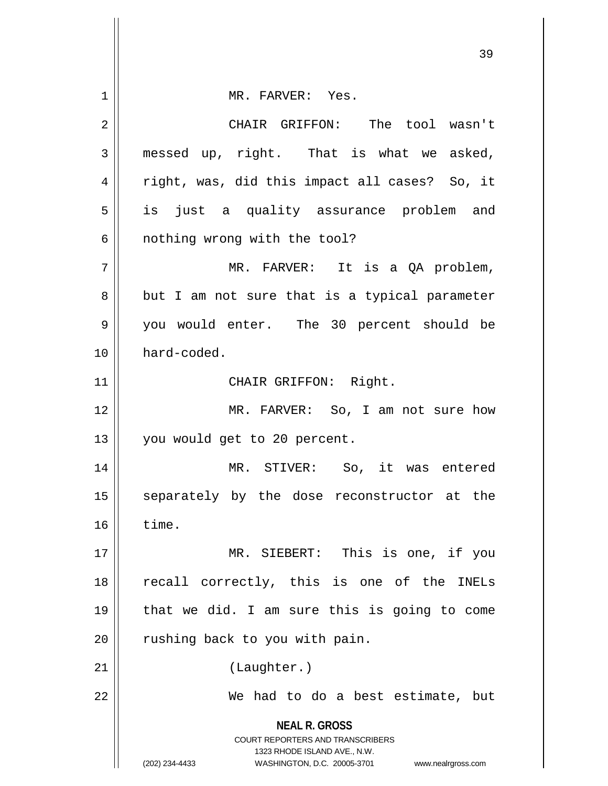**NEAL R. GROSS** COURT REPORTERS AND TRANSCRIBERS 1323 RHODE ISLAND AVE., N.W. (202) 234-4433 WASHINGTON, D.C. 20005-3701 www.nealrgross.com 1 || MR. FARVER: Yes. 2 CHAIR GRIFFON: The tool wasn't  $3 \parallel$  messed up, right. That is what we asked, 4 || right, was, did this impact all cases? So, it 5 || is just a quality assurance problem and 6 || nothing wrong with the tool? 7 || MR. FARVER: It is a QA problem,  $8 \parallel$  but I am not sure that is a typical parameter 9 || you would enter. The 30 percent should be 10 | hard-coded. 11 || CHAIR GRIFFON: Right. 12 MR. FARVER: So, I am not sure how 13 || you would get to 20 percent. 14 MR. STIVER: So, it was entered 15 || separately by the dose reconstructor at the  $16$   $\parallel$  time. 17 || MR. SIEBERT: This is one, if you 18 || recall correctly, this is one of the INELs  $19$  | that we did. I am sure this is going to come  $20$  | rushing back to you with pain. 21 || (Laughter.) 22 || We had to do a best estimate, but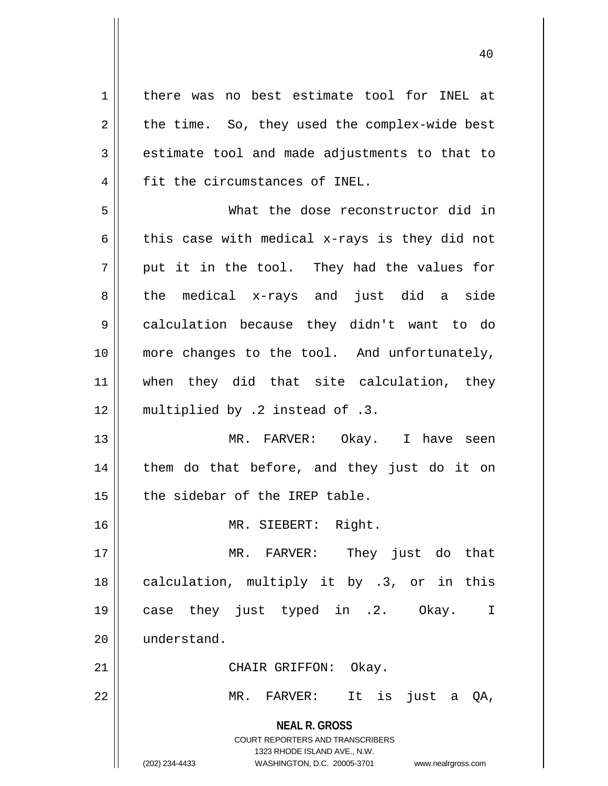**NEAL R. GROSS** COURT REPORTERS AND TRANSCRIBERS 1323 RHODE ISLAND AVE., N.W. (202) 234-4433 WASHINGTON, D.C. 20005-3701 www.nealrgross.com 1 || there was no best estimate tool for INEL at  $2 \parallel$  the time. So, they used the complex-wide best  $3 \parallel$  estimate tool and made adjustments to that to 4 | fit the circumstances of INEL. 5 What the dose reconstructor did in 6 this case with medical x-rays is they did not  $7 \parallel$  put it in the tool. They had the values for 8 the medical x-rays and just did a side 9 calculation because they didn't want to do 10 more changes to the tool. And unfortunately, 11 || when they did that site calculation, they 12 || multiplied by .2 instead of .3. 13 MR. FARVER: Okay. I have seen 14 || them do that before, and they just do it on  $15$  | the sidebar of the IREP table. 16 MR. SIEBERT: Right. 17 MR. FARVER: They just do that 18 || calculation, multiply it by .3, or in this 19 case they just typed in .2. Okay. I 20  $\parallel$  understand. 21 || CHAIR GRIFFON: Okay. 22 MR. FARVER: It is just a QA,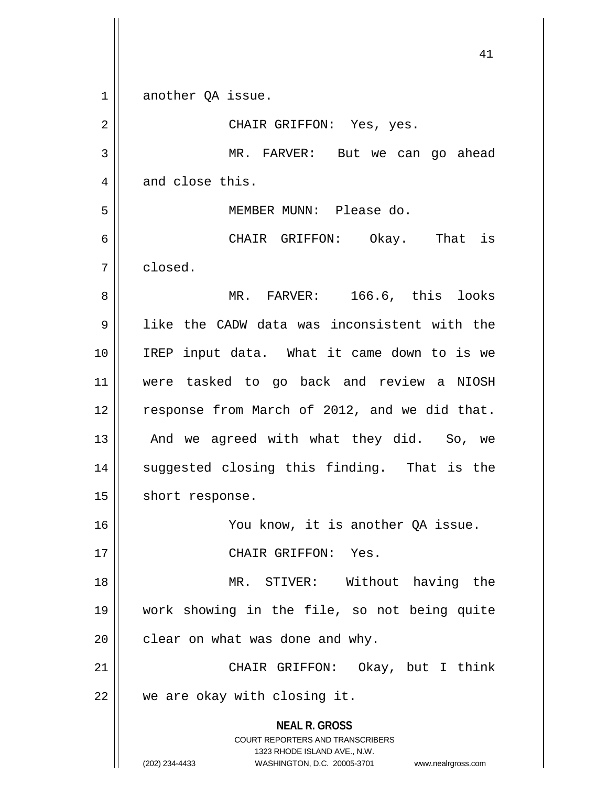**NEAL R. GROSS** COURT REPORTERS AND TRANSCRIBERS 1323 RHODE ISLAND AVE., N.W. (202) 234-4433 WASHINGTON, D.C. 20005-3701 www.nealrgross.com 41 1 another QA issue. 2 CHAIR GRIFFON: Yes, yes. 3 MR. FARVER: But we can go ahead  $4 \parallel$  and close this. 5 MEMBER MUNN: Please do. 6 CHAIR GRIFFON: Okay. That is 7 closed. 8 NR. FARVER: 166.6, this looks 9 like the CADW data was inconsistent with the 10 IREP input data. What it came down to is we 11 were tasked to go back and review a NIOSH 12 | response from March of 2012, and we did that. 13 || And we agreed with what they did. So, we 14 || suggested closing this finding. That is the 15 | short response. 16 || You know, it is another OA issue. 17 || CHAIR GRIFFON: Yes. 18 MR. STIVER: Without having the 19 work showing in the file, so not being quite  $20$  | clear on what was done and why. 21 || CHAIR GRIFFON: Okay, but I think 22 || we are okay with closing it.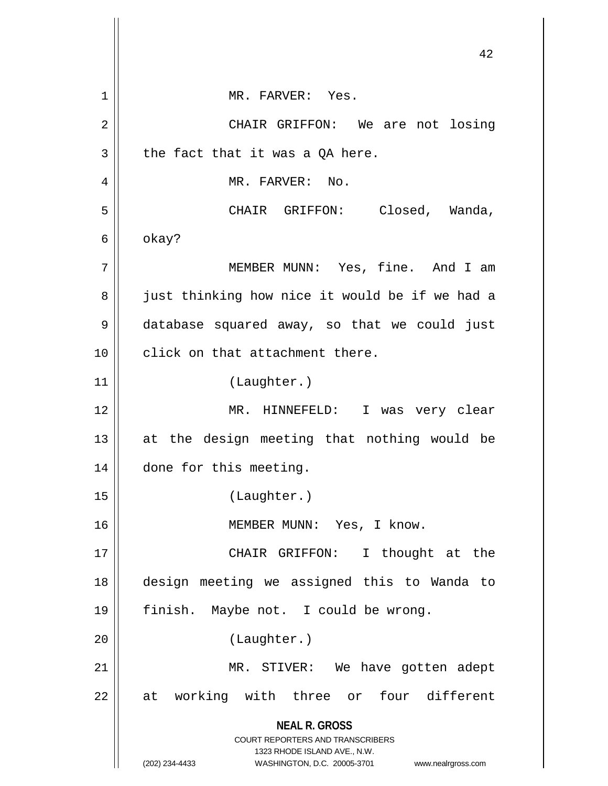**NEAL R. GROSS** COURT REPORTERS AND TRANSCRIBERS 1323 RHODE ISLAND AVE., N.W. (202) 234-4433 WASHINGTON, D.C. 20005-3701 www.nealrgross.com 42 1 || MR. FARVER: Yes. 2 CHAIR GRIFFON: We are not losing  $3 \parallel$  the fact that it was a QA here. 4 | MR. FARVER: No. 5 CHAIR GRIFFON: Closed, Wanda,  $6 \parallel$  okay? 7 MEMBER MUNN: Yes, fine. And I am 8 || just thinking how nice it would be if we had a 9 database squared away, so that we could just  $10$   $\parallel$  click on that attachment there. 11 (Laughter.) 12 MR. HINNEFELD: I was very clear 13 at the design meeting that nothing would be 14 | done for this meeting. 15 (Laughter.) 16 MEMBER MUNN: Yes, I know. 17 || CHAIR GRIFFON: I thought at the 18 design meeting we assigned this to Wanda to 19 finish. Maybe not. I could be wrong. 20 (Laughter.) 21 || MR. STIVER: We have gotten adept  $22$  at working with three or four different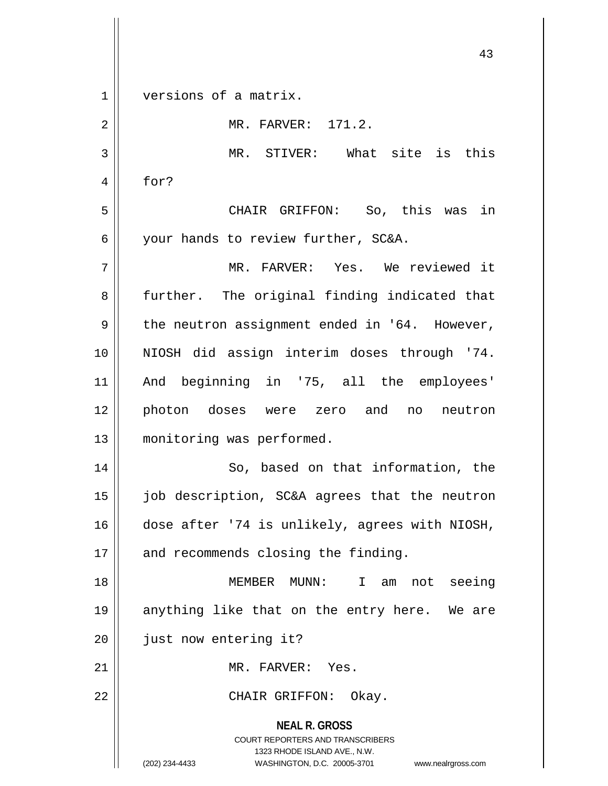$1 \parallel$  versions of a matrix.

| $\overline{2}$ | MR. FARVER: 171.2.                                                                                                                                                     |
|----------------|------------------------------------------------------------------------------------------------------------------------------------------------------------------------|
| 3              | What site is this<br>MR. STIVER:                                                                                                                                       |
| 4              | for?                                                                                                                                                                   |
| 5              | CHAIR GRIFFON: So, this was in                                                                                                                                         |
| 6              | your hands to review further, SC&A.                                                                                                                                    |
| 7              | MR. FARVER: Yes. We reviewed it                                                                                                                                        |
| 8              | further. The original finding indicated that                                                                                                                           |
| 9              | the neutron assignment ended in '64. However,                                                                                                                          |
| 10             | NIOSH did assign interim doses through '74.                                                                                                                            |
| 11             | And beginning in '75, all the employees'                                                                                                                               |
| 12             | photon doses were zero and no neutron                                                                                                                                  |
| 13             | monitoring was performed.                                                                                                                                              |
| 14             | So, based on that information, the                                                                                                                                     |
| 15             | job description, SC&A agrees that the neutron                                                                                                                          |
| 16             | dose after '74 is unlikely, agrees with NIOSH,                                                                                                                         |
| 17             | and recommends closing the finding.                                                                                                                                    |
| 18             | MEMBER MUNN: I am<br>not seeing                                                                                                                                        |
| 19             | anything like that on the entry here. We are                                                                                                                           |
| 20             | just now entering it?                                                                                                                                                  |
| 21             | MR. FARVER: Yes.                                                                                                                                                       |
| 22             | CHAIR GRIFFON: Okay.                                                                                                                                                   |
|                | <b>NEAL R. GROSS</b><br><b>COURT REPORTERS AND TRANSCRIBERS</b><br>1323 RHODE ISLAND AVE., N.W.<br>(202) 234-4433<br>WASHINGTON, D.C. 20005-3701<br>www.nealrgross.com |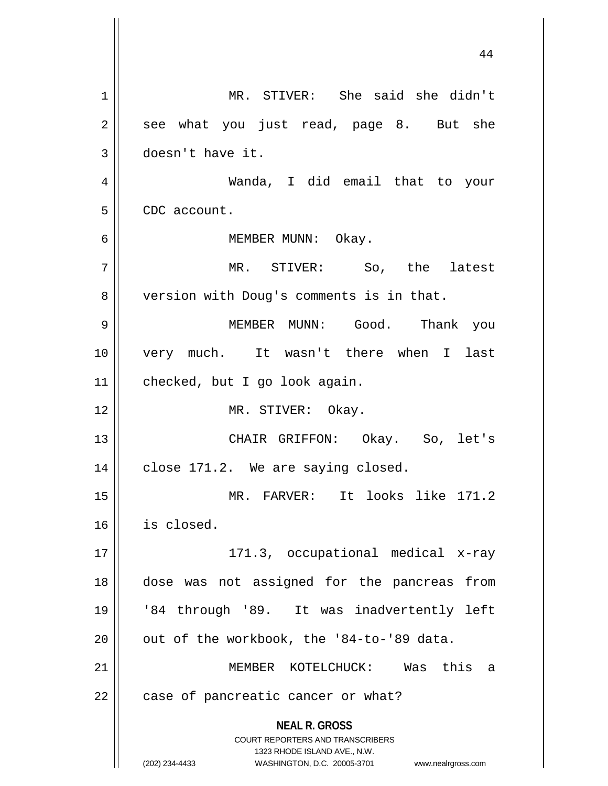**NEAL R. GROSS** COURT REPORTERS AND TRANSCRIBERS 1323 RHODE ISLAND AVE., N.W. (202) 234-4433 WASHINGTON, D.C. 20005-3701 www.nealrgross.com 1 MR. STIVER: She said she didn't  $2 \parallel$  see what you just read, page 8. But she 3 doesn't have it. 4 Wanda, I did email that to your 5 | CDC account. 6 || MEMBER MUNN: Okay. 7 MR. STIVER: So, the latest 8 | version with Doug's comments is in that. 9 MEMBER MUNN: Good. Thank you 10 very much. It wasn't there when I last 11 | checked, but I go look again. 12 || MR. STIVER: Okay. 13 CHAIR GRIFFON: Okay. So, let's  $14$  | close 171.2. We are saying closed. 15 MR. FARVER: It looks like 171.2 16 is closed. 17 171.3, occupational medical x-ray 18 dose was not assigned for the pancreas from 19 '84 through '89. It was inadvertently left 20  $\parallel$  out of the workbook, the '84-to-'89 data. 21 MEMBER KOTELCHUCK: Was this a 22 | case of pancreatic cancer or what?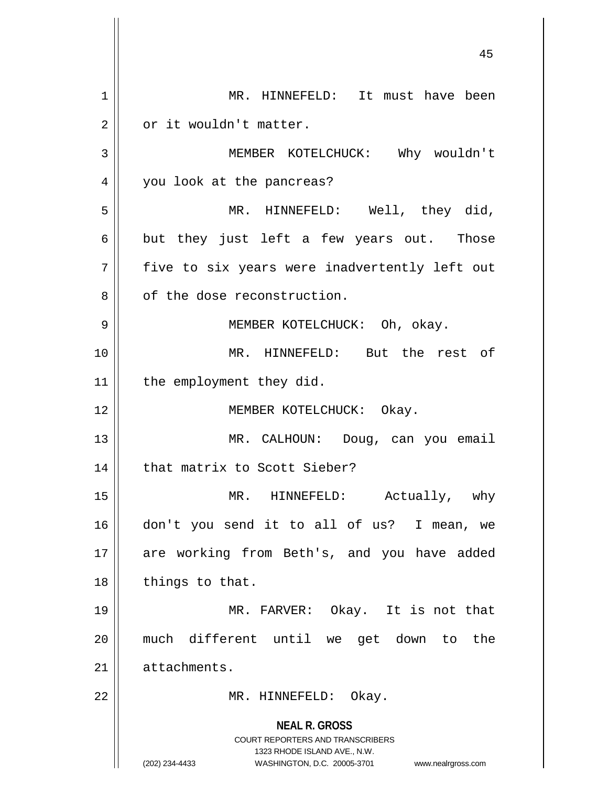**NEAL R. GROSS** COURT REPORTERS AND TRANSCRIBERS 1323 RHODE ISLAND AVE., N.W. (202) 234-4433 WASHINGTON, D.C. 20005-3701 www.nealrgross.com 1 | MR. HINNEFELD: It must have been 2 | or it wouldn't matter. 3 MEMBER KOTELCHUCK: Why wouldn't 4 || you look at the pancreas? 5 || MR. HINNEFELD: Well, they did,  $6 \parallel$  but they just left a few years out. Those  $7 \parallel$  five to six years were inadvertently left out 8 || of the dose reconstruction. 9 MEMBER KOTELCHUCK: Oh, okay. 10 MR. HINNEFELD: But the rest of 11 | the employment they did. 12 || MEMBER KOTELCHUCK: Okay. 13 || MR. CALHOUN: Doug, can you email 14 | that matrix to Scott Sieber? 15 || MR. HINNEFELD: Actually, why 16 don't you send it to all of us? I mean, we 17 || are working from Beth's, and you have added  $18$  || things to that. 19 MR. FARVER: Okay. It is not that 20 much different until we get down to the 21 | attachments. 22 || MR. HINNEFELD: Okay.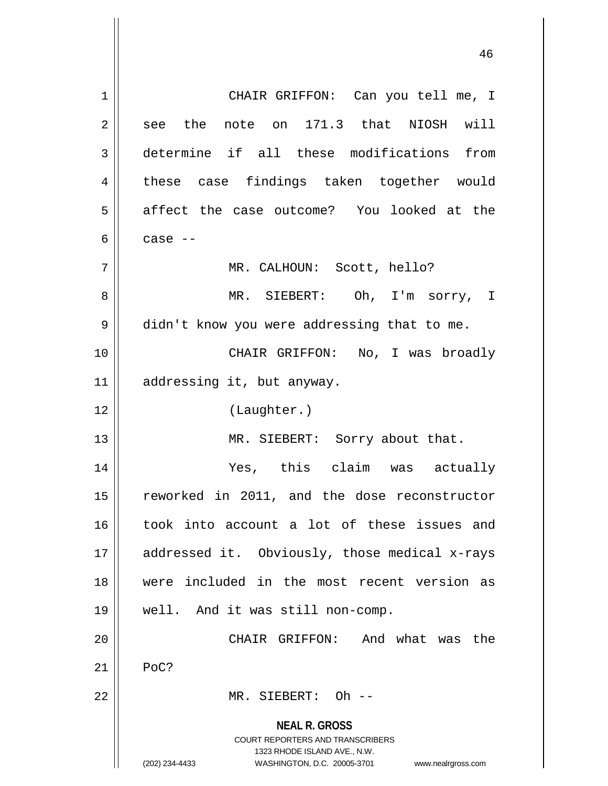**NEAL R. GROSS** COURT REPORTERS AND TRANSCRIBERS 1323 RHODE ISLAND AVE., N.W. (202) 234-4433 WASHINGTON, D.C. 20005-3701 www.nealrgross.com 1 CHAIR GRIFFON: Can you tell me, I  $2 \parallel$  see the note on 171.3 that NIOSH will 3 determine if all these modifications from 4 || these case findings taken together would 5 affect the case outcome? You looked at the 6  $\parallel$  case  $-$ 7 || MR. CALHOUN: Scott, hello? 8 MR. SIEBERT: Oh, I'm sorry, I 9 | didn't know you were addressing that to me. 10 CHAIR GRIFFON: No, I was broadly 11 addressing it, but anyway. 12 (Laughter.) 13 || MR. SIEBERT: Sorry about that. 14 Yes, this claim was actually 15 || reworked in 2011, and the dose reconstructor 16 took into account a lot of these issues and 17 || addressed it. Obviously, those medical x-rays 18 were included in the most recent version as 19 well. And it was still non-comp. 20 CHAIR GRIFFON: And what was the  $21$  PoC? 22 MR. SIEBERT: Oh --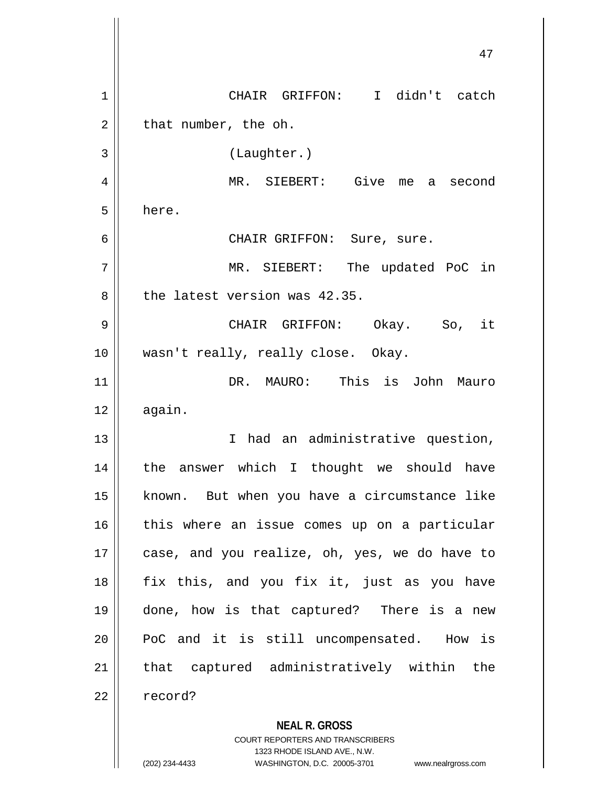| CHAIR GRIFFON: I didn't catch<br>1                                            |                    |
|-------------------------------------------------------------------------------|--------------------|
|                                                                               |                    |
| that number, the oh.<br>2                                                     |                    |
| 3<br>(Laughter.)                                                              |                    |
| MR. SIEBERT: Give<br>4                                                        | me a second        |
| 5<br>here.                                                                    |                    |
| 6<br>CHAIR GRIFFON: Sure, sure.                                               |                    |
| 7<br>MR. SIEBERT: The updated PoC in                                          |                    |
| the latest version was 42.35.<br>8                                            |                    |
| 9<br>CHAIR GRIFFON: Okay. So, it                                              |                    |
| 10<br>wasn't really, really close. Okay.                                      |                    |
| DR. MAURO: This is John<br>11                                                 | Mauro              |
| 12<br>again.                                                                  |                    |
| I had an administrative question,<br>13                                       |                    |
| the answer which I thought we should have<br>14                               |                    |
| known. But when you have a circumstance like<br>15                            |                    |
| 16<br>this where an issue comes up on a particular                            |                    |
| 17<br>case, and you realize, oh, yes, we do have to                           |                    |
| fix this, and you fix it, just as you have<br>18                              |                    |
| 19<br>done, how is that captured? There is a new                              |                    |
| 20<br>PoC and it is still uncompensated. How is                               |                    |
| that captured administratively within the<br>21                               |                    |
| 22<br>record?                                                                 |                    |
| <b>NEAL R. GROSS</b><br><b>COURT REPORTERS AND TRANSCRIBERS</b>               |                    |
| 1323 RHODE ISLAND AVE., N.W.<br>(202) 234-4433<br>WASHINGTON, D.C. 20005-3701 | www.nealrgross.com |

 $\mathbf{\mathcal{L}}$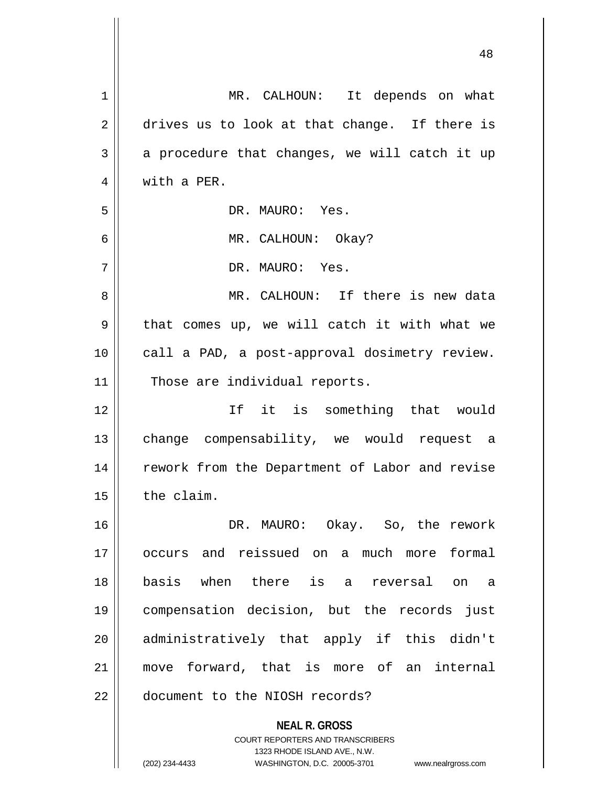| $\mathbf 1$ | MR. CALHOUN: It depends on what                                     |
|-------------|---------------------------------------------------------------------|
| 2           | drives us to look at that change. If there is                       |
| 3           | a procedure that changes, we will catch it up                       |
| 4           | with a PER.                                                         |
| 5           | DR. MAURO: Yes.                                                     |
| 6           | MR. CALHOUN: Okay?                                                  |
| 7           | DR. MAURO: Yes.                                                     |
| 8           | MR. CALHOUN: If there is new data                                   |
| 9           | that comes up, we will catch it with what we                        |
| 10          | call a PAD, a post-approval dosimetry review.                       |
| 11          | Those are individual reports.                                       |
| 12          | If it is something that would                                       |
| 13          | change compensability, we would request a                           |
| 14          | rework from the Department of Labor and revise                      |
| 15          | the claim.                                                          |
| 16          | DR. MAURO: Okay. So, the rework                                     |
| 17          | occurs and reissued on a much more formal                           |
| 18          | basis when there is a reversal on a                                 |
| 19          | compensation decision, but the records just                         |
| 20          | administratively that apply if this didn't                          |
| 21          | move forward, that is more of an internal                           |
| 22          | document to the NIOSH records?                                      |
|             |                                                                     |
|             | <b>NEAL R. GROSS</b><br><b>COURT REPORTERS AND TRANSCRIBERS</b>     |
|             | 1323 RHODE ISLAND AVE., N.W.                                        |
|             | (202) 234-4433<br>WASHINGTON, D.C. 20005-3701<br>www.nealrgross.com |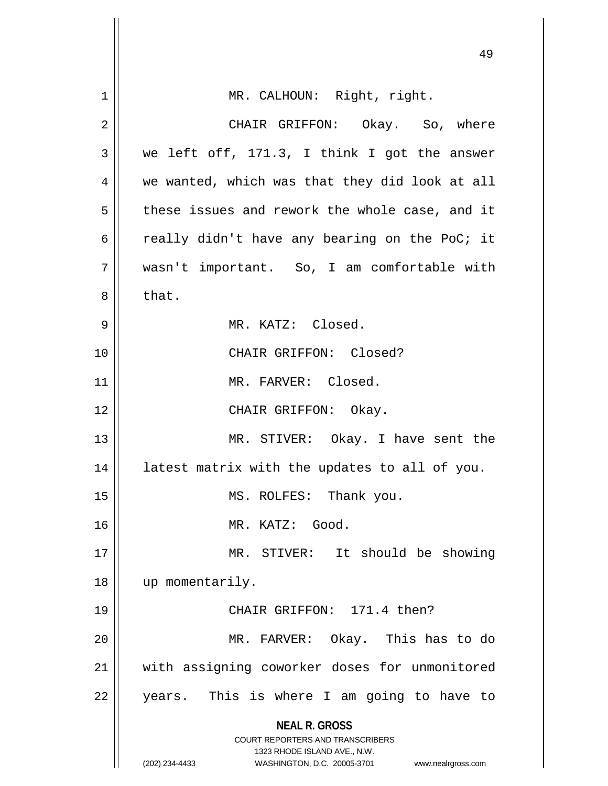|    | 49                                                                                              |
|----|-------------------------------------------------------------------------------------------------|
| 1  | MR. CALHOUN: Right, right.                                                                      |
| 2  | CHAIR GRIFFON: Okay. So, where                                                                  |
| 3  | we left off, 171.3, I think I got the answer                                                    |
| 4  | we wanted, which was that they did look at all                                                  |
| 5  | these issues and rework the whole case, and it                                                  |
| 6  | really didn't have any bearing on the PoC; it                                                   |
| 7  | wasn't important. So, I am comfortable with                                                     |
| 8  | that.                                                                                           |
| 9  | MR. KATZ: Closed.                                                                               |
| 10 | CHAIR GRIFFON: Closed?                                                                          |
| 11 | MR. FARVER: Closed.                                                                             |
| 12 | CHAIR GRIFFON: Okay.                                                                            |
| 13 | MR. STIVER: Okay. I have sent the                                                               |
| 14 | latest matrix with the updates to all of you.                                                   |
| 15 | MS. ROLFES: Thank you.                                                                          |
| 16 | MR. KATZ: Good.                                                                                 |
| 17 | MR. STIVER: It should be showing                                                                |
| 18 | up momentarily.                                                                                 |
| 19 | CHAIR GRIFFON: 171.4 then?                                                                      |
| 20 | MR. FARVER: Okay. This has to do                                                                |
| 21 | with assigning coworker doses for unmonitored                                                   |
| 22 | years. This is where I am going to have to                                                      |
|    | <b>NEAL R. GROSS</b><br><b>COURT REPORTERS AND TRANSCRIBERS</b><br>1323 RHODE ISLAND AVE., N.W. |
|    | (202) 234-4433<br>WASHINGTON, D.C. 20005-3701<br>www.nealrgross.com                             |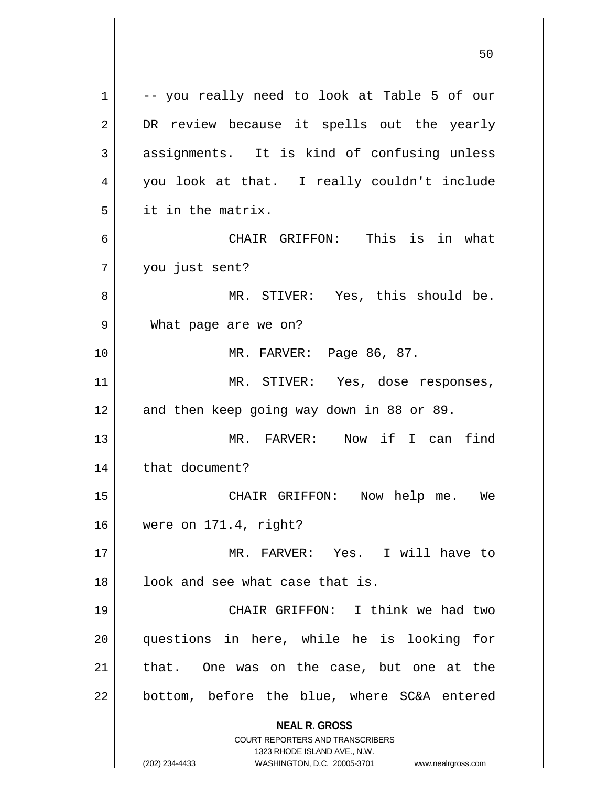**NEAL R. GROSS** COURT REPORTERS AND TRANSCRIBERS 1323 RHODE ISLAND AVE., N.W. (202) 234-4433 WASHINGTON, D.C. 20005-3701 www.nealrgross.com 1 || -- you really need to look at Table 5 of our 2 DR review because it spells out the yearly 3 assignments. It is kind of confusing unless 4 you look at that. I really couldn't include 5 it in the matrix. 6 CHAIR GRIFFON: This is in what 7 you just sent? 8 MR. STIVER: Yes, this should be. 9 What page are we on? 10 MR. FARVER: Page 86, 87. 11 || MR. STIVER: Yes, dose responses, 12 || and then keep going way down in 88 or 89. 13 MR. FARVER: Now if I can find 14 | that document? 15 CHAIR GRIFFON: Now help me. We 16 were on 171.4, right? 17 MR. FARVER: Yes. I will have to  $18$  ||  $100k$  and see what case that is. 19 || CHAIR GRIFFON: I think we had two 20 questions in here, while he is looking for 21 || that. One was on the case, but one at the  $22$  | bottom, before the blue, where SC&A entered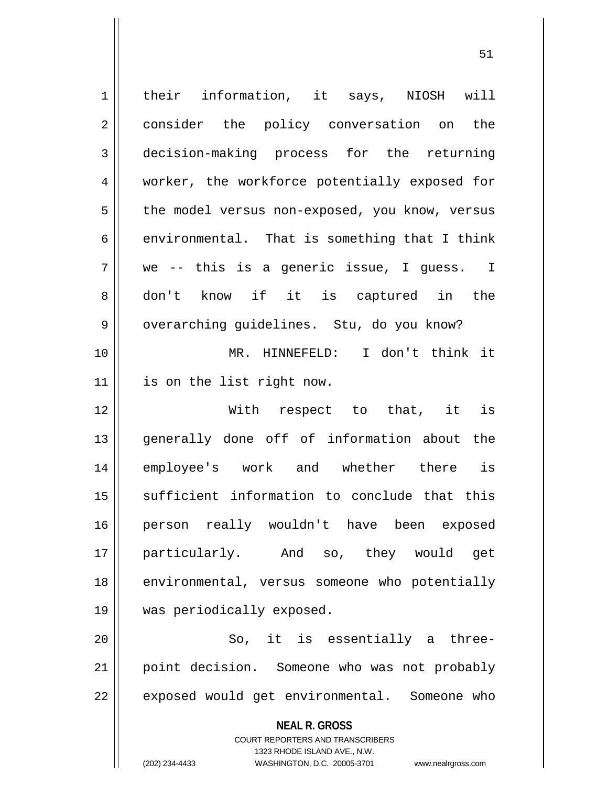**NEAL R. GROSS** COURT REPORTERS AND TRANSCRIBERS 1323 RHODE ISLAND AVE., N.W. (202) 234-4433 WASHINGTON, D.C. 20005-3701 www.nealrgross.com 1 | their information, it says, NIOSH will 2 | consider the policy conversation on the 3 decision-making process for the returning 4 || worker, the workforce potentially exposed for 5 | the model versus non-exposed, you know, versus 6  $\parallel$  environmental. That is something that I think 7 we -- this is a generic issue, I guess. I 8 don't know if it is captured in the 9 || overarching guidelines. Stu, do you know? 10 MR. HINNEFELD: I don't think it 11 is on the list right now. 12 With respect to that, it is 13 generally done off of information about the 14 employee's work and whether there is 15 || sufficient information to conclude that this 16 person really wouldn't have been exposed 17 particularly. And so, they would get 18 | environmental, versus someone who potentially 19 was periodically exposed. 20 || So, it is essentially a three-21 point decision. Someone who was not probably 22 || exposed would get environmental. Someone who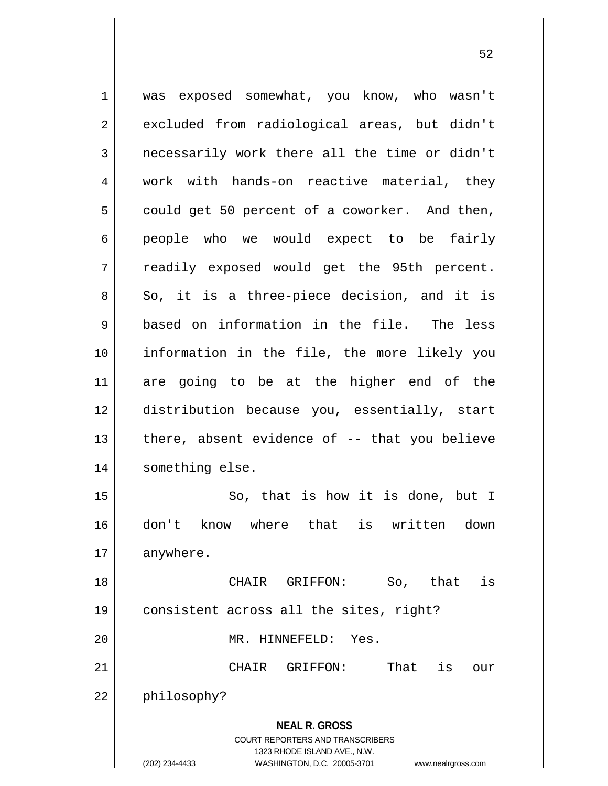**NEAL R. GROSS** COURT REPORTERS AND TRANSCRIBERS 1323 RHODE ISLAND AVE., N.W. (202) 234-4433 WASHINGTON, D.C. 20005-3701 www.nealrgross.com 1 was exposed somewhat, you know, who wasn't 2 excluded from radiological areas, but didn't  $3$  | necessarily work there all the time or didn't 4 || work with hands-on reactive material, they  $5 \parallel$  could get 50 percent of a coworker. And then, 6 | people who we would expect to be fairly 7 || readily exposed would get the 95th percent.  $8 \parallel$  So, it is a three-piece decision, and it is 9 based on information in the file. The less 10 information in the file, the more likely you 11 are going to be at the higher end of the 12 distribution because you, essentially, start  $13$  | there, absent evidence of  $-$ - that you believe 14 | something else. 15 || So, that is how it is done, but I 16 don't know where that is written down 17 anywhere. 18 CHAIR GRIFFON: So, that is 19 consistent across all the sites, right? 20 || MR. HINNEFELD: Yes. 21 CHAIR GRIFFON: That is our 22 | philosophy?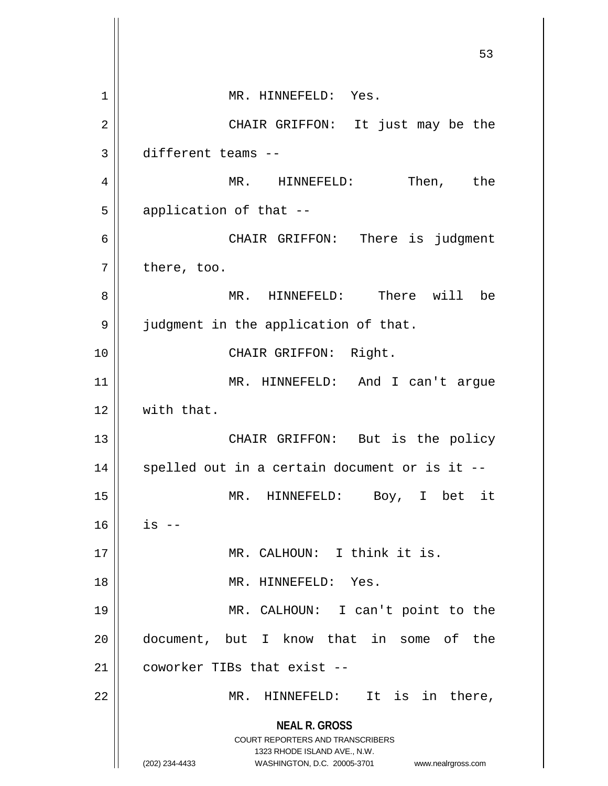**NEAL R. GROSS** COURT REPORTERS AND TRANSCRIBERS 1323 RHODE ISLAND AVE., N.W. (202) 234-4433 WASHINGTON, D.C. 20005-3701 www.nealrgross.com 53 1 || MR. HINNEFELD: Yes. 2 CHAIR GRIFFON: It just may be the 3 different teams -- 4 MR. HINNEFELD: Then, the  $5$  || application of that  $-$ 6 CHAIR GRIFFON: There is judgment  $7 \parallel$  there, too. 8 MR. HINNEFELD: There will be 9 | judgment in the application of that. 10 || CHAIR GRIFFON: Right. 11 MR. HINNEFELD: And I can't argue  $12$   $\parallel$  with that. 13 || CHAIR GRIFFON: But is the policy  $14$  || spelled out in a certain document or is it --15 MR. HINNEFELD: Boy, I bet it  $16$  | is  $-$ 17 || MR. CALHOUN: I think it is. 18 MR. HINNEFELD: Yes. 19 MR. CALHOUN: I can't point to the 20 document, but I know that in some of the 21 | coworker TIBs that exist --22 MR. HINNEFELD: It is in there,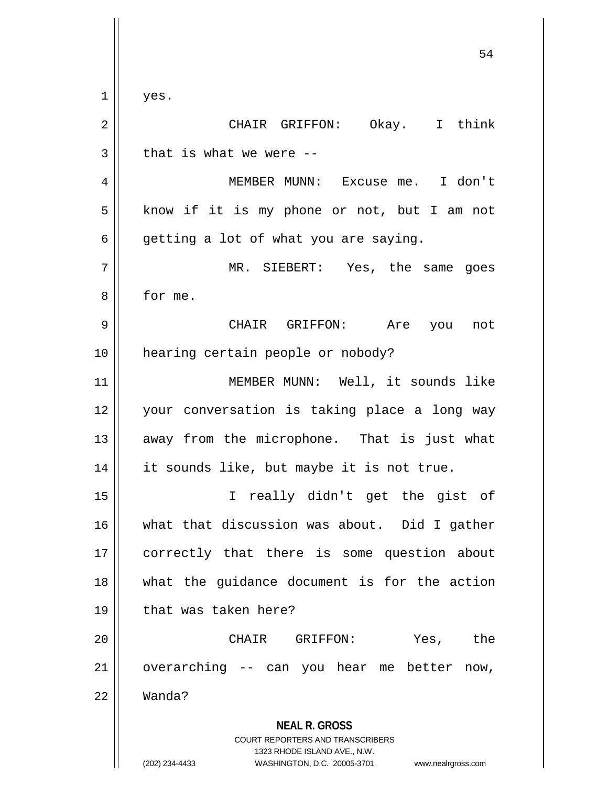**NEAL R. GROSS** COURT REPORTERS AND TRANSCRIBERS 1323 RHODE ISLAND AVE., N.W. 54  $1 \parallel$  yes. 2 CHAIR GRIFFON: Okay. I think  $3 \parallel$  that is what we were --4 MEMBER MUNN: Excuse me. I don't  $5 \parallel$  know if it is my phone or not, but I am not  $6 \parallel$  getting a lot of what you are saying. 7 MR. SIEBERT: Yes, the same goes 8 for me. 9 CHAIR GRIFFON: Are you not 10 || hearing certain people or nobody? 11 MEMBER MUNN: Well, it sounds like 12 || your conversation is taking place a long way 13 || away from the microphone. That is just what 14 || it sounds like, but maybe it is not true. 15 I really didn't get the gist of 16 what that discussion was about. Did I gather 17 correctly that there is some question about 18 what the guidance document is for the action 19 || that was taken here? 20 CHAIR GRIFFON: Yes, the  $21$  overarching -- can you hear me better now, 22 Wanda?

<sup>(202) 234-4433</sup> WASHINGTON, D.C. 20005-3701 www.nealrgross.com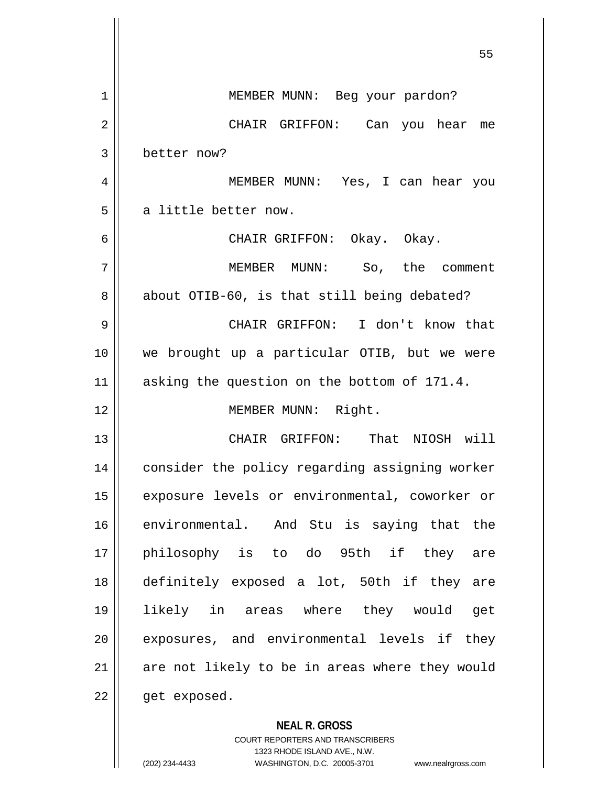|             | 55                                             |
|-------------|------------------------------------------------|
| $\mathbf 1$ | MEMBER MUNN: Beg your pardon?                  |
| 2           | CHAIR GRIFFON: Can you hear me                 |
| 3           | better now?                                    |
| 4           | MEMBER MUNN: Yes, I can hear you               |
| 5           | a little better now.                           |
| 6           | CHAIR GRIFFON: Okay. Okay.                     |
| 7           | MEMBER MUNN: So, the comment                   |
| 8           | about OTIB-60, is that still being debated?    |
| 9           | CHAIR GRIFFON: I don't know that               |
| 10          | we brought up a particular OTIB, but we were   |
| 11          | asking the question on the bottom of 171.4.    |
| 12          | MEMBER MUNN: Right.                            |
| 13          | CHAIR GRIFFON: That NIOSH will                 |
| 14          | consider the policy regarding assigning worker |
| 15          | exposure levels or environmental, coworker or  |
| 16          | environmental. And Stu is saying that the      |
| 17          | philosophy is to do 95th if they are           |
| 18          | definitely exposed a lot, 50th if they are     |
| 19          | likely in areas where they would get           |
| 20          | exposures, and environmental levels if they    |
| 21          | are not likely to be in areas where they would |
| 22          | get exposed.                                   |
|             | <b>NEAL R. GROSS</b>                           |

COURT REPORTERS AND TRANSCRIBERS 1323 RHODE ISLAND AVE., N.W. (202) 234-4433 WASHINGTON, D.C. 20005-3701 www.nealrgross.com

 $\mathsf{II}$ 

 $\mathop{\textstyle\prod}$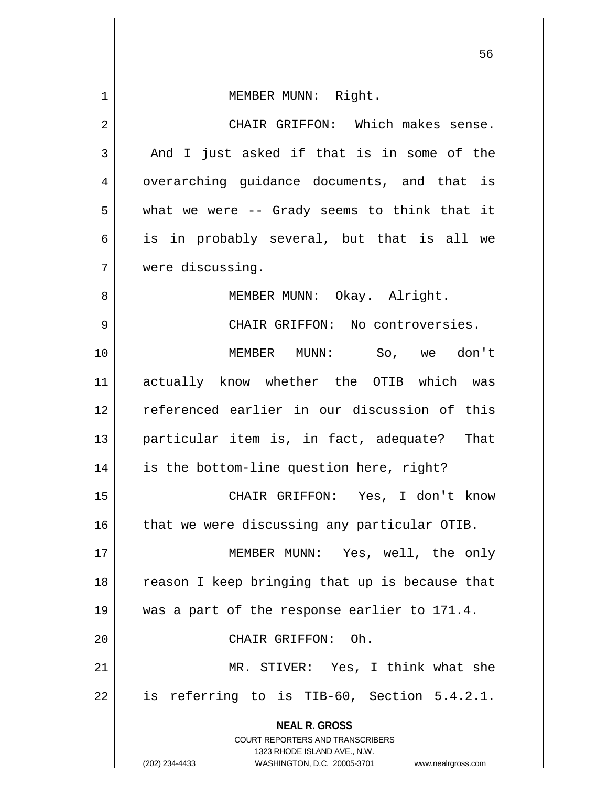**NEAL R. GROSS** COURT REPORTERS AND TRANSCRIBERS 1323 RHODE ISLAND AVE., N.W. (202) 234-4433 WASHINGTON, D.C. 20005-3701 www.nealrgross.com 1 || MEMBER MUNN: Right. 2 CHAIR GRIFFON: Which makes sense.  $3 \parallel$  And I just asked if that is in some of the 4 || overarching guidance documents, and that is  $5 \parallel$  what we were -- Grady seems to think that it  $6 \parallel$  is in probably several, but that is all we 7 were discussing. 8 || MEMBER MUNN: Okay. Alright. 9 CHAIR GRIFFON: No controversies. 10 MEMBER MUNN: So, we don't 11 actually know whether the OTIB which was 12 referenced earlier in our discussion of this 13 particular item is, in fact, adequate? That 14 || is the bottom-line question here, right? 15 CHAIR GRIFFON: Yes, I don't know  $16$  | that we were discussing any particular OTIB. 17 || MEMBER MUNN: Yes, well, the only 18 || reason I keep bringing that up is because that 19 was a part of the response earlier to 171.4. 20 || CHAIR GRIFFON: Oh. 21 || MR. STIVER: Yes, I think what she  $22 \parallel$  is referring to is TIB-60, Section 5.4.2.1.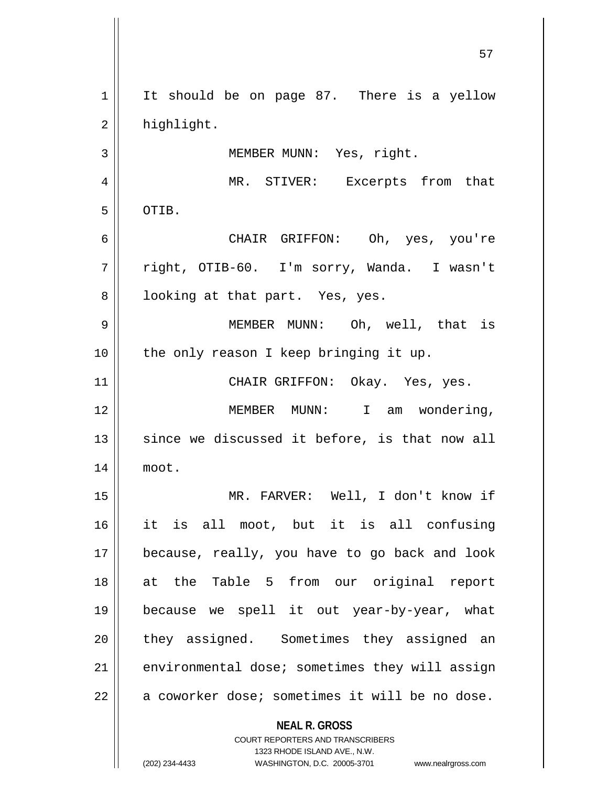| 1              | It should be on page 87. There is a yellow                                                       |
|----------------|--------------------------------------------------------------------------------------------------|
| $\overline{2}$ | highlight.                                                                                       |
| 3              | MEMBER MUNN: Yes, right.                                                                         |
| 4              | MR. STIVER: Excerpts from that                                                                   |
| 5              | OTIB.                                                                                            |
| 6              | CHAIR GRIFFON: Oh, yes, you're                                                                   |
| 7              | right, OTIB-60. I'm sorry, Wanda. I wasn't                                                       |
| 8              | looking at that part. Yes, yes.                                                                  |
| $\mathsf 9$    | MEMBER MUNN: Oh, well, that is                                                                   |
| 10             | the only reason I keep bringing it up.                                                           |
| 11             | CHAIR GRIFFON: Okay. Yes, yes.                                                                   |
| 12             | MEMBER MUNN: I am wondering,                                                                     |
| 13             | since we discussed it before, is that now all                                                    |
| 14             | moot.                                                                                            |
| 15             | MR. FARVER: Well, I don't know if                                                                |
| 16             | it is all moot, but it is all confusing                                                          |
| 17             | because, really, you have to go back and look                                                    |
| 18             | at the Table 5 from our original report                                                          |
| 19             | because we spell it out year-by-year, what                                                       |
| 20             | they assigned. Sometimes they assigned an                                                        |
| 21             | environmental dose; sometimes they will assign                                                   |
| 22             | a coworker dose; sometimes it will be no dose.                                                   |
|                | <b>NEAL R. GROSS</b>                                                                             |
|                | <b>COURT REPORTERS AND TRANSCRIBERS</b>                                                          |
|                | 1323 RHODE ISLAND AVE., N.W.<br>(202) 234-4433<br>WASHINGTON, D.C. 20005-3701 www.nealrgross.com |

 $\overline{\phantom{a}}$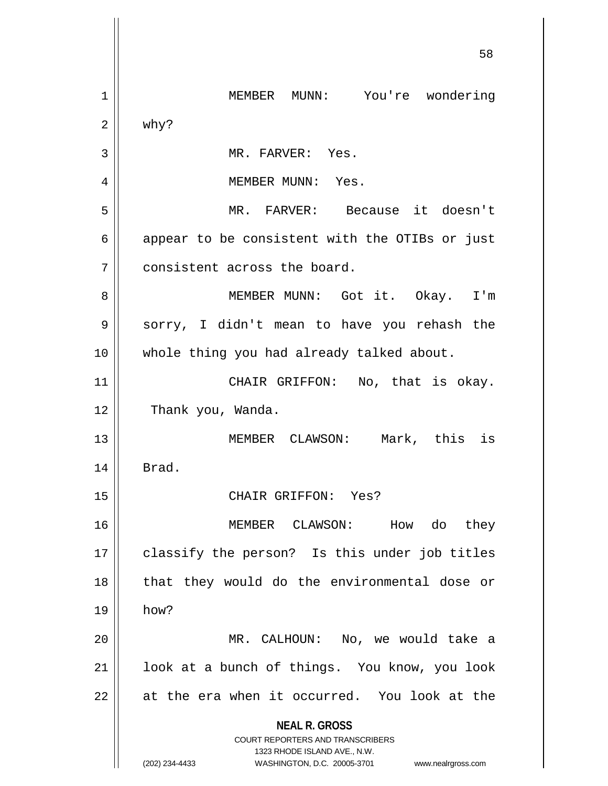**NEAL R. GROSS** COURT REPORTERS AND TRANSCRIBERS 1323 RHODE ISLAND AVE., N.W. (202) 234-4433 WASHINGTON, D.C. 20005-3701 www.nealrgross.com 58 1 MEMBER MUNN: You're wondering  $2 \parallel$  why? 3 || MR. FARVER: Yes. 4 MEMBER MUNN: Yes. 5 MR. FARVER: Because it doesn't  $6 \parallel$  appear to be consistent with the OTIBs or just 7 | consistent across the board. 8 MEMBER MUNN: Got it. Okay. I'm 9 Sorry, I didn't mean to have you rehash the 10 || whole thing you had already talked about. 11 || CHAIR GRIFFON: No, that is okay. 12 | Thank you, Wanda. 13 MEMBER CLAWSON: Mark, this is  $14$  | Brad. 15 CHAIR GRIFFON: Yes? 16 MEMBER CLAWSON: How do they 17 || classify the person? Is this under job titles 18 || that they would do the environmental dose or 19 how? 20 MR. CALHOUN: No, we would take a 21 || look at a bunch of things. You know, you look  $22$  || at the era when it occurred. You look at the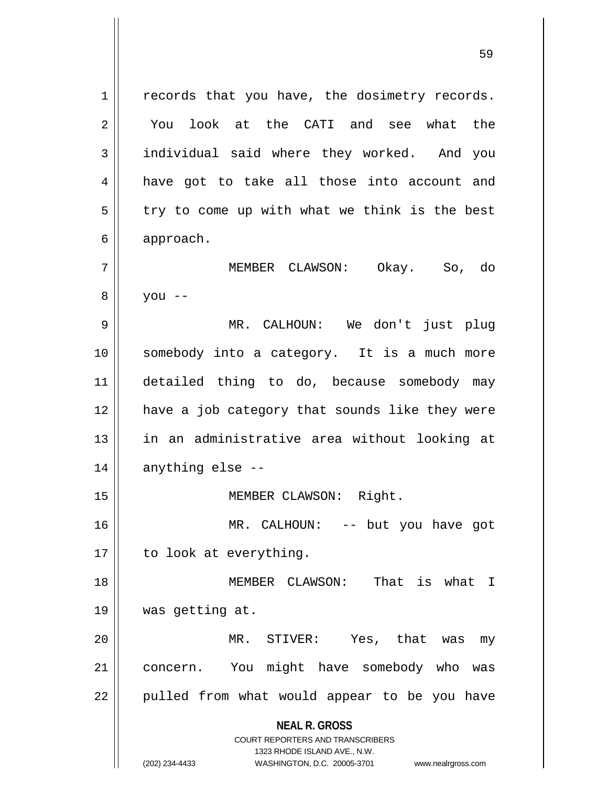**NEAL R. GROSS** COURT REPORTERS AND TRANSCRIBERS 1323 RHODE ISLAND AVE., N.W. (202) 234-4433 WASHINGTON, D.C. 20005-3701 www.nealrgross.com 1 || records that you have, the dosimetry records. 2 || You look at the CATI and see what the 3 individual said where they worked. And you 4 || have got to take all those into account and  $5 \parallel$  try to come up with what we think is the best 6 approach. 7 MEMBER CLAWSON: Okay. So, do  $8 \parallel$  you --9 MR. CALHOUN: We don't just plug 10 somebody into a category. It is a much more 11 detailed thing to do, because somebody may 12 have a job category that sounds like they were 13 || in an administrative area without looking at  $14$  || anything else --15 || MEMBER CLAWSON: Right. 16 MR. CALHOUN: -- but you have got 17 | to look at everything. 18 MEMBER CLAWSON: That is what I 19 was getting at. 20 MR. STIVER: Yes, that was my 21 | concern. You might have somebody who was  $22$  || pulled from what would appear to be you have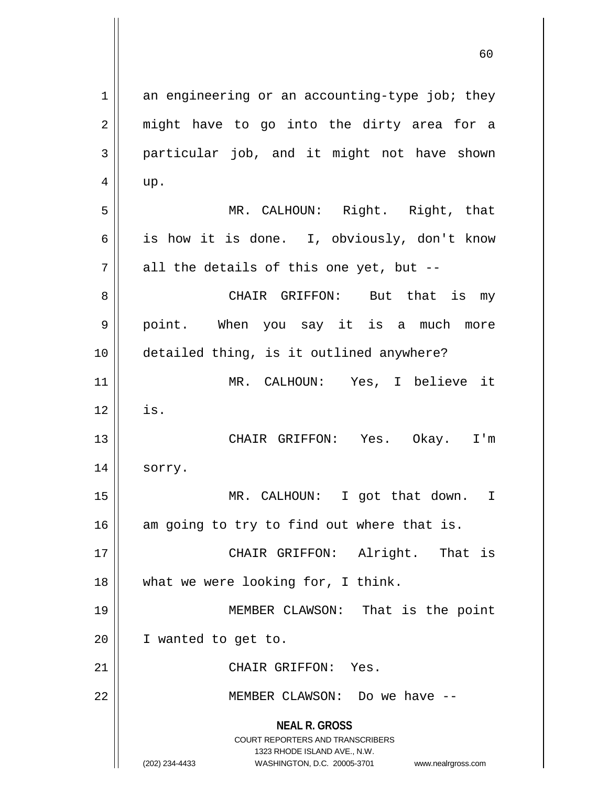**NEAL R. GROSS** COURT REPORTERS AND TRANSCRIBERS 1323 RHODE ISLAND AVE., N.W. (202) 234-4433 WASHINGTON, D.C. 20005-3701 www.nealrgross.com  $1 \parallel$  an engineering or an accounting-type job; they  $2 \parallel$  might have to go into the dirty area for a 3 || particular job, and it might not have shown  $4 \parallel \quad up.$ 5 MR. CALHOUN: Right. Right, that 6 | is how it is done. I, obviously, don't know  $7 \parallel$  all the details of this one yet, but --8 CHAIR GRIFFON: But that is my 9 point. When you say it is a much more 10 detailed thing, is it outlined anywhere? 11 MR. CALHOUN: Yes, I believe it  $12$   $\parallel$  is. 13 CHAIR GRIFFON: Yes. Okay. I'm 14 || sorry. 15 MR. CALHOUN: I got that down. I  $16$  am going to try to find out where that is. 17 CHAIR GRIFFON: Alright. That is 18 || what we were looking for, I think. 19 MEMBER CLAWSON: That is the point 20 I wanted to get to. 21 | CHAIR GRIFFON: Yes. 22 MEMBER CLAWSON: Do we have --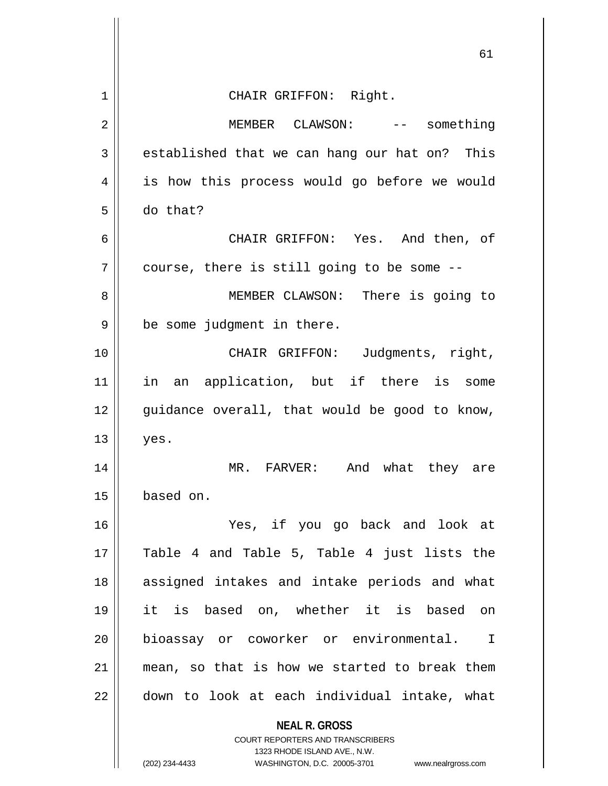| 61                                                                                                  |
|-----------------------------------------------------------------------------------------------------|
| CHAIR GRIFFON: Right.                                                                               |
| MEMBER CLAWSON: -- something                                                                        |
| established that we can hang our hat on? This                                                       |
| is how this process would go before we would                                                        |
| do that?                                                                                            |
| CHAIR GRIFFON: Yes. And then, of                                                                    |
| course, there is still going to be some --                                                          |
| MEMBER CLAWSON: There is going to                                                                   |
| be some judgment in there.                                                                          |
| CHAIR GRIFFON: Judgments, right,                                                                    |
| in an application, but if there is some                                                             |
| guidance overall, that would be good to know,                                                       |
| yes.                                                                                                |
| MR. FARVER:<br>And what they are                                                                    |
| based on.                                                                                           |
| Yes, if you go back and look at                                                                     |
| Table 4 and Table 5, Table 4 just lists the                                                         |
| assigned intakes and intake periods and what                                                        |
| it is based on, whether it is based on                                                              |
| bioassay or coworker or environmental. I                                                            |
| mean, so that is how we started to break them                                                       |
| down to look at each individual intake, what                                                        |
| <b>NEAL R. GROSS</b><br><b>COURT REPORTERS AND TRANSCRIBERS</b>                                     |
| 1323 RHODE ISLAND AVE., N.W.<br>(202) 234-4433<br>WASHINGTON, D.C. 20005-3701<br>www.nealrgross.com |
|                                                                                                     |

 $\overline{\phantom{a}}$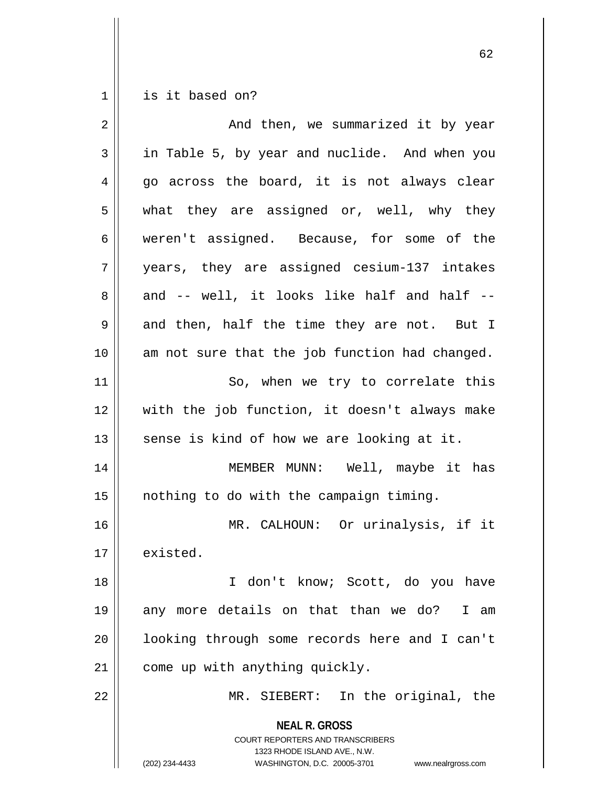$1 \parallel$  is it based on?

| $\overline{2}$ | And then, we summarized it by year                                                                                                                                     |
|----------------|------------------------------------------------------------------------------------------------------------------------------------------------------------------------|
| 3              | in Table 5, by year and nuclide. And when you                                                                                                                          |
| 4              | go across the board, it is not always clear                                                                                                                            |
| 5              | what they are assigned or, well, why they                                                                                                                              |
| 6              | weren't assigned. Because, for some of the                                                                                                                             |
| 7              | years, they are assigned cesium-137 intakes                                                                                                                            |
| 8              | and -- well, it looks like half and half --                                                                                                                            |
| 9              | and then, half the time they are not. But I                                                                                                                            |
| 10             | am not sure that the job function had changed.                                                                                                                         |
| 11             | So, when we try to correlate this                                                                                                                                      |
| 12             | with the job function, it doesn't always make                                                                                                                          |
| 13             | sense is kind of how we are looking at it.                                                                                                                             |
| 14             | MEMBER MUNN: Well, maybe it has                                                                                                                                        |
| 15             | nothing to do with the campaign timing.                                                                                                                                |
| 16             | MR. CALHOUN: Or urinalysis, if it                                                                                                                                      |
| 17             | existed.                                                                                                                                                               |
| 18             | I don't know; Scott, do you have                                                                                                                                       |
| 19             | any more details on that than we do?<br>I am                                                                                                                           |
| 20             | looking through some records here and I can't                                                                                                                          |
| 21             | come up with anything quickly.                                                                                                                                         |
| 22             | MR. SIEBERT: In the original, the                                                                                                                                      |
|                | <b>NEAL R. GROSS</b><br><b>COURT REPORTERS AND TRANSCRIBERS</b><br>1323 RHODE ISLAND AVE., N.W.<br>WASHINGTON, D.C. 20005-3701<br>(202) 234-4433<br>www.nealrgross.com |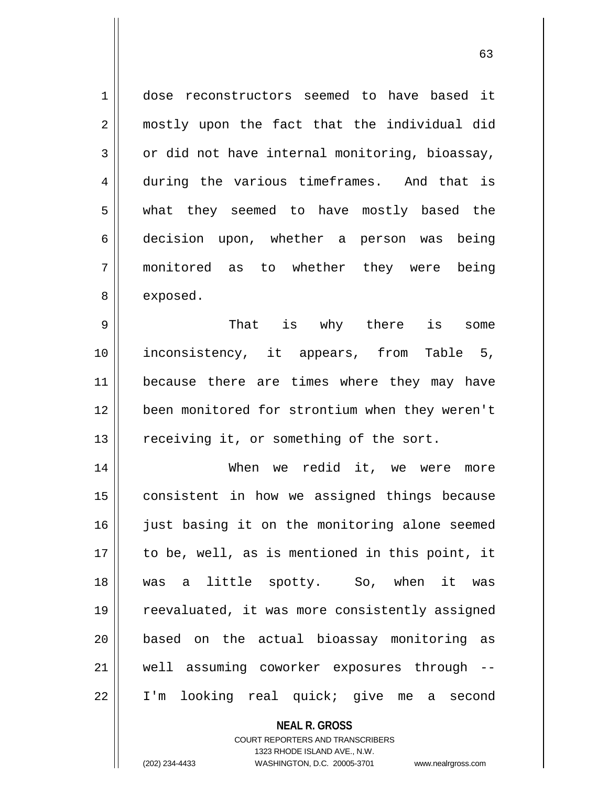1 || dose reconstructors seemed to have based it 2 || mostly upon the fact that the individual did  $3 \parallel$  or did not have internal monitoring, bioassay, 4 during the various timeframes. And that is 5 what they seemed to have mostly based the 6 decision upon, whether a person was being 7 monitored as to whether they were being 8 | exposed.

 That is why there is some inconsistency, it appears, from Table 5, 11 || because there are times where they may have been monitored for strontium when they weren't receiving it, or something of the sort.

14 When we redid it, we were more 15 || consistent in how we assigned things because 16 || just basing it on the monitoring alone seemed 17 || to be, well, as is mentioned in this point, it 18 was a little spotty. So, when it was 19 || reevaluated, it was more consistently assigned 20 || based on the actual bioassay monitoring as 21 well assuming coworker exposures through -- 22 I'm looking real quick; give me a second

> **NEAL R. GROSS** COURT REPORTERS AND TRANSCRIBERS 1323 RHODE ISLAND AVE., N.W. (202) 234-4433 WASHINGTON, D.C. 20005-3701 www.nealrgross.com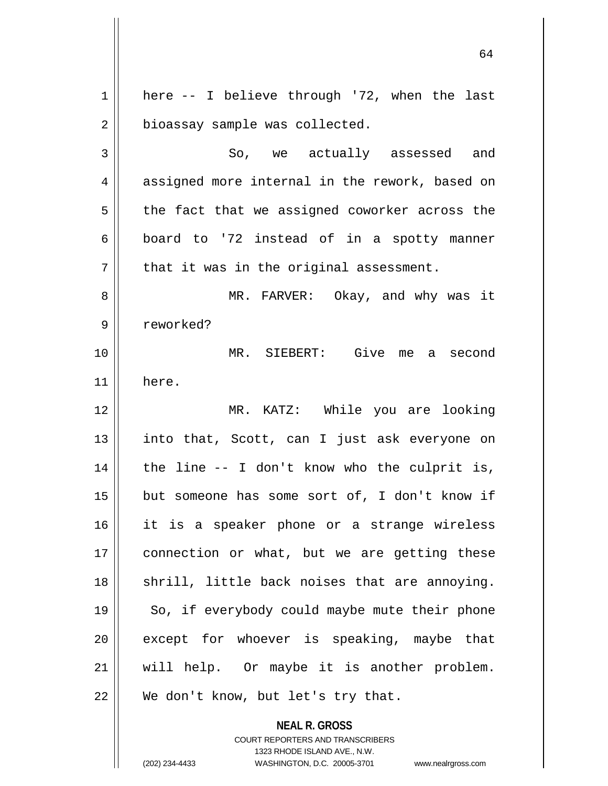1 || here -- I believe through '72, when the last 2 | bioassay sample was collected. 3 So, we actually assessed and 4 assigned more internal in the rework, based on  $5 \parallel$  the fact that we assigned coworker across the  $6 \parallel$  board to '72 instead of in a spotty manner  $7$  | that it was in the original assessment. 8 MR. FARVER: Okay, and why was it 9 || reworked? 10 MR. SIEBERT: Give me a second 11 here. 12 MR. KATZ: While you are looking 13 || into that, Scott, can I just ask everyone on  $14$  | the line  $-$  I don't know who the culprit is,  $15$  | but someone has some sort of, I don't know if 16 it is a speaker phone or a strange wireless 17 || connection or what, but we are getting these 18 || shrill, little back noises that are annoying. 19 || So, if everybody could maybe mute their phone  $20$  || except for whoever is speaking, maybe that 21 will help. Or maybe it is another problem. 22 || We don't know, but let's try that.

> **NEAL R. GROSS** COURT REPORTERS AND TRANSCRIBERS 1323 RHODE ISLAND AVE., N.W.

(202) 234-4433 WASHINGTON, D.C. 20005-3701 www.nealrgross.com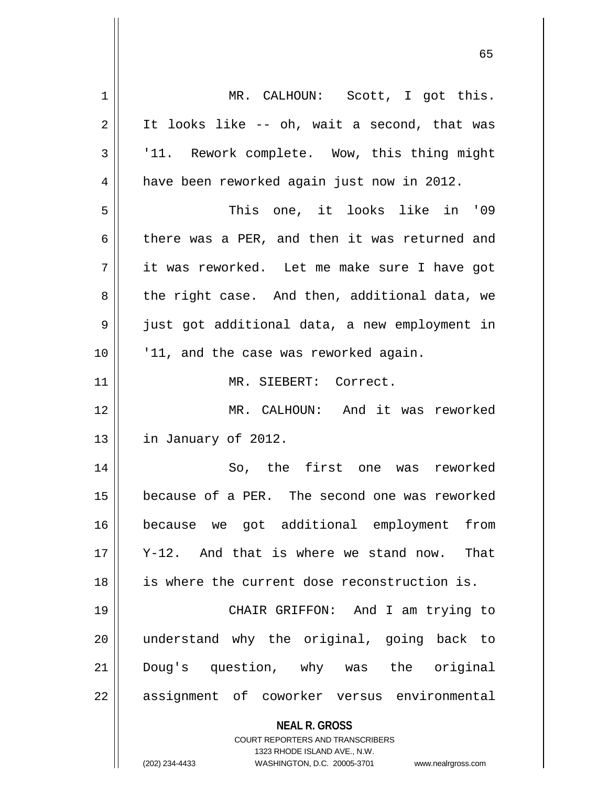| 1  | MR. CALHOUN: Scott, I got this.                                     |
|----|---------------------------------------------------------------------|
| 2  | It looks like -- oh, wait a second, that was                        |
| 3  | '11. Rework complete. Wow, this thing might                         |
| 4  | have been reworked again just now in 2012.                          |
| 5  | This one, it looks like in '09                                      |
| 6  | there was a PER, and then it was returned and                       |
| 7  | it was reworked. Let me make sure I have got                        |
| 8  | the right case. And then, additional data, we                       |
| 9  | just got additional data, a new employment in                       |
| 10 | '11, and the case was reworked again.                               |
| 11 | MR. SIEBERT: Correct.                                               |
| 12 | MR. CALHOUN: And it was reworked                                    |
| 13 | in January of 2012.                                                 |
| 14 | So, the first one was reworked                                      |
| 15 | because of a PER. The second one was reworked                       |
| 16 | because we got additional employment<br>from                        |
| 17 | Y-12. And that is where we stand now.<br>That                       |
| 18 | is where the current dose reconstruction is.                        |
| 19 | CHAIR GRIFFON: And I am trying to                                   |
| 20 | understand why the original, going back to                          |
| 21 | Doug's question, why was the original                               |
| 22 | assignment of coworker versus environmental                         |
|    |                                                                     |
|    | <b>NEAL R. GROSS</b><br>COURT REPORTERS AND TRANSCRIBERS            |
|    | 1323 RHODE ISLAND AVE., N.W.                                        |
|    | (202) 234-4433<br>WASHINGTON, D.C. 20005-3701<br>www.nealrgross.com |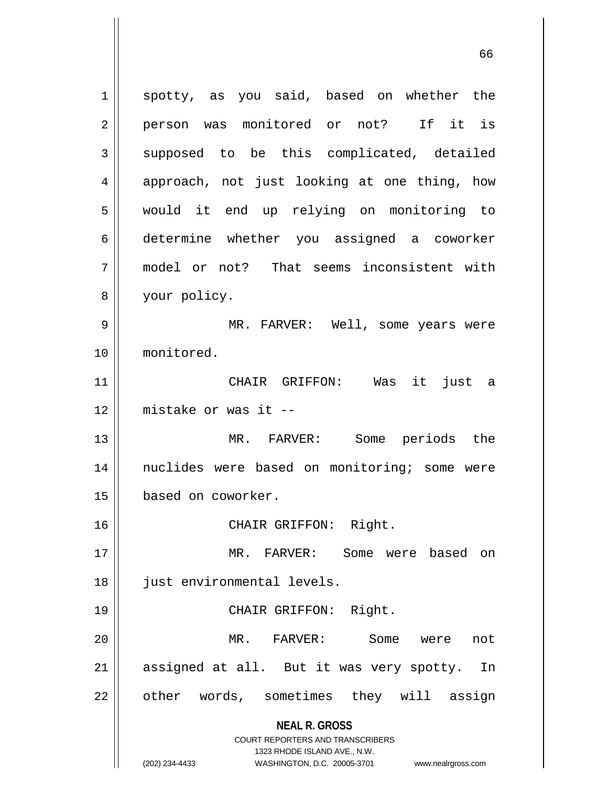**NEAL R. GROSS** COURT REPORTERS AND TRANSCRIBERS 1323 RHODE ISLAND AVE., N.W. (202) 234-4433 WASHINGTON, D.C. 20005-3701 www.nealrgross.com 1 spotty, as you said, based on whether the 2 || person was monitored or not? If it is  $3 \parallel$  supposed to be this complicated, detailed 4 || approach, not just looking at one thing, how 5 would it end up relying on monitoring to 6 determine whether you assigned a coworker 7 model or not? That seems inconsistent with 8 your policy. 9 MR. FARVER: Well, some years were 10 monitored. 11 CHAIR GRIFFON: Was it just a 12 mistake or was it -- 13 MR. FARVER: Some periods the 14 || nuclides were based on monitoring; some were 15 based on coworker. 16 CHAIR GRIFFON: Right. 17 || MR. FARVER: Some were based on 18 || just environmental levels. 19 || CHAIR GRIFFON: Right. 20 MR. FARVER: Some were not 21 || assigned at all. But it was very spotty. In 22 | other words, sometimes they will assign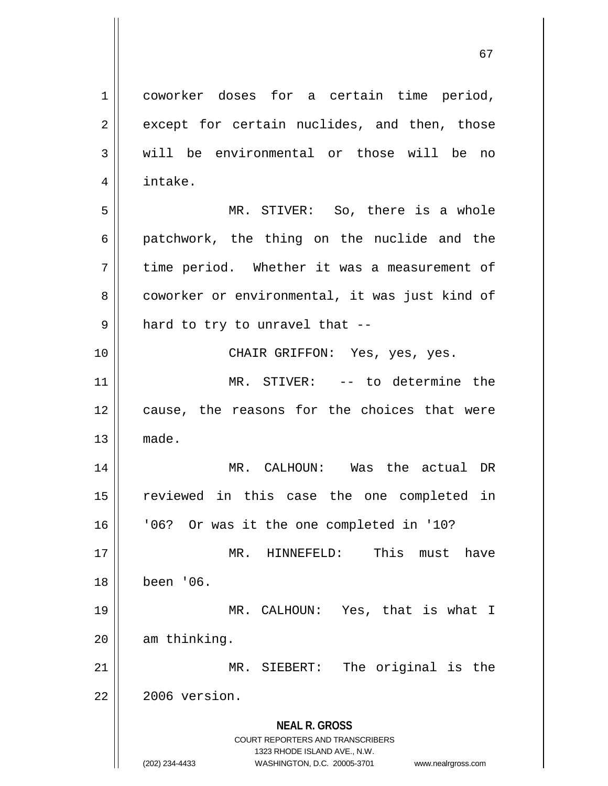**NEAL R. GROSS** COURT REPORTERS AND TRANSCRIBERS 1323 RHODE ISLAND AVE., N.W. (202) 234-4433 WASHINGTON, D.C. 20005-3701 www.nealrgross.com 1 coworker doses for a certain time period,  $2 \parallel$  except for certain nuclides, and then, those  $3 \parallel$  will be environmental or those will be no 4 intake. 5 MR. STIVER: So, there is a whole  $6 \parallel$  patchwork, the thing on the nuclide and the 7 time period. Whether it was a measurement of 8 coworker or environmental, it was just kind of  $9 \parallel$  hard to try to unravel that --10 CHAIR GRIFFON: Yes, yes, yes. 11 MR. STIVER: -- to determine the 12 || cause, the reasons for the choices that were  $13$   $\parallel$  made. 14 MR. CALHOUN: Was the actual DR 15 reviewed in this case the one completed in 16 '06? Or was it the one completed in '10? 17 MR. HINNEFELD: This must have 18 been '06. 19 MR. CALHOUN: Yes, that is what I  $20$  | am thinking. 21 || MR. SIEBERT: The original is the  $22$   $\parallel$  2006 version.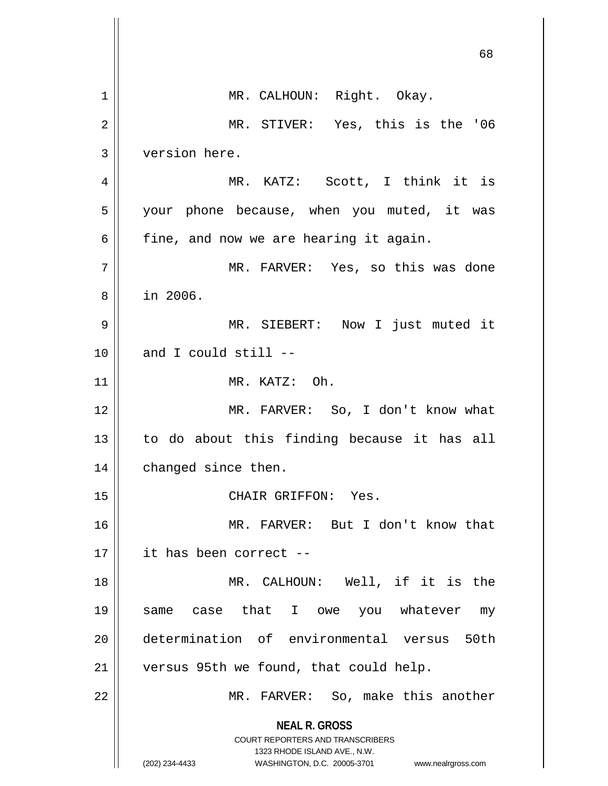|    | 68                                                                                                                                                                     |
|----|------------------------------------------------------------------------------------------------------------------------------------------------------------------------|
| 1  | MR. CALHOUN: Right. Okay.                                                                                                                                              |
| 2  | MR. STIVER: Yes, this is the '06                                                                                                                                       |
| 3  | version here.                                                                                                                                                          |
| 4  | MR. KATZ: Scott, I think it is                                                                                                                                         |
| 5  | your phone because, when you muted, it was                                                                                                                             |
| 6  | fine, and now we are hearing it again.                                                                                                                                 |
| 7  | MR. FARVER: Yes, so this was done                                                                                                                                      |
| 8  | in 2006.                                                                                                                                                               |
| 9  | MR. SIEBERT: Now I just muted it                                                                                                                                       |
| 10 | and I could still --                                                                                                                                                   |
| 11 | MR. KATZ: Oh.                                                                                                                                                          |
| 12 | MR. FARVER: So, I don't know what                                                                                                                                      |
| 13 | to do about this finding because it has all                                                                                                                            |
| 14 | changed since then.                                                                                                                                                    |
| 15 | CHAIR GRIFFON: Yes.                                                                                                                                                    |
| 16 | MR. FARVER: But I don't know that                                                                                                                                      |
| 17 | it has been correct --                                                                                                                                                 |
| 18 | MR. CALHOUN: Well, if it is the                                                                                                                                        |
| 19 | case that I owe you whatever<br>same<br>my                                                                                                                             |
| 20 | determination of environmental versus 50th                                                                                                                             |
| 21 | versus 95th we found, that could help.                                                                                                                                 |
| 22 | MR. FARVER: So, make this another                                                                                                                                      |
|    | <b>NEAL R. GROSS</b><br><b>COURT REPORTERS AND TRANSCRIBERS</b><br>1323 RHODE ISLAND AVE., N.W.<br>(202) 234-4433<br>WASHINGTON, D.C. 20005-3701<br>www.nealrgross.com |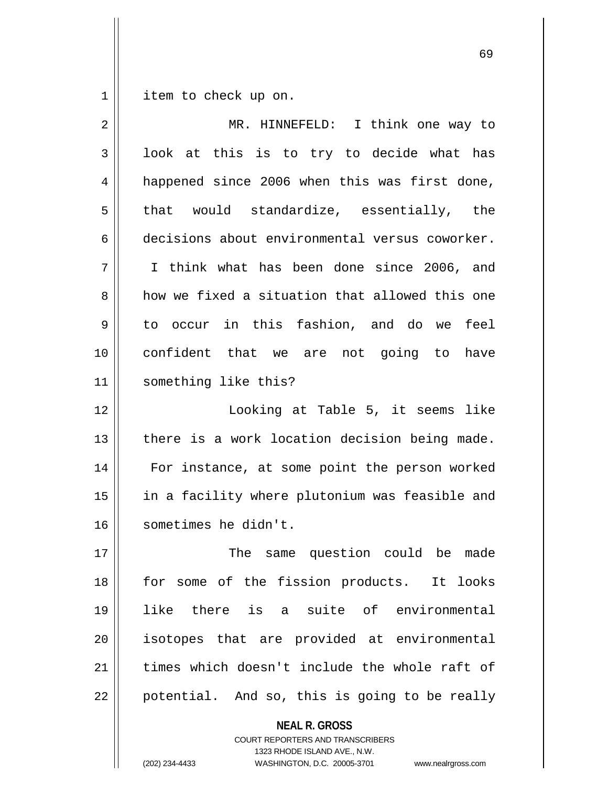1 | item to check up on.

| 2  | MR. HINNEFELD: I think one way to              |
|----|------------------------------------------------|
| 3  | look at this is to try to decide what has      |
| 4  | happened since 2006 when this was first done,  |
| 5  | that would standardize, essentially, the       |
| 6  | decisions about environmental versus coworker. |
| 7  | I think what has been done since 2006, and     |
| 8  | how we fixed a situation that allowed this one |
| 9  | to occur in this fashion, and do we feel       |
| 10 | confident that we are not going to have        |
| 11 | something like this?                           |
| 12 | Looking at Table 5, it seems like              |
| 13 | there is a work location decision being made.  |
| 14 | For instance, at some point the person worked  |
| 15 | in a facility where plutonium was feasible and |
| 16 | sometimes he didn't.                           |
| 17 | The same question could be<br>made             |
| 18 | for some of the fission products. It looks     |
| 19 | there is a suite of environmental<br>like      |
| 20 | isotopes that are provided at environmental    |
| 21 | times which doesn't include the whole raft of  |
| 22 | potential. And so, this is going to be really  |

**NEAL R. GROSS**

COURT REPORTERS AND TRANSCRIBERS 1323 RHODE ISLAND AVE., N.W.

(202) 234-4433 WASHINGTON, D.C. 20005-3701 www.nealrgross.com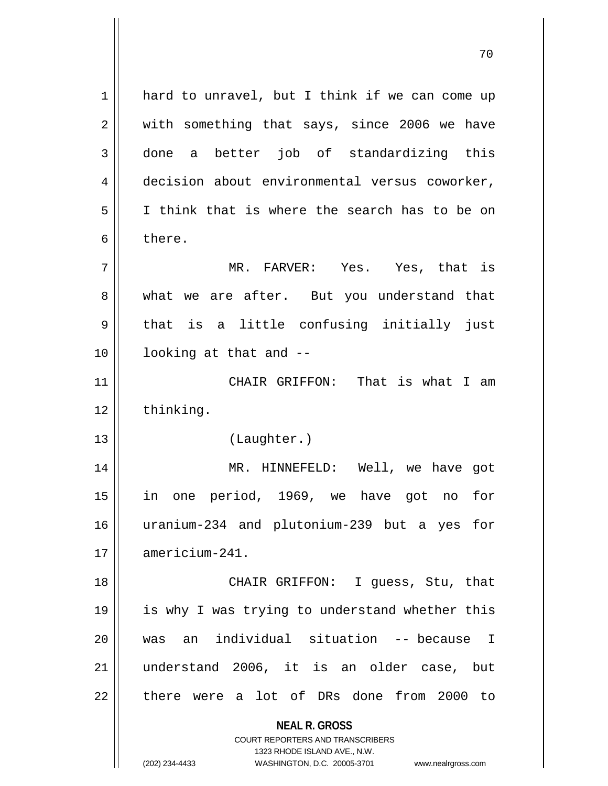**NEAL R. GROSS** COURT REPORTERS AND TRANSCRIBERS 1323 RHODE ISLAND AVE., N.W. (202) 234-4433 WASHINGTON, D.C. 20005-3701 www.nealrgross.com 1 hard to unravel, but I think if we can come up 2 || with something that says, since 2006 we have 3 done a better job of standardizing this 4 decision about environmental versus coworker, 5 I think that is where the search has to be on 6 bere. 7 MR. FARVER: Yes. Yes, that is 8 what we are after. But you understand that  $9 \parallel$  that is a little confusing initially just 10 looking at that and -- 11 || CHAIR GRIFFON: That is what I am 12 thinking. 13 (Laughter.) 14 MR. HINNEFELD: Well, we have got 15 in one period, 1969, we have got no for 16 uranium-234 and plutonium-239 but a yes for 17 americium-241. 18 || CHAIR GRIFFON: I guess, Stu, that 19 is why I was trying to understand whether this 20 was an individual situation -- because I 21 understand 2006, it is an older case, but 22 || there were a lot of DRs done from 2000 to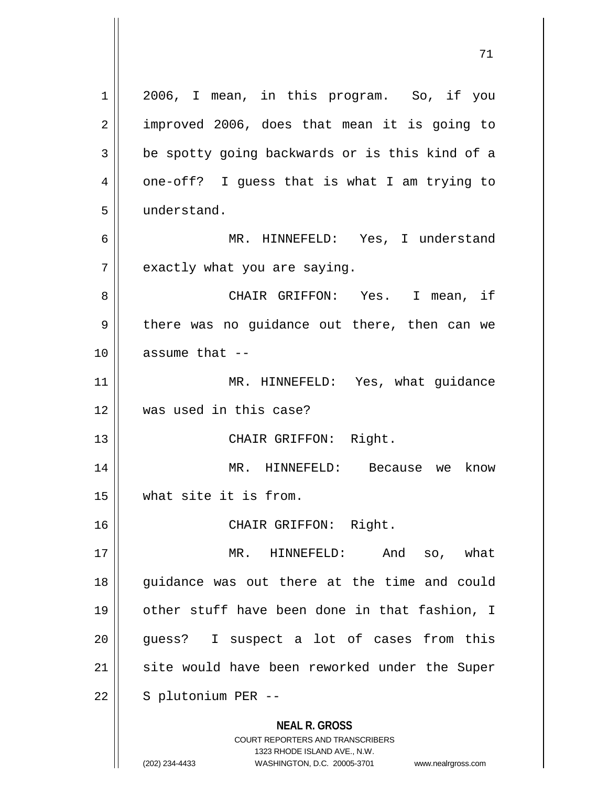**NEAL R. GROSS** COURT REPORTERS AND TRANSCRIBERS 1323 RHODE ISLAND AVE., N.W. (202) 234-4433 WASHINGTON, D.C. 20005-3701 www.nealrgross.com 1 || 2006, I mean, in this program. So, if you 2 || improved 2006, does that mean it is going to  $3 \parallel$  be spotty going backwards or is this kind of a 4 || one-off? I guess that is what I am trying to 5 understand. 6 MR. HINNEFELD: Yes, I understand  $7$  | exactly what you are saying. 8 CHAIR GRIFFON: Yes. I mean, if 9 || there was no guidance out there, then can we  $10$  || assume that  $-$ 11 || MR. HINNEFELD: Yes, what guidance 12 was used in this case? 13 || CHAIR GRIFFON: Right. 14 MR. HINNEFELD: Because we know 15 what site it is from. 16 CHAIR GRIFFON: Right. 17 MR. HINNEFELD: And so, what 18 guidance was out there at the time and could 19 other stuff have been done in that fashion, I 20 || quess? I suspect a lot of cases from this 21 || site would have been reworked under the Super  $22$  | S plutonium PER --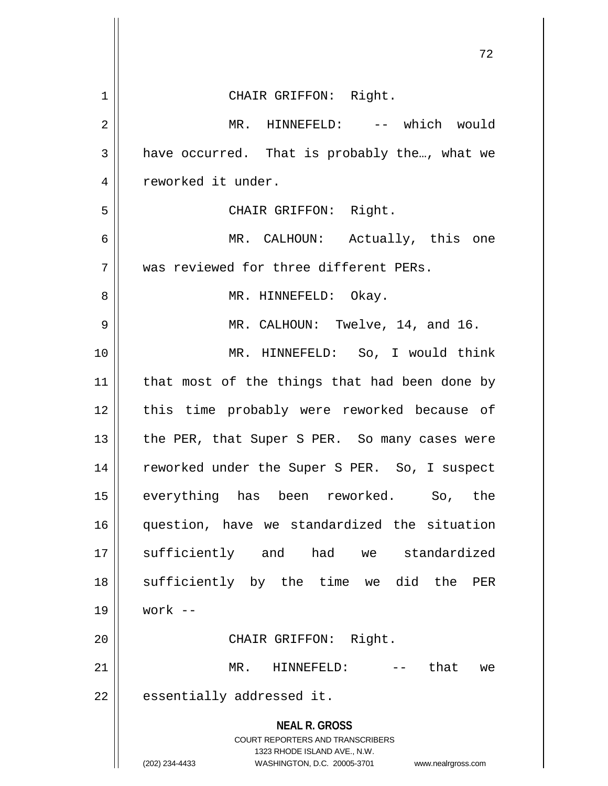|                | 72                                                                                                  |
|----------------|-----------------------------------------------------------------------------------------------------|
| 1              | CHAIR GRIFFON: Right.                                                                               |
| $\overline{2}$ | MR. HINNEFELD: -- which would                                                                       |
| 3              | have occurred. That is probably the, what we                                                        |
| 4              | reworked it under.                                                                                  |
| 5              | CHAIR GRIFFON: Right.                                                                               |
| 6              | MR. CALHOUN: Actually, this one                                                                     |
| 7              | was reviewed for three different PERs.                                                              |
| 8              | MR. HINNEFELD: Okay.                                                                                |
| 9              | MR. CALHOUN: Twelve, 14, and 16.                                                                    |
| 10             | MR. HINNEFELD: So, I would think                                                                    |
| 11             | that most of the things that had been done by                                                       |
| 12             | this time probably were reworked because of                                                         |
| 13             | the PER, that Super S PER. So many cases were                                                       |
| 14             | reworked under the Super S PER. So, I suspect                                                       |
| 15             | everything has been reworked.<br>So,<br>the                                                         |
| 16             | question, have we standardized the situation                                                        |
| 17             | sufficiently and had we standardized                                                                |
| 18             | sufficiently by the time we did the<br>PER                                                          |
| 19             | work $--$                                                                                           |
| 20             | CHAIR GRIFFON: Right.                                                                               |
| 21             | MR.<br>HINNEFELD:<br>-- that<br>we                                                                  |
| 22             | essentially addressed it.                                                                           |
|                | <b>NEAL R. GROSS</b><br><b>COURT REPORTERS AND TRANSCRIBERS</b>                                     |
|                | 1323 RHODE ISLAND AVE., N.W.<br>(202) 234-4433<br>WASHINGTON, D.C. 20005-3701<br>www.nealrgross.com |

 $\parallel$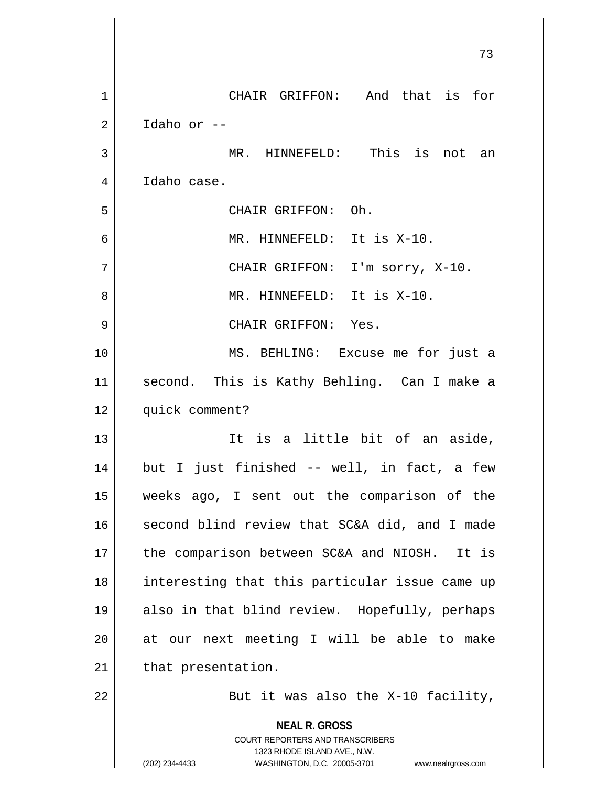|                | 73                                                                                                                                                                     |
|----------------|------------------------------------------------------------------------------------------------------------------------------------------------------------------------|
| $\mathbf 1$    | CHAIR GRIFFON: And that is for                                                                                                                                         |
| $\overline{a}$ | Idaho or --                                                                                                                                                            |
| 3              | MR. HINNEFELD: This is not an                                                                                                                                          |
| 4              | Idaho case.                                                                                                                                                            |
| 5              | CHAIR GRIFFON: Oh.                                                                                                                                                     |
| 6              | MR. HINNEFELD: It is X-10.                                                                                                                                             |
| 7              | CHAIR GRIFFON: I'm sorry, X-10.                                                                                                                                        |
| 8              | MR. HINNEFELD: It is X-10.                                                                                                                                             |
| 9              | CHAIR GRIFFON: Yes.                                                                                                                                                    |
| 10             | MS. BEHLING: Excuse me for just a                                                                                                                                      |
| 11             | second. This is Kathy Behling. Can I make a                                                                                                                            |
| 12             | quick comment?                                                                                                                                                         |
| 13             | It is a little bit of an aside,                                                                                                                                        |
| 14             | but I just finished -- well, in fact, a few                                                                                                                            |
| 15             | weeks ago, I sent out the comparison of the                                                                                                                            |
| 16             | second blind review that SC&A did, and I made                                                                                                                          |
| 17             | the comparison between SC&A and NIOSH. It is                                                                                                                           |
| 18             | interesting that this particular issue came up                                                                                                                         |
| 19             | also in that blind review. Hopefully, perhaps                                                                                                                          |
| 20             | at our next meeting I will be able to make                                                                                                                             |
| 21             | that presentation.                                                                                                                                                     |
| 22             | But it was also the X-10 facility,                                                                                                                                     |
|                | <b>NEAL R. GROSS</b><br><b>COURT REPORTERS AND TRANSCRIBERS</b><br>1323 RHODE ISLAND AVE., N.W.<br>(202) 234-4433<br>WASHINGTON, D.C. 20005-3701<br>www.nealrgross.com |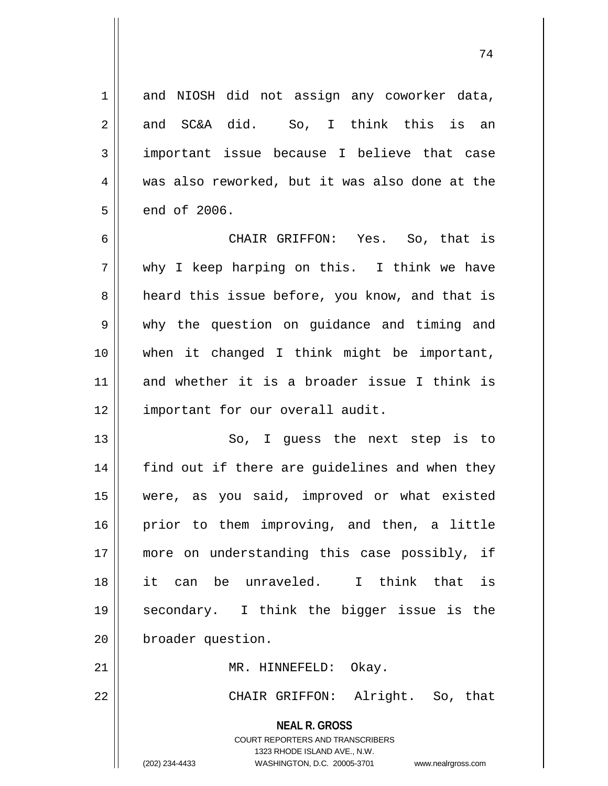**NEAL R. GROSS** COURT REPORTERS AND TRANSCRIBERS 1 and NIOSH did not assign any coworker data, 2 || and SC&A did. So, I think this is an 3 || important issue because I believe that case 4 was also reworked, but it was also done at the  $5 \parallel$  end of 2006. 6 CHAIR GRIFFON: Yes. So, that is  $7 \parallel$  why I keep harping on this. I think we have 8 a heard this issue before, you know, and that is 9 why the question on guidance and timing and 10 when it changed I think might be important, 11 and whether it is a broader issue I think is 12 || important for our overall audit. 13 || So, I guess the next step is to 14 || find out if there are guidelines and when they 15 were, as you said, improved or what existed 16 || prior to them improving, and then, a little 17 || more on understanding this case possibly, if 18 it can be unraveled. I think that is 19 secondary. I think the bigger issue is the 20 | broader question. 21 || MR. HINNEFELD: Okay. 22 CHAIR GRIFFON: Alright. So, that

1323 RHODE ISLAND AVE., N.W.

(202) 234-4433 WASHINGTON, D.C. 20005-3701 www.nealrgross.com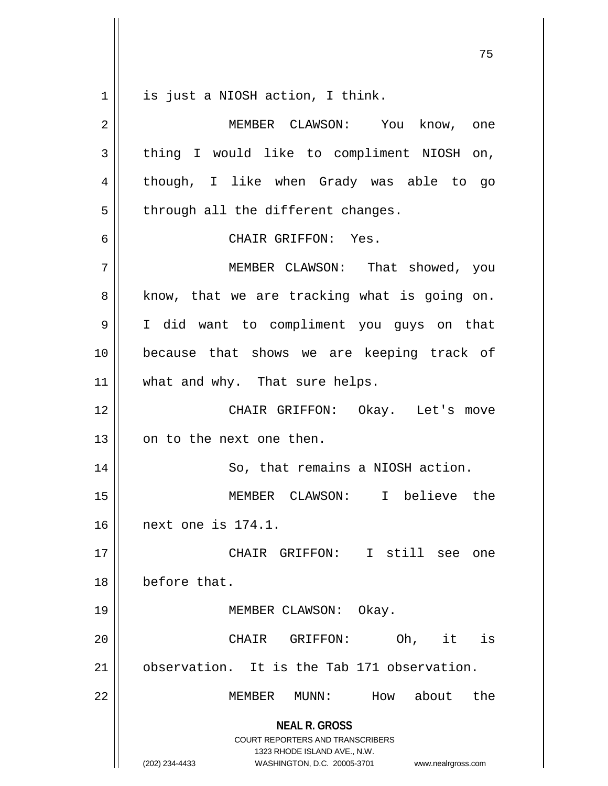**NEAL R. GROSS** COURT REPORTERS AND TRANSCRIBERS 1323 RHODE ISLAND AVE., N.W. 75 1 || is just a NIOSH action, I think. 2 MEMBER CLAWSON: You know, one  $3 \parallel$  thing I would like to compliment NIOSH on, 4 || though, I like when Grady was able to go  $5 \parallel$  through all the different changes. 6 CHAIR GRIFFON: Yes. 7 MEMBER CLAWSON: That showed, you  $8 \parallel$  know, that we are tracking what is going on. 9 I did want to compliment you guys on that 10 because that shows we are keeping track of 11 || what and why. That sure helps. 12 CHAIR GRIFFON: Okay. Let's move 13 || on to the next one then. 14 | So, that remains a NIOSH action. 15 MEMBER CLAWSON: I believe the 16 next one is 174.1. 17 CHAIR GRIFFON: I still see one 18 before that. 19 || MEMBER CLAWSON: Okay. 20 CHAIR GRIFFON: Oh, it is 21 observation. It is the Tab 171 observation. 22 MEMBER MUNN: How about the

(202) 234-4433 WASHINGTON, D.C. 20005-3701 www.nealrgross.com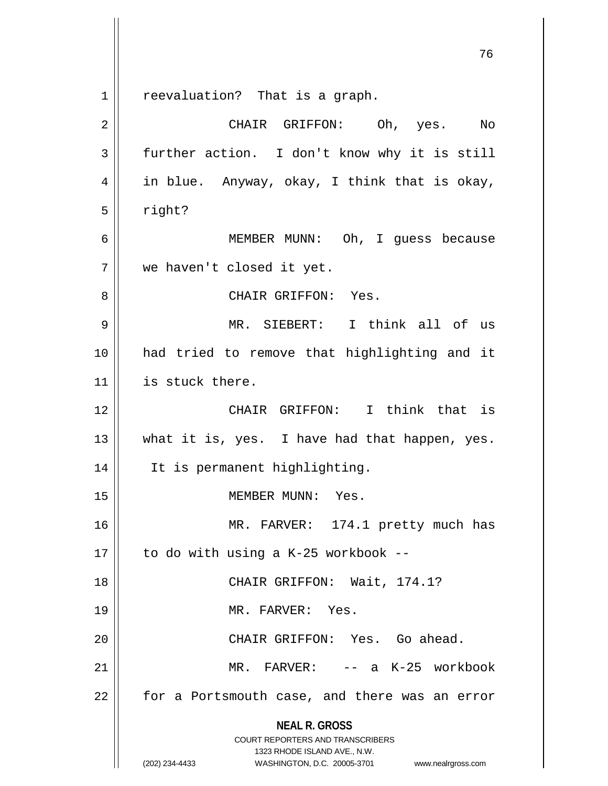**NEAL R. GROSS** COURT REPORTERS AND TRANSCRIBERS 1323 RHODE ISLAND AVE., N.W. (202) 234-4433 WASHINGTON, D.C. 20005-3701 www.nealrgross.com 1 || reevaluation? That is a graph. 2 CHAIR GRIFFON: Oh, yes. No  $3 \parallel$  further action. I don't know why it is still  $4 \parallel$  in blue. Anyway, okay, I think that is okay,  $5 \parallel$  right? 6 MEMBER MUNN: Oh, I guess because 7 we haven't closed it yet. 8 CHAIR GRIFFON: Yes. 9 MR. SIEBERT: I think all of us 10 had tried to remove that highlighting and it 11 || is stuck there. 12 CHAIR GRIFFON: I think that is 13 || what it is, yes. I have had that happen, yes. 14 It is permanent highlighting. 15 || MEMBER MUNN: Yes. 16 || MR. FARVER: 174.1 pretty much has 17  $\parallel$  to do with using a K-25 workbook --18 || CHAIR GRIFFON: Wait, 174.1? 19 MR. FARVER: Yes. 20 || CHAIR GRIFFON: Yes. Go ahead. 21 MR. FARVER: -- a K-25 workbook  $22$  | for a Portsmouth case, and there was an error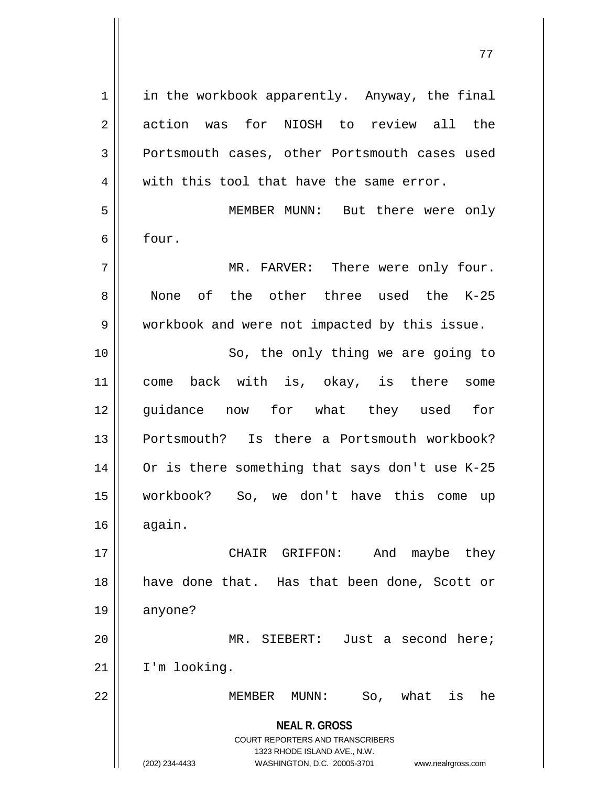| $\mathbf 1$    | in the workbook apparently. Anyway, the final                                                   |
|----------------|-------------------------------------------------------------------------------------------------|
| $\overline{2}$ | for NIOSH to review all the<br>action was                                                       |
| $\mathbf{3}$   | Portsmouth cases, other Portsmouth cases used                                                   |
| 4              | with this tool that have the same error.                                                        |
| 5              | MEMBER MUNN: But there were only                                                                |
| 6              | four.                                                                                           |
| 7              | MR. FARVER: There were only four.                                                               |
| 8              | None of the other three used the K-25                                                           |
| 9              | workbook and were not impacted by this issue.                                                   |
| 10             | So, the only thing we are going to                                                              |
| 11             | back with is, okay, is there some<br>come                                                       |
| 12             | guidance now for what they used for                                                             |
| 13             | Portsmouth? Is there a Portsmouth workbook?                                                     |
| 14             | Or is there something that says don't use K-25                                                  |
| 15             | workbook? So, we don't have this come<br>up                                                     |
| 16             | again.                                                                                          |
| 17             | CHAIR GRIFFON:<br>And maybe they                                                                |
| 18             | have done that. Has that been done, Scott or                                                    |
| 19             | anyone?                                                                                         |
| 20             | MR. SIEBERT: Just a second here;                                                                |
| 21             | I'm looking.                                                                                    |
| 22             | So, what<br>is<br>MEMBER<br>$\texttt{MUNN}:$<br>he                                              |
|                | <b>NEAL R. GROSS</b><br><b>COURT REPORTERS AND TRANSCRIBERS</b><br>1323 RHODE ISLAND AVE., N.W. |
|                | (202) 234-4433<br>WASHINGTON, D.C. 20005-3701<br>www.nealrgross.com                             |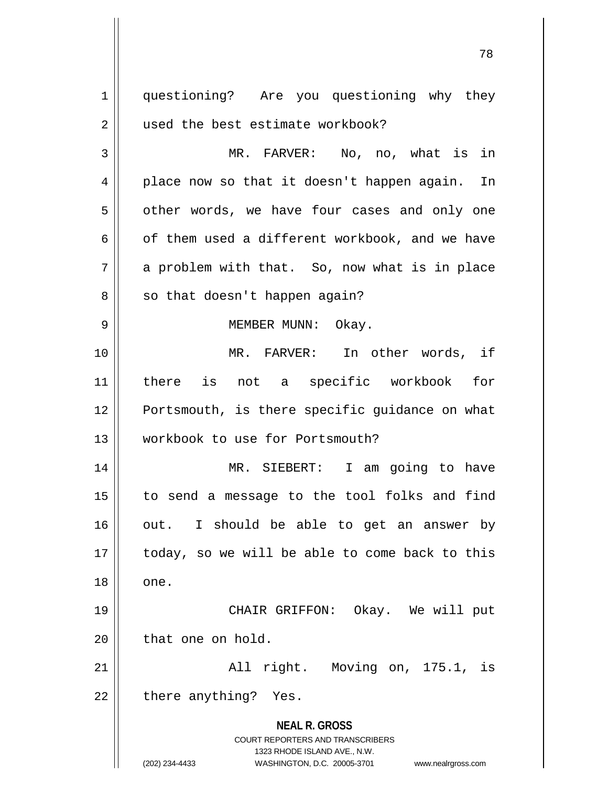**NEAL R. GROSS** COURT REPORTERS AND TRANSCRIBERS 1323 RHODE ISLAND AVE., N.W. (202) 234-4433 WASHINGTON, D.C. 20005-3701 www.nealrgross.com 1 | questioning? Are you questioning why they 2 | used the best estimate workbook? 3 MR. FARVER: No, no, what is in 4 || place now so that it doesn't happen again. In  $5 \parallel$  other words, we have four cases and only one 6  $\parallel$  of them used a different workbook, and we have  $7 \parallel$  a problem with that. So, now what is in place  $8 \parallel$  so that doesn't happen again? 9 || MEMBER MUNN: Okay. 10 MR. FARVER: In other words, if 11 there is not a specific workbook for 12 || Portsmouth, is there specific quidance on what 13 workbook to use for Portsmouth? 14 MR. SIEBERT: I am going to have 15 to send a message to the tool folks and find  $16$  | out. I should be able to get an answer by  $17$  | today, so we will be able to come back to this  $18 \parallel$  one. 19 CHAIR GRIFFON: Okay. We will put  $20$  | that one on hold. 21 All right. Moving on, 175.1, is  $22$  || there anything? Yes.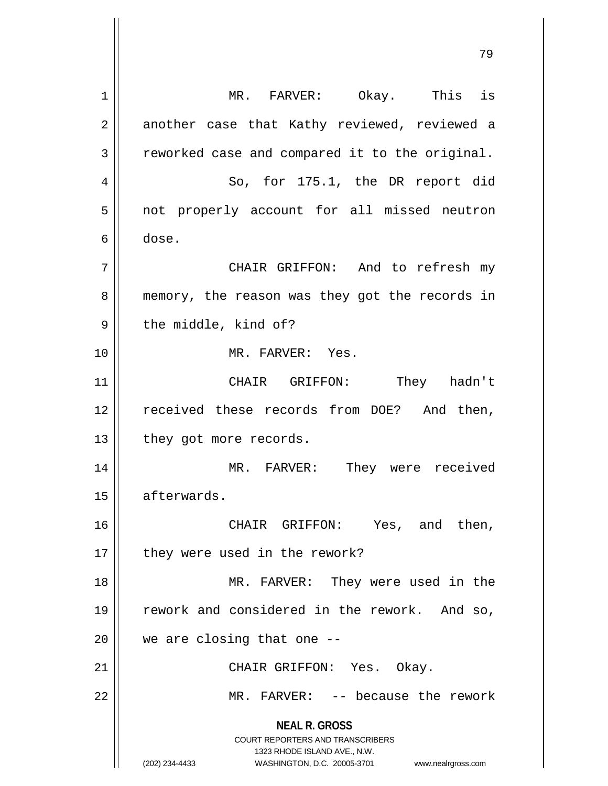**NEAL R. GROSS** COURT REPORTERS AND TRANSCRIBERS 1323 RHODE ISLAND AVE., N.W. (202) 234-4433 WASHINGTON, D.C. 20005-3701 www.nealrgross.com 1 || MR. FARVER: Okay. This is 2 || another case that Kathy reviewed, reviewed a  $3 \parallel$  reworked case and compared it to the original. 4 || So, for 175.1, the DR report did 5 || not properly account for all missed neutron 6 dose. 7 CHAIR GRIFFON: And to refresh my 8 || memory, the reason was they got the records in  $9 \parallel$  the middle, kind of? 10 MR. FARVER: Yes. 11 CHAIR GRIFFON: They hadn't 12 || received these records from DOE? And then, 13 | they got more records. 14 MR. FARVER: They were received 15 | afterwards. 16 || CHAIR GRIFFON: Yes, and then, 17 | they were used in the rework? 18 MR. FARVER: They were used in the 19 || rework and considered in the rework. And so,  $20$  || we are closing that one  $-$ -21 || CHAIR GRIFFON: Yes. Okay. 22 MR. FARVER: -- because the rework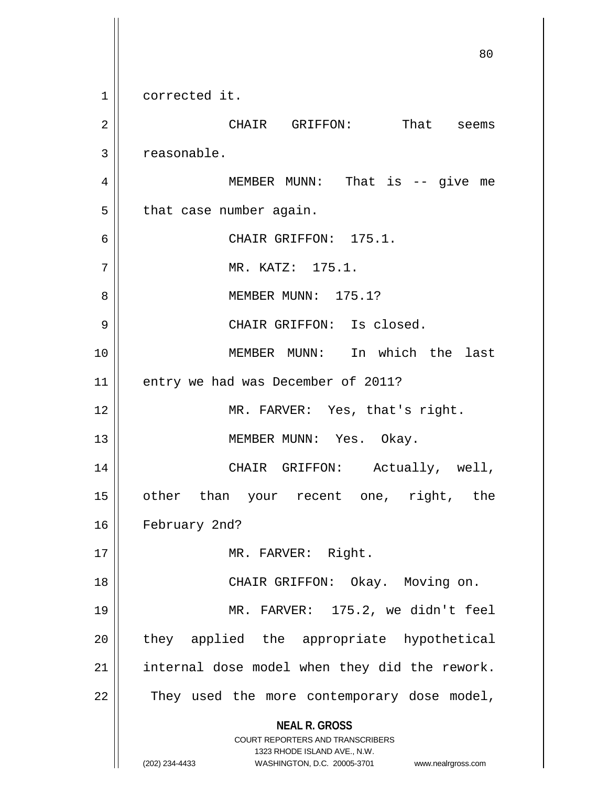**NEAL R. GROSS** COURT REPORTERS AND TRANSCRIBERS 1323 RHODE ISLAND AVE., N.W. (202) 234-4433 WASHINGTON, D.C. 20005-3701 www.nealrgross.com 80 1 corrected it. 2 CHAIR GRIFFON: That seems 3 | reasonable. 4 MEMBER MUNN: That is -- give me  $5$  | that case number again. 6 CHAIR GRIFFON: 175.1. 7 MR. KATZ: 175.1. 8 MEMBER MUNN: 175.1? 9 CHAIR GRIFFON: Is closed. 10 MEMBER MUNN: In which the last 11 | entry we had was December of 2011? 12 || MR. FARVER: Yes, that's right. 13 || MEMBER MUNN: Yes. Okay. 14 || CHAIR GRIFFON: Actually, well, 15 other than your recent one, right, the 16 | February 2nd? 17 || MR. FARVER: Right. 18 CHAIR GRIFFON: Okay. Moving on. 19 MR. FARVER: 175.2, we didn't feel 20 || they applied the appropriate hypothetical  $21$  | internal dose model when they did the rework.  $22$  || They used the more contemporary dose model,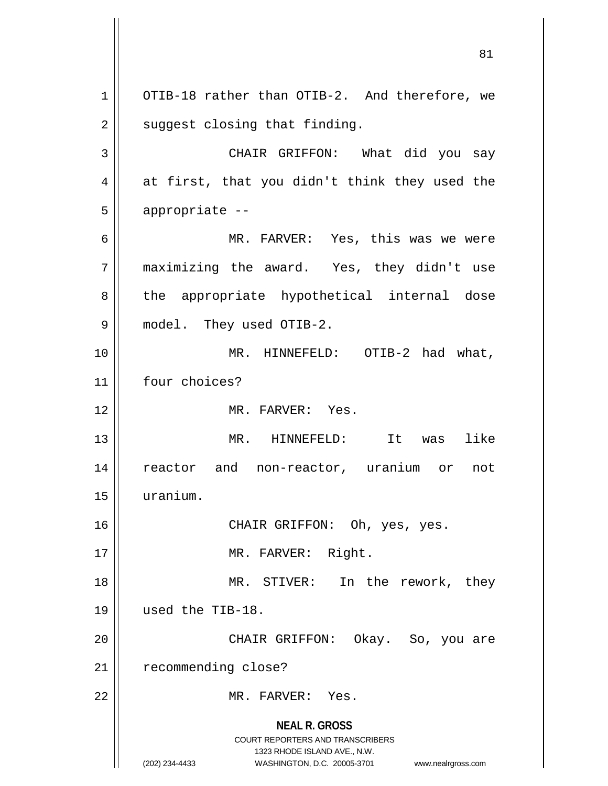**NEAL R. GROSS** COURT REPORTERS AND TRANSCRIBERS 1323 RHODE ISLAND AVE., N.W. (202) 234-4433 WASHINGTON, D.C. 20005-3701 www.nealrgross.com 1 | OTIB-18 rather than OTIB-2. And therefore, we  $2 \parallel$  suggest closing that finding. 3 CHAIR GRIFFON: What did you say  $4 \parallel$  at first, that you didn't think they used the  $5 \parallel$  appropriate --6 MR. FARVER: Yes, this was we were 7 maximizing the award. Yes, they didn't use 8 || the appropriate hypothetical internal dose 9 model. They used OTIB-2. 10 MR. HINNEFELD: OTIB-2 had what, 11 | four choices? 12 || MR. FARVER: Yes. 13 || MR. HINNEFELD: It was like 14 reactor and non-reactor, uranium or not 15 uranium. 16 || CHAIR GRIFFON: Oh, yes, yes. 17 || MR. FARVER: Right. 18 || MR. STIVER: In the rework, they 19 used the TIB-18. 20 CHAIR GRIFFON: Okay. So, you are 21 | recommending close? 22 MR. FARVER: Yes.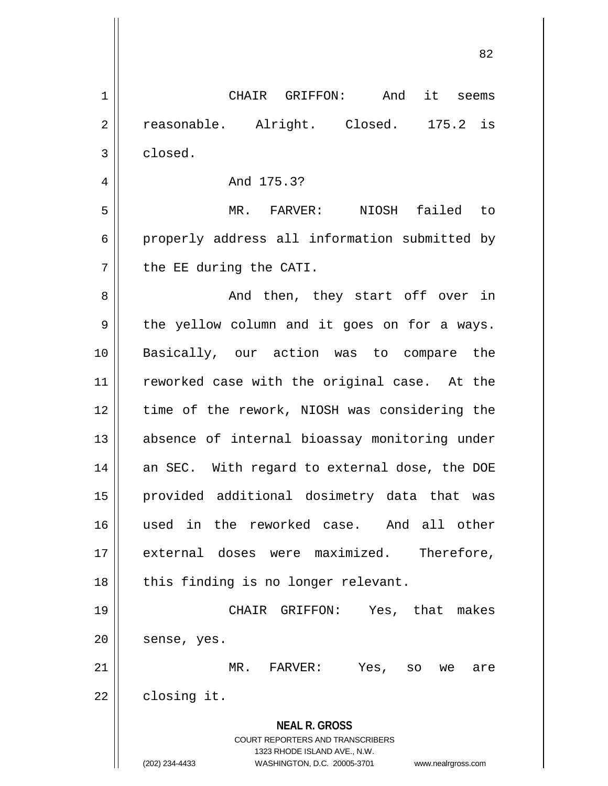**NEAL R. GROSS** COURT REPORTERS AND TRANSCRIBERS 1323 RHODE ISLAND AVE., N.W. (202) 234-4433 WASHINGTON, D.C. 20005-3701 www.nealrgross.com 1 || CHAIR GRIFFON: And it seems 2 || reasonable. Alright. Closed. 175.2 is 3 closed. 4 And 175.3? 5 MR. FARVER: NIOSH failed to 6 || properly address all information submitted by  $7$  | the EE during the CATI. 8 And then, they start off over in  $9 \parallel$  the yellow column and it goes on for a ways. 10 Basically, our action was to compare the 11 || reworked case with the original case. At the 12 time of the rework, NIOSH was considering the 13 absence of internal bioassay monitoring under 14 || an SEC. With regard to external dose, the DOE 15 provided additional dosimetry data that was 16 used in the reworked case. And all other 17 external doses were maximized. Therefore,  $18$  || this finding is no longer relevant. 19 CHAIR GRIFFON: Yes, that makes  $20$  | sense, yes. 21 MR. FARVER: Yes, so we are  $22$  | closing it.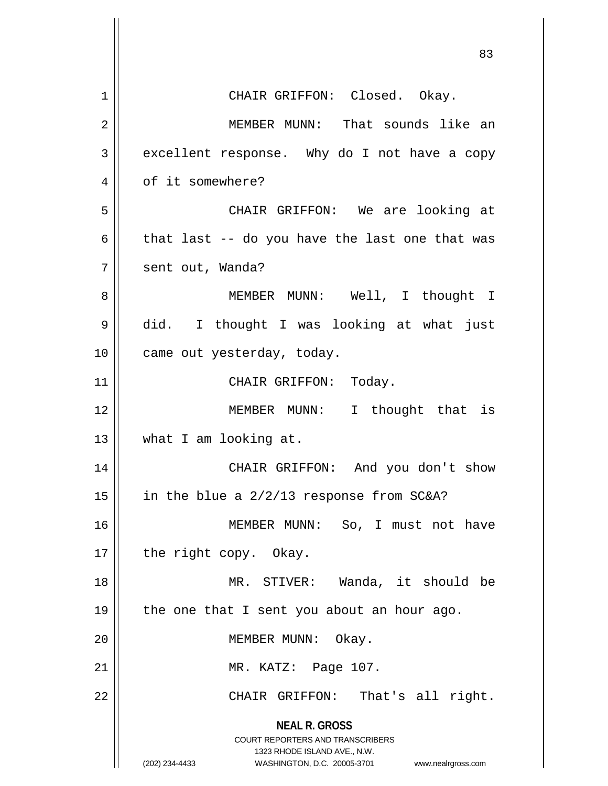|             | 83                                                                                                                                                                     |
|-------------|------------------------------------------------------------------------------------------------------------------------------------------------------------------------|
| $\mathbf 1$ | CHAIR GRIFFON: Closed. Okay.                                                                                                                                           |
| 2           | MEMBER MUNN: That sounds like an                                                                                                                                       |
| 3           | excellent response. Why do I not have a copy                                                                                                                           |
| 4           | of it somewhere?                                                                                                                                                       |
| 5           | CHAIR GRIFFON: We are looking at                                                                                                                                       |
| 6           | that last -- do you have the last one that was                                                                                                                         |
| 7           | sent out, Wanda?                                                                                                                                                       |
| 8           | MEMBER MUNN: Well, I thought I                                                                                                                                         |
| 9           | did. I thought I was looking at what just                                                                                                                              |
| 10          | came out yesterday, today.                                                                                                                                             |
| 11          | CHAIR GRIFFON: Today.                                                                                                                                                  |
| 12          | MEMBER MUNN: I thought that is                                                                                                                                         |
| 13          | what I am looking at.                                                                                                                                                  |
| 14          | CHAIR GRIFFON: And you don't show                                                                                                                                      |
| 15          | in the blue a 2/2/13 response from SC&A?                                                                                                                               |
| 16          | MEMBER MUNN: So, I must not have                                                                                                                                       |
| 17          | the right copy. Okay.                                                                                                                                                  |
| 18          | MR. STIVER: Wanda, it should be                                                                                                                                        |
| 19          | the one that I sent you about an hour ago.                                                                                                                             |
| 20          | MEMBER MUNN: Okay.                                                                                                                                                     |
| 21          | MR. KATZ: Page 107.                                                                                                                                                    |
| 22          | CHAIR GRIFFON: That's all right.                                                                                                                                       |
|             | <b>NEAL R. GROSS</b><br><b>COURT REPORTERS AND TRANSCRIBERS</b><br>1323 RHODE ISLAND AVE., N.W.<br>(202) 234-4433<br>WASHINGTON, D.C. 20005-3701<br>www.nealrgross.com |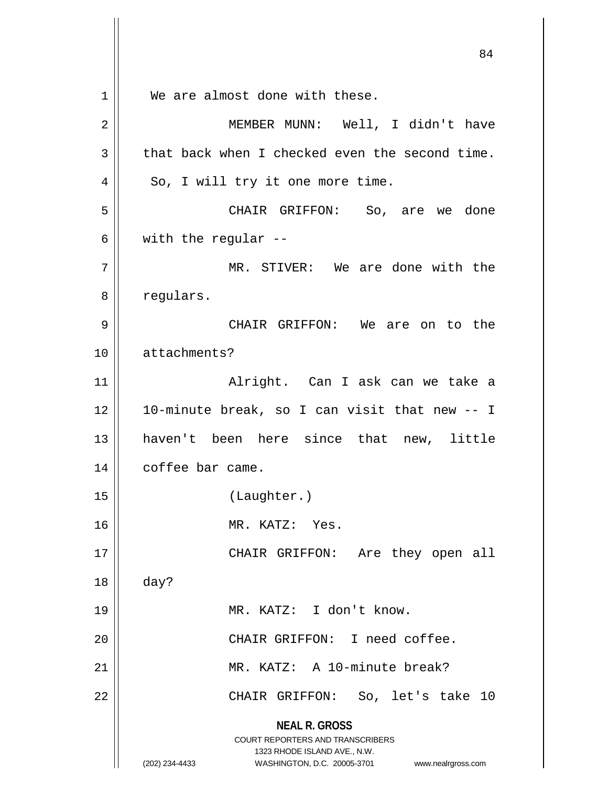**NEAL R. GROSS** COURT REPORTERS AND TRANSCRIBERS 1323 RHODE ISLAND AVE., N.W. (202) 234-4433 WASHINGTON, D.C. 20005-3701 www.nealrgross.com 1 We are almost done with these. 2 MEMBER MUNN: Well, I didn't have  $3 \parallel$  that back when I checked even the second time.  $4 \parallel$  So, I will try it one more time. 5 CHAIR GRIFFON: So, are we done 6 | with the regular  $-$ 7 || MR. STIVER: We are done with the 8 | regulars. 9 CHAIR GRIFFON: We are on to the 10 attachments? 11 Alright. Can I ask can we take a 12  $\parallel$  10-minute break, so I can visit that new  $-$  I 13 haven't been here since that new, little 14 | coffee bar came. 15 (Laughter.) 16 MR. KATZ: Yes. 17 || CHAIR GRIFFON: Are they open all 18 day? 19 MR. KATZ: I don't know. 20 CHAIR GRIFFON: I need coffee. 21 MR. KATZ: A 10-minute break? 22 CHAIR GRIFFON: So, let's take 10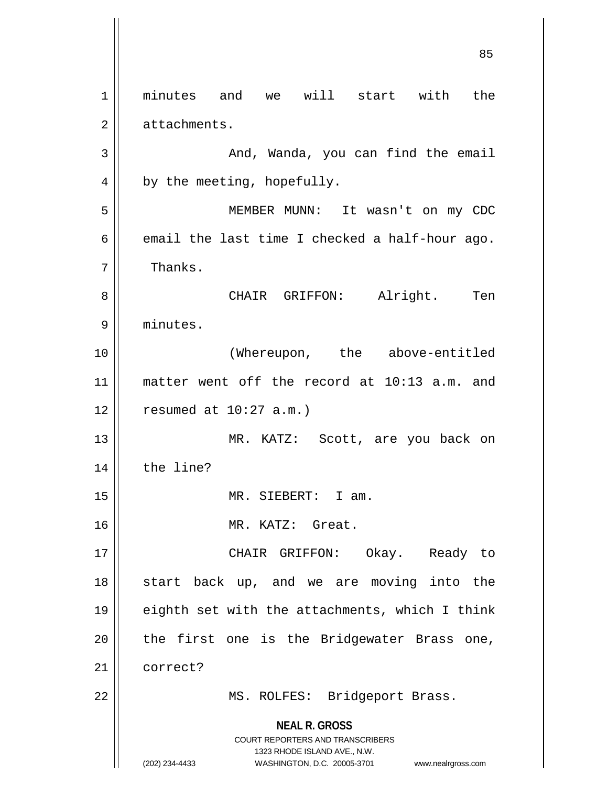**NEAL R. GROSS** COURT REPORTERS AND TRANSCRIBERS 1323 RHODE ISLAND AVE., N.W. (202) 234-4433 WASHINGTON, D.C. 20005-3701 www.nealrgross.com 1 || minutes and we will start with the 2 | attachments. 3 | And, Wanda, you can find the email  $4 \parallel$  by the meeting, hopefully. 5 MEMBER MUNN: It wasn't on my CDC 6  $\parallel$  email the last time I checked a half-hour ago. 7 | Thanks. 8 CHAIR GRIFFON: Alright. Ten 9 minutes. 10 (Whereupon, the above-entitled 11 matter went off the record at 10:13 a.m. and  $12$  | resumed at  $10:27$  a.m.) 13 || MR. KATZ: Scott, are you back on 14 the line? 15 MR. SIEBERT: I am. 16 || MR. KATZ: Great. 17 CHAIR GRIFFON: Okay. Ready to 18 || start back up, and we are moving into the 19  $\parallel$  eighth set with the attachments, which I think  $20$  || the first one is the Bridgewater Brass one, 21 | correct? 22 || MS. ROLFES: Bridgeport Brass.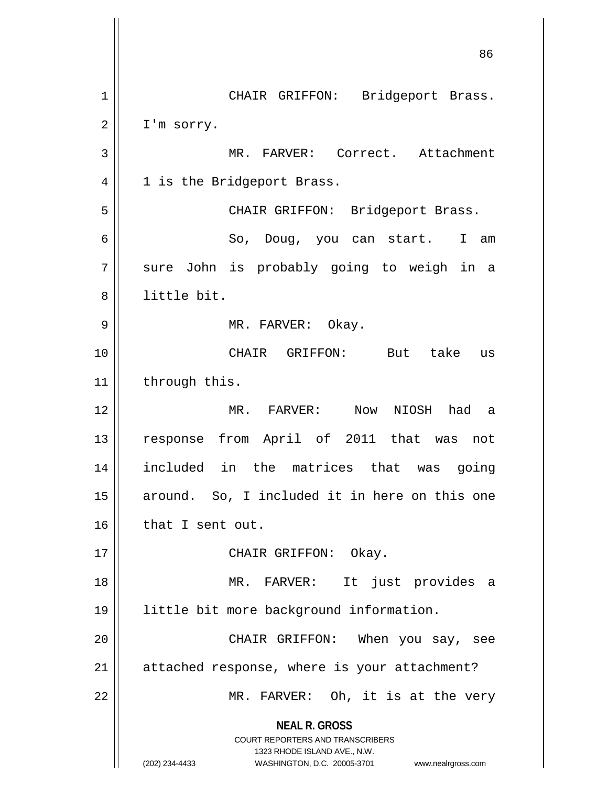**NEAL R. GROSS** COURT REPORTERS AND TRANSCRIBERS 1323 RHODE ISLAND AVE., N.W. (202) 234-4433 WASHINGTON, D.C. 20005-3701 www.nealrgross.com 86 1 || CHAIR GRIFFON: Bridgeport Brass.  $2 \parallel$  I'm sorry. 3 || MR. FARVER: Correct. Attachment 4 || 1 is the Bridgeport Brass. 5 CHAIR GRIFFON: Bridgeport Brass. 6 So, Doug, you can start. I am 7 || sure John is probably going to weigh in a 8 || little bit. 9 MR. FARVER: Okay. 10 CHAIR GRIFFON: But take us  $11$  | through this. 12 MR. FARVER: Now NIOSH had a 13 || response from April of 2011 that was not 14 included in the matrices that was going 15 || around. So, I included it in here on this one  $16$  || that I sent out. 17 || CHAIR GRIFFON: Okay. 18 MR. FARVER: It just provides a 19 little bit more background information. 20 || CHAIR GRIFFON: When you say, see  $21$  | attached response, where is your attachment? 22 || MR. FARVER: Oh, it is at the very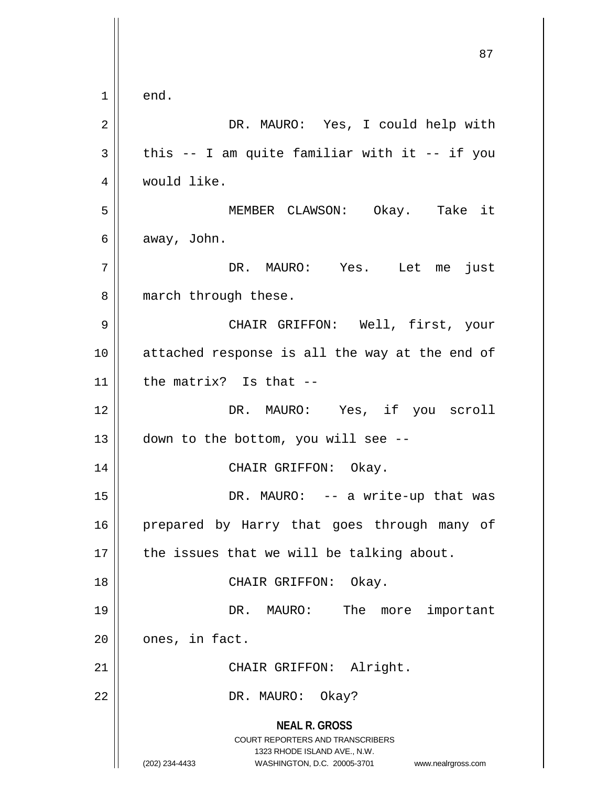**NEAL R. GROSS** COURT REPORTERS AND TRANSCRIBERS 1323 RHODE ISLAND AVE., N.W. (202) 234-4433 WASHINGTON, D.C. 20005-3701 www.nealrgross.com 87  $1 \parallel$  end. 2 DR. MAURO: Yes, I could help with  $3 \parallel$  this -- I am quite familiar with it -- if you 4 | would like. 5 MEMBER CLAWSON: Okay. Take it  $6 \parallel$  away, John. 7 DR. MAURO: Yes. Let me just 8 || march through these. 9 CHAIR GRIFFON: Well, first, your 10 || attached response is all the way at the end of 11  $\parallel$  the matrix? Is that --12 DR. MAURO: Yes, if you scroll 13  $\parallel$  down to the bottom, you will see --14 CHAIR GRIFFON: Okay. 15 DR. MAURO: -- a write-up that was 16 || prepared by Harry that goes through many of  $17$  | the issues that we will be talking about. 18 || CHAIR GRIFFON: Okay. 19 DR. MAURO: The more important  $20$  |  $ones, in fact.$ 21 || CHAIR GRIFFON: Alright. 22 || DR. MAURO: Okay?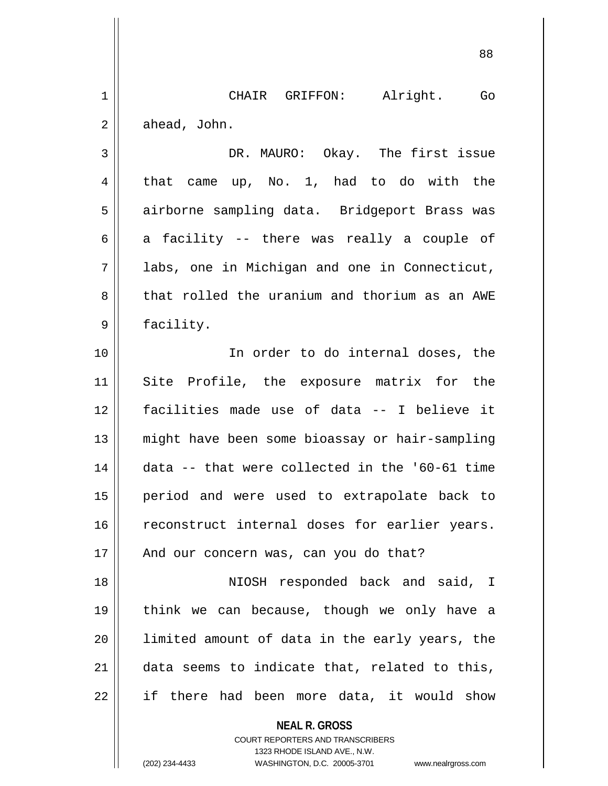1 || CHAIR GRIFFON: Alright. Go  $2 \parallel$  ahead, John.

3 DR. MAURO: Okay. The first issue  $4 \parallel$  that came up, No. 1, had to do with the 5 | airborne sampling data. Bridgeport Brass was 6 a facility -- there was really a couple of 7 labs, one in Michigan and one in Connecticut, 8 that rolled the uranium and thorium as an AWE 9 | facility.

10 || The order to do internal doses, the Site Profile, the exposure matrix for the facilities made use of data -- I believe it might have been some bioassay or hair-sampling data -- that were collected in the '60-61 time period and were used to extrapolate back to 16 || reconstruct internal doses for earlier years. || And our concern was, can you do that? NIOSH responded back and said, I

19 think we can because, though we only have a 20 || limited amount of data in the early years, the 21 || data seems to indicate that, related to this,  $22$  || if there had been more data, it would show

> **NEAL R. GROSS** COURT REPORTERS AND TRANSCRIBERS 1323 RHODE ISLAND AVE., N.W. (202) 234-4433 WASHINGTON, D.C. 20005-3701 www.nealrgross.com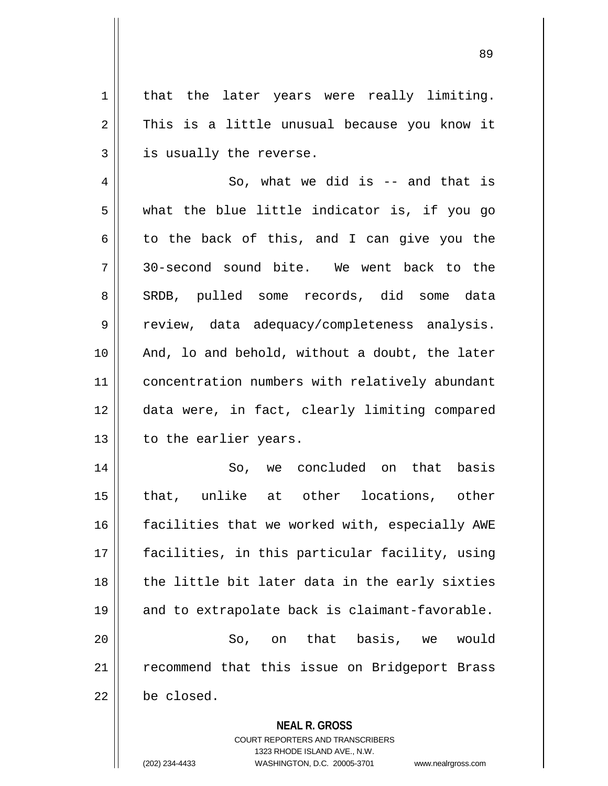1 || that the later years were really limiting.  $2 \parallel$  This is a little unusual because you know it  $3 \parallel$  is usually the reverse.

4  $\parallel$  So, what we did is -- and that is  $5$  || what the blue little indicator is, if you go  $6 \parallel$  to the back of this, and I can give you the 7 30-second sound bite. We went back to the 8 SRDB, pulled some records, did some data 9 || review, data adequacy/completeness analysis. 10 || And, lo and behold, without a doubt, the later 11 | concentration numbers with relatively abundant 12 data were, in fact, clearly limiting compared 13 | to the earlier years.

 So, we concluded on that basis that, unlike at other locations, other 16 || facilities that we worked with, especially AWE facilities, in this particular facility, using || the little bit later data in the early sixties and to extrapolate back is claimant-favorable. So, on that basis, we would 21 || recommend that this issue on Bridgeport Brass be closed.

**NEAL R. GROSS**

COURT REPORTERS AND TRANSCRIBERS 1323 RHODE ISLAND AVE., N.W. (202) 234-4433 WASHINGTON, D.C. 20005-3701 www.nealrgross.com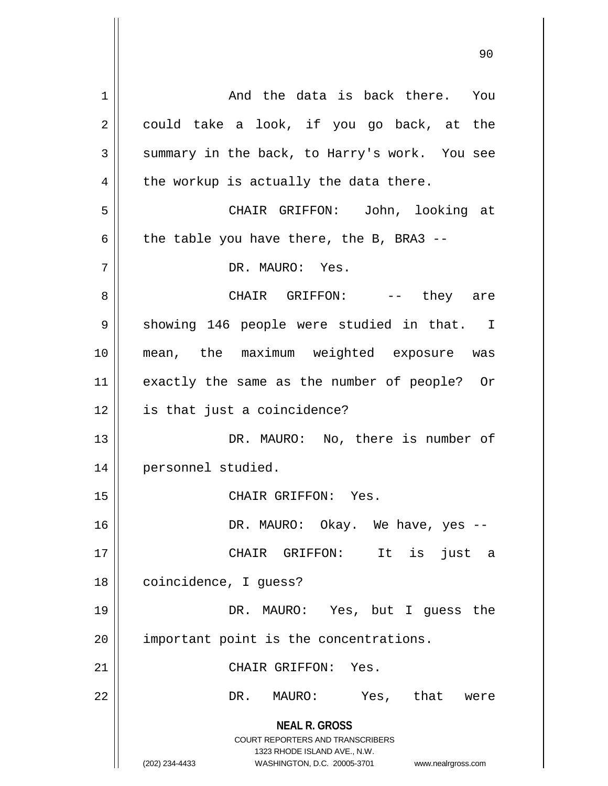**NEAL R. GROSS** COURT REPORTERS AND TRANSCRIBERS 1323 RHODE ISLAND AVE., N.W. (202) 234-4433 WASHINGTON, D.C. 20005-3701 www.nealrgross.com 1 and the data is back there. You  $2 \parallel$  could take a look, if you go back, at the  $3 \parallel$  summary in the back, to Harry's work. You see  $4 \parallel$  the workup is actually the data there. 5 CHAIR GRIFFON: John, looking at 6  $\parallel$  the table you have there, the B, BRA3 --7 DR. MAURO: Yes. 8 CHAIR GRIFFON: -- they are 9 || showing 146 people were studied in that. I 10 mean, the maximum weighted exposure was 11 exactly the same as the number of people? Or 12 is that just a coincidence? 13 || DR. MAURO: No, there is number of 14 personnel studied. 15 || CHAIR GRIFFON: Yes. 16 DR. MAURO: Okay. We have, yes -- 17 CHAIR GRIFFON: It is just a 18 | coincidence, I guess? 19 DR. MAURO: Yes, but I guess the  $20$  || important point is the concentrations. 21 | CHAIR GRIFFON: Yes. 22 DR. MAURO: Yes, that were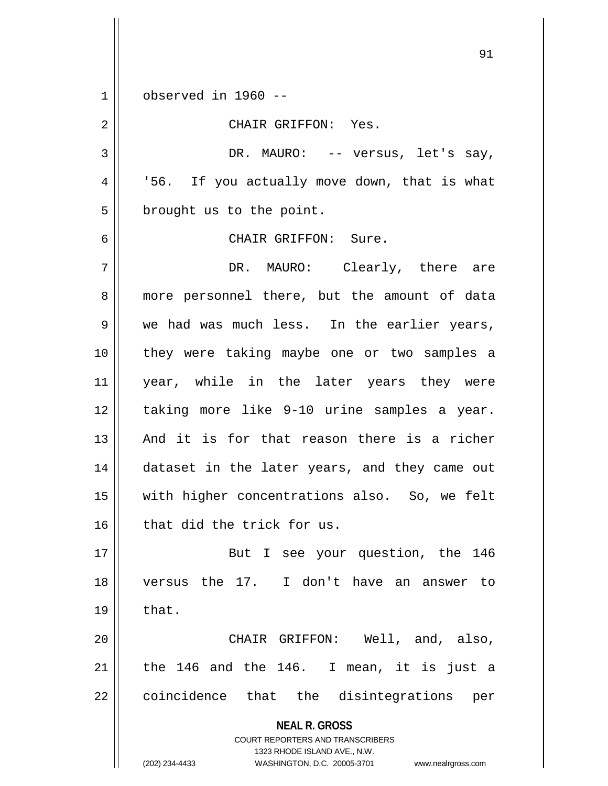1 observed in 1960 --

2 || CHAIR GRIFFON: Yes. 3 DR. MAURO: -- versus, let's say, 4 || '56. If you actually move down, that is what 5 | brought us to the point. 6 CHAIR GRIFFON: Sure. 7 DR. MAURO: Clearly, there are 8 || more personnel there, but the amount of data  $9 \parallel$  we had was much less. In the earlier years, 10 they were taking maybe one or two samples a 11 || year, while in the later years they were 12 taking more like 9-10 urine samples a year. 13 || And it is for that reason there is a richer 14 || dataset in the later years, and they came out 15 with higher concentrations also. So, we felt  $16$  that did the trick for us.

17 || But I see your question, the 146 18 versus the 17. I don't have an answer to  $19 \parallel$  that.

20 CHAIR GRIFFON: Well, and, also, 21  $\parallel$  the 146 and the 146. I mean, it is just a 22 || coincidence that the disintegrations per

> **NEAL R. GROSS** COURT REPORTERS AND TRANSCRIBERS 1323 RHODE ISLAND AVE., N.W. (202) 234-4433 WASHINGTON, D.C. 20005-3701 www.nealrgross.com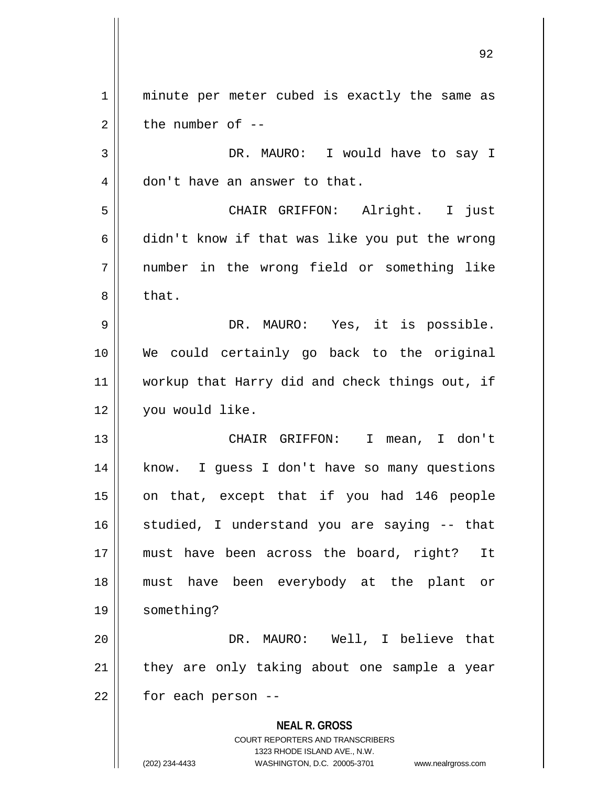**NEAL R. GROSS** COURT REPORTERS AND TRANSCRIBERS 1323 RHODE ISLAND AVE., N.W. (202) 234-4433 WASHINGTON, D.C. 20005-3701 www.nealrgross.com 1 || minute per meter cubed is exactly the same as  $2 \parallel$  the number of  $-$ 3 DR. MAURO: I would have to say I 4 || don't have an answer to that. 5 CHAIR GRIFFON: Alright. I just  $6 \parallel$  didn't know if that was like you put the wrong 7 number in the wrong field or something like  $8 \parallel$  that. 9 DR. MAURO: Yes, it is possible. 10 We could certainly go back to the original 11 || workup that Harry did and check things out, if 12 you would like. 13 CHAIR GRIFFON: I mean, I don't 14 || know. I guess I don't have so many questions 15 || on that, except that if you had 146 people 16 || studied, I understand you are saying -- that 17 must have been across the board, right? It 18 must have been everybody at the plant or 19 something? 20 DR. MAURO: Well, I believe that  $21$  they are only taking about one sample a year  $22$  | for each person --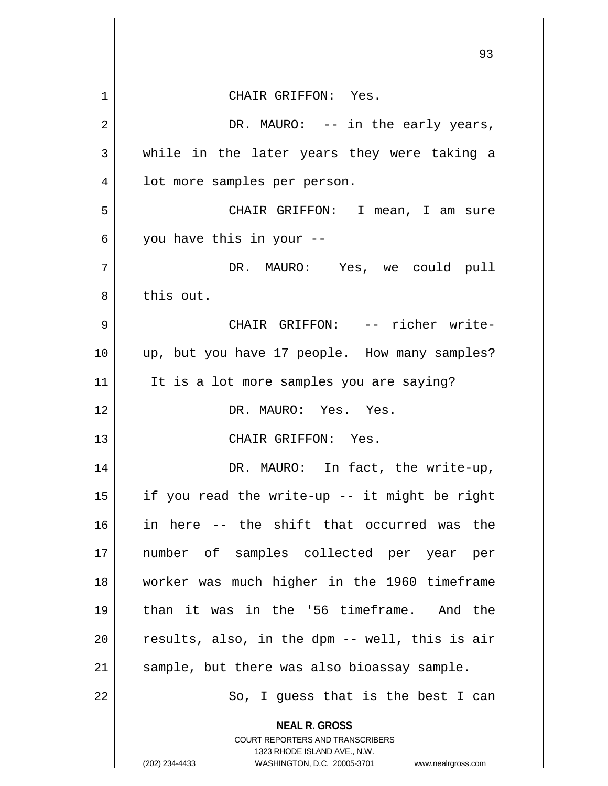|             | 93                                                                                                                                                                     |
|-------------|------------------------------------------------------------------------------------------------------------------------------------------------------------------------|
| $\mathbf 1$ | CHAIR GRIFFON: Yes.                                                                                                                                                    |
| 2           | DR. MAURO: $--$ in the early years,                                                                                                                                    |
| 3           | while in the later years they were taking a                                                                                                                            |
| 4           | lot more samples per person.                                                                                                                                           |
| 5           | CHAIR GRIFFON: I mean, I am sure                                                                                                                                       |
| 6           | you have this in your --                                                                                                                                               |
| 7           | DR. MAURO: Yes, we could pull                                                                                                                                          |
| 8           | this out.                                                                                                                                                              |
| 9           | CHAIR GRIFFON: -- richer write-                                                                                                                                        |
| 10          | up, but you have 17 people. How many samples?                                                                                                                          |
| 11          | It is a lot more samples you are saying?                                                                                                                               |
| 12          | DR. MAURO: Yes. Yes.                                                                                                                                                   |
| 13          | CHAIR GRIFFON: Yes.                                                                                                                                                    |
| 14          | DR. MAURO: In fact, the write-up,                                                                                                                                      |
| 15          | if you read the write-up -- it might be right                                                                                                                          |
| 16          | in here -- the shift that occurred was the                                                                                                                             |
| 17          | number of samples collected per year per                                                                                                                               |
| 18          | worker was much higher in the 1960 timeframe                                                                                                                           |
| 19          | than it was in the '56 timeframe. And the                                                                                                                              |
| 20          | results, also, in the dpm -- well, this is air                                                                                                                         |
| 21          | sample, but there was also bioassay sample.                                                                                                                            |
| 22          | So, I guess that is the best I can                                                                                                                                     |
|             | <b>NEAL R. GROSS</b><br><b>COURT REPORTERS AND TRANSCRIBERS</b><br>1323 RHODE ISLAND AVE., N.W.<br>(202) 234-4433<br>WASHINGTON, D.C. 20005-3701<br>www.nealrgross.com |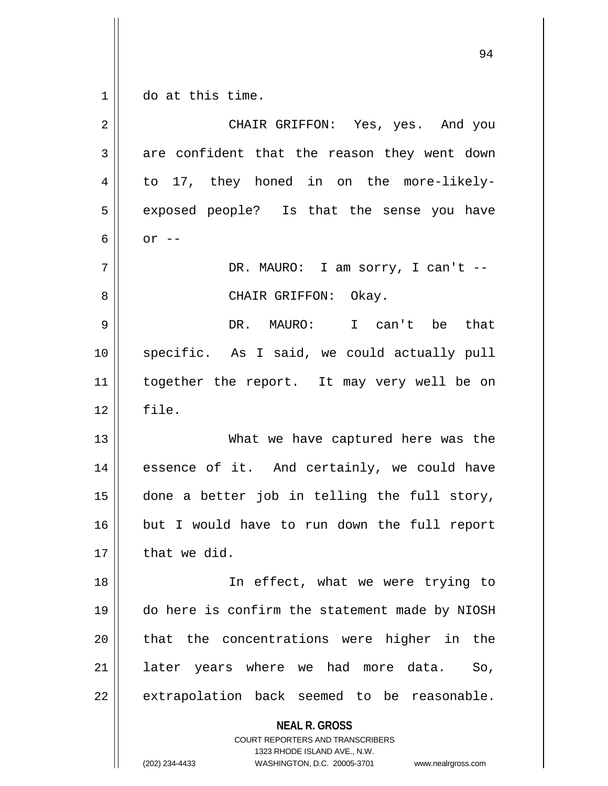$1 \parallel$  do at this time.

| $\overline{2}$ | CHAIR GRIFFON: Yes, yes. And you                                                                                                                                       |
|----------------|------------------------------------------------------------------------------------------------------------------------------------------------------------------------|
| 3              | are confident that the reason they went down                                                                                                                           |
| 4              | to 17, they honed in on the more-likely-                                                                                                                               |
| 5              | exposed people? Is that the sense you have                                                                                                                             |
| 6              | $or$ $--$                                                                                                                                                              |
| 7              | DR. MAURO: I am sorry, I can't --                                                                                                                                      |
| 8              | CHAIR GRIFFON: Okay.                                                                                                                                                   |
| 9              | DR. MAURO: I can't be<br>that                                                                                                                                          |
| 10             | specific. As I said, we could actually pull                                                                                                                            |
| 11             | together the report. It may very well be on                                                                                                                            |
| 12             | file.                                                                                                                                                                  |
| 13             | What we have captured here was the                                                                                                                                     |
| 14             | essence of it. And certainly, we could have                                                                                                                            |
| 15             | done a better job in telling the full story,                                                                                                                           |
| 16             | but I would have to run down the full report                                                                                                                           |
| 17             | that we did.                                                                                                                                                           |
| 18             | In effect, what we were trying to                                                                                                                                      |
| 19             | do here is confirm the statement made by NIOSH                                                                                                                         |
| 20             | that the concentrations were higher in the                                                                                                                             |
| 21             | later years where we had more data.<br>So,                                                                                                                             |
| 22             | extrapolation back seemed to be reasonable.                                                                                                                            |
|                | <b>NEAL R. GROSS</b><br><b>COURT REPORTERS AND TRANSCRIBERS</b><br>1323 RHODE ISLAND AVE., N.W.<br>(202) 234-4433<br>WASHINGTON, D.C. 20005-3701<br>www.nealrgross.com |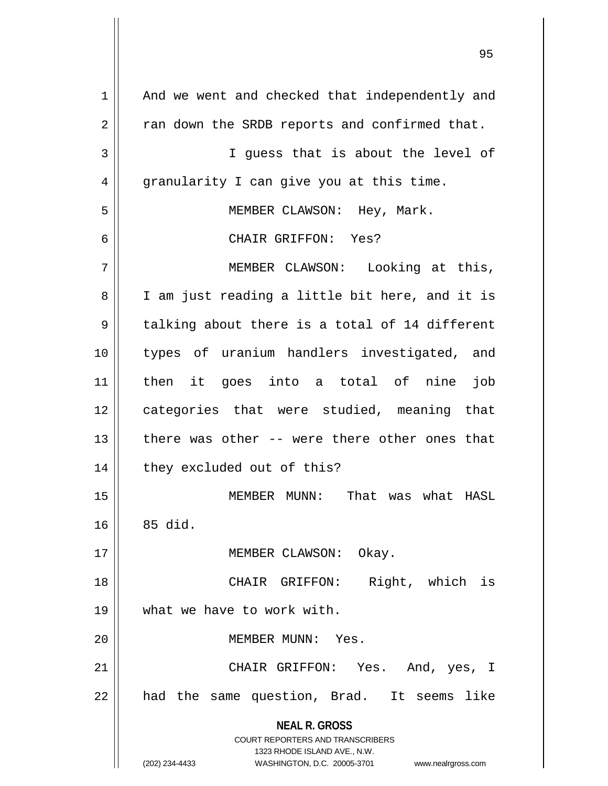**NEAL R. GROSS** COURT REPORTERS AND TRANSCRIBERS 1323 RHODE ISLAND AVE., N.W. (202) 234-4433 WASHINGTON, D.C. 20005-3701 www.nealrgross.com 1 || And we went and checked that independently and  $2 \parallel$  ran down the SRDB reports and confirmed that. 3 || I guess that is about the level of 4 || granularity I can give you at this time. 5 || MEMBER CLAWSON: Hey, Mark. 6 CHAIR GRIFFON: Yes? 7 || MEMBER CLAWSON: Looking at this, 8 || I am just reading a little bit here, and it is  $9 \parallel$  talking about there is a total of 14 different 10 types of uranium handlers investigated, and 11 then it goes into a total of nine job 12 || categories that were studied, meaning that 13 there was other -- were there other ones that 14 | they excluded out of this? 15 MEMBER MUNN: That was what HASL  $16 \parallel 85$  did. 17 || MEMBER CLAWSON: Okay. 18 || CHAIR GRIFFON: Right, which is 19 what we have to work with. 20 MEMBER MUNN: Yes. 21 CHAIR GRIFFON: Yes. And, yes, I  $22$  || had the same question, Brad. It seems like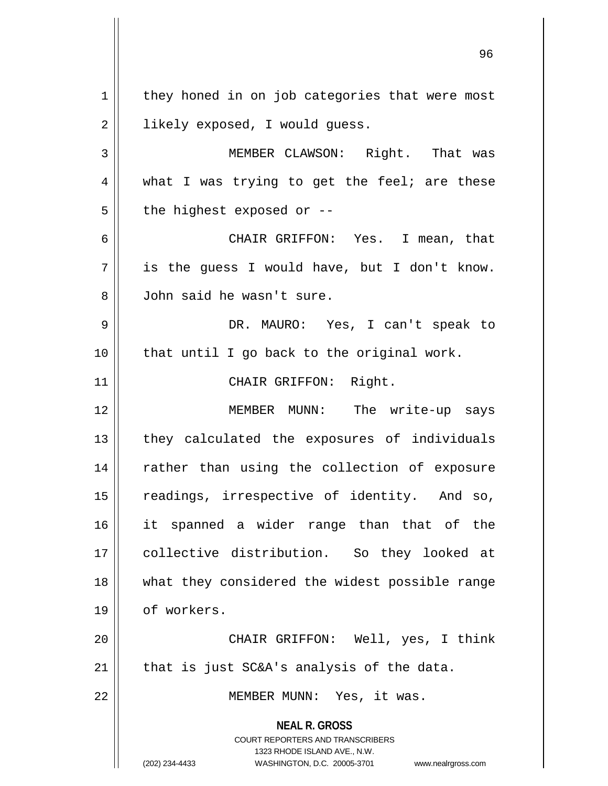**NEAL R. GROSS** COURT REPORTERS AND TRANSCRIBERS 1323 RHODE ISLAND AVE., N.W. (202) 234-4433 WASHINGTON, D.C. 20005-3701 www.nealrgross.com  $1 \parallel$  they honed in on job categories that were most 2 | likely exposed, I would guess. 3 MEMBER CLAWSON: Right. That was  $4 \parallel$  what I was trying to get the feel; are these  $5$  | the highest exposed or  $-$ -6 CHAIR GRIFFON: Yes. I mean, that  $7 \parallel$  is the quess I would have, but I don't know. 8 John said he wasn't sure. 9 DR. MAURO: Yes, I can't speak to  $10$  | that until I go back to the original work. 11 || CHAIR GRIFFON: Right. 12 MEMBER MUNN: The write-up says 13 || they calculated the exposures of individuals 14 || rather than using the collection of exposure 15 || readings, irrespective of identity. And so, 16 it spanned a wider range than that of the 17 collective distribution. So they looked at 18 || what they considered the widest possible range 19 | of workers. 20 CHAIR GRIFFON: Well, yes, I think 21  $\parallel$  that is just SC&A's analysis of the data. 22 || MEMBER MUNN: Yes, it was.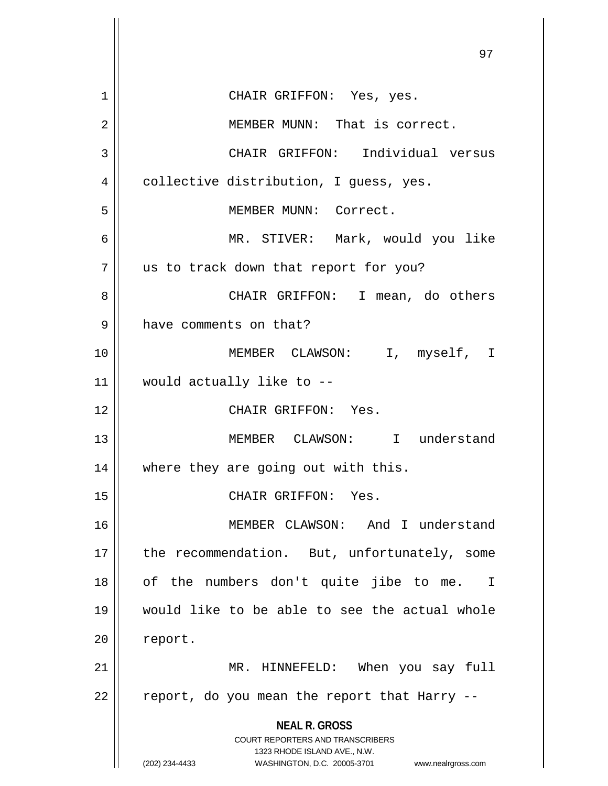**NEAL R. GROSS** COURT REPORTERS AND TRANSCRIBERS 1323 RHODE ISLAND AVE., N.W. (202) 234-4433 WASHINGTON, D.C. 20005-3701 www.nealrgross.com 1 CHAIR GRIFFON: Yes, yes. 2 MEMBER MUNN: That is correct. 3 CHAIR GRIFFON: Individual versus 4 | collective distribution, I guess, yes. 5 || MEMBER MUNN: Correct. 6 MR. STIVER: Mark, would you like 7 || us to track down that report for you? 8 CHAIR GRIFFON: I mean, do others 9 | have comments on that? 10 MEMBER CLAWSON: I, myself, I 11 would actually like to -- 12 CHAIR GRIFFON: Yes. 13 MEMBER CLAWSON: I understand 14 || where they are going out with this. 15 || CHAIR GRIFFON: Yes. 16 MEMBER CLAWSON: And I understand 17 || the recommendation. But, unfortunately, some 18 || of the numbers don't quite jibe to me. I 19 would like to be able to see the actual whole 20 | report. 21 MR. HINNEFELD: When you say full  $22$  || report, do you mean the report that Harry --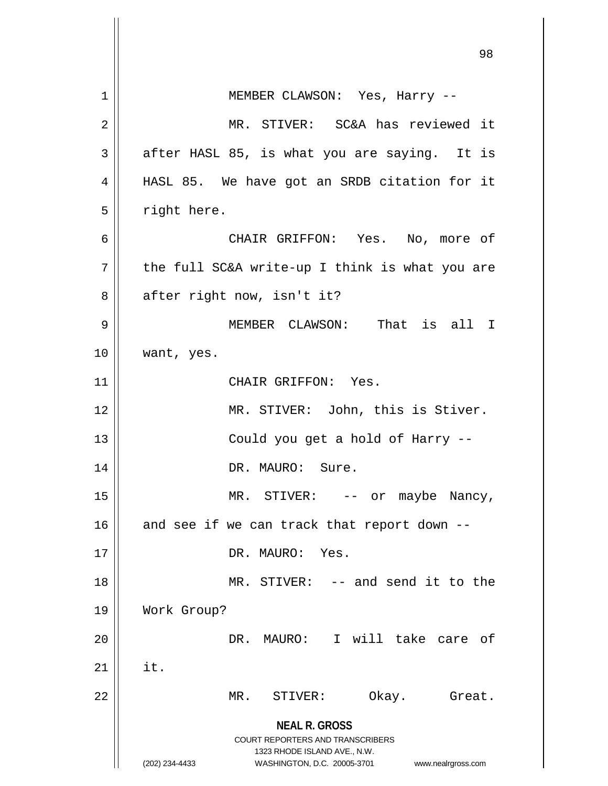|    | 98                                                                                                                                                                     |
|----|------------------------------------------------------------------------------------------------------------------------------------------------------------------------|
| 1  | MEMBER CLAWSON: Yes, Harry --                                                                                                                                          |
| 2  | MR. STIVER: SC&A has reviewed it                                                                                                                                       |
| 3  | after HASL 85, is what you are saying. It is                                                                                                                           |
| 4  | HASL 85. We have got an SRDB citation for it                                                                                                                           |
| 5  | right here.                                                                                                                                                            |
| 6  | CHAIR GRIFFON: Yes. No, more of                                                                                                                                        |
| 7  | the full SC&A write-up I think is what you are                                                                                                                         |
| 8  | after right now, isn't it?                                                                                                                                             |
| 9  | MEMBER CLAWSON: That is all I                                                                                                                                          |
| 10 | want, yes.                                                                                                                                                             |
| 11 | CHAIR GRIFFON: Yes.                                                                                                                                                    |
| 12 | MR. STIVER: John, this is Stiver.                                                                                                                                      |
| 13 | Could you get a hold of Harry --                                                                                                                                       |
| 14 | DR. MAURO: Sure.                                                                                                                                                       |
| 15 | MR. STIVER: -- or maybe Nancy,                                                                                                                                         |
| 16 | and see if we can track that report down --                                                                                                                            |
| 17 | DR. MAURO: Yes.                                                                                                                                                        |
| 18 | MR. STIVER: -- and send it to the                                                                                                                                      |
| 19 | Work Group?                                                                                                                                                            |
| 20 | DR. MAURO: I will take care of                                                                                                                                         |
| 21 | it.                                                                                                                                                                    |
| 22 | Okay.<br>MR.<br>STIVER:<br>Great.                                                                                                                                      |
|    | <b>NEAL R. GROSS</b><br><b>COURT REPORTERS AND TRANSCRIBERS</b><br>1323 RHODE ISLAND AVE., N.W.<br>WASHINGTON, D.C. 20005-3701<br>(202) 234-4433<br>www.nealrgross.com |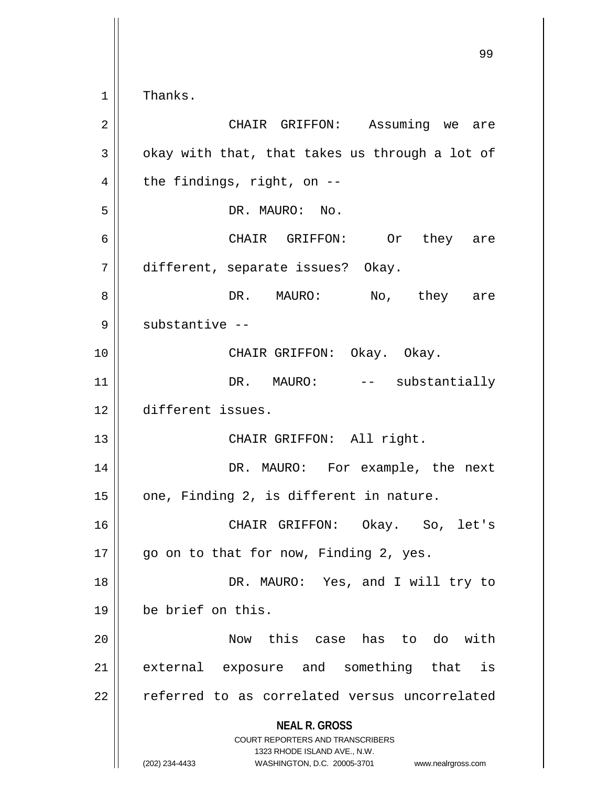Thanks.

| 2  | CHAIR GRIFFON: Assuming we are                                                                                                                                         |
|----|------------------------------------------------------------------------------------------------------------------------------------------------------------------------|
| 3  | okay with that, that takes us through a lot of                                                                                                                         |
| 4  | the findings, right, on --                                                                                                                                             |
| 5  | DR. MAURO: No.                                                                                                                                                         |
| 6  | CHAIR GRIFFON: Or they are                                                                                                                                             |
| 7  | different, separate issues? Okay.                                                                                                                                      |
| 8  | DR. MAURO: No, they are                                                                                                                                                |
| 9  | substantive --                                                                                                                                                         |
| 10 | CHAIR GRIFFON: Okay. Okay.                                                                                                                                             |
| 11 | DR. MAURO: -- substantially                                                                                                                                            |
| 12 | different issues.                                                                                                                                                      |
| 13 | CHAIR GRIFFON: All right.                                                                                                                                              |
| 14 | DR. MAURO: For example, the next                                                                                                                                       |
| 15 | one, Finding 2, is different in nature.                                                                                                                                |
| 16 | CHAIR GRIFFON: Okay. So, let's                                                                                                                                         |
| 17 | go on to that for now, Finding 2, yes.                                                                                                                                 |
| 18 | DR. MAURO: Yes, and I will try to                                                                                                                                      |
| 19 | be brief on this.                                                                                                                                                      |
| 20 | <b>Now</b><br>this case has to do with                                                                                                                                 |
| 21 | external exposure and something that<br>is                                                                                                                             |
| 22 | referred to as correlated versus uncorrelated                                                                                                                          |
|    | <b>NEAL R. GROSS</b><br><b>COURT REPORTERS AND TRANSCRIBERS</b><br>1323 RHODE ISLAND AVE., N.W.<br>(202) 234-4433<br>WASHINGTON, D.C. 20005-3701<br>www.nealrgross.com |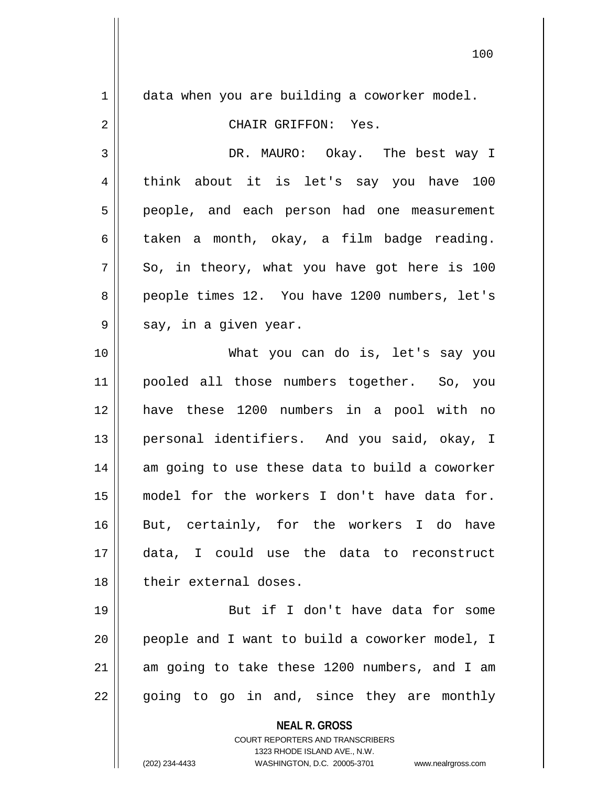**NEAL R. GROSS** COURT REPORTERS AND TRANSCRIBERS  $1 \parallel$  data when you are building a coworker model. 2 CHAIR GRIFFON: Yes. 3 DR. MAURO: Okay. The best way I 4 think about it is let's say you have 100 5 || people, and each person had one measurement  $6 \parallel$  taken a month, okay, a film badge reading.  $7 \parallel$  So, in theory, what you have got here is 100 8 || people times 12. You have 1200 numbers, let's  $9 \parallel$  say, in a given year. 10 What you can do is, let's say you 11 pooled all those numbers together. So, you 12 have these 1200 numbers in a pool with no 13 || personal identifiers. And you said, okay, I 14 am going to use these data to build a coworker 15 model for the workers I don't have data for. 16 But, certainly, for the workers I do have 17 data, I could use the data to reconstruct 18 designeright their external doses. 19 || But if I don't have data for some  $20$  || people and I want to build a coworker model, I  $21$  am going to take these 1200 numbers, and I am  $22 \parallel$  going to go in and, since they are monthly

1323 RHODE ISLAND AVE., N.W.

(202) 234-4433 WASHINGTON, D.C. 20005-3701 www.nealrgross.com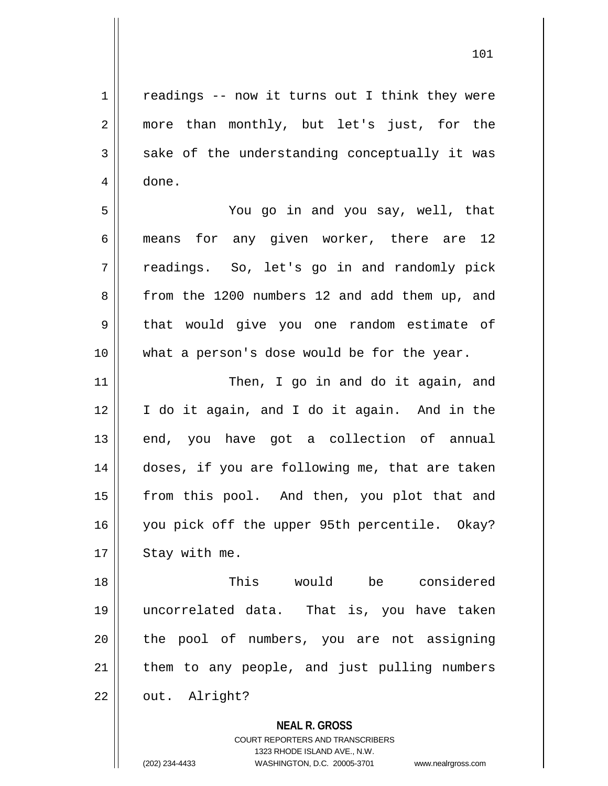$1 \parallel$  readings -- now it turns out I think they were 2 || more than monthly, but let's just, for the  $3 \parallel$  sake of the understanding conceptually it was 4 done.

5 You go in and you say, well, that 6 means for any given worker, there are 12 7 || readings. So, let's go in and randomly pick 8 from the 1200 numbers 12 and add them up, and 9 || that would give you one random estimate of 10 what a person's dose would be for the year.

11 || Then, I go in and do it again, and 12 I do it again, and I do it again. And in the  $13$  end, you have got a collection of annual 14 || doses, if you are following me, that are taken 15 || from this pool. And then, you plot that and 16 || you pick off the upper 95th percentile. Okay?  $17$  | Stay with me.

18 This would be considered 19 uncorrelated data. That is, you have taken 20 || the pool of numbers, you are not assigning  $21$  | them to any people, and just pulling numbers 22 | out. Alright?

**NEAL R. GROSS**

COURT REPORTERS AND TRANSCRIBERS 1323 RHODE ISLAND AVE., N.W. (202) 234-4433 WASHINGTON, D.C. 20005-3701 www.nealrgross.com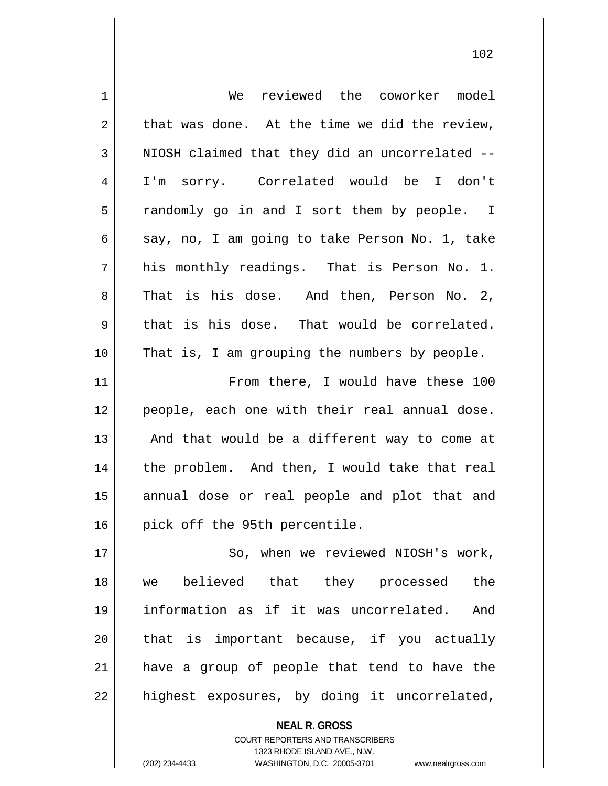| 1  | We reviewed the coworker model                           |
|----|----------------------------------------------------------|
| 2  | that was done. At the time we did the review,            |
| 3  | NIOSH claimed that they did an uncorrelated --           |
| 4  | I'm sorry. Correlated would be I don't                   |
| 5  | randomly go in and I sort them by people. I              |
| 6  | say, no, I am going to take Person No. 1, take           |
| 7  | his monthly readings. That is Person No. 1.              |
| 8  | That is his dose. And then, Person No. 2,                |
| 9  | that is his dose. That would be correlated.              |
| 10 | That is, I am grouping the numbers by people.            |
| 11 | From there, I would have these 100                       |
| 12 | people, each one with their real annual dose.            |
| 13 | And that would be a different way to come at             |
| 14 | the problem. And then, I would take that real            |
| 15 | annual dose or real people and plot that and             |
| 16 | pick off the 95th percentile.                            |
| 17 | So, when we reviewed NIOSH's work,                       |
| 18 | believed that they processed<br>the<br>we                |
| 19 | information as if it was uncorrelated.<br>And            |
| 20 | that is important because, if you actually               |
| 21 | have a group of people that tend to have the             |
| 22 | highest exposures, by doing it uncorrelated,             |
|    | <b>NEAL R. GROSS</b><br>COURT REPORTERS AND TRANSCRIBERS |

1323 RHODE ISLAND AVE., N.W.

 $\mathsf{II}$ 

(202) 234-4433 WASHINGTON, D.C. 20005-3701 www.nealrgross.com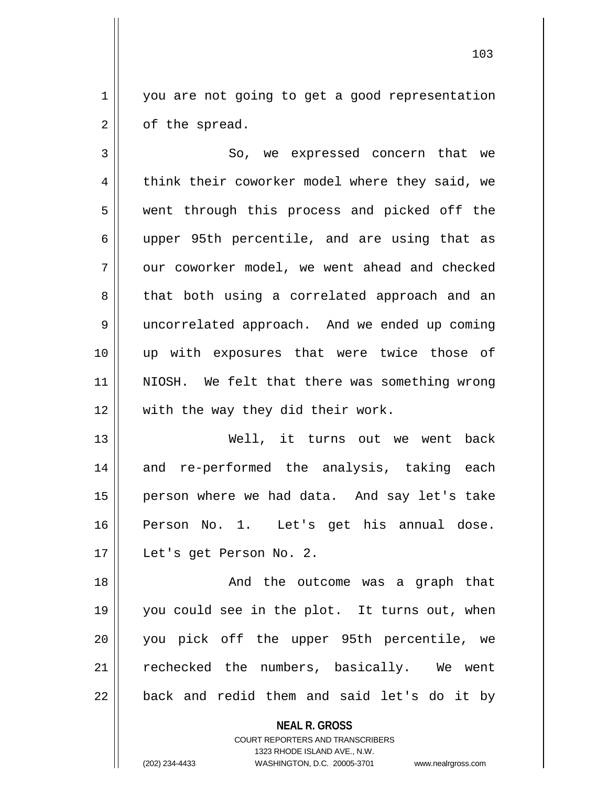1 you are not going to get a good representation  $2 \parallel$  of the spread.

3 So, we expressed concern that we 4 || think their coworker model where they said, we 5 || went through this process and picked off the 6 upper 95th percentile, and are using that as  $7 \parallel$  our coworker model, we went ahead and checked 8 || that both using a correlated approach and an 9 uncorrelated approach. And we ended up coming 10 up with exposures that were twice those of 11 NIOSH. We felt that there was something wrong 12 || with the way they did their work.

13 Well, it turns out we went back 14 and re-performed the analysis, taking each 15 || person where we had data. And say let's take 16 Person No. 1. Let's get his annual dose. 17 Let's get Person No. 2.

18 And the outcome was a graph that 19 you could see in the plot. It turns out, when 20 || you pick off the upper 95th percentile, we 21 || rechecked the numbers, basically. We went  $22$  || back and redid them and said let's do it by

**NEAL R. GROSS**

COURT REPORTERS AND TRANSCRIBERS 1323 RHODE ISLAND AVE., N.W. (202) 234-4433 WASHINGTON, D.C. 20005-3701 www.nealrgross.com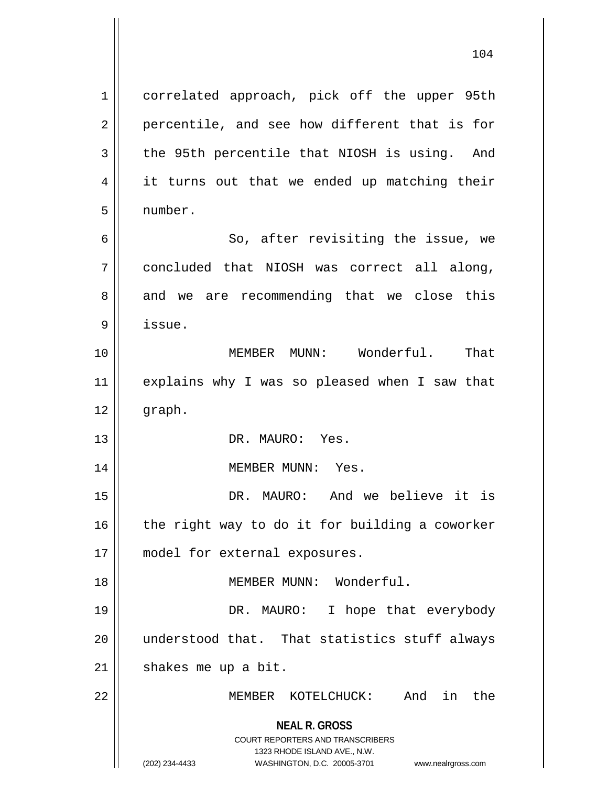**NEAL R. GROSS** COURT REPORTERS AND TRANSCRIBERS 1323 RHODE ISLAND AVE., N.W. (202) 234-4433 WASHINGTON, D.C. 20005-3701 www.nealrgross.com 1 | correlated approach, pick off the upper 95th  $2 \parallel$  percentile, and see how different that is for  $3 \parallel$  the 95th percentile that NIOSH is using. And 4 || it turns out that we ended up matching their 5 number. 6 || So, after revisiting the issue, we 7 concluded that NIOSH was correct all along,  $8 \parallel$  and we are recommending that we close this 9 issue. 10 MEMBER MUNN: Wonderful. That 11 || explains why I was so pleased when I saw that 12 graph. 13 DR. MAURO: Yes. 14 || MEMBER MUNN: Yes. 15 DR. MAURO: And we believe it is  $16$  the right way to do it for building a coworker 17 || model for external exposures. 18 MEMBER MUNN: Wonderful. 19 DR. MAURO: I hope that everybody 20 understood that. That statistics stuff always  $21$  shakes me up a bit. 22 MEMBER KOTELCHUCK: And in the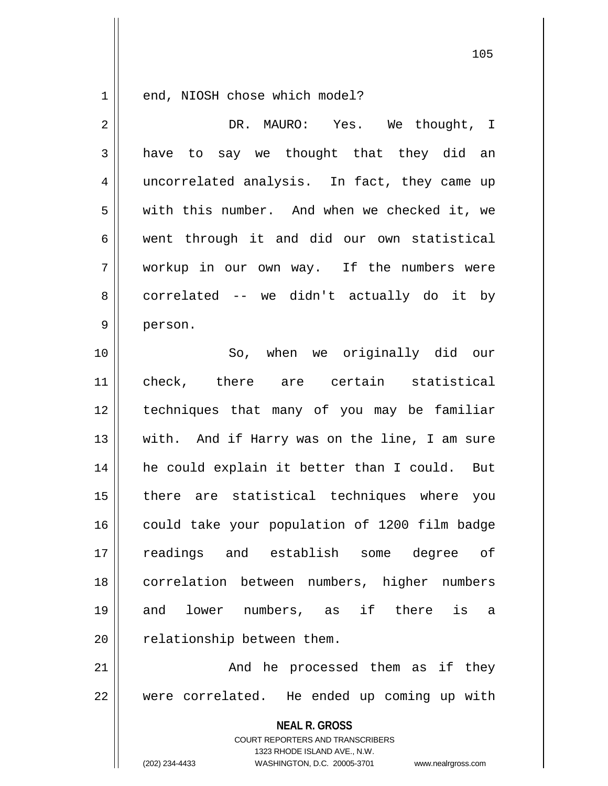1 end, NIOSH chose which model?

| $\overline{2}$ | DR. MAURO: Yes. We thought, I                                                                       |
|----------------|-----------------------------------------------------------------------------------------------------|
| 3              | have to say we thought that they did an                                                             |
| 4              | uncorrelated analysis. In fact, they came up                                                        |
| 5              | with this number. And when we checked it, we                                                        |
| 6              | went through it and did our own statistical                                                         |
| 7              | workup in our own way. If the numbers were                                                          |
| 8              | correlated -- we didn't actually do it by                                                           |
| $\mathsf 9$    | person.                                                                                             |
| 10             | So, when we originally did our                                                                      |
| 11             | check, there are certain statistical                                                                |
| 12             | techniques that many of you may be familiar                                                         |
| 13             | with. And if Harry was on the line, I am sure                                                       |
| 14             | he could explain it better than I could. But                                                        |
| 15             | there are statistical techniques where you                                                          |
| 16             | could take your population of 1200 film badge                                                       |
| 17             | readings and establish some degree of                                                               |
| 18             | correlation between numbers, higher numbers                                                         |
| 19             | lower numbers, as if there is<br>and<br>a                                                           |
| 20             | relationship between them.                                                                          |
| 21             | And he processed them as if they                                                                    |
| 22             | were correlated. He ended up coming up with                                                         |
|                | <b>NEAL R. GROSS</b>                                                                                |
|                | COURT REPORTERS AND TRANSCRIBERS                                                                    |
|                | 1323 RHODE ISLAND AVE., N.W.<br>(202) 234-4433<br>WASHINGTON, D.C. 20005-3701<br>www.nealrgross.com |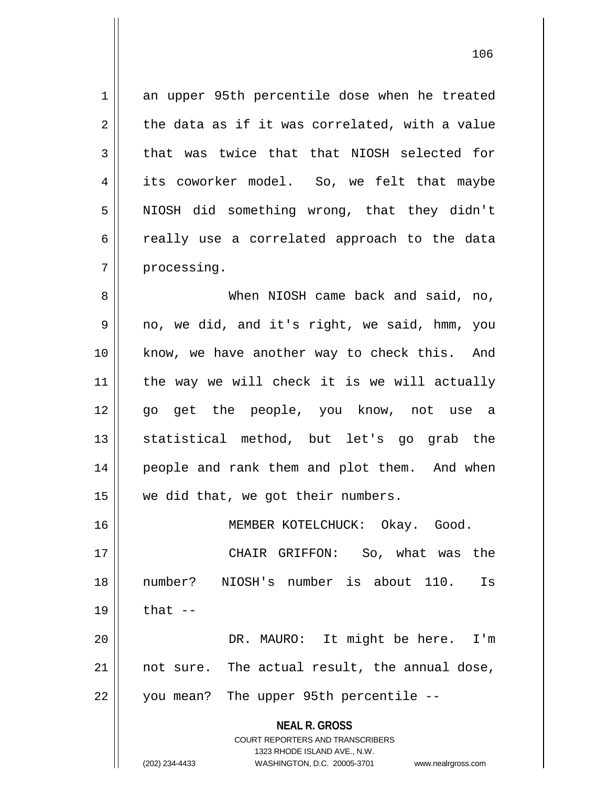1 an upper 95th percentile dose when he treated  $2 \parallel$  the data as if it was correlated, with a value  $3 \parallel$  that was twice that that NIOSH selected for 4 its coworker model. So, we felt that maybe 5 || NIOSH did something wrong, that they didn't 6 cally use a correlated approach to the data 7 | processing. 8 When NIOSH came back and said, no, 9 no, we did, and it's right, we said, hmm, you 10 know, we have another way to check this. And

11 the way we will check it is we will actually 12 go get the people, you know, not use a 13 || statistical method, but let's go grab the 14 || people and rank them and plot them. And when 15 || we did that, we got their numbers. 16 MEMBER KOTELCHUCK: Okay. Good.

17 CHAIR GRIFFON: So, what was the 18 number? NIOSH's number is about 110. Is  $19 \parallel$  that  $-$ 

20 DR. MAURO: It might be here. I'm  $21$  || not sure. The actual result, the annual dose, 22 || you mean? The upper 95th percentile --

> **NEAL R. GROSS** COURT REPORTERS AND TRANSCRIBERS

> > 1323 RHODE ISLAND AVE., N.W.

(202) 234-4433 WASHINGTON, D.C. 20005-3701 www.nealrgross.com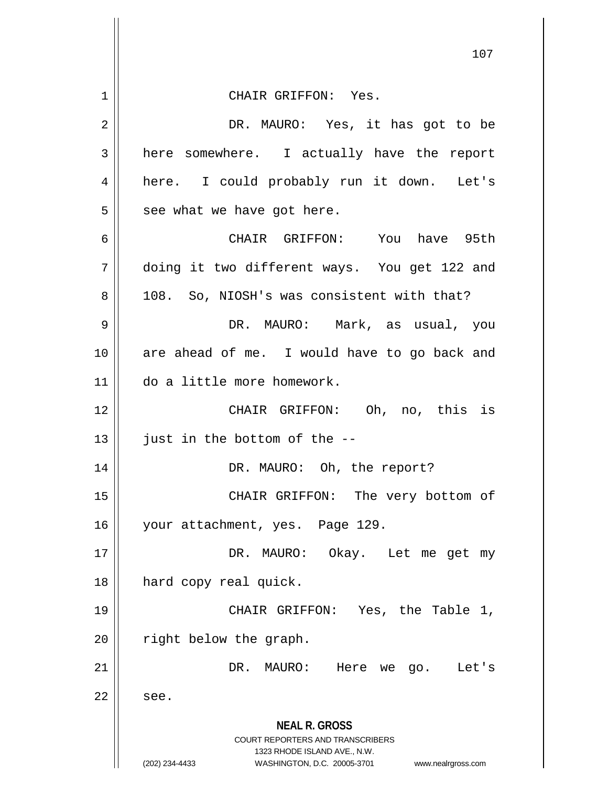**NEAL R. GROSS** COURT REPORTERS AND TRANSCRIBERS 1323 RHODE ISLAND AVE., N.W. (202) 234-4433 WASHINGTON, D.C. 20005-3701 www.nealrgross.com 107 1 CHAIR GRIFFON: Yes. 2 DR. MAURO: Yes, it has got to be 3 | here somewhere. I actually have the report 4 here. I could probably run it down. Let's  $5 \parallel$  see what we have got here. 6 CHAIR GRIFFON: You have 95th 7 doing it two different ways. You get 122 and 8 || 108. So, NIOSH's was consistent with that? 9 DR. MAURO: Mark, as usual, you 10 are ahead of me. I would have to go back and 11 do a little more homework. 12 CHAIR GRIFFON: Oh, no, this is  $13$  | just in the bottom of the  $-$ 14 || DR. MAURO: Oh, the report? 15 || CHAIR GRIFFON: The very bottom of 16 | your attachment, yes. Page 129. 17 || DR. MAURO: Okay. Let me get my 18 || hard copy real quick. 19 CHAIR GRIFFON: Yes, the Table 1,  $20$  | right below the graph. 21 || DR. MAURO: Here we go. Let's  $22 \parallel$  see.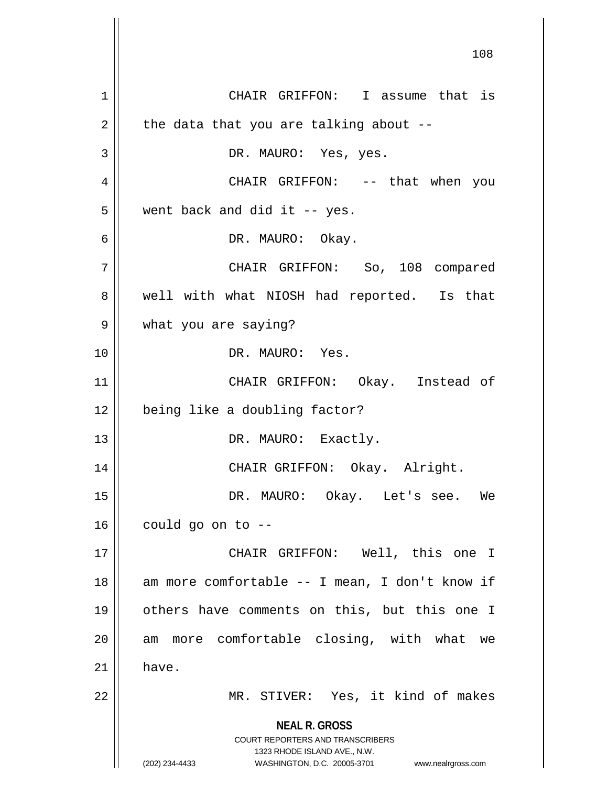**NEAL R. GROSS** COURT REPORTERS AND TRANSCRIBERS 1323 RHODE ISLAND AVE., N.W. (202) 234-4433 WASHINGTON, D.C. 20005-3701 www.nealrgross.com 1 | CHAIR GRIFFON: I assume that is  $2 \parallel$  the data that you are talking about --3 DR. MAURO: Yes, yes. 4 CHAIR GRIFFON: -- that when you  $5 \parallel$  went back and did it -- yes. 6 DR. MAURO: Okay. 7 CHAIR GRIFFON: So, 108 compared 8 well with what NIOSH had reported. Is that 9 what you are saying? 10 DR. MAURO: Yes. 11 CHAIR GRIFFON: Okay. Instead of 12 being like a doubling factor? 13 || DR. MAURO: Exactly. 14 CHAIR GRIFFON: Okay. Alright. 15 DR. MAURO: Okay. Let's see. We  $16$  | could go on to  $-$ 17 CHAIR GRIFFON: Well, this one I  $18$  || am more comfortable -- I mean, I don't know if 19 others have comments on this, but this one I 20 || am more comfortable closing, with what we  $21 \parallel$  have. 22 || MR. STIVER: Yes, it kind of makes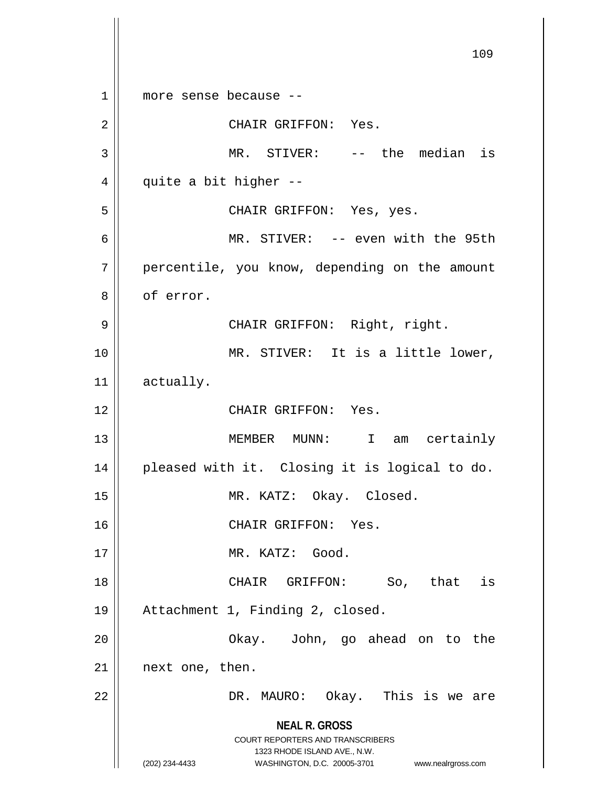**NEAL R. GROSS** COURT REPORTERS AND TRANSCRIBERS 1323 RHODE ISLAND AVE., N.W. (202) 234-4433 WASHINGTON, D.C. 20005-3701 www.nealrgross.com 109 1 more sense because -- 2 || CHAIR GRIFFON: Yes. 3 || MR. STIVER: -- the median is  $4 \parallel$  quite a bit higher --5 CHAIR GRIFFON: Yes, yes. 6 MR. STIVER: -- even with the 95th 7 | percentile, you know, depending on the amount 8 | of error. 9 CHAIR GRIFFON: Right, right. 10 || MR. STIVER: It is a little lower, 11 actually. 12 CHAIR GRIFFON: Yes. 13 MEMBER MUNN: I am certainly 14 || pleased with it. Closing it is logical to do. 15 || MR. KATZ: Okay. Closed. 16 || CHAIR GRIFFON: Yes. 17 || MR. KATZ: Good. 18 CHAIR GRIFFON: So, that is 19 Attachment 1, Finding 2, closed. 20 Okay. John, go ahead on to the 21 || next one, then. 22 DR. MAURO: Okay. This is we are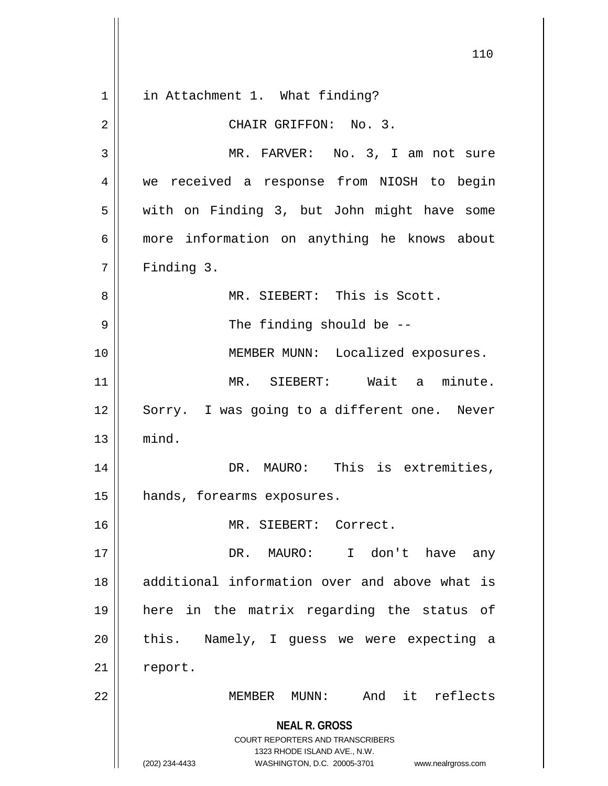**NEAL R. GROSS** COURT REPORTERS AND TRANSCRIBERS 1323 RHODE ISLAND AVE., N.W. (202) 234-4433 WASHINGTON, D.C. 20005-3701 www.nealrgross.com 1 || in Attachment 1. What finding? 2 || CHAIR GRIFFON: No. 3. 3 || MR. FARVER: No. 3, I am not sure 4 we received a response from NIOSH to begin 5 | with on Finding 3, but John might have some 6 more information on anything he knows about  $7 \parallel$  Finding 3. 8 || MR. SIEBERT: This is Scott. 9 || The finding should be --10 || MEMBER MUNN: Localized exposures. 11 MR. SIEBERT: Wait a minute. 12 || Sorry. I was going to a different one. Never  $13$   $\parallel$  mind. 14 || DR. MAURO: This is extremities, 15 hands, forearms exposures. 16 MR. SIEBERT: Correct. 17 DR. MAURO: I don't have any 18 additional information over and above what is 19 here in the matrix regarding the status of  $20$  || this. Namely, I guess we were expecting a 21 | report. 22 MEMBER MUNN: And it reflects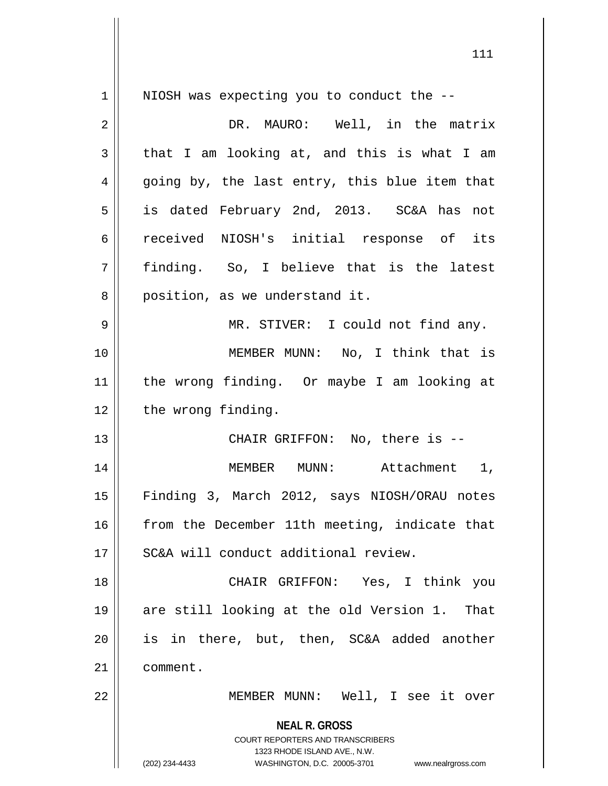**NEAL R. GROSS** COURT REPORTERS AND TRANSCRIBERS 1323 RHODE ISLAND AVE., N.W. (202) 234-4433 WASHINGTON, D.C. 20005-3701 www.nealrgross.com 1 || NIOSH was expecting you to conduct the --2 | NR. MAURO: Well, in the matrix  $3 \parallel$  that I am looking at, and this is what I am  $4 \parallel$  going by, the last entry, this blue item that 5 is dated February 2nd, 2013. SC&A has not 6 ceceived NIOSH's initial response of its 7 finding. So, I believe that is the latest 8 || position, as we understand it. 9 MR. STIVER: I could not find any. 10 MEMBER MUNN: No, I think that is 11 the wrong finding. Or maybe I am looking at 12 | the wrong finding. 13 || CHAIR GRIFFON: No, there is --14 || MEMBER MUNN: Attachment 1, 15 Finding 3, March 2012, says NIOSH/ORAU notes 16 from the December 11th meeting, indicate that 17 SC&A will conduct additional review. 18 CHAIR GRIFFON: Yes, I think you 19 are still looking at the old Version 1. That 20 is in there, but, then, SC&A added another 21 | comment. 22 MEMBER MUNN: Well, I see it over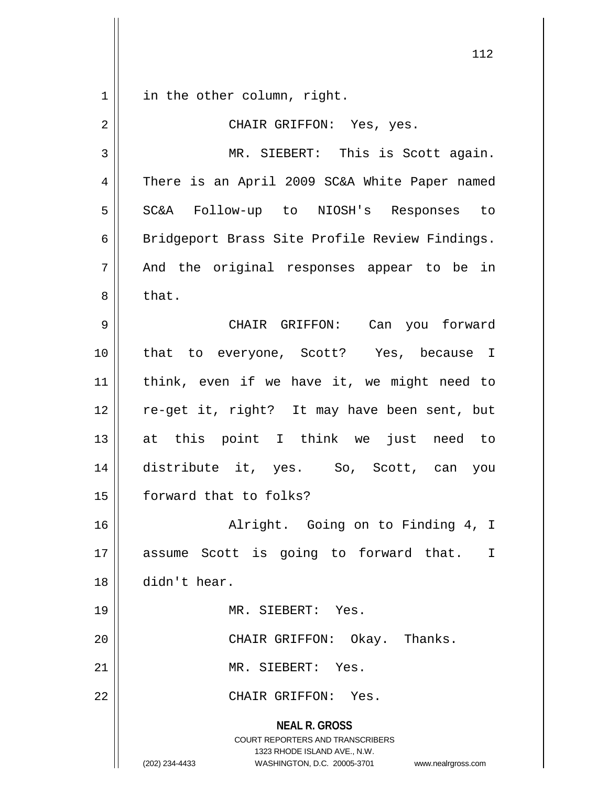in the other column, right.

| $\overline{2}$ | CHAIR GRIFFON: Yes, yes.                                                                                                                                               |
|----------------|------------------------------------------------------------------------------------------------------------------------------------------------------------------------|
| 3              | MR. SIEBERT: This is Scott again.                                                                                                                                      |
| 4              | There is an April 2009 SC&A White Paper named                                                                                                                          |
| 5              | SC&A Follow-up to NIOSH's Responses to                                                                                                                                 |
| 6              | Bridgeport Brass Site Profile Review Findings.                                                                                                                         |
| 7              | And the original responses appear to be in                                                                                                                             |
| 8              | that.                                                                                                                                                                  |
| 9              | CHAIR GRIFFON: Can you forward                                                                                                                                         |
| 10             | that to everyone, Scott? Yes, because I                                                                                                                                |
| 11             | think, even if we have it, we might need to                                                                                                                            |
| 12             | re-get it, right? It may have been sent, but                                                                                                                           |
| 13             | at this point I think we just need to                                                                                                                                  |
| 14             | distribute it, yes. So, Scott, can you                                                                                                                                 |
| 15             | forward that to folks?                                                                                                                                                 |
| 16             | Alright. Going on to Finding 4, I                                                                                                                                      |
| 17             | is going to forward that.<br>Scott<br>Ι<br>assume                                                                                                                      |
| 18             | didn't hear.                                                                                                                                                           |
| 19             | MR. SIEBERT: Yes.                                                                                                                                                      |
| 20             | CHAIR GRIFFON: Okay. Thanks.                                                                                                                                           |
| 21             | MR. SIEBERT: Yes.                                                                                                                                                      |
| 22             | CHAIR GRIFFON: Yes.                                                                                                                                                    |
|                | <b>NEAL R. GROSS</b><br><b>COURT REPORTERS AND TRANSCRIBERS</b><br>1323 RHODE ISLAND AVE., N.W.<br>(202) 234-4433<br>WASHINGTON, D.C. 20005-3701<br>www.nealrgross.com |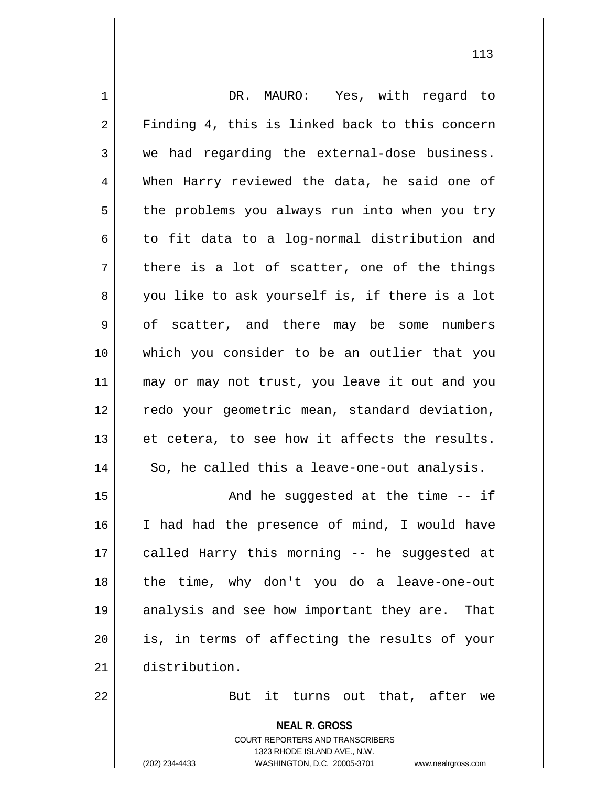| $\mathbf 1$ | DR. MAURO: Yes, with regard to                           |
|-------------|----------------------------------------------------------|
| 2           | Finding 4, this is linked back to this concern           |
| 3           | we had regarding the external-dose business.             |
| 4           | When Harry reviewed the data, he said one of             |
| 5           | the problems you always run into when you try            |
| 6           | to fit data to a log-normal distribution and             |
| 7           | there is a lot of scatter, one of the things             |
| 8           | you like to ask yourself is, if there is a lot           |
| 9           | of scatter, and there may be some<br>numbers             |
| 10          | which you consider to be an outlier that you             |
| 11          | may or may not trust, you leave it out and you           |
| 12          | redo your geometric mean, standard deviation,            |
| 13          | et cetera, to see how it affects the results.            |
| 14          | So, he called this a leave-one-out analysis.             |
| 15          | And he suggested at the time $-$ - if                    |
| 16          | I had had the presence of mind, I would have             |
| 17          | called Harry this morning -- he suggested at             |
| 18          | the time, why don't you do a leave-one-out               |
| 19          | analysis and see how important they are. That            |
| 20          | is, in terms of affecting the results of your            |
| 21          | distribution.                                            |
| 22          | But it turns out that, after we                          |
|             | <b>NEAL R. GROSS</b><br>COURT REPORTERS AND TRANSCRIBERS |

1323 RHODE ISLAND AVE., N.W.

 $\mathop{\text{||}}$ 

(202) 234-4433 WASHINGTON, D.C. 20005-3701 www.nealrgross.com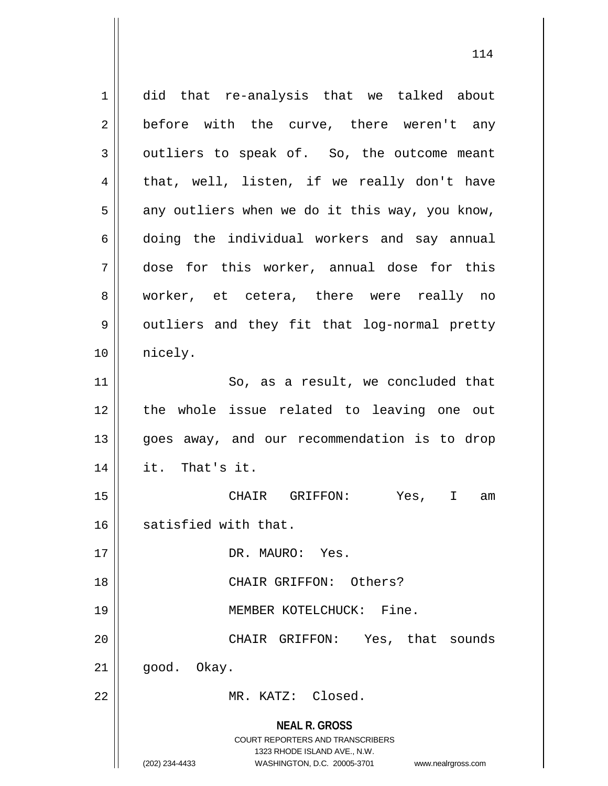**NEAL R. GROSS** COURT REPORTERS AND TRANSCRIBERS 1323 RHODE ISLAND AVE., N.W. (202) 234-4433 WASHINGTON, D.C. 20005-3701 www.nealrgross.com 1 did that re-analysis that we talked about  $2 \parallel$  before with the curve, there weren't any  $3 \parallel$  outliers to speak of. So, the outcome meant  $4 \parallel$  that, well, listen, if we really don't have  $5 \parallel$  any outliers when we do it this way, you know, 6 doing the individual workers and say annual 7 dose for this worker, annual dose for this 8 || worker, et cetera, there were really no 9 | outliers and they fit that log-normal pretty 10 || nicely. 11 || So, as a result, we concluded that 12 the whole issue related to leaving one out 13 || goes away, and our recommendation is to drop  $14$  || it. That's it. 15 CHAIR GRIFFON: Yes, I am 16 | satisfied with that. 17 || DR. MAURO: Yes. 18 CHAIR GRIFFON: Others? 19 || MEMBER KOTELCHUCK: Fine. 20 CHAIR GRIFFON: Yes, that sounds  $21 \parallel$  good. Okay. 22 MR. KATZ: Closed.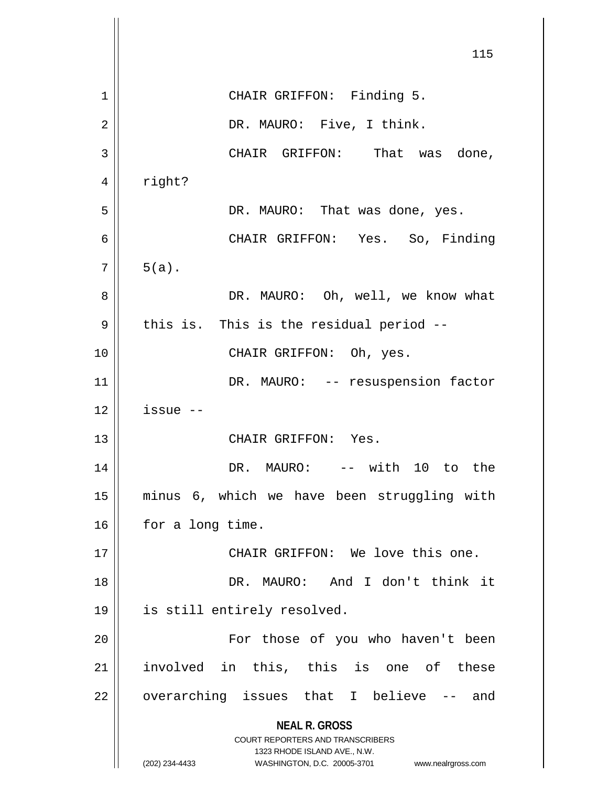|    | 115                                                                                                                                                             |
|----|-----------------------------------------------------------------------------------------------------------------------------------------------------------------|
| 1  | CHAIR GRIFFON: Finding 5.                                                                                                                                       |
| 2  | DR. MAURO: Five, I think.                                                                                                                                       |
| 3  | CHAIR GRIFFON: That was done,                                                                                                                                   |
| 4  | right?                                                                                                                                                          |
| 5  | DR. MAURO: That was done, yes.                                                                                                                                  |
| 6  | CHAIR GRIFFON: Yes. So, Finding                                                                                                                                 |
| 7  | $5(a)$ .                                                                                                                                                        |
| 8  | DR. MAURO: Oh, well, we know what                                                                                                                               |
| 9  | this is. This is the residual period --                                                                                                                         |
| 10 | CHAIR GRIFFON: Oh, yes.                                                                                                                                         |
| 11 | DR. MAURO: -- resuspension factor                                                                                                                               |
| 12 | issue --                                                                                                                                                        |
| 13 | CHAIR GRIFFON: Yes.                                                                                                                                             |
| 14 | DR. MAURO: -- with 10 to the                                                                                                                                    |
| 15 | minus 6, which we have been struggling with                                                                                                                     |
| 16 | for a long time.                                                                                                                                                |
| 17 | CHAIR GRIFFON: We love this one.                                                                                                                                |
| 18 | DR. MAURO: And I don't think it                                                                                                                                 |
| 19 | is still entirely resolved.                                                                                                                                     |
| 20 | For those of you who haven't been                                                                                                                               |
| 21 | involved in this, this is one of these                                                                                                                          |
| 22 | overarching issues that I believe -- and                                                                                                                        |
|    | <b>NEAL R. GROSS</b><br>COURT REPORTERS AND TRANSCRIBERS<br>1323 RHODE ISLAND AVE., N.W.<br>(202) 234-4433<br>WASHINGTON, D.C. 20005-3701<br>www.nealrgross.com |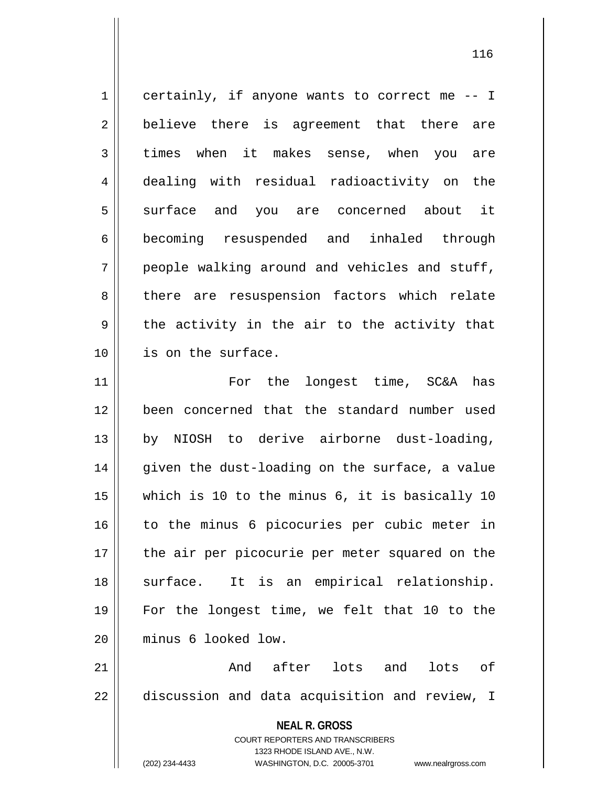1 certainly, if anyone wants to correct me -- I  $2 \parallel$  believe there is agreement that there are 3 times when it makes sense, when you are 4 dealing with residual radioactivity on the 5 surface and you are concerned about it 6 becoming resuspended and inhaled through  $7 \parallel$  people walking around and vehicles and stuff, 8 there are resuspension factors which relate  $9 \parallel$  the activity in the air to the activity that 10 || is on the surface. 11 || For the longest time, SC&A has 12 been concerned that the standard number used

13 by NIOSH to derive airborne dust-loading, 14 given the dust-loading on the surface, a value 15 which is 10 to the minus 6, it is basically 10 16 || to the minus 6 picocuries per cubic meter in 17 || the air per picocurie per meter squared on the 18 || surface. It is an empirical relationship. 19 For the longest time, we felt that 10 to the 20 minus 6 looked low.

21 And after lots and lots of  $22$   $\parallel$  discussion and data acquisition and review, I

> **NEAL R. GROSS** COURT REPORTERS AND TRANSCRIBERS

> > 1323 RHODE ISLAND AVE., N.W.

(202) 234-4433 WASHINGTON, D.C. 20005-3701 www.nealrgross.com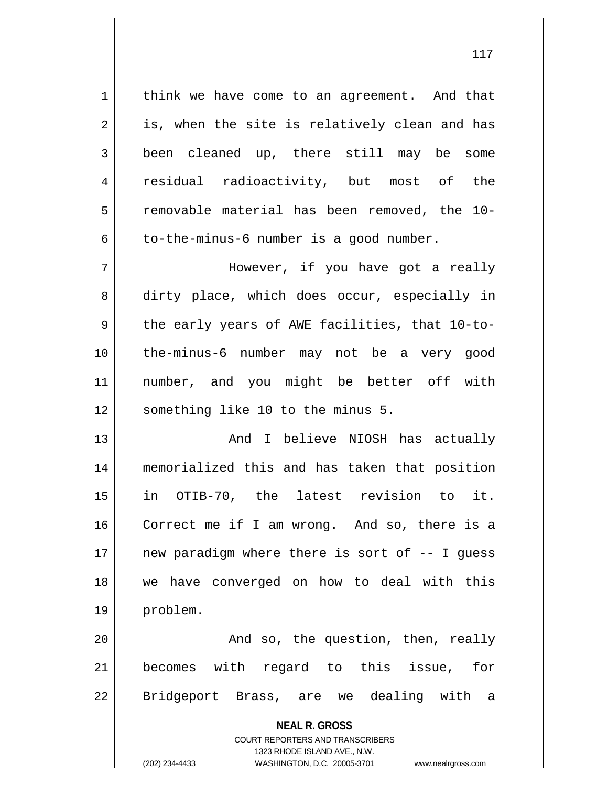1 | think we have come to an agreement. And that  $2 \parallel$  is, when the site is relatively clean and has 3 been cleaned up, there still may be some 4 || residual radioactivity, but most of the 5 | removable material has been removed, the 10- $6 \parallel$  to-the-minus-6 number is a good number.

7 However, if you have got a really 8 dirty place, which does occur, especially in  $9 \parallel$  the early years of AWE facilities, that 10-to-10 the-minus-6 number may not be a very good 11 number, and you might be better off with 12 || something like 10 to the minus 5.

 And I believe NIOSH has actually memorialized this and has taken that position in OTIB-70, the latest revision to it. Correct me if I am wrong. And so, there is a 17 || new paradigm where there is sort of -- I guess we have converged on how to deal with this 19 problem.

20 || And so, the question, then, really 21 becomes with regard to this issue, for 22 || Bridgeport Brass, are we dealing with a

## **NEAL R. GROSS** COURT REPORTERS AND TRANSCRIBERS 1323 RHODE ISLAND AVE., N.W.

(202) 234-4433 WASHINGTON, D.C. 20005-3701 www.nealrgross.com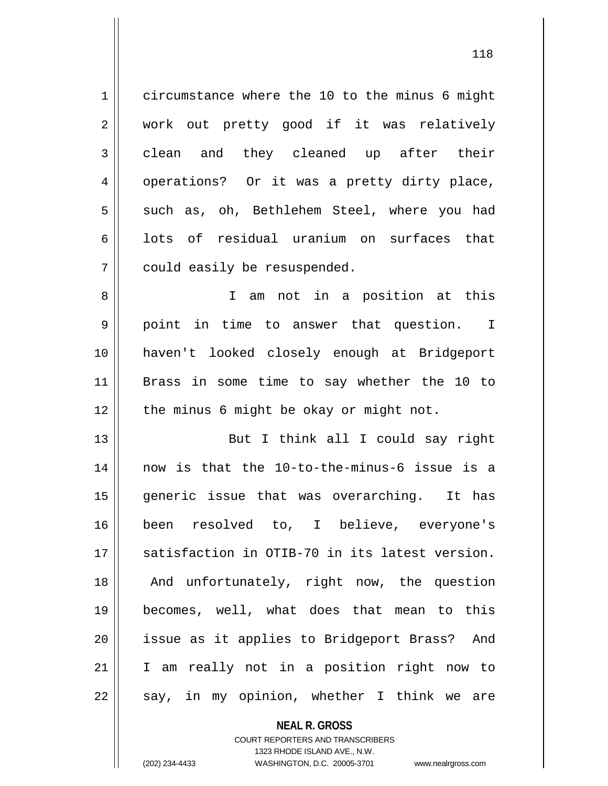1 circumstance where the 10 to the minus 6 might 2 || work out pretty good if it was relatively 3 clean and they cleaned up after their 4 || operations? Or it was a pretty dirty place, 5 || such as, oh, Bethlehem Steel, where you had  $6 \parallel$  lots of residual uranium on surfaces that 7 | could easily be resuspended. 8 || I am not in a position at this 9 point in time to answer that question. I 10 haven't looked closely enough at Bridgeport 11 Brass in some time to say whether the 10 to  $12$  | the minus 6 might be okay or might not. 13 || But I think all I could say right 14 now is that the 10-to-the-minus-6 issue is a 15 generic issue that was overarching. It has 16 been resolved to, I believe, everyone's 17 || satisfaction in OTIB-70 in its latest version.

18 || And unfortunately, right now, the question 19 becomes, well, what does that mean to this 20 || issue as it applies to Bridgeport Brass? And 21 I am really not in a position right now to  $22$  || say, in my opinion, whether I think we are

> **NEAL R. GROSS** COURT REPORTERS AND TRANSCRIBERS 1323 RHODE ISLAND AVE., N.W. (202) 234-4433 WASHINGTON, D.C. 20005-3701 www.nealrgross.com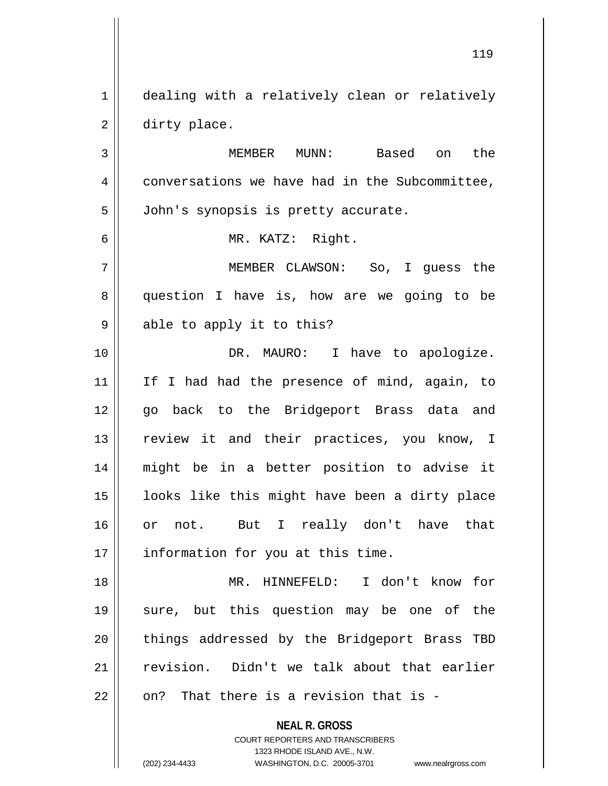1 | dealing with a relatively clean or relatively 2 | dirty place.

3 MEMBER MUNN: Based on the 4 conversations we have had in the Subcommittee, 5 | John's synopsis is pretty accurate.

6 MR. KATZ: Right.

7 MEMBER CLAWSON: So, I guess the 8 || question I have is, how are we going to be 9 || able to apply it to this?

10 DR. MAURO: I have to apologize. 11 If I had had the presence of mind, again, to 12 || qo back to the Bridgeport Brass data and 13 || review it and their practices, you know, I 14 might be in a better position to advise it 15 || looks like this might have been a dirty place 16 or not. But I really don't have that 17 | information for you at this time.

 MR. HINNEFELD: I don't know for sure, but this question may be one of the 20 || things addressed by the Bridgeport Brass TBD revision. Didn't we talk about that earlier  $\parallel$  on? That there is a revision that is -

**NEAL R. GROSS**

COURT REPORTERS AND TRANSCRIBERS 1323 RHODE ISLAND AVE., N.W. (202) 234-4433 WASHINGTON, D.C. 20005-3701 www.nealrgross.com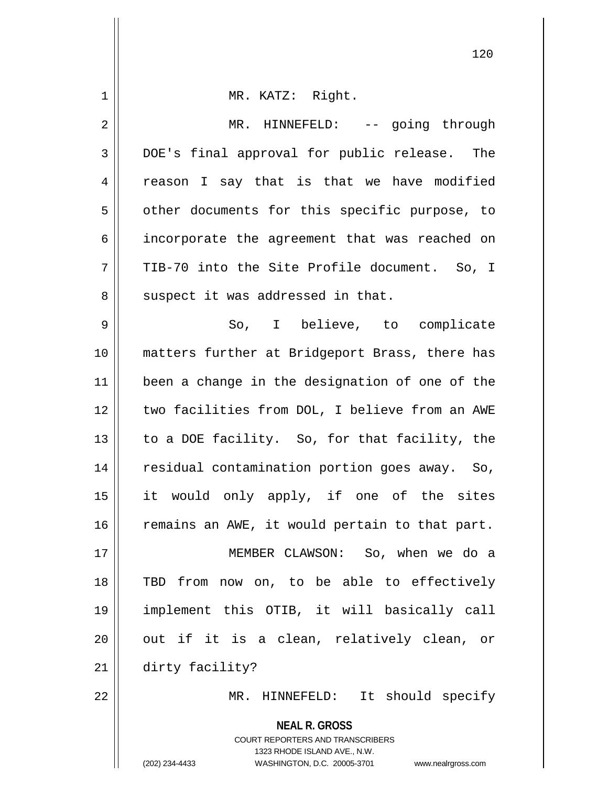| 1           | MR. KATZ: Right.                                                                                    |
|-------------|-----------------------------------------------------------------------------------------------------|
| $\mathbf 2$ | MR. HINNEFELD: -- going through                                                                     |
| 3           | DOE's final approval for public release. The                                                        |
| 4           | reason I say that is that we have modified                                                          |
| 5           | other documents for this specific purpose, to                                                       |
| 6           | incorporate the agreement that was reached on                                                       |
| 7           | TIB-70 into the Site Profile document. So, I                                                        |
| 8           | suspect it was addressed in that.                                                                   |
| 9           | So, I believe, to complicate                                                                        |
| 10          | matters further at Bridgeport Brass, there has                                                      |
| 11          | been a change in the designation of one of the                                                      |
| 12          | two facilities from DOL, I believe from an AWE                                                      |
| 13          | to a DOE facility. So, for that facility, the                                                       |
| 14          | residual contamination portion goes away. So,                                                       |
| 15          | it would only apply, if one of the sites                                                            |
| 16          | remains an AWE, it would pertain to that part.                                                      |
| 17          | MEMBER CLAWSON: So, when we do a                                                                    |
| 18          | TBD from now on, to be able to effectively                                                          |
| 19          | implement this OTIB, it will basically call                                                         |
| 20          | out if it is a clean, relatively clean, or                                                          |
| 21          | dirty facility?                                                                                     |
| 22          | MR. HINNEFELD: It should specify                                                                    |
|             | <b>NEAL R. GROSS</b>                                                                                |
|             | <b>COURT REPORTERS AND TRANSCRIBERS</b>                                                             |
|             | 1323 RHODE ISLAND AVE., N.W.<br>(202) 234-4433<br>WASHINGTON, D.C. 20005-3701<br>www.nealrgross.com |

 $\mathsf{I}$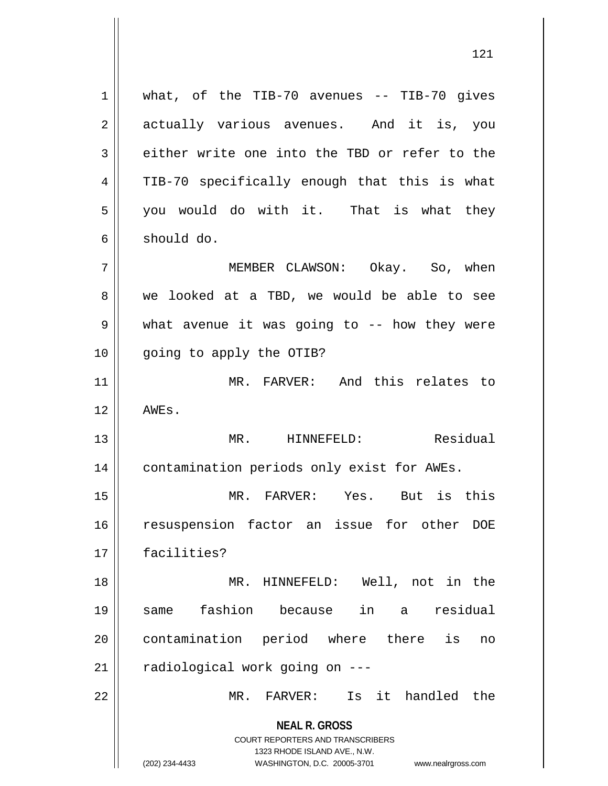**NEAL R. GROSS** COURT REPORTERS AND TRANSCRIBERS 1323 RHODE ISLAND AVE., N.W. (202) 234-4433 WASHINGTON, D.C. 20005-3701 www.nealrgross.com  $1 \parallel$  what, of the TIB-70 avenues -- TIB-70 gives 2 || actually various avenues. And it is, you 3 either write one into the TBD or refer to the 4 || TIB-70 specifically enough that this is what  $5 \parallel$  you would do with it. That is what they 6 should do. 7 MEMBER CLAWSON: Okay. So, when 8 we looked at a TBD, we would be able to see  $9 \parallel$  what avenue it was going to -- how they were 10 going to apply the OTIB? 11 MR. FARVER: And this relates to  $12 \parallel$  AWES. 13 MR. HINNEFELD: Residual 14 | contamination periods only exist for AWEs. 15 MR. FARVER: Yes. But is this 16 || resuspension factor an issue for other DOE 17 facilities? 18 MR. HINNEFELD: Well, not in the 19 same fashion because in a residual 20 contamination period where there is no  $21$  | radiological work going on  $--$ 22 MR. FARVER: Is it handled the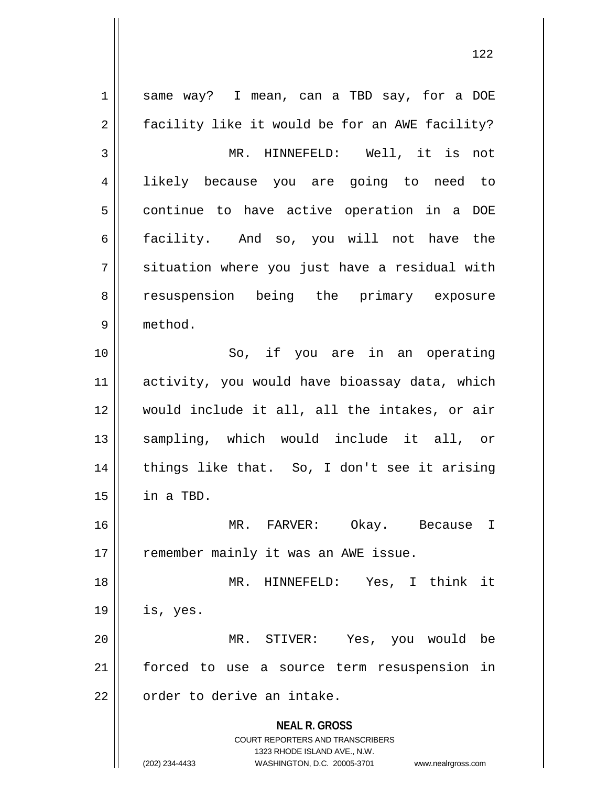**NEAL R. GROSS** COURT REPORTERS AND TRANSCRIBERS 1323 RHODE ISLAND AVE., N.W. (202) 234-4433 WASHINGTON, D.C. 20005-3701 www.nealrgross.com 1 || same way? I mean, can a TBD say, for a DOE 2 | facility like it would be for an AWE facility? 3 || MR. HINNEFELD: Well, it is not 4 likely because you are going to need to 5 | continue to have active operation in a DOE 6 facility. And so, you will not have the  $7 \parallel$  situation where you just have a residual with 8 || resuspension being the primary exposure 9 method. 10 || So, if you are in an operating 11 activity, you would have bioassay data, which 12 would include it all, all the intakes, or air 13 || sampling, which would include it all, or 14 || things like that. So, I don't see it arising  $15$  | in a TBD. 16 MR. FARVER: Okay. Because I 17 || remember mainly it was an AWE issue. 18 MR. HINNEFELD: Yes, I think it  $19$  | is, yes. 20 MR. STIVER: Yes, you would be 21 forced to use a source term resuspension in 22 | order to derive an intake.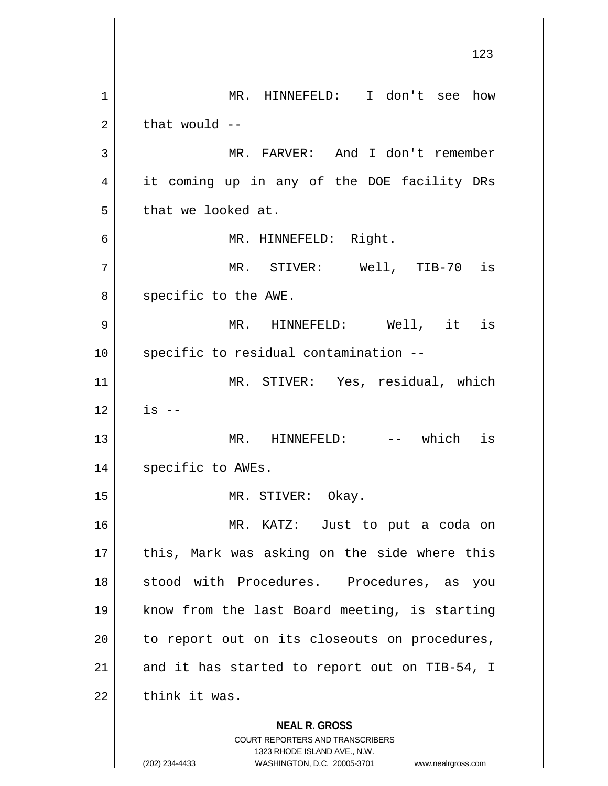**NEAL R. GROSS** COURT REPORTERS AND TRANSCRIBERS 1323 RHODE ISLAND AVE., N.W. 1 MR. HINNEFELD: I don't see how  $2 \parallel$  that would  $-$ 3 MR. FARVER: And I don't remember 4 || it coming up in any of the DOE facility DRs  $5$  | that we looked at. 6 MR. HINNEFELD: Right. 7 MR. STIVER: Well, TIB-70 is 8 || specific to the AWE. 9 || MR. HINNEFELD: Well, it is  $10$  | specific to residual contamination  $-$ 11 MR. STIVER: Yes, residual, which  $12$   $\parallel$  is  $-$ 13 || MR. HINNEFELD: -- which is 14 | specific to AWEs. 15 || MR. STIVER: Okay. 16 MR. KATZ: Just to put a coda on  $17$  | this, Mark was asking on the side where this 18 || stood with Procedures. Procedures, as you 19 know from the last Board meeting, is starting  $20$  | to report out on its closeouts on procedures, 21  $\parallel$  and it has started to report out on TIB-54, I  $22$   $\parallel$  think it was.

<sup>(202) 234-4433</sup> WASHINGTON, D.C. 20005-3701 www.nealrgross.com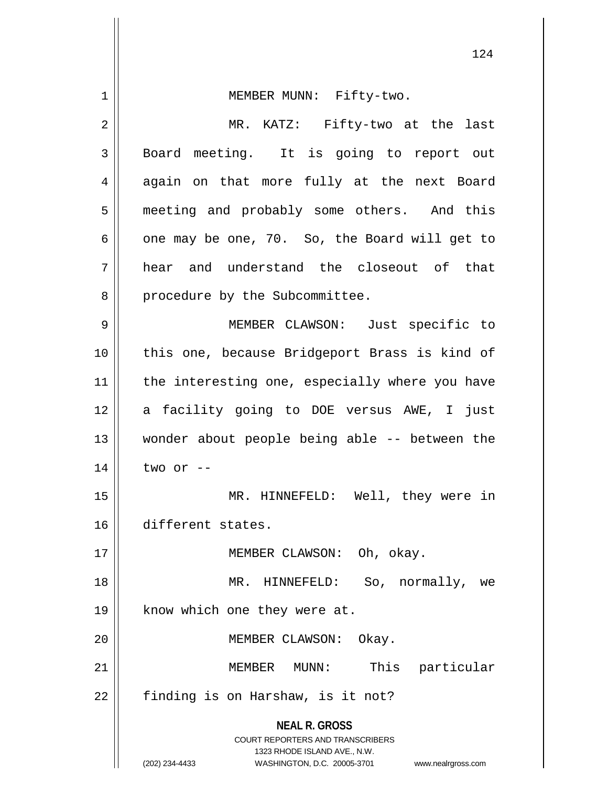| 1  | MEMBER MUNN: Fifty-two.                                                                                                                                                |
|----|------------------------------------------------------------------------------------------------------------------------------------------------------------------------|
| 2  | MR. KATZ: Fifty-two at the last                                                                                                                                        |
| 3  | Board meeting. It is going to report out                                                                                                                               |
| 4  | again on that more fully at the next Board                                                                                                                             |
| 5  | meeting and probably some others. And this                                                                                                                             |
| 6  | one may be one, 70. So, the Board will get to                                                                                                                          |
| 7  | hear and understand the closeout of that                                                                                                                               |
| 8  | procedure by the Subcommittee.                                                                                                                                         |
| 9  | MEMBER CLAWSON: Just specific to                                                                                                                                       |
| 10 | this one, because Bridgeport Brass is kind of                                                                                                                          |
| 11 | the interesting one, especially where you have                                                                                                                         |
| 12 | a facility going to DOE versus AWE, I just                                                                                                                             |
| 13 | wonder about people being able -- between the                                                                                                                          |
| 14 | two or --                                                                                                                                                              |
| 15 | MR. HINNEFELD: Well, they were in                                                                                                                                      |
| 16 | different states.                                                                                                                                                      |
| 17 | MEMBER CLAWSON: Oh, okay.                                                                                                                                              |
| 18 | So, normally,<br>MR. HINNEFELD:<br>we                                                                                                                                  |
| 19 | know which one they were at.                                                                                                                                           |
| 20 | MEMBER CLAWSON:<br>Okay.                                                                                                                                               |
| 21 | This particular<br>MEMBER MUNN:                                                                                                                                        |
| 22 | finding is on Harshaw, is it not?                                                                                                                                      |
|    | <b>NEAL R. GROSS</b><br><b>COURT REPORTERS AND TRANSCRIBERS</b><br>1323 RHODE ISLAND AVE., N.W.<br>WASHINGTON, D.C. 20005-3701<br>(202) 234-4433<br>www.nealrgross.com |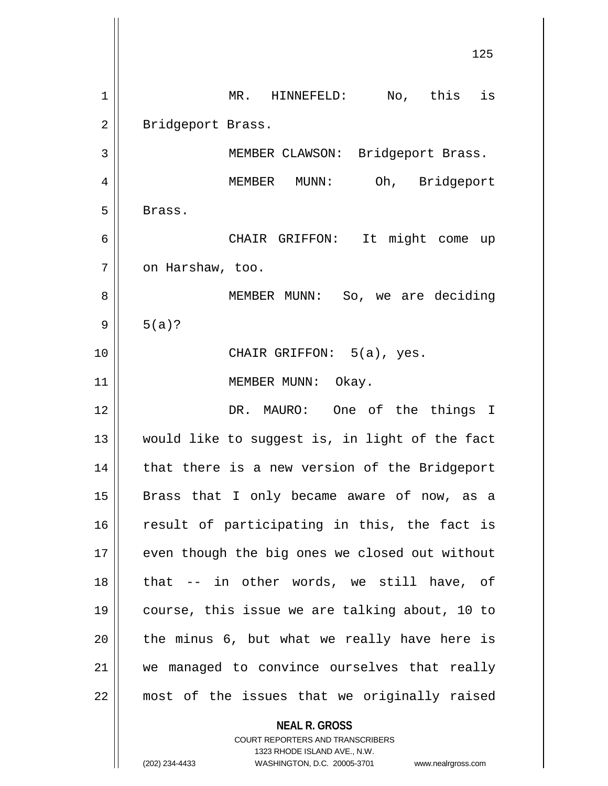**NEAL R. GROSS** 125 1 || MR. HINNEFELD: No, this is 2 || Bridgeport Brass. 3 || MEMBER CLAWSON: Bridgeport Brass. 4 MEMBER MUNN: Oh, Bridgeport  $5 \parallel$  Brass. 6 CHAIR GRIFFON: It might come up 7 | on Harshaw, too. 8 MEMBER MUNN: So, we are deciding  $9 \parallel 5(a)?$ 10 CHAIR GRIFFON: 5(a), yes. 11 || MEMBER MUNN: Okay. 12 DR. MAURO: One of the things I 13 would like to suggest is, in light of the fact 14 || that there is a new version of the Bridgeport 15 || Brass that I only became aware of now, as a 16 || result of participating in this, the fact is 17 || even though the big ones we closed out without  $18$  || that  $-$  in other words, we still have, of 19 course, this issue we are talking about, 10 to  $20$  | the minus 6, but what we really have here is 21 || we managed to convince ourselves that really 22 most of the issues that we originally raised

> COURT REPORTERS AND TRANSCRIBERS 1323 RHODE ISLAND AVE., N.W.

(202) 234-4433 WASHINGTON, D.C. 20005-3701 www.nealrgross.com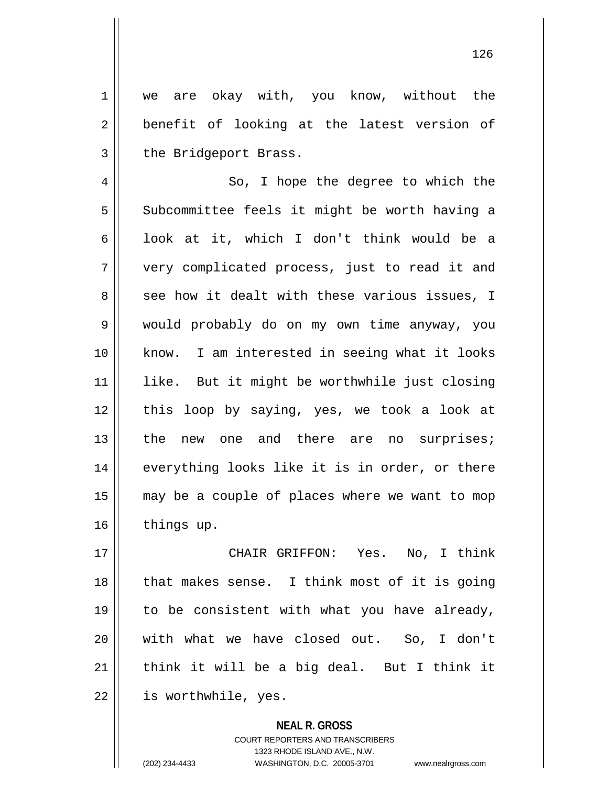1 || we are okay with, you know, without the  $2 \parallel$  benefit of looking at the latest version of  $3$  | the Bridgeport Brass.

4 || So, I hope the degree to which the 5 | Subcommittee feels it might be worth having a 6 | look at it, which I don't think would be a 7 very complicated process, just to read it and 8 see how it dealt with these various issues, I 9 would probably do on my own time anyway, you 10 know. I am interested in seeing what it looks 11 like. But it might be worthwhile just closing 12 || this loop by saying, yes, we took a look at 13 || the new one and there are no surprises; 14 || everything looks like it is in order, or there 15 may be a couple of places where we want to mop 16 | things up.

 CHAIR GRIFFON: Yes. No, I think 18 || that makes sense. I think most of it is going 19 || to be consistent with what you have already, with what we have closed out. So, I don't  $\parallel$  think it will be a big deal. But I think it is worthwhile, yes.

> **NEAL R. GROSS** COURT REPORTERS AND TRANSCRIBERS 1323 RHODE ISLAND AVE., N.W. (202) 234-4433 WASHINGTON, D.C. 20005-3701 www.nealrgross.com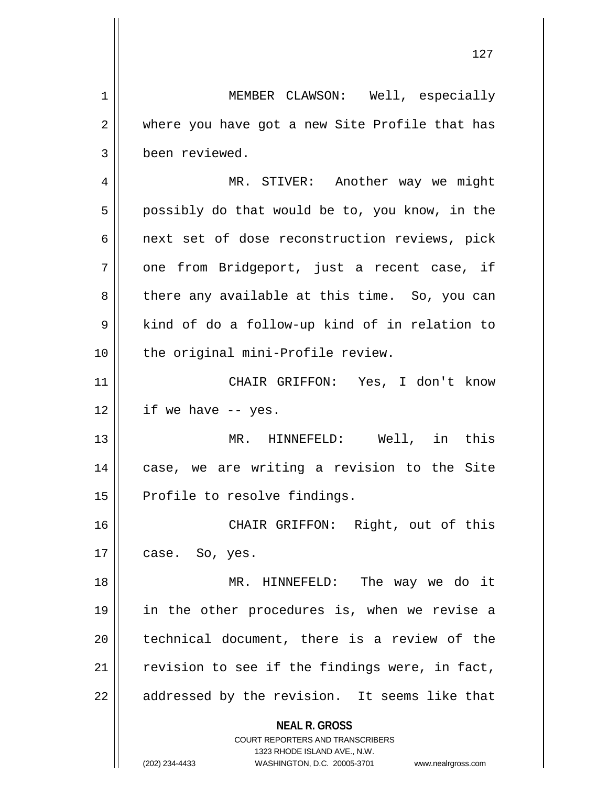**NEAL R. GROSS** COURT REPORTERS AND TRANSCRIBERS 1323 RHODE ISLAND AVE., N.W. (202) 234-4433 WASHINGTON, D.C. 20005-3701 www.nealrgross.com 1 | MEMBER CLAWSON: Well, especially 2 where you have got a new Site Profile that has 3 | been reviewed. 4 || MR. STIVER: Another way we might  $5 \parallel$  possibly do that would be to, you know, in the 6 || next set of dose reconstruction reviews, pick 7 || one from Bridgeport, just a recent case, if  $8 \parallel$  there any available at this time. So, you can  $9 \parallel$  kind of do a follow-up kind of in relation to 10 || the original mini-Profile review. 11 CHAIR GRIFFON: Yes, I don't know  $12$  || if we have  $-$  yes. 13 MR. HINNEFELD: Well, in this 14 || case, we are writing a revision to the Site 15 | Profile to resolve findings. 16 CHAIR GRIFFON: Right, out of this  $17 \parallel \text{case. So, yes.}$ 18 MR. HINNEFELD: The way we do it 19 in the other procedures is, when we revise a 20 || technical document, there is a review of the  $21$  revision to see if the findings were, in fact,  $22$  || addressed by the revision. It seems like that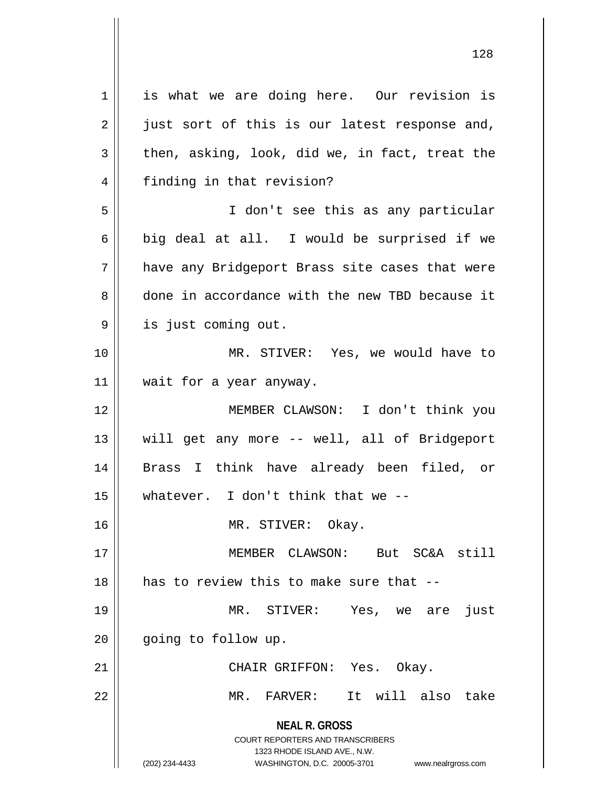**NEAL R. GROSS** COURT REPORTERS AND TRANSCRIBERS 1323 RHODE ISLAND AVE., N.W. (202) 234-4433 WASHINGTON, D.C. 20005-3701 www.nealrgross.com 1 || is what we are doing here. Our revision is  $2 \parallel$  just sort of this is our latest response and,  $3 \parallel$  then, asking, look, did we, in fact, treat the 4 || finding in that revision? 5 I don't see this as any particular 6 big deal at all. I would be surprised if we 7 || have any Bridgeport Brass site cases that were 8 done in accordance with the new TBD because it 9 || is just coming out. 10 MR. STIVER: Yes, we would have to 11 | wait for a year anyway. 12 MEMBER CLAWSON: I don't think you 13 || will get any more -- well, all of Bridgeport 14 Brass I think have already been filed, or 15 whatever. I don't think that we -- 16 MR. STIVER: Okay. 17 MEMBER CLAWSON: But SC&A still 18 H has to review this to make sure that --19 MR. STIVER: Yes, we are just 20 | going to follow up. 21 CHAIR GRIFFON: Yes. Okay. 22 MR. FARVER: It will also take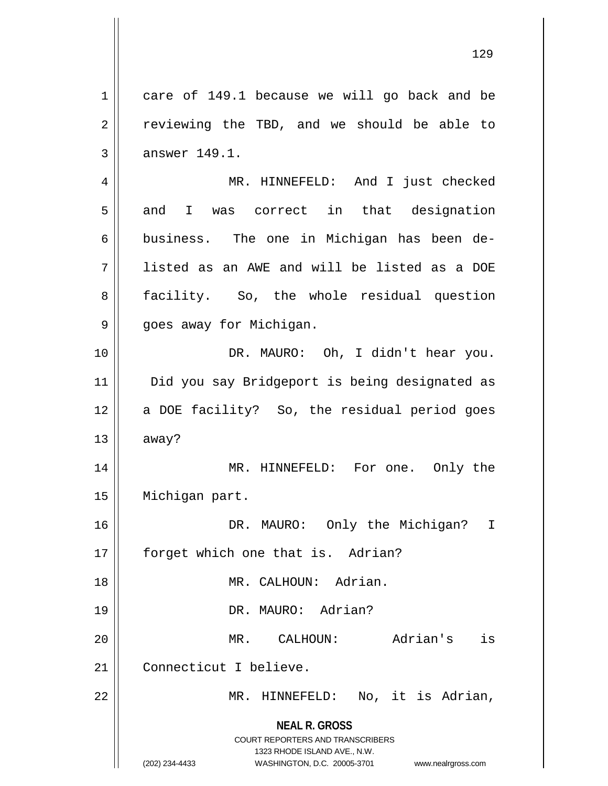**NEAL R. GROSS** COURT REPORTERS AND TRANSCRIBERS 1323 RHODE ISLAND AVE., N.W. (202) 234-4433 WASHINGTON, D.C. 20005-3701 www.nealrgross.com 1 care of 149.1 because we will go back and be  $2 \parallel$  reviewing the TBD, and we should be able to  $3 \parallel$  answer 149.1. 4 MR. HINNEFELD: And I just checked  $5 \parallel$  and I was correct in that designation  $6 \parallel$  business. The one in Michigan has been de-7 listed as an AWE and will be listed as a DOE 8 || facility. So, the whole residual question 9 || goes away for Michigan. 10 || DR. MAURO: Oh, I didn't hear you. 11 || Did you say Bridgeport is being designated as 12 || a DOE facility? So, the residual period goes  $13$  away? 14 MR. HINNEFELD: For one. Only the 15 | Michigan part. 16 DR. MAURO: Only the Michigan? I 17 || forget which one that is. Adrian? 18 MR. CALHOUN: Adrian. 19 DR. MAURO: Adrian? 20 MR. CALHOUN: Adrian's is 21 Connecticut I believe. 22 || MR. HINNEFELD: No, it is Adrian,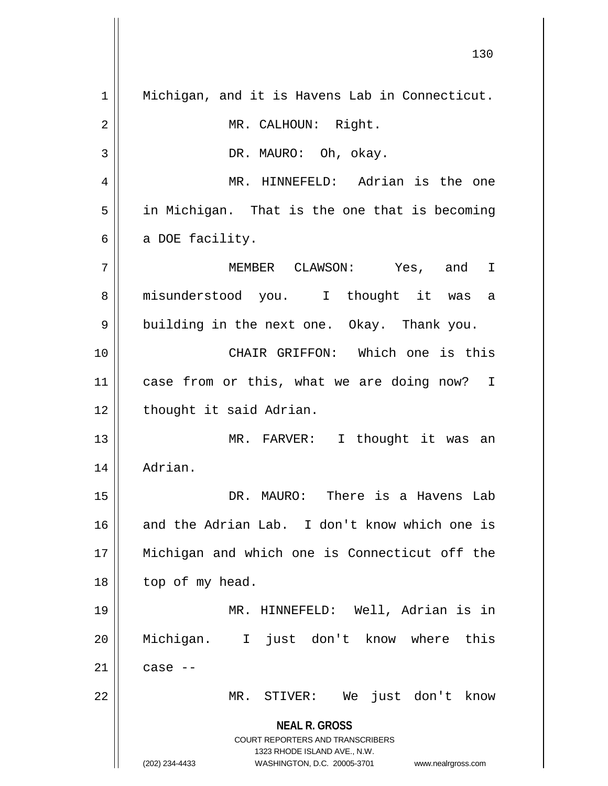**NEAL R. GROSS** COURT REPORTERS AND TRANSCRIBERS 1323 RHODE ISLAND AVE., N.W. (202) 234-4433 WASHINGTON, D.C. 20005-3701 www.nealrgross.com 1 || Michigan, and it is Havens Lab in Connecticut. 2 | MR. CALHOUN: Right. 3 | DR. MAURO: Oh, okay. 4 MR. HINNEFELD: Adrian is the one  $5 \parallel$  in Michigan. That is the one that is becoming  $6 \parallel$  a DOE facility. 7 MEMBER CLAWSON: Yes, and I 8 || misunderstood you. I thought it was a  $9 \parallel$  building in the next one. Okay. Thank you. 10 CHAIR GRIFFON: Which one is this 11 || case from or this, what we are doing now? I 12 | thought it said Adrian. 13 || MR. FARVER: I thought it was an 14 Adrian. 15 DR. MAURO: There is a Havens Lab 16 and the Adrian Lab. I don't know which one is 17 Michigan and which one is Connecticut off the  $18$  | top of my head. 19 MR. HINNEFELD: Well, Adrian is in 20 Michigan. I just don't know where this  $21$   $\parallel$  case  $-$ 22 MR. STIVER: We just don't know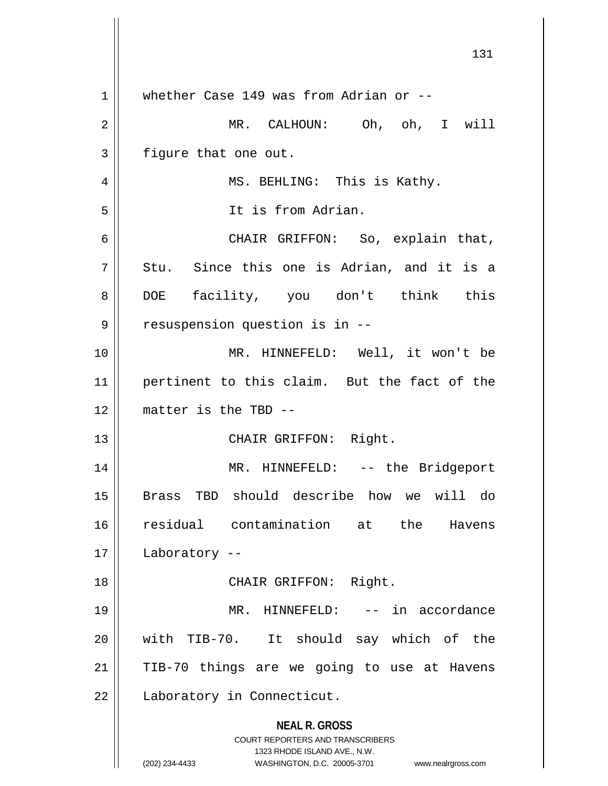|                | 131                                                                                                 |
|----------------|-----------------------------------------------------------------------------------------------------|
| $\mathbf 1$    | whether Case 149 was from Adrian or --                                                              |
| $\overline{2}$ | MR. CALHOUN: Oh, oh, I will                                                                         |
| 3              | figure that one out.                                                                                |
| 4              | MS. BEHLING: This is Kathy.                                                                         |
| 5              | It is from Adrian.                                                                                  |
| 6              | CHAIR GRIFFON: So, explain that,                                                                    |
| 7              | Stu. Since this one is Adrian, and it is a                                                          |
| 8              | facility, you don't think this<br><b>DOE</b>                                                        |
| 9              | resuspension question is in --                                                                      |
| 10             | MR. HINNEFELD: Well, it won't be                                                                    |
| 11             | pertinent to this claim. But the fact of the                                                        |
| 12             | matter is the TBD --                                                                                |
| 13             | CHAIR GRIFFON: Right.                                                                               |
| 14             | MR. HINNEFELD: -- the Bridgeport                                                                    |
| 15             | Brass TBD should describe how we will do                                                            |
| 16             | residual contamination at the<br>Havens                                                             |
| 17             | Laboratory --                                                                                       |
| 18             | CHAIR GRIFFON: Right.                                                                               |
| 19             | MR. HINNEFELD: -- in accordance                                                                     |
| 20             | with TIB-70. It should say which of the                                                             |
| 21             | TIB-70 things are we going to use at Havens                                                         |
| 22             | Laboratory in Connecticut.                                                                          |
|                | <b>NEAL R. GROSS</b><br><b>COURT REPORTERS AND TRANSCRIBERS</b>                                     |
|                | 1323 RHODE ISLAND AVE., N.W.<br>(202) 234-4433<br>WASHINGTON, D.C. 20005-3701<br>www.nealrgross.com |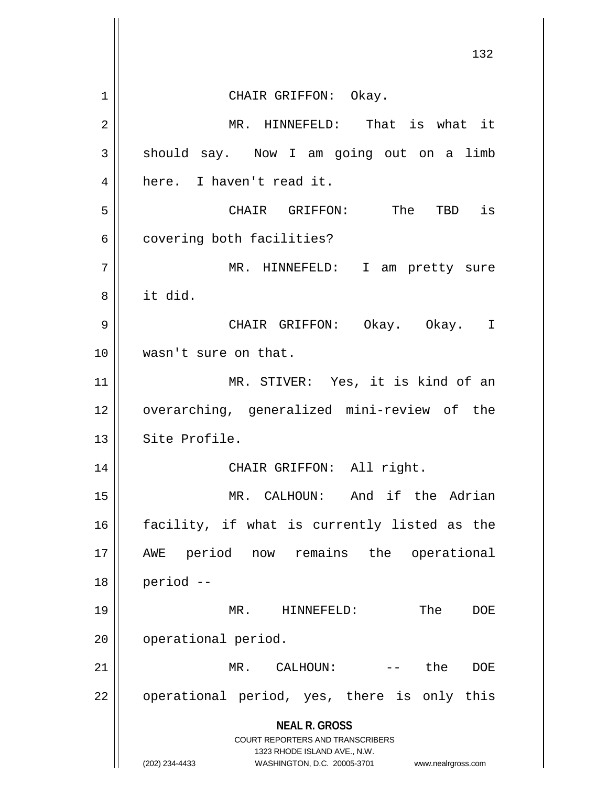**NEAL R. GROSS** COURT REPORTERS AND TRANSCRIBERS 1323 RHODE ISLAND AVE., N.W. (202) 234-4433 WASHINGTON, D.C. 20005-3701 www.nealrgross.com 132 1 CHAIR GRIFFON: Okay. 2 || MR. HINNEFELD: That is what it  $3 \parallel$  should say. Now I am going out on a limb 4 here. I haven't read it. 5 CHAIR GRIFFON: The TBD is  $6 \parallel$  covering both facilities? 7 || MR. HINNEFELD: I am pretty sure 8 it did. 9 CHAIR GRIFFON: Okay. Okay. I 10 || wasn't sure on that. 11 || MR. STIVER: Yes, it is kind of an 12 overarching, generalized mini-review of the 13 Site Profile. 14 || CHAIR GRIFFON: All right. 15 MR. CALHOUN: And if the Adrian 16 facility, if what is currently listed as the 17 AWE period now remains the operational  $18$  | period  $-$ 19 MR. HINNEFELD: The DOE 20 | operational period. 21 MR. CALHOUN: -- the DOE  $22$  || operational period, yes, there is only this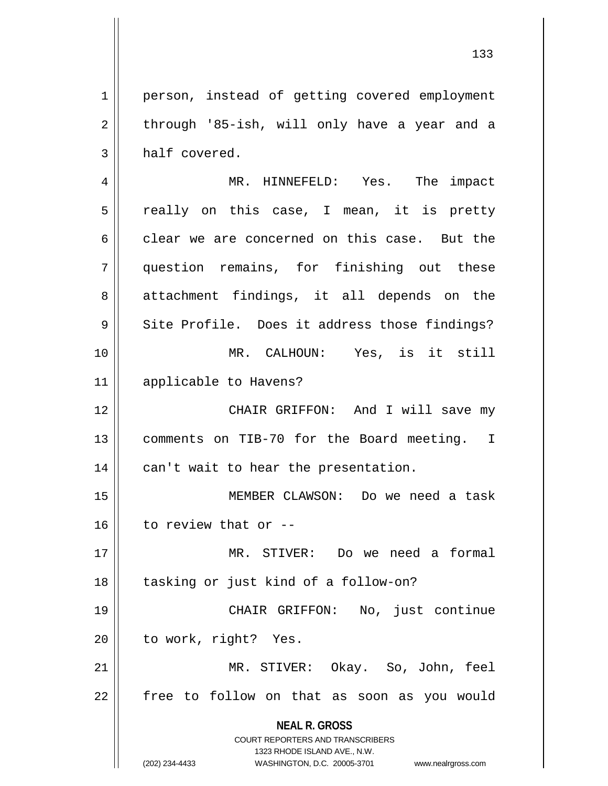**NEAL R. GROSS** COURT REPORTERS AND TRANSCRIBERS 1323 RHODE ISLAND AVE., N.W. 1 | person, instead of getting covered employment 2 through '85-ish, will only have a year and a  $3 \parallel$  half covered. 4 MR. HINNEFELD: Yes. The impact  $5 \parallel$  really on this case, I mean, it is pretty 6 clear we are concerned on this case. But the 7 question remains, for finishing out these 8 attachment findings, it all depends on the 9 || Site Profile. Does it address those findings? 10 MR. CALHOUN: Yes, is it still 11 applicable to Havens? 12 CHAIR GRIFFON: And I will save my 13 || comments on TIB-70 for the Board meeting. I  $14$  || can't wait to hear the presentation. 15 MEMBER CLAWSON: Do we need a task  $16$  | to review that or --17 MR. STIVER: Do we need a formal 18 || tasking or just kind of a follow-on? 19 CHAIR GRIFFON: No, just continue 20 | to work, right? Yes. 21 MR. STIVER: Okay. So, John, feel 22 | free to follow on that as soon as you would

(202) 234-4433 WASHINGTON, D.C. 20005-3701 www.nealrgross.com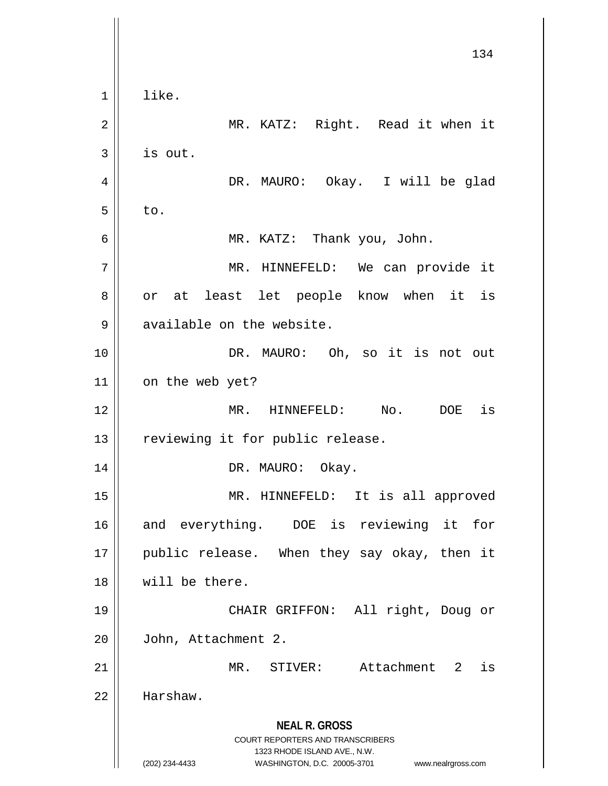**NEAL R. GROSS** COURT REPORTERS AND TRANSCRIBERS 1323 RHODE ISLAND AVE., N.W. (202) 234-4433 WASHINGTON, D.C. 20005-3701 www.nealrgross.com 134  $1 \parallel$  like. 2 MR. KATZ: Right. Read it when it  $3 \parallel$  is out. 4 DR. MAURO: Okay. I will be glad  $5 \parallel$  to. 6 MR. KATZ: Thank you, John. 7 || MR. HINNEFELD: We can provide it 8 || or at least let people know when it is 9 available on the website. 10 || DR. MAURO: Oh, so it is not out 11 | on the web yet? 12 MR. HINNEFELD: No. DOE is 13 || reviewing it for public release. 14 || DR. MAURO: Okay. 15 MR. HINNEFELD: It is all approved 16 and everything. DOE is reviewing it for 17 || public release. When they say okay, then it 18 will be there. 19 CHAIR GRIFFON: All right, Doug or 20 John, Attachment 2. 21 MR. STIVER: Attachment 2 is 22 Harshaw.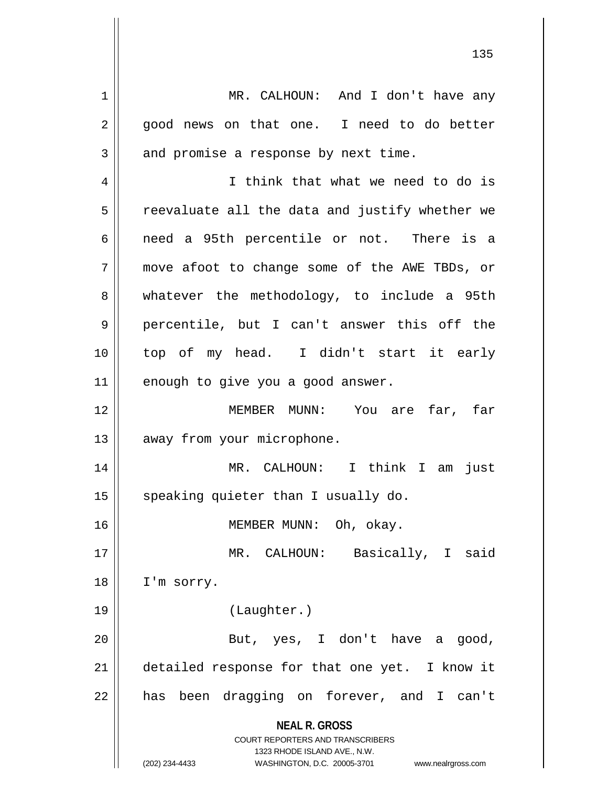**NEAL R. GROSS** COURT REPORTERS AND TRANSCRIBERS 1323 RHODE ISLAND AVE., N.W. (202) 234-4433 WASHINGTON, D.C. 20005-3701 www.nealrgross.com 1 | MR. CALHOUN: And I don't have any 2 || good news on that one. I need to do better  $3 \parallel$  and promise a response by next time. 4 I think that what we need to do is  $5 \parallel$  reevaluate all the data and justify whether we 6 || need a 95th percentile or not. There is a 7 move afoot to change some of the AWE TBDs, or 8 whatever the methodology, to include a 95th 9 percentile, but I can't answer this off the 10 top of my head. I didn't start it early  $11$  enough to give you a good answer. 12 MEMBER MUNN: You are far, far 13 | away from your microphone. 14 MR. CALHOUN: I think I am just 15  $\parallel$  speaking quieter than I usually do. 16 || MEMBER MUNN: Oh, okay. 17 || MR. CALHOUN: Basically, I said 18 | I'm sorry. 19 (Laughter.) 20 || But, yes, I don't have a good, 21 | detailed response for that one yet. I know it 22 || has been dragging on forever, and I can't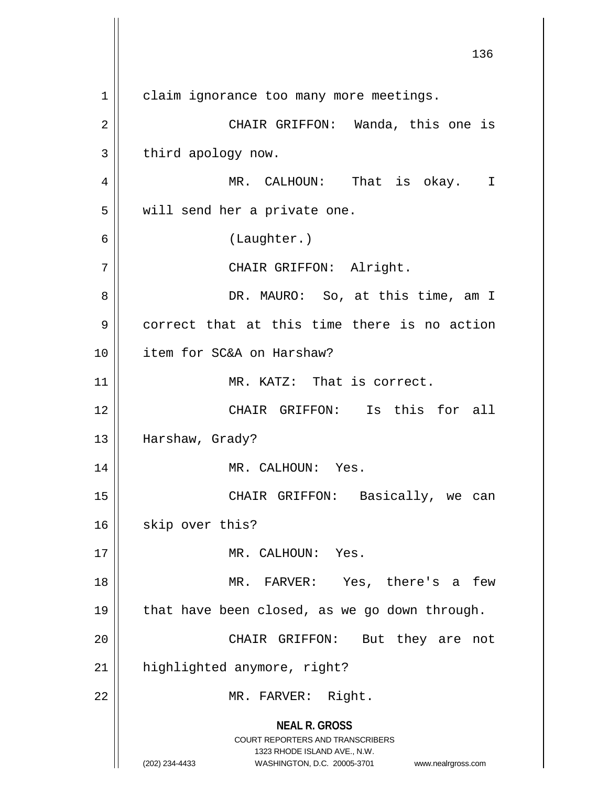**NEAL R. GROSS** COURT REPORTERS AND TRANSCRIBERS 1323 RHODE ISLAND AVE., N.W. (202) 234-4433 WASHINGTON, D.C. 20005-3701 www.nealrgross.com 136 1 | claim ignorance too many more meetings. 2 CHAIR GRIFFON: Wanda, this one is  $3 \parallel$  third apology now. 4 || MR. CALHOUN: That is okay. I 5 | will send her a private one. 6 (Laughter.) 7 || CHAIR GRIFFON: Alright. 8 DR. MAURO: So, at this time, am I 9 correct that at this time there is no action 10 item for SC&A on Harshaw? 11 || MR. KATZ: That is correct. 12 CHAIR GRIFFON: Is this for all 13 | Harshaw, Grady? 14 || MR. CALHOUN: Yes. 15 || CHAIR GRIFFON: Basically, we can 16 | skip over this? 17 || MR. CALHOUN: Yes. 18 MR. FARVER: Yes, there's a few 19  $\parallel$  that have been closed, as we go down through. 20 || CHAIR GRIFFON: But they are not 21 | highlighted anymore, right? 22 || MR. FARVER: Right.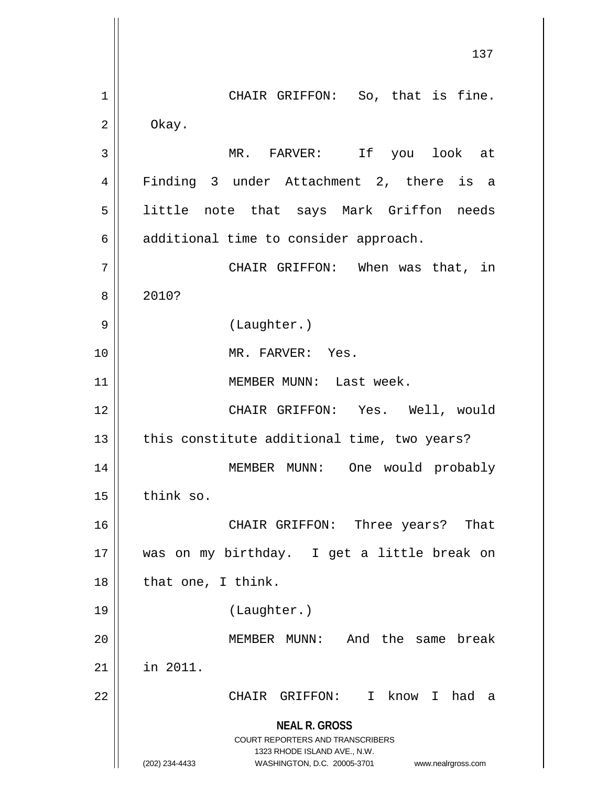**NEAL R. GROSS** COURT REPORTERS AND TRANSCRIBERS 1323 RHODE ISLAND AVE., N.W. (202) 234-4433 WASHINGTON, D.C. 20005-3701 www.nealrgross.com 137 1 || CHAIR GRIFFON: So, that is fine.  $2 \parallel$  Okay. 3 MR. FARVER: If you look at 4 Finding 3 under Attachment 2, there is a 5 || little note that says Mark Griffon needs 6 | additional time to consider approach. 7 || CHAIR GRIFFON: When was that, in 8 2010? 9 || (Laughter.) 10 MR. FARVER: Yes. 11 || MEMBER MUNN: Last week. 12 CHAIR GRIFFON: Yes. Well, would  $13$  | this constitute additional time, two years? 14 || MEMBER MUNN: One would probably 15 think so. 16 CHAIR GRIFFON: Three years? That 17 was on my birthday. I get a little break on  $18$  | that one, I think. 19 (Laughter.) 20 MEMBER MUNN: And the same break 21 in 2011. 22 CHAIR GRIFFON: I know I had a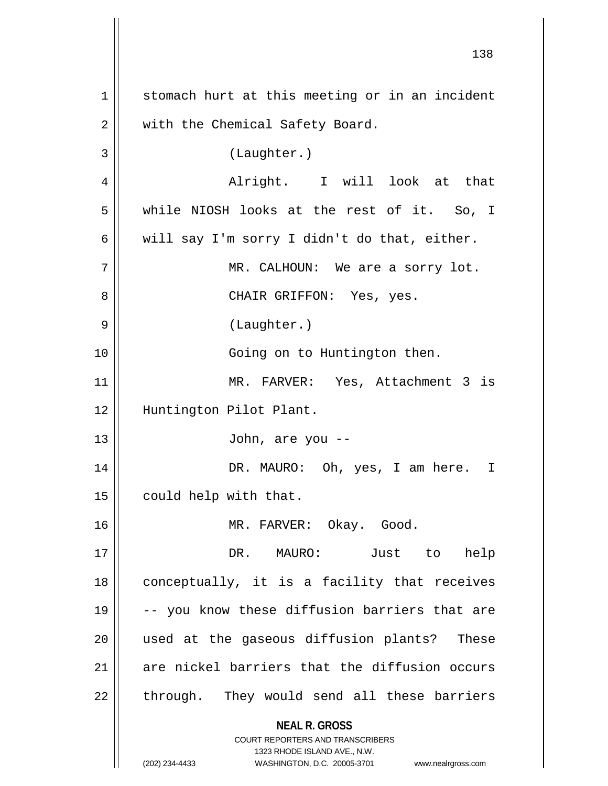**NEAL R. GROSS** COURT REPORTERS AND TRANSCRIBERS 1323 RHODE ISLAND AVE., N.W. (202) 234-4433 WASHINGTON, D.C. 20005-3701 www.nealrgross.com 138 1 || stomach hurt at this meeting or in an incident 2 | with the Chemical Safety Board. 3 (Laughter.) 4 Alright. I will look at that 5 while NIOSH looks at the rest of it. So, I 6 will say I'm sorry I didn't do that, either. 7 MR. CALHOUN: We are a sorry lot. 8 CHAIR GRIFFON: Yes, yes. 9 || (Laughter.) 10 || Going on to Huntington then. 11 MR. FARVER: Yes, Attachment 3 is 12 Huntington Pilot Plant. 13 John, are you -- 14 DR. MAURO: Oh, yes, I am here. I 15 | could help with that. 16 MR. FARVER: Okay. Good. 17 DR. MAURO: Just to help 18 || conceptually, it is a facility that receives 19 -- you know these diffusion barriers that are 20 used at the gaseous diffusion plants? These 21 are nickel barriers that the diffusion occurs  $22$  || through. They would send all these barriers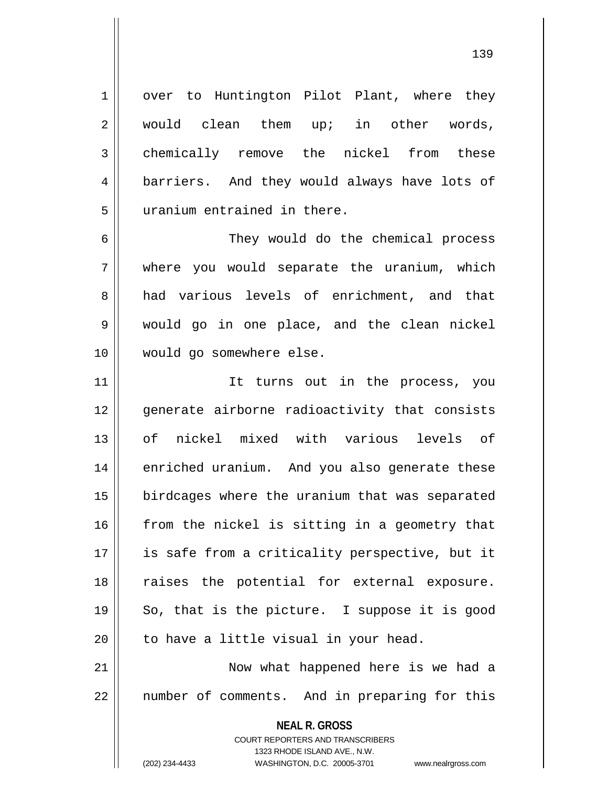1 | over to Huntington Pilot Plant, where they 2 would clean them up; in other words, 3 chemically remove the nickel from these 4 | barriers. And they would always have lots of 5 uranium entrained in there.

 They would do the chemical process where you would separate the uranium, which 8 had various levels of enrichment, and that would go in one place, and the clean nickel would go somewhere else.

11 || Tt turns out in the process, you 12 || qenerate airborne radioactivity that consists 13 of nickel mixed with various levels of 14 || enriched uranium. And you also generate these 15 | birdcages where the uranium that was separated  $16$  from the nickel is sitting in a geometry that 17 || is safe from a criticality perspective, but it 18 || raises the potential for external exposure.  $19 \parallel$  So, that is the picture. I suppose it is good  $20$  | to have a little visual in your head.

21 || Now what happened here is we had a 22 || number of comments. And in preparing for this

> **NEAL R. GROSS** COURT REPORTERS AND TRANSCRIBERS 1323 RHODE ISLAND AVE., N.W. (202) 234-4433 WASHINGTON, D.C. 20005-3701 www.nealrgross.com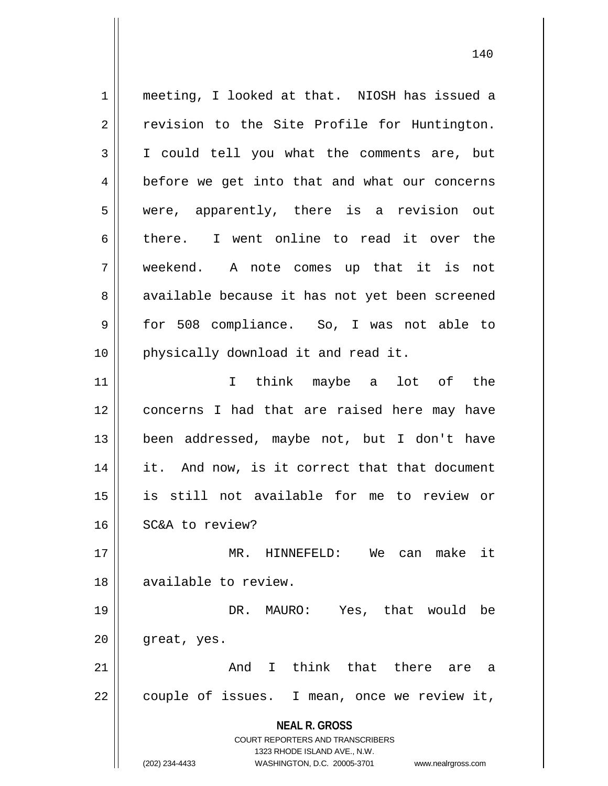**NEAL R. GROSS** COURT REPORTERS AND TRANSCRIBERS 1323 RHODE ISLAND AVE., N.W. (202) 234-4433 WASHINGTON, D.C. 20005-3701 www.nealrgross.com 1 meeting, I looked at that. NIOSH has issued a 2 || revision to the Site Profile for Huntington. 3 I could tell you what the comments are, but 4 | before we get into that and what our concerns 5 were, apparently, there is a revision out 6 there. I went online to read it over the 7 weekend. A note comes up that it is not 8 || available because it has not yet been screened 9 || for 508 compliance. So, I was not able to 10 || physically download it and read it. 11 I think maybe a lot of the 12 concerns I had that are raised here may have 13 been addressed, maybe not, but I don't have 14 || it. And now, is it correct that that document 15 is still not available for me to review or 16 | SC&A to review? 17 MR. HINNEFELD: We can make it 18 available to review. 19 DR. MAURO: Yes, that would be 20 | great, yes. 21 || Think that there are a 22 || couple of issues. I mean, once we review it,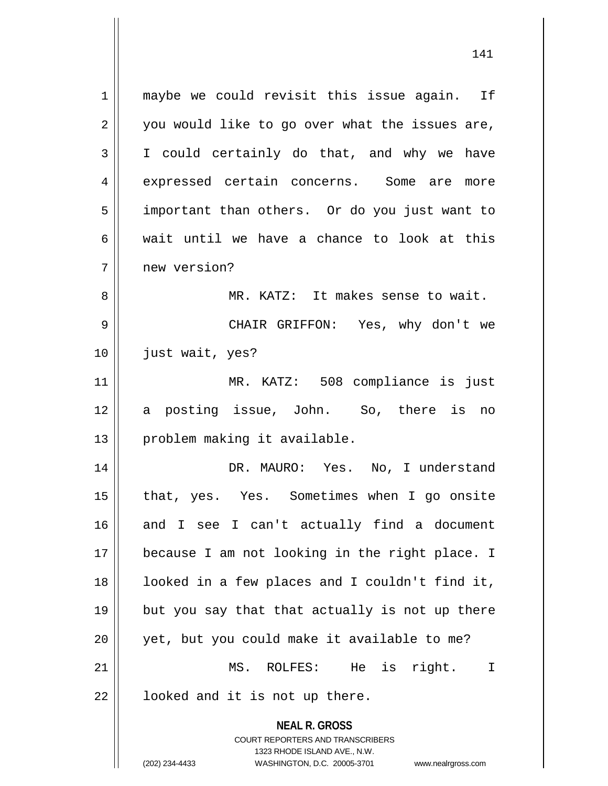**NEAL R. GROSS** COURT REPORTERS AND TRANSCRIBERS 1 || maybe we could revisit this issue again. If  $2 \parallel$  you would like to go over what the issues are,  $3 \parallel$  I could certainly do that, and why we have 4 expressed certain concerns. Some are more 5 | important than others. Or do you just want to  $6 \parallel$  wait until we have a chance to look at this 7 new version? 8 MR. KATZ: It makes sense to wait. 9 CHAIR GRIFFON: Yes, why don't we 10 just wait, yes? 11 MR. KATZ: 508 compliance is just 12 a posting issue, John. So, there is no 13 || problem making it available. 14 DR. MAURO: Yes. No, I understand 15 || that, yes. Yes. Sometimes when I go onsite 16 and I see I can't actually find a document 17 because I am not looking in the right place. I 18 || looked in a few places and I couldn't find it,  $19$  || but you say that that actually is not up there  $20$  | yet, but you could make it available to me? 21 MS. ROLFES: He is right. I  $22$  |  $\blacksquare$  looked and it is not up there.

1323 RHODE ISLAND AVE., N.W.

(202) 234-4433 WASHINGTON, D.C. 20005-3701 www.nealrgross.com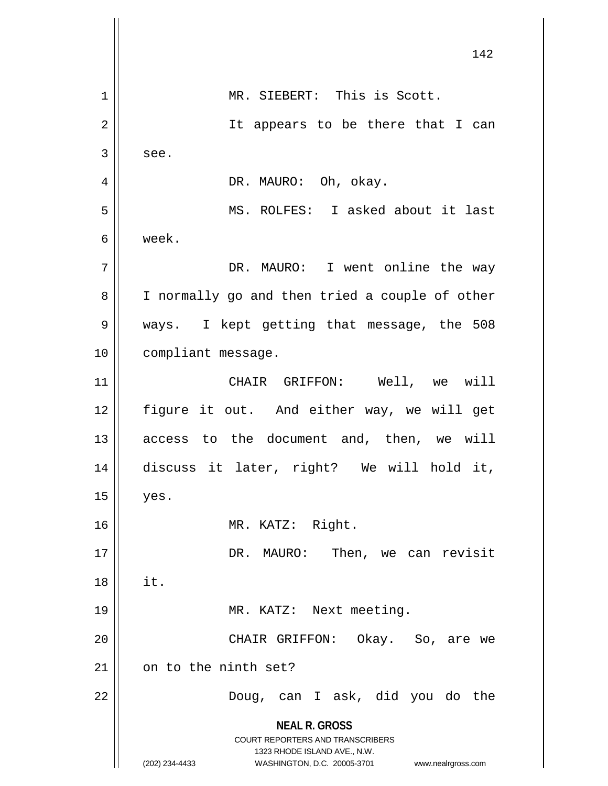**NEAL R. GROSS** COURT REPORTERS AND TRANSCRIBERS 1323 RHODE ISLAND AVE., N.W. (202) 234-4433 WASHINGTON, D.C. 20005-3701 www.nealrgross.com 142 1 || MR. SIEBERT: This is Scott. 2 || It appears to be there that I can  $3 \parallel$  see. 4 DR. MAURO: Oh, okay. 5 MS. ROLFES: I asked about it last 6 week. 7 | The Soleman DR. MAURO: I went online the way 8 | I normally go and then tried a couple of other 9 ways. I kept getting that message, the 508 10 compliant message. 11 CHAIR GRIFFON: Well, we will 12 figure it out. And either way, we will get 13 || access to the document and, then, we will 14 discuss it later, right? We will hold it,  $15$  | yes. 16 MR. KATZ: Right. 17 || DR. MAURO: Then, we can revisit  $18 \parallel$  it. 19 || MR. KATZ: Next meeting. 20 CHAIR GRIFFON: Okay. So, are we  $21$  on to the ninth set? 22 Doug, can I ask, did you do the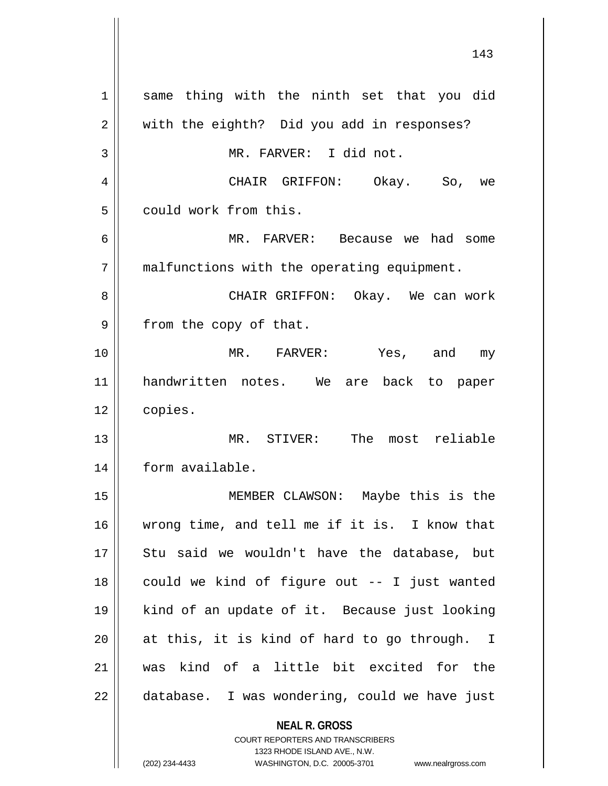| $\mathbf 1$ | same thing with the ninth set that you did    |
|-------------|-----------------------------------------------|
| 2           | with the eighth? Did you add in responses?    |
| 3           | MR. FARVER: I did not.                        |
| 4           | CHAIR GRIFFON: Okay. So, we                   |
| 5           | could work from this.                         |
| 6           | MR. FARVER: Because we had some               |
| 7           | malfunctions with the operating equipment.    |
| 8           | CHAIR GRIFFON: Okay. We can work              |
| 9           | from the copy of that.                        |
| 10          | MR. FARVER: Yes, and my                       |
| 11          | handwritten notes. We are back to paper       |
| 12          | copies.                                       |
| 13          | MR. STIVER: The most reliable                 |
| 14          | form available.                               |
| 15          | MEMBER CLAWSON: Maybe this is the             |
| 16          | wrong time, and tell me if it is. I know that |
| 17          | Stu said we wouldn't have the database, but   |
| 18          | could we kind of figure out -- I just wanted  |
| 19          | kind of an update of it. Because just looking |
| 20          | at this, it is kind of hard to go through. I  |
| 21          | was kind of a little bit excited for the      |
| 22          | database. I was wondering, could we have just |
|             | <b>NEAL R. GROSS</b>                          |

COURT REPORTERS AND TRANSCRIBERS 1323 RHODE ISLAND AVE., N.W.

(202) 234-4433 WASHINGTON, D.C. 20005-3701 www.nealrgross.com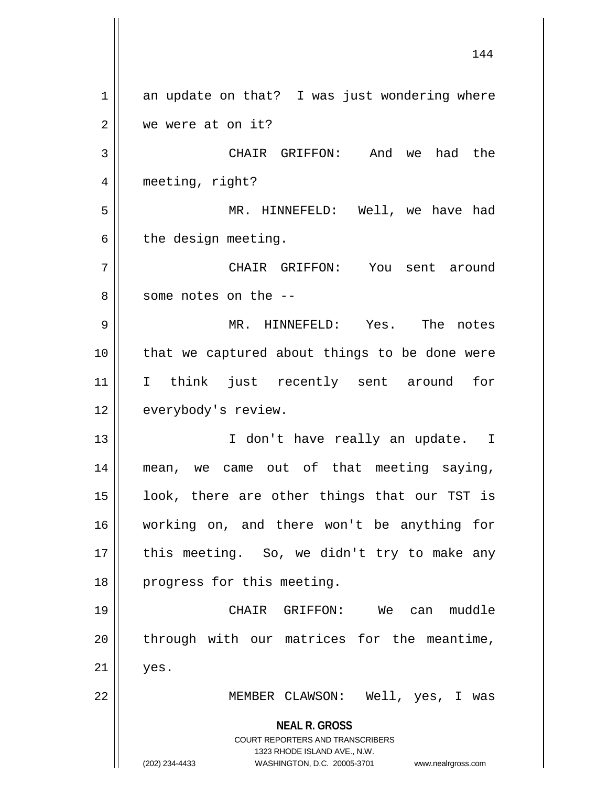**NEAL R. GROSS** COURT REPORTERS AND TRANSCRIBERS 1323 RHODE ISLAND AVE., N.W. (202) 234-4433 WASHINGTON, D.C. 20005-3701 www.nealrgross.com  $1 \parallel$  an update on that? I was just wondering where 2 we were at on it? 3 CHAIR GRIFFON: And we had the 4 | meeting, right? 5 MR. HINNEFELD: Well, we have had  $6 \parallel$  the design meeting. 7 CHAIR GRIFFON: You sent around 8 || some notes on the --9 MR. HINNEFELD: Yes. The notes 10 that we captured about things to be done were 11 I think just recently sent around for 12 | everybody's review. 13 || I don't have really an update. I 14 || mean, we came out of that meeting saying, 15 || look, there are other things that our TST is 16 working on, and there won't be anything for 17 || this meeting. So, we didn't try to make any 18 || progress for this meeting. 19 CHAIR GRIFFON: We can muddle  $20$  || through with our matrices for the meantime,  $21 \parallel$  yes. 22 || MEMBER CLAWSON: Well, yes, I was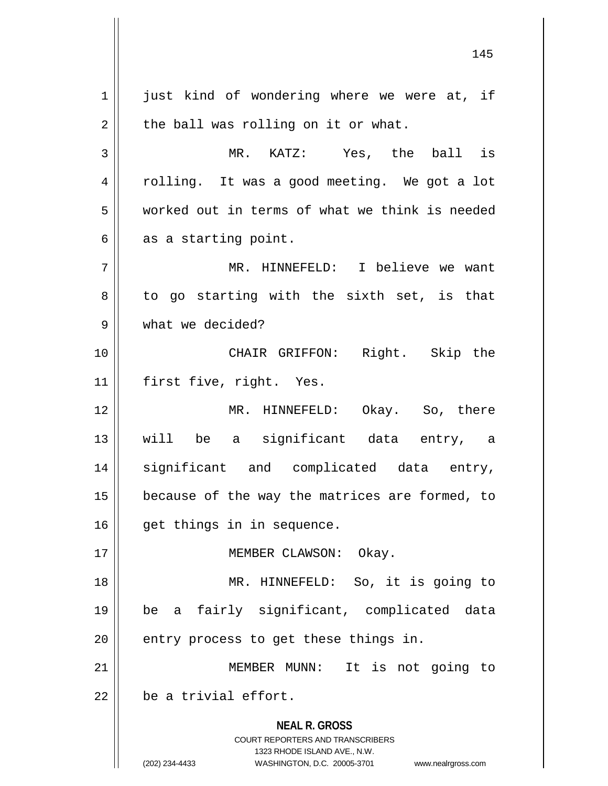**NEAL R. GROSS** COURT REPORTERS AND TRANSCRIBERS 1323 RHODE ISLAND AVE., N.W. (202) 234-4433 WASHINGTON, D.C. 20005-3701 www.nealrgross.com  $1 \parallel$  just kind of wondering where we were at, if  $2 \parallel$  the ball was rolling on it or what. 3 MR. KATZ: Yes, the ball is 4 || rolling. It was a good meeting. We got a lot 5 worked out in terms of what we think is needed  $6 \parallel$  as a starting point. 7 MR. HINNEFELD: I believe we want  $8 \parallel$  to go starting with the sixth set, is that 9 what we decided? 10 CHAIR GRIFFON: Right. Skip the 11 first five, right. Yes. 12 MR. HINNEFELD: Okay. So, there 13 will be a significant data entry, a 14 significant and complicated data entry,  $15$  | because of the way the matrices are formed, to 16 || get things in in sequence. 17 || **MEMBER CLAWSON:** Okay. 18 MR. HINNEFELD: So, it is going to 19 be a fairly significant, complicated data  $20$  | entry process to get these things in. 21 MEMBER MUNN: It is not going to  $22$   $\parallel$  be a trivial effort.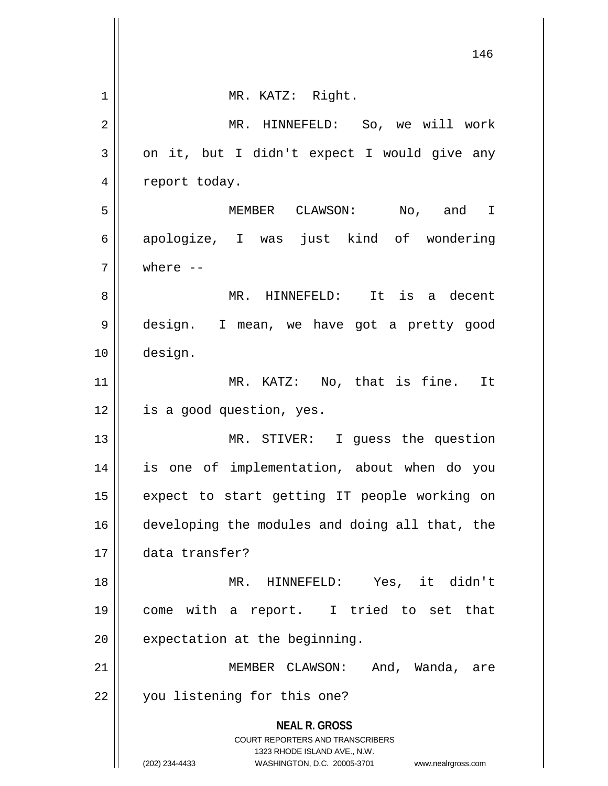|    | 146                                                                                                                                                             |
|----|-----------------------------------------------------------------------------------------------------------------------------------------------------------------|
| 1  | MR. KATZ: Right.                                                                                                                                                |
| 2  | MR. HINNEFELD: So, we will work                                                                                                                                 |
| 3  | on it, but I didn't expect I would give any                                                                                                                     |
| 4  | report today.                                                                                                                                                   |
| 5  | MEMBER CLAWSON: No, and I                                                                                                                                       |
| 6  | apologize, I was just kind of wondering                                                                                                                         |
| 7  | where $--$                                                                                                                                                      |
| 8  | It is a decent<br>MR. HINNEFELD:                                                                                                                                |
| 9  | design. I mean, we have got a pretty good                                                                                                                       |
| 10 | design.                                                                                                                                                         |
| 11 | MR. KATZ: No, that is fine. It                                                                                                                                  |
| 12 | is a good question, yes.                                                                                                                                        |
| 13 | MR. STIVER: I guess the question                                                                                                                                |
| 14 | is one of implementation, about when do you                                                                                                                     |
| 15 | expect to start getting IT people working on                                                                                                                    |
| 16 | developing the modules and doing all that, the                                                                                                                  |
| 17 | data transfer?                                                                                                                                                  |
| 18 | MR. HINNEFELD: Yes, it didn't                                                                                                                                   |
| 19 | come with a report. I tried to set that                                                                                                                         |
| 20 | expectation at the beginning.                                                                                                                                   |
| 21 | MEMBER CLAWSON:<br>And, Wanda, are                                                                                                                              |
| 22 | you listening for this one?                                                                                                                                     |
|    | <b>NEAL R. GROSS</b><br>COURT REPORTERS AND TRANSCRIBERS<br>1323 RHODE ISLAND AVE., N.W.<br>(202) 234-4433<br>WASHINGTON, D.C. 20005-3701<br>www.nealrgross.com |

 $\mathbb{I}$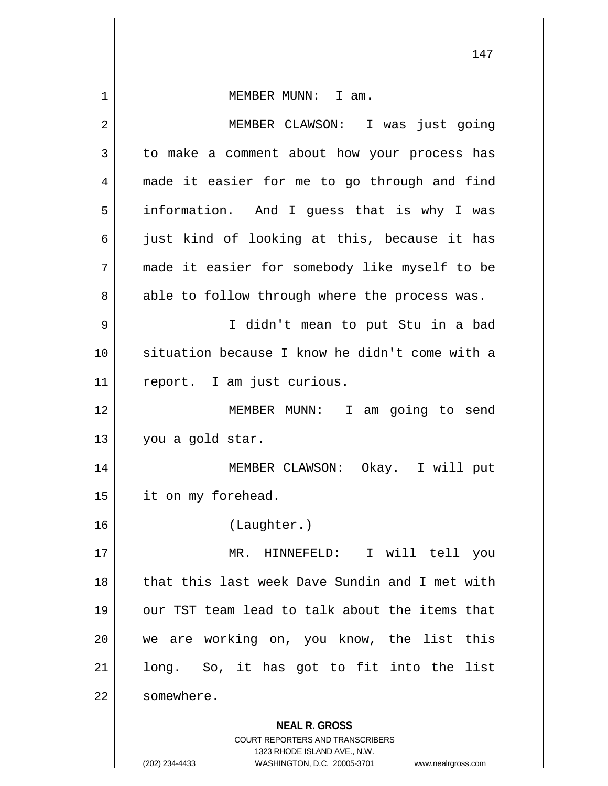| $\mathbf 1$    | MEMBER MUNN: I am.                                                                                  |
|----------------|-----------------------------------------------------------------------------------------------------|
| $\overline{2}$ | MEMBER CLAWSON: I was just going                                                                    |
| 3              | to make a comment about how your process has                                                        |
| 4              | made it easier for me to go through and find                                                        |
| 5              | information. And I guess that is why I was                                                          |
| 6              | just kind of looking at this, because it has                                                        |
| 7              | made it easier for somebody like myself to be                                                       |
| 8              | able to follow through where the process was.                                                       |
| 9              | I didn't mean to put Stu in a bad                                                                   |
| 10             | situation because I know he didn't come with a                                                      |
| 11             | report. I am just curious.                                                                          |
| 12             | MEMBER MUNN: I<br>am going to send                                                                  |
| 13             | you a gold star.                                                                                    |
| 14             | MEMBER CLAWSON: Okay. I will put                                                                    |
| 15             | it on my forehead.                                                                                  |
| 16             | (Laughter.)                                                                                         |
| 17             | MR. HINNEFELD: I will tell<br>you                                                                   |
| 18             | that this last week Dave Sundin and I met with                                                      |
| 19             | our TST team lead to talk about the items that                                                      |
| 20             | we are working on, you know, the list this                                                          |
| 21             | long. So, it has got to fit into the list                                                           |
| 22             | somewhere.                                                                                          |
|                | <b>NEAL R. GROSS</b>                                                                                |
|                | <b>COURT REPORTERS AND TRANSCRIBERS</b>                                                             |
|                | 1323 RHODE ISLAND AVE., N.W.<br>WASHINGTON, D.C. 20005-3701<br>(202) 234-4433<br>www.nealrgross.com |

 $\mathbf{I}$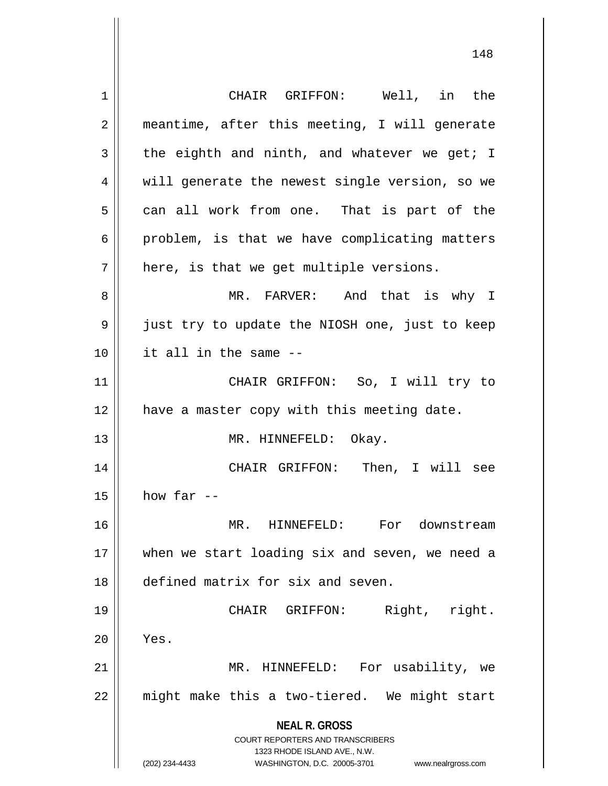**NEAL R. GROSS** COURT REPORTERS AND TRANSCRIBERS 1323 RHODE ISLAND AVE., N.W. (202) 234-4433 WASHINGTON, D.C. 20005-3701 www.nealrgross.com 1 CHAIR GRIFFON: Well, in the 2 || meantime, after this meeting, I will generate  $3 \parallel$  the eighth and ninth, and whatever we get; I 4 || will generate the newest single version, so we  $5 \parallel$  can all work from one. That is part of the  $6 \parallel$  problem, is that we have complicating matters  $7 \parallel$  here, is that we get multiple versions. 8 MR. FARVER: And that is why I 9 just try to update the NIOSH one, just to keep 10 it all in the same -- 11 CHAIR GRIFFON: So, I will try to 12 || have a master copy with this meeting date. 13 || MR. HINNEFELD: Okay. 14 CHAIR GRIFFON: Then, I will see  $15$  how far --16 MR. HINNEFELD: For downstream 17 || when we start loading six and seven, we need a 18 defined matrix for six and seven. 19 || CHAIR GRIFFON: Right, right.  $20$  || Yes. 21 || MR. HINNEFELD: For usability, we  $22$  || might make this a two-tiered. We might start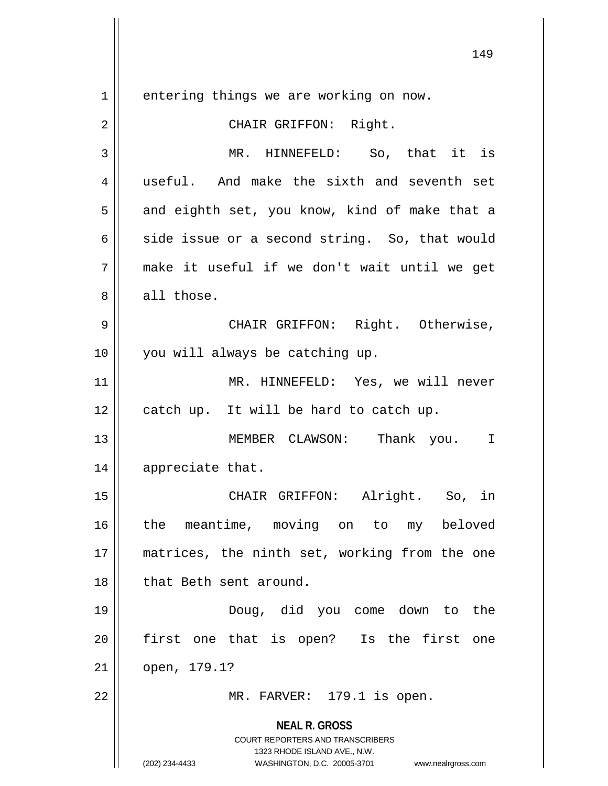**NEAL R. GROSS** COURT REPORTERS AND TRANSCRIBERS 1323 RHODE ISLAND AVE., N.W. (202) 234-4433 WASHINGTON, D.C. 20005-3701 www.nealrgross.com 1 | entering things we are working on now. 2 || CHAIR GRIFFON: Right. 3 MR. HINNEFELD: So, that it is 4 || useful. And make the sixth and seventh set  $5 \parallel$  and eighth set, you know, kind of make that a 6 side issue or a second string. So, that would 7 make it useful if we don't wait until we get 8 || all those. 9 CHAIR GRIFFON: Right. Otherwise, 10 || you will always be catching up. 11 || MR. HINNEFELD: Yes, we will never  $12$  | catch up. It will be hard to catch up. 13 MEMBER CLAWSON: Thank you. I 14 || appreciate that. 15 CHAIR GRIFFON: Alright. So, in 16 the meantime, moving on to my beloved 17 matrices, the ninth set, working from the one 18 || that Beth sent around. 19 Doug, did you come down to the 20 || first one that is open? Is the first one 21 open, 179.1? 22 MR. FARVER: 179.1 is open.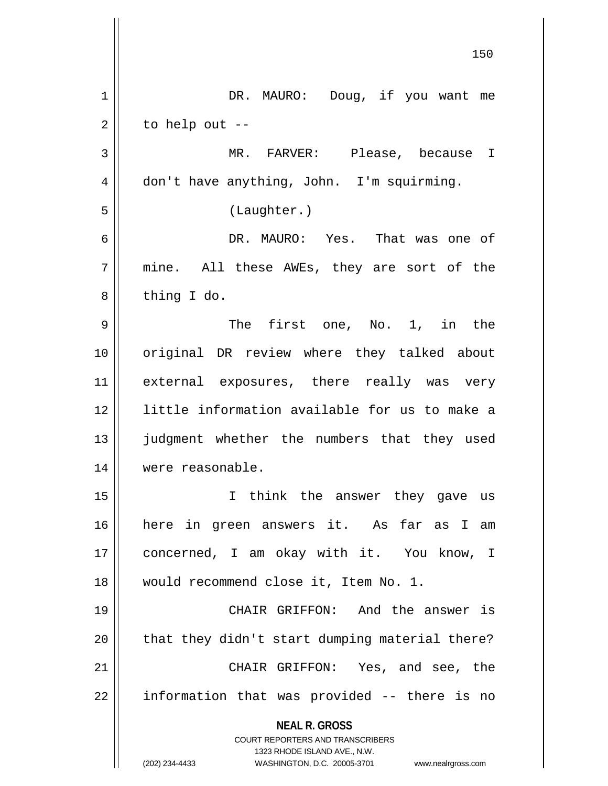| DR. MAURO: Doug, if you want me                |
|------------------------------------------------|
|                                                |
|                                                |
| MR. FARVER: Please, because I                  |
|                                                |
|                                                |
| DR. MAURO: Yes. That was one of                |
| mine. All these AWEs, they are sort of the     |
|                                                |
| The first one, No. 1, in the                   |
| original DR review where they talked about     |
| external exposures, there really was very      |
| little information available for us to make a  |
| judgment whether the numbers that they used    |
|                                                |
| I think the answer they gave us                |
| here in green answers it. As far as I am       |
| concerned, I am okay with it. You know, I      |
|                                                |
| CHAIR GRIFFON: And the answer is               |
| that they didn't start dumping material there? |
| CHAIR GRIFFON: Yes, and see, the               |
| information that was provided -- there is no   |
|                                                |
| www.nealrgross.com                             |
|                                                |

 $\mathsf{I}$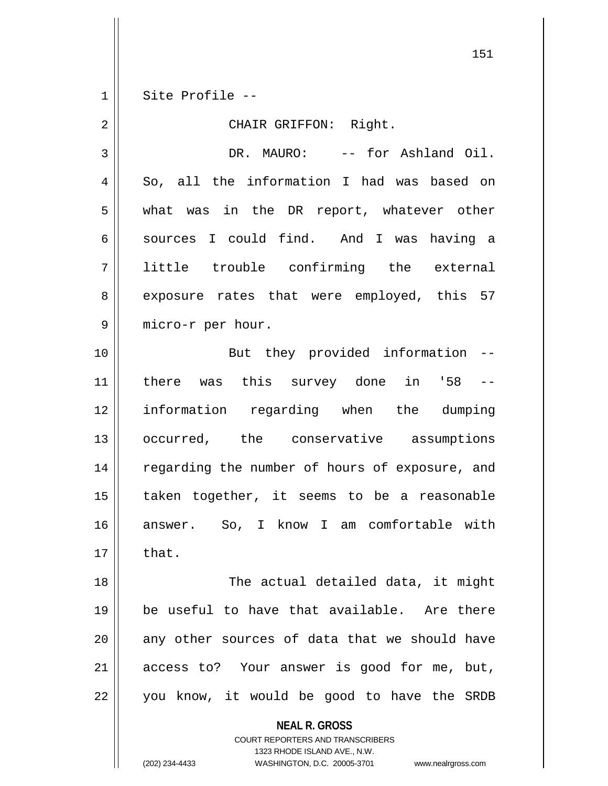$1 \parallel$  Site Profile --

| $\overline{2}$ | CHAIR GRIFFON: Right.                          |
|----------------|------------------------------------------------|
| 3              | DR. MAURO: -- for Ashland Oil.                 |
| 4              | So, all the information I had was based on     |
| 5              | what was in the DR report, whatever other      |
| 6              | sources I could find. And I was having a       |
| 7              | little trouble confirming the external         |
| 8              | exposure rates that were employed, this 57     |
| 9              | micro-r per hour.                              |
| 10             | But they provided information --               |
| 11             | there was this survey done in '58 --           |
| 12             | information regarding when the dumping         |
| 13             | occurred, the conservative assumptions         |
| 14             | regarding the number of hours of exposure, and |
| 15             | taken together, it seems to be a reasonable    |
| 16             | answer. So, I know I am comfortable with       |
| 17             | that.                                          |
| 18             | The actual detailed data, it might             |
| 19             | be useful to have that available. Are there    |
| 20             | any other sources of data that we should have  |
| 21             | access to? Your answer is good for me, but,    |
| 22             | you know, it would be good to have the SRDB    |

**NEAL R. GROSS** COURT REPORTERS AND TRANSCRIBERS

1323 RHODE ISLAND AVE., N.W.

(202) 234-4433 WASHINGTON, D.C. 20005-3701 www.nealrgross.com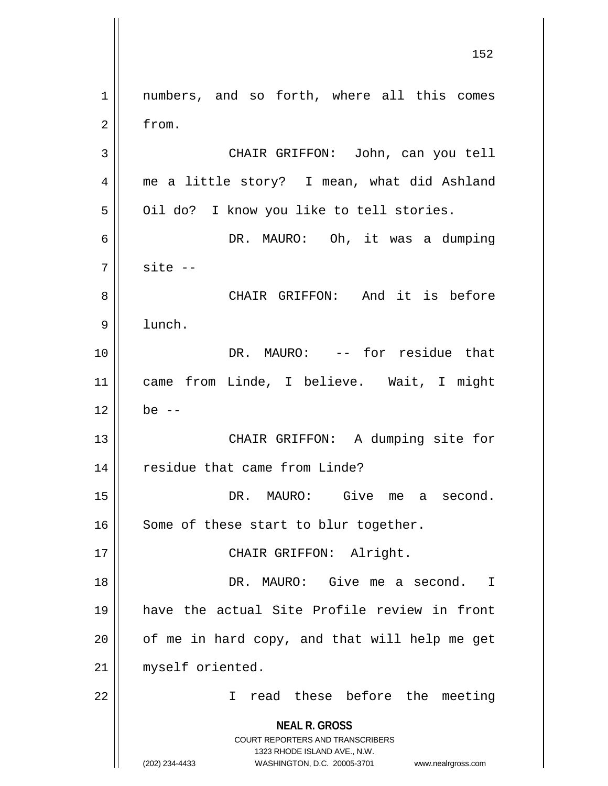**NEAL R. GROSS** COURT REPORTERS AND TRANSCRIBERS 1323 RHODE ISLAND AVE., N.W. (202) 234-4433 WASHINGTON, D.C. 20005-3701 www.nealrgross.com 1 || numbers, and so forth, where all this comes 2 from. 3 CHAIR GRIFFON: John, can you tell 4 me a little story? I mean, what did Ashland 5 | Oil do? I know you like to tell stories. 6 DR. MAURO: Oh, it was a dumping  $7 \parallel$  site  $-$ 8 CHAIR GRIFFON: And it is before 9 lunch. 10 DR. MAURO: -- for residue that 11 came from Linde, I believe. Wait, I might  $12 \parallel$  be  $-$ 13 || CHAIR GRIFFON: A dumping site for 14 | residue that came from Linde? 15 DR. MAURO: Give me a second.  $16$  Some of these start to blur together. 17 || CHAIR GRIFFON: Alright. 18 DR. MAURO: Give me a second. I 19 have the actual Site Profile review in front  $20$  | of me in hard copy, and that will help me get 21 || myself oriented. 22 I read these before the meeting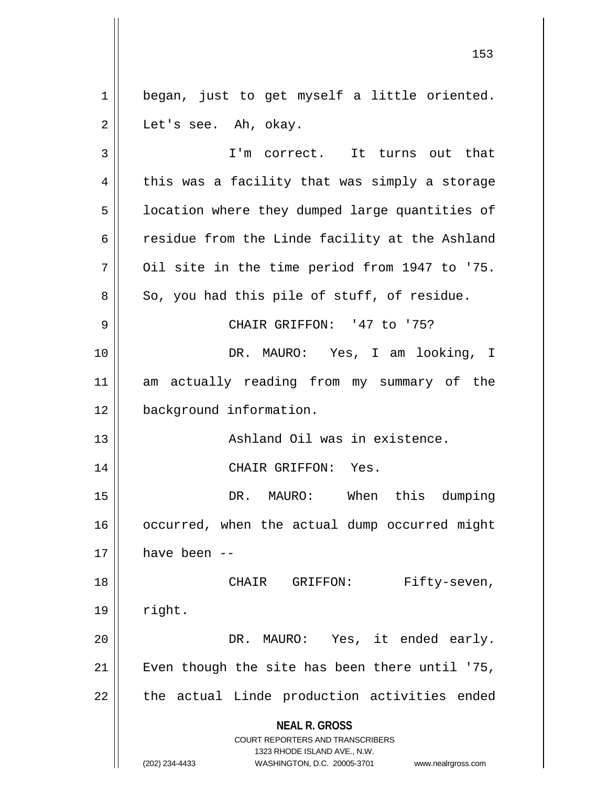1 || began, just to get myself a little oriented.  $2 \parallel$  Let's see. Ah, okay.

**NEAL R. GROSS** COURT REPORTERS AND TRANSCRIBERS 1323 RHODE ISLAND AVE., N.W. (202) 234-4433 WASHINGTON, D.C. 20005-3701 www.nealrgross.com 3 || I'm correct. It turns out that  $4 \parallel$  this was a facility that was simply a storage 5 | location where they dumped large quantities of  $6 \parallel$  residue from the Linde facility at the Ashland  $7$  | 0il site in the time period from 1947 to '75.  $8 \parallel$  So, you had this pile of stuff, of residue. 9 CHAIR GRIFFON: '47 to '75? 10 DR. MAURO: Yes, I am looking, I 11 am actually reading from my summary of the 12 background information. 13 || Ashland Oil was in existence. 14 CHAIR GRIFFON: Yes. 15 || The DR. MAURO: When this dumping 16 occurred, when the actual dump occurred might  $17$   $\parallel$  have been --18 || CHAIR GRIFFON: Fifty-seven,  $19$  | right. 20 DR. MAURO: Yes, it ended early. 21  $\parallel$  Even though the site has been there until '75,  $22$  || the actual Linde production activities ended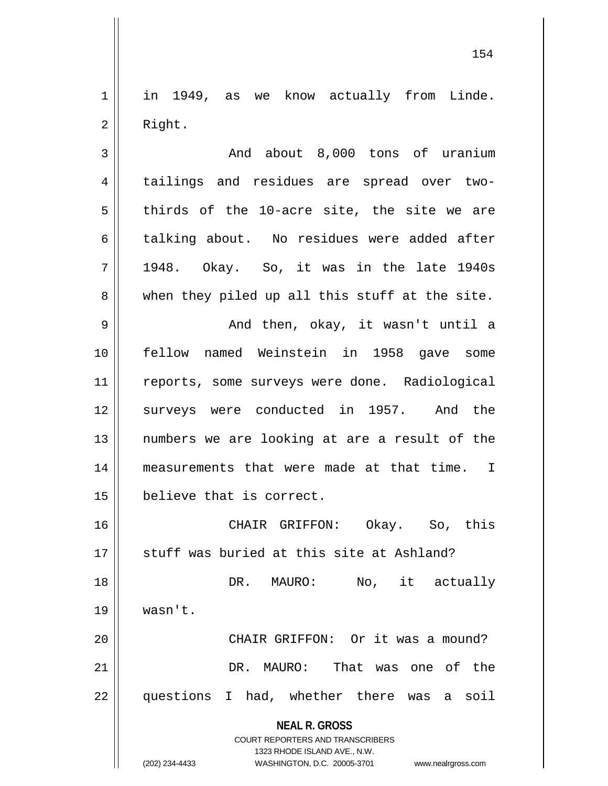1 || in 1949, as we know actually from Linde. 2 | Right.

3 And about 8,000 tons of uranium 4 || tailings and residues are spread over two- $5 \parallel$  thirds of the 10-acre site, the site we are 6 talking about. No residues were added after  $7 \parallel$  1948. Okay. So, it was in the late 1940s  $8 \parallel$  when they piled up all this stuff at the site. 9 And then, okay, it wasn't until a 10 fellow named Weinstein in 1958 gave some 11 || reports, some surveys were done. Radiological 12 surveys were conducted in 1957. And the 13 numbers we are looking at are a result of the 14 measurements that were made at that time. I 15 believe that is correct.

 CHAIR GRIFFON: Okay. So, this  $\parallel$  stuff was buried at this site at Ashland? DR. MAURO: No, it actually 19 wasn't. 20 || CHAIR GRIFFON: Or it was a mound? DR. MAURO: That was one of the

22 questions I had, whether there was a soil

**NEAL R. GROSS** COURT REPORTERS AND TRANSCRIBERS

1323 RHODE ISLAND AVE., N.W.

(202) 234-4433 WASHINGTON, D.C. 20005-3701 www.nealrgross.com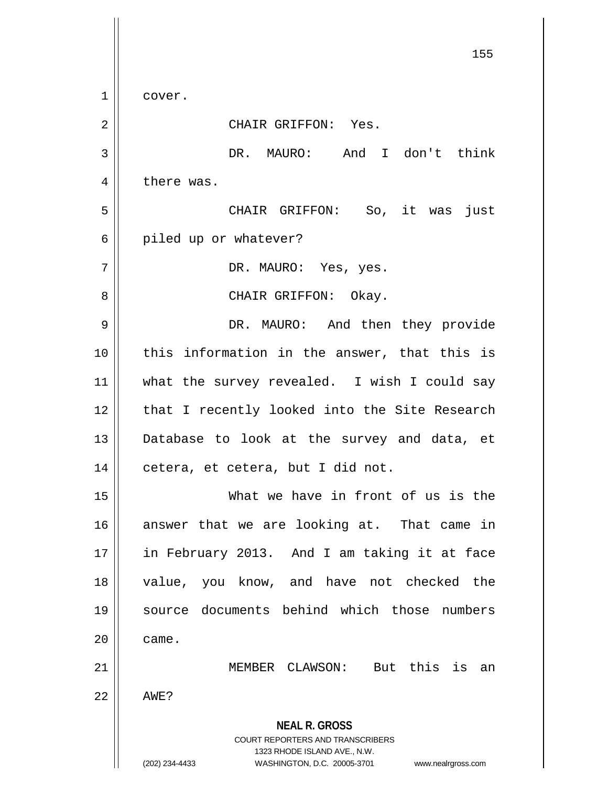**NEAL R. GROSS** COURT REPORTERS AND TRANSCRIBERS 1323 RHODE ISLAND AVE., N.W. (202) 234-4433 WASHINGTON, D.C. 20005-3701 www.nealrgross.com 155 1 cover. 2 || CHAIR GRIFFON: Yes. 3 DR. MAURO: And I don't think 4 | there was. 5 CHAIR GRIFFON: So, it was just 6 | piled up or whatever? 7 || DR. MAURO: Yes, yes. 8 CHAIR GRIFFON: Okay. 9 DR. MAURO: And then they provide  $10$  || this information in the answer, that this is 11 || what the survey revealed. I wish I could say 12 || that I recently looked into the Site Research 13 Database to look at the survey and data, et  $14$  || cetera, et cetera, but I did not. 15 What we have in front of us is the 16 answer that we are looking at. That came in 17 in February 2013. And I am taking it at face 18 value, you know, and have not checked the 19 source documents behind which those numbers  $20$   $\parallel$  came. 21 MEMBER CLAWSON: But this is an  $22$   $\parallel$  AWE?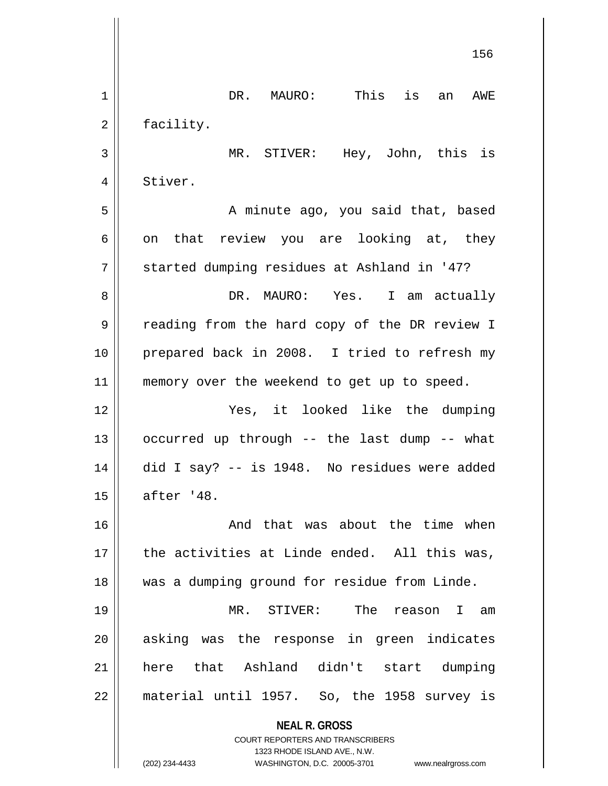**NEAL R. GROSS** COURT REPORTERS AND TRANSCRIBERS 1323 RHODE ISLAND AVE., N.W. (202) 234-4433 WASHINGTON, D.C. 20005-3701 www.nealrgross.com 156 1 || DR. MAURO: This is an AWE 2 | facility. 3 MR. STIVER: Hey, John, this is 4 Stiver. 5 || A minute ago, you said that, based  $6 \parallel$  on that review you are looking at, they 7 || started dumping residues at Ashland in '47? 8 DR. MAURO: Yes. I am actually 9 | reading from the hard copy of the DR review I 10 || prepared back in 2008. I tried to refresh my 11 || memory over the weekend to get up to speed. 12 Yes, it looked like the dumping 13  $\parallel$  occurred up through -- the last dump -- what 14  $\parallel$  did I say? -- is 1948. No residues were added 15 | after '48. 16 And that was about the time when  $17$  | the activities at Linde ended. All this was, 18 was a dumping ground for residue from Linde. 19 MR. STIVER: The reason I am 20 || asking was the response in green indicates 21 here that Ashland didn't start dumping  $22$  || material until 1957. So, the 1958 survey is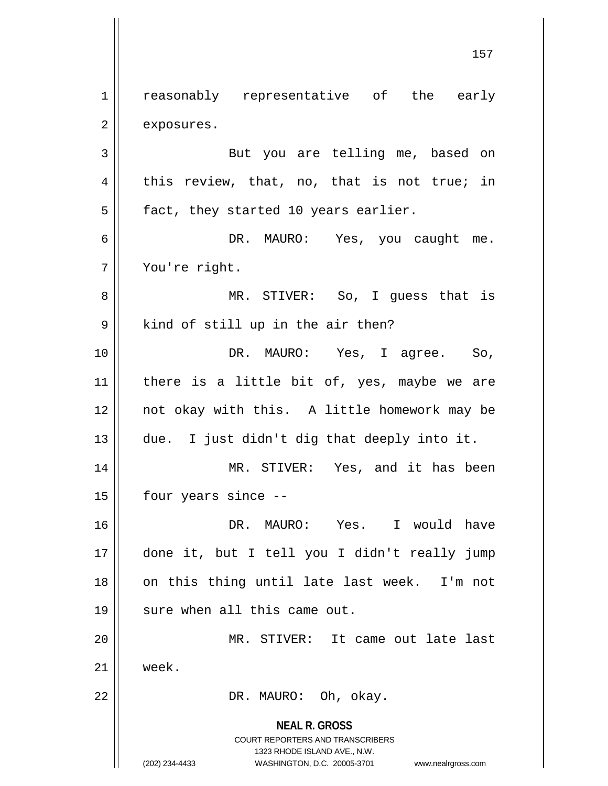1 || reasonably representative of the early  $2 \parallel$  exposures. 3 || But you are telling me, based on  $4 \parallel$  this review, that, no, that is not true; in  $5 \parallel$  fact, they started 10 years earlier. 6 DR. MAURO: Yes, you caught me. 7 You're right. 8 MR. STIVER: So, I guess that is  $9 \parallel$  kind of still up in the air then? 10 DR. MAURO: Yes, I agree. So,  $11$  | there is a little bit of, yes, maybe we are 12 not okay with this. A little homework may be  $13$  || due. I just didn't dig that deeply into it. 14 || MR. STIVER: Yes, and it has been  $15$  | four years since  $-$ 16 DR. MAURO: Yes. I would have 17 done it, but I tell you I didn't really jump

18 || on this thing until late last week. I'm not  $19$  || sure when all this came out.

20 MR. STIVER: It came out late last 21 week.

22 || DR. MAURO: Oh, okay.

**NEAL R. GROSS** COURT REPORTERS AND TRANSCRIBERS 1323 RHODE ISLAND AVE., N.W. (202) 234-4433 WASHINGTON, D.C. 20005-3701 www.nealrgross.com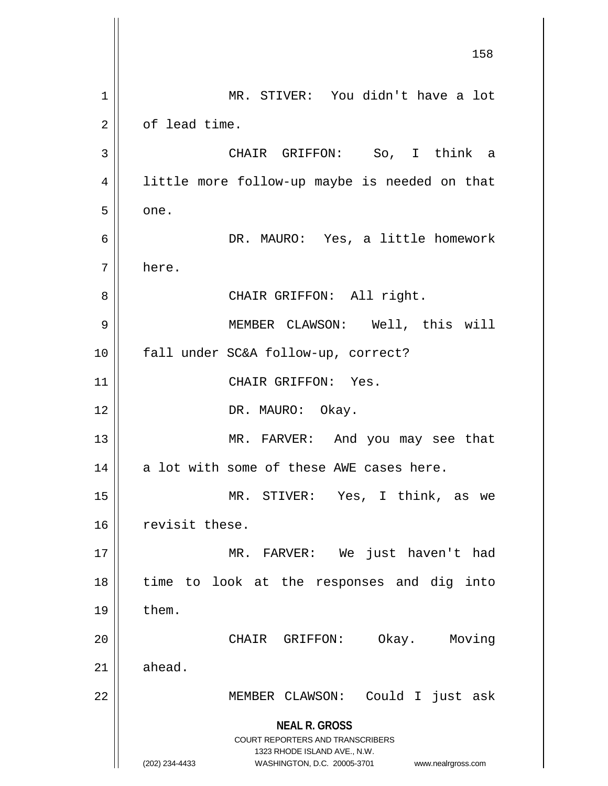**NEAL R. GROSS** COURT REPORTERS AND TRANSCRIBERS 1323 RHODE ISLAND AVE., N.W. (202) 234-4433 WASHINGTON, D.C. 20005-3701 www.nealrgross.com 158 1 || MR. STIVER: You didn't have a lot 2 l of lead time. 3 CHAIR GRIFFON: So, I think a 4 || little more follow-up maybe is needed on that  $5 \parallel$  one. 6 DR. MAURO: Yes, a little homework 7 here. 8 || CHAIR GRIFFON: All right. 9 MEMBER CLAWSON: Well, this will 10 fall under SC&A follow-up, correct? 11 || CHAIR GRIFFON: Yes. 12 || DR. MAURO: Okay. 13 || MR. FARVER: And you may see that  $14$  || a lot with some of these AWE cases here. 15 MR. STIVER: Yes, I think, as we 16 revisit these. 17 MR. FARVER: We just haven't had 18 || time to look at the responses and dig into  $19 \parallel$  them. 20 CHAIR GRIFFON: Okay. Moving  $21 \parallel$  ahead. 22 || MEMBER CLAWSON: Could I just ask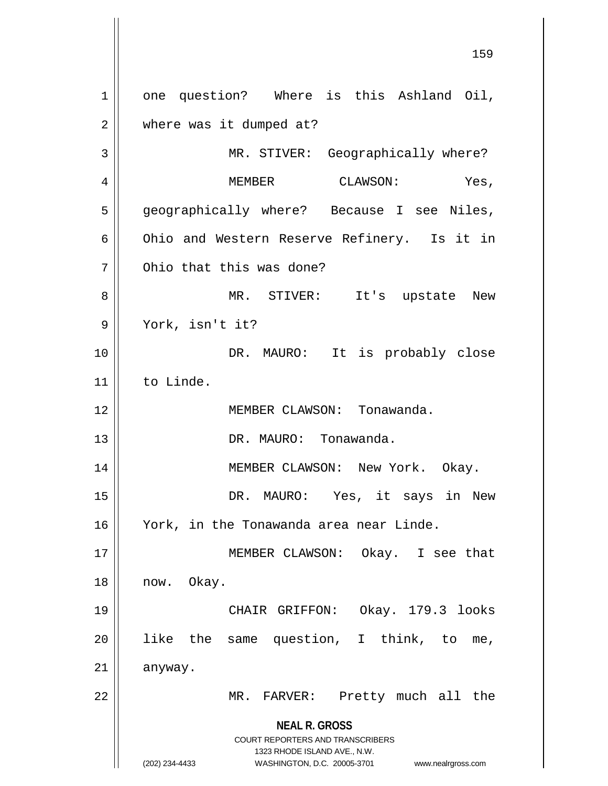**NEAL R. GROSS** COURT REPORTERS AND TRANSCRIBERS 1323 RHODE ISLAND AVE., N.W. (202) 234-4433 WASHINGTON, D.C. 20005-3701 www.nealrgross.com 1 || one question? Where is this Ashland Oil, 2 | where was it dumped at? 3 || MR. STIVER: Geographically where? 4 MEMBER CLAWSON: Yes, 5 || geographically where? Because I see Niles, 6 Ohio and Western Reserve Refinery. Is it in 7 0hio that this was done? 8 MR. STIVER: It's upstate New 9 York, isn't it? 10 || DR. MAURO: It is probably close 11 to Linde. 12 MEMBER CLAWSON: Tonawanda. 13 DR. MAURO: Tonawanda. 14 MEMBER CLAWSON: New York. Okay. 15 DR. MAURO: Yes, it says in New 16 York, in the Tonawanda area near Linde. 17 || MEMBER CLAWSON: Okay. I see that 18 | now. Okay. 19 CHAIR GRIFFON: Okay. 179.3 looks  $20$  || like the same question, I think, to me,  $21$  anyway. 22 || MR. FARVER: Pretty much all the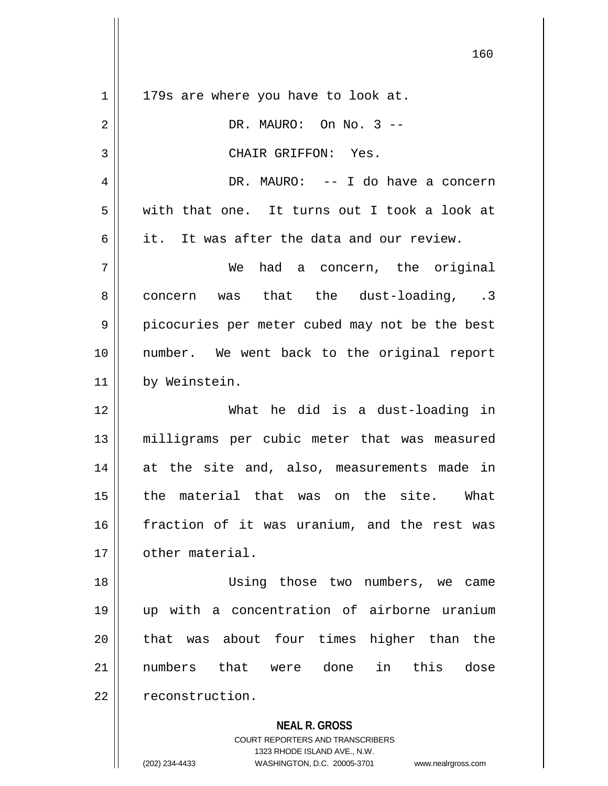| $\mathbf 1$ | 179s are where you have to look at.                      |
|-------------|----------------------------------------------------------|
| 2           | DR. MAURO: On No. 3 --                                   |
| 3           | CHAIR GRIFFON: Yes.                                      |
| 4           | DR. MAURO: -- I do have a concern                        |
| 5           | with that one. It turns out I took a look at             |
| 6           | it. It was after the data and our review.                |
| 7           | had a concern, the original<br>We                        |
| 8           | concern was that the dust-loading, .3                    |
| 9           | picocuries per meter cubed may not be the best           |
| 10          | number. We went back to the original report              |
| 11          | by Weinstein.                                            |
| 12          | What he did is a dust-loading in                         |
| 13          | milligrams per cubic meter that was measured             |
| 14          | at the site and, also, measurements made in              |
| 15          | the material that was on the site. What                  |
| 16          | fraction of it was uranium, and the rest was             |
| 17          | other material.                                          |
| 18          | Using those two numbers, we came                         |
| 19          | up with a concentration of airborne uranium              |
| 20          | that was about four times higher than the                |
| 21          | numbers that were done<br>in this<br>dose                |
| 22          | reconstruction.                                          |
|             | <b>NEAL R. GROSS</b><br>COURT REPORTERS AND TRANSCRIBERS |

1323 RHODE ISLAND AVE., N.W.

(202) 234-4433 WASHINGTON, D.C. 20005-3701 www.nealrgross.com

 $\prod$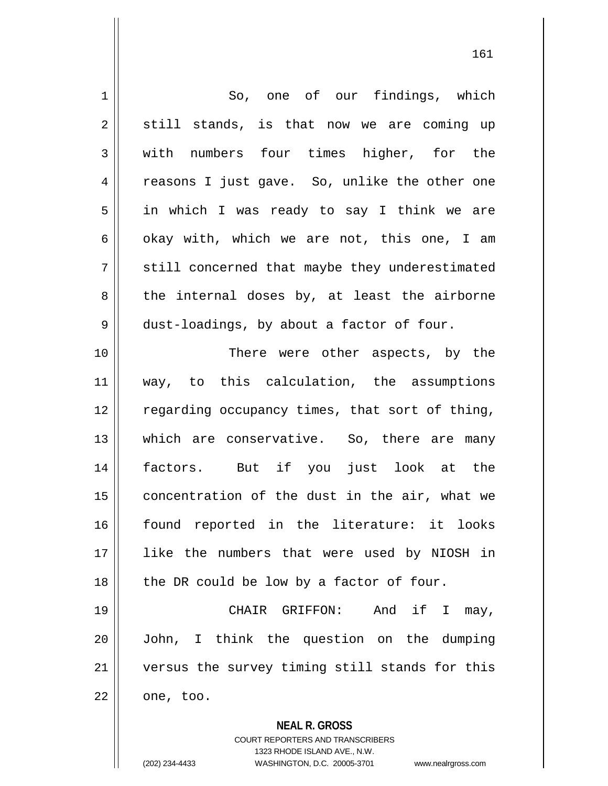| $\mathbf 1$ | So, one of our findings, which                           |
|-------------|----------------------------------------------------------|
| 2           | still stands, is that now we are coming up               |
| 3           | with numbers four times higher, for the                  |
| 4           | reasons I just gave. So, unlike the other one            |
| 5           | in which I was ready to say I think we are               |
| 6           | okay with, which we are not, this one, I am              |
| 7           | still concerned that maybe they underestimated           |
| 8           | the internal doses by, at least the airborne             |
| $\mathsf 9$ | dust-loadings, by about a factor of four.                |
| 10          | There were other aspects, by the                         |
| 11          | way, to this calculation, the assumptions                |
| 12          | regarding occupancy times, that sort of thing,           |
| 13          | which are conservative. So, there are many               |
| 14          | factors. But if you just look at the                     |
| 15          | concentration of the dust in the air, what we            |
| 16          | found reported in the literature: it looks               |
| 17          | like the numbers that were used by NIOSH in              |
| 18          | the DR could be low by a factor of four.                 |
| 19          | And if I may,<br>CHAIR GRIFFON:                          |
| 20          | John, I think the question on the dumping                |
| 21          | versus the survey timing still stands for this           |
| 22          | one, too.                                                |
|             | <b>NEAL R. GROSS</b><br>COURT REPORTERS AND TRANSCRIBERS |

1323 RHODE ISLAND AVE., N.W.

 $\mathsf{II}$ 

(202) 234-4433 WASHINGTON, D.C. 20005-3701 www.nealrgross.com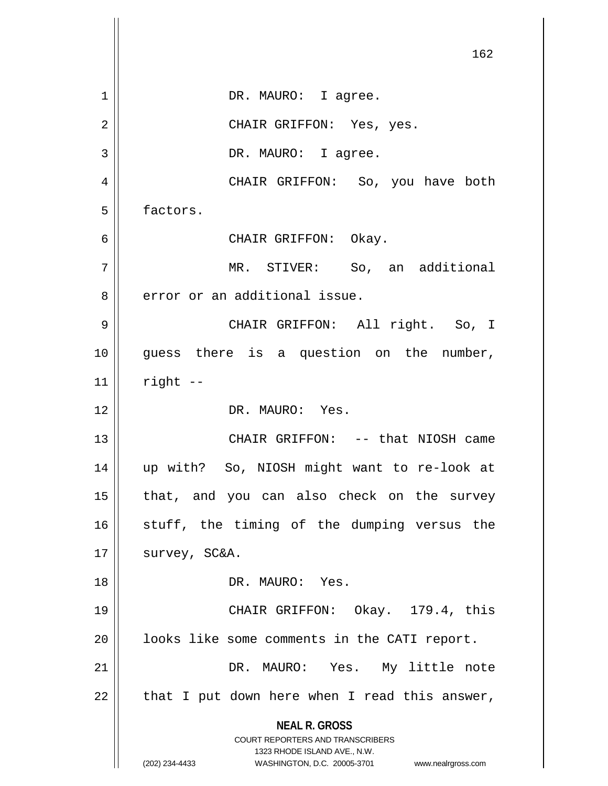|    | 162                                                                                                                                                                    |
|----|------------------------------------------------------------------------------------------------------------------------------------------------------------------------|
| 1  | DR. MAURO: I agree.                                                                                                                                                    |
| 2  | CHAIR GRIFFON: Yes, yes.                                                                                                                                               |
| 3  | DR. MAURO: I agree.                                                                                                                                                    |
| 4  | CHAIR GRIFFON: So, you have both                                                                                                                                       |
| 5  | factors.                                                                                                                                                               |
| 6  | CHAIR GRIFFON: Okay.                                                                                                                                                   |
| 7  | MR. STIVER: So, an additional                                                                                                                                          |
| 8  | error or an additional issue.                                                                                                                                          |
| 9  | CHAIR GRIFFON: All right. So, I                                                                                                                                        |
| 10 | guess there is a question on the number,                                                                                                                               |
| 11 | right --                                                                                                                                                               |
| 12 | DR. MAURO: Yes.                                                                                                                                                        |
| 13 | CHAIR GRIFFON: -- that NIOSH came                                                                                                                                      |
| 14 | up with? So, NIOSH might want to re-look at                                                                                                                            |
| 15 | that, and you can also check on the survey                                                                                                                             |
| 16 | stuff, the timing of the dumping versus the                                                                                                                            |
| 17 | survey, SC&A.                                                                                                                                                          |
| 18 | DR. MAURO: Yes.                                                                                                                                                        |
| 19 | CHAIR GRIFFON: Okay. 179.4, this                                                                                                                                       |
| 20 | looks like some comments in the CATI report.                                                                                                                           |
| 21 | DR. MAURO: Yes. My little note                                                                                                                                         |
| 22 | that I put down here when I read this answer,                                                                                                                          |
|    | <b>NEAL R. GROSS</b><br><b>COURT REPORTERS AND TRANSCRIBERS</b><br>1323 RHODE ISLAND AVE., N.W.<br>(202) 234-4433<br>WASHINGTON, D.C. 20005-3701<br>www.nealrgross.com |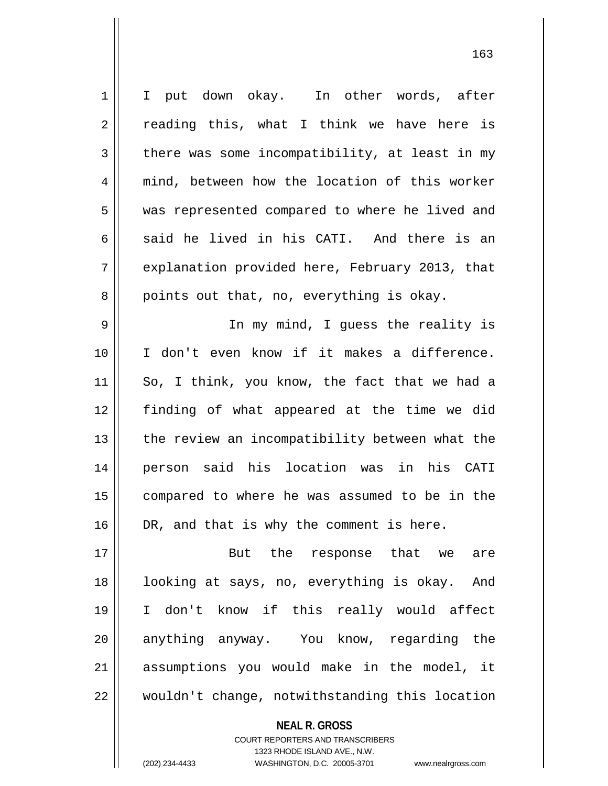| $\mathbf 1$ | I put down okay. In other words, after         |
|-------------|------------------------------------------------|
| 2           | reading this, what I think we have here is     |
| 3           | there was some incompatibility, at least in my |
| 4           | mind, between how the location of this worker  |
| 5           | was represented compared to where he lived and |
| 6           | said he lived in his CATI. And there is an     |
| 7           | explanation provided here, February 2013, that |
| 8           | points out that, no, everything is okay.       |
| 9           | In my mind, I guess the reality is             |
| 10          | I don't even know if it makes a difference.    |
| 11          | So, I think, you know, the fact that we had a  |
| 12          | finding of what appeared at the time we did    |
| 13          | the review an incompatibility between what the |
| 14          | person said his location was in his CATI       |
| 15          | compared to where he was assumed to be in the  |
| 16          | DR, and that is why the comment is here.       |
| 17          | But the response that we<br>are                |
| 18          | looking at says, no, everything is okay. And   |
| 19          | I don't know if this really would affect       |
| 20          | anything anyway. You know, regarding the       |
| 21          | assumptions you would make in the model, it    |
| 22          | wouldn't change, notwithstanding this location |

**NEAL R. GROSS** COURT REPORTERS AND TRANSCRIBERS

1323 RHODE ISLAND AVE., N.W.

(202) 234-4433 WASHINGTON, D.C. 20005-3701 www.nealrgross.com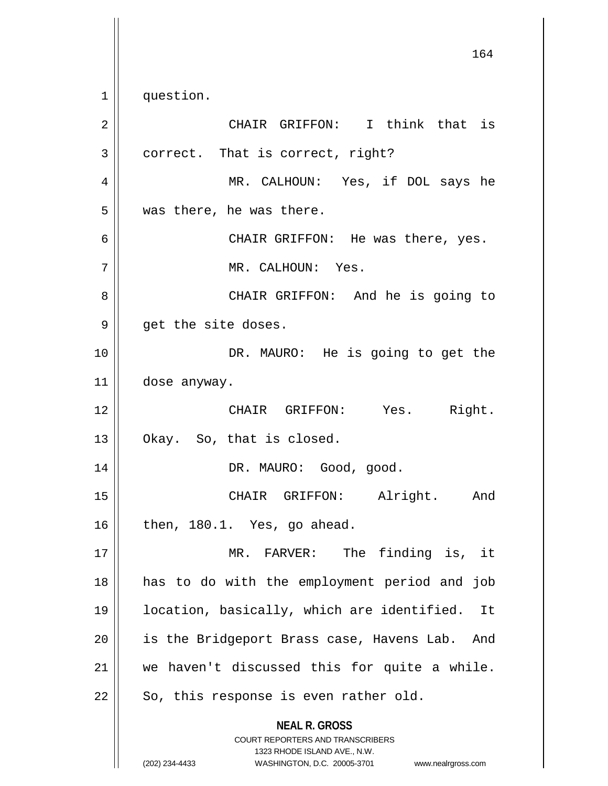1 || question.

**NEAL R. GROSS** COURT REPORTERS AND TRANSCRIBERS 1323 RHODE ISLAND AVE., N.W. (202) 234-4433 WASHINGTON, D.C. 20005-3701 www.nealrgross.com 2 CHAIR GRIFFON: I think that is  $3 \parallel$  correct. That is correct, right? 4 MR. CALHOUN: Yes, if DOL says he  $5 \parallel$  was there, he was there. 6 CHAIR GRIFFON: He was there, yes. 7 MR. CALHOUN: Yes. 8 CHAIR GRIFFON: And he is going to  $9 \parallel$  get the site doses. 10 || DR. MAURO: He is going to get the 11 dose anyway. 12 CHAIR GRIFFON: Yes. Right.  $13 \parallel$  Okay. So, that is closed. 14 DR. MAURO: Good, good. 15 || CHAIR GRIFFON: Alright. And  $16 \parallel$  then, 180.1. Yes, go ahead. 17 || MR. FARVER: The finding is, it 18 has to do with the employment period and job 19 location, basically, which are identified. It 20 || is the Bridgeport Brass case, Havens Lab. And 21 || we haven't discussed this for quite a while.  $22$  | So, this response is even rather old.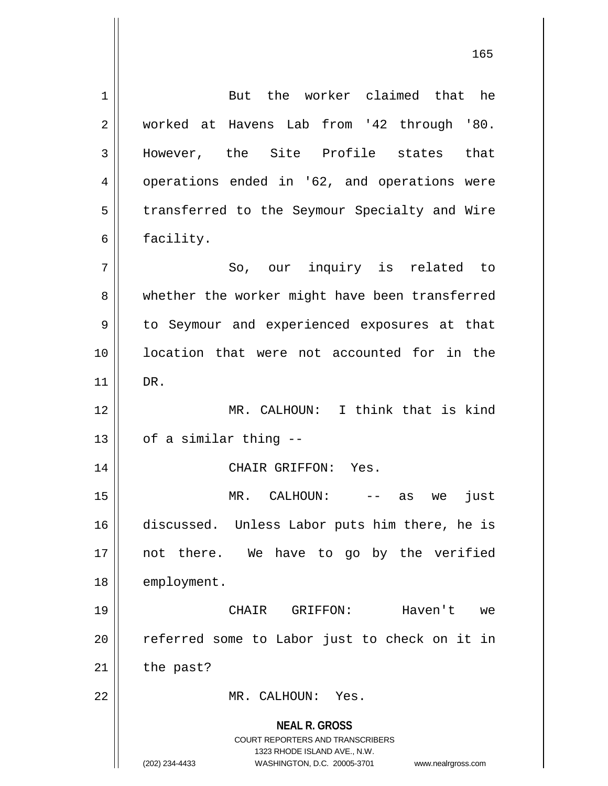**NEAL R. GROSS** COURT REPORTERS AND TRANSCRIBERS 1323 RHODE ISLAND AVE., N.W. (202) 234-4433 WASHINGTON, D.C. 20005-3701 www.nealrgross.com 1 But the worker claimed that he 2 worked at Havens Lab from '42 through '80. 3 || However, the Site Profile states that 4 || operations ended in '62, and operations were 5 | transferred to the Seymour Specialty and Wire  $6 \parallel$  facility. 7 || So, our inquiry is related to 8 whether the worker might have been transferred 9 || to Seymour and experienced exposures at that 10 location that were not accounted for in the 11 DR. 12 MR. CALHOUN: I think that is kind  $13$  |  $\sigma$ f a similar thing --14 CHAIR GRIFFON: Yes. 15 MR. CALHOUN: -- as we just 16 discussed. Unless Labor puts him there, he is 17 || not there. We have to go by the verified 18 | employment. 19 CHAIR GRIFFON: Haven't we 20 || referred some to Labor just to check on it in  $21$  | the past? 22 MR. CALHOUN: Yes.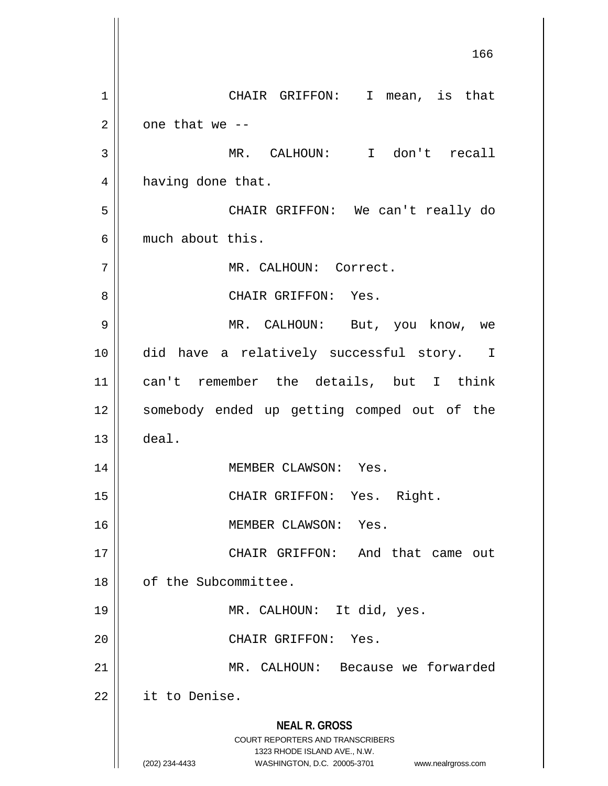**NEAL R. GROSS** COURT REPORTERS AND TRANSCRIBERS 1323 RHODE ISLAND AVE., N.W. (202) 234-4433 WASHINGTON, D.C. 20005-3701 www.nealrgross.com 166 1 CHAIR GRIFFON: I mean, is that  $2 \parallel$  one that we --3 MR. CALHOUN: I don't recall 4 | having done that. 5 CHAIR GRIFFON: We can't really do 6 much about this. 7 | MR. CALHOUN: Correct. 8 CHAIR GRIFFON: Yes. 9 MR. CALHOUN: But, you know, we 10 did have a relatively successful story. I 11 can't remember the details, but I think 12 || somebody ended up getting comped out of the  $13 \parallel$  deal. 14 MEMBER CLAWSON: Yes. 15 || CHAIR GRIFFON: Yes. Right. 16 || MEMBER CLAWSON: Yes. 17 || CHAIR GRIFFON: And that came out 18 of the Subcommittee. 19 || MR. CALHOUN: It did, yes. 20 || CHAIR GRIFFON: Yes. 21 MR. CALHOUN: Because we forwarded 22 | it to Denise.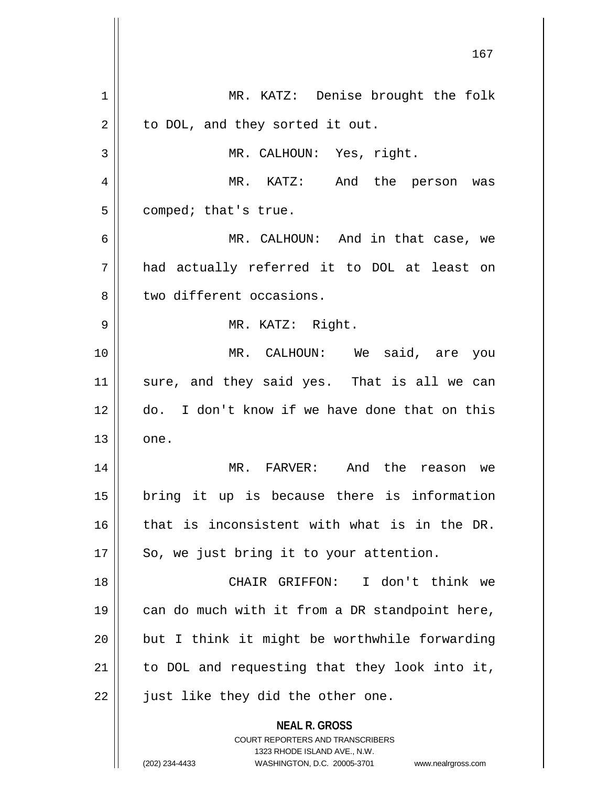|    | 167                                                                                                                                                                    |
|----|------------------------------------------------------------------------------------------------------------------------------------------------------------------------|
| 1  | MR. KATZ: Denise brought the folk                                                                                                                                      |
| 2  | to DOL, and they sorted it out.                                                                                                                                        |
| 3  | MR. CALHOUN: Yes, right.                                                                                                                                               |
| 4  | MR. KATZ: And the person was                                                                                                                                           |
| 5  | comped; that's true.                                                                                                                                                   |
| 6  | MR. CALHOUN: And in that case, we                                                                                                                                      |
| 7  | had actually referred it to DOL at least on                                                                                                                            |
| 8  | two different occasions.                                                                                                                                               |
| 9  | MR. KATZ: Right.                                                                                                                                                       |
| 10 | MR. CALHOUN: We said, are you                                                                                                                                          |
| 11 | sure, and they said yes. That is all we can                                                                                                                            |
| 12 | do. I don't know if we have done that on this                                                                                                                          |
| 13 | one.                                                                                                                                                                   |
| 14 | MR. FARVER:<br>And the reason we                                                                                                                                       |
| 15 | bring it up is because there is information                                                                                                                            |
| 16 | that is inconsistent with what is in the DR.                                                                                                                           |
| 17 | So, we just bring it to your attention.                                                                                                                                |
| 18 | CHAIR GRIFFON: I don't think we                                                                                                                                        |
| 19 | can do much with it from a DR standpoint here,                                                                                                                         |
| 20 | but I think it might be worthwhile forwarding                                                                                                                          |
| 21 | to DOL and requesting that they look into it,                                                                                                                          |
| 22 | just like they did the other one.                                                                                                                                      |
|    | <b>NEAL R. GROSS</b><br><b>COURT REPORTERS AND TRANSCRIBERS</b><br>1323 RHODE ISLAND AVE., N.W.<br>(202) 234-4433<br>WASHINGTON, D.C. 20005-3701<br>www.nealrgross.com |

 $\mathsf{I}$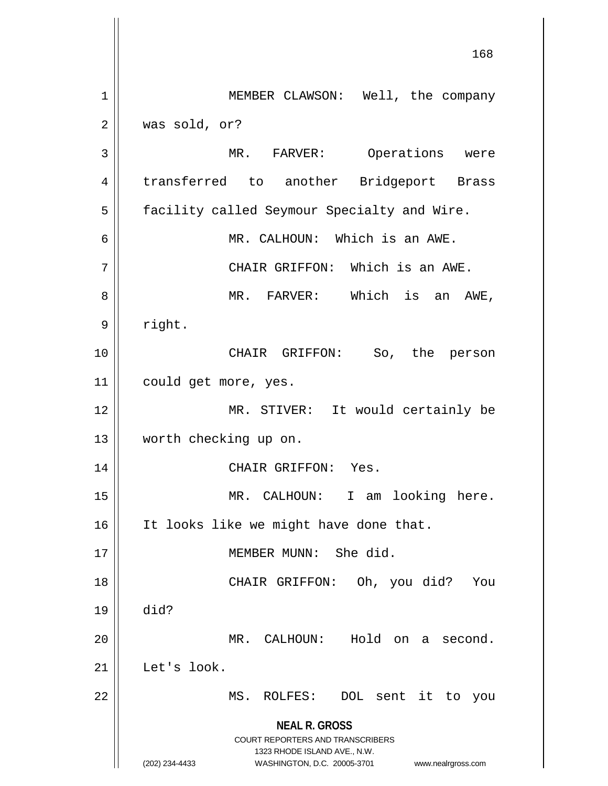**NEAL R. GROSS** COURT REPORTERS AND TRANSCRIBERS 1323 RHODE ISLAND AVE., N.W. (202) 234-4433 WASHINGTON, D.C. 20005-3701 www.nealrgross.com 168 1 | MEMBER CLAWSON: Well, the company  $2 \parallel$  was sold, or? 3 MR. FARVER: Operations were 4 || transferred to another Bridgeport Brass 5 | facility called Seymour Specialty and Wire. 6 MR. CALHOUN: Which is an AWE. 7 CHAIR GRIFFON: Which is an AWE. 8 MR. FARVER: Which is an AWE, 9 | right. 10 CHAIR GRIFFON: So, the person 11 could get more, yes. 12 || MR. STIVER: It would certainly be 13 worth checking up on. 14 CHAIR GRIFFON: Yes. 15 || MR. CALHOUN: I am looking here. 16 | It looks like we might have done that. 17 MEMBER MUNN: She did. 18 CHAIR GRIFFON: Oh, you did? You 19 did? 20 MR. CALHOUN: Hold on a second. 21 Let's look. 22 || MS. ROLFES: DOL sent it to you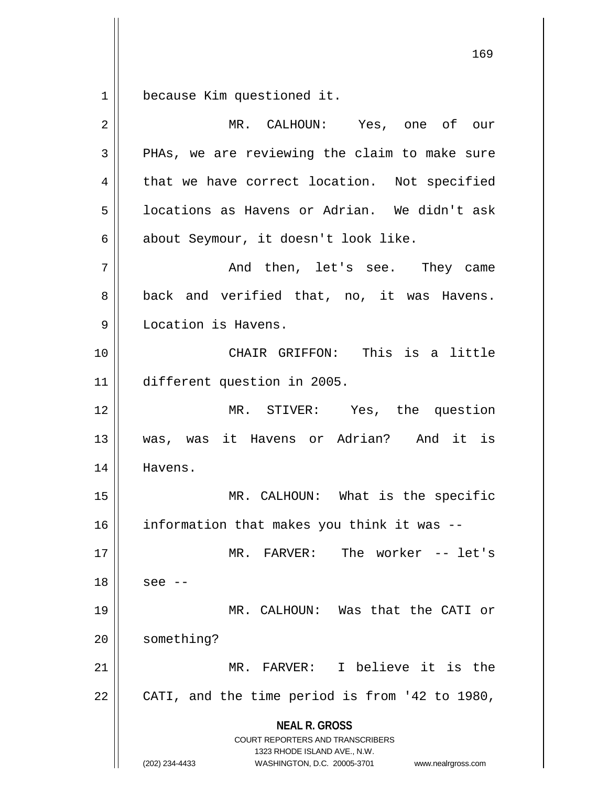1 because Kim questioned it.

| $\overline{2}$ | MR. CALHOUN: Yes, one of our                                                                                                                                           |
|----------------|------------------------------------------------------------------------------------------------------------------------------------------------------------------------|
| 3              | PHAs, we are reviewing the claim to make sure                                                                                                                          |
| 4              | that we have correct location. Not specified                                                                                                                           |
| 5              | locations as Havens or Adrian. We didn't ask                                                                                                                           |
| 6              | about Seymour, it doesn't look like.                                                                                                                                   |
| 7              | And then, let's see. They came                                                                                                                                         |
| 8              | back and verified that, no, it was Havens.                                                                                                                             |
| 9              | Location is Havens.                                                                                                                                                    |
| 10             | CHAIR GRIFFON: This is a little                                                                                                                                        |
| 11             | different question in 2005.                                                                                                                                            |
| 12             | MR. STIVER: Yes, the question                                                                                                                                          |
| 13             | was, was it Havens or Adrian? And it is                                                                                                                                |
| 14             | Havens.                                                                                                                                                                |
| 15             | MR. CALHOUN: What is the specific                                                                                                                                      |
| 16             | information that makes you think it was --                                                                                                                             |
| 17             | MR. FARVER: The worker -- let's                                                                                                                                        |
| 18             | see --                                                                                                                                                                 |
| 19             | MR. CALHOUN: Was that the CATI or                                                                                                                                      |
| 20             | something?                                                                                                                                                             |
| 21             | MR. FARVER: I believe it is the                                                                                                                                        |
| 22             | CATI, and the time period is from '42 to 1980,                                                                                                                         |
|                | <b>NEAL R. GROSS</b><br><b>COURT REPORTERS AND TRANSCRIBERS</b><br>1323 RHODE ISLAND AVE., N.W.<br>WASHINGTON, D.C. 20005-3701<br>(202) 234-4433<br>www.nealrgross.com |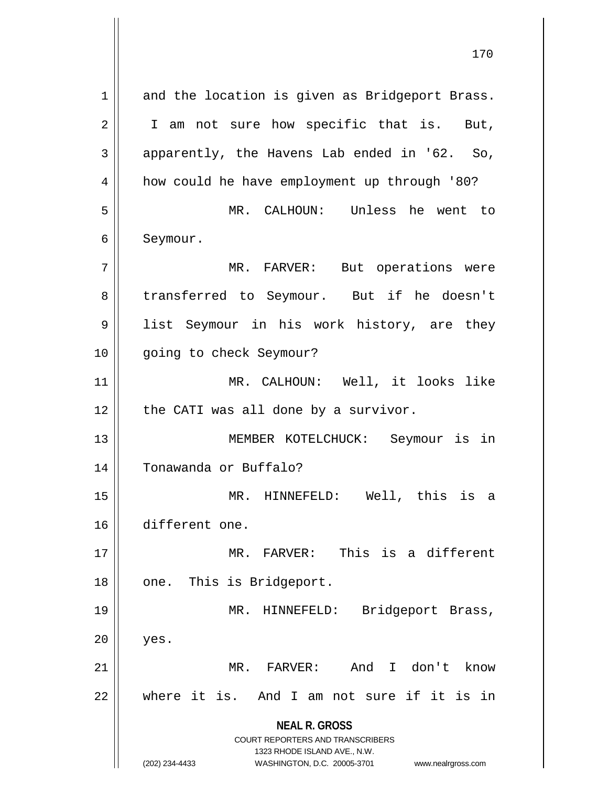**NEAL R. GROSS** COURT REPORTERS AND TRANSCRIBERS 1323 RHODE ISLAND AVE., N.W. (202) 234-4433 WASHINGTON, D.C. 20005-3701 www.nealrgross.com 1 and the location is given as Bridgeport Brass.  $2 \parallel$  I am not sure how specific that is. But,  $3 \parallel$  apparently, the Havens Lab ended in '62. So, 4 | how could he have employment up through '80? 5 MR. CALHOUN: Unless he went to 6 | Seymour. 7 MR. FARVER: But operations were 8 transferred to Seymour. But if he doesn't 9 || list Seymour in his work history, are they 10 || going to check Seymour? 11 MR. CALHOUN: Well, it looks like  $12$  | the CATI was all done by a survivor. 13 MEMBER KOTELCHUCK: Seymour is in 14 Tonawanda or Buffalo? 15 MR. HINNEFELD: Well, this is a 16 different one. 17 MR. FARVER: This is a different 18 || one. This is Bridgeport. 19 || MR. HINNEFELD: Bridgeport Brass,  $20$  || yes. 21 || MR. FARVER: And I don't know 22 where it is. And I am not sure if it is in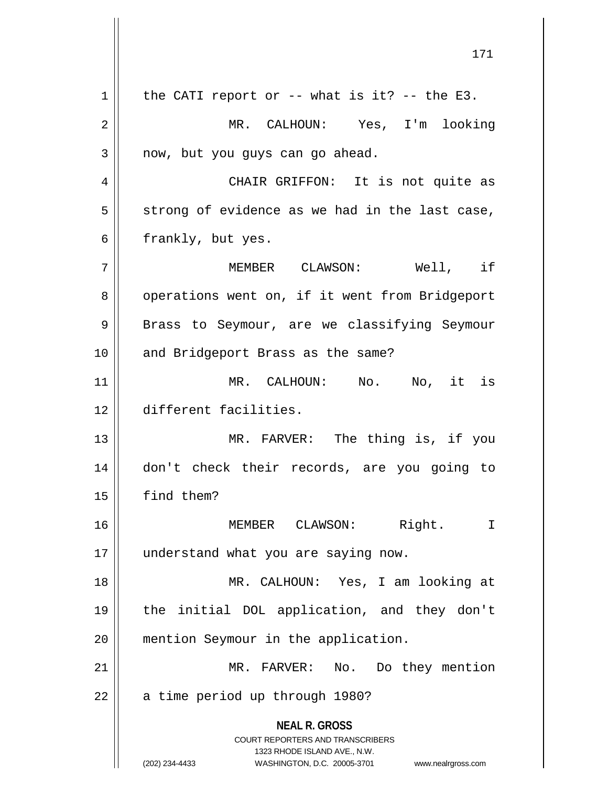**NEAL R. GROSS** COURT REPORTERS AND TRANSCRIBERS 1323 RHODE ISLAND AVE., N.W. (202) 234-4433 WASHINGTON, D.C. 20005-3701 www.nealrgross.com  $1 \parallel$  the CATI report or -- what is it? -- the E3. 2 MR. CALHOUN: Yes, I'm looking  $3 \parallel$  now, but you guys can go ahead. 4 CHAIR GRIFFON: It is not quite as  $5 \parallel$  strong of evidence as we had in the last case,  $6 \parallel$  frankly, but yes. 7 MEMBER CLAWSON: Well, if 8 | operations went on, if it went from Bridgeport 9 || Brass to Seymour, are we classifying Seymour 10 || and Bridgeport Brass as the same? 11 MR. CALHOUN: No. No, it is 12 different facilities. 13 || MR. FARVER: The thing is, if you 14 don't check their records, are you going to 15 find them? 16 MEMBER CLAWSON: Right. I 17 || understand what you are saying now. 18 MR. CALHOUN: Yes, I am looking at 19 the initial DOL application, and they don't 20 | mention Seymour in the application. 21 || MR. FARVER: No. Do they mention 22 | a time period up through 1980?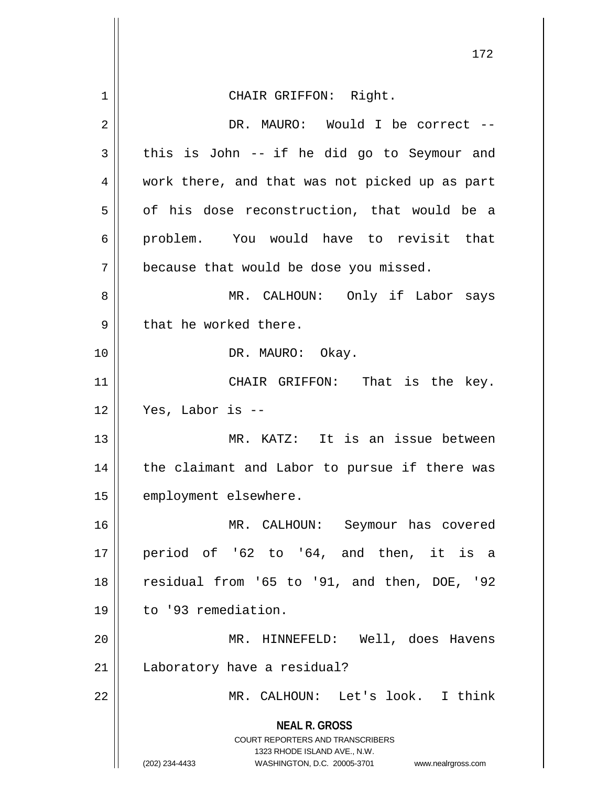|    | 172                                                                                                 |
|----|-----------------------------------------------------------------------------------------------------|
| 1  | CHAIR GRIFFON: Right.                                                                               |
| 2  | DR. MAURO: Would I be correct --                                                                    |
| 3  | this is John -- if he did go to Seymour and                                                         |
| 4  | work there, and that was not picked up as part                                                      |
| 5  | of his dose reconstruction, that would be a                                                         |
| 6  | problem. You would have to revisit that                                                             |
| 7  | because that would be dose you missed.                                                              |
| 8  | MR. CALHOUN: Only if Labor says                                                                     |
| 9  | that he worked there.                                                                               |
| 10 | DR. MAURO: Okay.                                                                                    |
| 11 | CHAIR GRIFFON: That is the key.                                                                     |
| 12 | Yes, Labor is --                                                                                    |
| 13 | MR. KATZ: It is an issue between                                                                    |
| 14 | the claimant and Labor to pursue if there was                                                       |
| 15 | employment elsewhere.                                                                               |
| 16 | MR. CALHOUN: Seymour has covered                                                                    |
| 17 | period of '62 to '64, and then, it is a                                                             |
| 18 | residual from '65 to '91, and then, DOE, '92                                                        |
| 19 | to '93 remediation.                                                                                 |
| 20 | MR. HINNEFELD: Well, does Havens                                                                    |
| 21 | Laboratory have a residual?                                                                         |
| 22 | MR. CALHOUN: Let's look. I think                                                                    |
|    | <b>NEAL R. GROSS</b><br><b>COURT REPORTERS AND TRANSCRIBERS</b>                                     |
|    | 1323 RHODE ISLAND AVE., N.W.<br>(202) 234-4433<br>WASHINGTON, D.C. 20005-3701<br>www.nealrgross.com |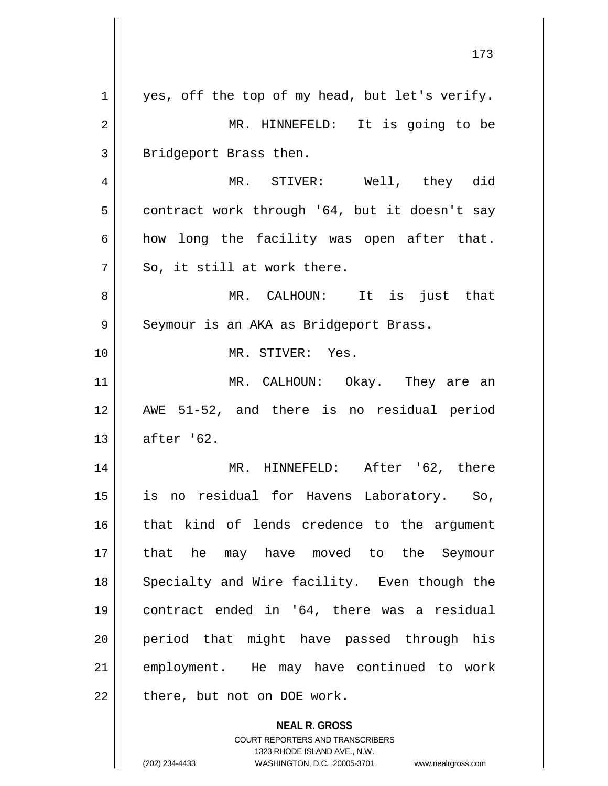| $\mathbf 1$ | yes, off the top of my head, but let's verify.                                                      |
|-------------|-----------------------------------------------------------------------------------------------------|
| 2           | MR. HINNEFELD: It is going to be                                                                    |
| 3           | Bridgeport Brass then.                                                                              |
| 4           | MR. STIVER: Well, they did                                                                          |
| 5           | contract work through '64, but it doesn't say                                                       |
| 6           | how long the facility was open after that.                                                          |
| 7           | So, it still at work there.                                                                         |
| 8           | MR. CALHOUN: It is just that                                                                        |
| 9           | Seymour is an AKA as Bridgeport Brass.                                                              |
| 10          | MR. STIVER: Yes.                                                                                    |
| 11          | MR. CALHOUN: Okay. They are an                                                                      |
| 12          | AWE 51-52, and there is no residual period                                                          |
| 13          | after '62.                                                                                          |
| 14          | MR. HINNEFELD: After '62, there                                                                     |
| 15          | is<br>no residual for Havens Laboratory. So,                                                        |
| 16          | that kind of lends credence to the argument                                                         |
| 17          | that he may have moved to the Seymour                                                               |
| 18          | Specialty and Wire facility. Even though the                                                        |
| 19          | contract ended in '64, there was a residual                                                         |
| 20          | period that might have passed through his                                                           |
| 21          | employment. He may have continued to work                                                           |
| 22          | there, but not on DOE work.                                                                         |
|             | <b>NEAL R. GROSS</b>                                                                                |
|             | <b>COURT REPORTERS AND TRANSCRIBERS</b>                                                             |
|             | 1323 RHODE ISLAND AVE., N.W.<br>(202) 234-4433<br>WASHINGTON, D.C. 20005-3701<br>www.nealrgross.com |
|             |                                                                                                     |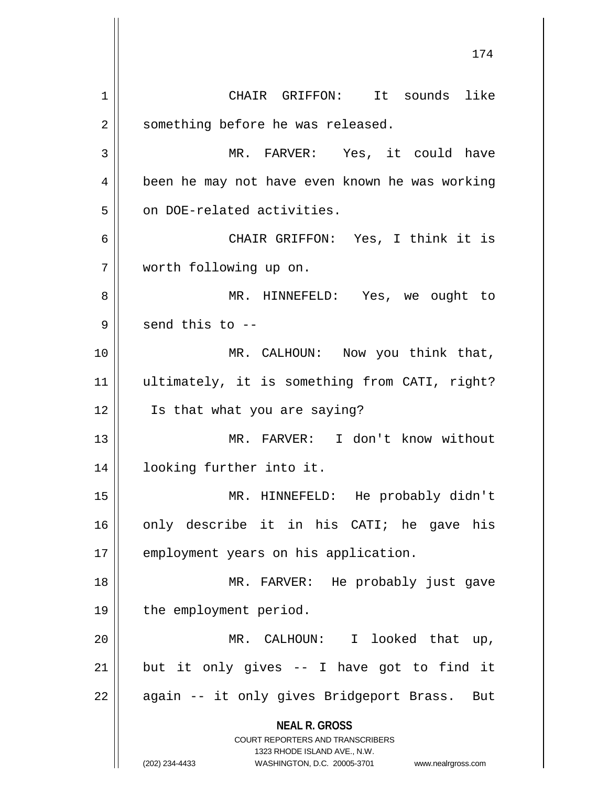**NEAL R. GROSS** COURT REPORTERS AND TRANSCRIBERS 1323 RHODE ISLAND AVE., N.W. (202) 234-4433 WASHINGTON, D.C. 20005-3701 www.nealrgross.com 174 1 CHAIR GRIFFON: It sounds like 2 | something before he was released. 3 MR. FARVER: Yes, it could have 4 | been he may not have even known he was working 5 || on DOE-related activities. 6 CHAIR GRIFFON: Yes, I think it is 7 worth following up on. 8 MR. HINNEFELD: Yes, we ought to  $9 \parallel$  send this to  $-$ 10 MR. CALHOUN: Now you think that, 11 ultimately, it is something from CATI, right? 12 Is that what you are saying? 13 MR. FARVER: I don't know without 14 looking further into it. 15 MR. HINNEFELD: He probably didn't 16 only describe it in his CATI; he gave his 17 || employment years on his application. 18 MR. FARVER: He probably just gave 19 || the employment period. 20 MR. CALHOUN: I looked that up,  $21$  but it only gives -- I have got to find it 22 || again -- it only gives Bridgeport Brass. But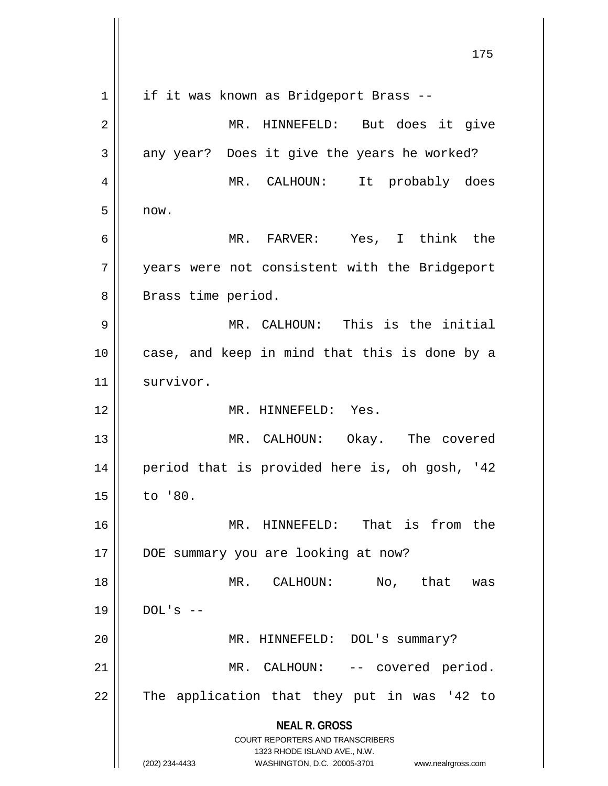**NEAL R. GROSS** COURT REPORTERS AND TRANSCRIBERS 1323 RHODE ISLAND AVE., N.W. (202) 234-4433 WASHINGTON, D.C. 20005-3701 www.nealrgross.com 175 1 | if it was known as Bridgeport Brass --2 || MR. HINNEFELD: But does it give  $3 \parallel$  any year? Does it give the years he worked? 4 MR. CALHOUN: It probably does  $5 \parallel$  now. 6 MR. FARVER: Yes, I think the 7 || years were not consistent with the Bridgeport 8 || Brass time period. 9 MR. CALHOUN: This is the initial 10 || case, and keep in mind that this is done by a 11 || survivor. 12 MR. HINNEFELD: Yes. 13 MR. CALHOUN: Okay. The covered 14 period that is provided here is, oh gosh, '42 15 to '80. 16 MR. HINNEFELD: That is from the 17 DOE summary you are looking at now? 18 MR. CALHOUN: No, that was  $19$  | DOL's --20 | MR. HINNEFELD: DOL's summary? 21 || MR. CALHOUN: -- covered period.  $22$  || The application that they put in was '42 to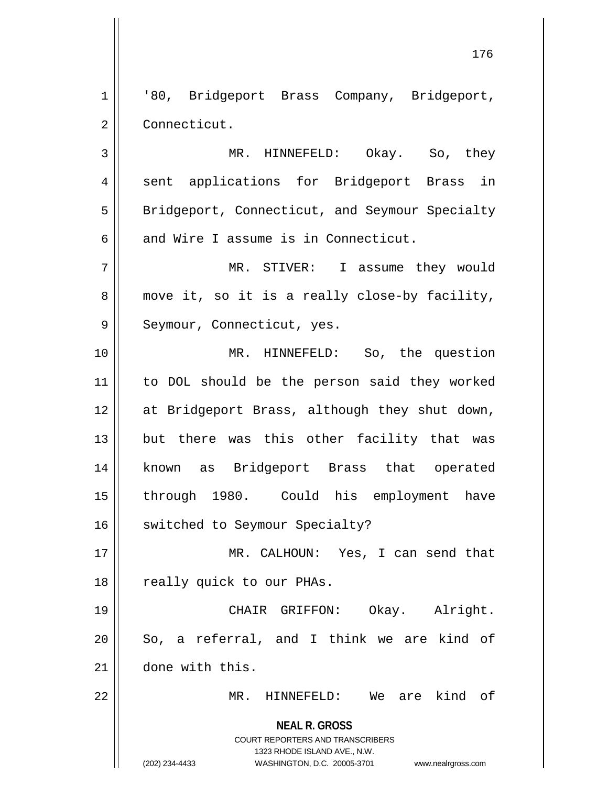1 || '80, Bridgeport Brass Company, Bridgeport, 2 | Connecticut.

3 MR. HINNEFELD: Okay. So, they 4 || sent applications for Bridgeport Brass in 5 | Bridgeport, Connecticut, and Seymour Specialty 6  $\parallel$  and Wire I assume is in Connecticut.

7 MR. STIVER: I assume they would  $8 \parallel$  move it, so it is a really close-by facility, 9 || Seymour, Connecticut, yes.

 MR. HINNEFELD: So, the question to DOL should be the person said they worked at Bridgeport Brass, although they shut down, but there was this other facility that was known as Bridgeport Brass that operated through 1980. Could his employment have 16 | switched to Seymour Specialty?

17 MR. CALHOUN: Yes, I can send that 18 || really quick to our PHAs.

19 CHAIR GRIFFON: Okay. Alright.  $20$  So, a referral, and I think we are kind of 21 done with this.

22 MR. HINNEFELD: We are kind of

**NEAL R. GROSS** COURT REPORTERS AND TRANSCRIBERS

1323 RHODE ISLAND AVE., N.W.

(202) 234-4433 WASHINGTON, D.C. 20005-3701 www.nealrgross.com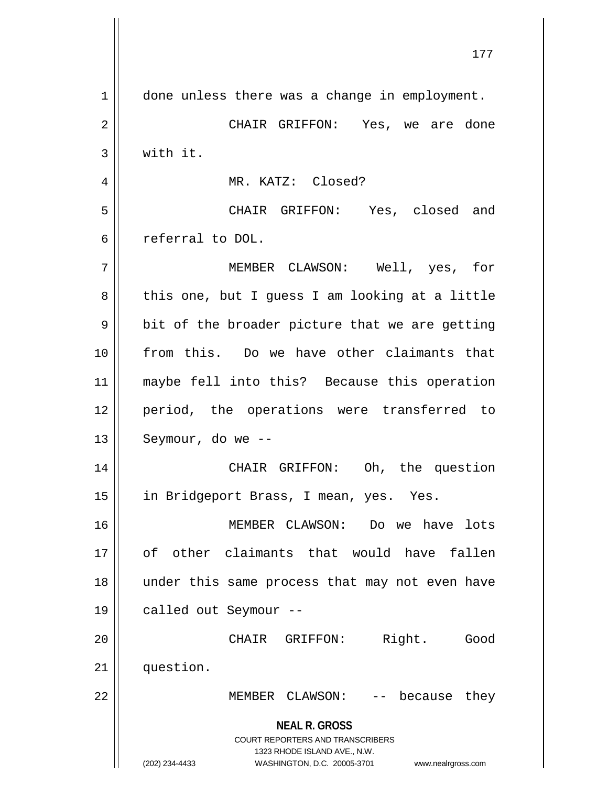**NEAL R. GROSS** COURT REPORTERS AND TRANSCRIBERS 1323 RHODE ISLAND AVE., N.W. (202) 234-4433 WASHINGTON, D.C. 20005-3701 www.nealrgross.com 177 1 | done unless there was a change in employment. 2 CHAIR GRIFFON: Yes, we are done 3 with it. 4 || MR. KATZ: Closed? 5 CHAIR GRIFFON: Yes, closed and 6 referral to DOL. 7 MEMBER CLAWSON: Well, yes, for  $8 \parallel$  this one, but I guess I am looking at a little  $9 \parallel$  bit of the broader picture that we are getting 10 from this. Do we have other claimants that 11 maybe fell into this? Because this operation 12 period, the operations were transferred to  $13$  | Seymour, do we --14 || CHAIR GRIFFON: Oh, the question 15 | in Bridgeport Brass, I mean, yes. Yes. 16 MEMBER CLAWSON: Do we have lots 17 of other claimants that would have fallen 18 under this same process that may not even have 19 called out Seymour -- 20 CHAIR GRIFFON: Right. Good 21 question. 22 || MEMBER CLAWSON: -- because they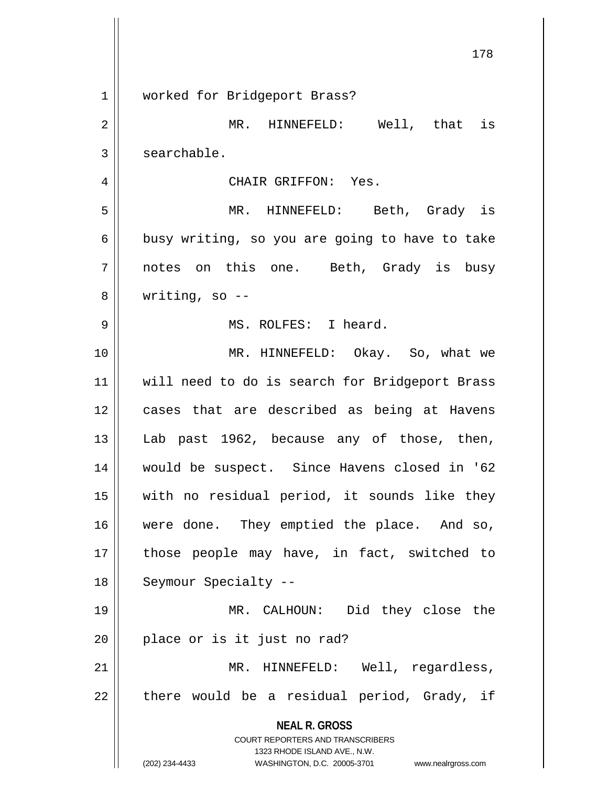|    | 178                                                                     |
|----|-------------------------------------------------------------------------|
|    |                                                                         |
| 1  | worked for Bridgeport Brass?                                            |
| 2  | MR. HINNEFELD: Well, that is                                            |
| 3  | searchable.                                                             |
| 4  | CHAIR GRIFFON: Yes.                                                     |
| 5  | MR. HINNEFELD: Beth, Grady is                                           |
| 6  | busy writing, so you are going to have to take                          |
| 7  | notes on this one. Beth, Grady is busy                                  |
| 8  | writing, so $-$                                                         |
| 9  | MS. ROLFES: I heard.                                                    |
| 10 | MR. HINNEFELD: Okay. So, what we                                        |
| 11 | will need to do is search for Bridgeport Brass                          |
| 12 | cases that are described as being at Havens                             |
| 13 | Lab past 1962, because any of those, then,                              |
| 14 | would be suspect. Since Havens closed in '62                            |
| 15 | with no residual period, it sounds like they                            |
| 16 | were done. They emptied the place. And so,                              |
| 17 | those people may have, in fact, switched to                             |
| 18 | Seymour Specialty --                                                    |
| 19 | MR. CALHOUN: Did they close the                                         |
| 20 | place or is it just no rad?                                             |
| 21 | MR. HINNEFELD: Well, regardless,                                        |
| 22 | there would be a residual period, Grady, if                             |
|    | <b>NEAL R. GROSS</b>                                                    |
|    | <b>COURT REPORTERS AND TRANSCRIBERS</b><br>1323 RHODE ISLAND AVE., N.W. |
|    | (202) 234-4433<br>WASHINGTON, D.C. 20005-3701 www.nealrgross.com        |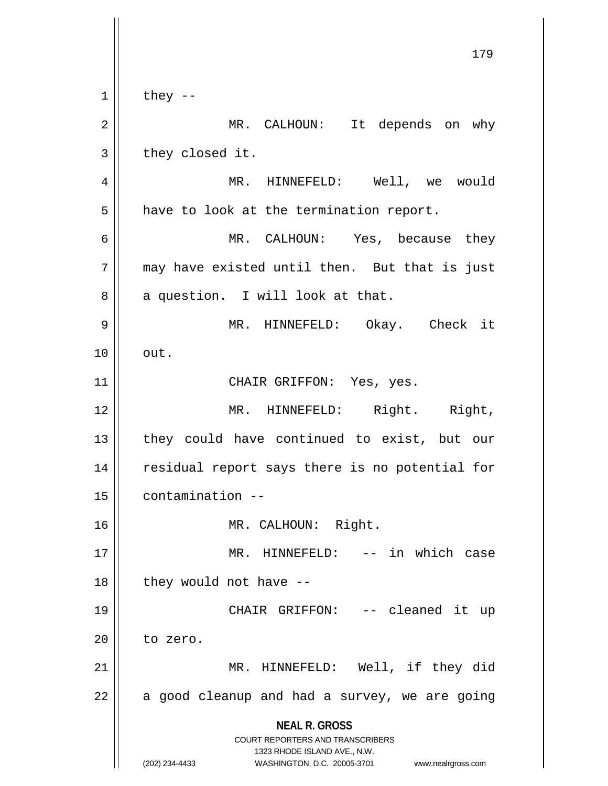**NEAL R. GROSS** COURT REPORTERS AND TRANSCRIBERS 1323 RHODE ISLAND AVE., N.W. (202) 234-4433 WASHINGTON, D.C. 20005-3701 www.nealrgross.com 179  $1 \parallel$  they --2 || MR. CALHOUN: It depends on why  $3 \parallel$  they closed it. 4 || MR. HINNEFELD: Well, we would  $5 \parallel$  have to look at the termination report. 6 MR. CALHOUN: Yes, because they  $7 \parallel$  may have existed until then. But that is just  $8 \parallel$  a question. I will look at that. 9 MR. HINNEFELD: Okay. Check it  $10 \parallel \quad out.$ 11 || CHAIR GRIFFON: Yes, yes. 12 || MR. HINNEFELD: Right. Right, 13 || they could have continued to exist, but our 14 || residual report says there is no potential for 15 contamination -- 16 MR. CALHOUN: Right. 17 MR. HINNEFELD: -- in which case  $18$  || they would not have  $-$ 19 CHAIR GRIFFON: -- cleaned it up  $20$  to zero. 21 MR. HINNEFELD: Well, if they did  $22$  || a good cleanup and had a survey, we are going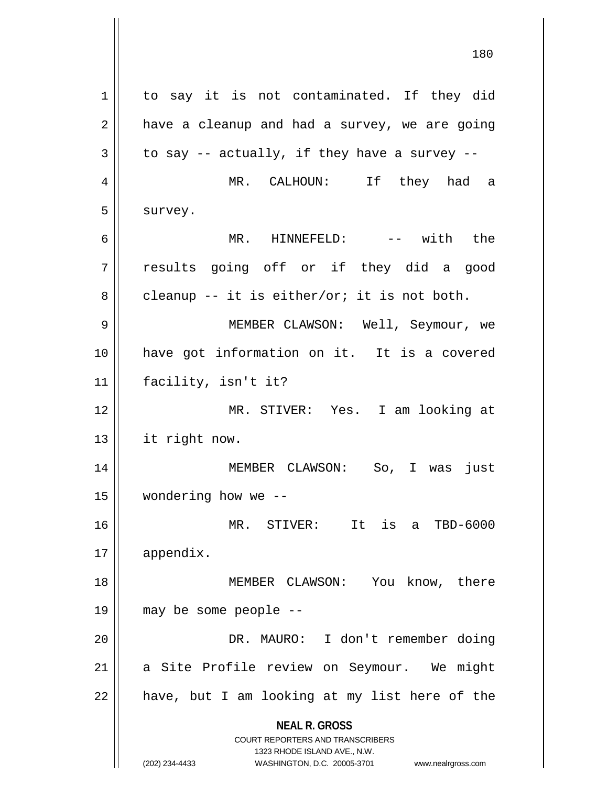**NEAL R. GROSS** COURT REPORTERS AND TRANSCRIBERS 1323 RHODE ISLAND AVE., N.W. (202) 234-4433 WASHINGTON, D.C. 20005-3701 www.nealrgross.com 1 | to say it is not contaminated. If they did  $2 \parallel$  have a cleanup and had a survey, we are going  $3 \parallel$  to say -- actually, if they have a survey --4 MR. CALHOUN: If they had a 5 | survey. 6 MR. HINNEFELD: -- with the 7 results going off or if they did a good  $8 \parallel$  cleanup -- it is either/or; it is not both. 9 MEMBER CLAWSON: Well, Seymour, we 10 have got information on it. It is a covered 11 facility, isn't it? 12 MR. STIVER: Yes. I am looking at 13 it right now. 14 MEMBER CLAWSON: So, I was just 15 wondering how we -- 16 MR. STIVER: It is a TBD-6000 17 appendix. 18 || MEMBER CLAWSON: You know, there 19 may be some people -- 20 DR. MAURO: I don't remember doing 21 || a Site Profile review on Seymour. We might  $22$  | have, but I am looking at my list here of the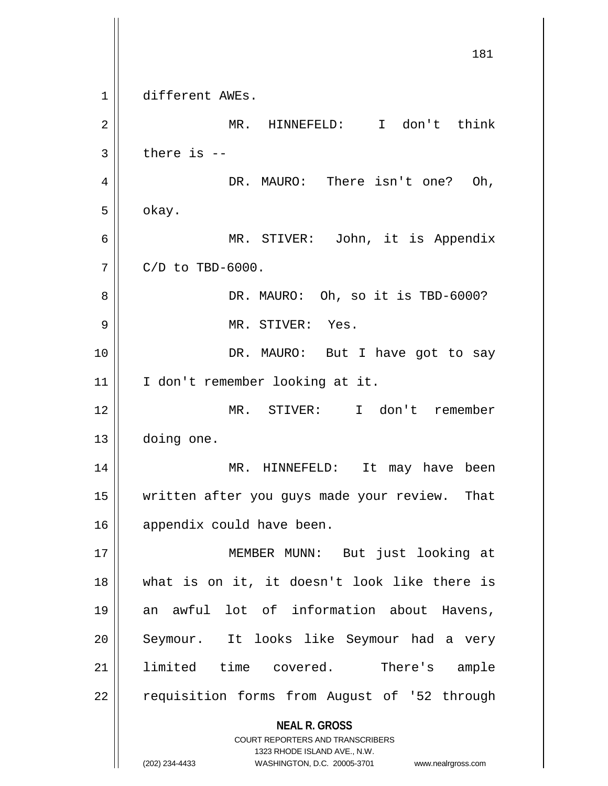**NEAL R. GROSS** COURT REPORTERS AND TRANSCRIBERS 1323 RHODE ISLAND AVE., N.W. (202) 234-4433 WASHINGTON, D.C. 20005-3701 www.nealrgross.com 181 1 different AWEs. 2 || MR. HINNEFELD: I don't think  $3$  | there is  $-$ 4 || DR. MAURO: There isn't one? Oh,  $5 \parallel$  okay. 6 MR. STIVER: John, it is Appendix  $7 \parallel$  C/D to TBD-6000. 8 DR. MAURO: Oh, so it is TBD-6000? 9 || MR. STIVER: Yes. 10 DR. MAURO: But I have got to say 11 || I don't remember looking at it. 12 MR. STIVER: I don't remember 13 doing one. 14 MR. HINNEFELD: It may have been 15 || written after you guys made your review. That 16 appendix could have been. 17 || MEMBER MUNN: But just looking at 18 what is on it, it doesn't look like there is 19 an awful lot of information about Havens, 20 || Seymour. It looks like Seymour had a very 21 limited time covered. There's ample 22 | requisition forms from August of '52 through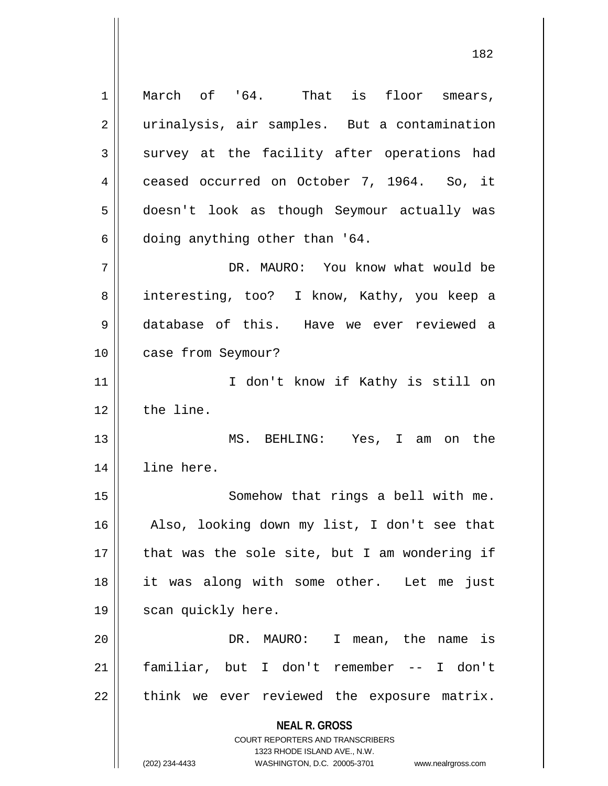**NEAL R. GROSS** COURT REPORTERS AND TRANSCRIBERS 1323 RHODE ISLAND AVE., N.W. 1 || March of '64. That is floor smears, 2 || urinalysis, air samples. But a contamination  $3$  survey at the facility after operations had 4 ceased occurred on October 7, 1964. So, it 5 doesn't look as though Seymour actually was  $6 \parallel$  doing anything other than '64. 7 DR. MAURO: You know what would be 8 || interesting, too? I know, Kathy, you keep a 9 database of this. Have we ever reviewed a 10 | case from Seymour? 11 || I don't know if Kathy is still on  $12$  | the line. 13 MS. BEHLING: Yes, I am on the 14 line here. 15 || Somehow that rings a bell with me. 16 Also, looking down my list, I don't see that  $17$  | that was the sole site, but I am wondering if 18 it was along with some other. Let me just 19 || scan quickly here. 20 || The DR. MAURO: I mean, the name is 21 familiar, but I don't remember -- I don't  $22$  | think we ever reviewed the exposure matrix.

(202) 234-4433 WASHINGTON, D.C. 20005-3701 www.nealrgross.com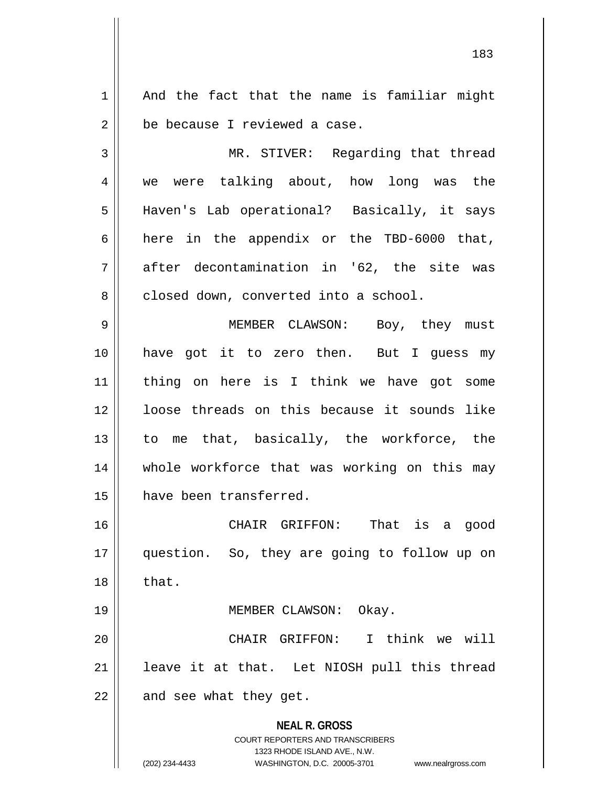$1 \parallel$  And the fact that the name is familiar might  $2 \parallel$  be because I reviewed a case.

3 MR. STIVER: Regarding that thread 4 we were talking about, how long was the 5 Haven's Lab operational? Basically, it says 6 | here in the appendix or the TBD-6000 that,  $7$  || after decontamination in '62, the site was 8 closed down, converted into a school.

9 MEMBER CLAWSON: Boy, they must 10 have got it to zero then. But I guess my 11 thing on here is I think we have got some 12 | loose threads on this because it sounds like 13 || to me that, basically, the workforce, the 14 || whole workforce that was working on this may 15 have been transferred.

16 CHAIR GRIFFON: That is a good 17 question. So, they are going to follow up on  $18 \parallel$  that.

19 || MEMBER CLAWSON: Okay.

20 CHAIR GRIFFON: I think we will  $21$  | leave it at that. Let NIOSH pull this thread  $22$  || and see what they get.

> **NEAL R. GROSS** COURT REPORTERS AND TRANSCRIBERS 1323 RHODE ISLAND AVE., N.W. (202) 234-4433 WASHINGTON, D.C. 20005-3701 www.nealrgross.com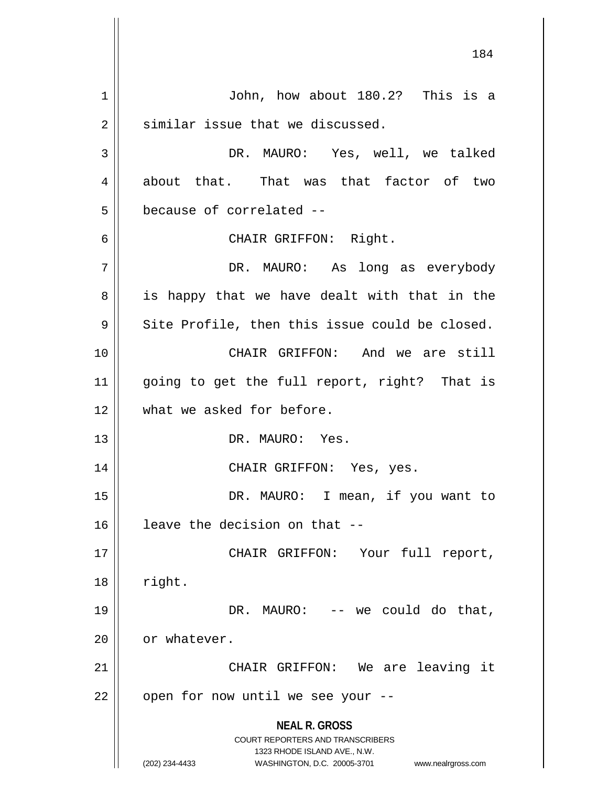**NEAL R. GROSS** COURT REPORTERS AND TRANSCRIBERS 1323 RHODE ISLAND AVE., N.W. (202) 234-4433 WASHINGTON, D.C. 20005-3701 www.nealrgross.com 184 1 John, how about 180.2? This is a  $2 \parallel$  similar issue that we discussed. 3 DR. MAURO: Yes, well, we talked 4 about that. That was that factor of two 5 | because of correlated --6 CHAIR GRIFFON: Right. 7 DR. MAURO: As long as everybody  $8 \parallel$  is happy that we have dealt with that in the  $9 \parallel$  Site Profile, then this issue could be closed. 10 CHAIR GRIFFON: And we are still 11 going to get the full report, right? That is 12 What we asked for before. 13 DR. MAURO: Yes. 14 CHAIR GRIFFON: Yes, yes. 15 || DR. MAURO: I mean, if you want to  $16$  | leave the decision on that  $-$ 17 || CHAIR GRIFFON: Your full report, 18 || right. 19 DR. MAURO: -- we could do that, 20 | or whatever. 21 || CHAIR GRIFFON: We are leaving it  $22$  | open for now until we see your --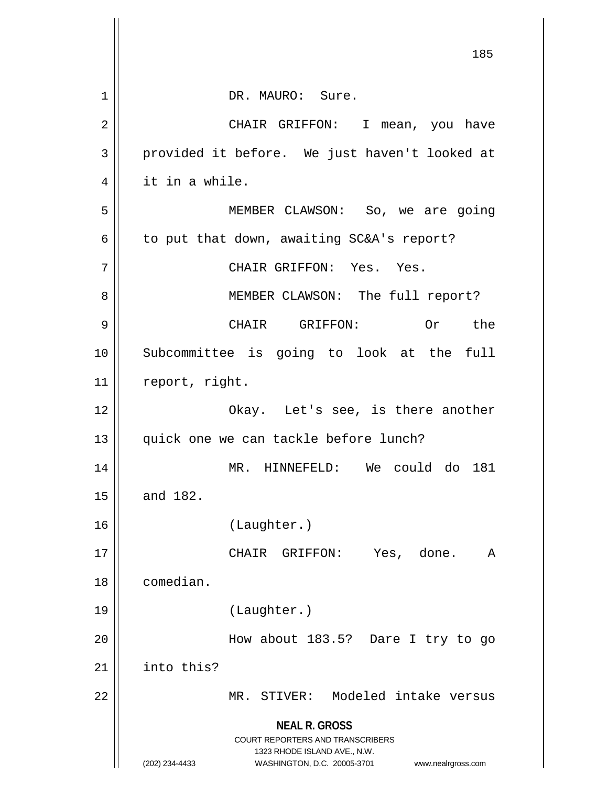|                | 185                                                                                                                                                             |
|----------------|-----------------------------------------------------------------------------------------------------------------------------------------------------------------|
| $\mathbf 1$    | DR. MAURO: Sure.                                                                                                                                                |
| $\overline{2}$ | CHAIR GRIFFON: I mean, you have                                                                                                                                 |
| 3              | provided it before. We just haven't looked at                                                                                                                   |
| 4              | it in a while.                                                                                                                                                  |
| 5              | MEMBER CLAWSON: So, we are going                                                                                                                                |
| 6              | to put that down, awaiting SC&A's report?                                                                                                                       |
| 7              | CHAIR GRIFFON: Yes. Yes.                                                                                                                                        |
| 8              | MEMBER CLAWSON: The full report?                                                                                                                                |
| 9              | CHAIR GRIFFON: Or the                                                                                                                                           |
| 10             | Subcommittee is going to look at the full                                                                                                                       |
| 11             | report, right.                                                                                                                                                  |
| 12             | Okay. Let's see, is there another                                                                                                                               |
| 13             | quick one we can tackle before lunch?                                                                                                                           |
| 14             | do<br>could<br>181<br>MR.<br>HINNEFELD:<br>We                                                                                                                   |
| 15             | and 182.                                                                                                                                                        |
| 16             | (Laughter.)                                                                                                                                                     |
| 17             | CHAIR<br>GRIFFON:<br>Yes, done.<br>A                                                                                                                            |
| 18             | comedian.                                                                                                                                                       |
| 19             | (Laughter.)                                                                                                                                                     |
| 20             | How about 183.5? Dare I try to go                                                                                                                               |
| 21             | into this?                                                                                                                                                      |
| 22             | MR. STIVER: Modeled intake versus                                                                                                                               |
|                | <b>NEAL R. GROSS</b><br>COURT REPORTERS AND TRANSCRIBERS<br>1323 RHODE ISLAND AVE., N.W.<br>(202) 234-4433<br>WASHINGTON, D.C. 20005-3701<br>www.nealrgross.com |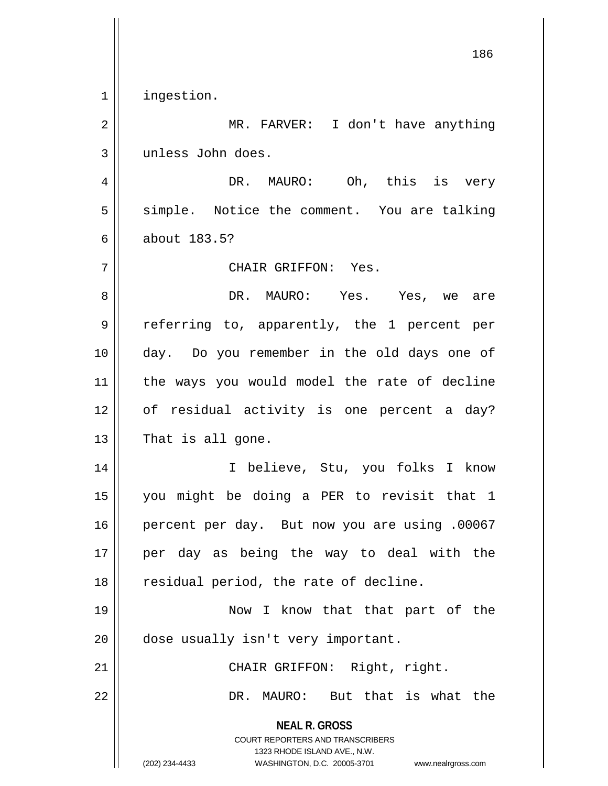1 | ingestion.

2 || MR. FARVER: I don't have anything unless John does.

 DR. MAURO: Oh, this is very 5 || simple. Notice the comment. You are talking about 183.5?

CHAIR GRIFFON: Yes.

 DR. MAURO: Yes. Yes, we are referring to, apparently, the 1 percent per day. Do you remember in the old days one of the ways you would model the rate of decline of residual activity is one percent a day?  $13 \parallel$  That is all gone.

 I believe, Stu, you folks I know you might be doing a PER to revisit that 1 percent per day. But now you are using .00067 per day as being the way to deal with the || residual period, the rate of decline.

 Now I know that that part of the 20 | dose usually isn't very important.

21 || CHAIR GRIFFON: Right, right. DR. MAURO: But that is what the

> **NEAL R. GROSS** COURT REPORTERS AND TRANSCRIBERS

> > 1323 RHODE ISLAND AVE., N.W.

(202) 234-4433 WASHINGTON, D.C. 20005-3701 www.nealrgross.com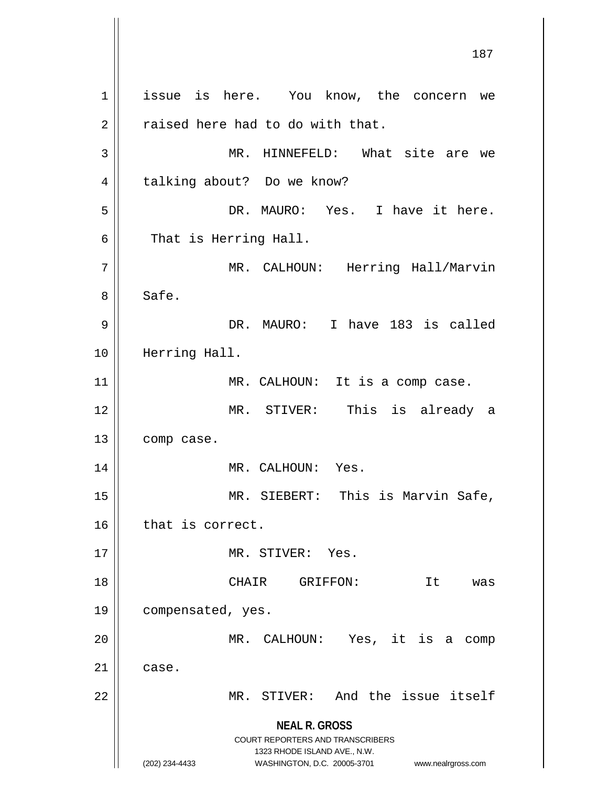**NEAL R. GROSS** COURT REPORTERS AND TRANSCRIBERS 1323 RHODE ISLAND AVE., N.W. (202) 234-4433 WASHINGTON, D.C. 20005-3701 www.nealrgross.com 1 || issue is here. You know, the concern we  $2 \parallel$  raised here had to do with that. 3 MR. HINNEFELD: What site are we 4 | talking about? Do we know? 5 DR. MAURO: Yes. I have it here.  $6 \parallel$  That is Herring Hall. 7 MR. CALHOUN: Herring Hall/Marvin 8 | Safe. 9 DR. MAURO: I have 183 is called 10 Herring Hall. 11 || MR. CALHOUN: It is a comp case. 12 MR. STIVER: This is already a 13 | comp case. 14 || MR. CALHOUN: Yes. 15 || MR. SIEBERT: This is Marvin Safe, 16 | that is correct. 17 || MR. STIVER: Yes. 18 || CHAIR GRIFFON: It was 19 compensated, yes. 20 MR. CALHOUN: Yes, it is a comp  $21 \parallel$  case. 22 || MR. STIVER: And the issue itself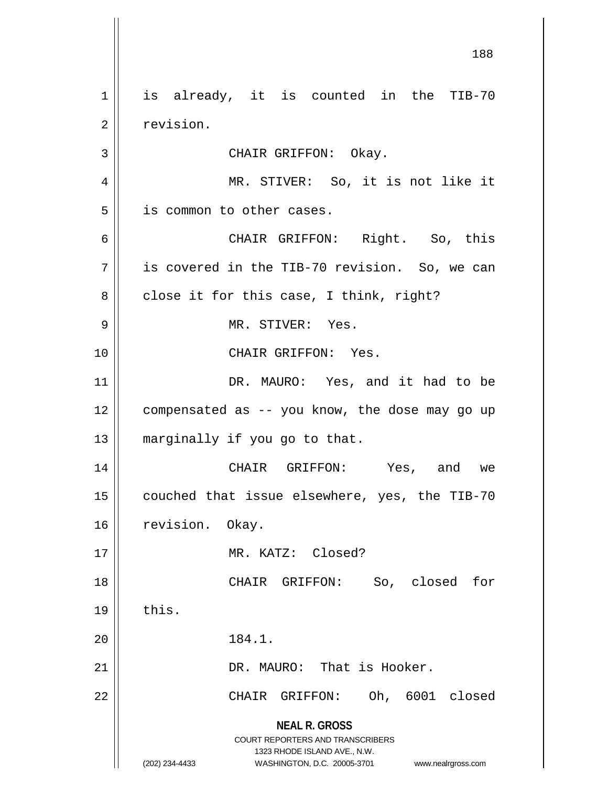**NEAL R. GROSS** COURT REPORTERS AND TRANSCRIBERS 1323 RHODE ISLAND AVE., N.W. (202) 234-4433 WASHINGTON, D.C. 20005-3701 www.nealrgross.com 188 1 || is already, it is counted in the TIB-70 2 | revision. 3 || CHAIR GRIFFON: Okay. 4 || MR. STIVER: So, it is not like it 5 | is common to other cases. 6 CHAIR GRIFFON: Right. So, this  $7 \parallel$  is covered in the TIB-70 revision. So, we can  $8 \parallel$  close it for this case, I think, right? 9 MR. STIVER: Yes. 10 || CHAIR GRIFFON: Yes. 11 || DR. MAURO: Yes, and it had to be 12 | compensated as -- you know, the dose may go up 13 || marginally if you go to that. 14 CHAIR GRIFFON: Yes, and we 15 | couched that issue elsewhere, yes, the TIB-70 16 | revision. Okay. 17 MR. KATZ: Closed? 18 CHAIR GRIFFON: So, closed for  $19 \parallel$  this. 20 || 184.1. 21 DR. MAURO: That is Hooker. 22 CHAIR GRIFFON: Oh, 6001 closed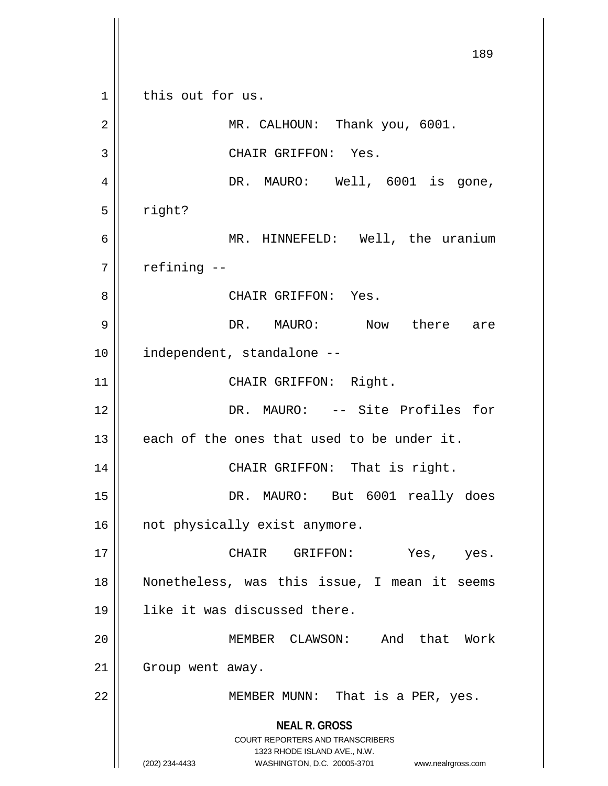**NEAL R. GROSS** COURT REPORTERS AND TRANSCRIBERS 1323 RHODE ISLAND AVE., N.W. (202) 234-4433 WASHINGTON, D.C. 20005-3701 www.nealrgross.com 189 1 || this out for us. 2 || MR. CALHOUN: Thank you, 6001. 3 || CHAIR GRIFFON: Yes. 4 || DR. MAURO: Well, 6001 is gone,  $5 \parallel$  right? 6 MR. HINNEFELD: Well, the uranium  $7$  | refining  $-$ 8 CHAIR GRIFFON: Yes. 9 DR. MAURO: Now there are 10 | independent, standalone --11 || CHAIR GRIFFON: Right. 12 DR. MAURO: -- Site Profiles for  $13$  || each of the ones that used to be under it. 14 || CHAIR GRIFFON: That is right. 15 || DR. MAURO: But 6001 really does 16 || not physically exist anymore. 17 CHAIR GRIFFON: Yes, yes. 18 Nonetheless, was this issue, I mean it seems 19 like it was discussed there. 20 MEMBER CLAWSON: And that Work 21 | Group went away. 22 MEMBER MUNN: That is a PER, yes.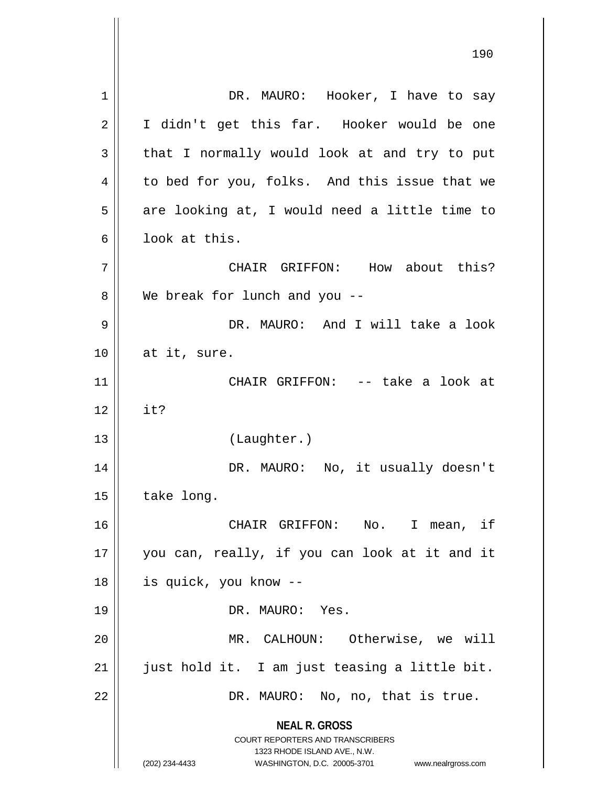**NEAL R. GROSS** COURT REPORTERS AND TRANSCRIBERS 1323 RHODE ISLAND AVE., N.W. (202) 234-4433 WASHINGTON, D.C. 20005-3701 www.nealrgross.com 1 || DR. MAURO: Hooker, I have to say 2 || I didn't get this far. Hooker would be one  $3 \parallel$  that I normally would look at and try to put 4 | to bed for you, folks. And this issue that we  $5 \parallel$  are looking at, I would need a little time to 6 l look at this. 7 CHAIR GRIFFON: How about this? 8 We break for lunch and you --9 DR. MAURO: And I will take a look  $10$  | at it, sure. 11 CHAIR GRIFFON: -- take a look at  $12 \parallel$  it? 13 (Laughter.) 14 DR. MAURO: No, it usually doesn't  $15$  | take long. 16 CHAIR GRIFFON: No. I mean, if 17 || you can, really, if you can look at it and it 18 is quick, you know -- 19 DR. MAURO: Yes. 20 MR. CALHOUN: Otherwise, we will  $21$  | just hold it. I am just teasing a little bit. 22 | DR. MAURO: No, no, that is true.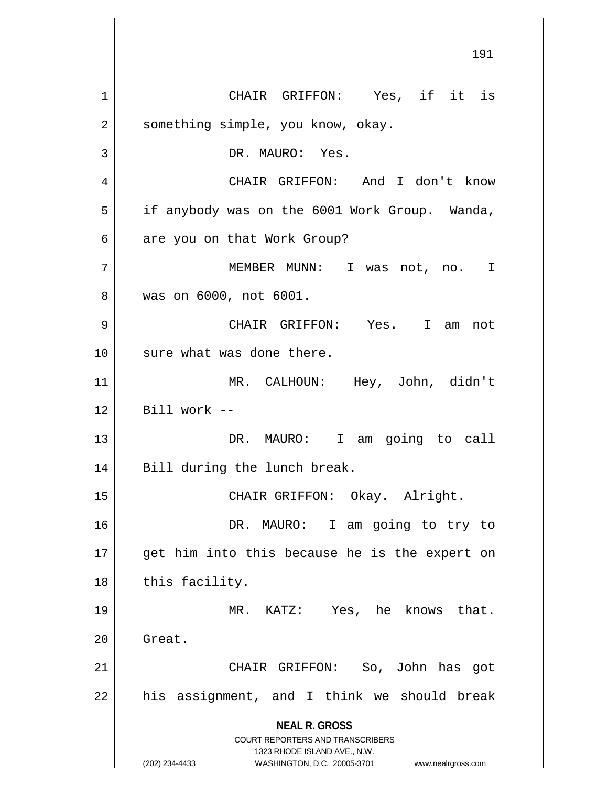**NEAL R. GROSS** COURT REPORTERS AND TRANSCRIBERS 1323 RHODE ISLAND AVE., N.W. (202) 234-4433 WASHINGTON, D.C. 20005-3701 www.nealrgross.com 1 CHAIR GRIFFON: Yes, if it is 2 | something simple, you know, okay. 3 || DR. MAURO: Yes. 4 CHAIR GRIFFON: And I don't know 5 | if anybody was on the 6001 Work Group. Wanda,  $6 \parallel$  are you on that Work Group? 7 MEMBER MUNN: I was not, no. I 8 was on 6000, not 6001. 9 CHAIR GRIFFON: Yes. I am not 10 || sure what was done there. 11 MR. CALHOUN: Hey, John, didn't  $12$  | Bill work --13 || DR. MAURO: I am going to call 14 || Bill during the lunch break. 15 || CHAIR GRIFFON: Okay. Alright. 16 DR. MAURO: I am going to try to 17 || get him into this because he is the expert on  $18$  || this facility. 19 MR. KATZ: Yes, he knows that. 20 | Great. 21 CHAIR GRIFFON: So, John has got  $22$  || his assignment, and I think we should break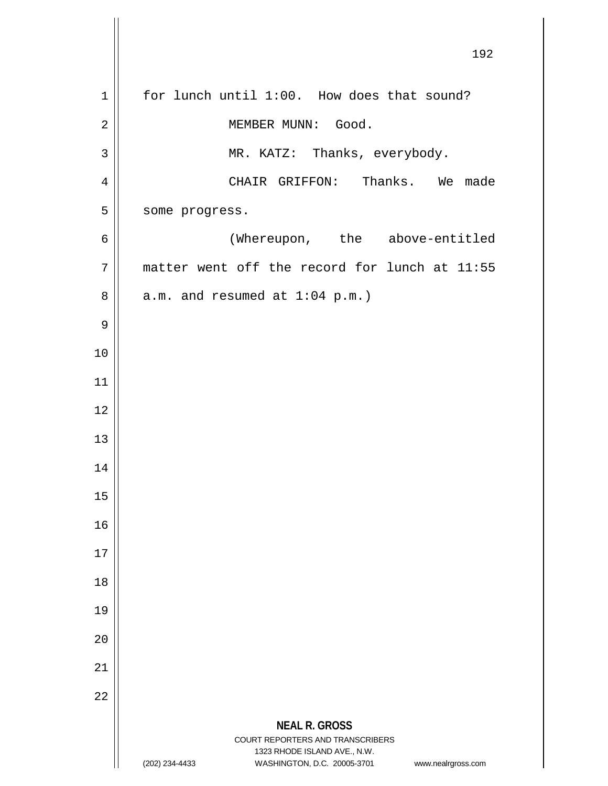|             | 192                                                                                                 |
|-------------|-----------------------------------------------------------------------------------------------------|
| $\mathbf 1$ | for lunch until 1:00. How does that sound?                                                          |
| 2           | MEMBER MUNN: Good.                                                                                  |
| 3           | MR. KATZ: Thanks, everybody.                                                                        |
| 4           | CHAIR GRIFFON: Thanks. We made                                                                      |
| 5           | some progress.                                                                                      |
| 6           | (Whereupon, the above-entitled                                                                      |
| 7           | matter went off the record for lunch at 11:55                                                       |
| 8           | $a.m.$ and resumed at $1:04$ p.m.)                                                                  |
| 9           |                                                                                                     |
| 10          |                                                                                                     |
| 11          |                                                                                                     |
| 12          |                                                                                                     |
| 13          |                                                                                                     |
| 14          |                                                                                                     |
| 15          |                                                                                                     |
| 16          |                                                                                                     |
| 17          |                                                                                                     |
| 18          |                                                                                                     |
| 19          |                                                                                                     |
| 20          |                                                                                                     |
| 21          |                                                                                                     |
| 22          |                                                                                                     |
|             | <b>NEAL R. GROSS</b><br>COURT REPORTERS AND TRANSCRIBERS                                            |
|             | 1323 RHODE ISLAND AVE., N.W.<br>(202) 234-4433<br>WASHINGTON, D.C. 20005-3701<br>www.nealrgross.com |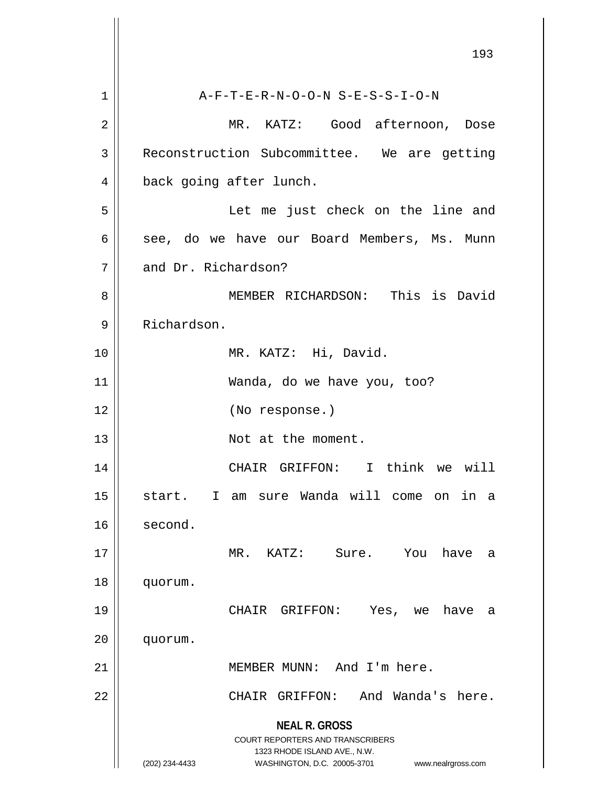|    | 193                                                                                                 |
|----|-----------------------------------------------------------------------------------------------------|
| 1  | A-F-T-E-R-N-O-O-N S-E-S-S-I-O-N                                                                     |
| 2  | MR. KATZ: Good afternoon, Dose                                                                      |
| 3  | Reconstruction Subcommittee. We are getting                                                         |
| 4  | back going after lunch.                                                                             |
| 5  | Let me just check on the line and                                                                   |
| 6  | see, do we have our Board Members, Ms. Munn                                                         |
| 7  | and Dr. Richardson?                                                                                 |
| 8  | MEMBER RICHARDSON: This is David                                                                    |
| 9  | Richardson.                                                                                         |
| 10 | MR. KATZ: Hi, David.                                                                                |
| 11 | Wanda, do we have you, too?                                                                         |
| 12 | (No response.)                                                                                      |
| 13 | Not at the moment.                                                                                  |
| 14 | CHAIR GRIFFON: I think we will                                                                      |
| 15 | sure Wanda will come on in<br>start.<br>I.<br>am<br>а                                               |
| 16 | second.                                                                                             |
| 17 | MR.<br>KATZ:<br>Sure.<br>You<br>have<br>a                                                           |
| 18 | quorum.                                                                                             |
| 19 | CHAIR<br>GRIFFON:<br>Yes,<br>have<br>we<br>a                                                        |
| 20 | quorum.                                                                                             |
| 21 | MEMBER MUNN: And I'm here.                                                                          |
| 22 | And Wanda's here.<br>CHAIR GRIFFON:                                                                 |
|    | <b>NEAL R. GROSS</b>                                                                                |
|    | <b>COURT REPORTERS AND TRANSCRIBERS</b>                                                             |
|    | 1323 RHODE ISLAND AVE., N.W.<br>(202) 234-4433<br>WASHINGTON, D.C. 20005-3701<br>www.nealrgross.com |
|    |                                                                                                     |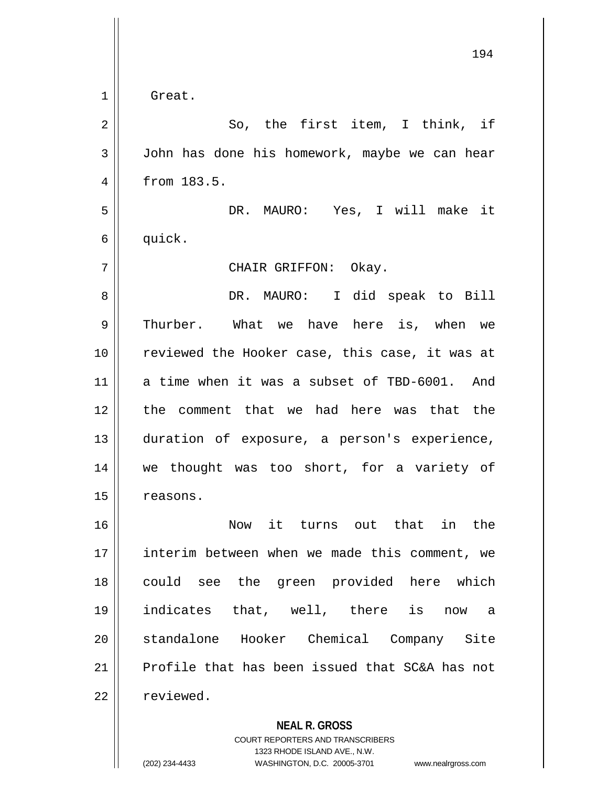|             | 194                                            |
|-------------|------------------------------------------------|
| $\mathbf 1$ | Great.                                         |
| 2           | So, the first item, I think, if                |
| 3           | John has done his homework, maybe we can hear  |
| 4           | from 183.5.                                    |
| 5           | DR. MAURO: Yes, I will make it                 |
| 6           | quick.                                         |
| 7           | CHAIR GRIFFON: Okay.                           |
| 8           | DR. MAURO: I did speak to Bill                 |
| 9           | Thurber. What we have here is, when we         |
| 10          | reviewed the Hooker case, this case, it was at |
| 11          | a time when it was a subset of TBD-6001. And   |
| 12          | the comment that we had here was that the      |
| 13          | duration of exposure, a person's experience,   |
| 14          | we thought was too short, for a variety of     |
| 15          | reasons.                                       |
| 16          | Now it turns out that in the                   |
| 17          | interim between when we made this comment, we  |
| 18          | could see the green provided here which        |
| 19          | indicates that, well, there is now a           |
| 20          | standalone Hooker Chemical Company Site        |
| 21          | Profile that has been issued that SC&A has not |
| 22          | reviewed.                                      |
|             | <b>NEAL R. GROSS</b>                           |

COURT REPORTERS AND TRANSCRIBERS 1323 RHODE ISLAND AVE., N.W.

(202) 234-4433 WASHINGTON, D.C. 20005-3701 www.nealrgross.com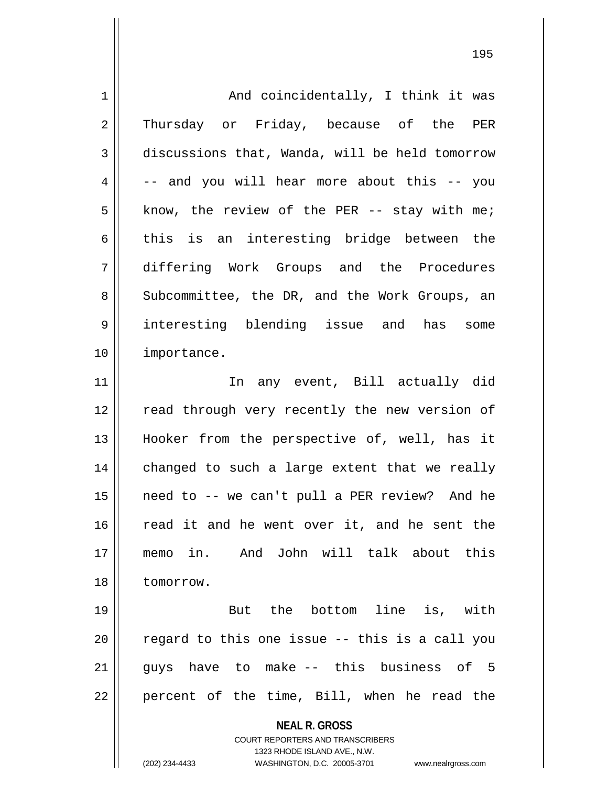**NEAL R. GROSS** COURT REPORTERS AND TRANSCRIBERS 1323 RHODE ISLAND AVE., N.W. (202) 234-4433 WASHINGTON, D.C. 20005-3701 www.nealrgross.com 1 And coincidentally, I think it was 2 Thursday or Friday, because of the PER 3 discussions that, Wanda, will be held tomorrow  $4 \parallel$  -- and you will hear more about this -- you  $5 \parallel$  know, the review of the PER -- stay with me;  $6 \parallel$  this is an interesting bridge between the 7 differing Work Groups and the Procedures 8 Subcommittee, the DR, and the Work Groups, an 9 interesting blending issue and has some 10 importance. 11 || In any event, Bill actually did 12 || read through very recently the new version of 13 Hooker from the perspective of, well, has it  $14$  changed to such a large extent that we really 15 need to -- we can't pull a PER review? And he 16 || read it and he went over it, and he sent the 17 memo in. And John will talk about this 18 tomorrow. 19 || But the bottom line is, with  $20$   $\parallel$  regard to this one issue -- this is a call you  $21$  || guys have to make -- this business of 5  $22 \parallel$  percent of the time, Bill, when he read the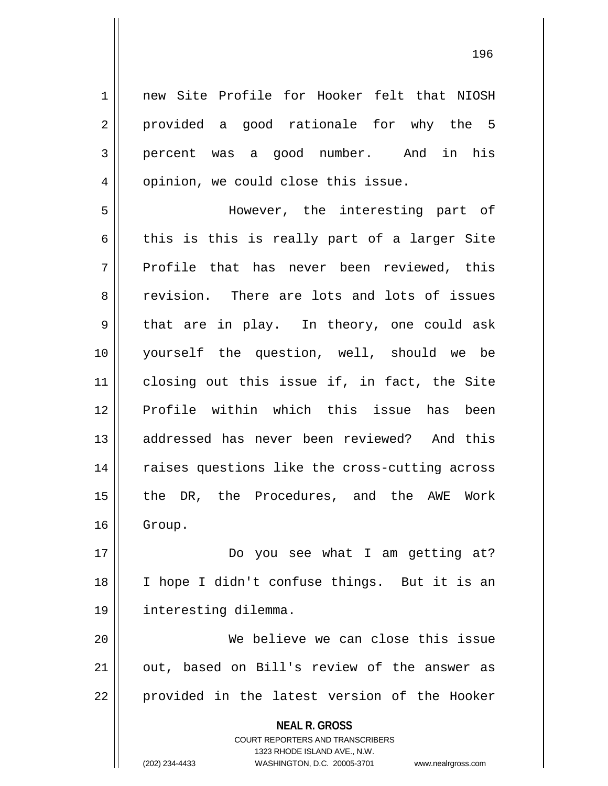**NEAL R. GROSS** 1 | new Site Profile for Hooker felt that NIOSH  $2 \parallel$  provided a good rationale for why the 5 3 percent was a good number. And in his 4 || opinion, we could close this issue. 5 However, the interesting part of 6 this is this is really part of a larger Site  $7 \parallel$  Profile that has never been reviewed, this 8 revision. There are lots and lots of issues  $9 \parallel$  that are in play. In theory, one could ask 10 yourself the question, well, should we be 11 closing out this issue if, in fact, the Site 12 Profile within which this issue has been 13 addressed has never been reviewed? And this 14 || raises questions like the cross-cutting across 15 || the DR, the Procedures, and the AWE Work 16 | Group. 17 Do you see what I am getting at? 18 I hope I didn't confuse things. But it is an 19 interesting dilemma. 20 || We believe we can close this issue  $21$  || out, based on Bill's review of the answer as 22 || provided in the latest version of the Hooker

> COURT REPORTERS AND TRANSCRIBERS 1323 RHODE ISLAND AVE., N.W.

(202) 234-4433 WASHINGTON, D.C. 20005-3701 www.nealrgross.com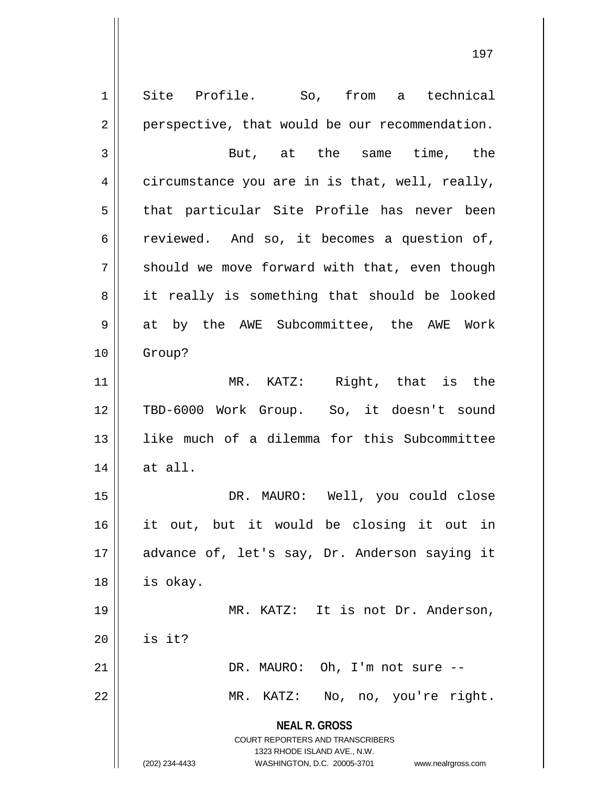**NEAL R. GROSS** COURT REPORTERS AND TRANSCRIBERS 1323 RHODE ISLAND AVE., N.W. (202) 234-4433 WASHINGTON, D.C. 20005-3701 www.nealrgross.com 1 Site Profile. So, from a technical  $2 \parallel$  perspective, that would be our recommendation. 3 But, at the same time, the 4 circumstance you are in is that, well, really, 5 || that particular Site Profile has never been 6 ceviewed. And so, it becomes a question of,  $7 \parallel$  should we move forward with that, even though 8 || it really is something that should be looked 9 at by the AWE Subcommittee, the AWE Work 10 Group? 11 || MR. KATZ: Right, that is the 12 TBD-6000 Work Group. So, it doesn't sound 13 like much of a dilemma for this Subcommittee  $14$  at all. 15 DR. MAURO: Well, you could close 16 it out, but it would be closing it out in 17 || advance of, let's say, Dr. Anderson saying it 18 | is okay. 19 || MR. KATZ: It is not Dr. Anderson,  $20$  | is it? 21 DR. MAURO: Oh, I'm not sure -- 22 || MR. KATZ: No, no, you're right.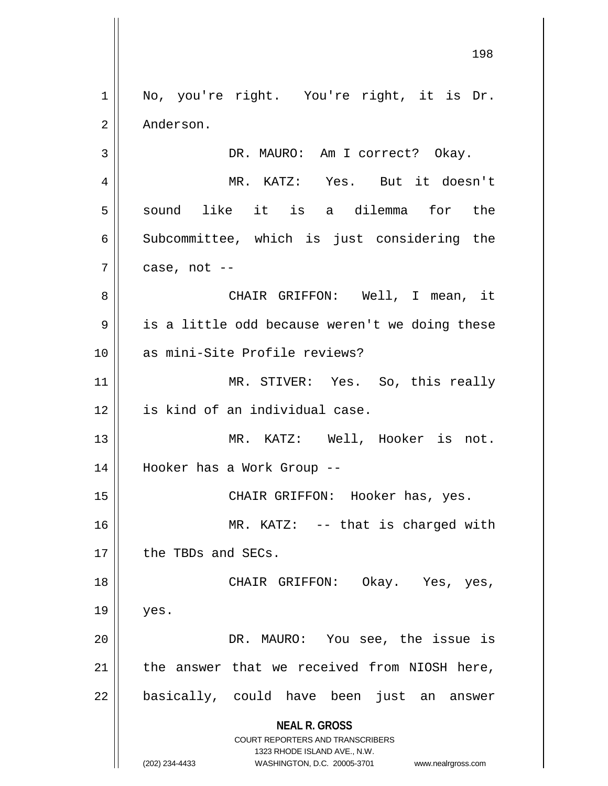**NEAL R. GROSS** COURT REPORTERS AND TRANSCRIBERS 1323 RHODE ISLAND AVE., N.W. (202) 234-4433 WASHINGTON, D.C. 20005-3701 www.nealrgross.com 1 || No, you're right. You're right, it is Dr. 2 | Anderson. 3 DR. MAURO: Am I correct? Okay. 4 MR. KATZ: Yes. But it doesn't  $5 \parallel$  sound like it is a dilemma for the 6 Subcommittee, which is just considering the  $7 \parallel$  case, not --8 CHAIR GRIFFON: Well, I mean, it  $9 \parallel$  is a little odd because weren't we doing these 10 || as mini-Site Profile reviews? 11 || MR. STIVER: Yes. So, this really 12 | is kind of an individual case. 13 || MR. KATZ: Well, Hooker is not. 14 Hooker has a Work Group -- 15 CHAIR GRIFFON: Hooker has, yes. 16 MR. KATZ: -- that is charged with 17 | the TBDs and SECs. 18 CHAIR GRIFFON: Okay. Yes, yes,  $19 \parallel$  yes. 20 DR. MAURO: You see, the issue is  $21$  | the answer that we received from NIOSH here, 22 || basically, could have been just an answer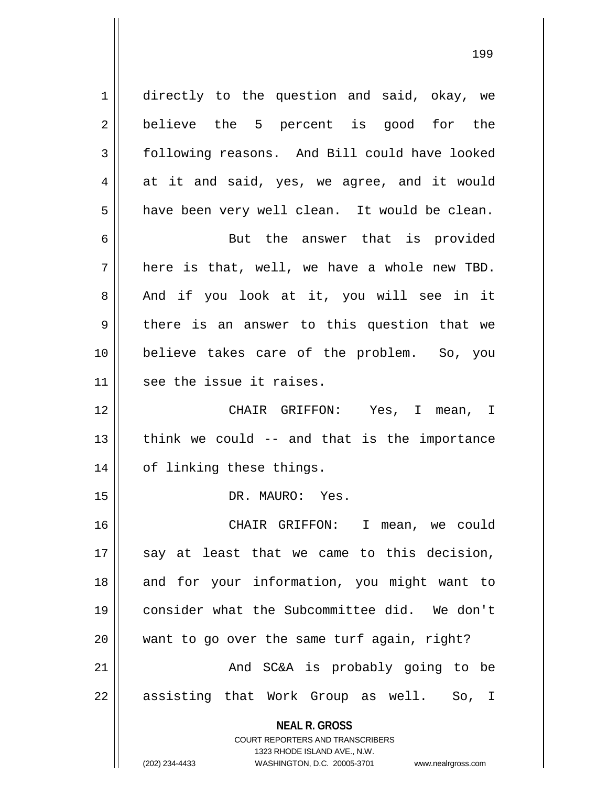1 directly to the question and said, okay, we 2 || believe the 5 percent is good for the 3 | following reasons. And Bill could have looked  $4 \parallel$  at it and said, yes, we agree, and it would  $5 \parallel$  have been very well clean. It would be clean. 6 || But the answer that is provided  $7 \parallel$  here is that, well, we have a whole new TBD. 8 and if you look at it, you will see in it  $9 \parallel$  there is an answer to this question that we 10 believe takes care of the problem. So, you  $11$  || see the issue it raises. 12 CHAIR GRIFFON: Yes, I mean, I  $13$  || think we could  $-$  and that is the importance

15 DR. MAURO: Yes.

14 | of linking these things.

 CHAIR GRIFFON: I mean, we could say at least that we came to this decision, 18 || and for your information, you might want to consider what the Subcommittee did. We don't want to go over the same turf again, right? And SC&A is probably going to be 22 || assisting that Work Group as well. So, I

> **NEAL R. GROSS** COURT REPORTERS AND TRANSCRIBERS

> > 1323 RHODE ISLAND AVE., N.W.

(202) 234-4433 WASHINGTON, D.C. 20005-3701 www.nealrgross.com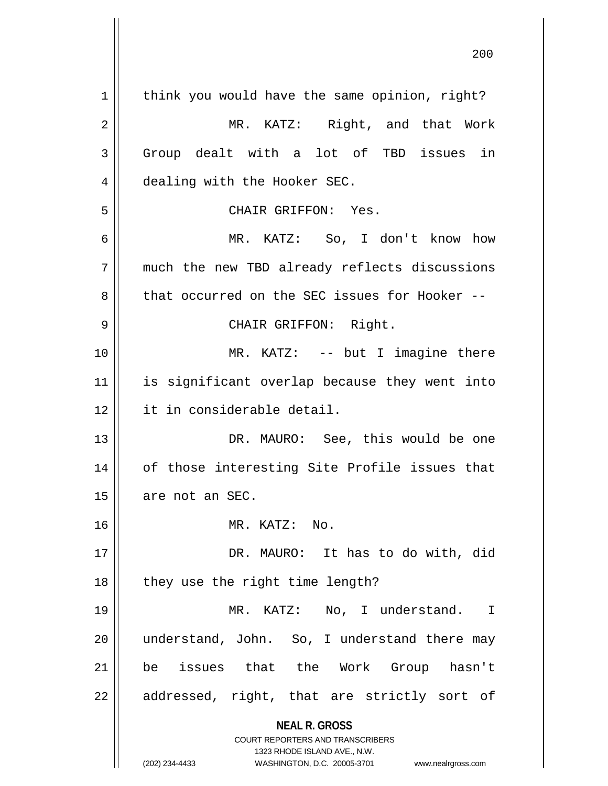**NEAL R. GROSS** COURT REPORTERS AND TRANSCRIBERS 1323 RHODE ISLAND AVE., N.W. (202) 234-4433 WASHINGTON, D.C. 20005-3701 www.nealrgross.com  $1 \parallel$  think you would have the same opinion, right? 2 || MR. KATZ: Right, and that Work 3 || Group dealt with a lot of TBD issues in 4 | dealing with the Hooker SEC. 5 CHAIR GRIFFON: Yes. 6 MR. KATZ: So, I don't know how 7 much the new TBD already reflects discussions 8 that occurred on the SEC issues for Hooker --9 CHAIR GRIFFON: Right. 10 || MR. KATZ: -- but I imagine there 11 is significant overlap because they went into 12 it in considerable detail. 13 DR. MAURO: See, this would be one 14 || of those interesting Site Profile issues that  $15$  || are not an SEC. 16 MR. KATZ: No. 17 DR. MAURO: It has to do with, did  $18$  || they use the right time length? 19 MR. KATZ: No, I understand. I 20 || understand, John. So, I understand there may 21 be issues that the Work Group hasn't  $22$  || addressed, right, that are strictly sort of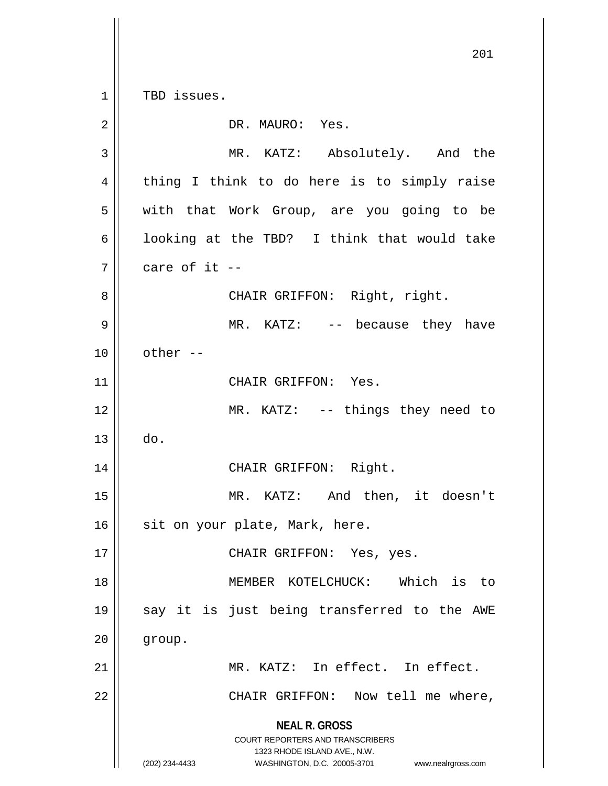**NEAL R. GROSS** COURT REPORTERS AND TRANSCRIBERS 1323 RHODE ISLAND AVE., N.W. (202) 234-4433 WASHINGTON, D.C. 20005-3701 www.nealrgross.com 201 1 | TBD issues. 2 || DR. MAURO: Yes. 3 MR. KATZ: Absolutely. And the 4 || thing I think to do here is to simply raise 5 with that Work Group, are you going to be 6 | looking at the TBD? I think that would take  $7 \parallel$  care of it --8 || CHAIR GRIFFON: Right, right. 9 MR. KATZ: -- because they have  $10 \parallel$  other  $-$ 11 || CHAIR GRIFFON: Yes. 12 || MR. KATZ: -- things they need to  $13 \parallel$  do. 14 CHAIR GRIFFON: Right. 15 MR. KATZ: And then, it doesn't  $16$  sit on your plate, Mark, here. 17 || CHAIR GRIFFON: Yes, yes. 18 MEMBER KOTELCHUCK: Which is to 19 say it is just being transferred to the AWE  $20$  |  $group.$ 21 MR. KATZ: In effect. In effect. 22 || CHAIR GRIFFON: Now tell me where,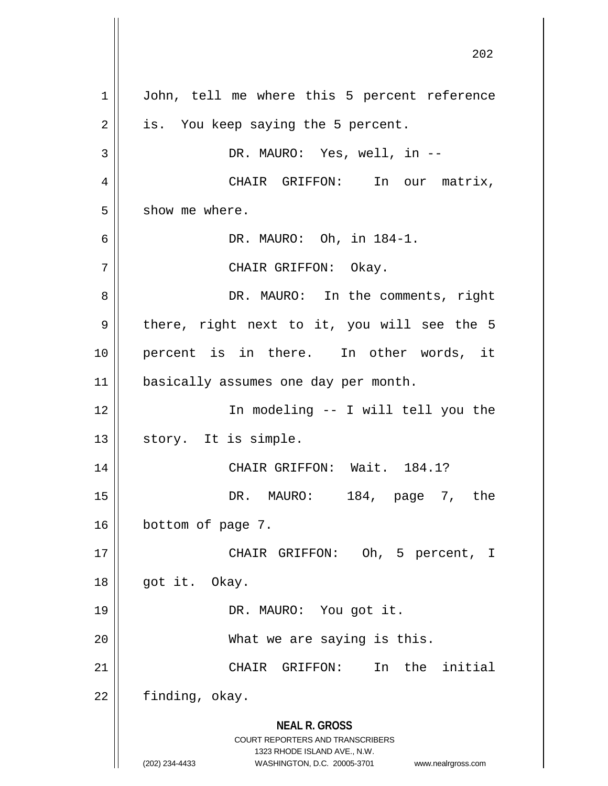**NEAL R. GROSS** COURT REPORTERS AND TRANSCRIBERS 1323 RHODE ISLAND AVE., N.W. (202) 234-4433 WASHINGTON, D.C. 20005-3701 www.nealrgross.com 1 | John, tell me where this 5 percent reference  $2 \parallel$  is. You keep saying the 5 percent. 3 DR. MAURO: Yes, well, in -- 4 | CHAIR GRIFFON: In our matrix,  $5 \parallel$  show me where.  $6 \parallel$  DR. MAURO: Oh, in 184-1. 7 CHAIR GRIFFON: Okay. 8 DR. MAURO: In the comments, right  $9 \parallel$  there, right next to it, you will see the 5 10 || percent is in there. In other words, it 11 | basically assumes one day per month. 12 In modeling -- I will tell you the  $13$  || story. It is simple. 14 || CHAIR GRIFFON: Wait. 184.1? 15 DR. MAURO: 184, page 7, the 16 **bottom** of page 7. 17 CHAIR GRIFFON: Oh, 5 percent, I 18 || got it. Okay. 19 DR. MAURO: You got it. 20 What we are saying is this. 21 CHAIR GRIFFON: In the initial  $22$  | finding, okay.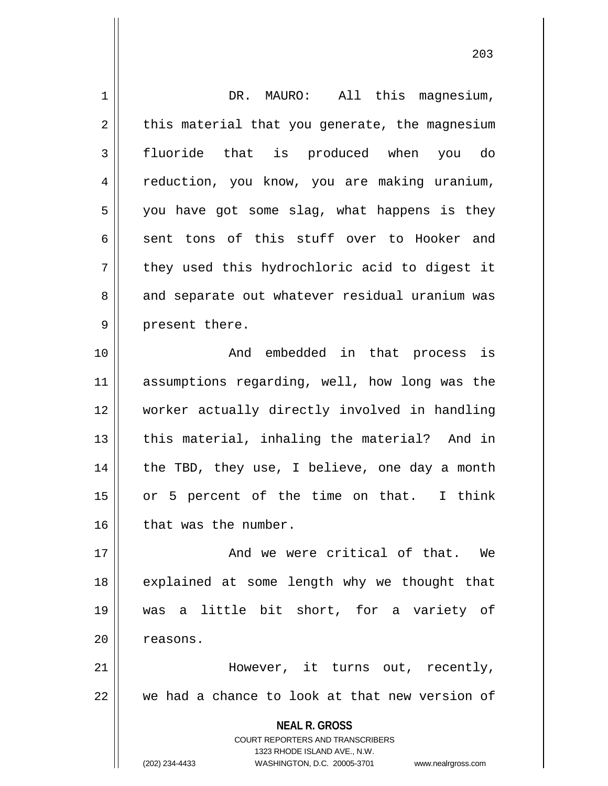**NEAL R. GROSS** COURT REPORTERS AND TRANSCRIBERS 1323 RHODE ISLAND AVE., N.W. (202) 234-4433 WASHINGTON, D.C. 20005-3701 www.nealrgross.com 1 || DR. MAURO: All this magnesium,  $2 \parallel$  this material that you generate, the magnesium 3 fluoride that is produced when you do 4 || reduction, you know, you are making uranium,  $5 \parallel$  you have got some slag, what happens is they  $6 \parallel$  sent tons of this stuff over to Hooker and  $7 \parallel$  they used this hydrochloric acid to digest it 8 and separate out whatever residual uranium was  $9 \parallel$  present there. 10 || The Contract And embedded in that process is 11 assumptions regarding, well, how long was the 12 worker actually directly involved in handling  $13$  || this material, inhaling the material? And in  $14$  | the TBD, they use, I believe, one day a month  $15$  or 5 percent of the time on that. I think  $16$  | that was the number. 17 And we were critical of that. We 18 || explained at some length why we thought that 19 was a little bit short, for a variety of 20 | reasons. 21 However, it turns out, recently,  $22$   $\parallel$  we had a chance to look at that new version of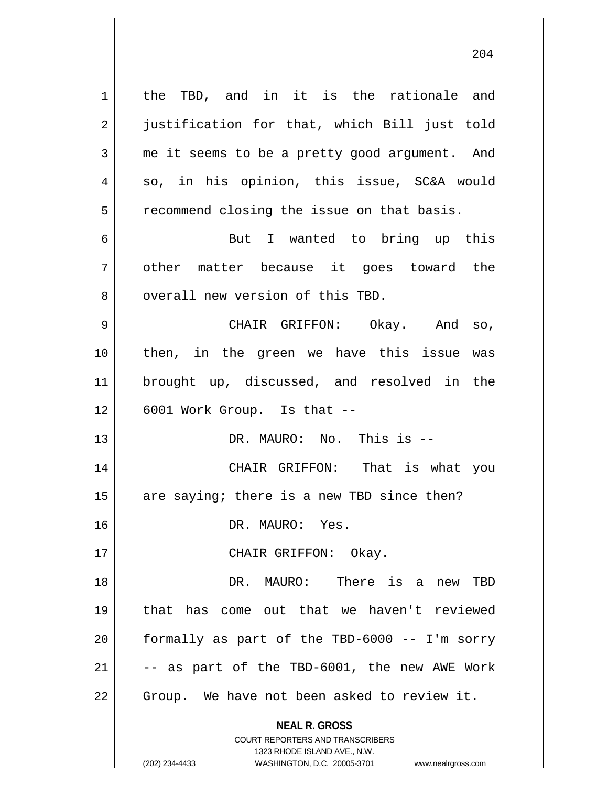**NEAL R. GROSS** COURT REPORTERS AND TRANSCRIBERS 1323 RHODE ISLAND AVE., N.W. 1 | the TBD, and in it is the rationale and 2 || justification for that, which Bill just told 3 me it seems to be a pretty good argument. And  $4 \parallel$  so, in his opinion, this issue, SC&A would 5 | recommend closing the issue on that basis. 6 || But I wanted to bring up this 7 || other matter because it goes toward the 8 || overall new version of this TBD. 9 CHAIR GRIFFON: Okay. And so, 10 then, in the green we have this issue was 11 brought up, discussed, and resolved in the  $12 \parallel$  6001 Work Group. Is that  $-$ 13 DR. MAURO: No. This is -- 14 CHAIR GRIFFON: That is what you 15  $\parallel$  are saying; there is a new TBD since then? 16 DR. MAURO: Yes. 17 || CHAIR GRIFFON: Okay. 18 DR. MAURO: There is a new TBD 19 that has come out that we haven't reviewed 20 formally as part of the TBD-6000 -- I'm sorry  $21$  || -- as part of the TBD-6001, the new AWE Work  $22$  | Group. We have not been asked to review it.

(202) 234-4433 WASHINGTON, D.C. 20005-3701 www.nealrgross.com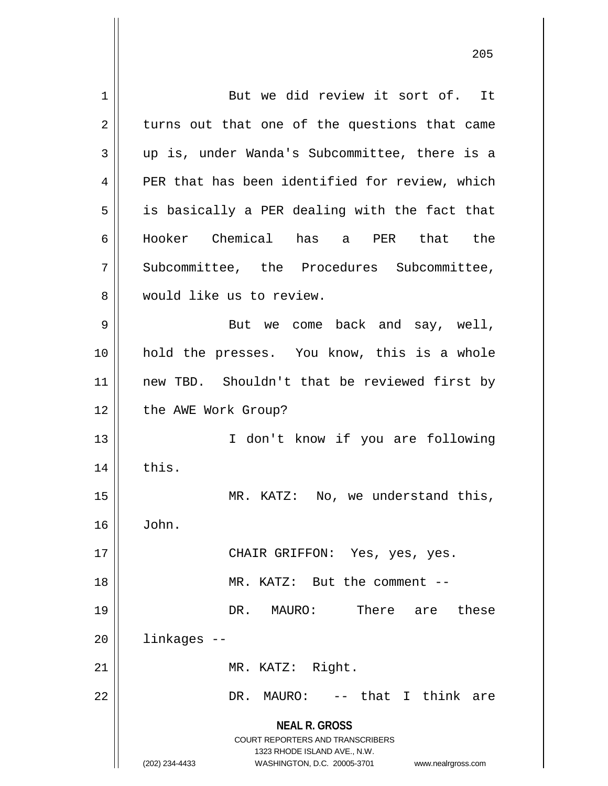**NEAL R. GROSS** COURT REPORTERS AND TRANSCRIBERS 1323 RHODE ISLAND AVE., N.W. (202) 234-4433 WASHINGTON, D.C. 20005-3701 www.nealrgross.com 1 But we did review it sort of. It  $2 \parallel$  turns out that one of the questions that came  $3 \parallel$  up is, under Wanda's Subcommittee, there is a 4 || PER that has been identified for review, which  $5 \parallel$  is basically a PER dealing with the fact that 6 Hooker Chemical has a PER that the 7 Subcommittee, the Procedures Subcommittee, 8 Would like us to review. 9 || But we come back and say, well, 10 || hold the presses. You know, this is a whole 11 || new TBD. Shouldn't that be reviewed first by 12 | the AWE Work Group? 13 || I don't know if you are following  $14$   $\parallel$  this. 15 || MR. KATZ: No, we understand this,  $16 \parallel$  John. 17 CHAIR GRIFFON: Yes, yes, yes. 18 MR. KATZ: But the comment -- 19 DR. MAURO: There are these 20 linkages -- 21 || MR. KATZ: Right. 22 DR. MAURO: -- that I think are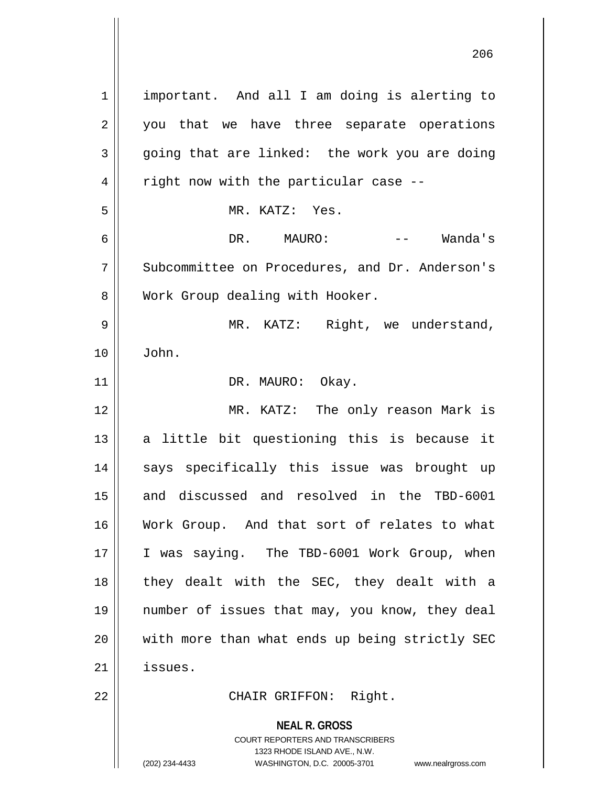**NEAL R. GROSS** COURT REPORTERS AND TRANSCRIBERS 1323 RHODE ISLAND AVE., N.W. 1 | important. And all I am doing is alerting to 2 || you that we have three separate operations  $3 \parallel$  going that are linked: the work you are doing  $4 \parallel$  right now with the particular case --5 MR. KATZ: Yes. 6 DR. MAURO: -- Wanda's 7 Subcommittee on Procedures, and Dr. Anderson's 8 Work Group dealing with Hooker. 9 MR. KATZ: Right, we understand, 10 John. 11 || DR. MAURO: Okay. 12 MR. KATZ: The only reason Mark is  $13$  a little bit questioning this is because it 14 || says specifically this issue was brought up 15 and discussed and resolved in the TBD-6001 16 Work Group. And that sort of relates to what 17 || I was saying. The TBD-6001 Work Group, when 18 || they dealt with the SEC, they dealt with a 19 number of issues that may, you know, they deal 20 || with more than what ends up being strictly SEC 21 issues. 22 CHAIR GRIFFON: Right.

(202) 234-4433 WASHINGTON, D.C. 20005-3701 www.nealrgross.com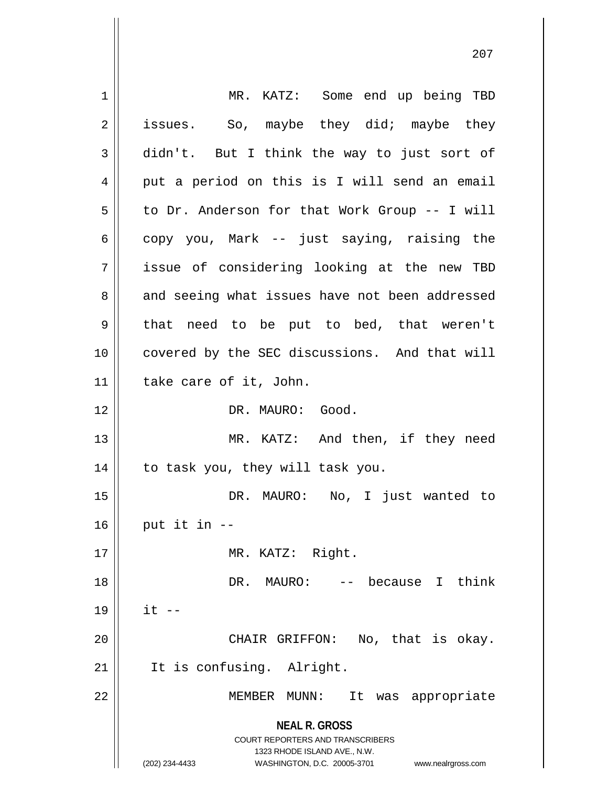| 1  | MR. KATZ: Some end up being TBD                                                                                                                                 |
|----|-----------------------------------------------------------------------------------------------------------------------------------------------------------------|
| 2  | So, maybe they did; maybe they<br>issues.                                                                                                                       |
| 3  | didn't. But I think the way to just sort of                                                                                                                     |
| 4  | put a period on this is I will send an email                                                                                                                    |
| 5  | to Dr. Anderson for that Work Group -- I will                                                                                                                   |
| 6  | copy you, Mark -- just saying, raising the                                                                                                                      |
| 7  | issue of considering looking at the new TBD                                                                                                                     |
| 8  | and seeing what issues have not been addressed                                                                                                                  |
| 9  | that need to be put to bed, that weren't                                                                                                                        |
| 10 | covered by the SEC discussions. And that will                                                                                                                   |
| 11 | take care of it, John.                                                                                                                                          |
| 12 | DR. MAURO: Good.                                                                                                                                                |
| 13 | MR. KATZ: And then, if they need                                                                                                                                |
| 14 | to task you, they will task you.                                                                                                                                |
| 15 | DR. MAURO: No, I just wanted to                                                                                                                                 |
| 16 | put it in --                                                                                                                                                    |
| 17 | MR. KATZ: Right.                                                                                                                                                |
| 18 | -- because I<br>think<br>DR. MAURO:                                                                                                                             |
| 19 | $it$ $-$                                                                                                                                                        |
| 20 | CHAIR GRIFFON: No, that is okay.                                                                                                                                |
| 21 | It is confusing. Alright.                                                                                                                                       |
| 22 | was appropriate<br>MEMBER<br>MUNN:<br>It                                                                                                                        |
|    | <b>NEAL R. GROSS</b><br>COURT REPORTERS AND TRANSCRIBERS<br>1323 RHODE ISLAND AVE., N.W.<br>(202) 234-4433<br>WASHINGTON, D.C. 20005-3701<br>www.nealrgross.com |

 $\mathsf{I}$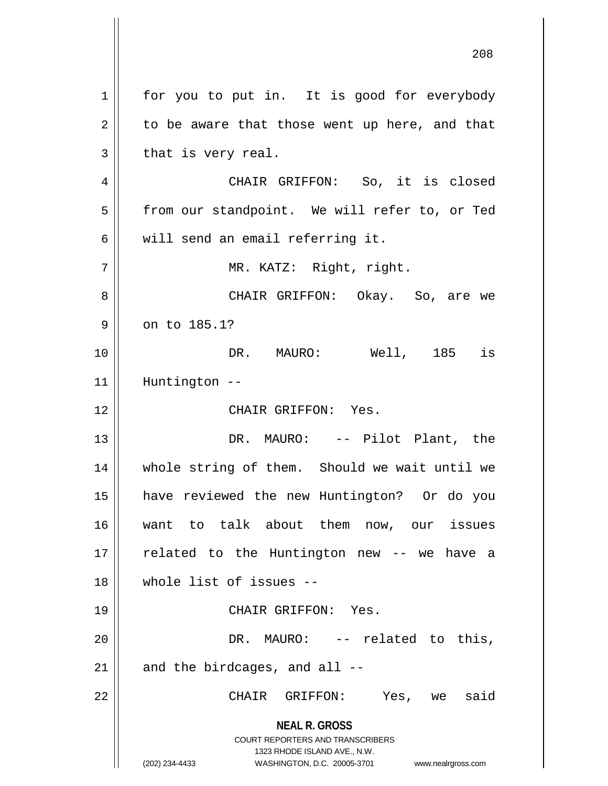**NEAL R. GROSS** COURT REPORTERS AND TRANSCRIBERS 1323 RHODE ISLAND AVE., N.W. (202) 234-4433 WASHINGTON, D.C. 20005-3701 www.nealrgross.com 1 for you to put in. It is good for everybody  $2 \parallel$  to be aware that those went up here, and that  $3 \parallel$  that is very real. 4 CHAIR GRIFFON: So, it is closed 5 | from our standpoint. We will refer to, or Ted  $6 \parallel$  will send an email referring it. 7 || MR. KATZ: Right, right. 8 CHAIR GRIFFON: Okay. So, are we  $9 \parallel$  on to 185.1? 10 || **DR. MAURO:** Well, 185 is 11 Huntington -- 12 CHAIR GRIFFON: Yes. 13 DR. MAURO: -- Pilot Plant, the 14 whole string of them. Should we wait until we 15 have reviewed the new Huntington? Or do you 16 want to talk about them now, our issues 17 || related to the Huntington new -- we have a 18 whole list of issues -- 19 CHAIR GRIFFON: Yes. 20 DR. MAURO: -- related to this,  $21$  | and the birdcages, and all  $-$ 22 CHAIR GRIFFON: Yes, we said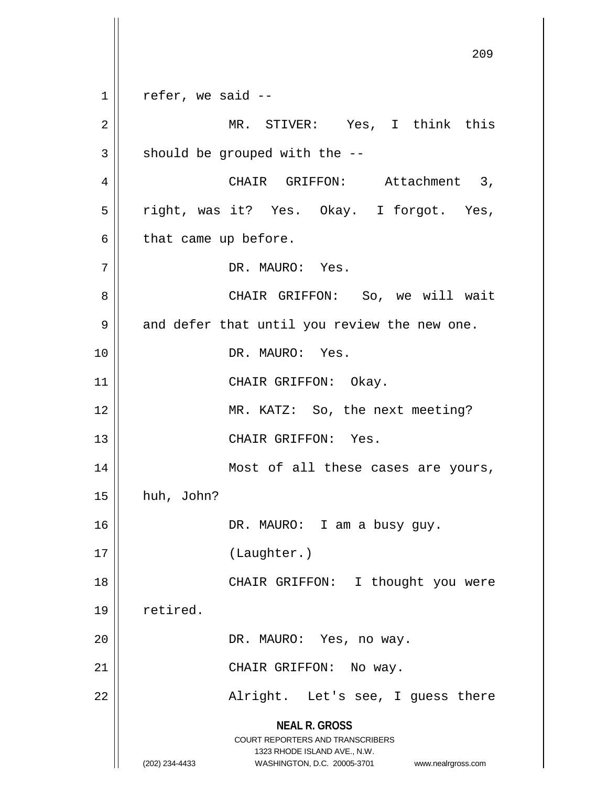**NEAL R. GROSS** COURT REPORTERS AND TRANSCRIBERS 1323 RHODE ISLAND AVE., N.W. (202) 234-4433 WASHINGTON, D.C. 20005-3701 www.nealrgross.com 209  $1 \parallel$  refer, we said --2 MR. STIVER: Yes, I think this  $3 \parallel$  should be grouped with the  $-$ 4 | CHAIR GRIFFON: Attachment 3, 5 || right, was it? Yes. Okay. I forgot. Yes,  $6 \parallel$  that came up before. 7 DR. MAURO: Yes. 8 CHAIR GRIFFON: So, we will wait  $9 \parallel$  and defer that until you review the new one. 10 DR. MAURO: Yes. 11 || CHAIR GRIFFON: Okay. 12 || MR. KATZ: So, the next meeting? 13 CHAIR GRIFFON: Yes. 14 Most of all these cases are yours,  $15$  | huh, John? 16 || DR. MAURO: I am a busy guy. 17 (Laughter.) 18 || CHAIR GRIFFON: I thought you were 19 | retired. 20 || DR. MAURO: Yes, no way. 21 || CHAIR GRIFFON: No way. 22 || Alright. Let's see, I guess there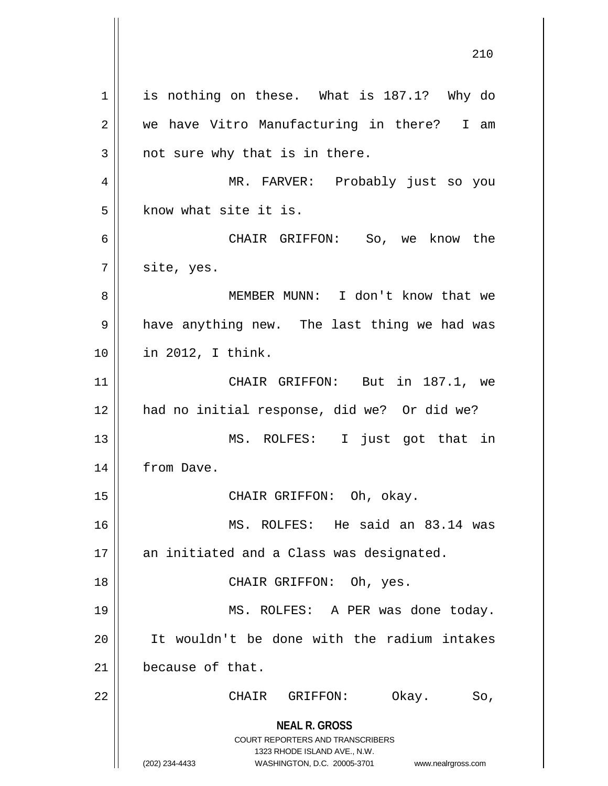**NEAL R. GROSS** COURT REPORTERS AND TRANSCRIBERS 1323 RHODE ISLAND AVE., N.W. (202) 234-4433 WASHINGTON, D.C. 20005-3701 www.nealrgross.com 1 || is nothing on these. What is 187.1? Why do 2 we have Vitro Manufacturing in there? I am  $3 \parallel$  not sure why that is in there. 4 MR. FARVER: Probably just so you  $5$  know what site it is. 6 CHAIR GRIFFON: So, we know the  $7 \parallel$  site, yes. 8 MEMBER MUNN: I don't know that we 9 || have anything new. The last thing we had was 10 in 2012, I think. 11 CHAIR GRIFFON: But in 187.1, we 12 || had no initial response, did we? Or did we? 13 MS. ROLFES: I just got that in 14 | from Dave. 15 CHAIR GRIFFON: Oh, okay. 16 MS. ROLFES: He said an 83.14 was 17 || an initiated and a Class was designated. 18 CHAIR GRIFFON: Oh, yes. 19 || MS. ROLFES: A PER was done today. 20 It wouldn't be done with the radium intakes 21 because of that. 22 CHAIR GRIFFON: Okay. So,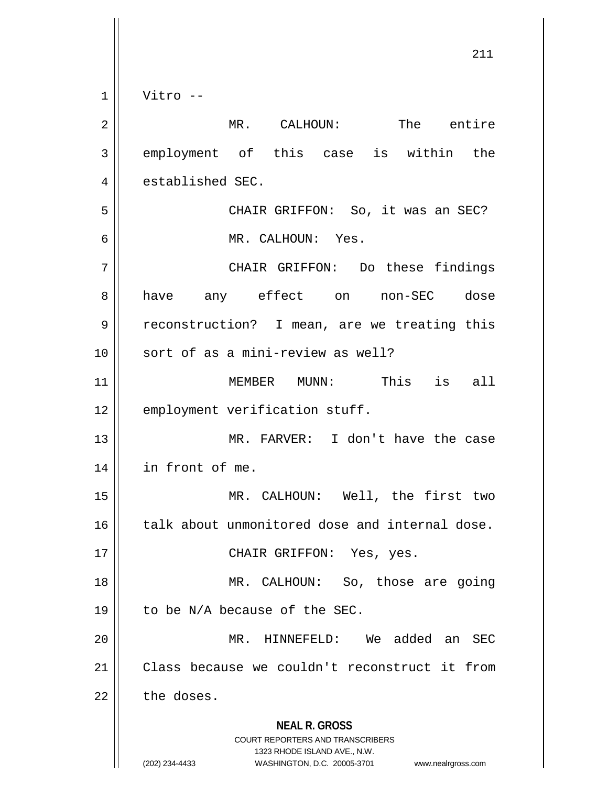$1 \parallel$  Vitro --

| $\overline{2}$ | The entire<br>MR. CALHOUN:                                                                                                                                             |
|----------------|------------------------------------------------------------------------------------------------------------------------------------------------------------------------|
| 3              | employment of this case is within the                                                                                                                                  |
| 4              | established SEC.                                                                                                                                                       |
| 5              | CHAIR GRIFFON: So, it was an SEC?                                                                                                                                      |
| 6              | MR. CALHOUN: Yes.                                                                                                                                                      |
| 7              | CHAIR GRIFFON: Do these findings                                                                                                                                       |
| 8              | have any effect on non-SEC dose                                                                                                                                        |
| 9              | reconstruction? I mean, are we treating this                                                                                                                           |
| 10             | sort of as a mini-review as well?                                                                                                                                      |
| 11             | MEMBER MUNN: This is all                                                                                                                                               |
| 12             | employment verification stuff.                                                                                                                                         |
| 13             | MR. FARVER: I don't have the case                                                                                                                                      |
| 14             | in front of me.                                                                                                                                                        |
| 15             | MR. CALHOUN: Well, the first two                                                                                                                                       |
| 16             | talk about unmonitored dose and internal dose.                                                                                                                         |
| 17             | CHAIR GRIFFON: Yes, yes.                                                                                                                                               |
| 18             | MR. CALHOUN: So, those are going                                                                                                                                       |
| 19             | to be N/A because of the SEC.                                                                                                                                          |
| 20             | We added an<br>MR.<br>HINNEFELD:<br>SEC                                                                                                                                |
| 21             | Class because we couldn't reconstruct it from                                                                                                                          |
| 22             | the doses.                                                                                                                                                             |
|                | <b>NEAL R. GROSS</b><br><b>COURT REPORTERS AND TRANSCRIBERS</b><br>1323 RHODE ISLAND AVE., N.W.<br>(202) 234-4433<br>WASHINGTON, D.C. 20005-3701<br>www.nealrgross.com |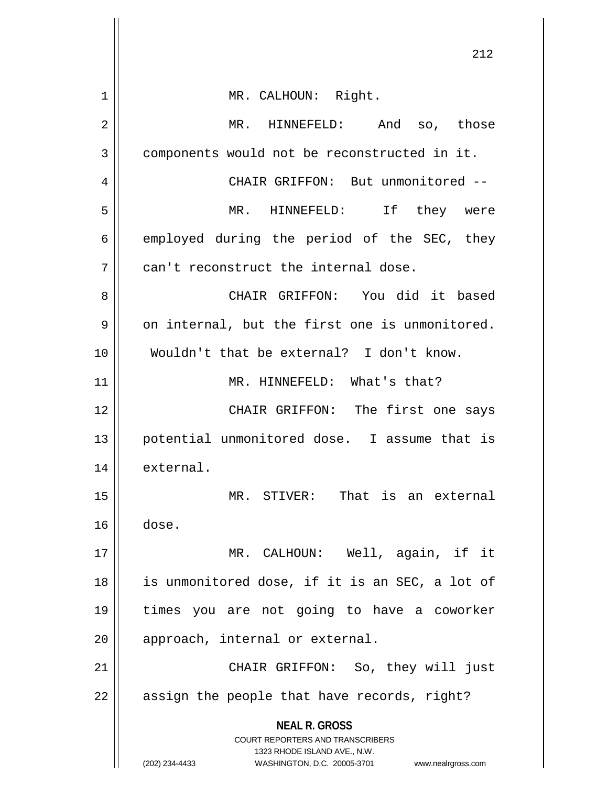|    | 212                                                                                                 |
|----|-----------------------------------------------------------------------------------------------------|
|    |                                                                                                     |
| 1  | MR. CALHOUN: Right.                                                                                 |
| 2  | MR. HINNEFELD: And so, those                                                                        |
| 3  | components would not be reconstructed in it.                                                        |
| 4  | CHAIR GRIFFON: But unmonitored --                                                                   |
| 5  | MR. HINNEFELD: If they were                                                                         |
| 6  | employed during the period of the SEC, they                                                         |
| 7  | can't reconstruct the internal dose.                                                                |
| 8  | CHAIR GRIFFON: You did it based                                                                     |
| 9  | on internal, but the first one is unmonitored.                                                      |
| 10 | Wouldn't that be external? I don't know.                                                            |
| 11 | MR. HINNEFELD: What's that?                                                                         |
| 12 | CHAIR GRIFFON: The first one says                                                                   |
| 13 | potential unmonitored dose. I assume that is                                                        |
| 14 | external.                                                                                           |
| 15 | MR. STIVER: That is an external                                                                     |
| 16 | dose.                                                                                               |
| 17 | MR. CALHOUN: Well, again, if it                                                                     |
| 18 | is unmonitored dose, if it is an SEC, a lot of                                                      |
| 19 | times you are not going to have a coworker                                                          |
| 20 | approach, internal or external.                                                                     |
| 21 | CHAIR GRIFFON: So, they will just                                                                   |
| 22 | assign the people that have records, right?                                                         |
|    | <b>NEAL R. GROSS</b>                                                                                |
|    | <b>COURT REPORTERS AND TRANSCRIBERS</b>                                                             |
|    | 1323 RHODE ISLAND AVE., N.W.<br>(202) 234-4433<br>WASHINGTON, D.C. 20005-3701<br>www.nealrgross.com |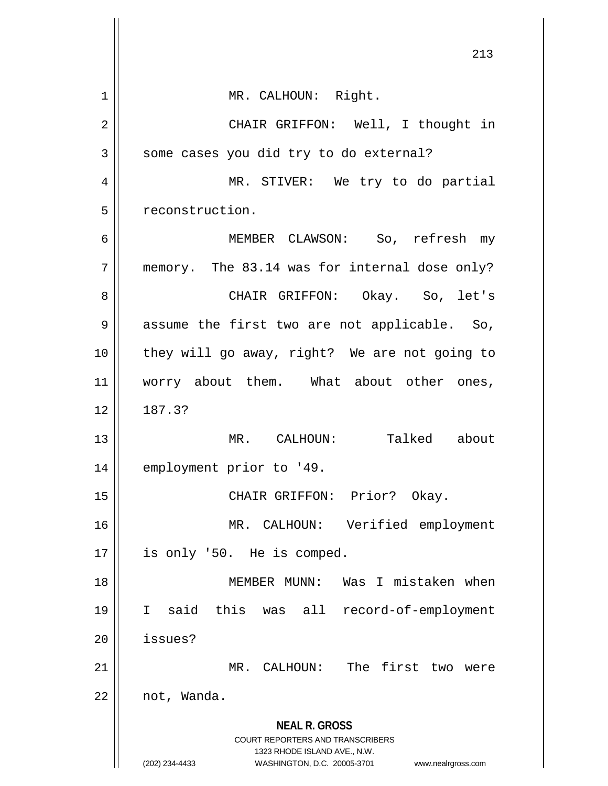|                | 213                                                              |
|----------------|------------------------------------------------------------------|
|                |                                                                  |
| 1              | MR. CALHOUN: Right.                                              |
| $\overline{2}$ | CHAIR GRIFFON: Well, I thought in                                |
| 3              | some cases you did try to do external?                           |
| 4              | MR. STIVER: We try to do partial                                 |
| 5              | reconstruction.                                                  |
| 6              | MEMBER CLAWSON: So, refresh my                                   |
| 7              | memory. The 83.14 was for internal dose only?                    |
| 8              | CHAIR GRIFFON: Okay. So, let's                                   |
| 9              | assume the first two are not applicable. So,                     |
| 10             | they will go away, right? We are not going to                    |
| 11             | worry about them. What about other ones,                         |
| 12             | 187.3?                                                           |
| 13             | Talked about<br>MR. CALHOUN:                                     |
| 14             | employment prior to '49.                                         |
| 15             | CHAIR GRIFFON: Prior? Okay.                                      |
| 16             | MR. CALHOUN: Verified employment                                 |
| 17             | is only '50. He is comped.                                       |
| 18             | MEMBER MUNN: Was I mistaken when                                 |
|                |                                                                  |
| 19             | I said this was all record-of-employment                         |
| 20             | issues?                                                          |
| 21             | MR. CALHOUN: The first two were                                  |
| 22             | not, Wanda.                                                      |
|                | <b>NEAL R. GROSS</b><br><b>COURT REPORTERS AND TRANSCRIBERS</b>  |
|                | 1323 RHODE ISLAND AVE., N.W.                                     |
|                | WASHINGTON, D.C. 20005-3701 www.nealrgross.com<br>(202) 234-4433 |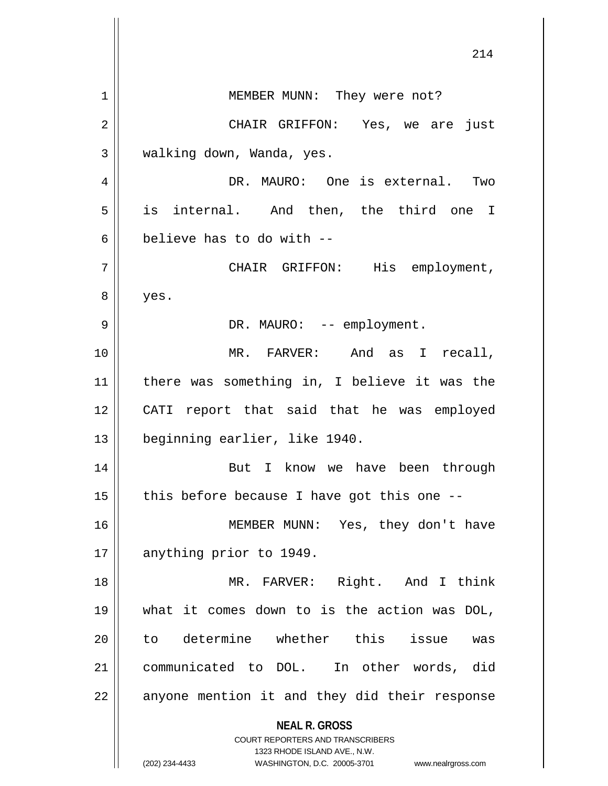**NEAL R. GROSS** COURT REPORTERS AND TRANSCRIBERS 1323 RHODE ISLAND AVE., N.W. (202) 234-4433 WASHINGTON, D.C. 20005-3701 www.nealrgross.com 1 || MEMBER MUNN: They were not? 2 CHAIR GRIFFON: Yes, we are just  $3 \parallel$  walking down, Wanda, yes. 4 DR. MAURO: One is external. Two 5 is internal. And then, the third one I 6 believe has to do with  $-$ 7 CHAIR GRIFFON: His employment, 8 yes. 9 DR. MAURO: -- employment. 10 MR. FARVER: And as I recall, 11 there was something in, I believe it was the 12 CATI report that said that he was employed 13 beginning earlier, like 1940. 14 || But I know we have been through  $15$  | this before because I have got this one --16 MEMBER MUNN: Yes, they don't have 17 || anything prior to 1949. 18 || MR. FARVER: Right. And I think 19 what it comes down to is the action was DOL, 20 ll to determine whether this issue was 21 communicated to DOL. In other words, did  $22$  | anyone mention it and they did their response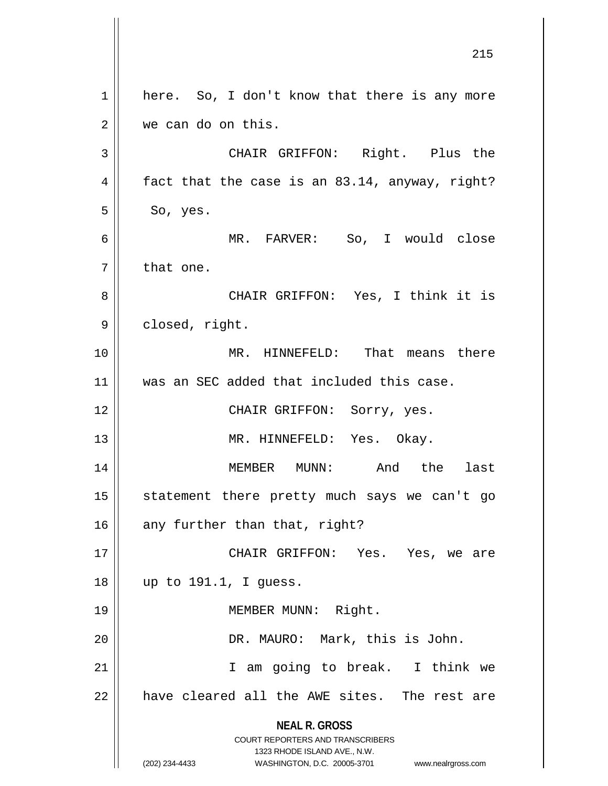**NEAL R. GROSS** COURT REPORTERS AND TRANSCRIBERS 1323 RHODE ISLAND AVE., N.W. (202) 234-4433 WASHINGTON, D.C. 20005-3701 www.nealrgross.com 215  $1 \parallel$  here. So, I don't know that there is any more 2 we can do on this. 3 || CHAIR GRIFFON: Right. Plus the 4  $\parallel$  fact that the case is an 83.14, anyway, right?  $5 \parallel$  So, yes. 6 MR. FARVER: So, I would close  $7 \parallel$  that one. 8 CHAIR GRIFFON: Yes, I think it is 9 | closed, right. 10 MR. HINNEFELD: That means there 11 was an SEC added that included this case. 12 || CHAIR GRIFFON: Sorry, yes. 13 || MR. HINNEFELD: Yes. Okay. 14 MEMBER MUNN: And the last 15 || statement there pretty much says we can't go 16  $\parallel$  any further than that, right? 17 CHAIR GRIFFON: Yes. Yes, we are 18 up to 191.1, I guess. 19 || MEMBER MUNN: Right. 20 DR. MAURO: Mark, this is John. 21 || T am going to break. I think we 22 || have cleared all the AWE sites. The rest are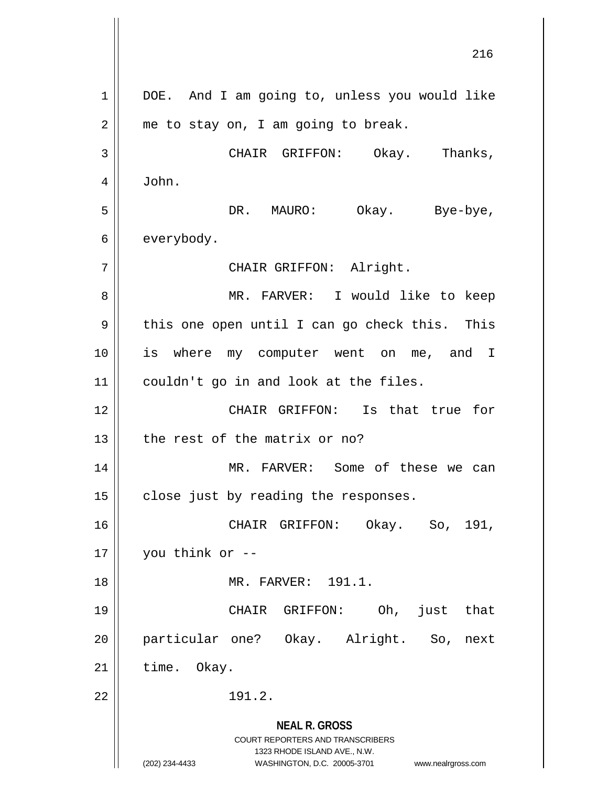**NEAL R. GROSS** COURT REPORTERS AND TRANSCRIBERS 1323 RHODE ISLAND AVE., N.W. (202) 234-4433 WASHINGTON, D.C. 20005-3701 www.nealrgross.com 1 || DOE. And I am going to, unless you would like  $2 \parallel$  me to stay on, I am going to break. 3 CHAIR GRIFFON: Okay. Thanks, 4 John. 5 DR. MAURO: Okay. Bye-bye, 6 | everybody. 7 || CHAIR GRIFFON: Alright. 8 MR. FARVER: I would like to keep  $9 \parallel$  this one open until I can go check this. This 10 || is where my computer went on me, and I 11 couldn't go in and look at the files. 12 CHAIR GRIFFON: Is that true for  $13$  | the rest of the matrix or no? 14 MR. FARVER: Some of these we can  $15$  | close just by reading the responses. 16 CHAIR GRIFFON: Okay. So, 191,  $17 \parallel$  you think or --18 MR. FARVER: 191.1. 19 CHAIR GRIFFON: Oh, just that 20 particular one? Okay. Alright. So, next  $21$  | time. Okay.  $22 \parallel$  191.2.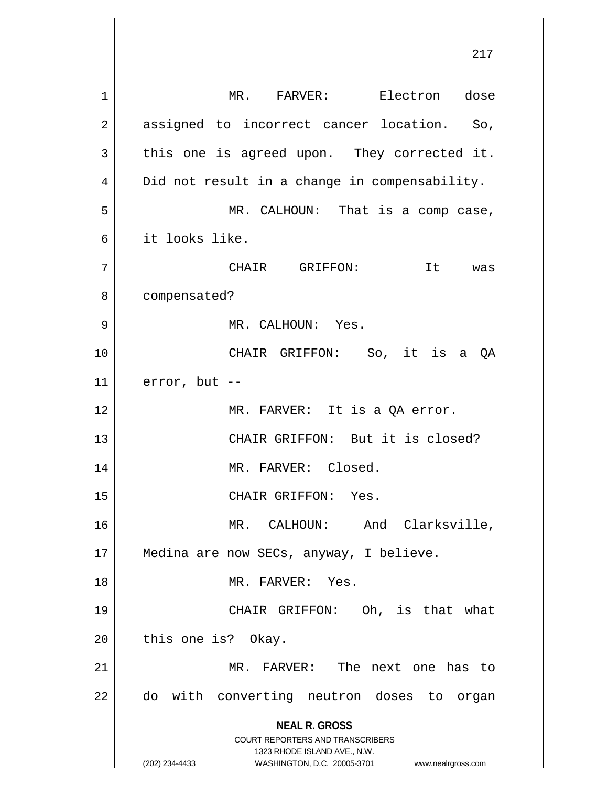**NEAL R. GROSS** COURT REPORTERS AND TRANSCRIBERS 1323 RHODE ISLAND AVE., N.W. (202) 234-4433 WASHINGTON, D.C. 20005-3701 www.nealrgross.com 1 MR. FARVER: Electron dose 2 || assigned to incorrect cancer location. So,  $3 \parallel$  this one is agreed upon. They corrected it. 4 | Did not result in a change in compensability. 5 || MR. CALHOUN: That is a comp case, 6 it looks like. 7 | CHAIR GRIFFON: It was 8 || compensated? 9 || MR. CALHOUN: Yes. 10 || CHAIR GRIFFON: So, it is a QA  $11$  | error, but --12 || MR. FARVER: It is a OA error. 13 CHAIR GRIFFON: But it is closed? 14 || MR. FARVER: Closed. 15 || CHAIR GRIFFON: Yes. 16 MR. CALHOUN: And Clarksville, 17 || Medina are now SECs, anyway, I believe. 18 MR. FARVER: Yes. 19 CHAIR GRIFFON: Oh, is that what  $20$  | this one is? Okay. 21 MR. FARVER: The next one has to 22 || do with converting neutron doses to organ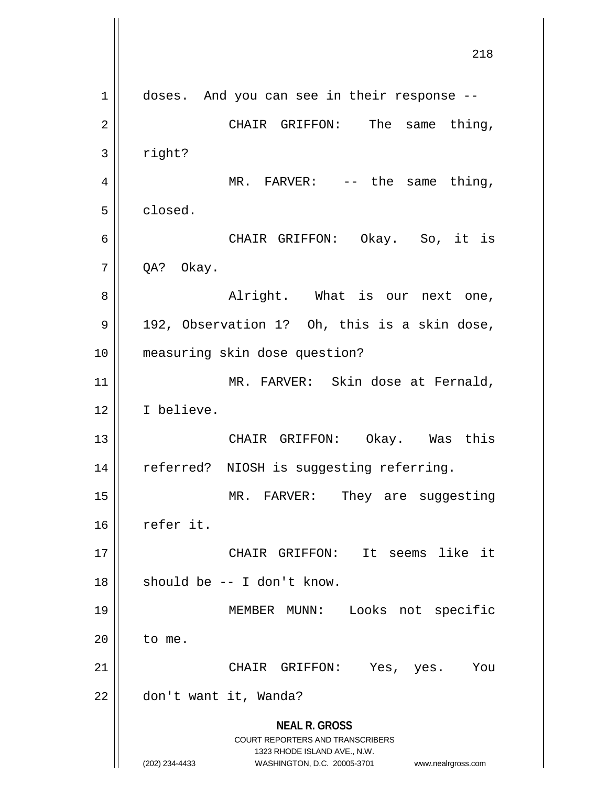**NEAL R. GROSS** COURT REPORTERS AND TRANSCRIBERS 1323 RHODE ISLAND AVE., N.W. (202) 234-4433 WASHINGTON, D.C. 20005-3701 www.nealrgross.com 218 1 || doses. And you can see in their response --2 | CHAIR GRIFFON: The same thing,  $3 \parallel$  right? 4 || MR. FARVER: -- the same thing, 5 closed. 6 CHAIR GRIFFON: Okay. So, it is  $7 \parallel$  QA? Okay. 8 Alright. What is our next one,  $9 \parallel$  192, Observation 1? Oh, this is a skin dose, 10 measuring skin dose question? 11 || MR. FARVER: Skin dose at Fernald, 12 I believe. 13 CHAIR GRIFFON: Okay. Was this 14 || referred? NIOSH is suggesting referring. 15 || MR. FARVER: They are suggesting 16 refer it. 17 CHAIR GRIFFON: It seems like it  $18$  || should be -- I don't know. 19 MEMBER MUNN: Looks not specific  $20$  || to me. 21 CHAIR GRIFFON: Yes, yes. You 22 | don't want it, Wanda?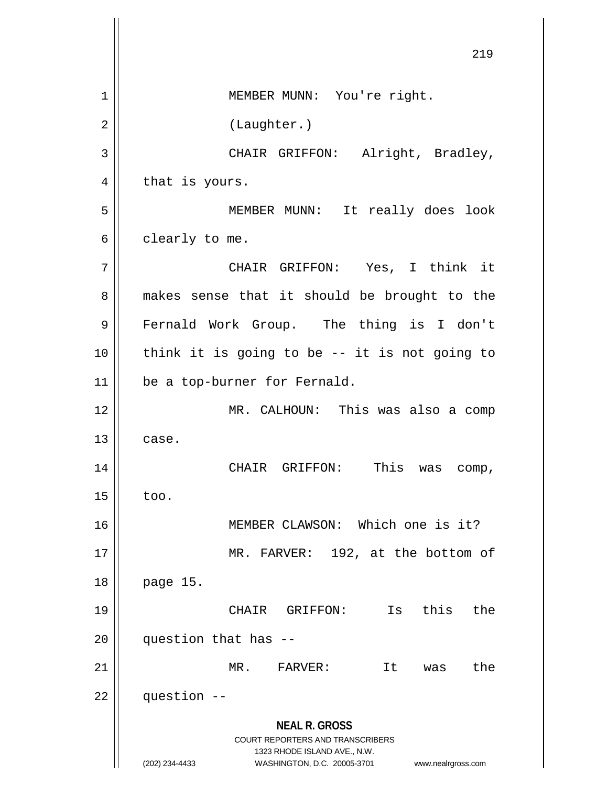**NEAL R. GROSS** COURT REPORTERS AND TRANSCRIBERS 1323 RHODE ISLAND AVE., N.W. (202) 234-4433 WASHINGTON, D.C. 20005-3701 www.nealrgross.com 219 1 | MEMBER MUNN: You're right. 2 | (Laughter.) 3 || CHAIR GRIFFON: Alright, Bradley,  $4 \parallel$  that is yours. 5 MEMBER MUNN: It really does look  $6 \parallel$  clearly to me. 7 CHAIR GRIFFON: Yes, I think it 8 || makes sense that it should be brought to the 9 Fernald Work Group. The thing is I don't  $10$  | think it is going to be -- it is not going to 11 be a top-burner for Fernald. 12 MR. CALHOUN: This was also a comp  $13$   $\vert$  case. 14 CHAIR GRIFFON: This was comp,  $15 \parallel$  too. 16 MEMBER CLAWSON: Which one is it? 17 || MR. FARVER: 192, at the bottom of 18 page 15. 19 CHAIR GRIFFON: Is this the  $20$  | question that has  $-$ 21 MR. FARVER: It was the  $22$  | question  $-$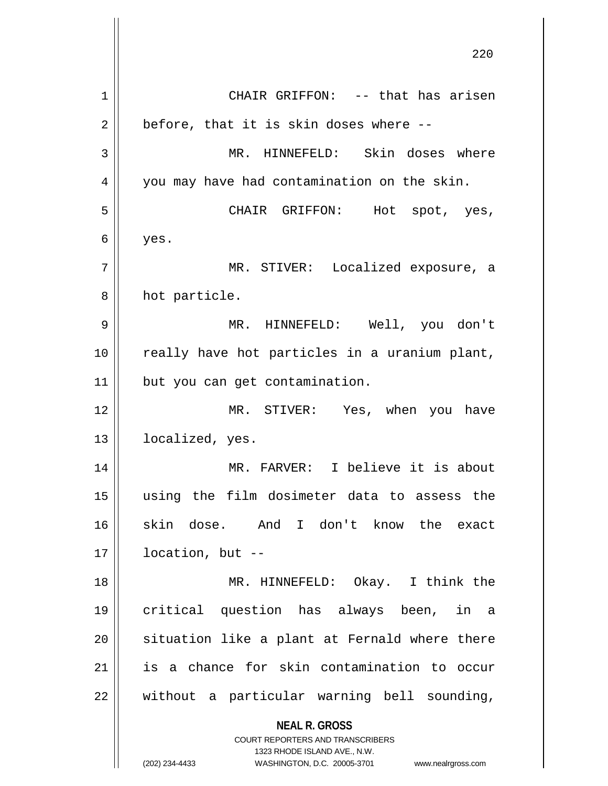**NEAL R. GROSS** COURT REPORTERS AND TRANSCRIBERS 1323 RHODE ISLAND AVE., N.W. (202) 234-4433 WASHINGTON, D.C. 20005-3701 www.nealrgross.com 220 1 CHAIR GRIFFON: -- that has arisen  $2 \parallel$  before, that it is skin doses where --3 MR. HINNEFELD: Skin doses where 4 || you may have had contamination on the skin. 5 CHAIR GRIFFON: Hot spot, yes,  $6 \mid$  yes. 7 MR. STIVER: Localized exposure, a 8 || hot particle. 9 MR. HINNEFELD: Well, you don't 10 || really have hot particles in a uranium plant, 11 | but you can get contamination. 12 MR. STIVER: Yes, when you have 13 || localized, yes. 14 MR. FARVER: I believe it is about 15 using the film dosimeter data to assess the 16 skin dose. And I don't know the exact 17 location, but -- 18 MR. HINNEFELD: Okay. I think the 19 critical question has always been, in a 20 || situation like a plant at Fernald where there 21 is a chance for skin contamination to occur  $22$  || without a particular warning bell sounding,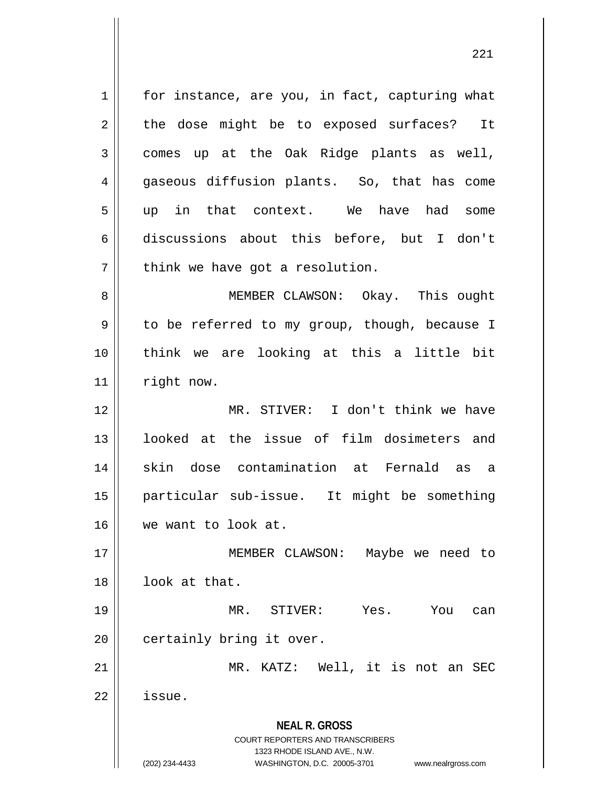**NEAL R. GROSS** COURT REPORTERS AND TRANSCRIBERS 1323 RHODE ISLAND AVE., N.W. (202) 234-4433 WASHINGTON, D.C. 20005-3701 www.nealrgross.com  $1$  for instance, are you, in fact, capturing what  $2 \parallel$  the dose might be to exposed surfaces? It  $3 \parallel$  comes up at the Oak Ridge plants as well, 4 gaseous diffusion plants. So, that has come 5 || up in that context. We have had some 6 discussions about this before, but I don't  $7$  || think we have got a resolution. 8 || MEMBER CLAWSON: Okay. This ought 9 || to be referred to my group, though, because I 10 think we are looking at this a little bit 11 | right now. 12 MR. STIVER: I don't think we have 13 looked at the issue of film dosimeters and 14 skin dose contamination at Fernald as a 15 particular sub-issue. It might be something 16 we want to look at. 17 || MEMBER CLAWSON: Maybe we need to 18 look at that. 19 MR. STIVER: Yes. You can 20 | certainly bring it over. 21 || MR. KATZ: Well, it is not an SEC 22 issue.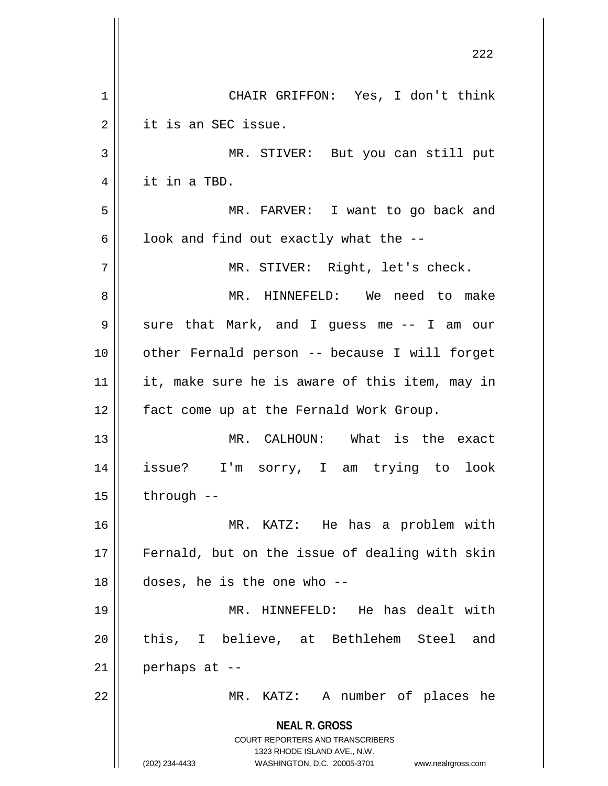|    | 222                                                                                                 |
|----|-----------------------------------------------------------------------------------------------------|
| 1  | CHAIR GRIFFON: Yes, I don't think                                                                   |
| 2  | it is an SEC issue.                                                                                 |
| 3  | MR. STIVER: But you can still put                                                                   |
| 4  | it in a TBD.                                                                                        |
| 5  | MR. FARVER: I want to go back and                                                                   |
| 6  | look and find out exactly what the --                                                               |
| 7  | MR. STIVER: Right, let's check.                                                                     |
| 8  | MR. HINNEFELD: We need to make                                                                      |
| 9  | sure that Mark, and I guess me -- I am our                                                          |
| 10 | other Fernald person -- because I will forget                                                       |
| 11 | it, make sure he is aware of this item, may in                                                      |
| 12 | fact come up at the Fernald Work Group.                                                             |
| 13 | MR. CALHOUN: What is the exact                                                                      |
| 14 | issue? I'm sorry, I am trying to<br>look                                                            |
| 15 | through --                                                                                          |
| 16 | MR. KATZ: He has a problem with                                                                     |
| 17 | Fernald, but on the issue of dealing with skin                                                      |
| 18 | doses, he is the one who --                                                                         |
| 19 | MR. HINNEFELD: He has dealt with                                                                    |
| 20 | this, I believe, at Bethlehem Steel<br>and                                                          |
| 21 | perhaps at --                                                                                       |
| 22 | MR. KATZ: A number of places he                                                                     |
|    | <b>NEAL R. GROSS</b>                                                                                |
|    | <b>COURT REPORTERS AND TRANSCRIBERS</b>                                                             |
|    | 1323 RHODE ISLAND AVE., N.W.<br>(202) 234-4433<br>WASHINGTON, D.C. 20005-3701<br>www.nealrgross.com |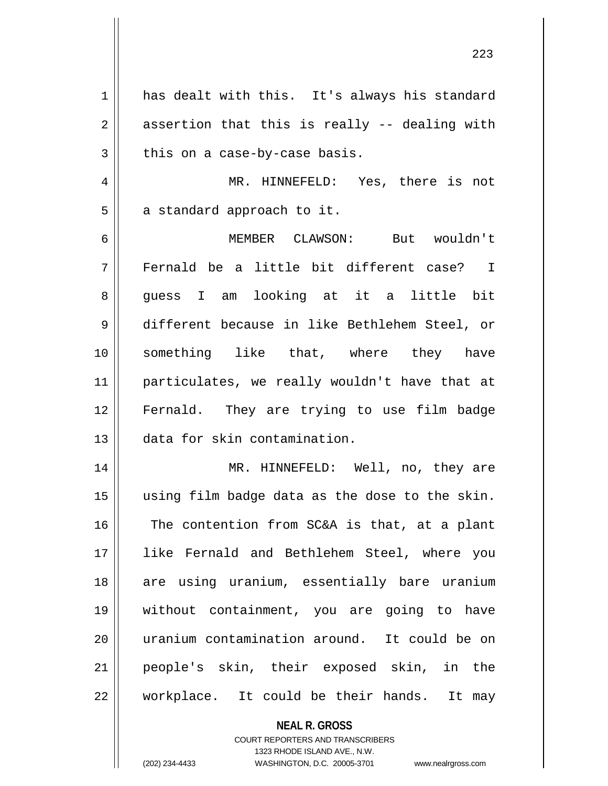1 has dealt with this. It's always his standard  $2 \parallel$  assertion that this is really -- dealing with  $3 \parallel$  this on a case-by-case basis. MR. HINNEFELD: Yes, there is not  $5 \parallel$  a standard approach to it. MEMBER CLAWSON: But wouldn't Fernald be a little bit different case? I 8 guess I am looking at it a little bit different because in like Bethlehem Steel, or something like that, where they have particulates, we really wouldn't have that at Fernald. They are trying to use film badge data for skin contamination. MR. HINNEFELD: Well, no, they are using film badge data as the dose to the skin. 16 The contention from SC&A is that, at a plant like Fernald and Bethlehem Steel, where you 18 || are using uranium, essentially bare uranium without containment, you are going to have uranium contamination around. It could be on people's skin, their exposed skin, in the || workplace. It could be their hands. It may

> **NEAL R. GROSS** COURT REPORTERS AND TRANSCRIBERS 1323 RHODE ISLAND AVE., N.W. (202) 234-4433 WASHINGTON, D.C. 20005-3701 www.nealrgross.com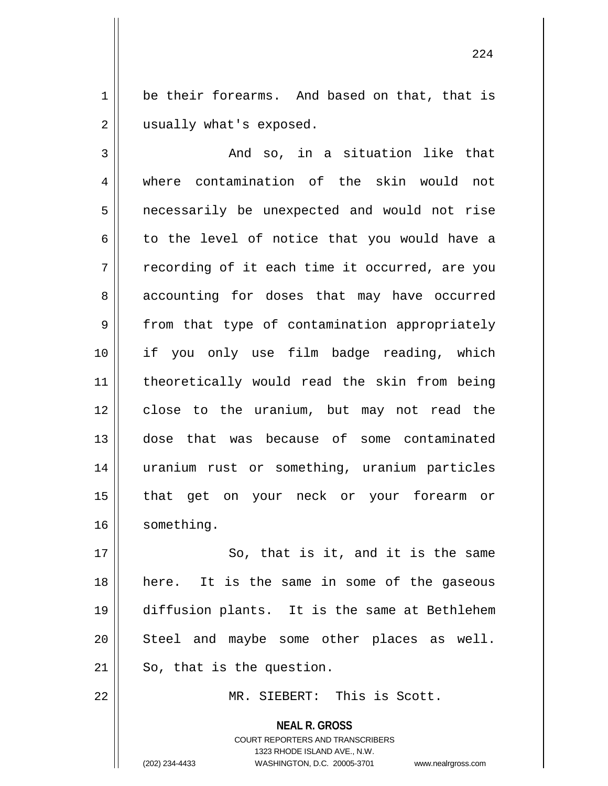1 be their forearms. And based on that, that is 2 | usually what's exposed.

 $3 \parallel$  and so, in a situation like that 4 where contamination of the skin would not 5 || necessarily be unexpected and would not rise  $6 \parallel$  to the level of notice that you would have a  $7 \parallel$  recording of it each time it occurred, are you 8 accounting for doses that may have occurred 9 | from that type of contamination appropriately 10 if you only use film badge reading, which 11 theoretically would read the skin from being 12 || close to the uranium, but may not read the 13 dose that was because of some contaminated 14 uranium rust or something, uranium particles 15 that get on your neck or your forearm or 16 | something.

17 || So, that is it, and it is the same 18 here. It is the same in some of the gaseous 19 diffusion plants. It is the same at Bethlehem 20 Steel and maybe some other places as well.  $21$  So, that is the question.

22 MR. SIEBERT: This is Scott.

**NEAL R. GROSS** COURT REPORTERS AND TRANSCRIBERS 1323 RHODE ISLAND AVE., N.W. (202) 234-4433 WASHINGTON, D.C. 20005-3701 www.nealrgross.com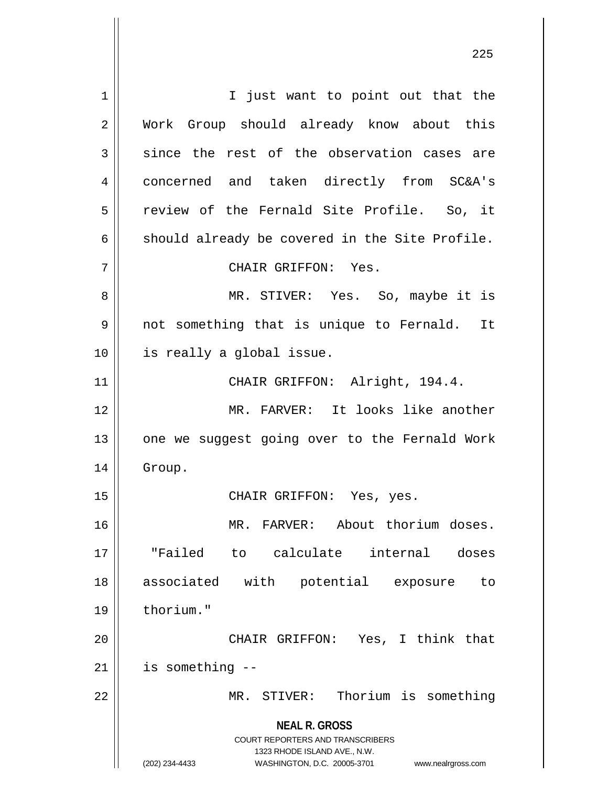**NEAL R. GROSS** COURT REPORTERS AND TRANSCRIBERS 1323 RHODE ISLAND AVE., N.W. (202) 234-4433 WASHINGTON, D.C. 20005-3701 www.nealrgross.com 1 || I just want to point out that the 2 Work Group should already know about this  $3$  since the rest of the observation cases are 4 | concerned and taken directly from SC&A's 5 || review of the Fernald Site Profile. So, it  $6 \parallel$  should already be covered in the Site Profile. 7 CHAIR GRIFFON: Yes. 8 MR. STIVER: Yes. So, maybe it is 9 || not something that is unique to Fernald. It 10 || is really a global issue. 11 || CHAIR GRIFFON: Alright, 194.4. 12 MR. FARVER: It looks like another 13 || one we suggest going over to the Fernald Work 14 Group. 15 CHAIR GRIFFON: Yes, yes. 16 MR. FARVER: About thorium doses. 17 "Failed to calculate internal doses 18 associated with potential exposure to 19 | thorium." 20 CHAIR GRIFFON: Yes, I think that  $21$  | is something  $-$ 22 || MR. STIVER: Thorium is something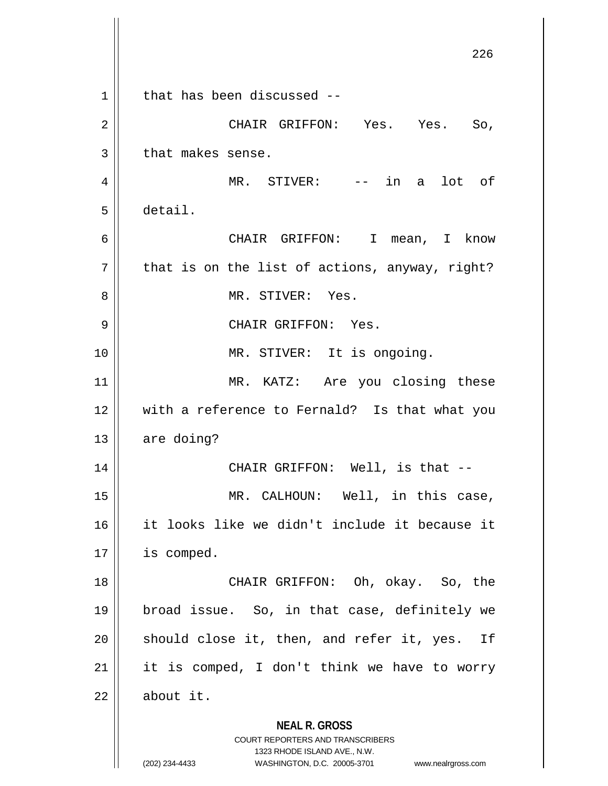|    | 226                                                                 |
|----|---------------------------------------------------------------------|
| 1  | that has been discussed --                                          |
| 2  | CHAIR GRIFFON: Yes. Yes. So,                                        |
| 3  | that makes sense.                                                   |
| 4  | MR. STIVER: -- in a lot of                                          |
| 5  | detail.                                                             |
| 6  | CHAIR GRIFFON: I mean, I know                                       |
| 7  | that is on the list of actions, anyway, right?                      |
| 8  | MR. STIVER: Yes.                                                    |
| 9  | CHAIR GRIFFON: Yes.                                                 |
| 10 | MR. STIVER: It is ongoing.                                          |
| 11 | MR. KATZ: Are you closing these                                     |
| 12 | with a reference to Fernald? Is that what you                       |
| 13 | are doing?                                                          |
| 14 | CHAIR GRIFFON: Well, is that --                                     |
| 15 | MR. CALHOUN: Well, in this case,                                    |
| 16 | it looks like we didn't include it because it                       |
| 17 | is comped.                                                          |
| 18 | CHAIR GRIFFON: Oh, okay. So, the                                    |
| 19 | broad issue. So, in that case, definitely we                        |
| 20 | should close it, then, and refer it, yes. If                        |
| 21 | it is comped, I don't think we have to worry                        |
| 22 | about it.                                                           |
|    | <b>NEAL R. GROSS</b><br><b>COURT REPORTERS AND TRANSCRIBERS</b>     |
|    | 1323 RHODE ISLAND AVE., N.W.                                        |
|    | (202) 234-4433<br>WASHINGTON, D.C. 20005-3701<br>www.nealrgross.com |

 $\mathsf{I}$ 

 $\mathsf{I}$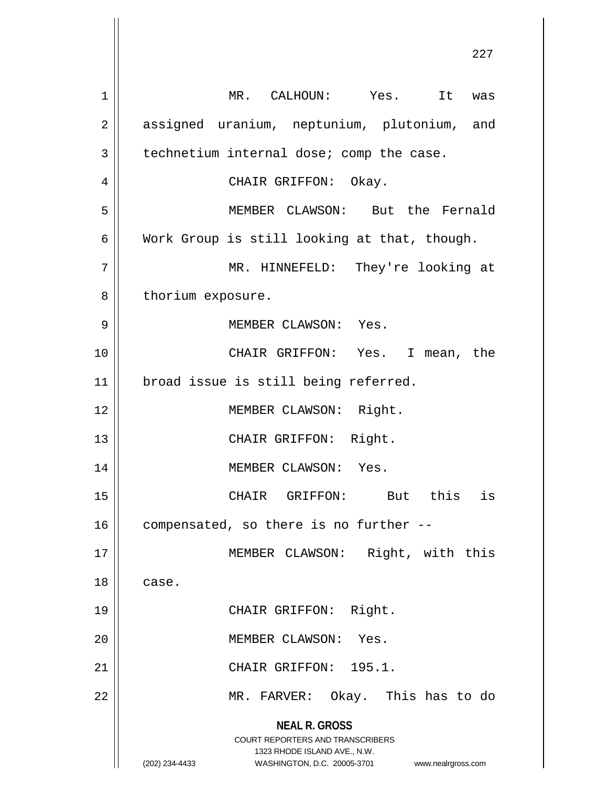**NEAL R. GROSS** COURT REPORTERS AND TRANSCRIBERS 1323 RHODE ISLAND AVE., N.W. (202) 234-4433 WASHINGTON, D.C. 20005-3701 www.nealrgross.com 1 MR. CALHOUN: Yes. It was 2 || assigned uranium, neptunium, plutonium, and  $3 \parallel$  technetium internal dose; comp the case. 4 CHAIR GRIFFON: Okay. 5 MEMBER CLAWSON: But the Fernald  $6 \parallel$  Work Group is still looking at that, though. 7 MR. HINNEFELD: They're looking at 8 | thorium exposure. 9 MEMBER CLAWSON: Yes. 10 CHAIR GRIFFON: Yes. I mean, the 11 || broad issue is still being referred. 12 || MEMBER CLAWSON: Right. 13 || CHAIR GRIFFON: Right. 14 || MEMBER CLAWSON: Yes. 15 CHAIR GRIFFON: But this is  $16$  | compensated, so there is no further  $-$ 17 || MEMBER CLAWSON: Right, with this 18 case. 19 || CHAIR GRIFFON: Right. 20 MEMBER CLAWSON: Yes. 21 || CHAIR GRIFFON: 195.1. 22 MR. FARVER: Okay. This has to do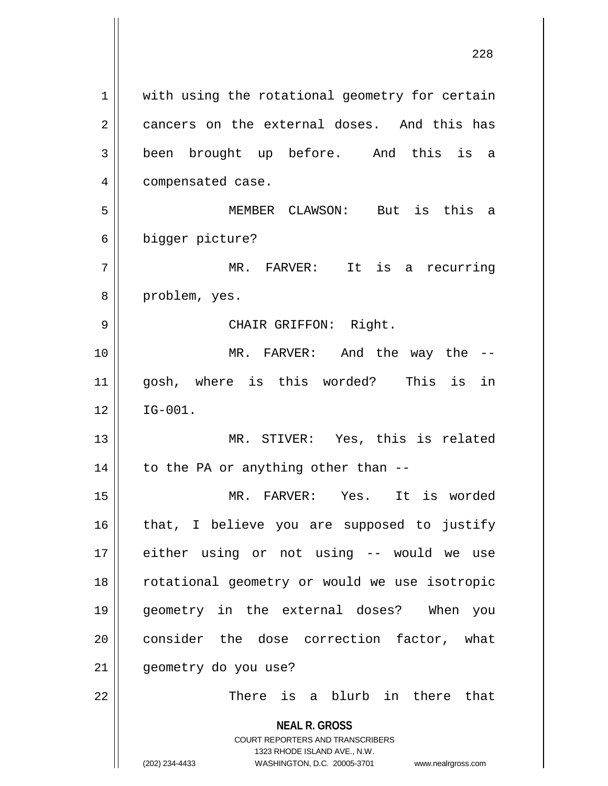**NEAL R. GROSS** COURT REPORTERS AND TRANSCRIBERS 1323 RHODE ISLAND AVE., N.W. (202) 234-4433 WASHINGTON, D.C. 20005-3701 www.nealrgross.com 1 || with using the rotational geometry for certain 2 cancers on the external doses. And this has 3 been brought up before. And this is a 4 | compensated case. 5 MEMBER CLAWSON: But is this a 6 bigger picture? 7 MR. FARVER: It is a recurring 8 || problem, yes. 9 CHAIR GRIFFON: Right. 10 MR. FARVER: And the way the -- 11 gosh, where is this worded? This is in  $12 \parallel$  IG-001. 13 || MR. STIVER: Yes, this is related  $14$  | to the PA or anything other than  $-$ 15 MR. FARVER: Yes. It is worded  $16$  | that, I believe you are supposed to justify 17 either using or not using -- would we use 18 rotational geometry or would we use isotropic 19 geometry in the external doses? When you 20 || consider the dose correction factor, what 21 | geometry do you use? 22 There is a blurb in there that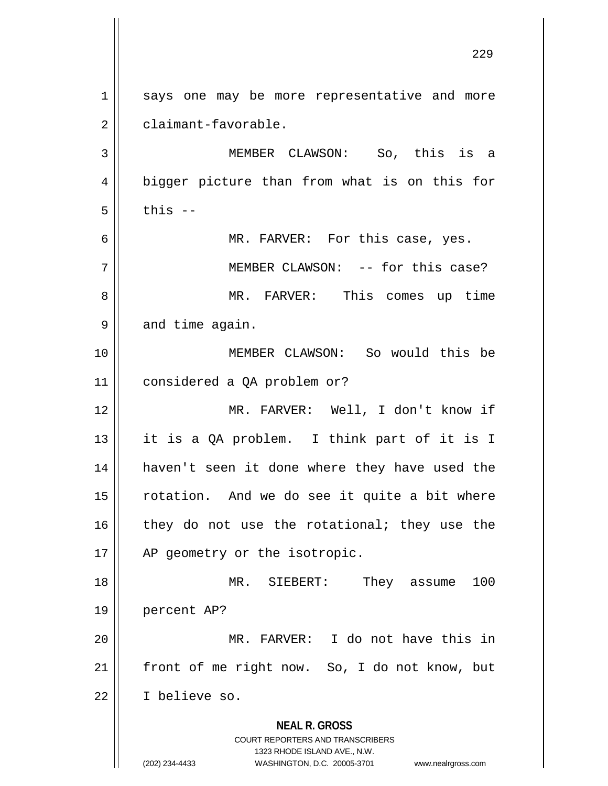**NEAL R. GROSS** COURT REPORTERS AND TRANSCRIBERS 1323 RHODE ISLAND AVE., N.W. (202) 234-4433 WASHINGTON, D.C. 20005-3701 www.nealrgross.com 1 || says one may be more representative and more 2 | claimant-favorable. 3 MEMBER CLAWSON: So, this is a 4 || bigger picture than from what is on this for  $5 \parallel$  this  $-$ 6 MR. FARVER: For this case, yes. 7 || MEMBER CLAWSON: -- for this case? 8 MR. FARVER: This comes up time  $9 \parallel$  and time again. 10 MEMBER CLAWSON: So would this be 11 considered a QA problem or? 12 MR. FARVER: Well, I don't know if 13 it is a QA problem. I think part of it is I 14 haven't seen it done where they have used the 15 || rotation. And we do see it quite a bit where  $16$  they do not use the rotational; they use the 17 || AP geometry or the isotropic. 18 MR. SIEBERT: They assume 100 19 percent AP? 20 MR. FARVER: I do not have this in 21 || front of me right now. So, I do not know, but 22 I believe so.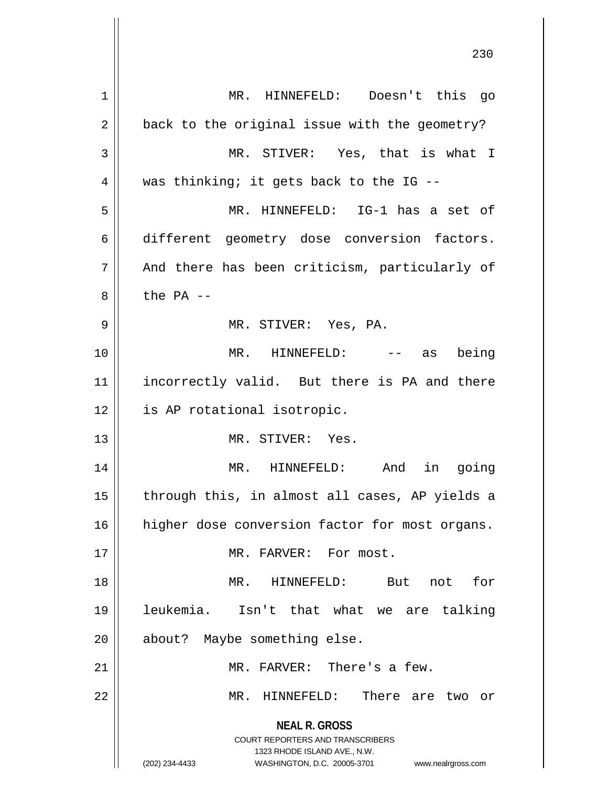**NEAL R. GROSS** COURT REPORTERS AND TRANSCRIBERS 1323 RHODE ISLAND AVE., N.W. (202) 234-4433 WASHINGTON, D.C. 20005-3701 www.nealrgross.com 1 MR. HINNEFELD: Doesn't this go  $2 \parallel$  back to the original issue with the geometry? 3 || MR. STIVER: Yes, that is what I  $4 \parallel$  was thinking; it gets back to the IG --5 MR. HINNEFELD: IG-1 has a set of 6 different geometry dose conversion factors.  $7 \parallel$  And there has been criticism, particularly of  $8 \parallel$  the PA --9 MR. STIVER: Yes, PA. 10 MR. HINNEFELD: -- as being 11 || incorrectly valid. But there is PA and there 12 || is AP rotational isotropic. 13 MR. STIVER: Yes. 14 MR. HINNEFELD: And in going  $15$  || through this, in almost all cases, AP yields a 16 | higher dose conversion factor for most organs. 17 || MR. FARVER: For most. 18 MR. HINNEFELD: But not for 19 leukemia. Isn't that what we are talking 20 || about? Maybe something else. 21 MR. FARVER: There's a few. 22 MR. HINNEFELD: There are two or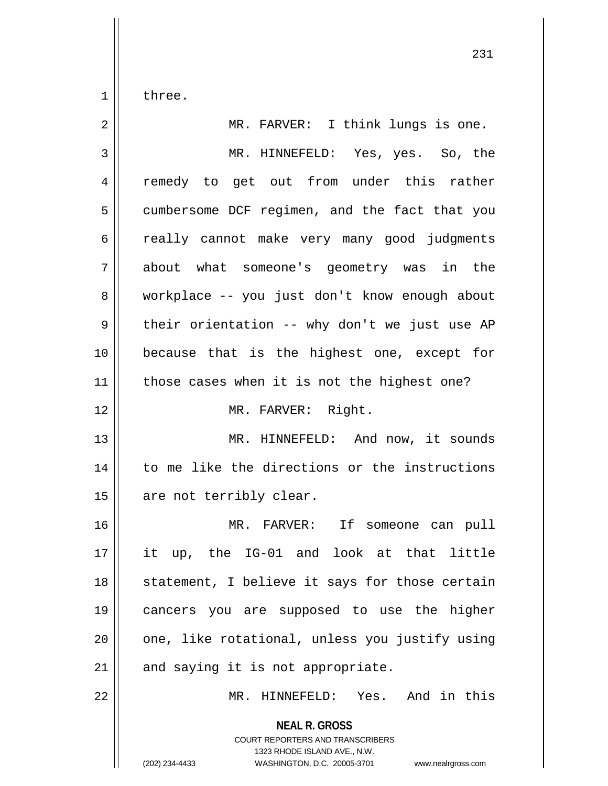$1 \parallel$  three.

| $\overline{2}$ | MR. FARVER: I think lungs is one.                                                                                                                                      |
|----------------|------------------------------------------------------------------------------------------------------------------------------------------------------------------------|
| 3              | MR. HINNEFELD: Yes, yes. So, the                                                                                                                                       |
| 4              | remedy to get out from under this rather                                                                                                                               |
| 5              | cumbersome DCF regimen, and the fact that you                                                                                                                          |
| 6              | really cannot make very many good judgments                                                                                                                            |
| 7              | about what someone's geometry was in the                                                                                                                               |
| 8              | workplace -- you just don't know enough about                                                                                                                          |
| 9              | their orientation -- why don't we just use AP                                                                                                                          |
| 10             | because that is the highest one, except for                                                                                                                            |
| 11             | those cases when it is not the highest one?                                                                                                                            |
| 12             | MR. FARVER: Right.                                                                                                                                                     |
| 13             | MR. HINNEFELD: And now, it sounds                                                                                                                                      |
| 14             | to me like the directions or the instructions                                                                                                                          |
| 15             | are not terribly clear.                                                                                                                                                |
| 16             | MR. FARVER: If someone can pull                                                                                                                                        |
| 17             | it up, the IG-01 and look at that little                                                                                                                               |
| 18             | statement, I believe it says for those certain                                                                                                                         |
| 19             | cancers you are supposed to use the higher                                                                                                                             |
| 20             | one, like rotational, unless you justify using                                                                                                                         |
| 21             | and saying it is not appropriate.                                                                                                                                      |
| 22             | MR. HINNEFELD: Yes. And in this                                                                                                                                        |
|                | <b>NEAL R. GROSS</b><br><b>COURT REPORTERS AND TRANSCRIBERS</b><br>1323 RHODE ISLAND AVE., N.W.<br>(202) 234-4433<br>WASHINGTON, D.C. 20005-3701<br>www.nealrgross.com |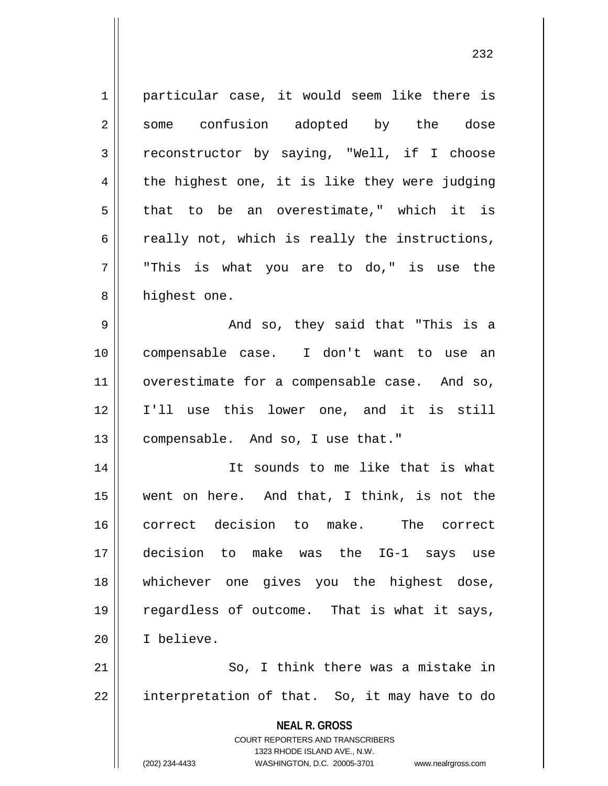**NEAL R. GROSS** COURT REPORTERS AND TRANSCRIBERS 1323 RHODE ISLAND AVE., N.W. (202) 234-4433 WASHINGTON, D.C. 20005-3701 www.nealrgross.com 1 || particular case, it would seem like there is 2 some confusion adopted by the dose 3 reconstructor by saying, "Well, if I choose  $4 \parallel$  the highest one, it is like they were judging  $5 \parallel$  that to be an overestimate," which it is  $6 \parallel$  really not, which is really the instructions,  $7 \parallel$  "This is what you are to do," is use the 8 | highest one. 9 And so, they said that "This is a 10 compensable case. I don't want to use an 11 | overestimate for a compensable case. And so, 12 I'll use this lower one, and it is still 13 compensable. And so, I use that." 14 It sounds to me like that is what 15 went on here. And that, I think, is not the 16 correct decision to make. The correct 17 decision to make was the IG-1 says use 18 whichever one gives you the highest dose, 19 || regardless of outcome. That is what it says, 20 I believe.  $21$   $\parallel$  So, I think there was a mistake in  $22$  || interpretation of that. So, it may have to do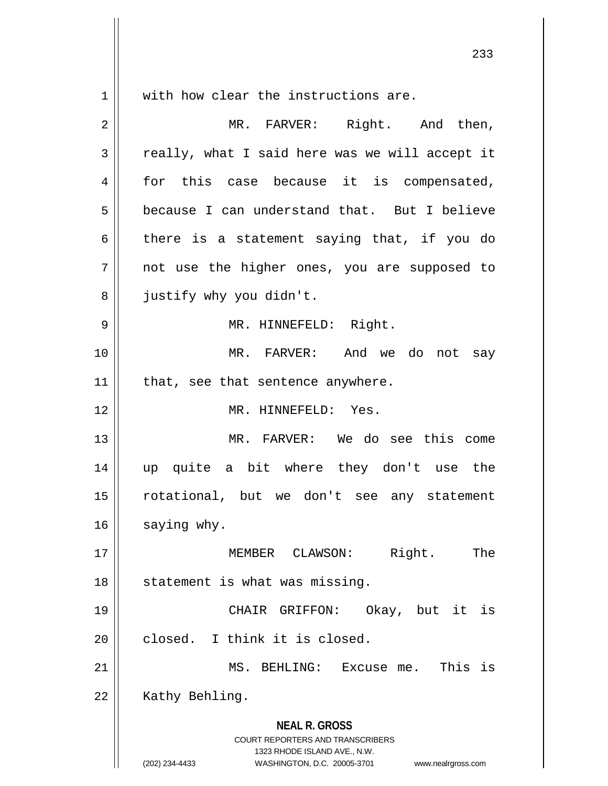**NEAL R. GROSS** COURT REPORTERS AND TRANSCRIBERS 1323 RHODE ISLAND AVE., N.W. (202) 234-4433 WASHINGTON, D.C. 20005-3701 www.nealrgross.com 1 with how clear the instructions are. 2 MR. FARVER: Right. And then,  $3 \parallel$  really, what I said here was we will accept it 4 for this case because it is compensated, 5 | because I can understand that. But I believe  $6 \parallel$  there is a statement saying that, if you do 7 || not use the higher ones, you are supposed to 8 | justify why you didn't. 9 || MR. HINNEFELD: Right. 10 MR. FARVER: And we do not say  $11$  | that, see that sentence anywhere. 12 MR. HINNEFELD: Yes. 13 MR. FARVER: We do see this come 14 up quite a bit where they don't use the 15 rotational, but we don't see any statement 16 saying why. 17 MEMBER CLAWSON: Right. The 18 || statement is what was missing. 19 CHAIR GRIFFON: Okay, but it is 20 || closed. I think it is closed. 21 MS. BEHLING: Excuse me. This is 22 | Kathy Behling.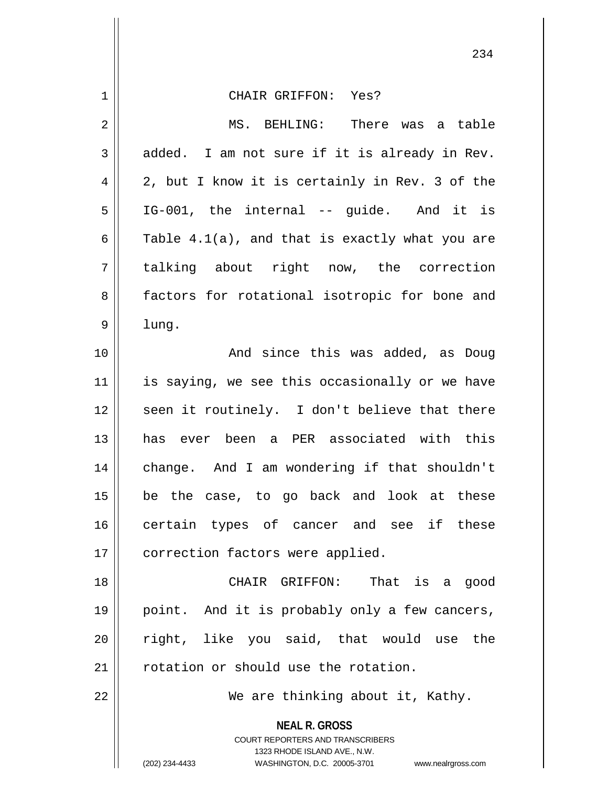| 1  | CHAIR GRIFFON: Yes?                                                                                                                                                    |
|----|------------------------------------------------------------------------------------------------------------------------------------------------------------------------|
| 2  | MS. BEHLING: There was a table                                                                                                                                         |
| 3  | added. I am not sure if it is already in Rev.                                                                                                                          |
| 4  | 2, but I know it is certainly in Rev. 3 of the                                                                                                                         |
| 5  | IG-001, the internal -- guide. And it is                                                                                                                               |
| 6  | Table 4.1(a), and that is exactly what you are                                                                                                                         |
| 7  | talking about right now, the correction                                                                                                                                |
| 8  | factors for rotational isotropic for bone and                                                                                                                          |
| 9  | lung.                                                                                                                                                                  |
| 10 | And since this was added, as Doug                                                                                                                                      |
| 11 | is saying, we see this occasionally or we have                                                                                                                         |
| 12 | seen it routinely. I don't believe that there                                                                                                                          |
| 13 | has ever been a PER associated with this                                                                                                                               |
| 14 | change. And I am wondering if that shouldn't                                                                                                                           |
| 15 | be the case, to go back and look at these                                                                                                                              |
| 16 | certain types of cancer and see if these                                                                                                                               |
| 17 | correction factors were applied.                                                                                                                                       |
| 18 | CHAIR GRIFFON: That is a good                                                                                                                                          |
| 19 | point. And it is probably only a few cancers,                                                                                                                          |
| 20 | right, like you said, that would use the                                                                                                                               |
| 21 | rotation or should use the rotation.                                                                                                                                   |
| 22 | We are thinking about it, Kathy.                                                                                                                                       |
|    | <b>NEAL R. GROSS</b><br><b>COURT REPORTERS AND TRANSCRIBERS</b><br>1323 RHODE ISLAND AVE., N.W.<br>WASHINGTON, D.C. 20005-3701<br>(202) 234-4433<br>www.nealrgross.com |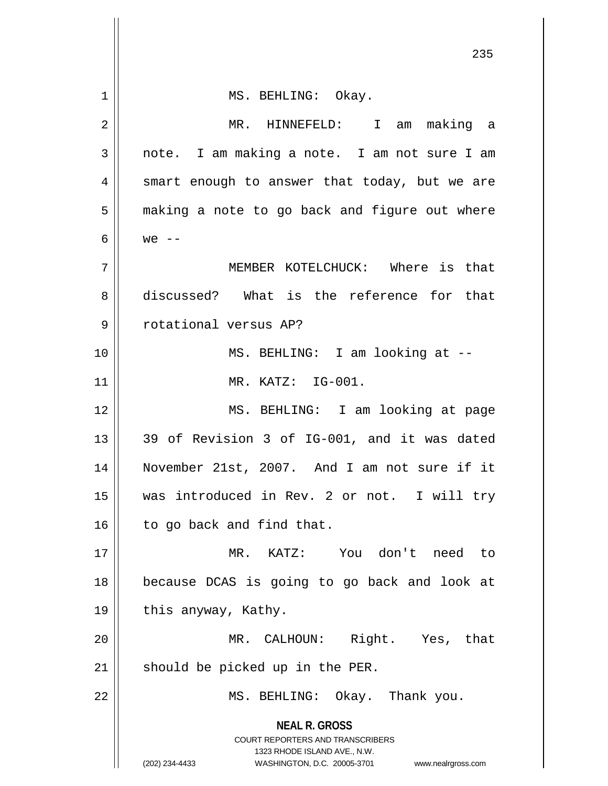| $\mathbf 1$ | MS. BEHLING: Okay.                                                                                                                                                     |
|-------------|------------------------------------------------------------------------------------------------------------------------------------------------------------------------|
| 2           | MR. HINNEFELD: I am making a                                                                                                                                           |
| 3           | note. I am making a note. I am not sure I am                                                                                                                           |
| 4           | smart enough to answer that today, but we are                                                                                                                          |
| 5           | making a note to go back and figure out where                                                                                                                          |
| 6           | $we$ --                                                                                                                                                                |
| 7           | MEMBER KOTELCHUCK: Where is that                                                                                                                                       |
| 8           | discussed? What is the reference for that                                                                                                                              |
| 9           | rotational versus AP?                                                                                                                                                  |
| 10          | MS. BEHLING: I am looking at --                                                                                                                                        |
| 11          | MR. KATZ: IG-001.                                                                                                                                                      |
| 12          | MS. BEHLING: I am looking at page                                                                                                                                      |
| 13          | 39 of Revision 3 of IG-001, and it was dated                                                                                                                           |
| 14          | November 21st, 2007. And I am not sure if it                                                                                                                           |
| 15          | was introduced in Rev. 2 or not. I will try                                                                                                                            |
| 16          | to go back and find that.                                                                                                                                              |
| 17          | MR. KATZ: You don't need to                                                                                                                                            |
| 18          | because DCAS is going to go back and look at                                                                                                                           |
| 19          | this anyway, Kathy.                                                                                                                                                    |
| 20          | MR. CALHOUN: Right. Yes, that                                                                                                                                          |
| 21          | should be picked up in the PER.                                                                                                                                        |
| 22          | MS. BEHLING: Okay. Thank you.                                                                                                                                          |
|             | <b>NEAL R. GROSS</b><br><b>COURT REPORTERS AND TRANSCRIBERS</b><br>1323 RHODE ISLAND AVE., N.W.<br>(202) 234-4433<br>WASHINGTON, D.C. 20005-3701<br>www.nealrgross.com |

 $\mathsf{I}$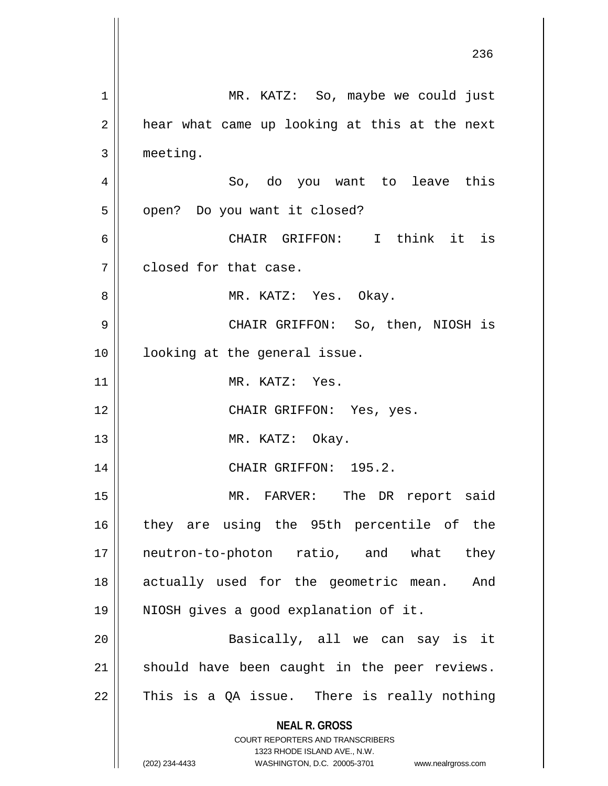**NEAL R. GROSS** COURT REPORTERS AND TRANSCRIBERS 1323 RHODE ISLAND AVE., N.W. (202) 234-4433 WASHINGTON, D.C. 20005-3701 www.nealrgross.com 1 || MR. KATZ: So, maybe we could just  $2 \parallel$  hear what came up looking at this at the next 3 meeting. 4 So, do you want to leave this 5 | open? Do you want it closed? 6 CHAIR GRIFFON: I think it is 7 closed for that case. 8 MR. KATZ: Yes. Okay. 9 CHAIR GRIFFON: So, then, NIOSH is 10 || looking at the general issue. 11 || MR. KATZ: Yes. 12 || CHAIR GRIFFON: Yes, yes. 13 || MR. KATZ: Okay. 14 || CHAIR GRIFFON: 195.2. 15 || MR. FARVER: The DR report said 16 || they are using the 95th percentile of the 17 || neutron-to-photon ratio, and what they 18 actually used for the geometric mean. And 19 NIOSH gives a good explanation of it. 20 Basically, all we can say is it  $21$  should have been caught in the peer reviews.  $22$  This is a QA issue. There is really nothing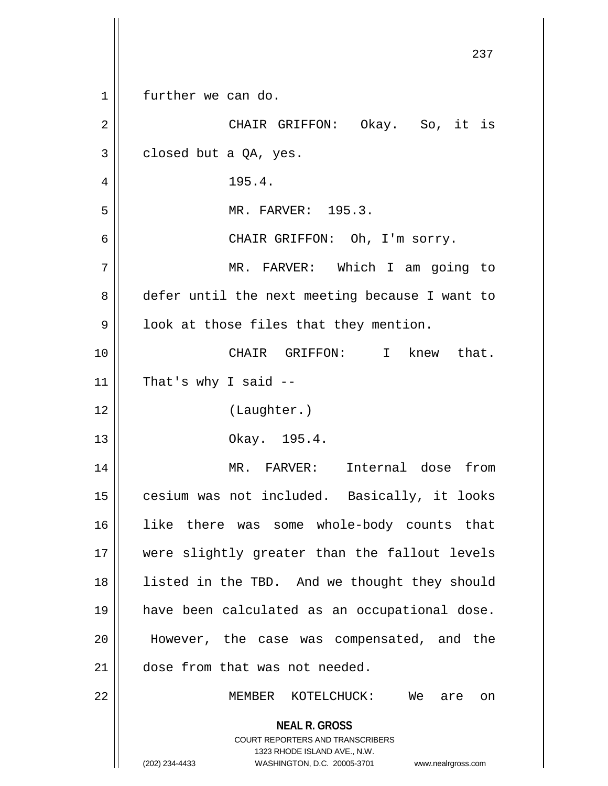|                | 237                                                                                                                                                                 |
|----------------|---------------------------------------------------------------------------------------------------------------------------------------------------------------------|
| $\mathbf 1$    | further we can do.                                                                                                                                                  |
| $\overline{2}$ | CHAIR GRIFFON: Okay. So, it is                                                                                                                                      |
| 3              | closed but a QA, yes.                                                                                                                                               |
| 4              | 195.4.                                                                                                                                                              |
| 5              | MR. FARVER: 195.3.                                                                                                                                                  |
| 6              | CHAIR GRIFFON: Oh, I'm sorry.                                                                                                                                       |
| 7              | MR. FARVER: Which I am going to                                                                                                                                     |
| 8              | defer until the next meeting because I want to                                                                                                                      |
| $\mathsf 9$    | look at those files that they mention.                                                                                                                              |
| 10             | CHAIR GRIFFON: I<br>knew that.                                                                                                                                      |
| 11             | That's why I said $-$                                                                                                                                               |
| 12             | (Laughter.)                                                                                                                                                         |
| 13             | Okay. 195.4.                                                                                                                                                        |
| 14             | MR. FARVER:<br>Internal dose from                                                                                                                                   |
| 15             | cesium was not included. Basically, it looks                                                                                                                        |
| 16             | like there was some whole-body counts that                                                                                                                          |
| 17             | were slightly greater than the fallout levels                                                                                                                       |
| 18             | listed in the TBD. And we thought they should                                                                                                                       |
| 19             | have been calculated as an occupational dose.                                                                                                                       |
| 20             | However, the case was compensated, and the                                                                                                                          |
| 21             | dose from that was not needed.                                                                                                                                      |
| 22             | MEMBER KOTELCHUCK: We are on                                                                                                                                        |
|                | <b>NEAL R. GROSS</b><br><b>COURT REPORTERS AND TRANSCRIBERS</b><br>1323 RHODE ISLAND AVE., N.W.<br>(202) 234-4433<br>WASHINGTON, D.C. 20005-3701 www.nealrgross.com |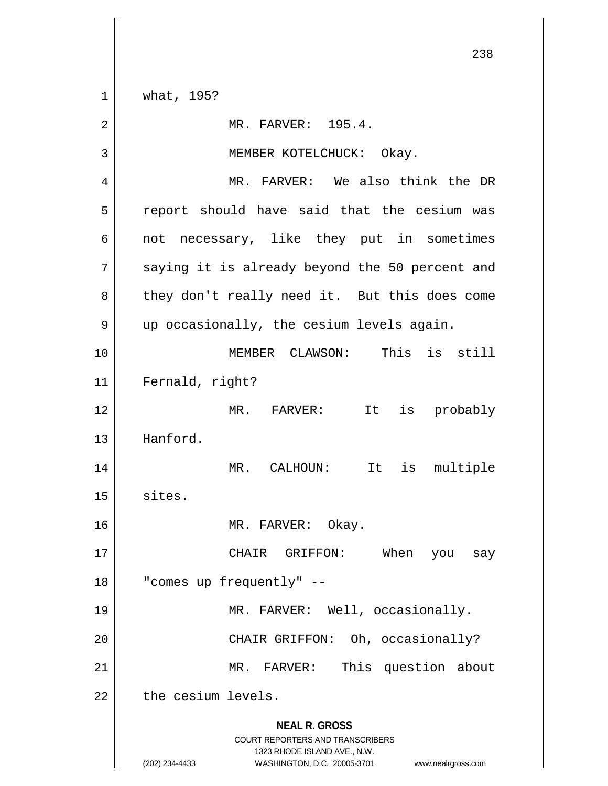**NEAL R. GROSS** COURT REPORTERS AND TRANSCRIBERS 1323 RHODE ISLAND AVE., N.W. 1 what, 195? 2 | MR. FARVER: 195.4. 3 || MEMBER KOTELCHUCK: Okay. 4 || MR. FARVER: We also think the DR  $5 \parallel$  report should have said that the cesium was  $6 \parallel$  not necessary, like they put in sometimes  $7 \parallel$  saying it is already beyond the 50 percent and 8 || they don't really need it. But this does come 9 | up occasionally, the cesium levels again. 10 MEMBER CLAWSON: This is still 11 Fernald, right? 12 MR. FARVER: It is probably 13 Hanford. 14 MR. CALHOUN: It is multiple  $15$  sites. 16 MR. FARVER: Okay. 17 CHAIR GRIFFON: When you say 18 "comes up frequently" -- 19 MR. FARVER: Well, occasionally. 20 || CHAIR GRIFFON: Oh, occasionally? 21 || MR. FARVER: This question about  $22$   $\parallel$  the cesium levels.

<sup>(202) 234-4433</sup> WASHINGTON, D.C. 20005-3701 www.nealrgross.com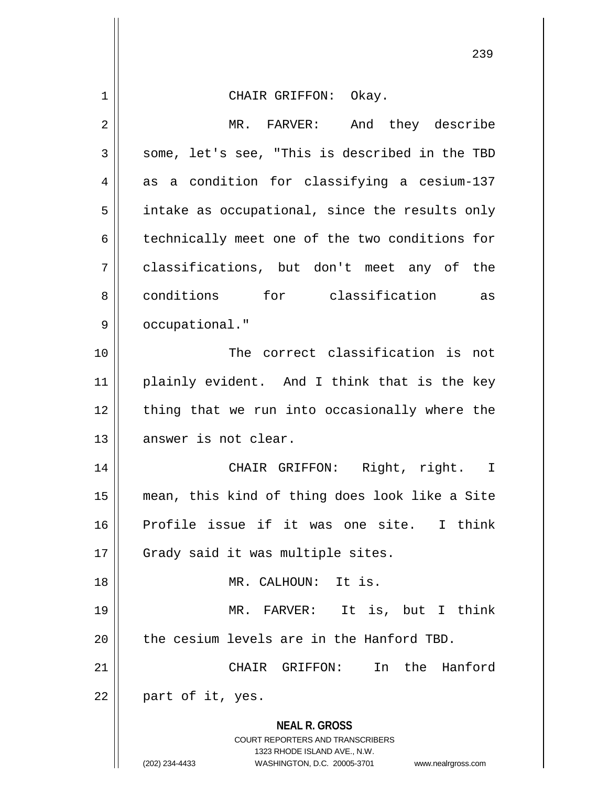**NEAL R. GROSS** COURT REPORTERS AND TRANSCRIBERS 1323 RHODE ISLAND AVE., N.W. (202) 234-4433 WASHINGTON, D.C. 20005-3701 www.nealrgross.com 1 CHAIR GRIFFON: Okay. 2 MR. FARVER: And they describe  $3 \parallel$  some, let's see, "This is described in the TBD  $4 \parallel$  as a condition for classifying a cesium-137  $5 \parallel$  intake as occupational, since the results only  $6 \parallel$  technically meet one of the two conditions for 7 classifications, but don't meet any of the 8 conditions for classification as 9 | occupational." 10 The correct classification is not 11 || plainly evident. And I think that is the key  $12$  | thing that we run into occasionally where the 13 answer is not clear. 14 CHAIR GRIFFON: Right, right. I 15 mean, this kind of thing does look like a Site 16 Profile issue if it was one site. I think 17 || Grady said it was multiple sites. 18 MR. CALHOUN: It is. 19 MR. FARVER: It is, but I think  $20$  | the cesium levels are in the Hanford TBD. 21 CHAIR GRIFFON: In the Hanford  $22 \parallel$  part of it, yes.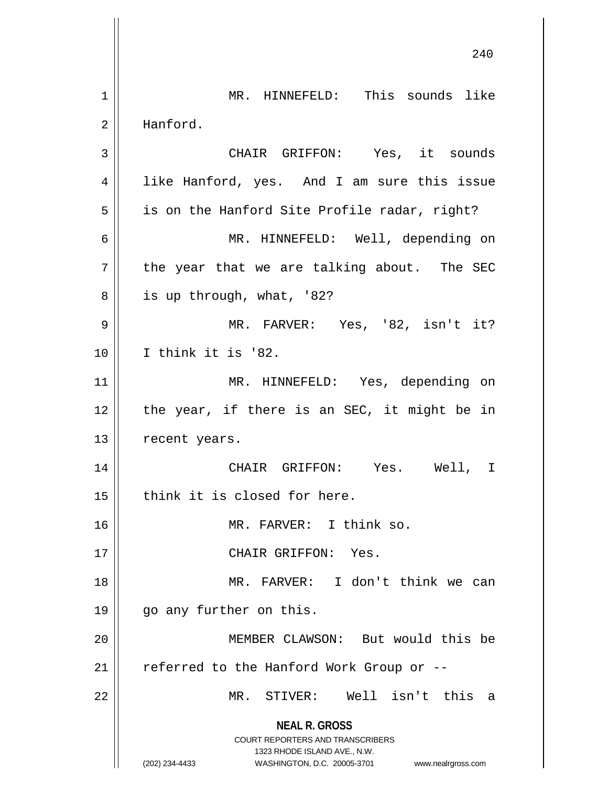**NEAL R. GROSS** COURT REPORTERS AND TRANSCRIBERS 1323 RHODE ISLAND AVE., N.W. (202) 234-4433 WASHINGTON, D.C. 20005-3701 www.nealrgross.com 240 1 || MR. HINNEFELD: This sounds like 2 | Hanford. 3 || CHAIR GRIFFON: Yes, it sounds 4 || like Hanford, yes. And I am sure this issue  $5 \parallel$  is on the Hanford Site Profile radar, right? 6 MR. HINNEFELD: Well, depending on  $7$  | the year that we are talking about. The SEC  $8 \parallel$  is up through, what, '82? 9 MR. FARVER: Yes, '82, isn't it? 10 I think it is '82. 11 MR. HINNEFELD: Yes, depending on  $12$  | the year, if there is an SEC, it might be in 13 | recent years. 14 CHAIR GRIFFON: Yes. Well, I  $15$  | think it is closed for here. 16 || MR. FARVER: I think so. 17 || CHAIR GRIFFON: Yes. 18 MR. FARVER: I don't think we can 19 go any further on this. 20 MEMBER CLAWSON: But would this be 21  $\parallel$  referred to the Hanford Work Group or --22 MR. STIVER: Well isn't this a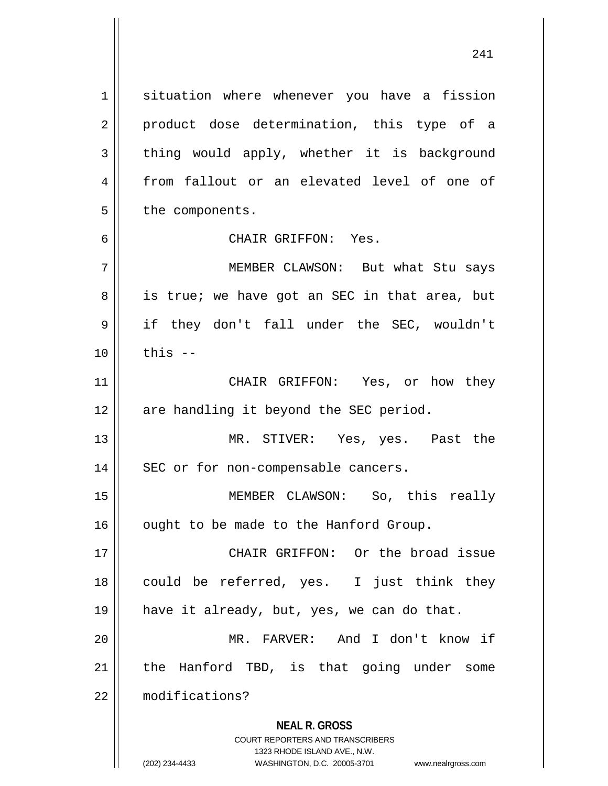1 | situation where whenever you have a fission 2 || product dose determination, this type of a  $3 \parallel$  thing would apply, whether it is background 4 from fallout or an elevated level of one of  $5 \parallel$  the components. 6 CHAIR GRIFFON: Yes. 7 MEMBER CLAWSON: But what Stu says  $8 \parallel$  is true; we have got an SEC in that area, but 9 || if they don't fall under the SEC, wouldn't  $10 \parallel$  this  $-$ 11 CHAIR GRIFFON: Yes, or how they  $12$  | are handling it beyond the SEC period. 13 MR. STIVER: Yes, yes. Past the 14 || SEC or for non-compensable cancers. 15 MEMBER CLAWSON: So, this really 16 | ought to be made to the Hanford Group. 17 CHAIR GRIFFON: Or the broad issue 18 || could be referred, yes. I just think they 19 have it already, but, yes, we can do that. 20 MR. FARVER: And I don't know if

 $21$  | the Hanford TBD, is that going under some 22 modifications?

> **NEAL R. GROSS** COURT REPORTERS AND TRANSCRIBERS

> > 1323 RHODE ISLAND AVE., N.W.

(202) 234-4433 WASHINGTON, D.C. 20005-3701 www.nealrgross.com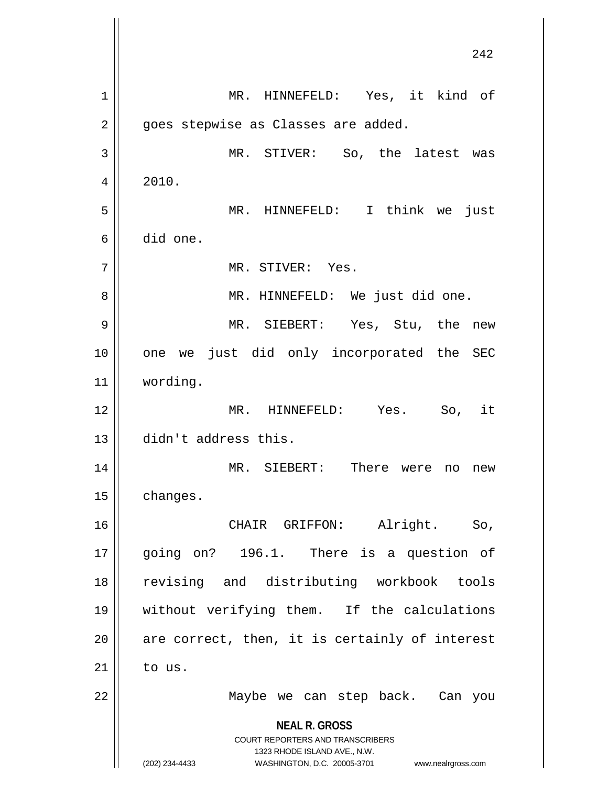**NEAL R. GROSS** COURT REPORTERS AND TRANSCRIBERS 1323 RHODE ISLAND AVE., N.W. (202) 234-4433 WASHINGTON, D.C. 20005-3701 www.nealrgross.com 242 1 || MR. HINNEFELD: Yes, it kind of 2 | goes stepwise as Classes are added. 3 MR. STIVER: So, the latest was  $4 \parallel 2010.$ 5 MR. HINNEFELD: I think we just 6 did one. 7 || MR. STIVER: Yes. 8 || MR. HINNEFELD: We just did one. 9 MR. SIEBERT: Yes, Stu, the new 10 || one we just did only incorporated the SEC 11 wording. 12 MR. HINNEFELD: Yes. So, it 13 didn't address this. 14 MR. SIEBERT: There were no new 15 | changes. 16 CHAIR GRIFFON: Alright. So, 17 || going on? 196.1. There is a question of 18 revising and distributing workbook tools 19 without verifying them. If the calculations  $20$  || are correct, then, it is certainly of interest  $21$  to us. 22 Maybe we can step back. Can you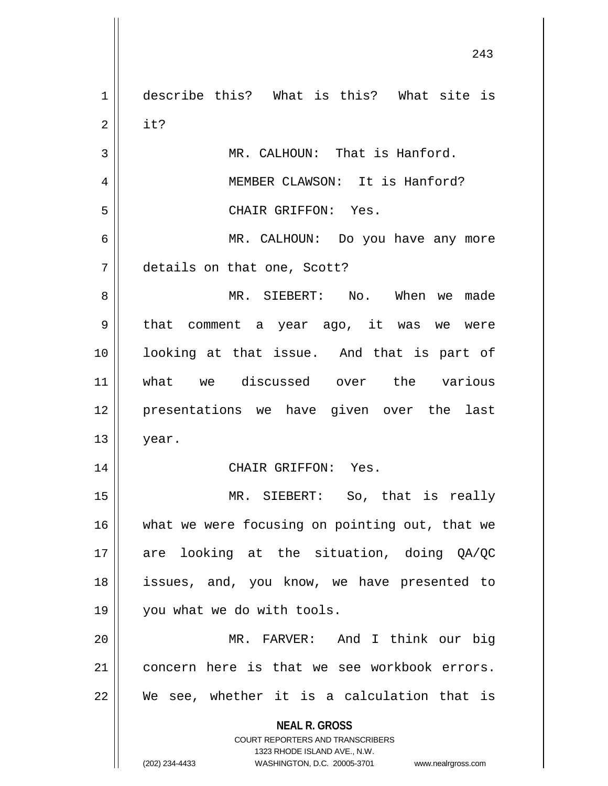**NEAL R. GROSS** COURT REPORTERS AND TRANSCRIBERS 1323 RHODE ISLAND AVE., N.W. (202) 234-4433 WASHINGTON, D.C. 20005-3701 www.nealrgross.com 1 || describe this? What is this? What site is  $2 \parallel$  it? 3 || MR. CALHOUN: That is Hanford. 4 || MEMBER CLAWSON: It is Hanford? 5 CHAIR GRIFFON: Yes. 6 MR. CALHOUN: Do you have any more 7 details on that one, Scott? 8 MR. SIEBERT: No. When we made 9 || that comment a year ago, it was we were 10 looking at that issue. And that is part of 11 what we discussed over the various 12 presentations we have given over the last  $13 \parallel$  year. 14 CHAIR GRIFFON: Yes. 15 MR. SIEBERT: So, that is really 16 || what we were focusing on pointing out, that we 17  $\parallel$  are looking at the situation, doing QA/QC 18 issues, and, you know, we have presented to 19 || you what we do with tools. 20 MR. FARVER: And I think our big 21 concern here is that we see workbook errors. 22 We see, whether it is a calculation that is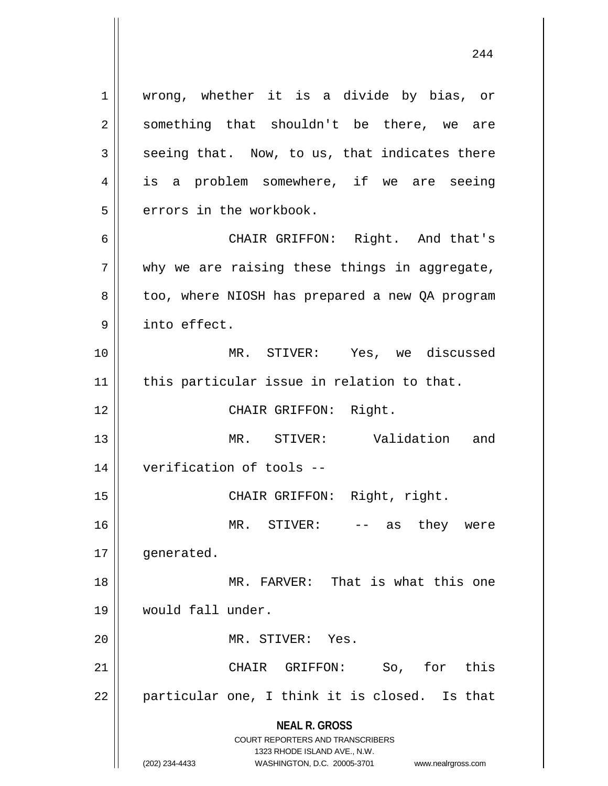**NEAL R. GROSS** COURT REPORTERS AND TRANSCRIBERS 1323 RHODE ISLAND AVE., N.W. 1 || wrong, whether it is a divide by bias, or  $2 \parallel$  something that shouldn't be there, we are  $3 \parallel$  seeing that. Now, to us, that indicates there 4 is a problem somewhere, if we are seeing 5 | errors in the workbook. 6 CHAIR GRIFFON: Right. And that's  $7$  || why we are raising these things in aggregate, 8 || too, where NIOSH has prepared a new QA program 9 | into effect. 10 MR. STIVER: Yes, we discussed  $11$  | this particular issue in relation to that. 12 || CHAIR GRIFFON: Right. 13 MR. STIVER: Validation and 14 verification of tools -- 15 || CHAIR GRIFFON: Right, right. 16 MR. STIVER: -- as they were 17 | generated. 18 MR. FARVER: That is what this one 19 would fall under. 20 || MR. STIVER: Yes. 21 || CHAIR GRIFFON: So, for this  $22 \parallel$  particular one, I think it is closed. Is that

(202) 234-4433 WASHINGTON, D.C. 20005-3701 www.nealrgross.com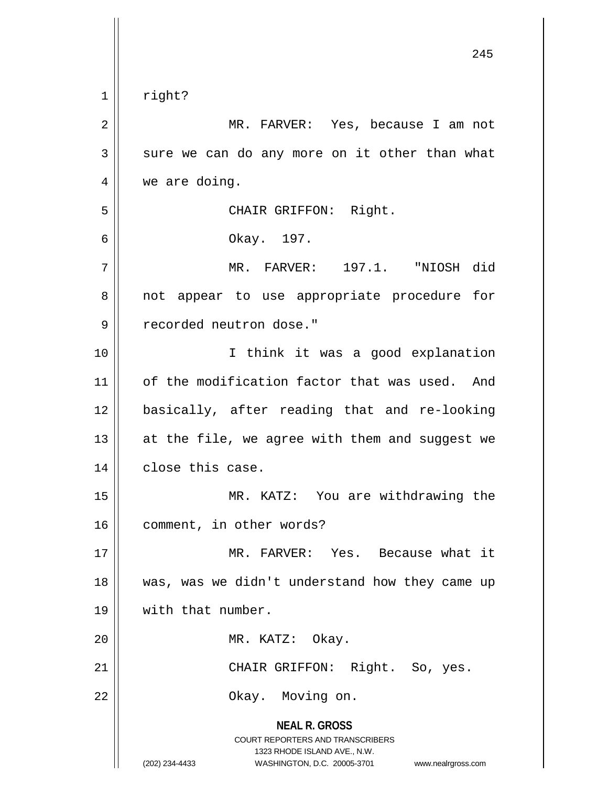**NEAL R. GROSS** COURT REPORTERS AND TRANSCRIBERS 1323 RHODE ISLAND AVE., N.W. (202) 234-4433 WASHINGTON, D.C. 20005-3701 www.nealrgross.com 1 | right? 2 || MR. FARVER: Yes, because I am not  $3 \parallel$  sure we can do any more on it other than what 4 | we are doing. 5 || CHAIR GRIFFON: Right. 6 Okay. 197. 7 MR. FARVER: 197.1. "NIOSH did 8 || not appear to use appropriate procedure for 9 | recorded neutron dose." 10 I think it was a good explanation 11 | of the modification factor that was used. And 12 basically, after reading that and re-looking 13  $\parallel$  at the file, we agree with them and suggest we 14 | close this case. 15 MR. KATZ: You are withdrawing the 16 || comment, in other words? 17 MR. FARVER: Yes. Because what it 18 was, was we didn't understand how they came up 19 || with that number. 20 || MR. KATZ: Okay. 21 | CHAIR GRIFFON: Right. So, yes. 22 || Chay. Moving on.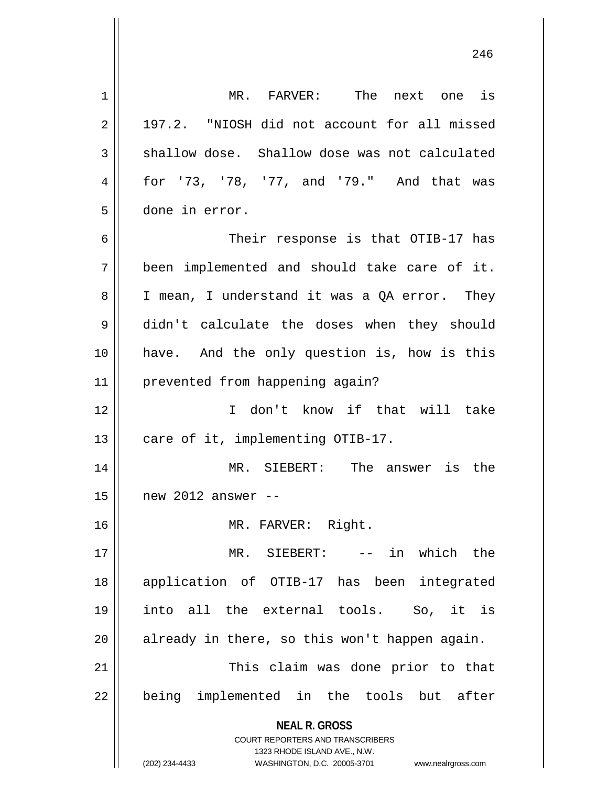| 1  | MR. FARVER: The next one is                                                                                                                                            |
|----|------------------------------------------------------------------------------------------------------------------------------------------------------------------------|
| 2  | 197.2. "NIOSH did not account for all missed                                                                                                                           |
| 3  | shallow dose. Shallow dose was not calculated                                                                                                                          |
| 4  | for '73, '78, '77, and '79." And that was                                                                                                                              |
| 5  | done in error.                                                                                                                                                         |
| 6  | Their response is that OTIB-17 has                                                                                                                                     |
| 7  | been implemented and should take care of it.                                                                                                                           |
| 8  | I mean, I understand it was a QA error. They                                                                                                                           |
| 9  | didn't calculate the doses when they should                                                                                                                            |
| 10 | have. And the only question is, how is this                                                                                                                            |
| 11 | prevented from happening again?                                                                                                                                        |
| 12 | I don't know if that will take                                                                                                                                         |
| 13 | care of it, implementing OTIB-17.                                                                                                                                      |
| 14 | MR. SIEBERT: The answer is the                                                                                                                                         |
| 15 | new 2012 answer $--$                                                                                                                                                   |
| 16 | MR. FARVER: Right.                                                                                                                                                     |
| 17 | in which the<br>MR. SIEBERT:<br>$\frac{1}{2}$ and $\frac{1}{2}$ and $\frac{1}{2}$                                                                                      |
| 18 | application of OTIB-17 has been<br>integrated                                                                                                                          |
| 19 | into all the external tools. So, it is                                                                                                                                 |
| 20 | already in there, so this won't happen again.                                                                                                                          |
| 21 | This claim was done prior to that                                                                                                                                      |
| 22 | being implemented in the tools but after                                                                                                                               |
|    | <b>NEAL R. GROSS</b><br><b>COURT REPORTERS AND TRANSCRIBERS</b><br>1323 RHODE ISLAND AVE., N.W.<br>(202) 234-4433<br>WASHINGTON, D.C. 20005-3701<br>www.nealrgross.com |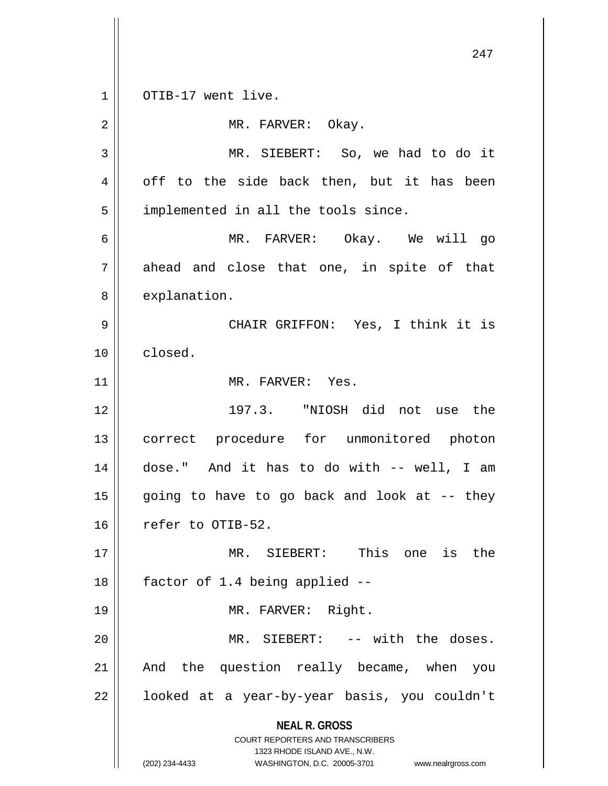**NEAL R. GROSS** COURT REPORTERS AND TRANSCRIBERS 1323 RHODE ISLAND AVE., N.W. (202) 234-4433 WASHINGTON, D.C. 20005-3701 www.nealrgross.com 247 1 || OTIB-17 went live. 2 | MR. FARVER: Okay. 3 MR. SIEBERT: So, we had to do it  $4 \parallel$  off to the side back then, but it has been  $5 \parallel$  implemented in all the tools since. 6 MR. FARVER: Okay. We will go  $7 \parallel$  ahead and close that one, in spite of that 8 | explanation. 9 CHAIR GRIFFON: Yes, I think it is 10 | closed. 11 MR. FARVER: Yes. 12 197.3. "NIOSH did not use the 13 correct procedure for unmonitored photon 14 dose." And it has to do with -- well, I am  $15$  going to have to go back and look at  $-$ - they 16 | refer to OTIB-52. 17 MR. SIEBERT: This one is the  $18$  | factor of 1.4 being applied  $-$ 19 || MR. FARVER: Right. 20 || MR. SIEBERT: -- with the doses. 21 || And the question really became, when you 22 | looked at a year-by-year basis, you couldn't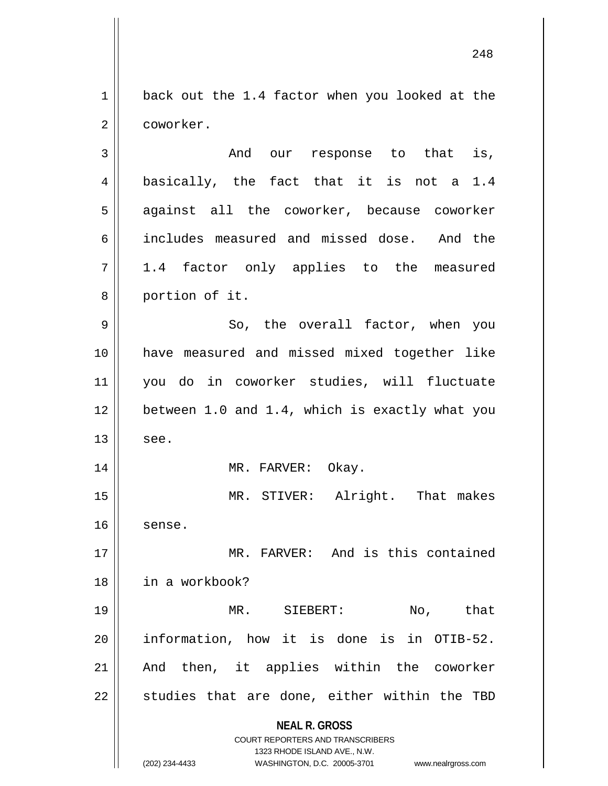1 || back out the 1.4 factor when you looked at the 2 coworker.

**NEAL R. GROSS** COURT REPORTERS AND TRANSCRIBERS 1323 RHODE ISLAND AVE., N.W. 3 and our response to that is, 4 || basically, the fact that it is not a 1.4 5 against all the coworker, because coworker 6 includes measured and missed dose. And the  $7 \parallel 1.4$  factor only applies to the measured 8 portion of it. 9 So, the overall factor, when you 10 have measured and missed mixed together like 11 you do in coworker studies, will fluctuate  $12$  | between 1.0 and 1.4, which is exactly what you  $13 \parallel$  see. 14 || MR. FARVER: Okay. 15 || MR. STIVER: Alright. That makes  $16$  sense. 17 MR. FARVER: And is this contained 18 in a workbook? 19 || MR. SIEBERT: No, that 20 information, how it is done is in OTIB-52. 21 || And then, it applies within the coworker  $22$  || studies that are done, either within the TBD

(202) 234-4433 WASHINGTON, D.C. 20005-3701 www.nealrgross.com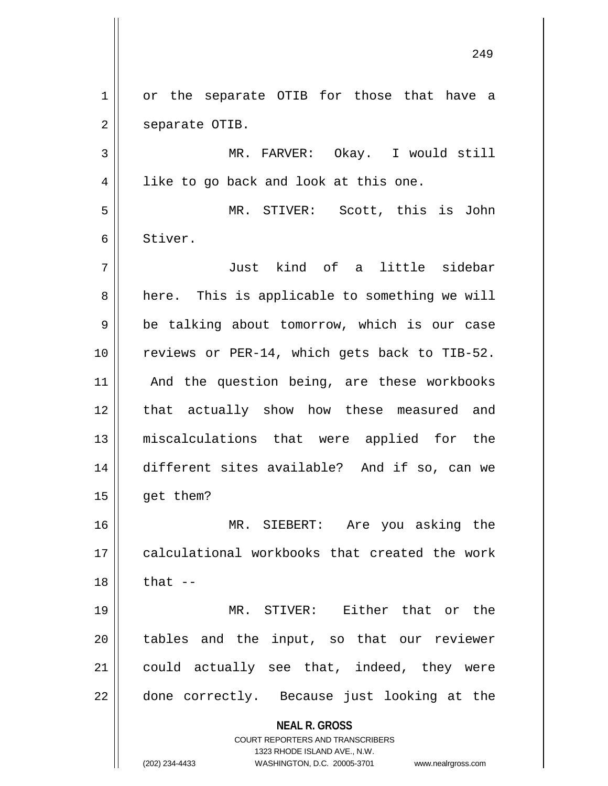**NEAL R. GROSS** COURT REPORTERS AND TRANSCRIBERS 1323 RHODE ISLAND AVE., N.W. (202) 234-4433 WASHINGTON, D.C. 20005-3701 www.nealrgross.com 1 or the separate OTIB for those that have a 2 | separate OTIB. 3 MR. FARVER: Okay. I would still  $4 \parallel$  like to go back and look at this one. 5 MR. STIVER: Scott, this is John 6 Stiver. 7 Just kind of a little sidebar 8 || here. This is applicable to something we will  $9 \parallel$  be talking about tomorrow, which is our case 10 || reviews or PER-14, which gets back to TIB-52. 11 || And the question being, are these workbooks 12 || that actually show how these measured and 13 miscalculations that were applied for the 14 different sites available? And if so, can we  $15$  | get them? 16 MR. SIEBERT: Are you asking the 17 || calculational workbooks that created the work  $18$   $\parallel$  that  $-$ 19 MR. STIVER: Either that or the 20 || tables and the input, so that our reviewer 21 || could actually see that, indeed, they were  $22$  || done correctly. Because just looking at the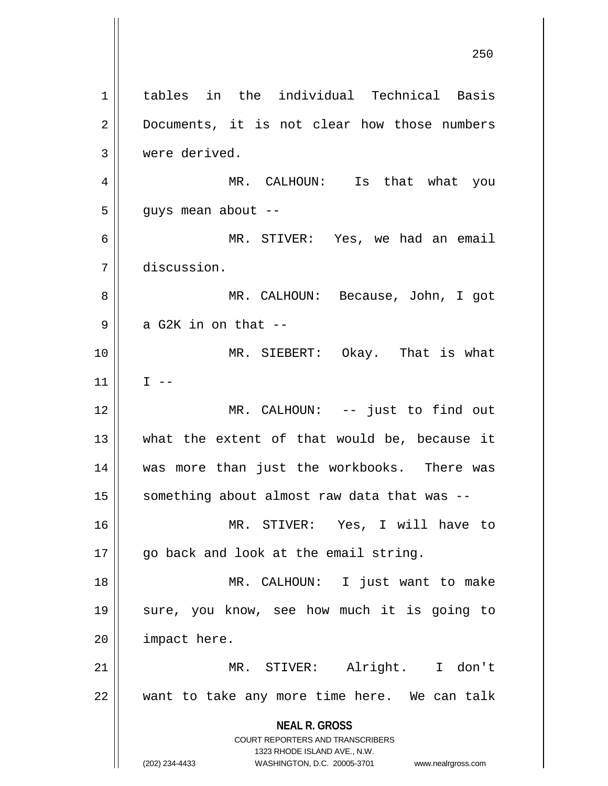**NEAL R. GROSS** COURT REPORTERS AND TRANSCRIBERS 1323 RHODE ISLAND AVE., N.W. (202) 234-4433 WASHINGTON, D.C. 20005-3701 www.nealrgross.com tables in the individual Technical Basis 2 || Documents, it is not clear how those numbers 3 | were derived. MR. CALHOUN: Is that what you  $5 \parallel$  guys mean about -- MR. STIVER: Yes, we had an email discussion. MR. CALHOUN: Because, John, I got  $9 \parallel$  a G2K in on that  $-$  MR. SIEBERT: Okay. That is what  $||$  I -- MR. CALHOUN: -- just to find out || what the extent of that would be, because it was more than just the workbooks. There was something about almost raw data that was  $-$  MR. STIVER: Yes, I will have to 17 || go back and look at the email string. MR. CALHOUN: I just want to make sure, you know, see how much it is going to 20 | impact here. MR. STIVER: Alright. I don't want to take any more time here. We can talk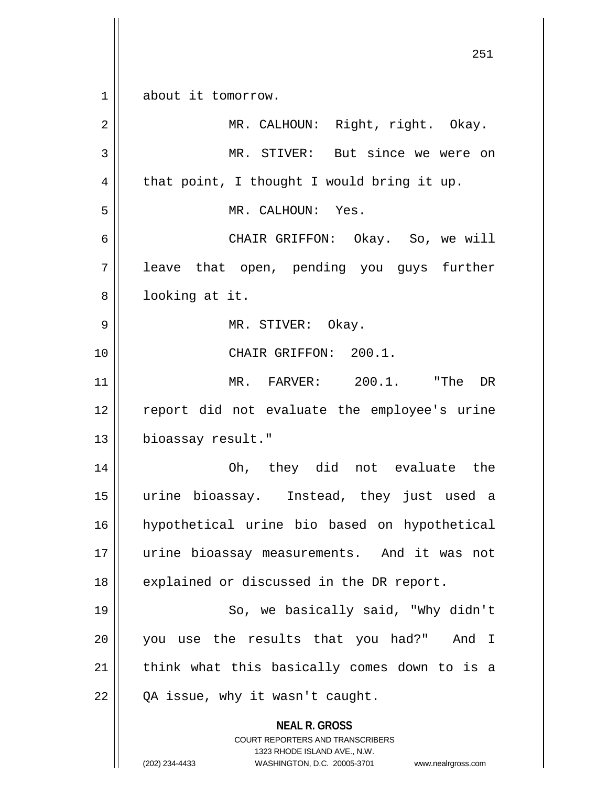**NEAL R. GROSS** COURT REPORTERS AND TRANSCRIBERS 1323 RHODE ISLAND AVE., N.W. (202) 234-4433 WASHINGTON, D.C. 20005-3701 www.nealrgross.com 1 about it tomorrow. 2 || MR. CALHOUN: Right, right. Okay. 3 || MR. STIVER: But since we were on  $4 \parallel$  that point, I thought I would bring it up. 5 MR. CALHOUN: Yes. 6 CHAIR GRIFFON: Okay. So, we will 7 || leave that open, pending you guys further 8 || looking at it. 9 MR. STIVER: Okay. 10 CHAIR GRIFFON: 200.1. 11 MR. FARVER: 200.1. "The DR 12 report did not evaluate the employee's urine 13 | bioassay result." 14 Oh, they did not evaluate the 15 urine bioassay. Instead, they just used a 16 hypothetical urine bio based on hypothetical 17 urine bioassay measurements. And it was not 18 || explained or discussed in the DR report. 19 || So, we basically said, "Why didn't 20 you use the results that you had?" And I 21 || think what this basically comes down to is a  $22 \parallel QA$  issue, why it wasn't caught.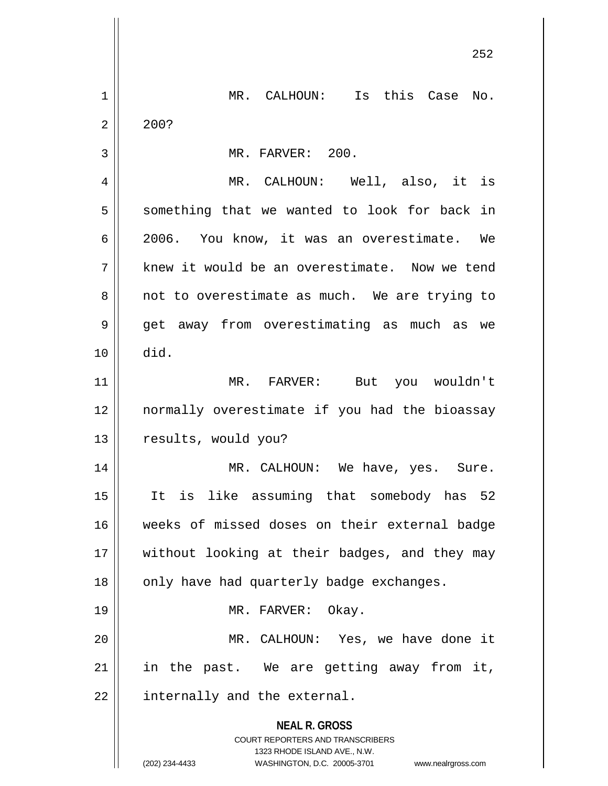|    | 252                                                              |
|----|------------------------------------------------------------------|
|    |                                                                  |
| 1  | MR. CALHOUN: Is this Case No.                                    |
| 2  | 200?                                                             |
| 3  | MR. FARVER: 200.                                                 |
| 4  | MR. CALHOUN: Well, also, it is                                   |
| 5  | something that we wanted to look for back in                     |
| 6  | 2006. You know, it was an overestimate. We                       |
| 7  | knew it would be an overestimate. Now we tend                    |
| 8  | not to overestimate as much. We are trying to                    |
| 9  | get away from overestimating as much as we                       |
| 10 | did.                                                             |
| 11 | MR. FARVER: But you wouldn't                                     |
| 12 | normally overestimate if you had the bioassay                    |
| 13 | results, would you?                                              |
| 14 | MR. CALHOUN: We have, yes. Sure.                                 |
| 15 | It is like assuming that somebody has 52                         |
| 16 | weeks of missed doses on their external badge                    |
| 17 | without looking at their badges, and they may                    |
| 18 | only have had quarterly badge exchanges.                         |
| 19 | MR. FARVER: Okay.                                                |
| 20 | MR. CALHOUN: Yes, we have done it                                |
| 21 | in the past. We are getting away from it,                        |
| 22 | internally and the external.                                     |
|    | <b>NEAL R. GROSS</b>                                             |
|    | COURT REPORTERS AND TRANSCRIBERS<br>1323 RHODE ISLAND AVE., N.W. |
|    | (202) 234-4433<br>WASHINGTON, D.C. 20005-3701 www.nealrgross.com |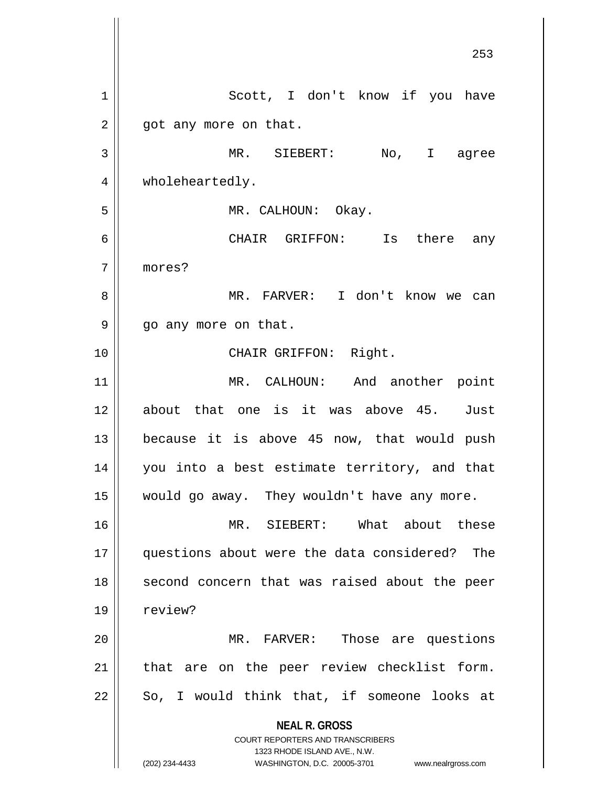**NEAL R. GROSS** COURT REPORTERS AND TRANSCRIBERS 1323 RHODE ISLAND AVE., N.W. (202) 234-4433 WASHINGTON, D.C. 20005-3701 www.nealrgross.com 253 1 | Scott, I don't know if you have  $2 \parallel$  got any more on that. 3 MR. SIEBERT: No, I agree 4 | wholeheartedly. 5 | MR. CALHOUN: Okay. 6 CHAIR GRIFFON: Is there any 7 mores? 8 MR. FARVER: I don't know we can 9 || go any more on that. 10 || CHAIR GRIFFON: Right. 11 MR. CALHOUN: And another point 12 about that one is it was above 45. Just  $13$  because it is above 45 now, that would push 14 you into a best estimate territory, and that 15 would go away. They wouldn't have any more. 16 MR. SIEBERT: What about these 17 questions about were the data considered? The 18 || second concern that was raised about the peer 19 | review? 20 MR. FARVER: Those are questions  $21$  | that are on the peer review checklist form.  $22$  || So, I would think that, if someone looks at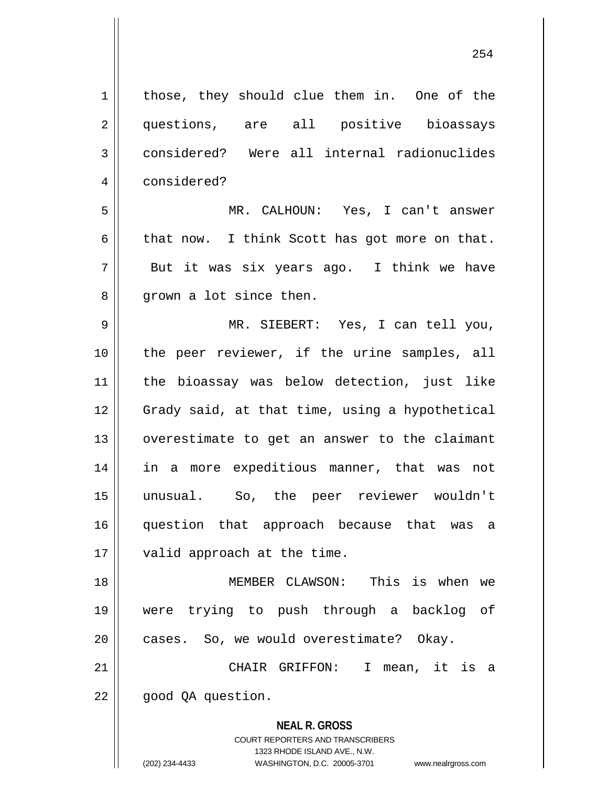| $\mathbf 1$    | those, they should clue them in. One of the                         |
|----------------|---------------------------------------------------------------------|
| $\overline{2}$ | questions, are all positive bioassays                               |
| 3              | considered? Were all internal radionuclides                         |
| 4              | considered?                                                         |
| 5              | MR. CALHOUN: Yes, I can't answer                                    |
| 6              | that now. I think Scott has got more on that.                       |
| 7              | But it was six years ago. I think we have                           |
| 8              | grown a lot since then.                                             |
| 9              | MR. SIEBERT: Yes, I can tell you,                                   |
| 10             | the peer reviewer, if the urine samples, all                        |
| 11             | the bioassay was below detection, just like                         |
| 12             | Grady said, at that time, using a hypothetical                      |
| 13             | overestimate to get an answer to the claimant                       |
| 14             | in a more expeditious manner, that was not                          |
| 15             | unusual. So, the peer reviewer wouldn't                             |
| 16             | question that approach because that was a                           |
| 17             | valid approach at the time.                                         |
| 18             | This is when we<br>MEMBER CLAWSON:                                  |
| 19             | trying to push through a backlog of<br>were                         |
| 20             | cases. So, we would overestimate? Okay.                             |
| 21             | CHAIR GRIFFON:<br>$\mathbf{I}$<br>mean, it is a                     |
| 22             | good QA question.                                                   |
|                | <b>NEAL R. GROSS</b><br><b>COURT REPORTERS AND TRANSCRIBERS</b>     |
|                | 1323 RHODE ISLAND AVE., N.W.                                        |
|                | (202) 234-4433<br>WASHINGTON, D.C. 20005-3701<br>www.nealrgross.com |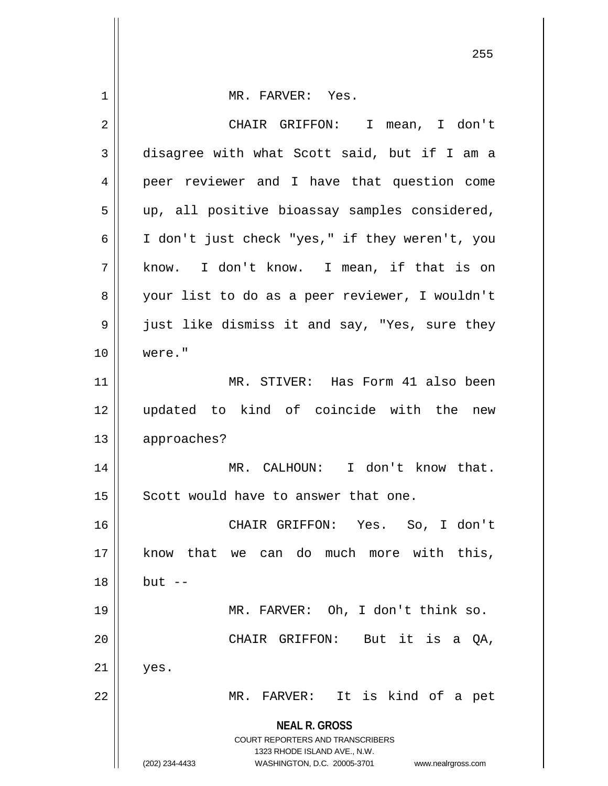| $\mathbf 1$ | MR. FARVER: Yes.                                                                                    |
|-------------|-----------------------------------------------------------------------------------------------------|
| 2           | CHAIR GRIFFON: I mean, I don't                                                                      |
| 3           | disagree with what Scott said, but if I am a                                                        |
| 4           | peer reviewer and I have that question come                                                         |
| 5           | up, all positive bioassay samples considered,                                                       |
| 6           | I don't just check "yes," if they weren't, you                                                      |
| 7           | know. I don't know. I mean, if that is on                                                           |
| 8           | your list to do as a peer reviewer, I wouldn't                                                      |
| 9           | just like dismiss it and say, "Yes, sure they                                                       |
| 10          | were."                                                                                              |
| 11          | MR. STIVER: Has Form 41 also been                                                                   |
| 12          | updated to kind of coincide with the new                                                            |
| 13          | approaches?                                                                                         |
| 14          | MR. CALHOUN: I don't know that.                                                                     |
| 15          | Scott would have to answer that one.                                                                |
| 16          | CHAIR GRIFFON: Yes. So, I don't                                                                     |
| 17          | know that we can do much more with this,                                                            |
| 18          | $but --$                                                                                            |
| 19          | MR. FARVER: Oh, I don't think so.                                                                   |
| 20          | CHAIR GRIFFON: But it is a QA,                                                                      |
| 21          | yes.                                                                                                |
| 22          | It is kind of a pet<br>MR. FARVER:                                                                  |
|             | <b>NEAL R. GROSS</b>                                                                                |
|             | COURT REPORTERS AND TRANSCRIBERS                                                                    |
|             | 1323 RHODE ISLAND AVE., N.W.<br>(202) 234-4433<br>WASHINGTON, D.C. 20005-3701<br>www.nealrgross.com |

 $\mathsf{I}$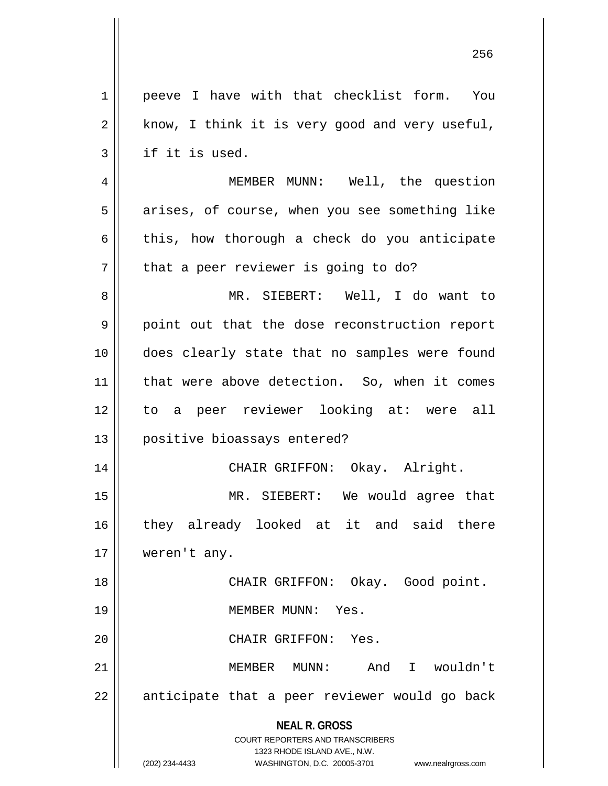| $\mathbf{1}$ | peeve I have with that checklist form. You                                                      |
|--------------|-------------------------------------------------------------------------------------------------|
| $\sqrt{2}$   | know, I think it is very good and very useful,                                                  |
| 3            | if it is used.                                                                                  |
| 4            | MEMBER MUNN: Well, the question                                                                 |
| 5            | arises, of course, when you see something like                                                  |
| 6            | this, how thorough a check do you anticipate                                                    |
| 7            | that a peer reviewer is going to do?                                                            |
| 8            | MR. SIEBERT: Well, I do want to                                                                 |
| 9            | point out that the dose reconstruction report                                                   |
| 10           | does clearly state that no samples were found                                                   |
| 11           | that were above detection. So, when it comes                                                    |
| 12           | to a peer reviewer looking at: were all                                                         |
| 13           | positive bioassays entered?                                                                     |
| 14           | CHAIR GRIFFON: Okay. Alright.                                                                   |
| 15           | MR. SIEBERT: We would agree that                                                                |
| 16           | they already looked at it and said there                                                        |
| 17           | weren't any.                                                                                    |
| 18           | CHAIR GRIFFON: Okay. Good point.                                                                |
| 19           | MEMBER MUNN: Yes.                                                                               |
| 20           | CHAIR GRIFFON: Yes.                                                                             |
| 21           | And I wouldn't<br>MEMBER MUNN:                                                                  |
| 22           | anticipate that a peer reviewer would go back                                                   |
|              | <b>NEAL R. GROSS</b><br><b>COURT REPORTERS AND TRANSCRIBERS</b><br>1323 RHODE ISLAND AVE., N.W. |
|              | (202) 234-4433<br>WASHINGTON, D.C. 20005-3701<br>www.nealrgross.com                             |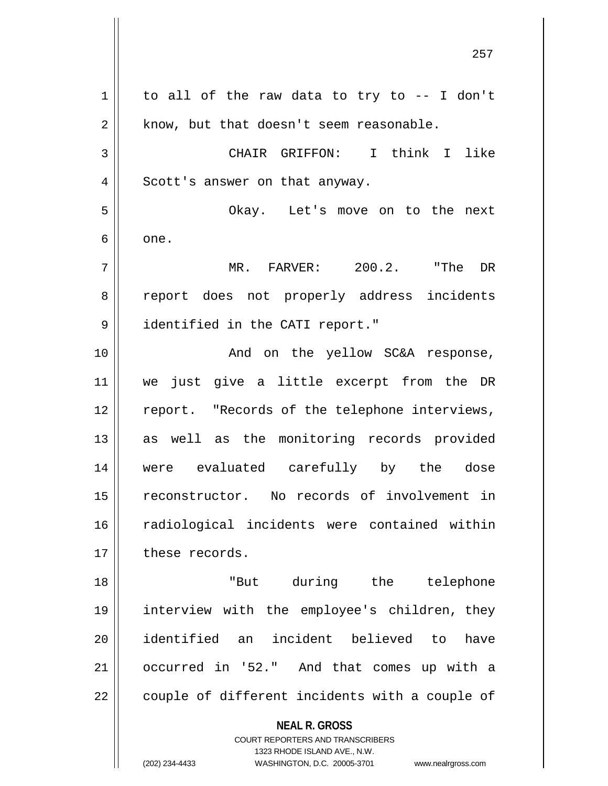**NEAL R. GROSS** COURT REPORTERS AND TRANSCRIBERS  $1 \parallel$  to all of the raw data to try to -- I don't  $2 \parallel$  know, but that doesn't seem reasonable. 3 CHAIR GRIFFON: I think I like 4 || Scott's answer on that anyway. 5 Okay. Let's move on to the next  $6 \parallel$  one. 7 MR. FARVER: 200.2. "The DR 8 || report does not properly address incidents 9 | identified in the CATI report." 10 || The Solid Charlow SC&A response, 11 we just give a little excerpt from the DR 12 || report. "Records of the telephone interviews, 13 || as well as the monitoring records provided 14 were evaluated carefully by the dose 15 || reconstructor. No records of involvement in 16 || radiological incidents were contained within 17 these records. 18 "But during the telephone 19 interview with the employee's children, they 20 identified an incident believed to have 21 occurred in '52." And that comes up with a  $22$  | couple of different incidents with a couple of

1323 RHODE ISLAND AVE., N.W.

(202) 234-4433 WASHINGTON, D.C. 20005-3701 www.nealrgross.com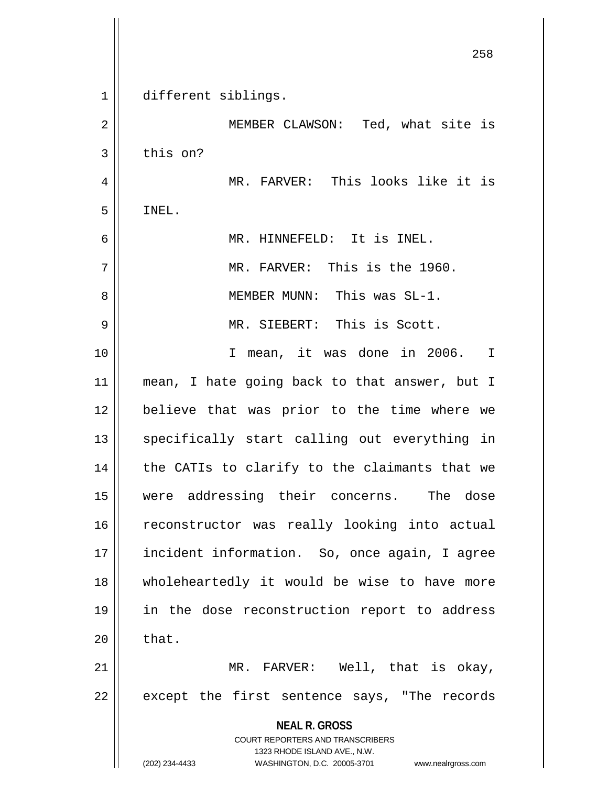|    | 258                                                                 |
|----|---------------------------------------------------------------------|
| 1  | different siblings.                                                 |
| 2  | MEMBER CLAWSON: Ted, what site is                                   |
| 3  | this on?                                                            |
| 4  | MR. FARVER: This looks like it is                                   |
| 5  | INEL.                                                               |
| 6  | MR. HINNEFELD: It is INEL.                                          |
| 7  | MR. FARVER: This is the 1960.                                       |
| 8  | MEMBER MUNN: This was SL-1.                                         |
| 9  | MR. SIEBERT: This is Scott.                                         |
| 10 | I mean, it was done in 2006. I                                      |
| 11 | mean, I hate going back to that answer, but I                       |
| 12 | believe that was prior to the time where we                         |
| 13 | specifically start calling out everything in                        |
| 14 | the CATIs to clarify to the claimants that we                       |
| 15 | were addressing their concerns. The dose                            |
| 16 | reconstructor was really looking into actual                        |
| 17 | incident information. So, once again, I agree                       |
| 18 | wholeheartedly it would be wise to have more                        |
| 19 | in the dose reconstruction report to address                        |
| 20 | that.                                                               |
| 21 | MR. FARVER: Well, that is okay,                                     |
| 22 | except the first sentence says, "The records                        |
|    | <b>NEAL R. GROSS</b><br><b>COURT REPORTERS AND TRANSCRIBERS</b>     |
|    | 1323 RHODE ISLAND AVE., N.W.                                        |
|    | (202) 234-4433<br>WASHINGTON, D.C. 20005-3701<br>www.nealrgross.com |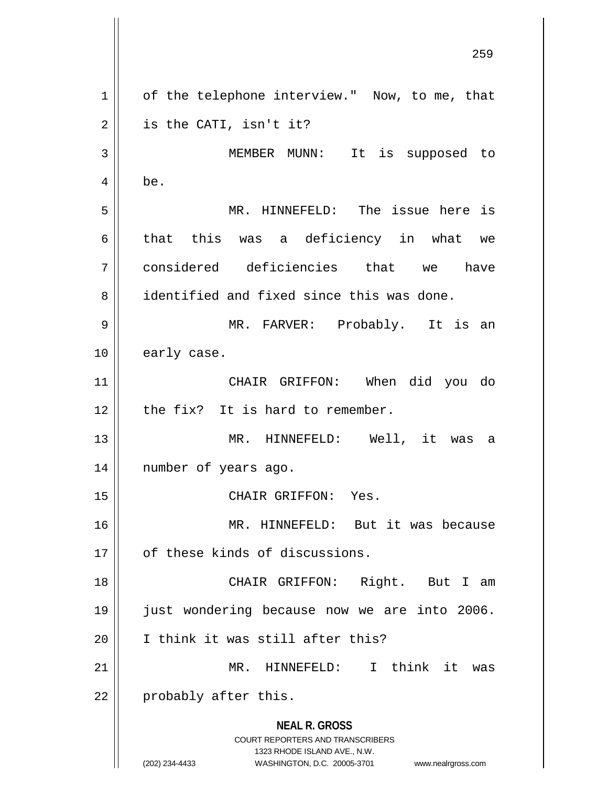**NEAL R. GROSS** COURT REPORTERS AND TRANSCRIBERS 1323 RHODE ISLAND AVE., N.W. (202) 234-4433 WASHINGTON, D.C. 20005-3701 www.nealrgross.com 1 || of the telephone interview." Now, to me, that  $2 \parallel$  is the CATI, isn't it? 3 MEMBER MUNN: It is supposed to  $4 \parallel$  be. 5 MR. HINNEFELD: The issue here is 6 that this was a deficiency in what we 7 considered deficiencies that we have 8 dentified and fixed since this was done. 9 MR. FARVER: Probably. It is an 10 | early case. 11 CHAIR GRIFFON: When did you do  $12$  | the fix? It is hard to remember. 13 MR. HINNEFELD: Well, it was a 14 number of years ago. 15 || CHAIR GRIFFON: Yes. 16 MR. HINNEFELD: But it was because 17 | of these kinds of discussions. 18 || CHAIR GRIFFON: Right. But I am 19 just wondering because now we are into 2006. 20 || I think it was still after this? 21 MR. HINNEFELD: I think it was  $22$  | probably after this.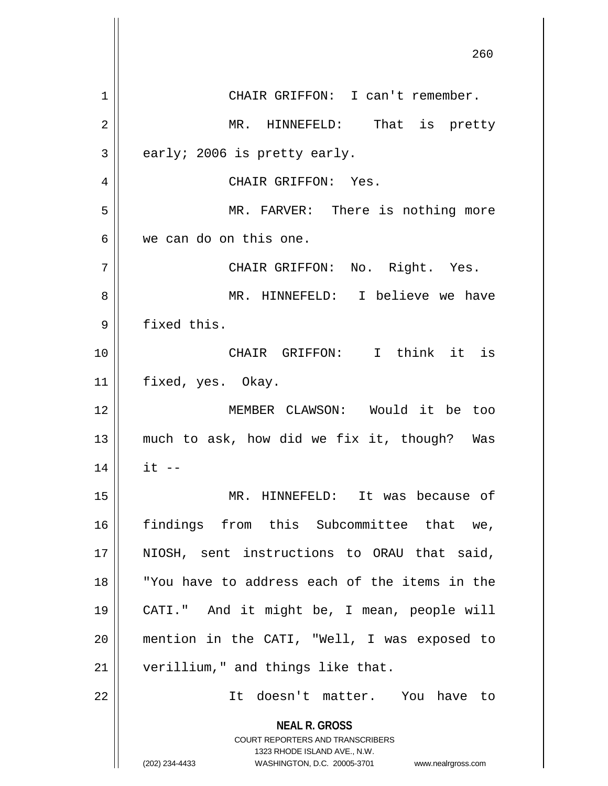**NEAL R. GROSS** COURT REPORTERS AND TRANSCRIBERS 1323 RHODE ISLAND AVE., N.W. (202) 234-4433 WASHINGTON, D.C. 20005-3701 www.nealrgross.com 1 | CHAIR GRIFFON: I can't remember. MR. HINNEFELD: That is pretty  $3 \parallel$  early; 2006 is pretty early. CHAIR GRIFFON: Yes. MR. FARVER: There is nothing more we can do on this one. CHAIR GRIFFON: No. Right. Yes. MR. HINNEFELD: I believe we have 9 | fixed this. CHAIR GRIFFON: I think it is 11 | fixed, yes. Okay. MEMBER CLAWSON: Would it be too much to ask, how did we fix it, though? Was || it  $-$  MR. HINNEFELD: It was because of findings from this Subcommittee that we, 17 || NIOSH, sent instructions to ORAU that said, "You have to address each of the items in the CATI." And it might be, I mean, people will mention in the CATI, "Well, I was exposed to 21 | verillium," and things like that. It doesn't matter. You have to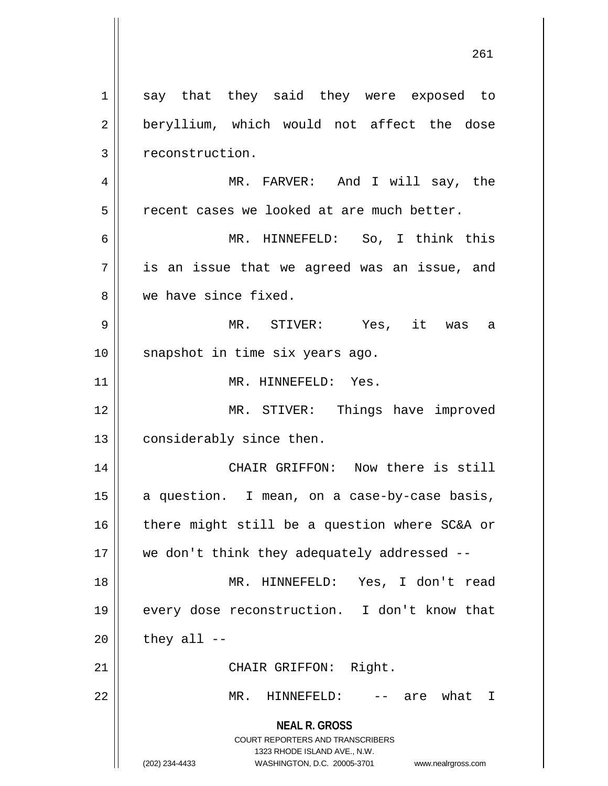**NEAL R. GROSS** COURT REPORTERS AND TRANSCRIBERS 1323 RHODE ISLAND AVE., N.W. (202) 234-4433 WASHINGTON, D.C. 20005-3701 www.nealrgross.com 1 say that they said they were exposed to 2 || beryllium, which would not affect the dose 3 | reconstruction. 4 MR. FARVER: And I will say, the  $5$   $\parallel$  recent cases we looked at are much better. 6 MR. HINNEFELD: So, I think this  $7 \parallel$  is an issue that we agreed was an issue, and 8 we have since fixed. 9 MR. STIVER: Yes, it was a 10 || snapshot in time six years ago. 11 || MR. HINNEFELD: Yes. 12 MR. STIVER: Things have improved 13 | considerably since then. 14 || CHAIR GRIFFON: Now there is still 15  $\parallel$  a question. I mean, on a case-by-case basis,  $16$  there might still be a question where SC&A or 17 we don't think they adequately addressed -- 18 MR. HINNEFELD: Yes, I don't read 19 || every dose reconstruction. I don't know that  $20$  | they all --21 || CHAIR GRIFFON: Right. 22 MR. HINNEFELD: -- are what I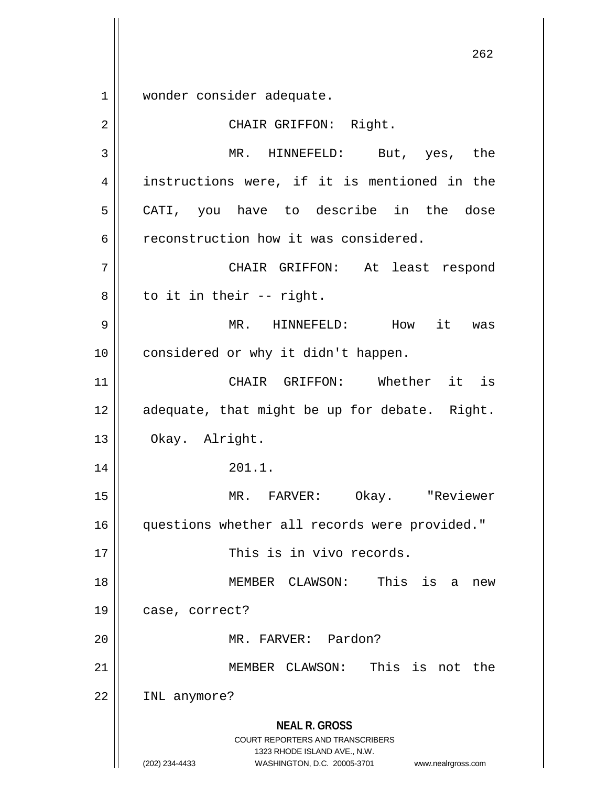1 || wonder consider adequate.

**NEAL R. GROSS** COURT REPORTERS AND TRANSCRIBERS 1323 RHODE ISLAND AVE., N.W. (202) 234-4433 WASHINGTON, D.C. 20005-3701 www.nealrgross.com 2 || CHAIR GRIFFON: Right. 3 MR. HINNEFELD: But, yes, the 4 || instructions were, if it is mentioned in the 5 || CATI, you have to describe in the dose 6 | reconstruction how it was considered. 7 CHAIR GRIFFON: At least respond  $8 \parallel$  to it in their -- right. 9 MR. HINNEFELD: How it was 10 || considered or why it didn't happen. 11 CHAIR GRIFFON: Whether it is  $12$  | adequate, that might be up for debate. Right. 13 | Okay. Alright. 14 || 201.1. 15 MR. FARVER: Okay. "Reviewer 16 || questions whether all records were provided." 17 || This is in vivo records. 18 MEMBER CLAWSON: This is a new 19 | case, correct? 20 MR. FARVER: Pardon? 21 MEMBER CLAWSON: This is not the 22 INL anymore?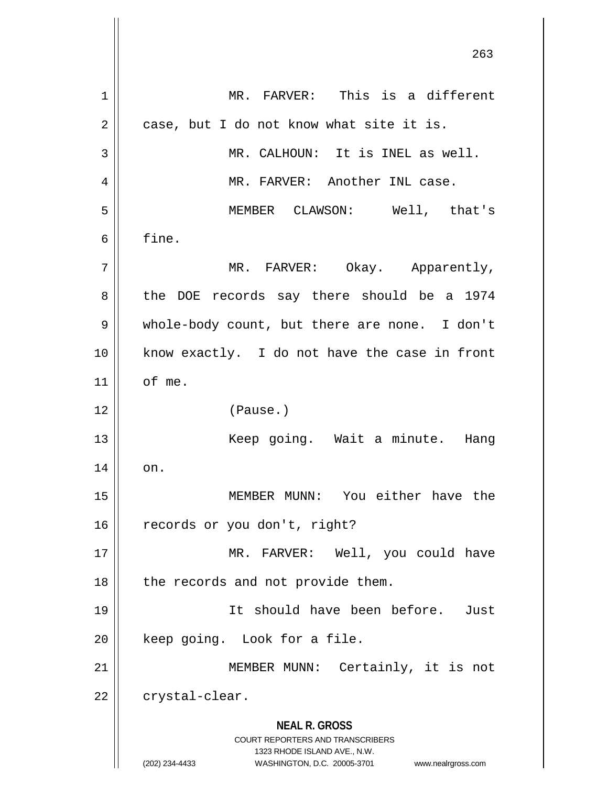**NEAL R. GROSS** COURT REPORTERS AND TRANSCRIBERS 1323 RHODE ISLAND AVE., N.W. (202) 234-4433 WASHINGTON, D.C. 20005-3701 www.nealrgross.com 263 1 MR. FARVER: This is a different  $2 \parallel$  case, but I do not know what site it is. 3 MR. CALHOUN: It is INEL as well. 4 MR. FARVER: Another INL case. 5 MEMBER CLAWSON: Well, that's  $6 \parallel$  fine. 7 MR. FARVER: Okay. Apparently, 8 the DOE records say there should be a 1974 9 || whole-body count, but there are none. I don't 10 || know exactly. I do not have the case in front  $11$  of me. 12 (Pause.) 13 Keep going. Wait a minute. Hang  $14 \parallel \quad$  on. 15 MEMBER MUNN: You either have the 16 | records or you don't, right? 17 || MR. FARVER: Well, you could have  $18$  | the records and not provide them. 19 It should have been before. Just 20 || keep going. Look for a file. 21 || MEMBER MUNN: Certainly, it is not  $22$  | crystal-clear.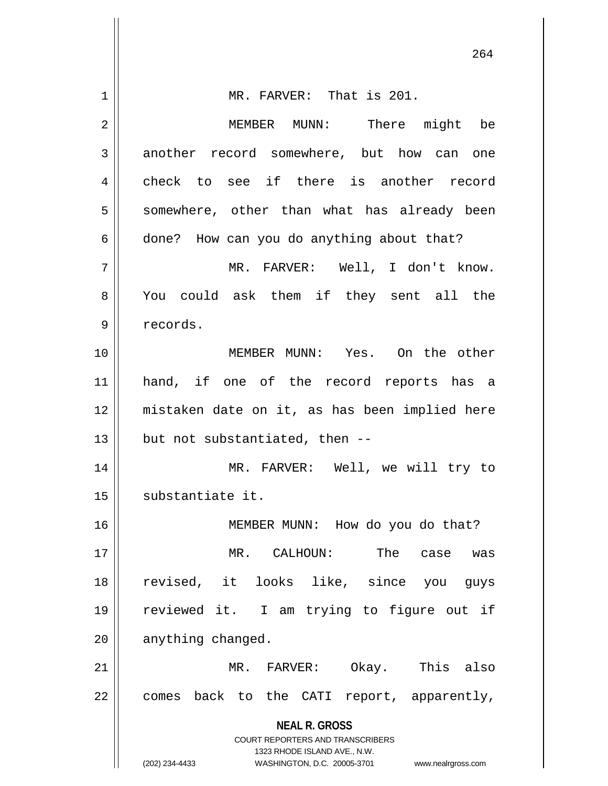| 1  | MR. FARVER: That is 201.                                                                            |
|----|-----------------------------------------------------------------------------------------------------|
| 2  | MEMBER MUNN: There might be                                                                         |
| 3  | another record somewhere, but how can one                                                           |
| 4  | check to see if there is another record                                                             |
| 5  | somewhere, other than what has already been                                                         |
| 6  | done? How can you do anything about that?                                                           |
| 7  | MR. FARVER: Well, I don't know.                                                                     |
| 8  | You could ask them if they sent all the                                                             |
| 9  | records.                                                                                            |
| 10 | MEMBER MUNN: Yes. On the other                                                                      |
| 11 | hand, if one of the record reports has a                                                            |
| 12 | mistaken date on it, as has been implied here                                                       |
| 13 | but not substantiated, then --                                                                      |
| 14 | MR. FARVER: Well, we will try to                                                                    |
| 15 | substantiate it.                                                                                    |
| 16 | MEMBER MUNN: How do you do that?                                                                    |
| 17 | MR. CALHOUN:<br>The case<br>was                                                                     |
| 18 | revised, it looks like, since you guys                                                              |
| 19 | reviewed it. I am trying to figure out if                                                           |
| 20 | anything changed.                                                                                   |
| 21 | MR. FARVER: Okay. This also                                                                         |
| 22 | comes back to the CATI report, apparently,                                                          |
|    | <b>NEAL R. GROSS</b>                                                                                |
|    | COURT REPORTERS AND TRANSCRIBERS                                                                    |
|    | 1323 RHODE ISLAND AVE., N.W.<br>(202) 234-4433<br>WASHINGTON, D.C. 20005-3701<br>www.nealrgross.com |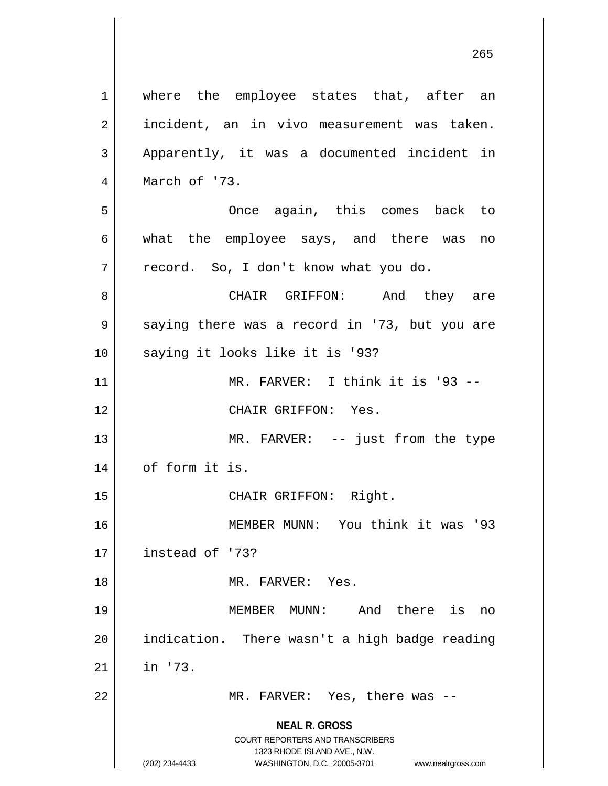**NEAL R. GROSS** COURT REPORTERS AND TRANSCRIBERS 1 || where the employee states that, after an 2 || incident, an in vivo measurement was taken. 3 || Apparently, it was a documented incident in 4 March of '73. 5 Once again, this comes back to 6 what the employee says, and there was no  $7 \parallel$  record. So, I don't know what you do. 8 CHAIR GRIFFON: And they are 9 Saying there was a record in '73, but you are 10 || saying it looks like it is '93? 11 || MR. FARVER: I think it is '93 --12 CHAIR GRIFFON: Yes. 13 || MR. FARVER: -- just from the type 14 | of form it is. 15 || CHAIR GRIFFON: Right. 16 MEMBER MUNN: You think it was '93 17 instead of '73? 18 MR. FARVER: Yes. 19 MEMBER MUNN: And there is no  $20$  || indication. There wasn't a high badge reading  $21$  in '73. 22 MR. FARVER: Yes, there was --

1323 RHODE ISLAND AVE., N.W.

(202) 234-4433 WASHINGTON, D.C. 20005-3701 www.nealrgross.com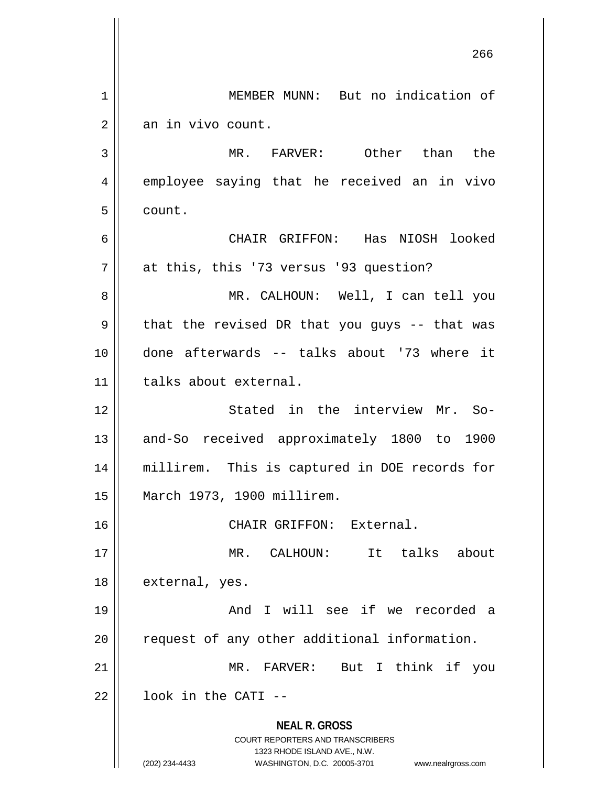**NEAL R. GROSS** COURT REPORTERS AND TRANSCRIBERS 1323 RHODE ISLAND AVE., N.W. (202) 234-4433 WASHINGTON, D.C. 20005-3701 www.nealrgross.com 266 1 || MEMBER MUNN: But no indication of  $2 \parallel$  an in vivo count. 3 MR. FARVER: Other than the 4 employee saying that he received an in vivo 5 count. 6 CHAIR GRIFFON: Has NIOSH looked 7 | at this, this '73 versus '93 question? 8 MR. CALHOUN: Well, I can tell you  $9 \parallel$  that the revised DR that you guys -- that was 10 done afterwards -- talks about '73 where it 11 | talks about external. 12 || Stated in the interview Mr. So-13 || and-So received approximately 1800 to 1900 14 millirem. This is captured in DOE records for 15 March 1973, 1900 millirem. 16 CHAIR GRIFFON: External. 17 MR. CALHOUN: It talks about 18 | external, yes. 19 And I will see if we recorded a  $20$  | request of any other additional information. 21 MR. FARVER: But I think if you  $22$   $\parallel$  100k in the CATI --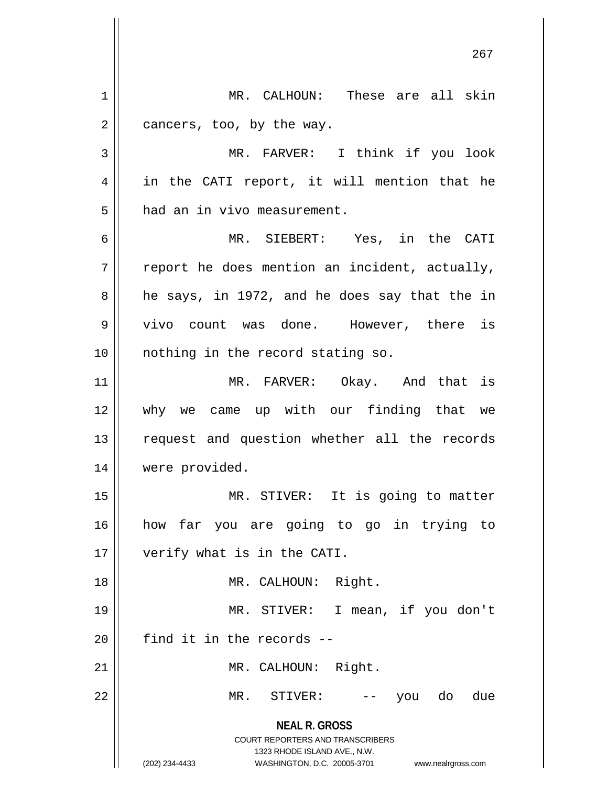**NEAL R. GROSS** COURT REPORTERS AND TRANSCRIBERS 1323 RHODE ISLAND AVE., N.W. (202) 234-4433 WASHINGTON, D.C. 20005-3701 www.nealrgross.com 267 1 MR. CALHOUN: These are all skin  $2 \parallel$  cancers, too, by the way. 3 || MR. FARVER: I think if you look 4 || in the CATI report, it will mention that he  $5$  || had an in vivo measurement. 6 MR. SIEBERT: Yes, in the CATI  $7 \parallel$  report he does mention an incident, actually,  $8 \parallel$  he says, in 1972, and he does say that the in 9 || vivo count was done. However, there is 10 || nothing in the record stating so. 11 MR. FARVER: Okay. And that is 12 why we came up with our finding that we 13 || request and question whether all the records 14 | were provided. 15 || MR. STIVER: It is going to matter 16 how far you are going to go in trying to 17 || verify what is in the CATI. 18 || MR. CALHOUN: Right. 19 MR. STIVER: I mean, if you don't  $20$  | find it in the records --21 || MR. CALHOUN: Right. 22 || MR. STIVER: -- you do due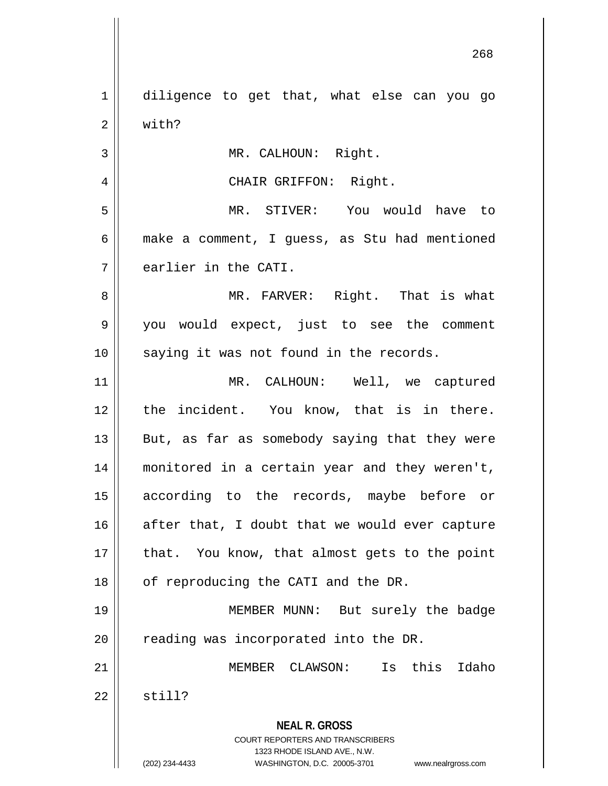**NEAL R. GROSS** COURT REPORTERS AND TRANSCRIBERS 1323 RHODE ISLAND AVE., N.W. (202) 234-4433 WASHINGTON, D.C. 20005-3701 www.nealrgross.com 1 diligence to get that, what else can you go 2 | with? 3 || MR. CALHOUN: Right. 4 || CHAIR GRIFFON: Right. 5 MR. STIVER: You would have to  $6 \parallel$  make a comment, I guess, as Stu had mentioned  $7 \parallel$  earlier in the CATI. 8 MR. FARVER: Right. That is what 9 you would expect, just to see the comment 10 || saying it was not found in the records. 11 MR. CALHOUN: Well, we captured 12 || the incident. You know, that is in there.  $13$  || But, as far as somebody saying that they were 14 monitored in a certain year and they weren't, 15 according to the records, maybe before or  $16$  after that, I doubt that we would ever capture  $17$  || that. You know, that almost gets to the point 18 | of reproducing the CATI and the DR. 19 MEMBER MUNN: But surely the badge 20 || reading was incorporated into the DR. 21 MEMBER CLAWSON: Is this Idaho  $22 \parallel$  still?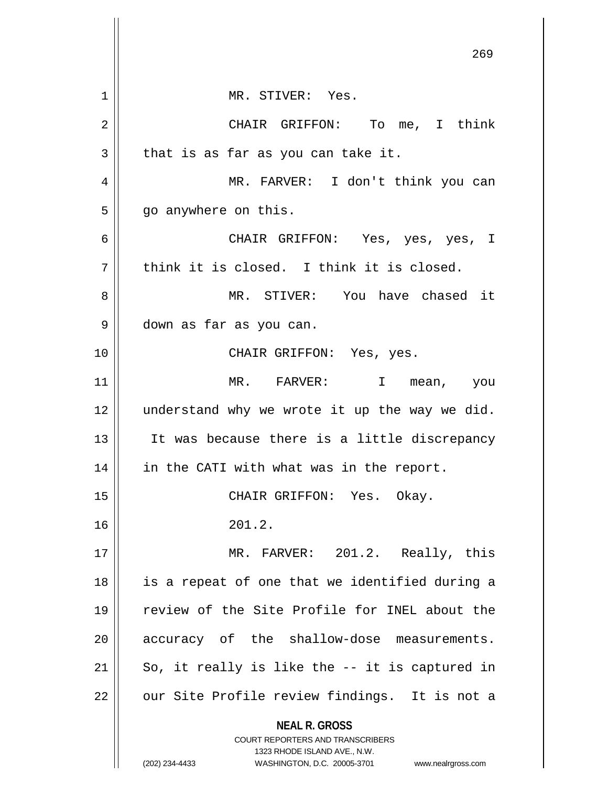|    | 269                                                              |
|----|------------------------------------------------------------------|
| 1  | MR. STIVER: Yes.                                                 |
| 2  | CHAIR GRIFFON: To me, I think                                    |
| 3  | that is as far as you can take it.                               |
| 4  | MR. FARVER: I don't think you can                                |
| 5  | go anywhere on this.                                             |
| 6  | CHAIR GRIFFON: Yes, yes, yes, I                                  |
| 7  | think it is closed. I think it is closed.                        |
| 8  | MR. STIVER: You have chased it                                   |
| 9  | down as far as you can.                                          |
| 10 | CHAIR GRIFFON: Yes, yes.                                         |
| 11 | MR. FARVER:<br>I mean, you                                       |
| 12 | understand why we wrote it up the way we did.                    |
| 13 | It was because there is a little discrepancy                     |
| 14 | in the CATI with what was in the report.                         |
| 15 | CHAIR GRIFFON: Yes. Okay.                                        |
| 16 | 201.2.                                                           |
| 17 | MR. FARVER: 201.2. Really, this                                  |
| 18 | is a repeat of one that we identified during a                   |
| 19 | review of the Site Profile for INEL about the                    |
| 20 | accuracy of the shallow-dose measurements.                       |
| 21 | So, it really is like the -- it is captured in                   |
| 22 | our Site Profile review findings. It is not a                    |
|    | <b>NEAL R. GROSS</b><br><b>COURT REPORTERS AND TRANSCRIBERS</b>  |
|    | 1323 RHODE ISLAND AVE., N.W.                                     |
|    | (202) 234-4433<br>WASHINGTON, D.C. 20005-3701 www.nealrgross.com |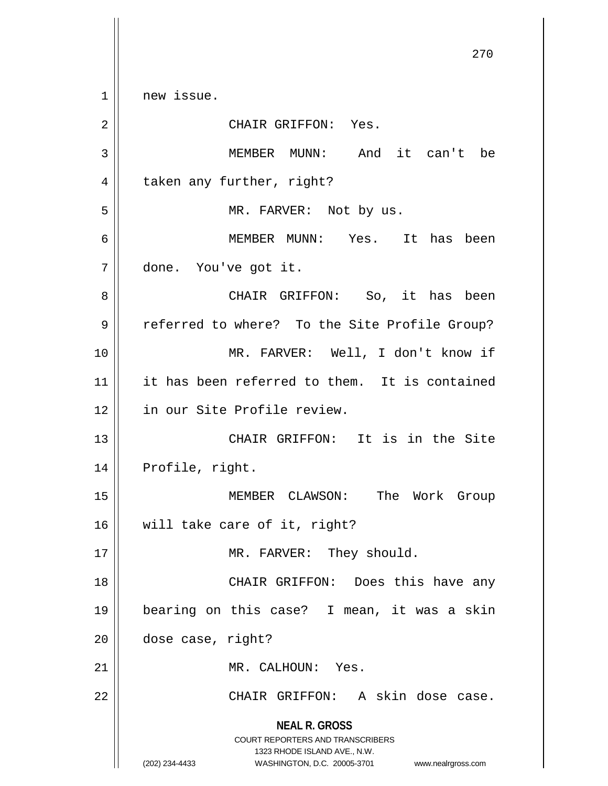**NEAL R. GROSS** COURT REPORTERS AND TRANSCRIBERS 1323 RHODE ISLAND AVE., N.W. (202) 234-4433 WASHINGTON, D.C. 20005-3701 www.nealrgross.com 1 | new issue. 2 | CHAIR GRIFFON: Yes. 3 MEMBER MUNN: And it can't be 4 | taken any further, right? 5 || MR. FARVER: Not by us. 6 MEMBER MUNN: Yes. It has been 7 done. You've got it. 8 CHAIR GRIFFON: So, it has been 9 | referred to where? To the Site Profile Group? 10 MR. FARVER: Well, I don't know if 11 it has been referred to them. It is contained 12 in our Site Profile review. 13 || CHAIR GRIFFON: It is in the Site 14 | Profile, right. 15 MEMBER CLAWSON: The Work Group 16 will take care of it, right? 17 || MR. FARVER: They should. 18 CHAIR GRIFFON: Does this have any 19 bearing on this case? I mean, it was a skin 20 dose case, right? 21 | MR. CALHOUN: Yes. 22 || CHAIR GRIFFON: A skin dose case.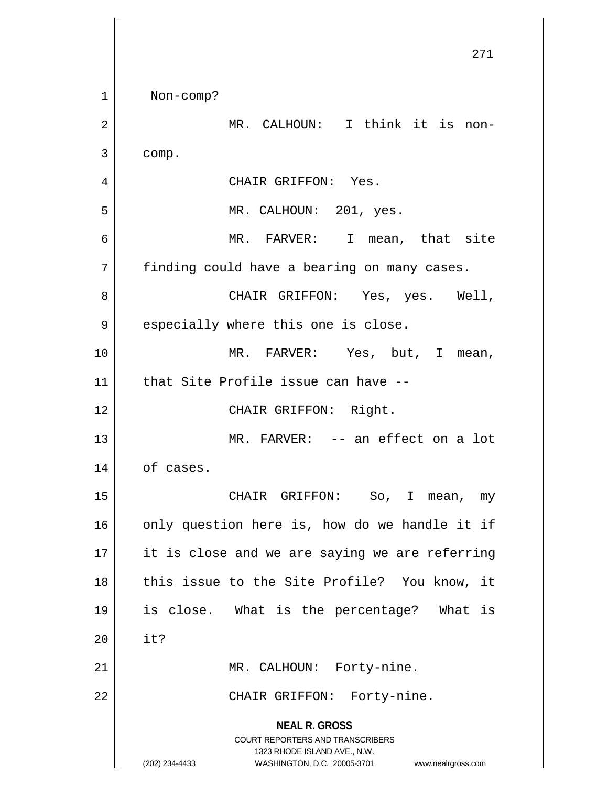**NEAL R. GROSS** COURT REPORTERS AND TRANSCRIBERS 1323 RHODE ISLAND AVE., N.W. (202) 234-4433 WASHINGTON, D.C. 20005-3701 www.nealrgross.com 271 1 Non-comp? 2 MR. CALHOUN: I think it is non- $3 \parallel$  comp. 4 | CHAIR GRIFFON: Yes. 5 MR. CALHOUN: 201, yes. 6 MR. FARVER: I mean, that site  $7$  | finding could have a bearing on many cases. 8 CHAIR GRIFFON: Yes, yes. Well,  $9 \parallel$  especially where this one is close. 10 || MR. FARVER: Yes, but, I mean,  $11$  | that Site Profile issue can have  $-$ 12 || CHAIR GRIFFON: Right. 13 || MR. FARVER: -- an effect on a lot  $14$  | of cases. 15 || CHAIR GRIFFON: So, I mean, my  $16$  only question here is, how do we handle it if 17 || it is close and we are saying we are referring 18 || this issue to the Site Profile? You know, it 19 is close. What is the percentage? What is  $20$  | it? 21 || MR. CALHOUN: Forty-nine. 22 || CHAIR GRIFFON: Forty-nine.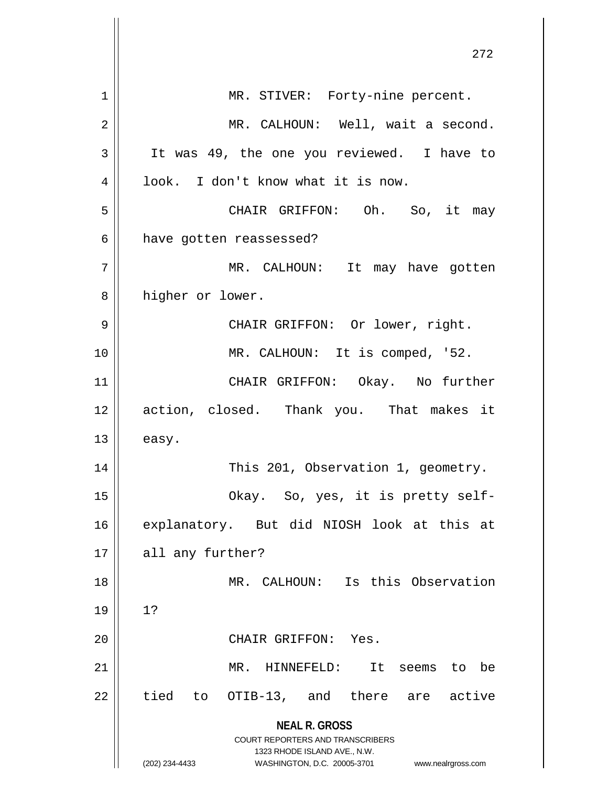|             | 272                                                                 |
|-------------|---------------------------------------------------------------------|
| $\mathbf 1$ | MR. STIVER: Forty-nine percent.                                     |
| 2           | MR. CALHOUN: Well, wait a second.                                   |
| 3           | It was 49, the one you reviewed. I have to                          |
| 4           | look. I don't know what it is now.                                  |
| 5           | CHAIR GRIFFON: Oh. So, it may                                       |
| 6           | have gotten reassessed?                                             |
| 7           | MR. CALHOUN: It may have gotten                                     |
| 8           | higher or lower.                                                    |
| 9           | CHAIR GRIFFON: Or lower, right.                                     |
| 10          | MR. CALHOUN: It is comped, '52.                                     |
| 11          | CHAIR GRIFFON: Okay. No further                                     |
| 12          | action, closed. Thank you. That makes it                            |
| 13          | easy.                                                               |
| 14          | This 201, Observation 1, geometry.                                  |
| 15          | Okay. So, yes, it is pretty self-                                   |
| 16          | explanatory. But did NIOSH look at this at                          |
| 17          | all any further?                                                    |
| 18          | MR. CALHOUN: Is this Observation                                    |
| 19          | 1?                                                                  |
| 20          | CHAIR GRIFFON:<br>Yes.                                              |
| 21          | $MR$ .<br>HINNEFELD:<br>It<br>be<br>seems to                        |
| 22          | tied to<br>OTIB-13, and there are active                            |
|             | <b>NEAL R. GROSS</b><br>COURT REPORTERS AND TRANSCRIBERS            |
|             | 1323 RHODE ISLAND AVE., N.W.                                        |
|             | (202) 234-4433<br>WASHINGTON, D.C. 20005-3701<br>www.nealrgross.com |

 $\mathbb{I}$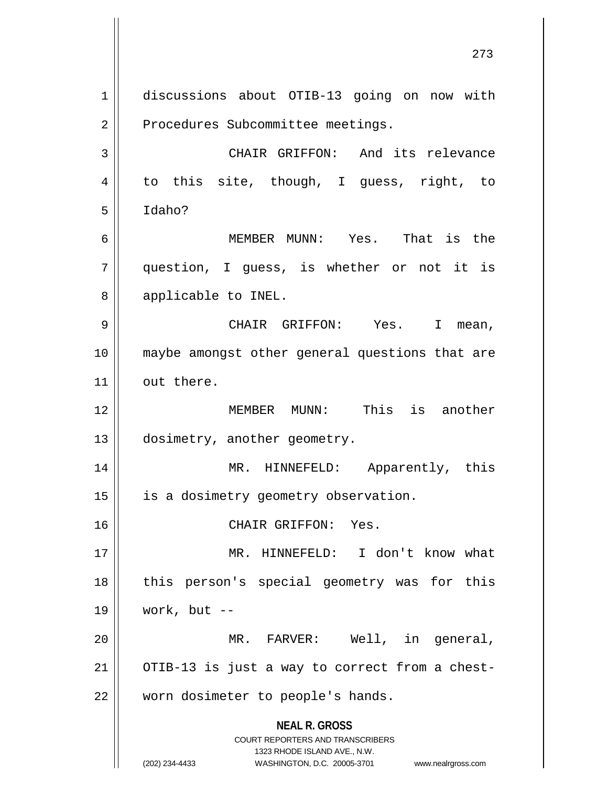**NEAL R. GROSS** COURT REPORTERS AND TRANSCRIBERS 1323 RHODE ISLAND AVE., N.W. (202) 234-4433 WASHINGTON, D.C. 20005-3701 www.nealrgross.com 1 discussions about OTIB-13 going on now with 2 | Procedures Subcommittee meetings. 3 CHAIR GRIFFON: And its relevance 4 to this site, though, I guess, right, to 5 Idaho? 6 MEMBER MUNN: Yes. That is the 7 question, I guess, is whether or not it is 8 | applicable to INEL. 9 CHAIR GRIFFON: Yes. I mean, 10 maybe amongst other general questions that are  $11$  out there. 12 MEMBER MUNN: This is another 13 | dosimetry, another geometry. 14 MR. HINNEFELD: Apparently, this 15 || is a dosimetry geometry observation. 16 CHAIR GRIFFON: Yes. 17 MR. HINNEFELD: I don't know what 18 || this person's special geometry was for this 19 work, but -- 20 MR. FARVER: Well, in general,  $21$  | OTIB-13 is just a way to correct from a chest-22 | worn dosimeter to people's hands.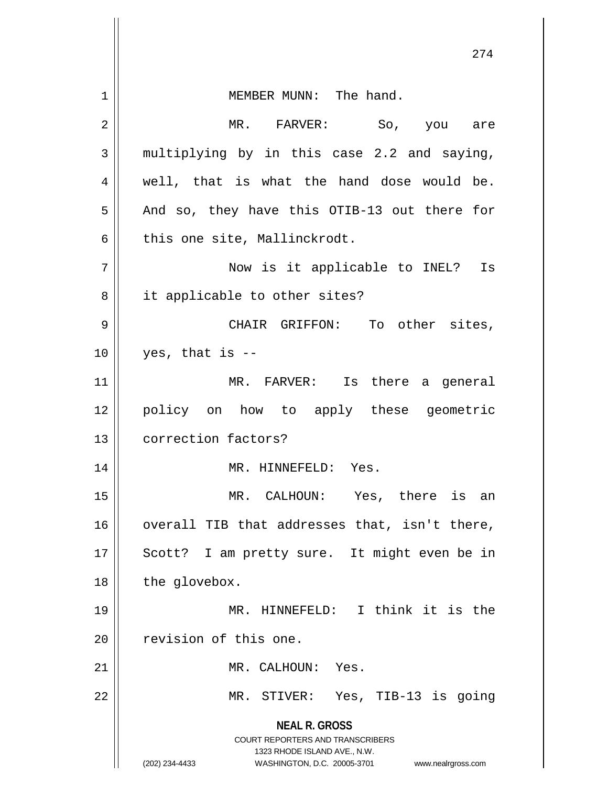| 1  | MEMBER MUNN: The hand.                                                                                                                                                 |
|----|------------------------------------------------------------------------------------------------------------------------------------------------------------------------|
| 2  | MR. FARVER: So, you are                                                                                                                                                |
| 3  | multiplying by in this case 2.2 and saying,                                                                                                                            |
| 4  | well, that is what the hand dose would be.                                                                                                                             |
| 5  | And so, they have this OTIB-13 out there for                                                                                                                           |
| 6  | this one site, Mallinckrodt.                                                                                                                                           |
| 7  | Now is it applicable to INEL? Is                                                                                                                                       |
| 8  | it applicable to other sites?                                                                                                                                          |
| 9  | CHAIR GRIFFON: To other sites,                                                                                                                                         |
| 10 | yes, that is $-$ -                                                                                                                                                     |
| 11 | MR. FARVER: Is there a general                                                                                                                                         |
| 12 | policy on how to apply these geometric                                                                                                                                 |
| 13 | correction factors?                                                                                                                                                    |
| 14 | MR. HINNEFELD: Yes.                                                                                                                                                    |
| 15 | MR. CALHOUN: Yes, there is an                                                                                                                                          |
| 16 | overall TIB that addresses that, isn't there,                                                                                                                          |
| 17 | Scott? I am pretty sure. It might even be in                                                                                                                           |
| 18 | the glovebox.                                                                                                                                                          |
| 19 | MR. HINNEFELD: I think it is the                                                                                                                                       |
| 20 | revision of this one.                                                                                                                                                  |
| 21 | MR. CALHOUN: Yes.                                                                                                                                                      |
| 22 | MR. STIVER: Yes, TIB-13 is going                                                                                                                                       |
|    | <b>NEAL R. GROSS</b><br><b>COURT REPORTERS AND TRANSCRIBERS</b><br>1323 RHODE ISLAND AVE., N.W.<br>(202) 234-4433<br>WASHINGTON, D.C. 20005-3701<br>www.nealrgross.com |

 $\mathsf{I}$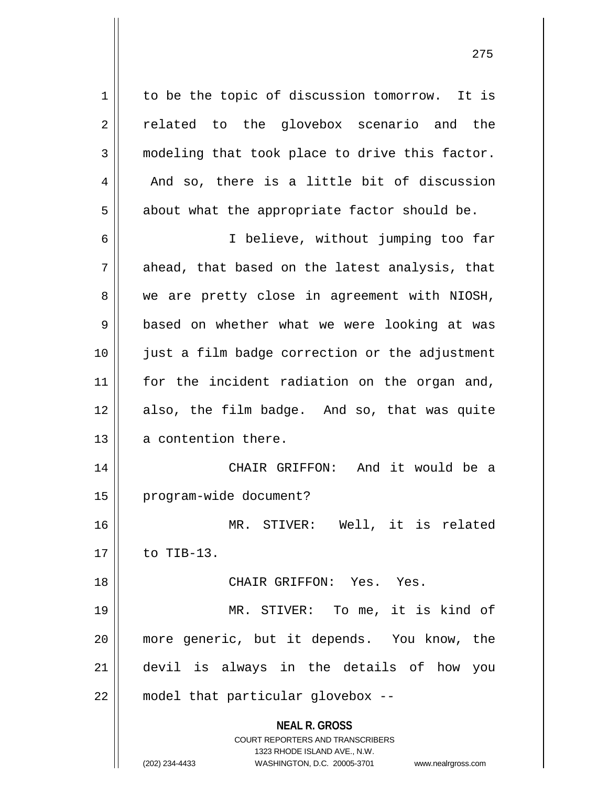1 | to be the topic of discussion tomorrow. It is 2 related to the glovebox scenario and the  $3 \parallel$  modeling that took place to drive this factor.  $4 \parallel$  And so, there is a little bit of discussion  $5 \parallel$  about what the appropriate factor should be.

6 I believe, without jumping too far  $7 \parallel$  ahead, that based on the latest analysis, that  $8 \parallel$  we are pretty close in agreement with NIOSH, 9 || based on whether what we were looking at was 10 just a film badge correction or the adjustment 11 || for the incident radiation on the organ and, 12 also, the film badge. And so, that was quite 13 || a contention there. 14 CHAIR GRIFFON: And it would be a 15 | program-wide document?

16 MR. STIVER: Well, it is related  $17 \parallel$  to TIB-13.

18 CHAIR GRIFFON: Yes. Yes.

 MR. STIVER: To me, it is kind of more generic, but it depends. You know, the devil is always in the details of how you 22 | model that particular glovebox --

> **NEAL R. GROSS** COURT REPORTERS AND TRANSCRIBERS 1323 RHODE ISLAND AVE., N.W. (202) 234-4433 WASHINGTON, D.C. 20005-3701 www.nealrgross.com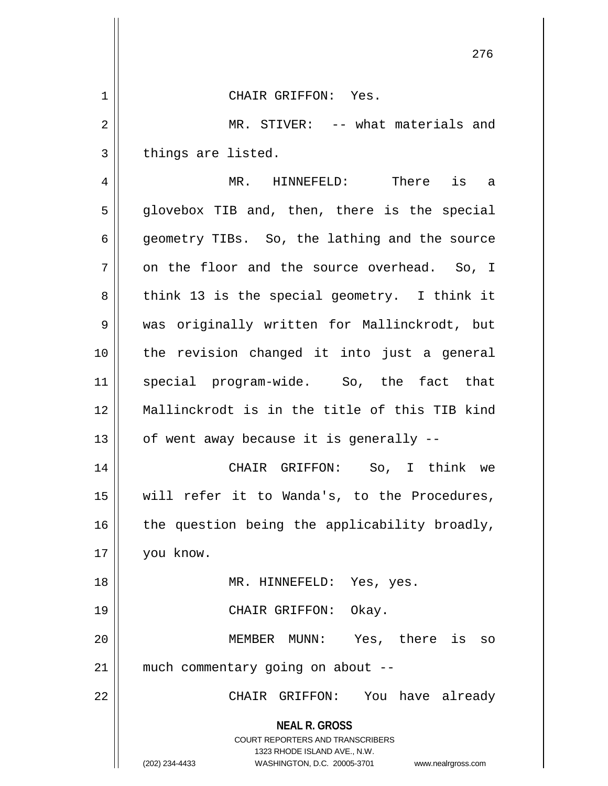**NEAL R. GROSS** COURT REPORTERS AND TRANSCRIBERS 1323 RHODE ISLAND AVE., N.W. (202) 234-4433 WASHINGTON, D.C. 20005-3701 www.nealrgross.com 276 1 CHAIR GRIFFON: Yes. 2 MR. STIVER: -- what materials and  $3 \parallel$  things are listed. 4 MR. HINNEFELD: There is a  $5 \parallel$  glovebox TIB and, then, there is the special 6 geometry TIBs. So, the lathing and the source  $7 \parallel$  on the floor and the source overhead. So, I  $8 \parallel$  think 13 is the special geometry. I think it 9 was originally written for Mallinckrodt, but 10 the revision changed it into just a general 11 || special program-wide. So, the fact that 12 Mallinckrodt is in the title of this TIB kind  $13$  | of went away because it is generally  $-$ 14 CHAIR GRIFFON: So, I think we 15 will refer it to Wanda's, to the Procedures,  $16$  | the question being the applicability broadly, 17 you know. 18 || MR. HINNEFELD: Yes, yes. 19 || CHAIR GRIFFON: Okay. 20 || **MEMBER MUNN:** Yes, there is so  $21$  | much commentary going on about  $-$ 22 CHAIR GRIFFON: You have already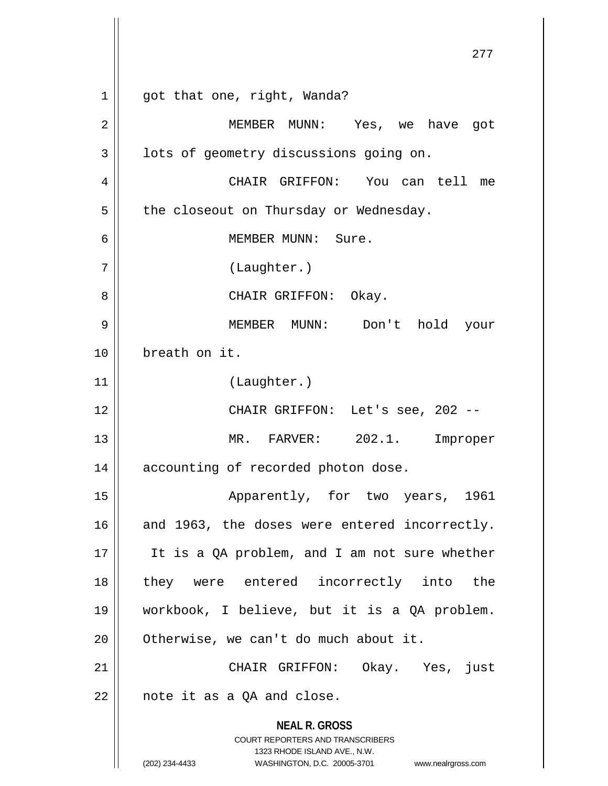**NEAL R. GROSS** COURT REPORTERS AND TRANSCRIBERS 1323 RHODE ISLAND AVE., N.W. (202) 234-4433 WASHINGTON, D.C. 20005-3701 www.nealrgross.com 1 || got that one, right, Wanda? 2 MEMBER MUNN: Yes, we have got  $3 \parallel$  lots of geometry discussions going on. 4 CHAIR GRIFFON: You can tell me  $5 \parallel$  the closeout on Thursday or Wednesday. 6 MEMBER MUNN: Sure. 7 (Laughter.) 8 CHAIR GRIFFON: Okay. 9 MEMBER MUNN: Don't hold your 10 breath on it. 11 (Laughter.) 12 CHAIR GRIFFON: Let's see, 202 -- 13 MR. FARVER: 202.1. Improper 14 || accounting of recorded photon dose. 15 || Apparently, for two years, 1961 16 and 1963, the doses were entered incorrectly. 17 || It is a QA problem, and I am not sure whether 18 they were entered incorrectly into the 19 workbook, I believe, but it is a QA problem. 20 | Otherwise, we can't do much about it. 21 CHAIR GRIFFON: Okay. Yes, just  $22$  | note it as a QA and close.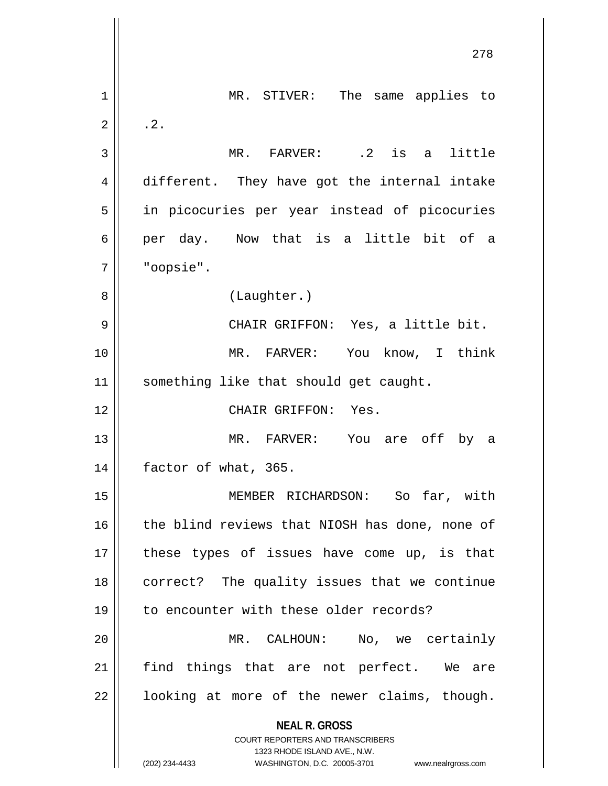**NEAL R. GROSS** COURT REPORTERS AND TRANSCRIBERS 1323 RHODE ISLAND AVE., N.W. (202) 234-4433 WASHINGTON, D.C. 20005-3701 www.nealrgross.com 278 1 || MR. STIVER: The same applies to  $2 \parallel$  . 2. 3 MR. FARVER: .2 is a little 4 different. They have got the internal intake 5 || in picocuries per year instead of picocuries 6 || per day. Now that is a little bit of a 7 "oopsie". 8 | (Laughter.) 9 CHAIR GRIFFON: Yes, a little bit. 10 MR. FARVER: You know, I think 11 || something like that should get caught. 12 CHAIR GRIFFON: Yes. 13 MR. FARVER: You are off by a 14 | factor of what, 365. 15 MEMBER RICHARDSON: So far, with 16 the blind reviews that NIOSH has done, none of  $17$  || these types of issues have come up, is that 18 correct? The quality issues that we continue 19 || to encounter with these older records? 20 MR. CALHOUN: No, we certainly  $21$  find things that are not perfect. We are  $22$  || looking at more of the newer claims, though.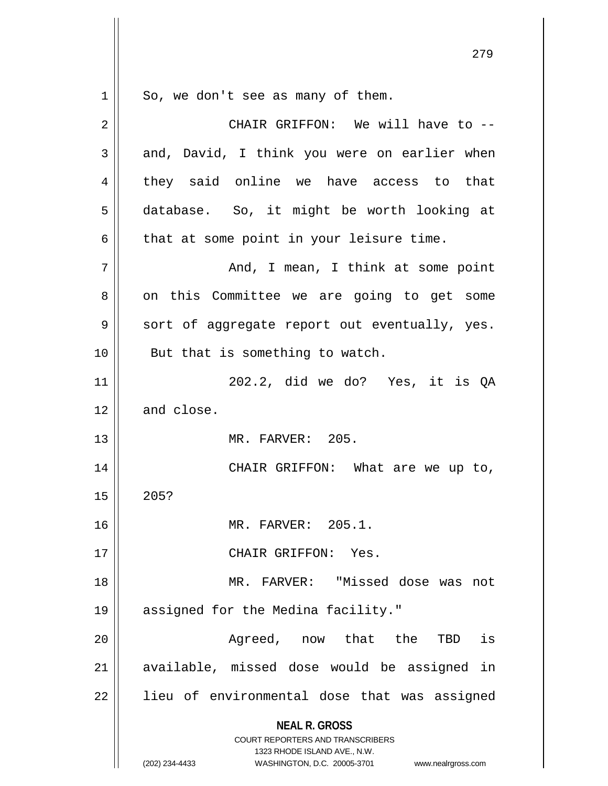$1 \parallel$  So, we don't see as many of them.

| 2  | CHAIR GRIFFON: We will have to --                                                                                                                                      |
|----|------------------------------------------------------------------------------------------------------------------------------------------------------------------------|
| 3  | and, David, I think you were on earlier when                                                                                                                           |
| 4  | they said online we have access to that                                                                                                                                |
| 5  | database. So, it might be worth looking at                                                                                                                             |
| 6  | that at some point in your leisure time.                                                                                                                               |
| 7  | And, I mean, I think at some point                                                                                                                                     |
| 8  | on this Committee we are going to get some                                                                                                                             |
| 9  | sort of aggregate report out eventually, yes.                                                                                                                          |
| 10 | But that is something to watch.                                                                                                                                        |
| 11 | 202.2, did we do? Yes, it is QA                                                                                                                                        |
| 12 | and close.                                                                                                                                                             |
| 13 | MR. FARVER: 205.                                                                                                                                                       |
| 14 | CHAIR GRIFFON: What are we up to,                                                                                                                                      |
| 15 | 205?                                                                                                                                                                   |
| 16 | MR. FARVER: 205.1.                                                                                                                                                     |
| 17 | CHAIR GRIFFON: Yes.                                                                                                                                                    |
| 18 | MR. FARVER: "Missed dose was not                                                                                                                                       |
| 19 | assigned for the Medina facility."                                                                                                                                     |
| 20 | Agreed, now that the<br>is<br>TBD                                                                                                                                      |
| 21 | available, missed dose would be assigned in                                                                                                                            |
| 22 | lieu of environmental dose that was assigned                                                                                                                           |
|    | <b>NEAL R. GROSS</b><br><b>COURT REPORTERS AND TRANSCRIBERS</b><br>1323 RHODE ISLAND AVE., N.W.<br>(202) 234-4433<br>WASHINGTON, D.C. 20005-3701<br>www.nealrgross.com |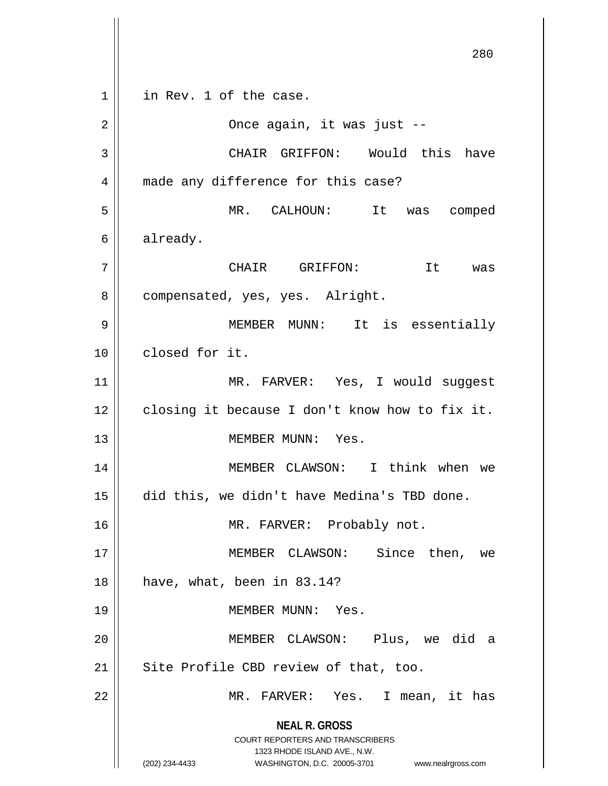**NEAL R. GROSS** COURT REPORTERS AND TRANSCRIBERS 1323 RHODE ISLAND AVE., N.W. (202) 234-4433 WASHINGTON, D.C. 20005-3701 www.nealrgross.com 280  $1 \parallel$  in Rev. 1 of the case. 2 Once again, it was just -- 3 CHAIR GRIFFON: Would this have 4 || made any difference for this case? 5 MR. CALHOUN: It was comped 6 already. 7 | CHAIR GRIFFON: It was 8 | compensated, yes, yes. Alright. 9 MEMBER MUNN: It is essentially 10 closed for it. 11 || MR. FARVER: Yes, I would suggest  $12$  | closing it because I don't know how to fix it. 13 MEMBER MUNN: Yes. 14 MEMBER CLAWSON: I think when we 15 did this, we didn't have Medina's TBD done. 16 || MR. FARVER: Probably not. 17 MEMBER CLAWSON: Since then, we  $18 \parallel$  have, what, been in 83.14? 19 MEMBER MUNN: Yes. 20 MEMBER CLAWSON: Plus, we did a  $21$  | Site Profile CBD review of that, too. 22 || MR. FARVER: Yes. I mean, it has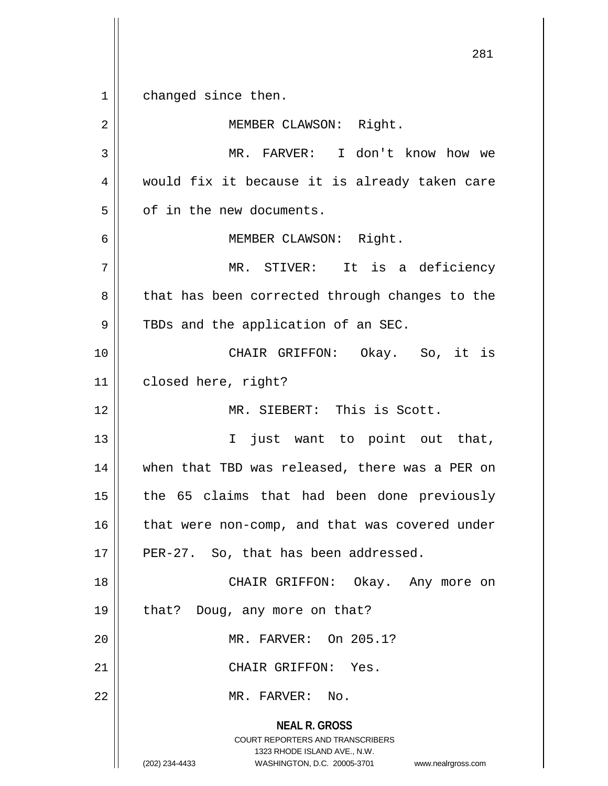**NEAL R. GROSS** COURT REPORTERS AND TRANSCRIBERS 1323 RHODE ISLAND AVE., N.W. (202) 234-4433 WASHINGTON, D.C. 20005-3701 www.nealrgross.com 281 1 changed since then. 2 | MEMBER CLAWSON: Right. 3 MR. FARVER: I don't know how we 4 would fix it because it is already taken care  $5 \parallel$  of in the new documents. 6 || MEMBER CLAWSON: Right. 7 MR. STIVER: It is a deficiency 8 || that has been corrected through changes to the  $9 \parallel$  TBDs and the application of an SEC. 10 CHAIR GRIFFON: Okay. So, it is 11 | closed here, right? 12 MR. SIEBERT: This is Scott. 13 || T just want to point out that, 14 || when that TBD was released, there was a PER on  $15$  || the 65 claims that had been done previously  $16$  | that were non-comp, and that was covered under  $17$  || PER-27. So, that has been addressed. 18 CHAIR GRIFFON: Okay. Any more on 19 || that? Doug, any more on that? 20 MR. FARVER: On 205.1? 21 CHAIR GRIFFON: Yes. 22 MR. FARVER: No.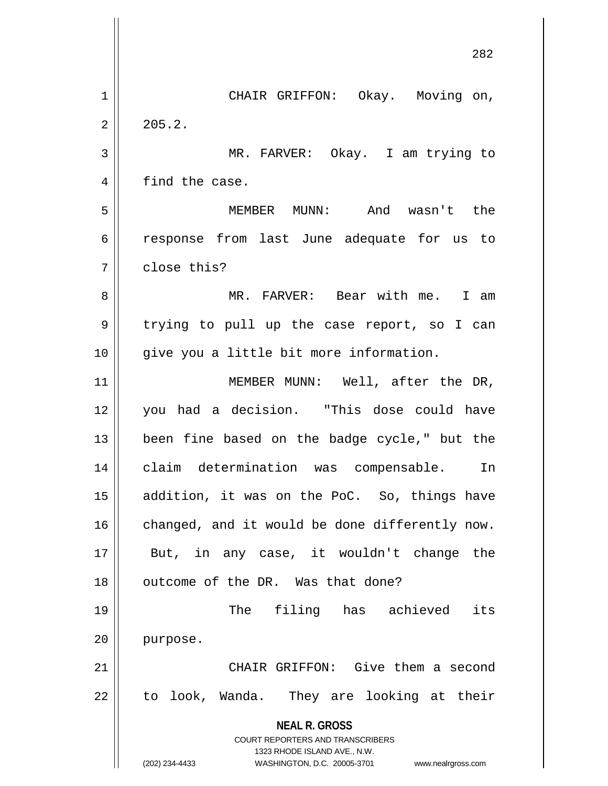|    | 282                                                                                              |
|----|--------------------------------------------------------------------------------------------------|
| 1  | CHAIR GRIFFON: Okay. Moving on,                                                                  |
| 2  | 205.2.                                                                                           |
| 3  | MR. FARVER: Okay. I am trying to                                                                 |
| 4  | find the case.                                                                                   |
| 5  | MEMBER MUNN: And wasn't the                                                                      |
| 6  | response from last June adequate for us to                                                       |
| 7  | close this?                                                                                      |
| 8  | MR. FARVER: Bear with me. I am                                                                   |
| 9  | trying to pull up the case report, so I can                                                      |
| 10 | give you a little bit more information.                                                          |
| 11 | MEMBER MUNN: Well, after the DR,                                                                 |
| 12 | you had a decision. "This dose could have                                                        |
| 13 | been fine based on the badge cycle," but the                                                     |
| 14 | claim determination was compensable.<br>In                                                       |
| 15 | addition, it was on the PoC. So, things have                                                     |
| 16 | changed, and it would be done differently now.                                                   |
| 17 | But, in any case, it wouldn't change the                                                         |
| 18 | outcome of the DR. Was that done?                                                                |
| 19 | The filing has achieved<br>its                                                                   |
| 20 | purpose.                                                                                         |
| 21 | CHAIR GRIFFON: Give them a second                                                                |
| 22 | to look, Wanda. They are looking at their                                                        |
|    | <b>NEAL R. GROSS</b><br><b>COURT REPORTERS AND TRANSCRIBERS</b>                                  |
|    | 1323 RHODE ISLAND AVE., N.W.<br>(202) 234-4433<br>WASHINGTON, D.C. 20005-3701 www.nealrgross.com |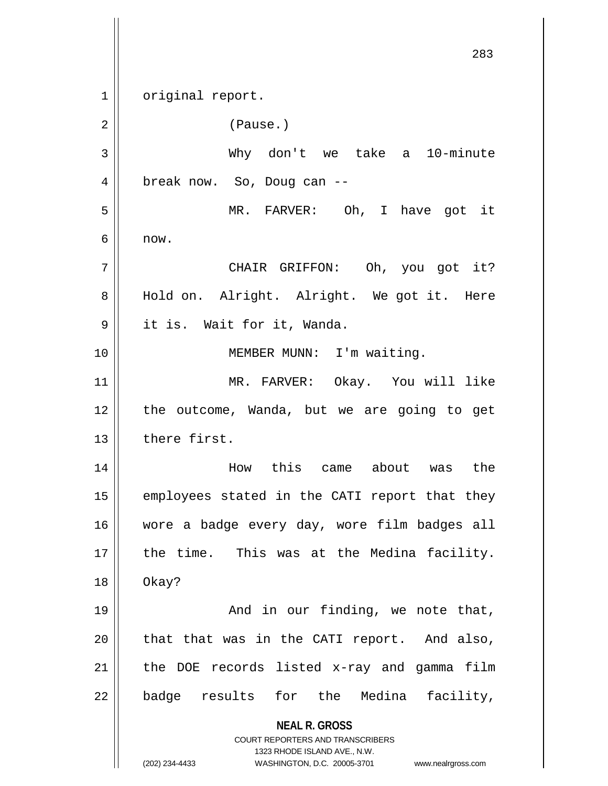**NEAL R. GROSS** COURT REPORTERS AND TRANSCRIBERS 1323 RHODE ISLAND AVE., N.W. (202) 234-4433 WASHINGTON, D.C. 20005-3701 www.nealrgross.com 283 1 | original report. 2 | Pause.) 3 Why don't we take a 10-minute 4 || break now. So, Doug can --5 MR. FARVER: Oh, I have got it  $6 \parallel$  now. 7 CHAIR GRIFFON: Oh, you got it? 8 || Hold on. Alright. Alright. We got it. Here 9 it is. Wait for it, Wanda. 10 || **MEMBER MUNN:** I'm waiting. 11 MR. FARVER: Okay. You will like 12 || the outcome, Wanda, but we are going to get 13 there first. 14 How this came about was the  $15$  employees stated in the CATI report that they 16 wore a badge every day, wore film badges all  $17$  || the time. This was at the Medina facility. 18 Okay? 19 And in our finding, we note that,  $20$  || that that was in the CATI report. And also,  $21$  | the DOE records listed x-ray and gamma film  $22$  || badge results for the Medina facility,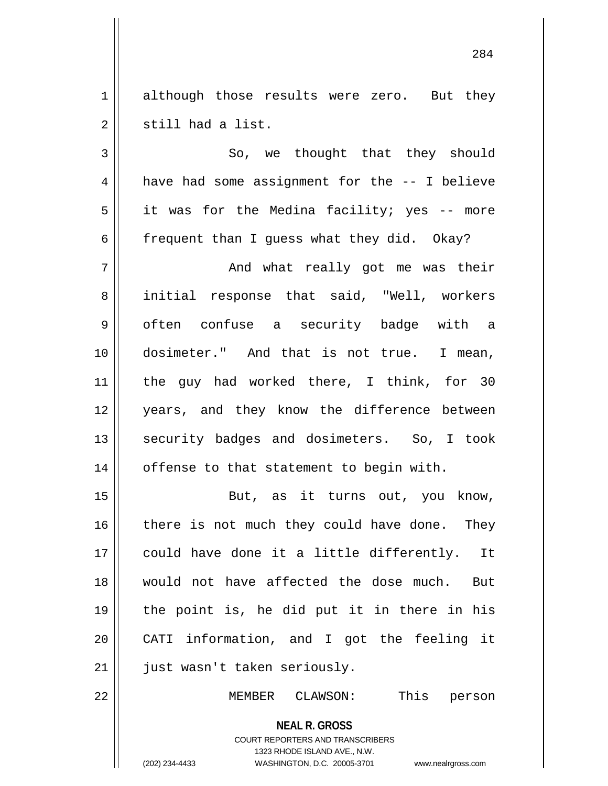1 | although those results were zero. But they  $2 \parallel$  still had a list.

 $3 \parallel$  So, we thought that they should 4 | have had some assignment for the -- I believe  $5 \parallel$  it was for the Medina facility; yes -- more 6  $\parallel$  frequent than I quess what they did. Okay? 7 And what really got me was their 8 || initial response that said, "Well, workers 9 || often confuse a security badge with a 10 dosimeter." And that is not true. I mean, 11 || the guy had worked there, I think, for 30 12 || years, and they know the difference between 13 || security badges and dosimeters. So, I took  $14$  | offense to that statement to begin with.

15 || But, as it turns out, you know, there is not much they could have done. They could have done it a little differently. It would not have affected the dose much. But the point is, he did put it in there in his CATI information, and I got the feeling it 21 || just wasn't taken seriously.

22 MEMBER CLAWSON: This person

**NEAL R. GROSS** COURT REPORTERS AND TRANSCRIBERS

1323 RHODE ISLAND AVE., N.W.

(202) 234-4433 WASHINGTON, D.C. 20005-3701 www.nealrgross.com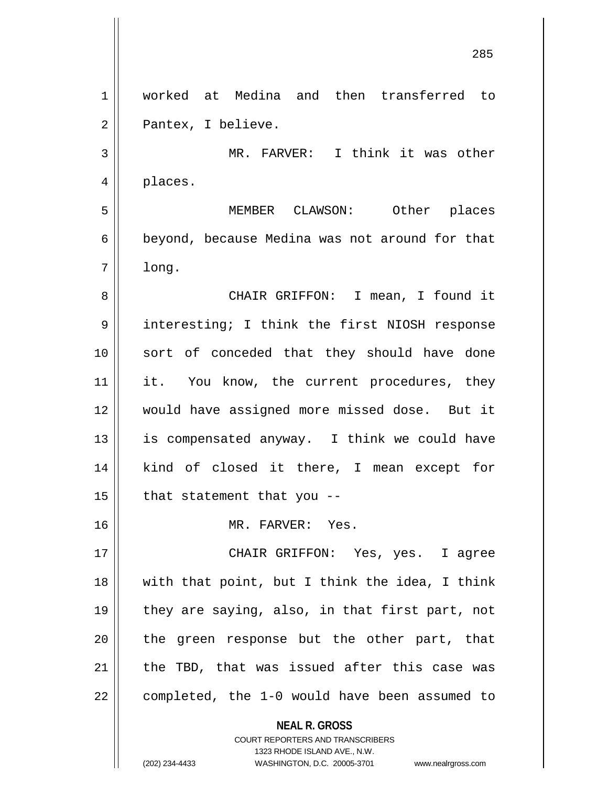**NEAL R. GROSS** COURT REPORTERS AND TRANSCRIBERS 1 worked at Medina and then transferred to 2 | Pantex, I believe. 3 || MR. FARVER: I think it was other 4 places. 5 MEMBER CLAWSON: Other places 6 beyond, because Medina was not around for that  $7 \parallel$  long. 8 CHAIR GRIFFON: I mean, I found it 9 || interesting; I think the first NIOSH response 10 || sort of conceded that they should have done 11 || it. You know, the current procedures, they 12 would have assigned more missed dose. But it 13  $\parallel$  is compensated anyway. I think we could have 14 || kind of closed it there, I mean except for  $15$  | that statement that you --16 MR. FARVER: Yes. 17 CHAIR GRIFFON: Yes, yes. I agree  $18$  || with that point, but I think the idea, I think 19 || they are saying, also, in that first part, not  $20$  || the green response but the other part, that  $21$  | the TBD, that was issued after this case was  $22$  | completed, the 1-0 would have been assumed to

1323 RHODE ISLAND AVE., N.W.

(202) 234-4433 WASHINGTON, D.C. 20005-3701 www.nealrgross.com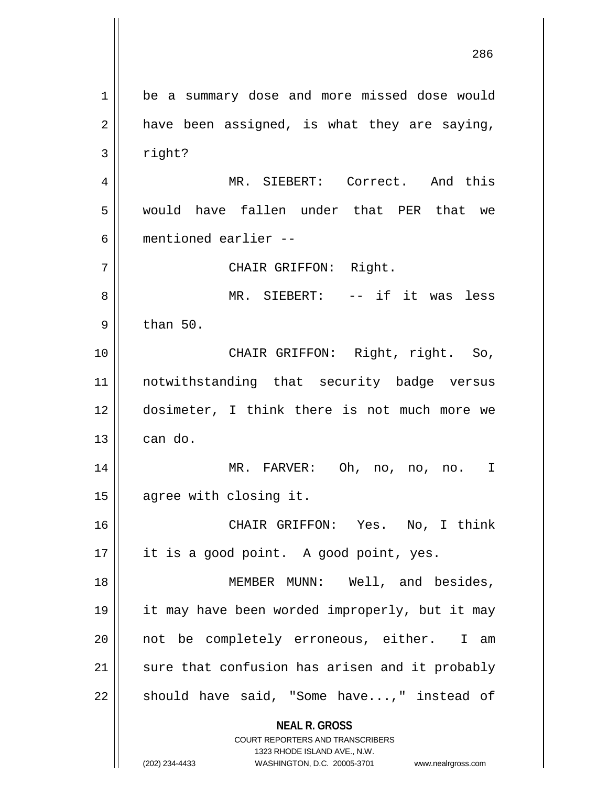**NEAL R. GROSS** COURT REPORTERS AND TRANSCRIBERS 1323 RHODE ISLAND AVE., N.W. (202) 234-4433 WASHINGTON, D.C. 20005-3701 www.nealrgross.com 1 | be a summary dose and more missed dose would  $2 \parallel$  have been assigned, is what they are saying,  $3 \parallel$  right? 4 MR. SIEBERT: Correct. And this 5 would have fallen under that PER that we 6 mentioned earlier -- 7 CHAIR GRIFFON: Right. 8 MR. SIEBERT: -- if it was less  $9 \parallel$  than 50. 10 || CHAIR GRIFFON: Right, right. So, 11 notwithstanding that security badge versus 12 dosimeter, I think there is not much more we  $13 \parallel$  can do. 14 MR. FARVER: Oh, no, no, no. I 15 | agree with closing it. 16 CHAIR GRIFFON: Yes. No, I think 17 || it is a good point. A good point, yes. 18 || MEMBER MUNN: Well, and besides, 19 it may have been worded improperly, but it may 20 || not be completely erroneous, either. I am  $21$  sure that confusion has arisen and it probably  $22 \parallel$  should have said, "Some have...," instead of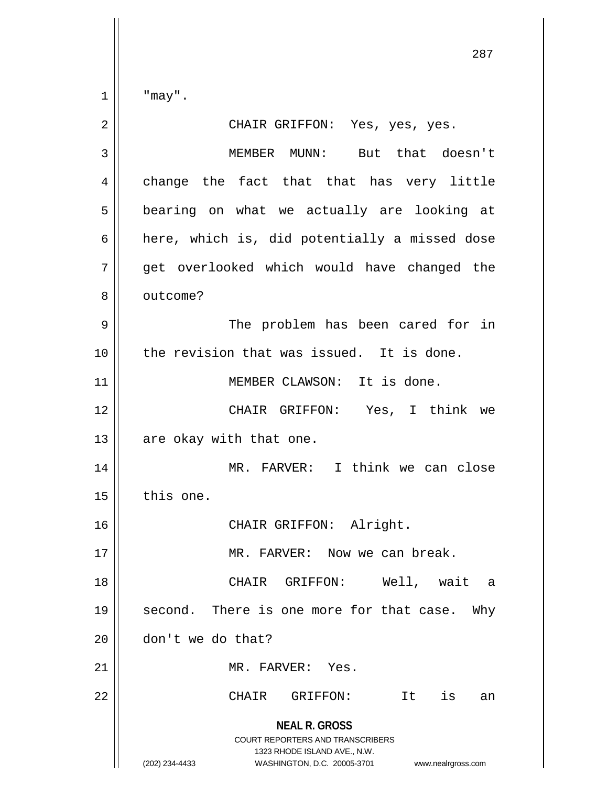$\parallel$  "may".

| $\overline{2}$ | CHAIR GRIFFON: Yes, yes, yes.                                                                                                                                          |
|----------------|------------------------------------------------------------------------------------------------------------------------------------------------------------------------|
| 3              | MEMBER MUNN: But that doesn't                                                                                                                                          |
| 4              | change the fact that that has very little                                                                                                                              |
| 5              | bearing on what we actually are looking at                                                                                                                             |
| 6              | here, which is, did potentially a missed dose                                                                                                                          |
| 7              | get overlooked which would have changed the                                                                                                                            |
| 8              | outcome?                                                                                                                                                               |
| 9              | The problem has been cared for in                                                                                                                                      |
| 10             | the revision that was issued. It is done.                                                                                                                              |
| 11             | MEMBER CLAWSON: It is done.                                                                                                                                            |
| 12             | CHAIR GRIFFON: Yes, I think we                                                                                                                                         |
| 13             | are okay with that one.                                                                                                                                                |
| 14             | MR. FARVER: I think we can close                                                                                                                                       |
| 15             | this one.                                                                                                                                                              |
| 16             | CHAIR GRIFFON: Alright.                                                                                                                                                |
| 17             | MR. FARVER: Now we can break.                                                                                                                                          |
| 18             | Well, wait<br>CHAIR GRIFFON:<br>a                                                                                                                                      |
| 19             | second. There is one more for that case. Why                                                                                                                           |
| 20             | don't we do that?                                                                                                                                                      |
| 21             | MR. FARVER: Yes.                                                                                                                                                       |
| 22             | is<br>CHAIR<br>GRIFFON:<br>It<br>an                                                                                                                                    |
|                | <b>NEAL R. GROSS</b><br><b>COURT REPORTERS AND TRANSCRIBERS</b><br>1323 RHODE ISLAND AVE., N.W.<br>(202) 234-4433<br>WASHINGTON, D.C. 20005-3701<br>www.nealrgross.com |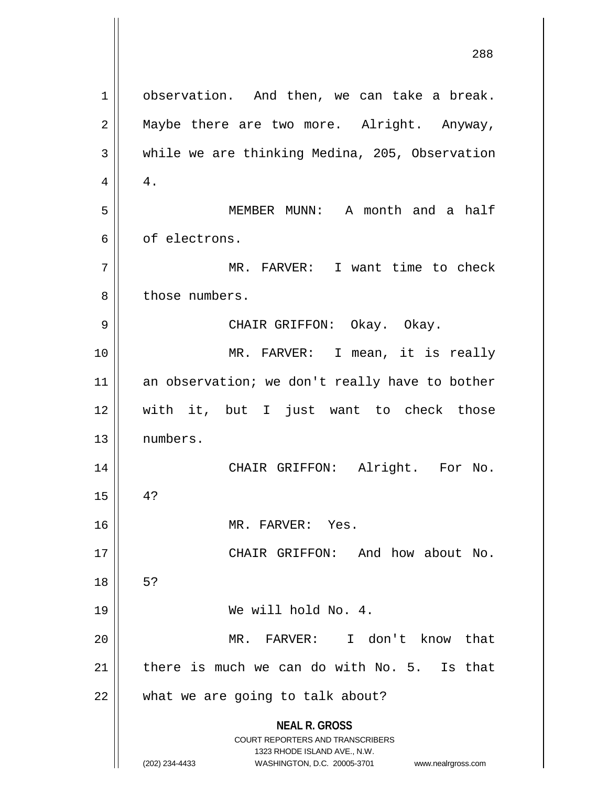**NEAL R. GROSS** COURT REPORTERS AND TRANSCRIBERS 1323 RHODE ISLAND AVE., N.W. (202) 234-4433 WASHINGTON, D.C. 20005-3701 www.nealrgross.com 1 | observation. And then, we can take a break.  $2 \parallel$  Maybe there are two more. Alright. Anyway,  $3 \parallel$  while we are thinking Medina, 205, Observation  $4 \parallel 4$ . 5 MEMBER MUNN: A month and a half 6 || of electrons. 7 || MR. FARVER: I want time to check 8 l those numbers. 9 CHAIR GRIFFON: Okay. Okay. 10 || MR. FARVER: I mean, it is really 11 an observation; we don't really have to bother 12 with it, but I just want to check those 13 numbers. 14 CHAIR GRIFFON: Alright. For No.  $15 \parallel 4?$ 16 || MR. FARVER: Yes. 17 CHAIR GRIFFON: And how about No. 18 | 5? 19 We will hold No. 4. 20 MR. FARVER: I don't know that 21  $\parallel$  there is much we can do with No. 5. Is that  $22$  | what we are going to talk about?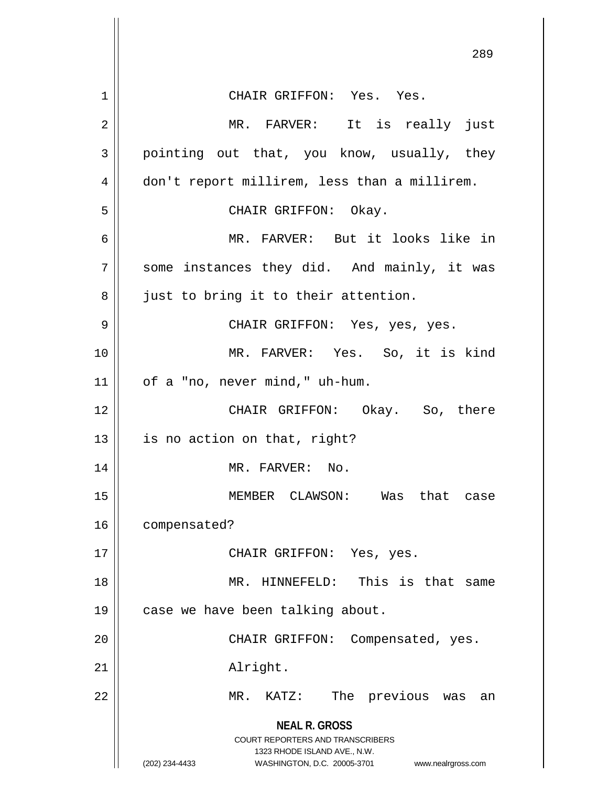|                | 289                                                                                                                                                                    |
|----------------|------------------------------------------------------------------------------------------------------------------------------------------------------------------------|
| 1              | CHAIR GRIFFON: Yes. Yes.                                                                                                                                               |
| $\overline{2}$ | MR. FARVER: It is really just                                                                                                                                          |
| 3              | pointing out that, you know, usually, they                                                                                                                             |
| 4              | don't report millirem, less than a millirem.                                                                                                                           |
| 5              | CHAIR GRIFFON: Okay.                                                                                                                                                   |
| 6              | MR. FARVER: But it looks like in                                                                                                                                       |
| 7              | some instances they did. And mainly, it was                                                                                                                            |
| 8              | just to bring it to their attention.                                                                                                                                   |
| 9              | CHAIR GRIFFON: Yes, yes, yes.                                                                                                                                          |
| 10             | MR. FARVER: Yes. So, it is kind                                                                                                                                        |
| 11             | of a "no, never mind," uh-hum.                                                                                                                                         |
| 12             | CHAIR GRIFFON: Okay. So, there                                                                                                                                         |
| 13             | is no action on that, right?                                                                                                                                           |
| 14             | MR. FARVER: No.                                                                                                                                                        |
| 15             | MEMBER CLAWSON: Was that case                                                                                                                                          |
| 16             | compensated?                                                                                                                                                           |
| 17             | CHAIR GRIFFON: Yes, yes.                                                                                                                                               |
| 18             | This is that same<br>MR. HINNEFELD:                                                                                                                                    |
| 19             | case we have been talking about.                                                                                                                                       |
| 20             | CHAIR GRIFFON: Compensated, yes.                                                                                                                                       |
| 21             | Alright.                                                                                                                                                               |
| 22             | MR.<br>KATZ:<br>The previous was<br>an                                                                                                                                 |
|                | <b>NEAL R. GROSS</b><br><b>COURT REPORTERS AND TRANSCRIBERS</b><br>1323 RHODE ISLAND AVE., N.W.<br>WASHINGTON, D.C. 20005-3701<br>(202) 234-4433<br>www.nealrgross.com |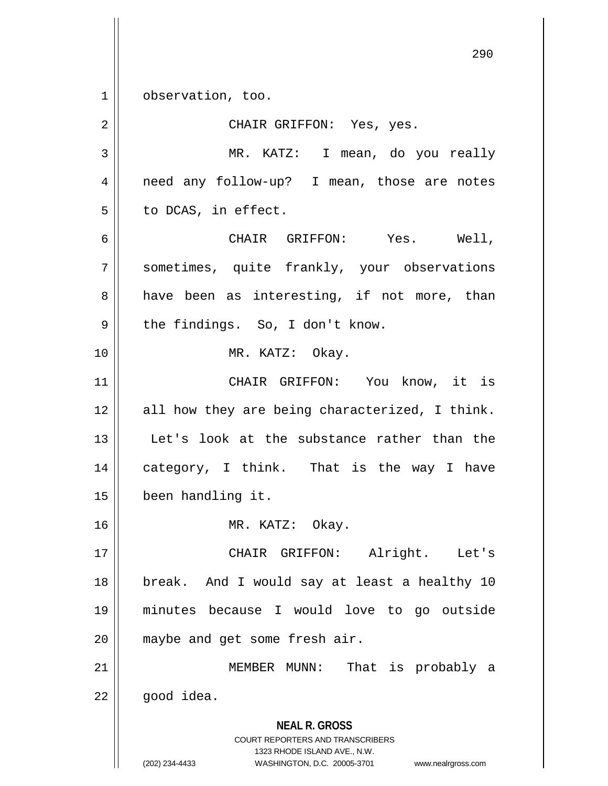1 | observation, too.

**NEAL R. GROSS** COURT REPORTERS AND TRANSCRIBERS 1323 RHODE ISLAND AVE., N.W. (202) 234-4433 WASHINGTON, D.C. 20005-3701 www.nealrgross.com 2 CHAIR GRIFFON: Yes, yes. 3 MR. KATZ: I mean, do you really 4 || need any follow-up? I mean, those are notes  $5 \parallel$  to DCAS, in effect. 6 CHAIR GRIFFON: Yes. Well, 7 || sometimes, quite frankly, your observations  $8 \parallel$  have been as interesting, if not more, than  $9 \parallel$  the findings. So, I don't know. 10 || MR. KATZ: Okay. 11 || CHAIR GRIFFON: You know, it is  $12 \parallel$  all how they are being characterized, I think. 13 || Let's look at the substance rather than the 14 category, I think. That is the way I have 15 been handling it. 16 MR. KATZ: Okay. 17 CHAIR GRIFFON: Alright. Let's 18 || break. And I would say at least a healthy 10 19 minutes because I would love to go outside 20 || maybe and get some fresh air. 21 || MEMBER MUNN: That is probably a  $22 \parallel$  good idea.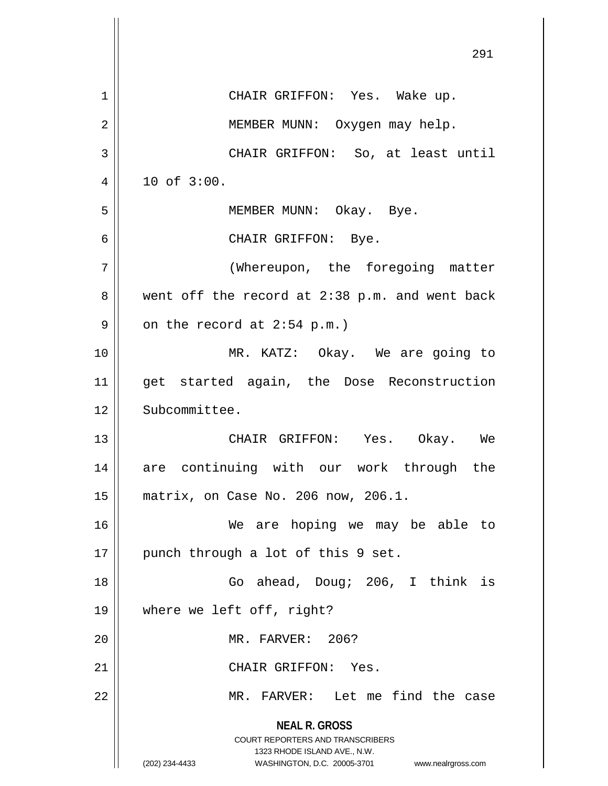|    | 291                                                                                              |
|----|--------------------------------------------------------------------------------------------------|
| 1  | CHAIR GRIFFON: Yes. Wake up.                                                                     |
| 2  | MEMBER MUNN: Oxygen may help.                                                                    |
| 3  | CHAIR GRIFFON: So, at least until                                                                |
| 4  | 10 of 3:00.                                                                                      |
| 5  | MEMBER MUNN: Okay. Bye.                                                                          |
| 6  | CHAIR GRIFFON: Bye.                                                                              |
| 7  | (Whereupon, the foregoing matter                                                                 |
| 8  | went off the record at 2:38 p.m. and went back                                                   |
| 9  | on the record at $2:54$ p.m.)                                                                    |
| 10 | MR. KATZ: Okay. We are going to                                                                  |
| 11 | get started again, the Dose Reconstruction                                                       |
| 12 | Subcommittee.                                                                                    |
| 13 | CHAIR GRIFFON: Yes. Okay.<br>We                                                                  |
| 14 | are continuing with our work through the                                                         |
| 15 | matrix, on Case No. 206 now, 206.1.                                                              |
| 16 | We are hoping we may be able to                                                                  |
| 17 | punch through a lot of this 9 set.                                                               |
| 18 | Go ahead, Doug; 206, I think is                                                                  |
| 19 | where we left off, right?                                                                        |
| 20 | MR. FARVER: 206?                                                                                 |
| 21 | CHAIR GRIFFON: Yes.                                                                              |
| 22 | MR. FARVER: Let me find the case                                                                 |
|    | <b>NEAL R. GROSS</b><br>COURT REPORTERS AND TRANSCRIBERS                                         |
|    | 1323 RHODE ISLAND AVE., N.W.<br>(202) 234-4433<br>WASHINGTON, D.C. 20005-3701 www.nealrgross.com |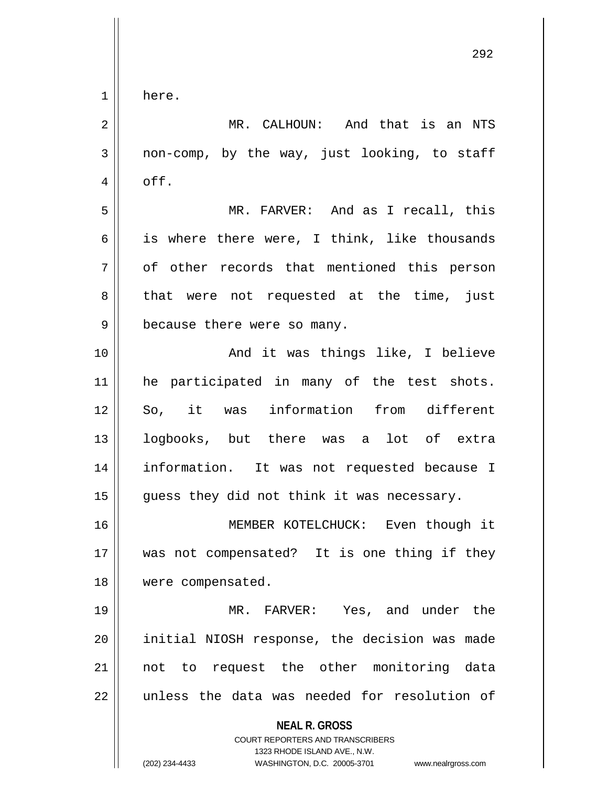1 here.

**NEAL R. GROSS** COURT REPORTERS AND TRANSCRIBERS 2 || MR. CALHOUN: And that is an NTS  $3 \parallel$  non-comp, by the way, just looking, to staff  $4 \parallel$  off. 5 MR. FARVER: And as I recall, this 6  $\parallel$  is where there were, I think, like thousands 7 || of other records that mentioned this person 8 that were not requested at the time, just 9 || because there were so many. 10 || The Contract And it was things like, I believe 11 || he participated in many of the test shots. 12 So, it was information from different 13 logbooks, but there was a lot of extra 14 information. It was not requested because I  $15$  | guess they did not think it was necessary. 16 MEMBER KOTELCHUCK: Even though it 17 was not compensated? It is one thing if they 18 | were compensated. 19 MR. FARVER: Yes, and under the 20 || initial NIOSH response, the decision was made 21 || not to request the other monitoring data 22 || unless the data was needed for resolution of

1323 RHODE ISLAND AVE., N.W.

(202) 234-4433 WASHINGTON, D.C. 20005-3701 www.nealrgross.com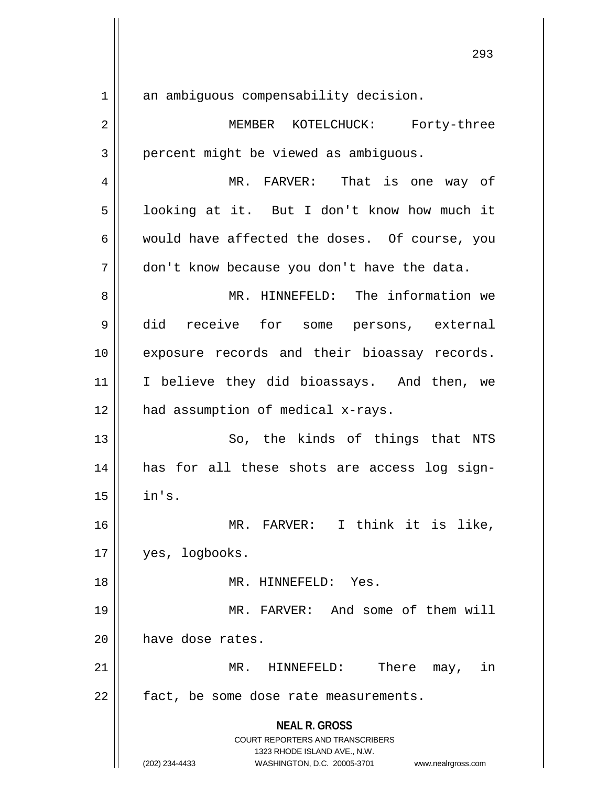**NEAL R. GROSS** COURT REPORTERS AND TRANSCRIBERS 1323 RHODE ISLAND AVE., N.W. 1 an ambiguous compensability decision. 2 MEMBER KOTELCHUCK: Forty-three 3 | percent might be viewed as ambiguous. 4 MR. FARVER: That is one way of 5 | looking at it. But I don't know how much it  $6 \parallel$  would have affected the doses. Of course, you 7 | don't know because you don't have the data. 8 MR. HINNEFELD: The information we 9 did receive for some persons, external 10 || exposure records and their bioassay records. 11 || I believe they did bioassays. And then, we 12 || had assumption of medical x-rays. 13 || So, the kinds of things that NTS 14 has for all these shots are access log sign- $15$   $\parallel$  in's. 16 MR. FARVER: I think it is like, 17 || yes, logbooks. 18 MR. HINNEFELD: Yes. 19 MR. FARVER: And some of them will 20 | have dose rates. 21 MR. HINNEFELD: There may, in 22 | fact, be some dose rate measurements.

(202) 234-4433 WASHINGTON, D.C. 20005-3701 www.nealrgross.com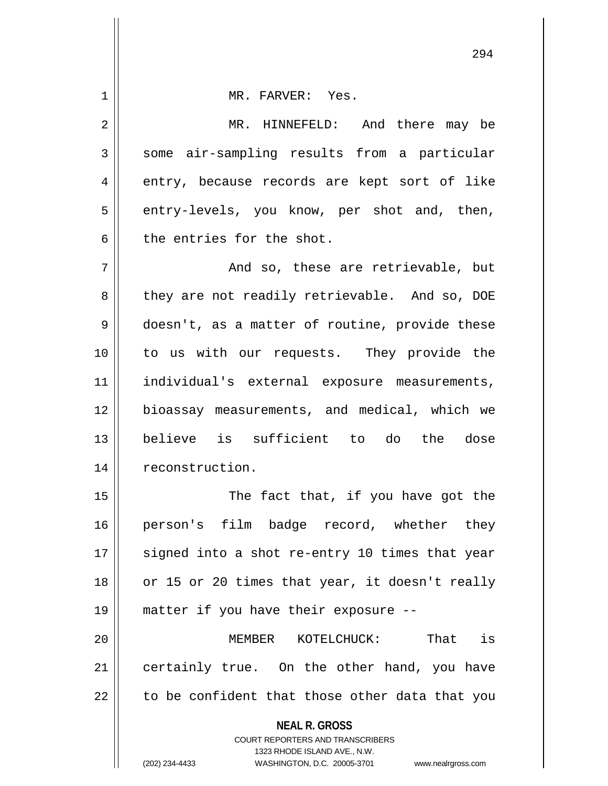| 1  | MR. FARVER: Yes.                                                                                    |
|----|-----------------------------------------------------------------------------------------------------|
| 2  | MR. HINNEFELD: And there may be                                                                     |
| 3  | some air-sampling results from a particular                                                         |
| 4  | entry, because records are kept sort of like                                                        |
| 5  | entry-levels, you know, per shot and, then,                                                         |
| 6  | the entries for the shot.                                                                           |
| 7  | And so, these are retrievable, but                                                                  |
| 8  | they are not readily retrievable. And so, DOE                                                       |
| 9  | doesn't, as a matter of routine, provide these                                                      |
| 10 | to us with our requests. They provide the                                                           |
| 11 | individual's external exposure measurements,                                                        |
| 12 | bioassay measurements, and medical, which we                                                        |
| 13 | believe is sufficient to do the dose                                                                |
| 14 | reconstruction.                                                                                     |
| 15 | The fact that, if you have got the                                                                  |
| 16 | person's film badge record, whether they                                                            |
| 17 | signed into a shot re-entry 10 times that year                                                      |
| 18 | or 15 or 20 times that year, it doesn't really                                                      |
| 19 | matter if you have their exposure --                                                                |
| 20 | That is<br>MEMBER KOTELCHUCK:                                                                       |
| 21 | certainly true. On the other hand, you have                                                         |
| 22 | to be confident that those other data that you                                                      |
|    | <b>NEAL R. GROSS</b>                                                                                |
|    | <b>COURT REPORTERS AND TRANSCRIBERS</b>                                                             |
|    | 1323 RHODE ISLAND AVE., N.W.<br>(202) 234-4433<br>WASHINGTON, D.C. 20005-3701<br>www.nealrgross.com |
|    |                                                                                                     |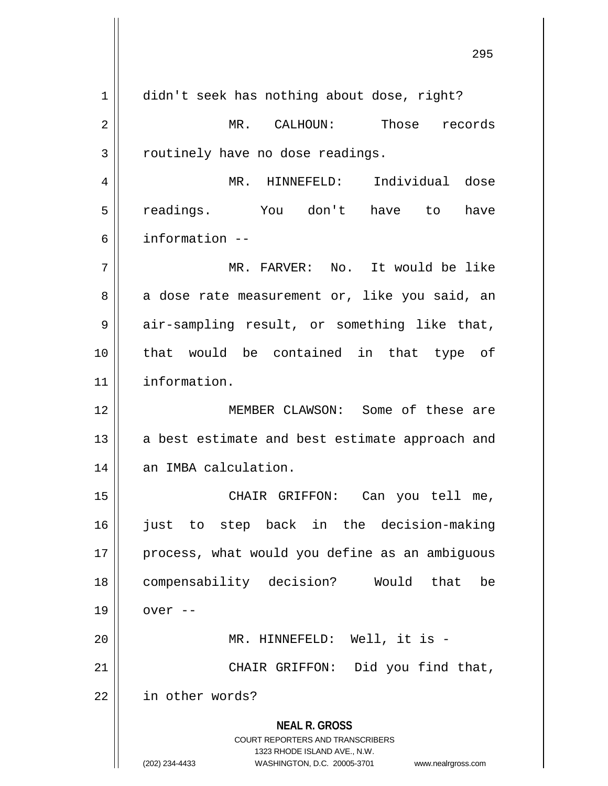**NEAL R. GROSS** COURT REPORTERS AND TRANSCRIBERS 1323 RHODE ISLAND AVE., N.W. (202) 234-4433 WASHINGTON, D.C. 20005-3701 www.nealrgross.com 1 didn't seek has nothing about dose, right? 2 MR. CALHOUN: Those records  $3$  | routinely have no dose readings. 4 MR. HINNEFELD: Individual dose 5 readings. You don't have to have 6 information -- 7 MR. FARVER: No. It would be like  $8 \parallel$  a dose rate measurement or, like you said, an 9 air-sampling result, or something like that, 10 that would be contained in that type of 11 information. 12 MEMBER CLAWSON: Some of these are  $13$  a best estimate and best estimate approach and 14 | an IMBA calculation. 15 || CHAIR GRIFFON: Can you tell me, 16 just to step back in the decision-making 17 || process, what would you define as an ambiguous 18 compensability decision? Would that be  $19 \parallel$  over  $-$ 20 MR. HINNEFELD: Well, it is - 21 || CHAIR GRIFFON: Did you find that, 22 | in other words?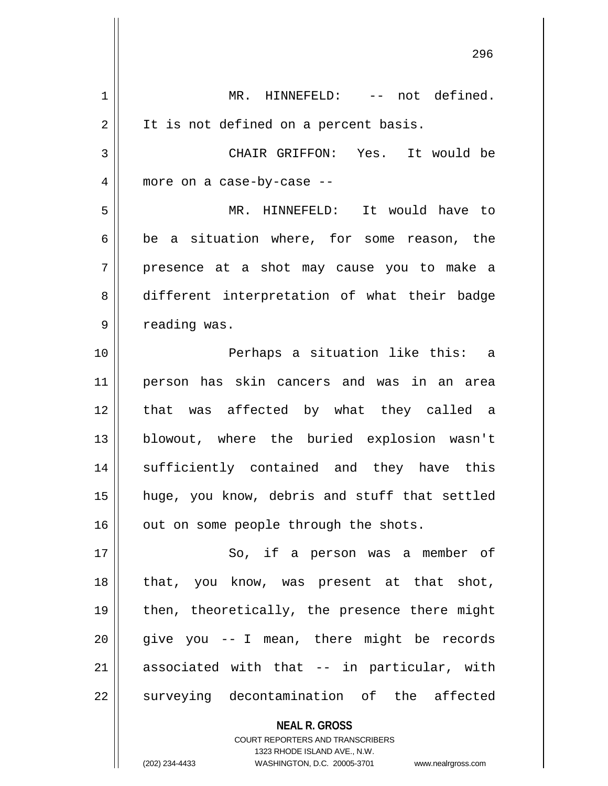| 1  | MR. HINNEFELD: -- not defined.                           |
|----|----------------------------------------------------------|
| 2  | It is not defined on a percent basis.                    |
| 3  | CHAIR GRIFFON: Yes. It would be                          |
| 4  | more on a case-by-case --                                |
| 5  | MR. HINNEFELD: It would have to                          |
| 6  | be a situation where, for some reason, the               |
| 7  | presence at a shot may cause you to make a               |
| 8  | different interpretation of what their badge             |
| 9  | reading was.                                             |
| 10 | Perhaps a situation like this: a                         |
| 11 | person has skin cancers and was in an area               |
| 12 | that was affected by what they called a                  |
| 13 | blowout, where the buried explosion wasn't               |
| 14 | sufficiently contained and they have this                |
| 15 | huge, you know, debris and stuff that settled            |
| 16 | out on some people through the shots.                    |
| 17 | So, if a person was a member of                          |
| 18 | that, you know, was present at that shot,                |
| 19 | then, theoretically, the presence there might            |
| 20 | give you -- I mean, there might be records               |
| 21 | associated with that -- in particular, with              |
| 22 | surveying decontamination of the affected                |
|    | <b>NEAL R. GROSS</b><br>COURT REPORTERS AND TRANSCRIBERS |

1323 RHODE ISLAND AVE., N.W.

 $\overline{\phantom{a}}$  $\prod_{i=1}^{n}$ 

(202) 234-4433 WASHINGTON, D.C. 20005-3701 www.nealrgross.com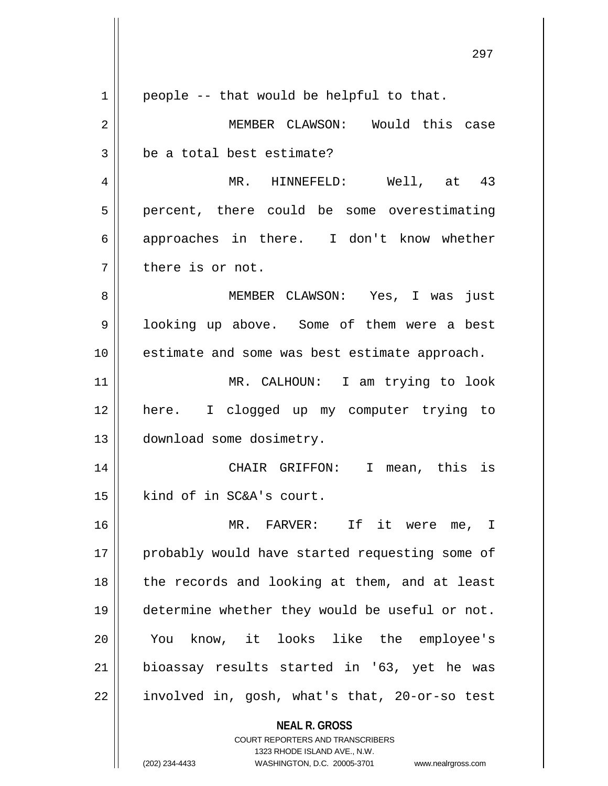**NEAL R. GROSS** COURT REPORTERS AND TRANSCRIBERS 1323 RHODE ISLAND AVE., N.W. 297  $1 \parallel$  people -- that would be helpful to that. 2 MEMBER CLAWSON: Would this case  $3 \parallel$  be a total best estimate? 4 MR. HINNEFELD: Well, at 43 5 || percent, there could be some overestimating  $6 \parallel$  approaches in there. I don't know whether 7 || there is or not. 8 MEMBER CLAWSON: Yes, I was just 9 | looking up above. Some of them were a best 10 estimate and some was best estimate approach. 11 MR. CALHOUN: I am trying to look 12 here. I clogged up my computer trying to 13 | download some dosimetry. 14 CHAIR GRIFFON: I mean, this is 15 | kind of in SC&A's court. 16 MR. FARVER: If it were me, I 17 || probably would have started requesting some of  $18$  || the records and looking at them, and at least 19 determine whether they would be useful or not. 20 || You know, it looks like the employee's 21 bioassay results started in '63, yet he was  $22 \parallel$  involved in, gosh, what's that, 20-or-so test

(202) 234-4433 WASHINGTON, D.C. 20005-3701 www.nealrgross.com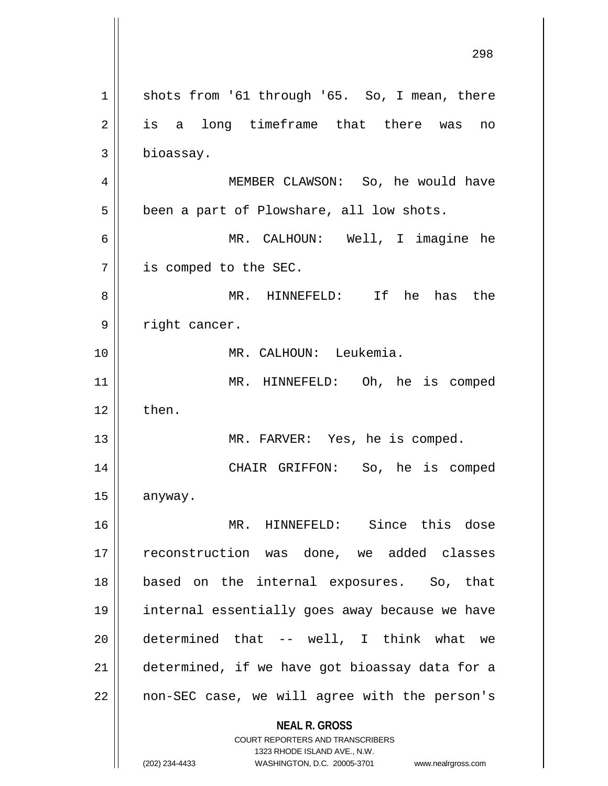**NEAL R. GROSS** COURT REPORTERS AND TRANSCRIBERS 1323 RHODE ISLAND AVE., N.W. (202) 234-4433 WASHINGTON, D.C. 20005-3701 www.nealrgross.com 1 | shots from '61 through '65. So, I mean, there 2 is a long timeframe that there was no 3 | bioassay. 4 MEMBER CLAWSON: So, he would have  $5 \parallel$  been a part of Plowshare, all low shots. 6 MR. CALHOUN: Well, I imagine he 7 is comped to the SEC. 8 MR. HINNEFELD: If he has the 9 | right cancer. 10 MR. CALHOUN: Leukemia. 11 || MR. HINNEFELD: Oh, he is comped  $12 \parallel$  then. 13 || MR. FARVER: Yes, he is comped. 14 || CHAIR GRIFFON: So, he is comped 15 anyway. 16 MR. HINNEFELD: Since this dose 17 || reconstruction was done, we added classes 18 based on the internal exposures. So, that 19 internal essentially goes away because we have  $20$  || determined that -- well, I think what we 21 determined, if we have got bioassay data for a 22 || non-SEC case, we will agree with the person's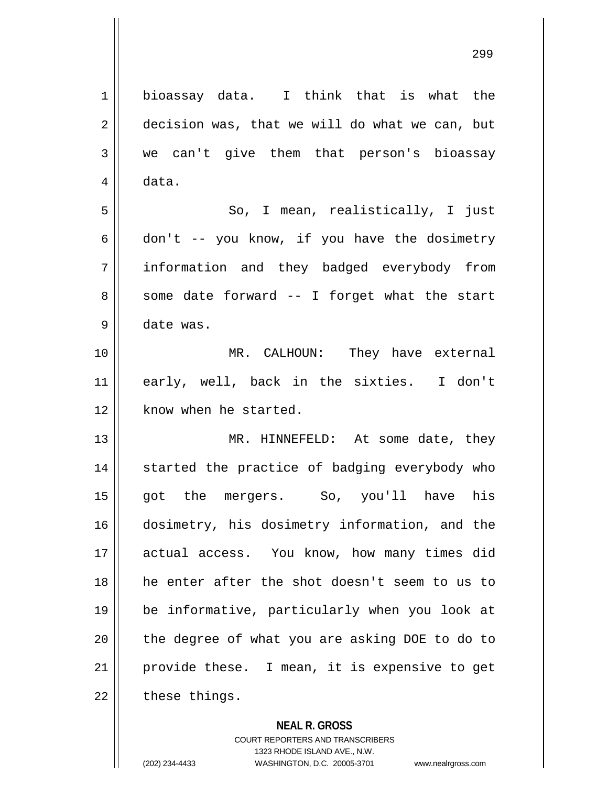| 1  | bioassay data. I think that is what the        |
|----|------------------------------------------------|
| 2  | decision was, that we will do what we can, but |
| 3  | we can't give them that person's bioassay      |
| 4  | data.                                          |
| 5  | So, I mean, realistically, I just              |
| 6  | don't -- you know, if you have the dosimetry   |
| 7  | information and they badged everybody from     |
| 8  | some date forward -- I forget what the start   |
| 9  | date was.                                      |
| 10 | MR. CALHOUN: They have external                |
| 11 | early, well, back in the sixties. I don't      |
| 12 | know when he started.                          |
| 13 | MR. HINNEFELD: At some date, they              |
| 14 | started the practice of badging everybody who  |
| 15 | got the mergers. So, you'll have his           |
| 16 | dosimetry, his dosimetry information, and the  |
| 17 | actual access. You know, how many times did    |
| 18 | he enter after the shot doesn't seem to us to  |
| 19 | be informative, particularly when you look at  |
| 20 | the degree of what you are asking DOE to do to |
| 21 | provide these. I mean, it is expensive to get  |
| 22 | these things.                                  |

## **NEAL R. GROSS**

COURT REPORTERS AND TRANSCRIBERS 1323 RHODE ISLAND AVE., N.W. (202) 234-4433 WASHINGTON, D.C. 20005-3701 www.nealrgross.com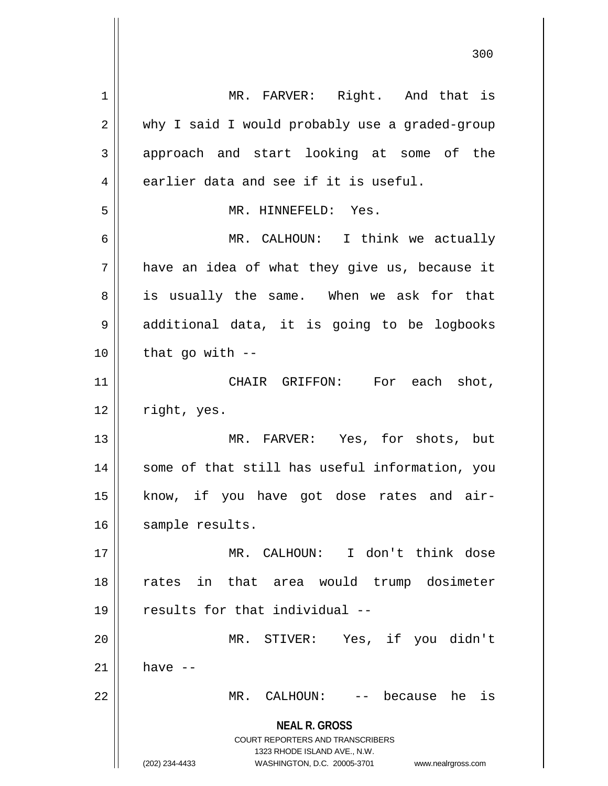**NEAL R. GROSS** COURT REPORTERS AND TRANSCRIBERS 1323 RHODE ISLAND AVE., N.W. (202) 234-4433 WASHINGTON, D.C. 20005-3701 www.nealrgross.com 1 || MR. FARVER: Right. And that is 2 | why I said I would probably use a graded-group 3 || approach and start looking at some of the  $4 \parallel$  earlier data and see if it is useful. 5 MR. HINNEFELD: Yes. 6 MR. CALHOUN: I think we actually  $7$  | have an idea of what they give us, because it 8 || is usually the same. When we ask for that 9 || additional data, it is going to be logbooks  $10$  || that go with  $-$ 11 CHAIR GRIFFON: For each shot,  $12$  | right, yes. 13 MR. FARVER: Yes, for shots, but 14 || some of that still has useful information, you 15 || know, if you have got dose rates and air-16 || sample results. 17 MR. CALHOUN: I don't think dose 18 rates in that area would trump dosimeter 19 results for that individual -- 20 MR. STIVER: Yes, if you didn't  $21$  have  $-$ 22 MR. CALHOUN: -- because he is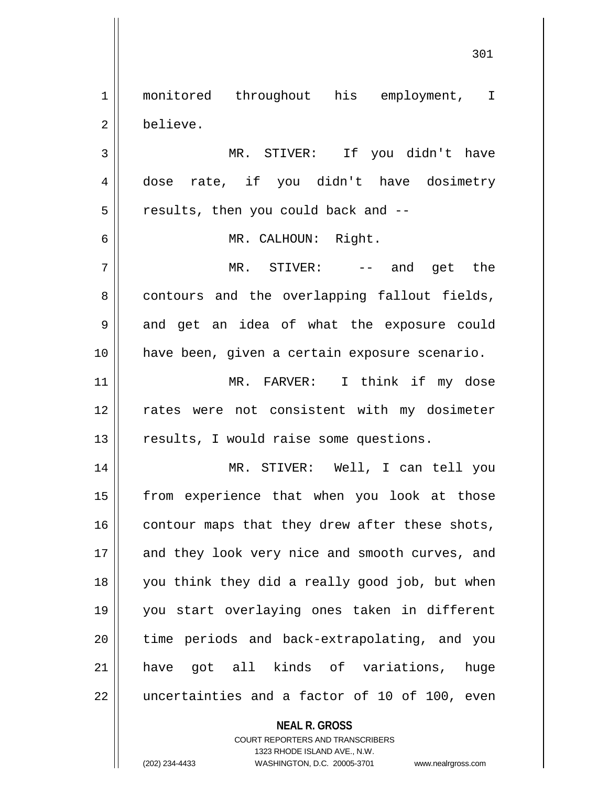1 || monitored throughout his employment, I 2 believe. MR. STIVER: If you didn't have dose rate, if you didn't have dosimetry  $5 \parallel$  results, then you could back and  $-$  MR. CALHOUN: Right. MR. STIVER: -- and get the | contours and the overlapping fallout fields, 9 || and get an idea of what the exposure could have been, given a certain exposure scenario. MR. FARVER: I think if my dose 12 || rates were not consistent with my dosimeter 13 || results, I would raise some questions. MR. STIVER: Well, I can tell you 15 || from experience that when you look at those contour maps that they drew after these shots, 17 || and they look very nice and smooth curves, and you think they did a really good job, but when you start overlaying ones taken in different || time periods and back-extrapolating, and you have got all kinds of variations, huge || uncertainties and a factor of 10 of 100, even

**NEAL R. GROSS**

COURT REPORTERS AND TRANSCRIBERS 1323 RHODE ISLAND AVE., N.W. (202) 234-4433 WASHINGTON, D.C. 20005-3701 www.nealrgross.com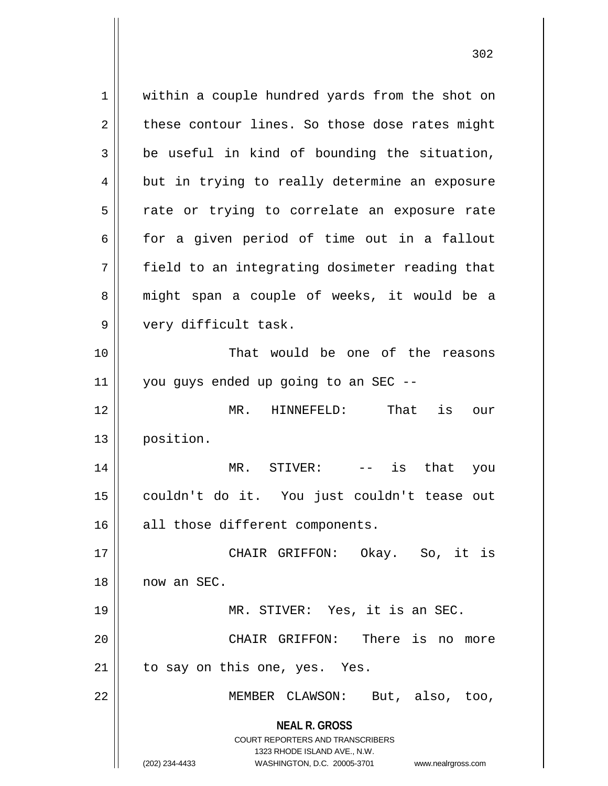**NEAL R. GROSS** COURT REPORTERS AND TRANSCRIBERS 1323 RHODE ISLAND AVE., N.W. (202) 234-4433 WASHINGTON, D.C. 20005-3701 www.nealrgross.com 1 | within a couple hundred yards from the shot on  $2 \parallel$  these contour lines. So those dose rates might  $3 \parallel$  be useful in kind of bounding the situation, 4 but in trying to really determine an exposure  $5 \parallel$  rate or trying to correlate an exposure rate  $6 \parallel$  for a given period of time out in a fallout  $7 \parallel$  field to an integrating dosimeter reading that 8 || might span a couple of weeks, it would be a 9 || very difficult task. 10 That would be one of the reasons  $11$   $\parallel$  you guys ended up going to an SEC --12 MR. HINNEFELD: That is our 13 position. 14 MR. STIVER: -- is that you 15 couldn't do it. You just couldn't tease out 16 all those different components. 17 CHAIR GRIFFON: Okay. So, it is 18 now an SEC. 19 MR. STIVER: Yes, it is an SEC. 20 CHAIR GRIFFON: There is no more  $21$  | to say on this one, yes. Yes. 22 MEMBER CLAWSON: But, also, too,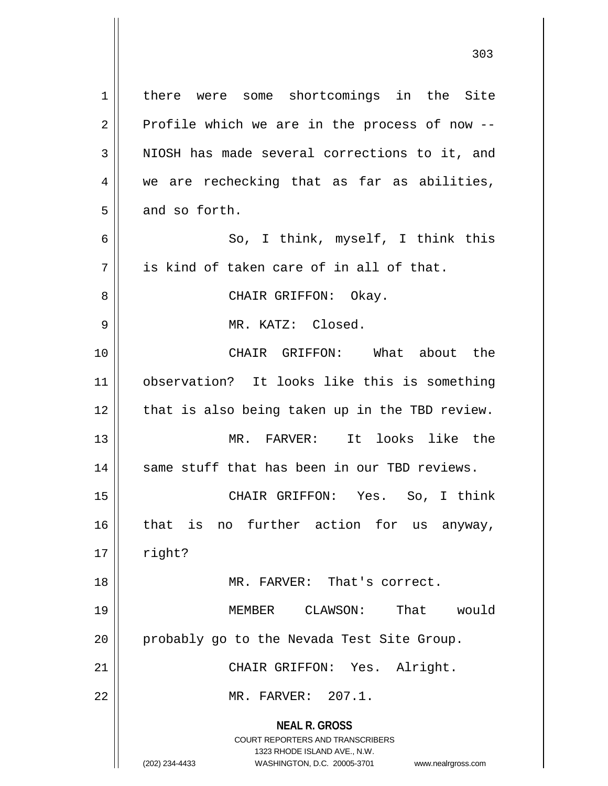**NEAL R. GROSS** COURT REPORTERS AND TRANSCRIBERS 1323 RHODE ISLAND AVE., N.W. 1 | there were some shortcomings in the Site  $2 \parallel$  Profile which we are in the process of now -- $3$  NIOSH has made several corrections to it, and 4 we are rechecking that as far as abilities,  $5 \parallel$  and so forth. 6 || So, I think, myself, I think this  $7 \parallel$  is kind of taken care of in all of that. 8 CHAIR GRIFFON: Okay. 9 MR. KATZ: Closed. 10 CHAIR GRIFFON: What about the 11 observation? It looks like this is something  $12$  | that is also being taken up in the TBD review. 13 MR. FARVER: It looks like the 14 || same stuff that has been in our TBD reviews. 15 CHAIR GRIFFON: Yes. So, I think 16 || that is no further action for us anyway,  $17 \parallel$  right? 18 MR. FARVER: That's correct. 19 MEMBER CLAWSON: That would 20 | probably go to the Nevada Test Site Group. 21 || CHAIR GRIFFON: Yes. Alright. 22 MR. FARVER: 207.1.

(202) 234-4433 WASHINGTON, D.C. 20005-3701 www.nealrgross.com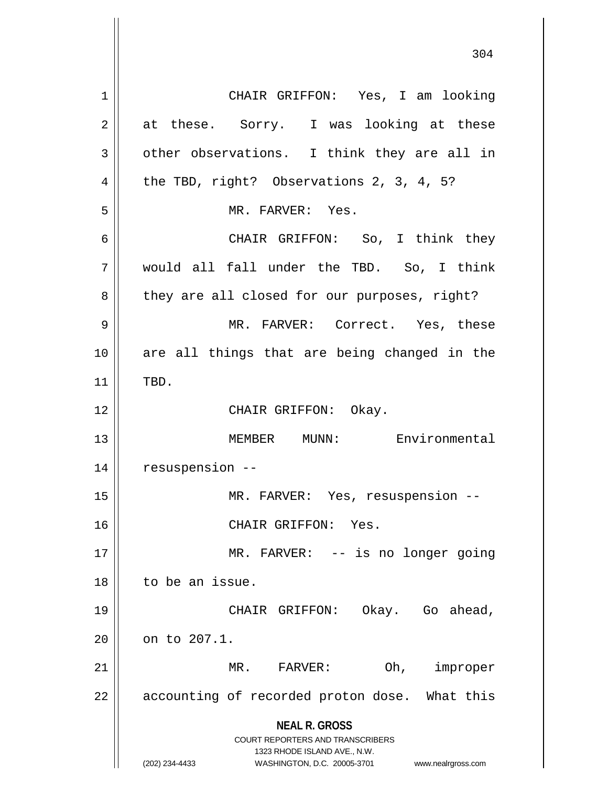**NEAL R. GROSS** COURT REPORTERS AND TRANSCRIBERS 1323 RHODE ISLAND AVE., N.W. (202) 234-4433 WASHINGTON, D.C. 20005-3701 www.nealrgross.com 1 CHAIR GRIFFON: Yes, I am looking  $2 \parallel$  at these. Sorry. I was looking at these  $3 \parallel$  other observations. I think they are all in 4 || the TBD, right? Observations 2, 3, 4, 5? 5 MR. FARVER: Yes. 6 CHAIR GRIFFON: So, I think they 7 would all fall under the TBD. So, I think  $8 \parallel$  they are all closed for our purposes, right? 9 MR. FARVER: Correct. Yes, these 10 are all things that are being changed in the  $11$  TBD. 12 || CHAIR GRIFFON: Okay. 13 MEMBER MUNN: Environmental 14 resuspension -- 15 || MR. FARVER: Yes, resuspension --16 || CHAIR GRIFFON: Yes. 17 || MR. FARVER: -- is no longer going 18 to be an issue. 19 CHAIR GRIFFON: Okay. Go ahead,  $20$  |  $\circ$  on to 207.1. 21 MR. FARVER: Oh, improper  $22$  || accounting of recorded proton dose. What this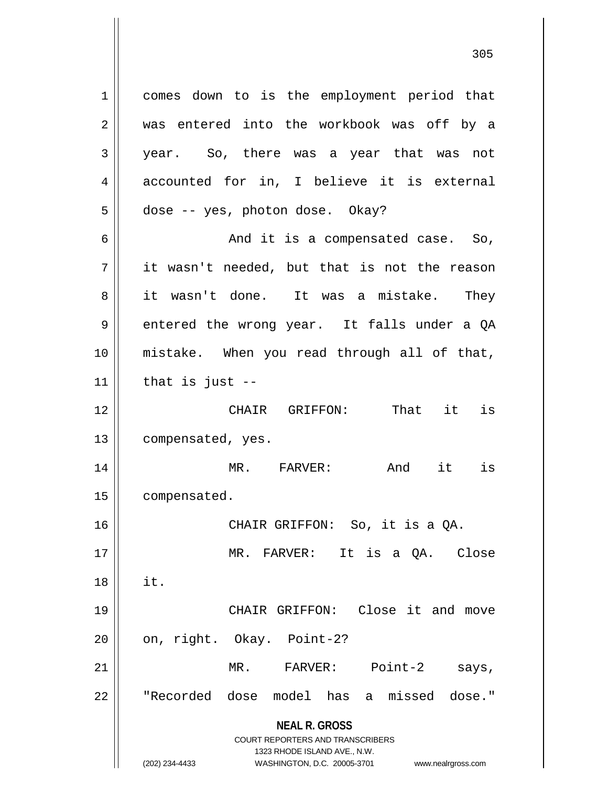**NEAL R. GROSS** COURT REPORTERS AND TRANSCRIBERS 1323 RHODE ISLAND AVE., N.W. 1 || comes down to is the employment period that 2 was entered into the workbook was off by a 3 year. So, there was a year that was not 4 accounted for in, I believe it is external  $5 \parallel$  dose -- yes, photon dose. Okay? 6 And it is a compensated case. So,  $7 \parallel$  it wasn't needed, but that is not the reason 8 it wasn't done. It was a mistake. They 9 entered the wrong year. It falls under a QA 10 mistake. When you read through all of that,  $11$  | that is just  $-$ 12 CHAIR GRIFFON: That it is 13 | compensated, yes. 14 || MR. FARVER: And it is 15 | compensated. 16 CHAIR GRIFFON: So, it is a QA. 17 MR. FARVER: It is a QA. Close  $18 \parallel$  it. 19 CHAIR GRIFFON: Close it and move  $20$  | on, right. Okay. Point-2? 21 MR. FARVER: Point-2 says, 22 || "Recorded dose model has a missed dose."

(202) 234-4433 WASHINGTON, D.C. 20005-3701 www.nealrgross.com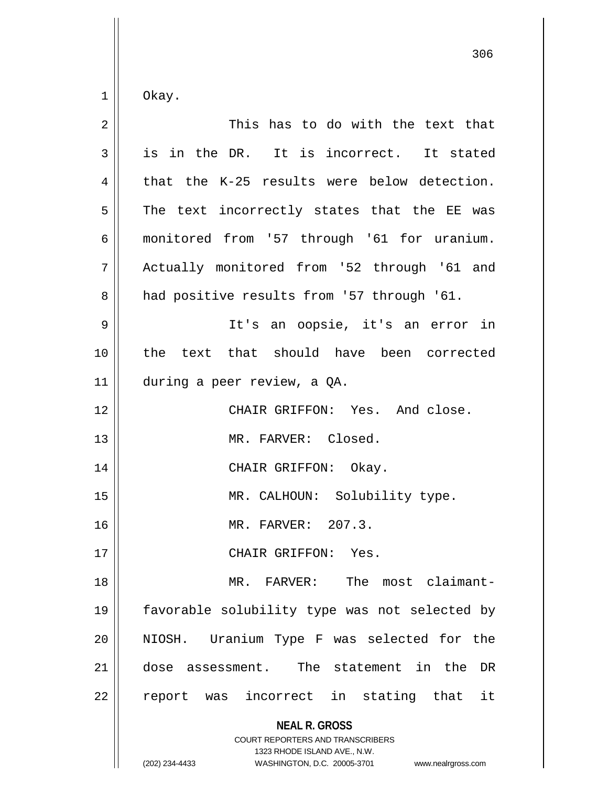$1 \parallel$  Okay.

| $\overline{2}$ | This has to do with the text that                                                                                                                                      |
|----------------|------------------------------------------------------------------------------------------------------------------------------------------------------------------------|
| 3              | is in the DR. It is incorrect. It stated                                                                                                                               |
| 4              | that the K-25 results were below detection.                                                                                                                            |
| 5              | The text incorrectly states that the EE was                                                                                                                            |
| $\epsilon$     | monitored from '57 through '61 for uranium.                                                                                                                            |
| 7              | Actually monitored from '52 through '61 and                                                                                                                            |
| 8              | had positive results from '57 through '61.                                                                                                                             |
| $\mathsf 9$    | It's an oopsie, it's an error in                                                                                                                                       |
| 10             | the text that should have been corrected                                                                                                                               |
| 11             | during a peer review, a QA.                                                                                                                                            |
| 12             | CHAIR GRIFFON: Yes. And close.                                                                                                                                         |
| 13             | MR. FARVER: Closed.                                                                                                                                                    |
| 14             | CHAIR GRIFFON: Okay.                                                                                                                                                   |
| 15             | MR. CALHOUN: Solubility type.                                                                                                                                          |
| 16             | MR. FARVER: 207.3.                                                                                                                                                     |
| 17             | CHAIR GRIFFON: Yes.                                                                                                                                                    |
| 18             | The most claimant-<br>MR. FARVER:                                                                                                                                      |
| 19             | favorable solubility type was not selected by                                                                                                                          |
| 20             | NIOSH. Uranium Type F was selected for the                                                                                                                             |
| 21             | assessment. The statement in the<br>DR<br>dose                                                                                                                         |
| 22             | incorrect in stating that<br>it<br>report<br>was                                                                                                                       |
|                | <b>NEAL R. GROSS</b><br><b>COURT REPORTERS AND TRANSCRIBERS</b><br>1323 RHODE ISLAND AVE., N.W.<br>WASHINGTON, D.C. 20005-3701<br>(202) 234-4433<br>www.nealrgross.com |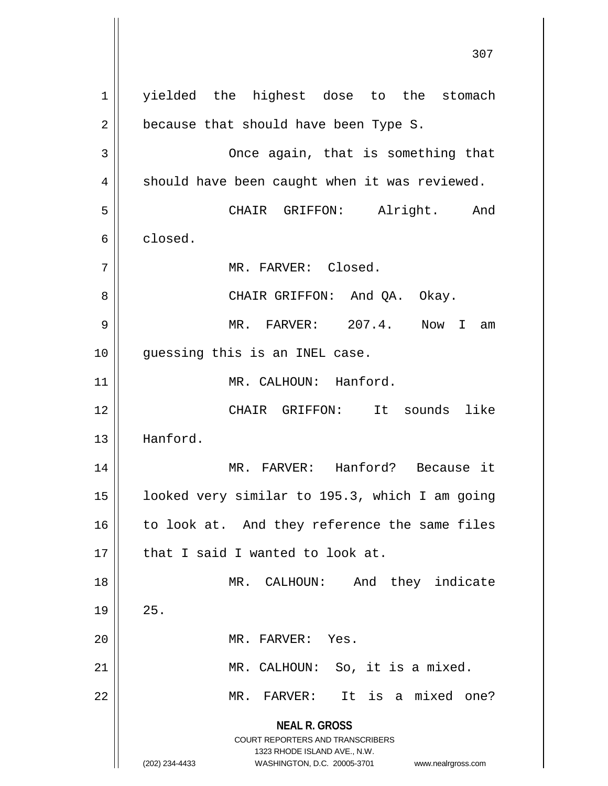**NEAL R. GROSS** COURT REPORTERS AND TRANSCRIBERS 1323 RHODE ISLAND AVE., N.W. (202) 234-4433 WASHINGTON, D.C. 20005-3701 www.nealrgross.com 1 || yielded the highest dose to the stomach  $2 \parallel$  because that should have been Type S. 3 Once again, that is something that  $4 \parallel$  should have been caught when it was reviewed. 5 CHAIR GRIFFON: Alright. And 6 closed. 7 MR. FARVER: Closed. 8 CHAIR GRIFFON: And QA. Okay. 9 MR. FARVER: 207.4. Now I am 10 guessing this is an INEL case. 11 || MR. CALHOUN: Hanford. 12 CHAIR GRIFFON: It sounds like 13 Hanford. 14 MR. FARVER: Hanford? Because it 15 looked very similar to 195.3, which I am going  $16$  to look at. And they reference the same files  $17$  | that I said I wanted to look at. 18 || MR. CALHOUN: And they indicate  $19 \parallel 25.$ 20 || MR. FARVER: Yes. 21 || MR. CALHOUN: So, it is a mixed. 22 MR. FARVER: It is a mixed one?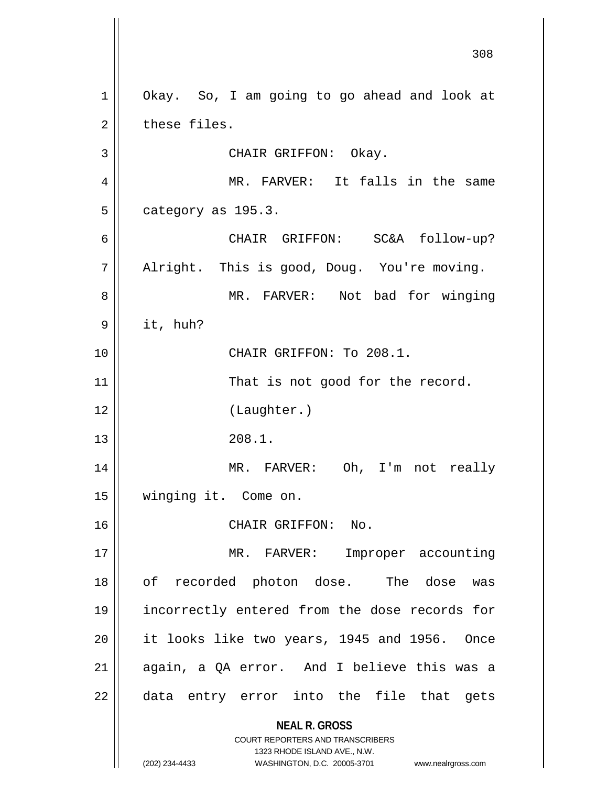**NEAL R. GROSS** COURT REPORTERS AND TRANSCRIBERS 1323 RHODE ISLAND AVE., N.W. (202) 234-4433 WASHINGTON, D.C. 20005-3701 www.nealrgross.com 1 | Okay. So, I am going to go ahead and look at  $2 \parallel$  these files. 3 | CHAIR GRIFFON: Okay. 4 || MR. FARVER: It falls in the same  $5 \parallel$  category as 195.3. 6 CHAIR GRIFFON: SC&A follow-up?  $7 \parallel$  Alright. This is good, Doug. You're moving. 8 MR. FARVER: Not bad for winging  $9 \parallel$  it, huh? 10 || CHAIR GRIFFON: To 208.1. 11 || That is not good for the record. 12 (Laughter.)  $13 \parallel 208.1.$ 14 MR. FARVER: Oh, I'm not really 15 winging it. Come on. 16 CHAIR GRIFFON: No. 17 || MR. FARVER: Improper accounting 18 || of recorded photon dose. The dose was 19 incorrectly entered from the dose records for 20 it looks like two years, 1945 and 1956. Once 21 || again, a QA error. And I believe this was a 22 || data entry error into the file that gets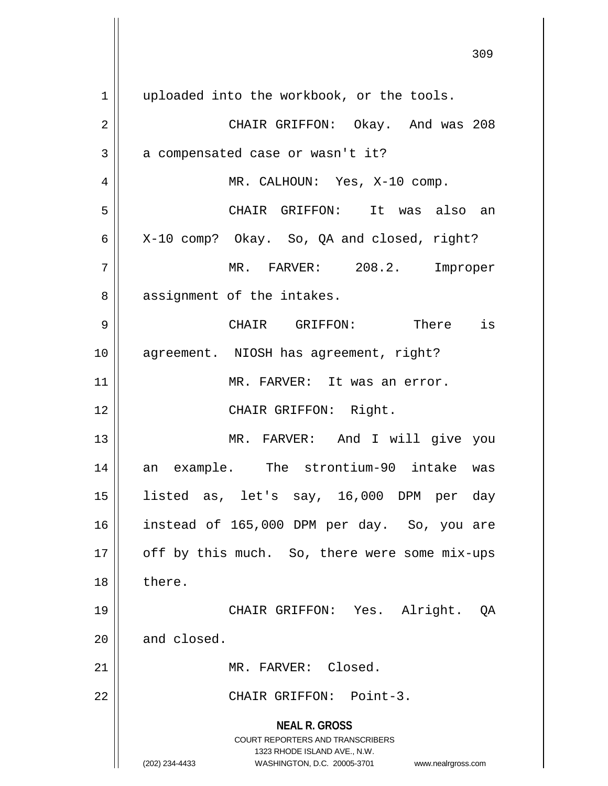**NEAL R. GROSS** COURT REPORTERS AND TRANSCRIBERS 1323 RHODE ISLAND AVE., N.W. (202) 234-4433 WASHINGTON, D.C. 20005-3701 www.nealrgross.com 1 || uploaded into the workbook, or the tools. 2 CHAIR GRIFFON: Okay. And was 208  $3 \parallel$  a compensated case or wasn't it? 4 || MR. CALHOUN: Yes, X-10 comp. 5 CHAIR GRIFFON: It was also an  $6 \parallel$  X-10 comp? Okay. So, QA and closed, right? 7 MR. FARVER: 208.2. Improper 8 || assignment of the intakes. 9 CHAIR GRIFFON: There is 10 || agreement. NIOSH has agreement, right? 11 || MR. FARVER: It was an error. 12 || CHAIR GRIFFON: Right. 13 MR. FARVER: And I will give you 14 an example. The strontium-90 intake was 15 listed as, let's say, 16,000 DPM per day 16 instead of 165,000 DPM per day. So, you are  $17$  | off by this much. So, there were some mix-ups 18 ll there. 19 CHAIR GRIFFON: Yes. Alright. QA  $20$  | and closed. 21 || MR. FARVER: Closed. 22 CHAIR GRIFFON: Point-3.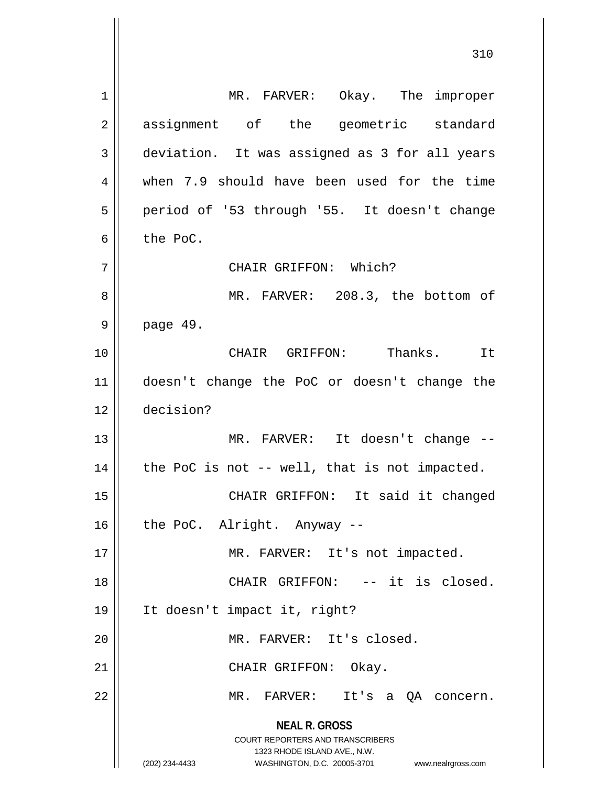**NEAL R. GROSS** COURT REPORTERS AND TRANSCRIBERS 1323 RHODE ISLAND AVE., N.W. (202) 234-4433 WASHINGTON, D.C. 20005-3701 www.nealrgross.com 1 | MR. FARVER: Okay. The improper 2 assignment of the geometric standard 3 deviation. It was assigned as 3 for all years 4 when 7.9 should have been used for the time 5 | period of '53 through '55. It doesn't change  $6 \parallel$  the PoC. 7 CHAIR GRIFFON: Which? 8 MR. FARVER: 208.3, the bottom of 9 page 49. 10 CHAIR GRIFFON: Thanks. It 11 doesn't change the PoC or doesn't change the 12 decision? 13 || MR. FARVER: It doesn't change -- $14$  | the PoC is not -- well, that is not impacted. 15 || CHAIR GRIFFON: It said it changed  $16$  | the PoC. Alright. Anyway --17 || MR. FARVER: It's not impacted. 18 || CHAIR GRIFFON: -- it is closed. 19 It doesn't impact it, right? 20 MR. FARVER: It's closed. 21 || CHAIR GRIFFON: Okay. 22 MR. FARVER: It's a QA concern.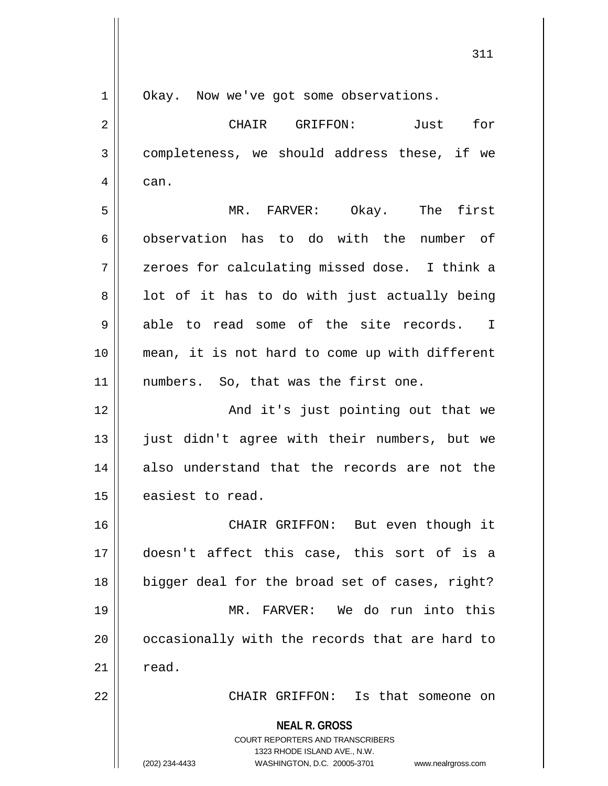**NEAL R. GROSS** COURT REPORTERS AND TRANSCRIBERS 1323 RHODE ISLAND AVE., N.W. 1 | Okay. Now we've got some observations. 2 CHAIR GRIFFON: Just for 3 completeness, we should address these, if we 4 can. 5 MR. FARVER: Okay. The first 6 observation has to do with the number of 7 zeroes for calculating missed dose. I think a  $8 \parallel$  lot of it has to do with just actually being  $9 \parallel$  able to read some of the site records. I 10 mean, it is not hard to come up with different 11 || numbers. So, that was the first one. 12 || And it's just pointing out that we 13 || just didn't agree with their numbers, but we 14 also understand that the records are not the 15 | easiest to read. 16 CHAIR GRIFFON: But even though it 17 doesn't affect this case, this sort of is a 18 || bigger deal for the broad set of cases, right? 19 MR. FARVER: We do run into this 20 || occasionally with the records that are hard to  $21 \parallel$  read. 22 CHAIR GRIFFON: Is that someone on

(202) 234-4433 WASHINGTON, D.C. 20005-3701 www.nealrgross.com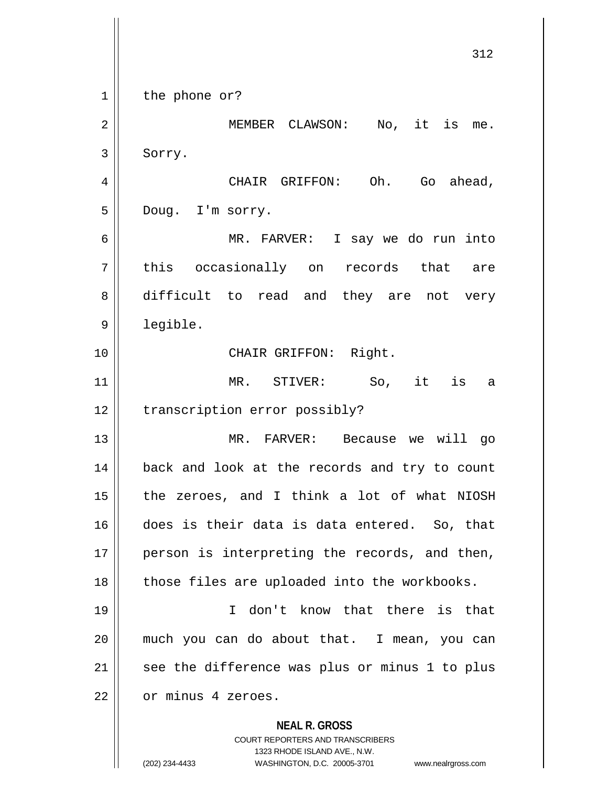**NEAL R. GROSS** COURT REPORTERS AND TRANSCRIBERS 1323 RHODE ISLAND AVE., N.W. (202) 234-4433 WASHINGTON, D.C. 20005-3701 www.nealrgross.com 312  $1 \parallel$  the phone or? 2 || MEMBER CLAWSON: No, it is me. 3 | Sorry. 4 CHAIR GRIFFON: Oh. Go ahead, 5 || Doug. I'm sorry. 6 MR. FARVER: I say we do run into 7 || this occasionally on records that are 8 difficult to read and they are not very 9 | legible. 10 || CHAIR GRIFFON: Right. 11 MR. STIVER: So, it is a 12 | transcription error possibly? 13 MR. FARVER: Because we will go 14 || back and look at the records and try to count 15 the zeroes, and I think a lot of what NIOSH 16 does is their data is data entered. So, that 17 || person is interpreting the records, and then,  $18$  || those files are uploaded into the workbooks. 19 I don't know that there is that 20 much you can do about that. I mean, you can  $21$  see the difference was plus or minus 1 to plus 22 | or minus 4 zeroes.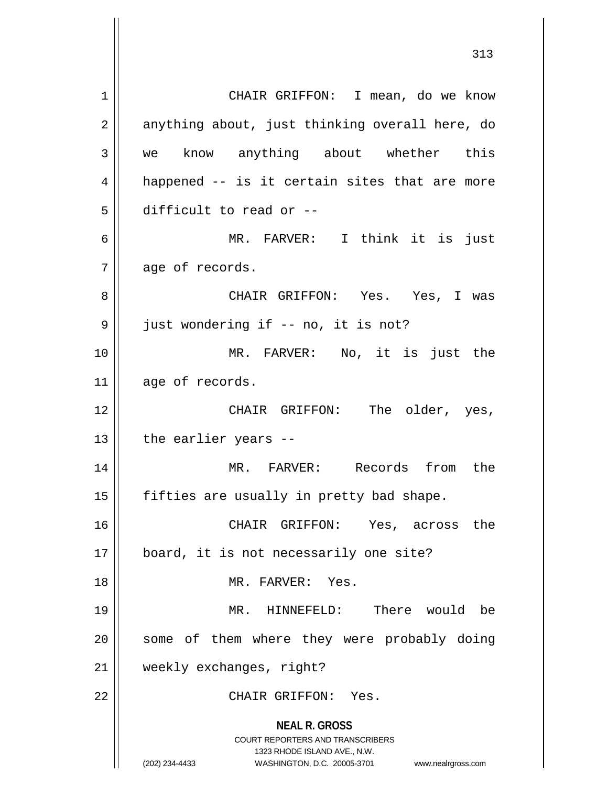**NEAL R. GROSS** COURT REPORTERS AND TRANSCRIBERS 1323 RHODE ISLAND AVE., N.W. (202) 234-4433 WASHINGTON, D.C. 20005-3701 www.nealrgross.com 1 || CHAIR GRIFFON: I mean, do we know  $2 \parallel$  anything about, just thinking overall here, do 3 || we know anything about whether this  $4 \parallel$  happened -- is it certain sites that are more 5 difficult to read or -- 6 MR. FARVER: I think it is just  $7 \parallel$  age of records. 8 CHAIR GRIFFON: Yes. Yes, I was 9 | just wondering if -- no, it is not? 10 MR. FARVER: No, it is just the 11 age of records. 12 CHAIR GRIFFON: The older, yes,  $13$  | the earlier years  $-$ 14 MR. FARVER: Records from the  $15$  || fifties are usually in pretty bad shape. 16 CHAIR GRIFFON: Yes, across the 17 board, it is not necessarily one site? 18 MR. FARVER: Yes. 19 MR. HINNEFELD: There would be 20 || some of them where they were probably doing 21 weekly exchanges, right? 22 CHAIR GRIFFON: Yes.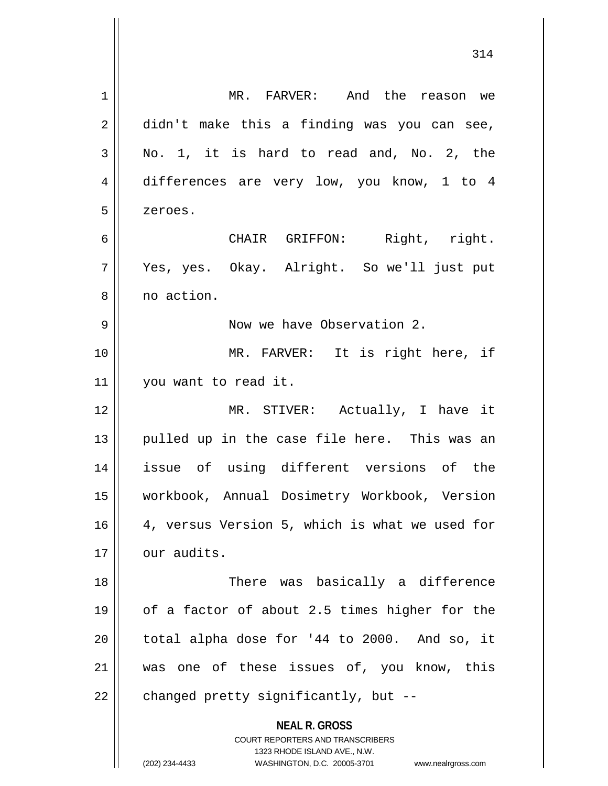| $\mathbf 1$ | MR. FARVER: And the reason we                                                                   |
|-------------|-------------------------------------------------------------------------------------------------|
| 2           | didn't make this a finding was you can see,                                                     |
| 3           | No. 1, it is hard to read and, No. 2, the                                                       |
| 4           | differences are very low, you know, 1 to 4                                                      |
| 5           | zeroes.                                                                                         |
| 6           | CHAIR GRIFFON: Right, right.                                                                    |
| 7           | Yes, yes. Okay. Alright. So we'll just put                                                      |
| 8           | no action.                                                                                      |
| 9           | Now we have Observation 2.                                                                      |
| 10          | MR. FARVER: It is right here, if                                                                |
| 11          | you want to read it.                                                                            |
| 12          | MR. STIVER: Actually, I have it                                                                 |
| 13          | pulled up in the case file here. This was an                                                    |
| 14          | issue of using different versions of the                                                        |
| 15          | workbook, Annual Dosimetry Workbook, Version                                                    |
| 16          | 4, versus Version 5, which is what we used for                                                  |
| 17          | our audits.                                                                                     |
| 18          | There was basically a difference                                                                |
| 19          | of a factor of about 2.5 times higher for the                                                   |
| 20          | total alpha dose for '44 to 2000. And so, it                                                    |
| 21          | was one of these issues of, you know, this                                                      |
| 22          | changed pretty significantly, but --                                                            |
|             | <b>NEAL R. GROSS</b><br><b>COURT REPORTERS AND TRANSCRIBERS</b><br>1323 RHODE ISLAND AVE., N.W. |
|             | (202) 234-4433<br>WASHINGTON, D.C. 20005-3701<br>www.nealrgross.com                             |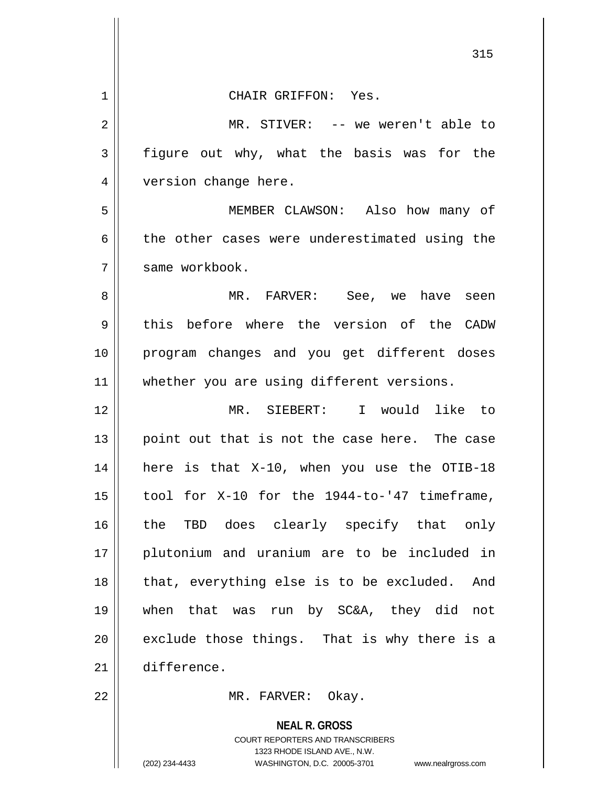| $1\,$ | CHAIR GRIFFON: Yes.                                      |
|-------|----------------------------------------------------------|
| 2     | MR. STIVER: -- we weren't able to                        |
| 3     | figure out why, what the basis was for the               |
| 4     | version change here.                                     |
| 5     | MEMBER CLAWSON: Also how many of                         |
| 6     | the other cases were underestimated using the            |
| 7     | same workbook.                                           |
| 8     | MR. FARVER: See, we have seen                            |
| 9     | this before where the version of the CADW                |
| 10    | program changes and you get different doses              |
| 11    | whether you are using different versions.                |
| 12    | MR. SIEBERT: I would like to                             |
| 13    | point out that is not the case here. The case            |
| 14    | here is that X-10, when you use the OTIB-18              |
| 15    | tool for X-10 for the 1944-to-'47 timeframe,             |
| 16    | the TBD does clearly specify that only                   |
| 17    | plutonium and uranium are to be included in              |
| 18    | that, everything else is to be excluded. And             |
| 19    | when that was run by SC&A, they did not                  |
| 20    | exclude those things. That is why there is a             |
| 21    | difference.                                              |
| 22    | MR. FARVER: Okay.                                        |
|       | <b>NEAL R. GROSS</b><br>COURT REPORTERS AND TRANSCRIBERS |

1323 RHODE ISLAND AVE., N.W.

 $\mathop{\text{||}}$ 

(202) 234-4433 WASHINGTON, D.C. 20005-3701 www.nealrgross.com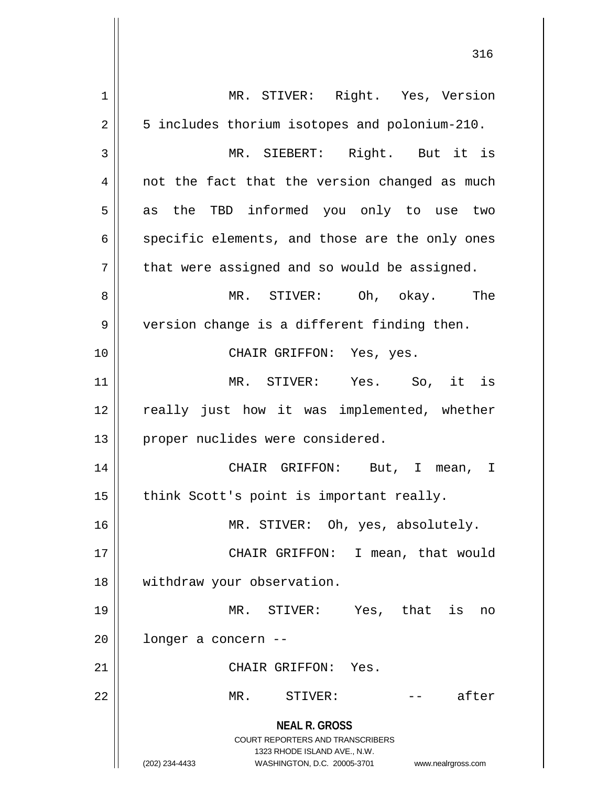**NEAL R. GROSS** COURT REPORTERS AND TRANSCRIBERS 1323 RHODE ISLAND AVE., N.W. (202) 234-4433 WASHINGTON, D.C. 20005-3701 www.nealrgross.com 1 || MR. STIVER: Right. Yes, Version 2 | 5 includes thorium isotopes and polonium-210. 3 MR. SIEBERT: Right. But it is  $4 \parallel$  not the fact that the version changed as much  $5 \parallel$  as the TBD informed you only to use two  $6 \parallel$  specific elements, and those are the only ones  $7 \parallel$  that were assigned and so would be assigned. 8 MR. STIVER: Oh, okay. The 9 || version change is a different finding then. 10 || CHAIR GRIFFON: Yes, yes. 11 MR. STIVER: Yes. So, it is 12 || really just how it was implemented, whether 13 || proper nuclides were considered. 14 CHAIR GRIFFON: But, I mean, I  $15$  || think Scott's point is important really. 16 || MR. STIVER: Oh, yes, absolutely. 17 || CHAIR GRIFFON: I mean, that would 18 withdraw your observation. 19 MR. STIVER: Yes, that is no  $20$  | longer a concern --21 CHAIR GRIFFON: Yes. 22 MR. STIVER: -- after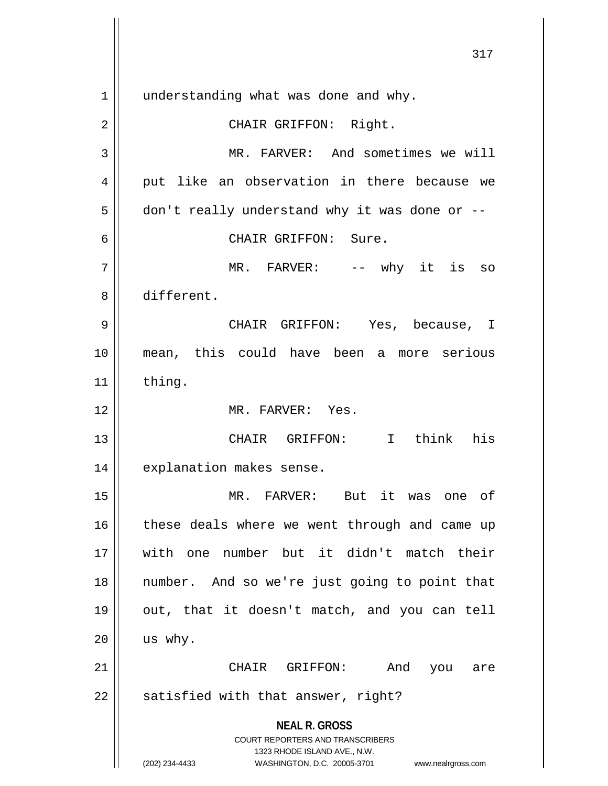**NEAL R. GROSS** COURT REPORTERS AND TRANSCRIBERS 1323 RHODE ISLAND AVE., N.W. (202) 234-4433 WASHINGTON, D.C. 20005-3701 www.nealrgross.com 1 || understanding what was done and why. 2 || CHAIR GRIFFON: Right. 3 || MR. FARVER: And sometimes we will 4 || put like an observation in there because we  $5 \parallel$  don't really understand why it was done or --6 CHAIR GRIFFON: Sure. 7 MR. FARVER: -- why it is so 8 different. 9 CHAIR GRIFFON: Yes, because, I 10 mean, this could have been a more serious  $11$  | thing. 12 MR. FARVER: Yes. 13 CHAIR GRIFFON: I think his 14 | explanation makes sense. 15 MR. FARVER: But it was one of 16 || these deals where we went through and came up 17 with one number but it didn't match their 18 number. And so we're just going to point that 19 || out, that it doesn't match, and you can tell  $20$  us why. 21 CHAIR GRIFFON: And you are  $22$  || satisfied with that answer, right?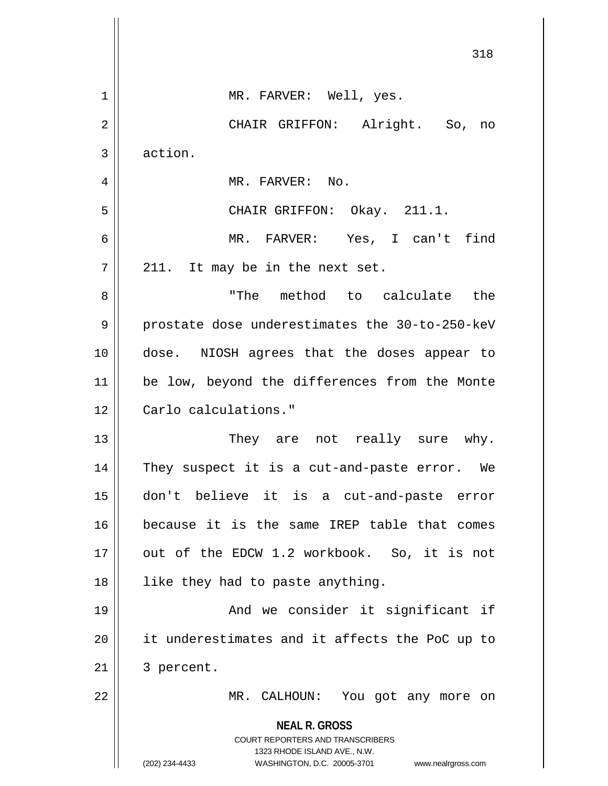|                | 318                                                                                                                                                             |
|----------------|-----------------------------------------------------------------------------------------------------------------------------------------------------------------|
| $\mathbf 1$    | MR. FARVER: Well, yes.                                                                                                                                          |
| $\overline{2}$ | CHAIR GRIFFON: Alright. So, no                                                                                                                                  |
| 3              | action.                                                                                                                                                         |
| 4              | MR. FARVER: No.                                                                                                                                                 |
| 5              | CHAIR GRIFFON: Okay. 211.1.                                                                                                                                     |
| 6              | MR. FARVER: Yes, I can't find                                                                                                                                   |
| 7              | 211. It may be in the next set.                                                                                                                                 |
| 8              | "The method to calculate the                                                                                                                                    |
| 9              | prostate dose underestimates the 30-to-250-keV                                                                                                                  |
| 10             | dose. NIOSH agrees that the doses appear to                                                                                                                     |
| 11             | be low, beyond the differences from the Monte                                                                                                                   |
| 12             | Carlo calculations."                                                                                                                                            |
| 13             | They are not really sure why.                                                                                                                                   |
| 14             | They suspect it is a cut-and-paste error. We                                                                                                                    |
| 15             | don't believe it is a cut-and-paste error                                                                                                                       |
| 16             | because it is the same IREP table that comes                                                                                                                    |
| 17             | out of the EDCW 1.2 workbook. So, it is not                                                                                                                     |
| 18             | like they had to paste anything.                                                                                                                                |
| 19             | And we consider it significant if                                                                                                                               |
| 20             | it underestimates and it affects the PoC up to                                                                                                                  |
| 21             | 3 percent.                                                                                                                                                      |
| 22             | MR. CALHOUN: You got any more on                                                                                                                                |
|                | <b>NEAL R. GROSS</b><br>COURT REPORTERS AND TRANSCRIBERS<br>1323 RHODE ISLAND AVE., N.W.<br>(202) 234-4433<br>WASHINGTON, D.C. 20005-3701<br>www.nealrgross.com |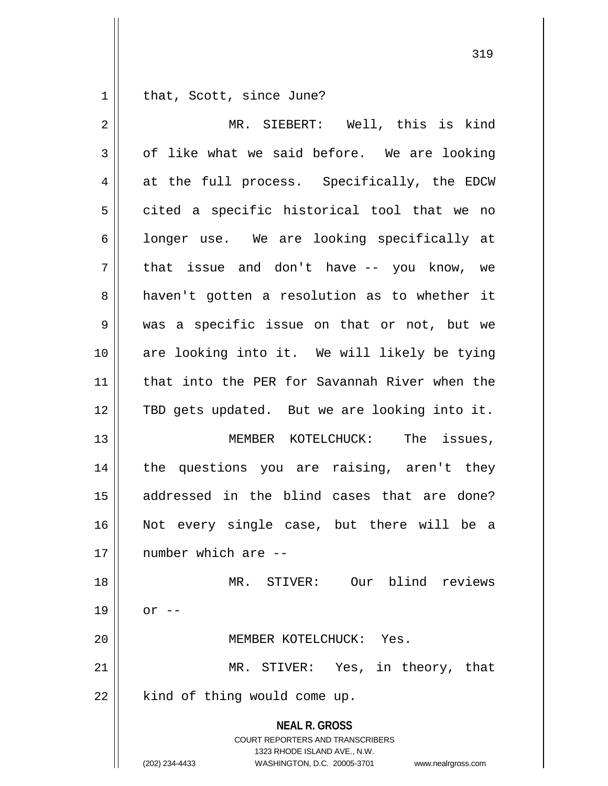$1 \parallel$  that, Scott, since June?

| $\overline{2}$ | MR. SIEBERT: Well, this is kind                                                                                                                                        |
|----------------|------------------------------------------------------------------------------------------------------------------------------------------------------------------------|
| 3              | of like what we said before. We are looking                                                                                                                            |
| 4              | at the full process. Specifically, the EDCW                                                                                                                            |
| 5              | cited a specific historical tool that we no                                                                                                                            |
| 6              | longer use. We are looking specifically at                                                                                                                             |
| 7              | that issue and don't have -- you know, we                                                                                                                              |
| 8              | haven't gotten a resolution as to whether it                                                                                                                           |
| 9              | was a specific issue on that or not, but we                                                                                                                            |
| 10             | are looking into it. We will likely be tying                                                                                                                           |
| 11             | that into the PER for Savannah River when the                                                                                                                          |
| 12             | TBD gets updated. But we are looking into it.                                                                                                                          |
| 13             | MEMBER KOTELCHUCK: The issues,                                                                                                                                         |
| 14             | the questions you are raising, aren't they                                                                                                                             |
| 15             | addressed in the blind cases that are done?                                                                                                                            |
| 16             | Not every single case, but there will be a                                                                                                                             |
| 17             | number which are --                                                                                                                                                    |
| 18             | MR. STIVER: Our blind reviews                                                                                                                                          |
| 19             | $or$ --                                                                                                                                                                |
| 20             | MEMBER KOTELCHUCK:<br>Yes.                                                                                                                                             |
| 21             | MR. STIVER: Yes, in theory, that                                                                                                                                       |
| 22             | kind of thing would come up.                                                                                                                                           |
|                | <b>NEAL R. GROSS</b><br><b>COURT REPORTERS AND TRANSCRIBERS</b><br>1323 RHODE ISLAND AVE., N.W.<br>(202) 234-4433<br>WASHINGTON, D.C. 20005-3701<br>www.nealrgross.com |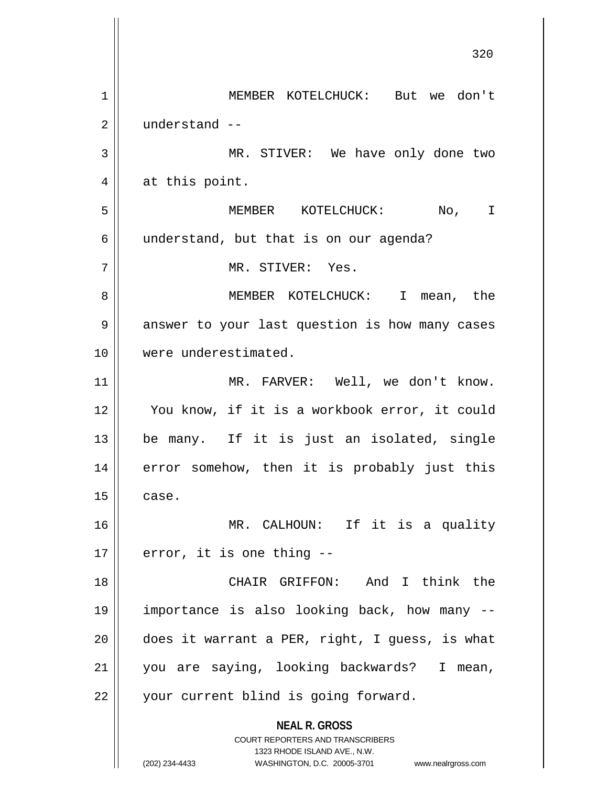**NEAL R. GROSS** COURT REPORTERS AND TRANSCRIBERS 1323 RHODE ISLAND AVE., N.W. (202) 234-4433 WASHINGTON, D.C. 20005-3701 www.nealrgross.com 320 1 MEMBER KOTELCHUCK: But we don't 2 understand -- 3 || MR. STIVER: We have only done two  $4 \parallel$  at this point. 5 MEMBER KOTELCHUCK: No, I  $6 \parallel$  understand, but that is on our agenda? 7 MR. STIVER: Yes. 8 MEMBER KOTELCHUCK: I mean, the 9 | answer to your last question is how many cases 10 were underestimated. 11 MR. FARVER: Well, we don't know. 12 || You know, if it is a workbook error, it could 13 be many. If it is just an isolated, single 14 || error somehow, then it is probably just this  $15$   $\vert$  case. 16 MR. CALHOUN: If it is a quality  $17 \parallel$  error, it is one thing --18 CHAIR GRIFFON: And I think the 19 importance is also looking back, how many --  $20$  || does it warrant a PER, right, I guess, is what 21 you are saying, looking backwards? I mean, 22 || your current blind is going forward.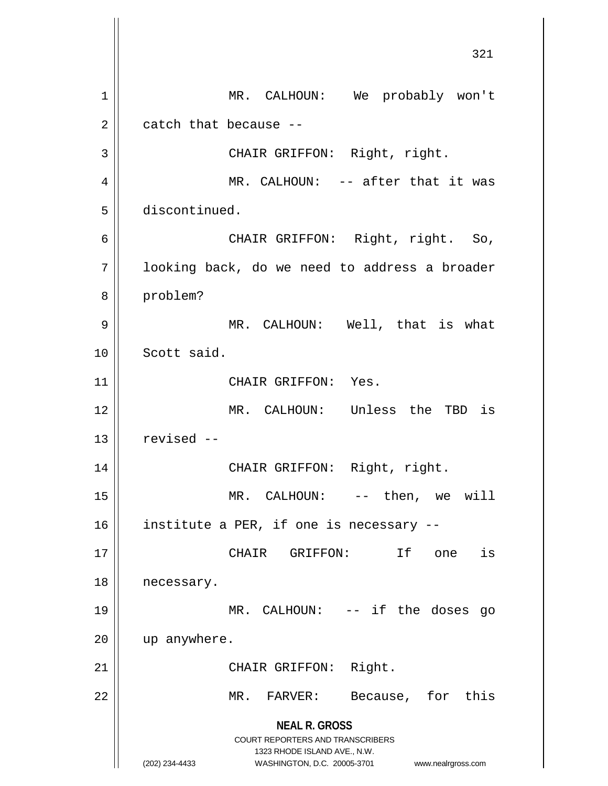**NEAL R. GROSS** COURT REPORTERS AND TRANSCRIBERS 1323 RHODE ISLAND AVE., N.W. (202) 234-4433 WASHINGTON, D.C. 20005-3701 www.nealrgross.com 321 1 | MR. CALHOUN: We probably won't  $2 \parallel$  catch that because --3 || CHAIR GRIFFON: Right, right. 4 MR. CALHOUN: -- after that it was 5 discontinued. 6 CHAIR GRIFFON: Right, right. So, 7 | looking back, do we need to address a broader 8 problem? 9 || MR. CALHOUN: Well, that is what 10 Scott said. 11 | CHAIR GRIFFON: Yes. 12 MR. CALHOUN: Unless the TBD is  $13$  | revised  $-$ 14 || CHAIR GRIFFON: Right, right. 15 || MR. CALHOUN: -- then, we will 16 | institute a PER, if one is necessary --17 CHAIR GRIFFON: If one is 18 | necessary. 19 MR. CALHOUN: -- if the doses go 20 up anywhere. 21 || CHAIR GRIFFON: Right. 22 || MR. FARVER: Because, for this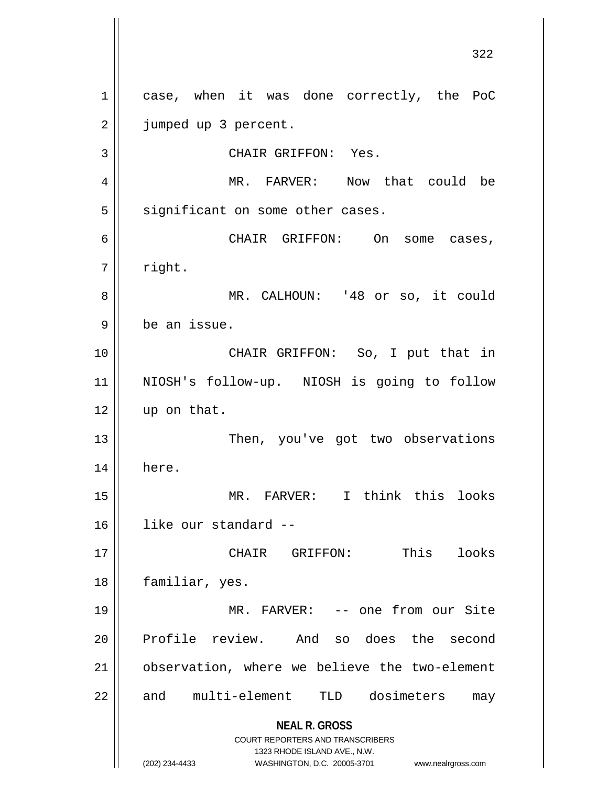**NEAL R. GROSS** COURT REPORTERS AND TRANSCRIBERS 1323 RHODE ISLAND AVE., N.W. (202) 234-4433 WASHINGTON, D.C. 20005-3701 www.nealrgross.com 1 || case, when it was done correctly, the PoC 2 | jumped up 3 percent. 3 || CHAIR GRIFFON: Yes. 4 MR. FARVER: Now that could be  $5 \parallel$  significant on some other cases. 6 CHAIR GRIFFON: On some cases,  $7 \parallel$  right. 8 MR. CALHOUN: '48 or so, it could 9 be an issue. 10 || CHAIR GRIFFON: So, I put that in 11 NIOSH's follow-up. NIOSH is going to follow 12 | up on that. 13 || Then, you've got two observations 14 here. 15 MR. FARVER: I think this looks 16 like our standard -- 17 CHAIR GRIFFON: This looks 18 | familiar, yes. 19 MR. FARVER: -- one from our Site 20 Profile review. And so does the second 21 observation, where we believe the two-element 22 || and multi-element TLD dosimeters may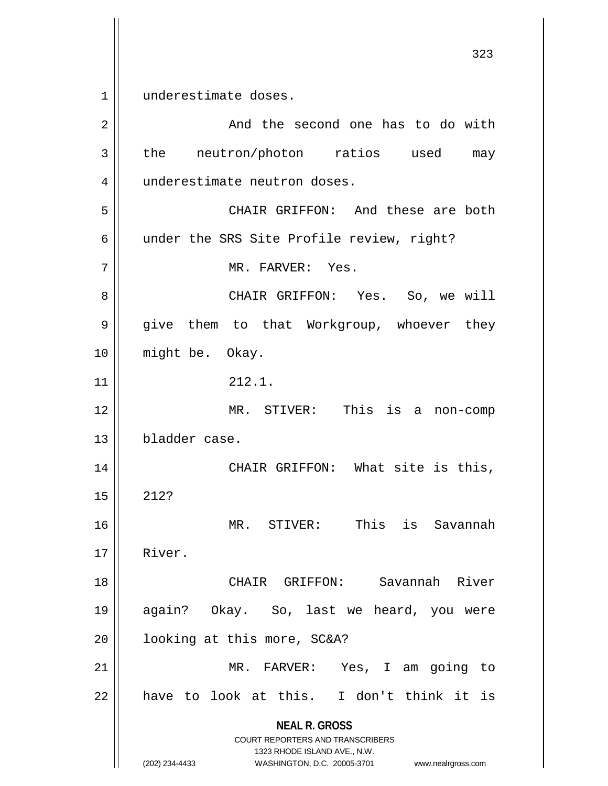1<sup>1</sup> underestimate doses.

**NEAL R. GROSS** COURT REPORTERS AND TRANSCRIBERS 1323 RHODE ISLAND AVE., N.W. (202) 234-4433 WASHINGTON, D.C. 20005-3701 www.nealrgross.com 2 | And the second one has to do with  $3 \parallel$  the neutron/photon ratios used may 4 | underestimate neutron doses. 5 CHAIR GRIFFON: And these are both 6 | under the SRS Site Profile review, right? 7 || MR. FARVER: Yes. 8 CHAIR GRIFFON: Yes. So, we will 9 give them to that Workgroup, whoever they 10 might be. Okay.  $11 \parallel 212.1.$ 12 MR. STIVER: This is a non-comp 13 bladder case. 14 || CHAIR GRIFFON: What site is this,  $15 \parallel 212?$ 16 MR. STIVER: This is Savannah 17 River. 18 CHAIR GRIFFON: Savannah River 19 again? Okay. So, last we heard, you were 20 | looking at this more, SC&A? 21 MR. FARVER: Yes, I am going to  $22$  have to look at this. I don't think it is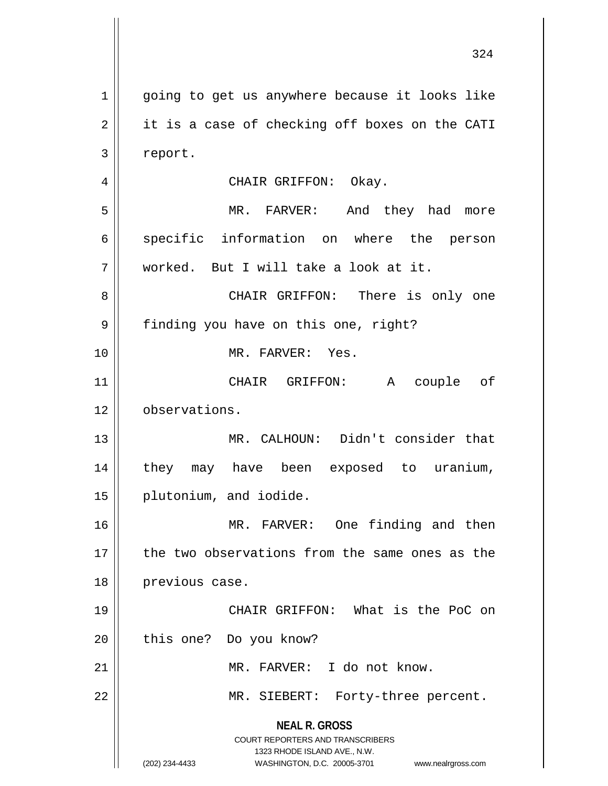**NEAL R. GROSS** COURT REPORTERS AND TRANSCRIBERS 1323 RHODE ISLAND AVE., N.W. (202) 234-4433 WASHINGTON, D.C. 20005-3701 www.nealrgross.com 1 || going to get us anywhere because it looks like  $2 \parallel$  it is a case of checking off boxes on the CATI 3 report. 4 CHAIR GRIFFON: Okay. 5 MR. FARVER: And they had more 6 specific information on where the person 7 worked. But I will take a look at it. 8 CHAIR GRIFFON: There is only one 9 | finding you have on this one, right? 10 MR. FARVER: Yes. 11 CHAIR GRIFFON: A couple of 12 | observations. 13 MR. CALHOUN: Didn't consider that 14 they may have been exposed to uranium, 15 || plutonium, and iodide. 16 || MR. FARVER: One finding and then 17 || the two observations from the same ones as the 18 | previous case. 19 || CHAIR GRIFFON: What is the PoC on 20 || this one? Do you know? 21 MR. FARVER: I do not know. 22 || MR. SIEBERT: Forty-three percent.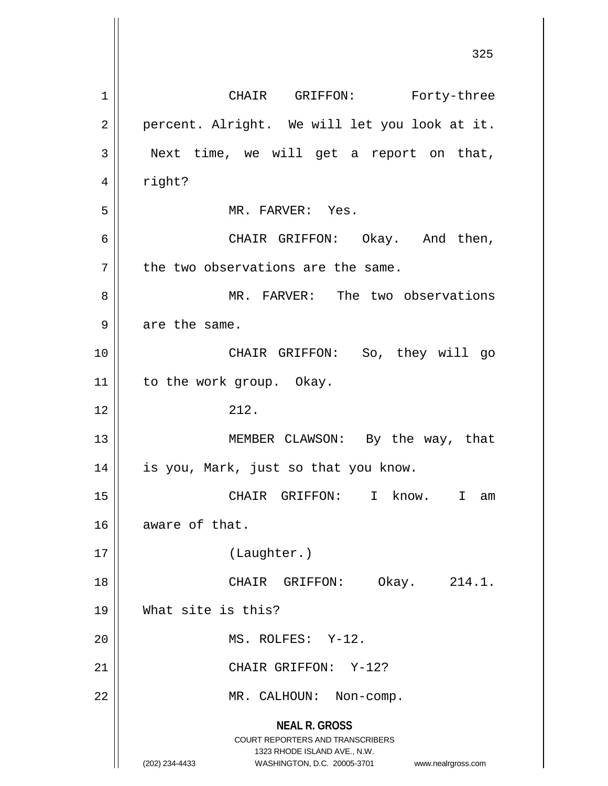**NEAL R. GROSS** COURT REPORTERS AND TRANSCRIBERS 1323 RHODE ISLAND AVE., N.W. (202) 234-4433 WASHINGTON, D.C. 20005-3701 www.nealrgross.com 1 | CHAIR GRIFFON: Forty-three 2 || percent. Alright. We will let you look at it.  $3 \parallel$  Next time, we will get a report on that,  $4 \parallel$  right? 5 MR. FARVER: Yes. 6 CHAIR GRIFFON: Okay. And then,  $7$  | the two observations are the same. 8 MR. FARVER: The two observations  $9$  | are the same. 10 CHAIR GRIFFON: So, they will go 11 | to the work group. Okay.  $12 \parallel 212.$ 13 || MEMBER CLAWSON: By the way, that 14 || is you, Mark, just so that you know. 15 CHAIR GRIFFON: I know. I am 16 aware of that. 17 (Laughter.) 18 || CHAIR GRIFFON: Okay. 214.1. 19 What site is this? 20 || MS. ROLFES: Y-12. 21 | CHAIR GRIFFON: Y-12? 22 | MR. CALHOUN: Non-comp.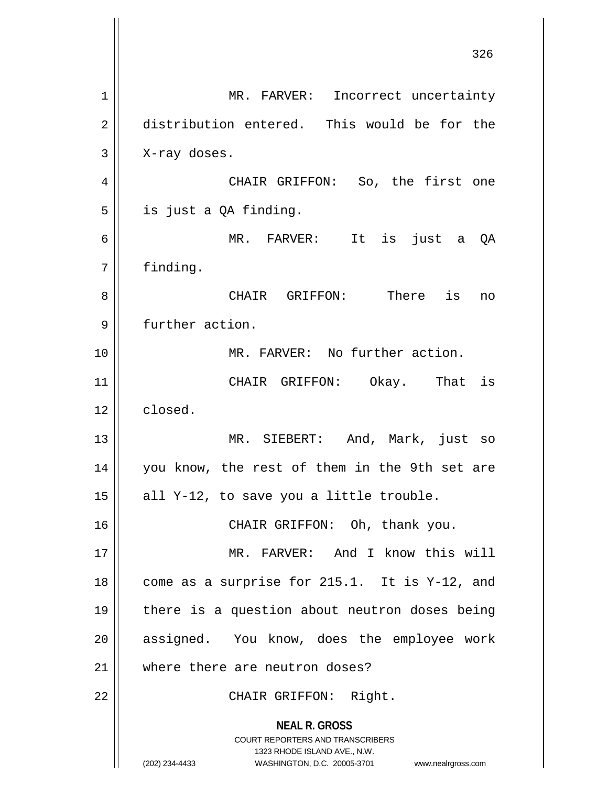**NEAL R. GROSS** COURT REPORTERS AND TRANSCRIBERS 1323 RHODE ISLAND AVE., N.W. (202) 234-4433 WASHINGTON, D.C. 20005-3701 www.nealrgross.com 1 | MR. FARVER: Incorrect uncertainty 2 distribution entered. This would be for the  $3 \parallel$  X-ray doses. 4 CHAIR GRIFFON: So, the first one  $5 \parallel$  is just a QA finding. 6 MR. FARVER: It is just a QA 7 | finding. 8 CHAIR GRIFFON: There is no 9 | further action. 10 MR. FARVER: No further action. 11 || CHAIR GRIFFON: Okay. That is  $12 \parallel$  closed. 13 MR. SIEBERT: And, Mark, just so 14 || you know, the rest of them in the 9th set are 15  $\parallel$  all Y-12, to save you a little trouble. 16 || CHAIR GRIFFON: Oh, thank you. 17 MR. FARVER: And I know this will 18  $\parallel$  come as a surprise for 215.1. It is Y-12, and 19 there is a question about neutron doses being 20 || assigned. You know, does the employee work 21 where there are neutron doses? 22 || CHAIR GRIFFON: Right.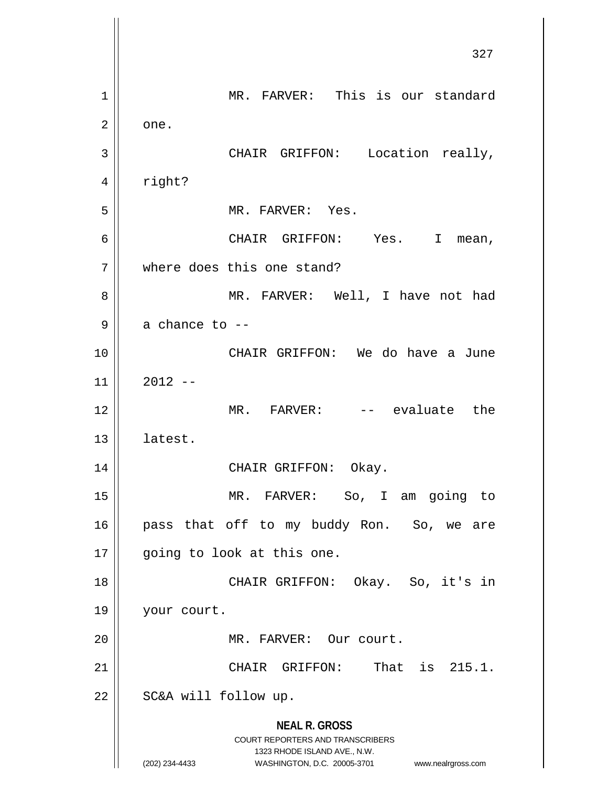**NEAL R. GROSS** COURT REPORTERS AND TRANSCRIBERS 1323 RHODE ISLAND AVE., N.W. (202) 234-4433 WASHINGTON, D.C. 20005-3701 www.nealrgross.com 327 1 | MR. FARVER: This is our standard  $2 \parallel$  one. 3 || CHAIR GRIFFON: Location really, 4 | right? 5 || MR. FARVER: Yes. 6 CHAIR GRIFFON: Yes. I mean, 7 where does this one stand? 8 MR. FARVER: Well, I have not had  $9 \parallel$  a chance to  $-$ 10 CHAIR GRIFFON: We do have a June  $11 \parallel 2012 -$ 12 MR. FARVER: -- evaluate the 13 latest. 14 CHAIR GRIFFON: Okay. 15 MR. FARVER: So, I am going to 16 || pass that off to my buddy Ron. So, we are 17 || going to look at this one. 18 CHAIR GRIFFON: Okay. So, it's in 19 | your court. 20 || MR. FARVER: Our court. 21  $\parallel$  CHAIR GRIFFON: That is 215.1.  $22$  | SC&A will follow up.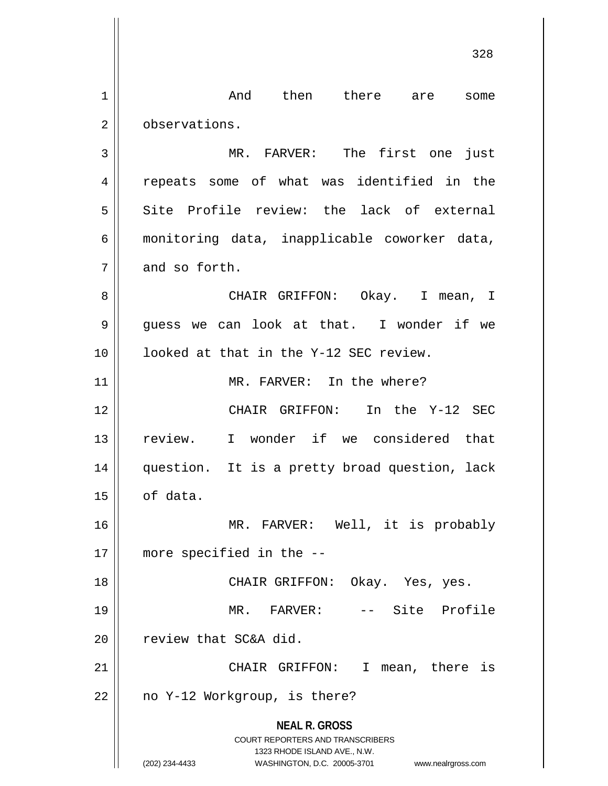**NEAL R. GROSS** COURT REPORTERS AND TRANSCRIBERS 1323 RHODE ISLAND AVE., N.W. (202) 234-4433 WASHINGTON, D.C. 20005-3701 www.nealrgross.com 1 and then there are some 2 | observations. 3 || MR. FARVER: The first one just 4 || repeats some of what was identified in the 5 Site Profile review: the lack of external 6 monitoring data, inapplicable coworker data,  $7 \parallel$  and so forth. 8 CHAIR GRIFFON: Okay. I mean, I  $9 \parallel$  quess we can look at that. I wonder if we 10 || looked at that in the Y-12 SEC review. 11 || MR. FARVER: In the where? 12 CHAIR GRIFFON: In the Y-12 SEC 13 || review. I wonder if we considered that 14 question. It is a pretty broad question, lack  $15$  of data. 16 || MR. FARVER: Well, it is probably 17 more specified in the -- 18 CHAIR GRIFFON: Okay. Yes, yes. 19 MR. FARVER: -- Site Profile 20 || review that SC&A did. 21 || CHAIR GRIFFON: I mean, there is  $22 \parallel$  no Y-12 Workgroup, is there?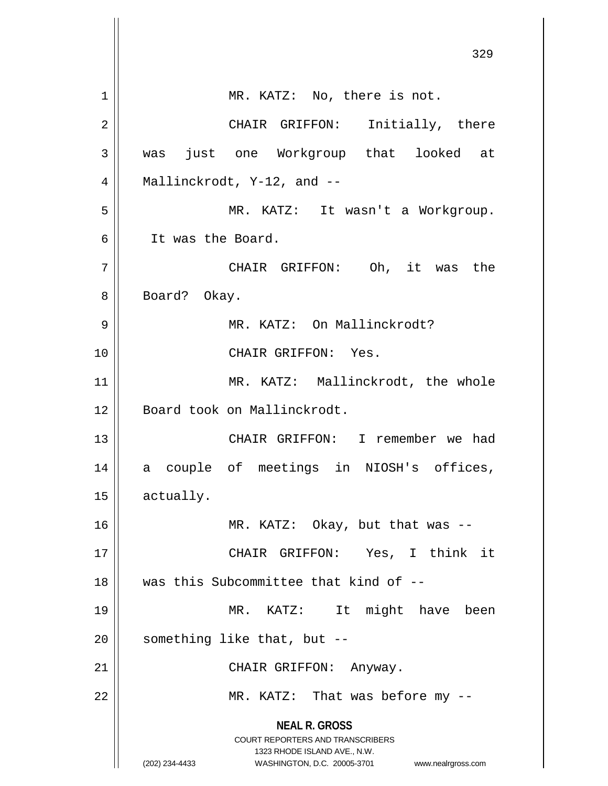|                | 329                                                                                                 |
|----------------|-----------------------------------------------------------------------------------------------------|
| 1              | MR. KATZ: No, there is not.                                                                         |
| $\overline{2}$ | CHAIR GRIFFON: Initially, there                                                                     |
| 3              | was just one Workgroup that looked at                                                               |
| 4              | Mallinckrodt, $Y-12$ , and $-$                                                                      |
| 5              | MR. KATZ: It wasn't a Workgroup.                                                                    |
| 6              | It was the Board.                                                                                   |
| 7              | CHAIR GRIFFON: Oh, it was the                                                                       |
| 8              | Board? Okay.                                                                                        |
| 9              | MR. KATZ: On Mallinckrodt?                                                                          |
| 10             | CHAIR GRIFFON: Yes.                                                                                 |
| 11             | MR. KATZ: Mallinckrodt, the whole                                                                   |
| 12             | Board took on Mallinckrodt.                                                                         |
| 13             | CHAIR GRIFFON: I remember we had                                                                    |
| 14             | a couple of meetings in NIOSH's offices,                                                            |
| 15             | actually.                                                                                           |
| 16             | MR. KATZ: Okay, but that was --                                                                     |
| 17             | CHAIR GRIFFON: Yes, I think it                                                                      |
| 18             | was this Subcommittee that kind of --                                                               |
| 19             | MR. KATZ: It might have been                                                                        |
| 20             | something like that, but --                                                                         |
| 21             | CHAIR GRIFFON: Anyway.                                                                              |
| 22             | MR. KATZ: That was before my --                                                                     |
|                | <b>NEAL R. GROSS</b>                                                                                |
|                | <b>COURT REPORTERS AND TRANSCRIBERS</b>                                                             |
|                | 1323 RHODE ISLAND AVE., N.W.<br>(202) 234-4433<br>WASHINGTON, D.C. 20005-3701<br>www.nealrgross.com |
|                |                                                                                                     |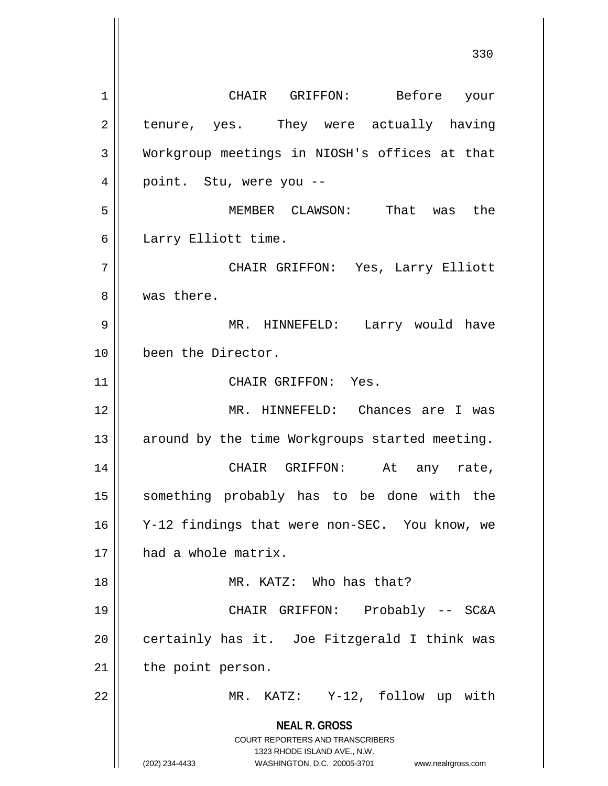**NEAL R. GROSS** COURT REPORTERS AND TRANSCRIBERS 1323 RHODE ISLAND AVE., N.W. (202) 234-4433 WASHINGTON, D.C. 20005-3701 www.nealrgross.com 1 CHAIR GRIFFON: Before your  $2 \parallel$  tenure, yes. They were actually having 3 Workgroup meetings in NIOSH's offices at that 4 || point. Stu, were you --5 MEMBER CLAWSON: That was the 6 | Larry Elliott time. 7 CHAIR GRIFFON: Yes, Larry Elliott 8 || was there. 9 MR. HINNEFELD: Larry would have 10 been the Director. 11 || CHAIR GRIFFON: Yes. 12 MR. HINNEFELD: Chances are I was  $13$  around by the time Workgroups started meeting. 14 CHAIR GRIFFON: At any rate, 15 something probably has to be done with the 16 Y-12 findings that were non-SEC. You know, we 17 || had a whole matrix. 18 MR. KATZ: Who has that? 19 CHAIR GRIFFON: Probably -- SC&A  $20$  | certainly has it. Joe Fitzgerald I think was  $21$  | the point person. 22 MR. KATZ: Y-12, follow up with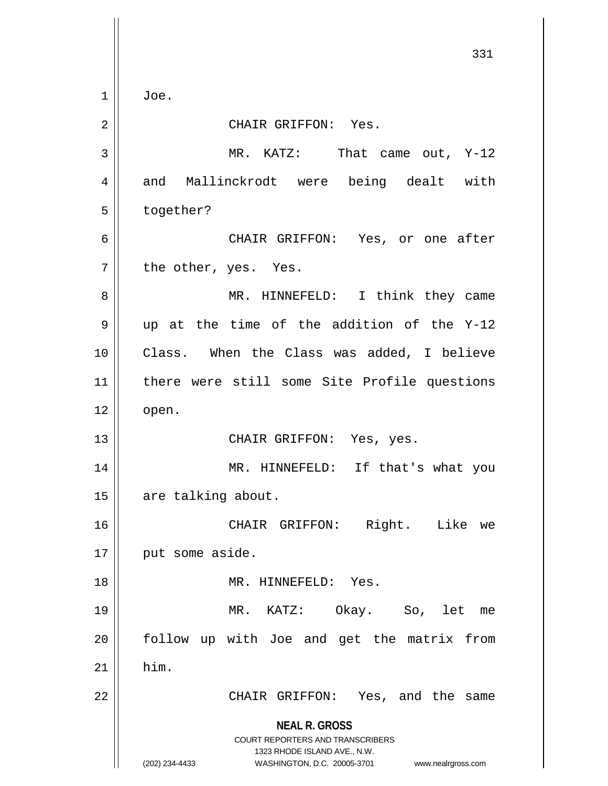**NEAL R. GROSS** COURT REPORTERS AND TRANSCRIBERS 1323 RHODE ISLAND AVE., N.W. (202) 234-4433 WASHINGTON, D.C. 20005-3701 www.nealrgross.com 331  $1 \parallel$  Joe. 2 || CHAIR GRIFFON: Yes. 3 MR. KATZ: That came out, Y-12 4 and Mallinckrodt were being dealt with 5 | together? 6 CHAIR GRIFFON: Yes, or one after  $7$  | the other, yes. Yes. 8 MR. HINNEFELD: I think they came  $9 \parallel$  up at the time of the addition of the Y-12 10 Class. When the Class was added, I believe 11 there were still some Site Profile questions  $12 \parallel$  open. 13 || CHAIR GRIFFON: Yes, yes. 14 || MR. HINNEFELD: If that's what you 15 | are talking about. 16 CHAIR GRIFFON: Right. Like we 17 || put some aside. 18 || MR. HINNEFELD: Yes. 19 MR. KATZ: Okay. So, let me 20 || follow up with Joe and get the matrix from  $21$  him. 22 || CHAIR GRIFFON: Yes, and the same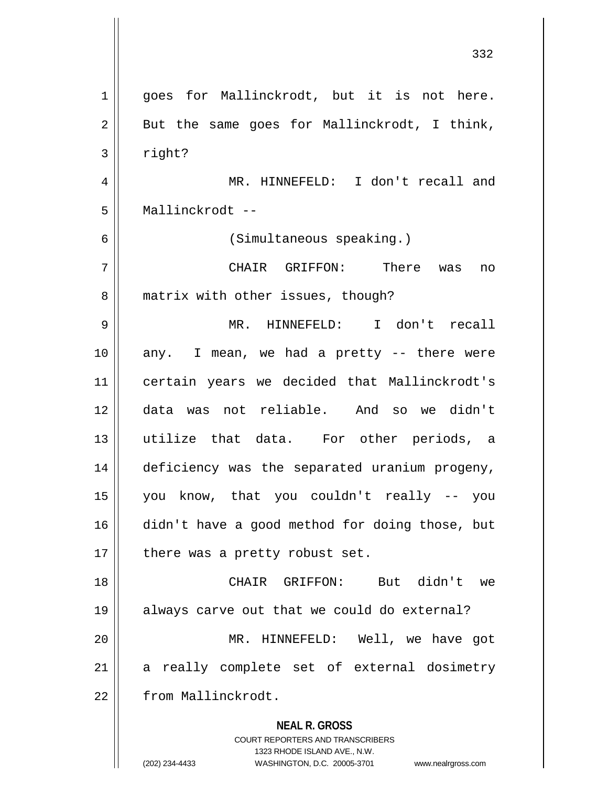| $\mathbf{1}$ | goes for Mallinckrodt, but it is not here.                                                          |
|--------------|-----------------------------------------------------------------------------------------------------|
| 2            | But the same goes for Mallinckrodt, I think,                                                        |
| 3            | right?                                                                                              |
| 4            | MR. HINNEFELD: I don't recall and                                                                   |
| 5            | Mallinckrodt --                                                                                     |
| 6            | (Simultaneous speaking.)                                                                            |
| 7            | CHAIR GRIFFON: There was no                                                                         |
| 8            | matrix with other issues, though?                                                                   |
| 9            | MR. HINNEFELD: I don't recall                                                                       |
| 10           | any. I mean, we had a pretty -- there were                                                          |
| 11           | certain years we decided that Mallinckrodt's                                                        |
| 12           | data was not reliable. And so we didn't                                                             |
| 13           | utilize that data. For other periods, a                                                             |
| 14           | deficiency was the separated uranium progeny,                                                       |
| 15           | you know, that you couldn't really -- you                                                           |
| 16           | didn't have a good method for doing those, but                                                      |
| 17           | there was a pretty robust set.                                                                      |
| 18           | But didn't we<br>CHAIR GRIFFON:                                                                     |
| 19           | always carve out that we could do external?                                                         |
| 20           | MR. HINNEFELD: Well, we have got                                                                    |
| 21           | a really complete set of external dosimetry                                                         |
| 22           | from Mallinckrodt.                                                                                  |
|              | <b>NEAL R. GROSS</b>                                                                                |
|              | <b>COURT REPORTERS AND TRANSCRIBERS</b>                                                             |
|              | 1323 RHODE ISLAND AVE., N.W.<br>(202) 234-4433<br>WASHINGTON, D.C. 20005-3701<br>www.nealrgross.com |

 $\mathsf{I}$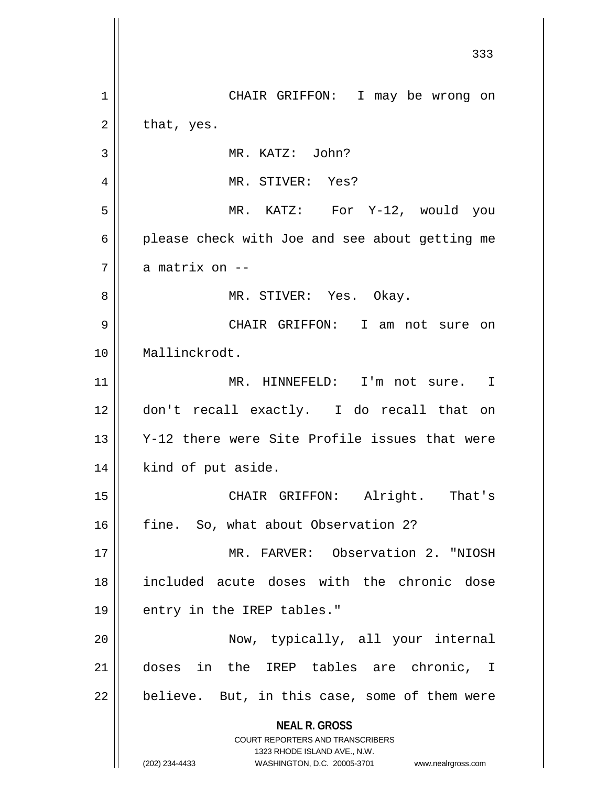**NEAL R. GROSS** COURT REPORTERS AND TRANSCRIBERS 1323 RHODE ISLAND AVE., N.W. (202) 234-4433 WASHINGTON, D.C. 20005-3701 www.nealrgross.com 1 | CHAIR GRIFFON: I may be wrong on  $2 \parallel$  that, yes. MR. KATZ: John? MR. STIVER: Yes? MR. KATZ: For Y-12, would you  $6 \parallel$  please check with Joe and see about getting me 7 || a matrix on -- MR. STIVER: Yes. Okay. CHAIR GRIFFON: I am not sure on Mallinckrodt. MR. HINNEFELD: I'm not sure. I don't recall exactly. I do recall that on Y-12 there were Site Profile issues that were | kind of put aside. CHAIR GRIFFON: Alright. That's 16 || fine. So, what about Observation 2? MR. FARVER: Observation 2. "NIOSH included acute doses with the chronic dose 19 || entry in the IREP tables." Now, typically, all your internal doses in the IREP tables are chronic, I | believe. But, in this case, some of them were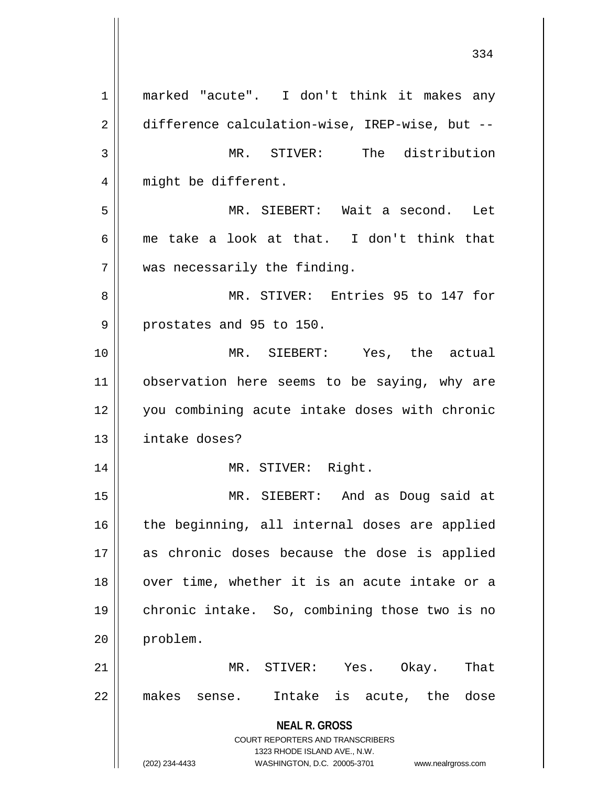**NEAL R. GROSS** COURT REPORTERS AND TRANSCRIBERS 1323 RHODE ISLAND AVE., N.W. (202) 234-4433 WASHINGTON, D.C. 20005-3701 www.nealrgross.com 1 || marked "acute". I don't think it makes any 2 | difference calculation-wise, IREP-wise, but --3 || MR. STIVER: The distribution 4 || might be different. 5 MR. SIEBERT: Wait a second. Let 6  $\parallel$  me take a look at that. I don't think that 7 was necessarily the finding. 8 MR. STIVER: Entries 95 to 147 for  $9 \parallel$  prostates and 95 to 150. 10 MR. SIEBERT: Yes, the actual 11 || observation here seems to be saying, why are 12 you combining acute intake doses with chronic 13 intake doses? 14 || MR. STIVER: Right. 15 MR. SIEBERT: And as Doug said at  $16$  the beginning, all internal doses are applied 17 as chronic doses because the dose is applied 18 || over time, whether it is an acute intake or a 19 chronic intake. So, combining those two is no 20 problem. 21 MR. STIVER: Yes. Okay. That 22 makes sense. Intake is acute, the dose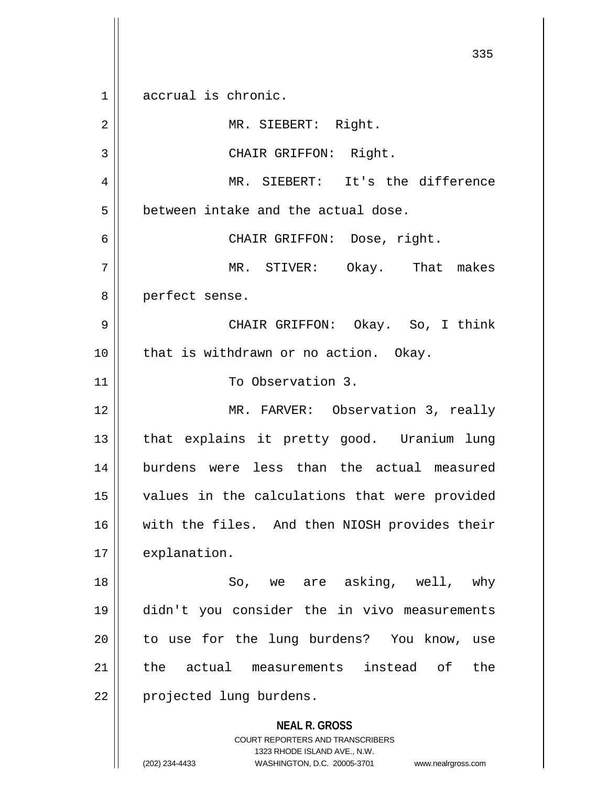**NEAL R. GROSS** COURT REPORTERS AND TRANSCRIBERS 1323 RHODE ISLAND AVE., N.W. 335 1 accrual is chronic. 2 || MR. SIEBERT: Right. 3 || CHAIR GRIFFON: Right. 4 MR. SIEBERT: It's the difference 5 **between intake and the actual dose.** 6 CHAIR GRIFFON: Dose, right. 7 MR. STIVER: Okay. That makes 8 || perfect sense. 9 CHAIR GRIFFON: Okay. So, I think 10 || that is withdrawn or no action. Okay. 11 || To Observation 3. 12 || MR. FARVER: Observation 3, really 13 || that explains it pretty good. Uranium lung 14 burdens were less than the actual measured 15 values in the calculations that were provided 16 || with the files. And then NIOSH provides their 17 | explanation. 18 || So, we are asking, well, why 19 didn't you consider the in vivo measurements 20 || to use for the lung burdens? You know, use 21 the actual measurements instead of the 22 | projected lung burdens.

(202) 234-4433 WASHINGTON, D.C. 20005-3701 www.nealrgross.com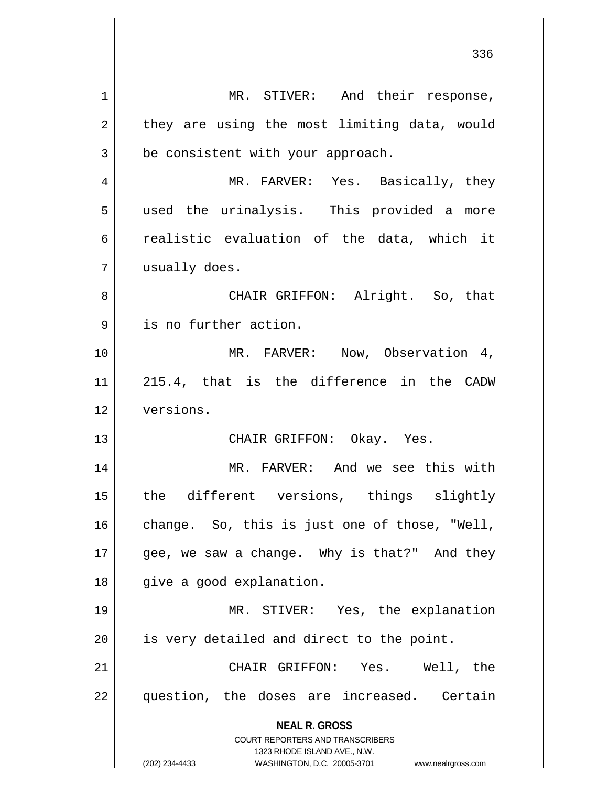**NEAL R. GROSS** COURT REPORTERS AND TRANSCRIBERS 1323 RHODE ISLAND AVE., N.W. (202) 234-4433 WASHINGTON, D.C. 20005-3701 www.nealrgross.com 1 || MR. STIVER: And their response,  $2 \parallel$  they are using the most limiting data, would  $3 \parallel$  be consistent with your approach. 4 MR. FARVER: Yes. Basically, they 5 || used the urinalysis. This provided a more 6  $\parallel$  realistic evaluation of the data, which it 7 | usually does. 8 CHAIR GRIFFON: Alright. So, that 9 | is no further action. 10 || MR. FARVER: Now, Observation 4, 11 215.4, that is the difference in the CADW 12 versions. 13 CHAIR GRIFFON: Okay. Yes. 14 MR. FARVER: And we see this with 15 || the different versions, things slightly  $16$  change. So, this is just one of those, "Well, 17  $\parallel$  gee, we saw a change. Why is that?" And they 18 || give a good explanation. 19 MR. STIVER: Yes, the explanation  $20$  || is very detailed and direct to the point. 21 CHAIR GRIFFON: Yes. Well, the 22 || question, the doses are increased. Certain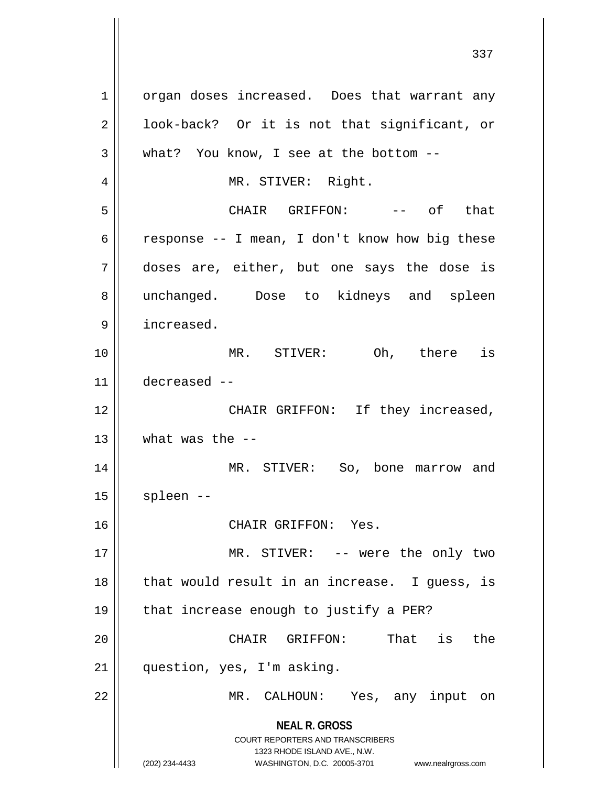**NEAL R. GROSS** COURT REPORTERS AND TRANSCRIBERS 1323 RHODE ISLAND AVE., N.W. (202) 234-4433 WASHINGTON, D.C. 20005-3701 www.nealrgross.com 1 | organ doses increased. Does that warrant any 2 || look-back? Or it is not that significant, or  $3 \parallel$  what? You know, I see at the bottom --4 | MR. STIVER: Right. 5 CHAIR GRIFFON: -- of that 6  $\parallel$  response -- I mean, I don't know how big these 7 doses are, either, but one says the dose is 8 || unchanged. Dose to kidneys and spleen 9 | increased. 10 MR. STIVER: Oh, there is 11 decreased -- 12 || CHAIR GRIFFON: If they increased, 13  $\parallel$  what was the  $-$ 14 || MR. STIVER: So, bone marrow and  $15$  | spleen --16 CHAIR GRIFFON: Yes. 17 || MR. STIVER: -- were the only two  $18$  || that would result in an increase. I guess, is 19  $\parallel$  that increase enough to justify a PER? 20 || CHAIR GRIFFON: That is the 21 | question, yes, I'm asking. 22 || MR. CALHOUN: Yes, any input on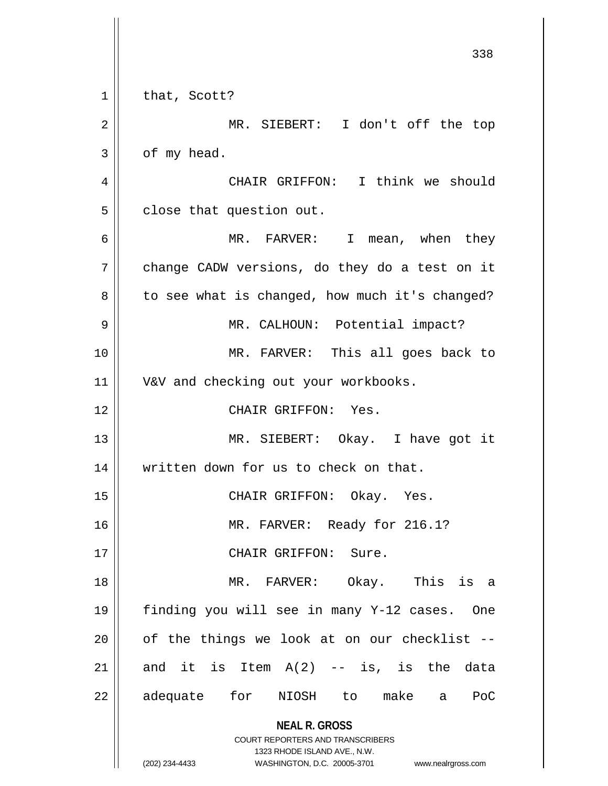**NEAL R. GROSS** COURT REPORTERS AND TRANSCRIBERS 1323 RHODE ISLAND AVE., N.W. (202) 234-4433 WASHINGTON, D.C. 20005-3701 www.nealrgross.com  $1 \parallel$  that, Scott? 2 || MR. SIEBERT: I don't off the top  $3 \parallel$  of my head. 4 CHAIR GRIFFON: I think we should  $5$  | close that question out. 6 MR. FARVER: I mean, when they  $7 \parallel$  change CADW versions, do they do a test on it  $8 \parallel$  to see what is changed, how much it's changed? 9 || MR. CALHOUN: Potential impact? 10 MR. FARVER: This all goes back to 11 || V&V and checking out your workbooks. 12 CHAIR GRIFFON: Yes. 13 || MR. SIEBERT: Okay. I have got it 14 || written down for us to check on that. 15 CHAIR GRIFFON: Okay. Yes. 16 MR. FARVER: Ready for 216.1? 17 || CHAIR GRIFFON: Sure. 18 MR. FARVER: Okay. This is a 19 finding you will see in many Y-12 cases. One  $20$  || of the things we look at on our checklist  $-$ 21  $\parallel$  and it is Item A(2) -- is, is the data 22 adequate for NIOSH to make a PoC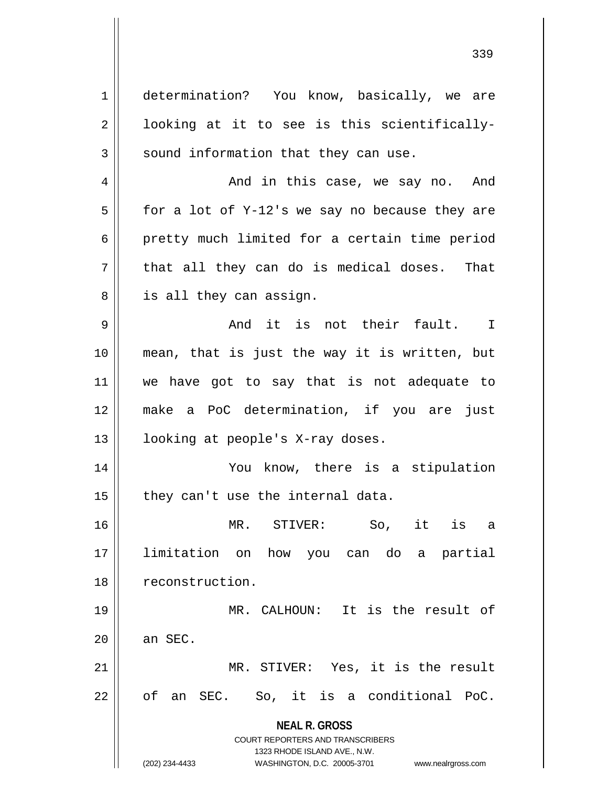**NEAL R. GROSS** COURT REPORTERS AND TRANSCRIBERS 1323 RHODE ISLAND AVE., N.W. (202) 234-4433 WASHINGTON, D.C. 20005-3701 www.nealrgross.com 1 determination? You know, basically, we are  $2 \parallel$  looking at it to see is this scientifically- $3 \parallel$  sound information that they can use. 4 And in this case, we say no. And  $5 \parallel$  for a lot of Y-12's we say no because they are  $6 \parallel$  pretty much limited for a certain time period  $7 \parallel$  that all they can do is medical doses. That 8 | is all they can assign.  $9 \parallel$  and it is not their fault. I 10 mean, that is just the way it is written, but 11 we have got to say that is not adequate to 12 make a PoC determination, if you are just 13 || looking at people's X-ray doses. 14 || You know, there is a stipulation  $15$  | they can't use the internal data. 16 MR. STIVER: So, it is a 17 limitation on how you can do a partial 18 | reconstruction. 19 MR. CALHOUN: It is the result of  $20$  | an SEC. 21 || MR. STIVER: Yes, it is the result  $22 \parallel$  of an SEC. So, it is a conditional PoC.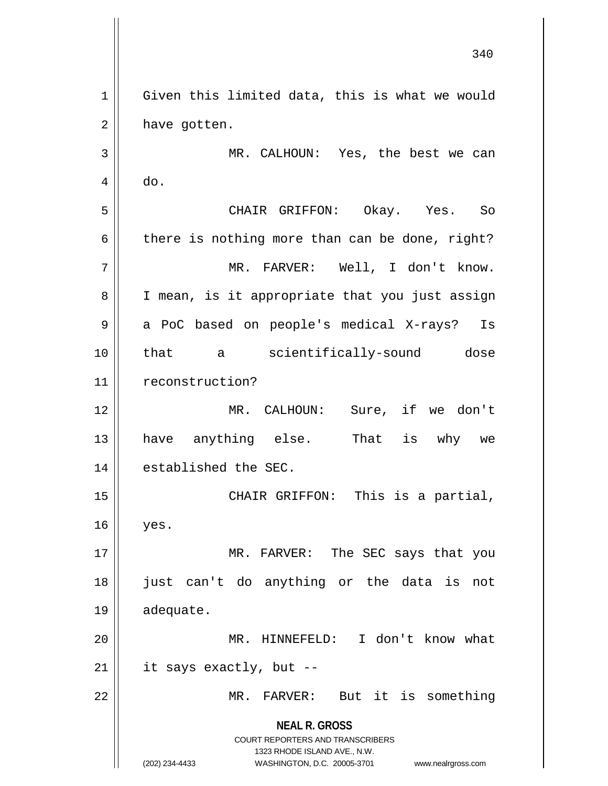**NEAL R. GROSS** COURT REPORTERS AND TRANSCRIBERS 1323 RHODE ISLAND AVE., N.W. (202) 234-4433 WASHINGTON, D.C. 20005-3701 www.nealrgross.com 340 1 Given this limited data, this is what we would  $2 \parallel$  have gotten. 3 MR. CALHOUN: Yes, the best we can  $4 \parallel$  do. 5 CHAIR GRIFFON: Okay. Yes. So  $6 \parallel$  there is nothing more than can be done, right? 7 MR. FARVER: Well, I don't know. 8 || I mean, is it appropriate that you just assign 9 a PoC based on people's medical X-rays? Is 10 that a scientifically-sound dose 11 | reconstruction? 12 MR. CALHOUN: Sure, if we don't 13 have anything else. That is why we 14 | established the SEC. 15 || CHAIR GRIFFON: This is a partial, 16 yes. 17 || MR. FARVER: The SEC says that you 18 just can't do anything or the data is not 19 adequate. 20 MR. HINNEFELD: I don't know what  $21$  || it says exactly, but --22 MR. FARVER: But it is something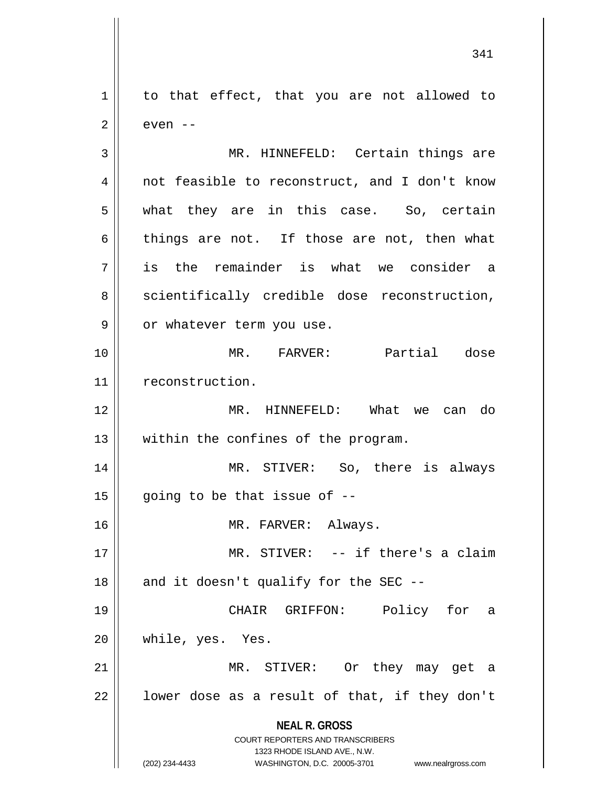1 | to that effect, that you are not allowed to  $2 \parallel$  even  $-$ 

**NEAL R. GROSS** COURT REPORTERS AND TRANSCRIBERS 1323 RHODE ISLAND AVE., N.W. 3 MR. HINNEFELD: Certain things are 4 || not feasible to reconstruct, and I don't know 5 what they are in this case. So, certain  $6 \parallel$  things are not. If those are not, then what 7 is the remainder is what we consider a  $8 \parallel$  scientifically credible dose reconstruction, 9 || or whatever term you use. 10 MR. FARVER: Partial dose 11 | reconstruction. 12 MR. HINNEFELD: What we can do 13 || within the confines of the program. 14 || MR. STIVER: So, there is always  $15$  | going to be that issue of  $-$ 16 || MR. FARVER: Always. 17 MR. STIVER: -- if there's a claim  $18$  || and it doesn't qualify for the SEC --19 CHAIR GRIFFON: Policy for a 20 while, yes. Yes. 21 MR. STIVER: Or they may get a  $22$  | lower dose as a result of that, if they don't

<sup>(202) 234-4433</sup> WASHINGTON, D.C. 20005-3701 www.nealrgross.com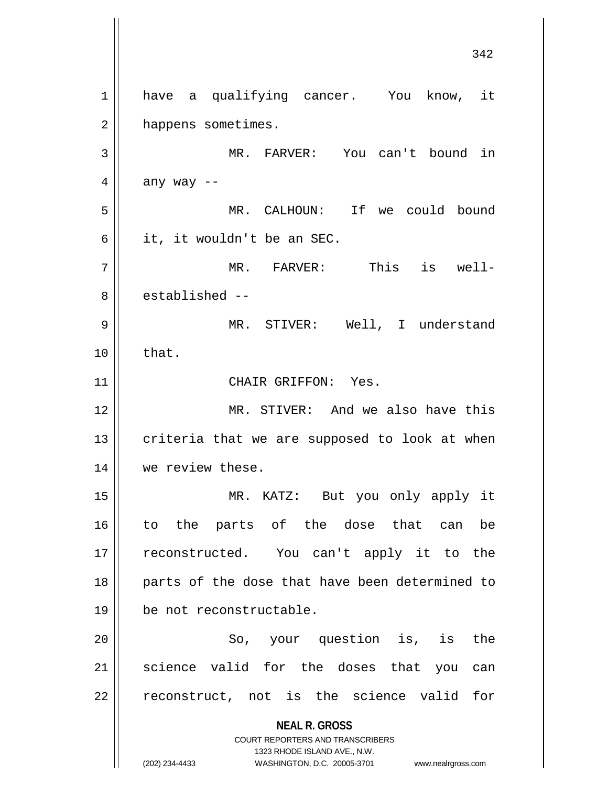**NEAL R. GROSS** COURT REPORTERS AND TRANSCRIBERS 1323 RHODE ISLAND AVE., N.W. (202) 234-4433 WASHINGTON, D.C. 20005-3701 www.nealrgross.com 342 1 || have a qualifying cancer. You know, it 2 | happens sometimes. 3 || MR. FARVER: You can't bound in  $4 \parallel$  any way --5 MR. CALHOUN: If we could bound  $6 \parallel$  it, it wouldn't be an SEC. 7 MR. FARVER: This is well-8 established --9 || MR. STIVER: Well, I understand  $10 \parallel$  that. 11 || CHAIR GRIFFON: Yes. 12 MR. STIVER: And we also have this  $13$  criteria that we are supposed to look at when 14 | we review these. 15 MR. KATZ: But you only apply it 16 to the parts of the dose that can be 17 || reconstructed. You can't apply it to the 18 || parts of the dose that have been determined to 19 be not reconstructable. 20 || So, your question is, is the  $21$  science valid for the doses that you can  $22$  reconstruct, not is the science valid for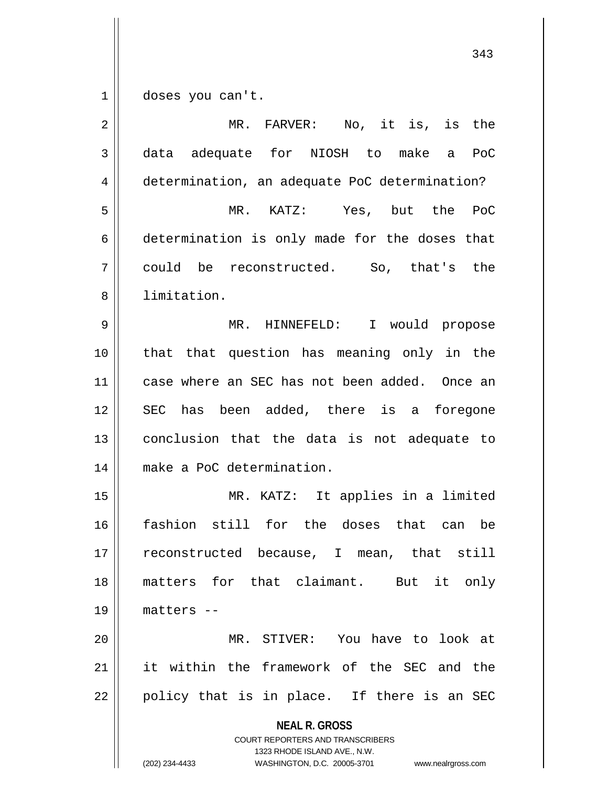1 doses you can't.

| $\overline{2}$ | MR. FARVER: No, it is, is the                                                                                                                                          |
|----------------|------------------------------------------------------------------------------------------------------------------------------------------------------------------------|
| 3              | data adequate for NIOSH to make a<br>PoC                                                                                                                               |
| 4              | determination, an adequate PoC determination?                                                                                                                          |
| 5              | KATZ: Yes, but the PoC<br>$MR$ .                                                                                                                                       |
| 6              | determination is only made for the doses that                                                                                                                          |
| 7              | could be reconstructed. So, that's the                                                                                                                                 |
| 8              | limitation.                                                                                                                                                            |
| 9              | MR. HINNEFELD: I would propose                                                                                                                                         |
| 10             | that question has meaning only in the<br>that                                                                                                                          |
| 11             | case where an SEC has not been added. Once an                                                                                                                          |
| 12             | SEC has been added, there is a foregone                                                                                                                                |
| 13             | conclusion that the data is not adequate to                                                                                                                            |
| 14             | make a PoC determination.                                                                                                                                              |
| 15             | MR. KATZ: It applies in a limited                                                                                                                                      |
| 16             | fashion still for the doses that can be                                                                                                                                |
| 17             | reconstructed because, I mean, that still                                                                                                                              |
| 18             | matters for that claimant. But it only                                                                                                                                 |
| 19             | matters --                                                                                                                                                             |
| 20             | MR. STIVER: You have to look at                                                                                                                                        |
| 21             | it within the framework of the SEC and the                                                                                                                             |
| 22             | policy that is in place. If there is an SEC                                                                                                                            |
|                | <b>NEAL R. GROSS</b><br><b>COURT REPORTERS AND TRANSCRIBERS</b><br>1323 RHODE ISLAND AVE., N.W.<br>(202) 234-4433<br>WASHINGTON, D.C. 20005-3701<br>www.nealrgross.com |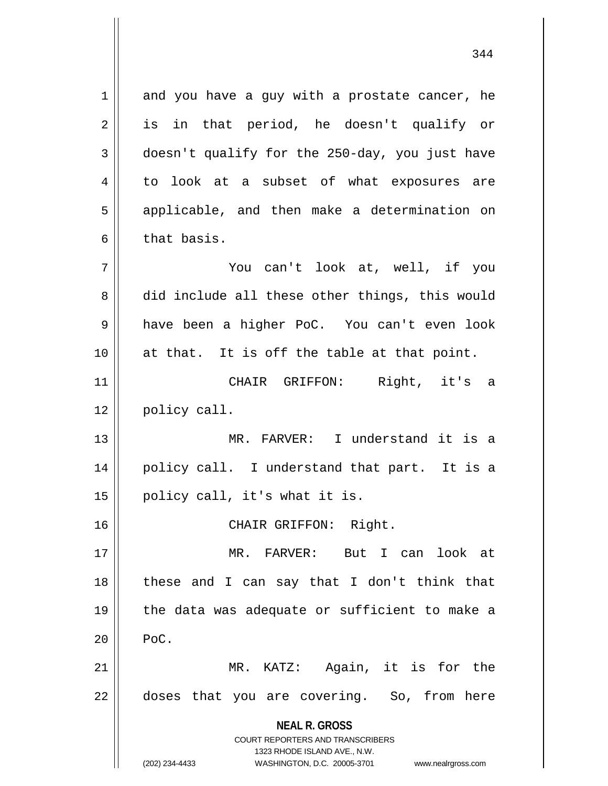**NEAL R. GROSS** COURT REPORTERS AND TRANSCRIBERS 1323 RHODE ISLAND AVE., N.W. (202) 234-4433 WASHINGTON, D.C. 20005-3701 www.nealrgross.com  $1 \parallel$  and you have a guy with a prostate cancer, he 2 || is in that period, he doesn't qualify or  $3 \parallel$  doesn't qualify for the 250-day, you just have 4 to look at a subset of what exposures are 5 || applicable, and then make a determination on  $6 \parallel$  that basis. 7 You can't look at, well, if you 8 did include all these other things, this would 9 have been a higher PoC. You can't even look 10 at that. It is off the table at that point. 11 CHAIR GRIFFON: Right, it's a 12 | policy call. 13 MR. FARVER: I understand it is a 14 policy call. I understand that part. It is a  $15 \parallel$  policy call, it's what it is. 16 CHAIR GRIFFON: Right. 17 MR. FARVER: But I can look at 18 these and I can say that I don't think that 19  $\parallel$  the data was adequate or sufficient to make a  $20$  | PoC. 21 MR. KATZ: Again, it is for the 22 || doses that you are covering. So, from here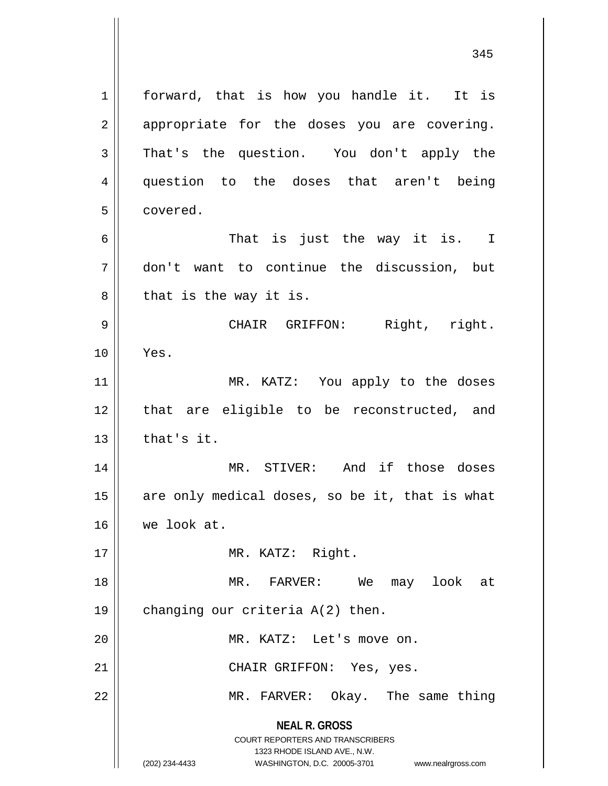**NEAL R. GROSS** COURT REPORTERS AND TRANSCRIBERS 1323 RHODE ISLAND AVE., N.W. (202) 234-4433 WASHINGTON, D.C. 20005-3701 www.nealrgross.com 1 | forward, that is how you handle it. It is  $2 \parallel$  appropriate for the doses you are covering. 3 That's the question. You don't apply the 4 question to the doses that aren't being 5 covered. 6 That is just the way it is. I 7 don't want to continue the discussion, but  $8 \parallel$  that is the way it is. 9 CHAIR GRIFFON: Right, right. 10 Yes. 11 || MR. KATZ: You apply to the doses 12 || that are eligible to be reconstructed, and  $13$   $\parallel$  that's it. 14 || MR. STIVER: And if those doses  $15$  are only medical doses, so be it, that is what 16 we look at. 17 || MR. KATZ: Right. 18 MR. FARVER: We may look at 19 | changing our criteria A(2) then. 20 || MR. KATZ: Let's move on. 21 || CHAIR GRIFFON: Yes, yes. 22 || MR. FARVER: Okay. The same thing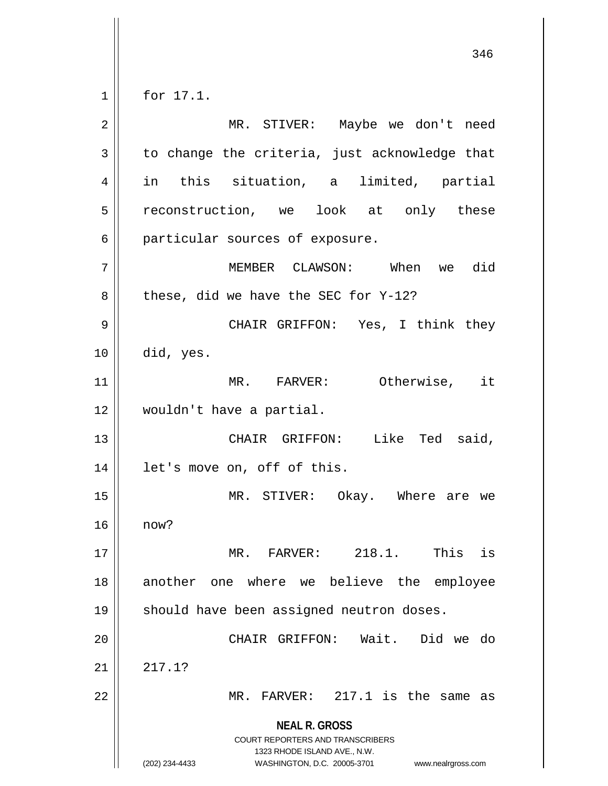for 17.1.

**NEAL R. GROSS** COURT REPORTERS AND TRANSCRIBERS 1323 RHODE ISLAND AVE., N.W. (202) 234-4433 WASHINGTON, D.C. 20005-3701 www.nealrgross.com MR. STIVER: Maybe we don't need  $3 \parallel$  to change the criteria, just acknowledge that in this situation, a limited, partial 5 || reconstruction, we look at only these 6 || particular sources of exposure. MEMBER CLAWSON: When we did | these, did we have the SEC for Y-12? CHAIR GRIFFON: Yes, I think they  $10 \parallel$  did, yes. MR. FARVER: Otherwise, it wouldn't have a partial. CHAIR GRIFFON: Like Ted said, let's move on, off of this. MR. STIVER: Okay. Where are we now? MR. FARVER: 218.1. This is another one where we believe the employee 19 || should have been assigned neutron doses. CHAIR GRIFFON: Wait. Did we do  $21 \parallel 217.1?$ || MR. FARVER:  $217.1$  is the same as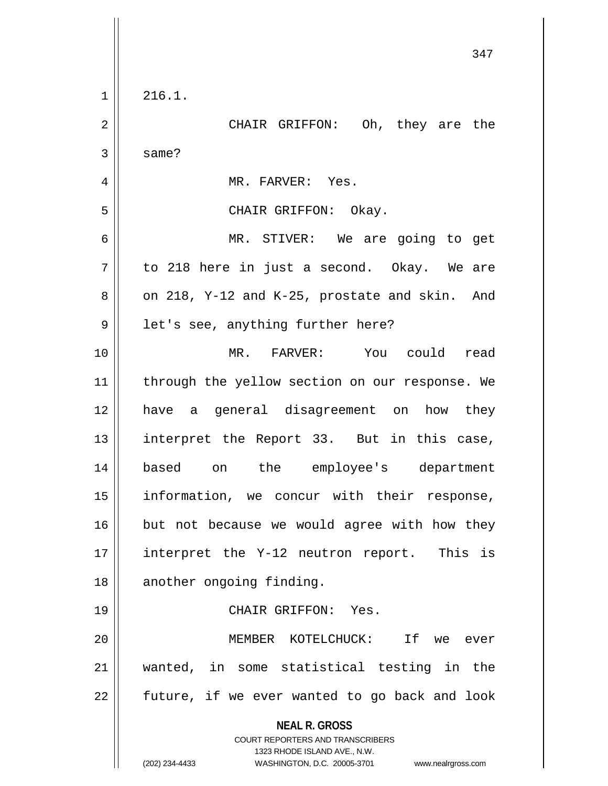|                | 347                                                                 |
|----------------|---------------------------------------------------------------------|
| $\mathbf 1$    | 216.1.                                                              |
| $\mathbf 2$    | CHAIR GRIFFON: Oh, they are the                                     |
| 3              | same?                                                               |
| $\overline{4}$ | MR. FARVER: Yes.                                                    |
| 5              | CHAIR GRIFFON: Okay.                                                |
| 6              | MR. STIVER: We are going to get                                     |
| 7              | to 218 here in just a second. Okay. We are                          |
| 8              | on 218, Y-12 and K-25, prostate and skin. And                       |
| 9              | let's see, anything further here?                                   |
| 10             | MR. FARVER: You could read                                          |
| 11             | through the yellow section on our response. We                      |
| 12             | have a general disagreement on how they                             |
| 13             | interpret the Report 33. But in this case,                          |
| 14             | based<br>the<br>employee's<br>department<br>on                      |
| 15             | information, we concur with their response,                         |
| 16             | but not because we would agree with how they                        |
| 17             | interpret the Y-12 neutron report. This is                          |
| 18             | another ongoing finding.                                            |
| 19             | CHAIR GRIFFON: Yes.                                                 |
| 20             | MEMBER KOTELCHUCK:<br>If we ever                                    |
| 21             | wanted, in some statistical testing in the                          |
| 22             | future, if we ever wanted to go back and look                       |
|                | <b>NEAL R. GROSS</b><br>COURT REPORTERS AND TRANSCRIBERS            |
|                | 1323 RHODE ISLAND AVE., N.W.                                        |
|                | (202) 234-4433<br>WASHINGTON, D.C. 20005-3701<br>www.nealrgross.com |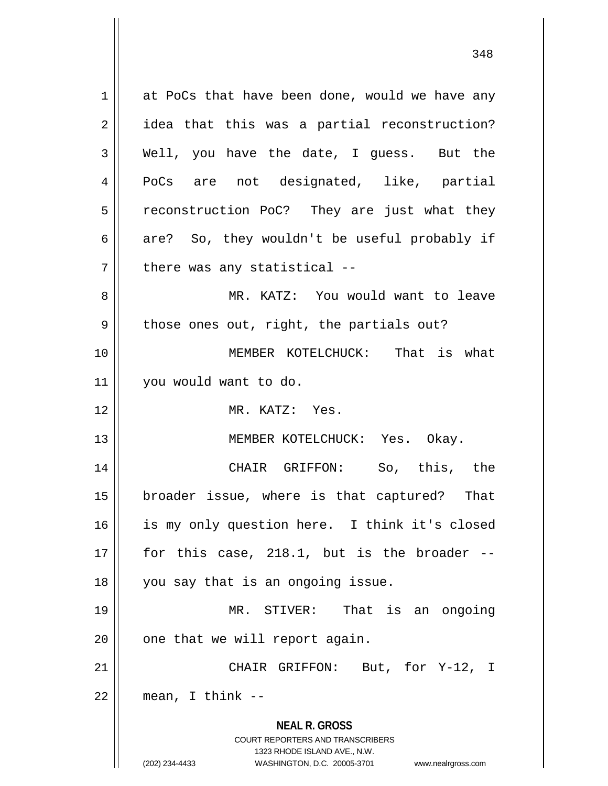**NEAL R. GROSS** COURT REPORTERS AND TRANSCRIBERS 1323 RHODE ISLAND AVE., N.W. (202) 234-4433 WASHINGTON, D.C. 20005-3701 www.nealrgross.com  $1 \parallel$  at PoCs that have been done, would we have any 2 || idea that this was a partial reconstruction?  $3 \parallel$  Well, you have the date, I guess. But the 4 PoCs are not designated, like, partial 5 | reconstruction PoC? They are just what they  $6 \parallel$  are? So, they wouldn't be useful probably if  $7$  || there was any statistical --8 MR. KATZ: You would want to leave  $9 \parallel$  those ones out, right, the partials out? 10 || MEMBER KOTELCHUCK: That is what 11 you would want to do. 12 MR. KATZ: Yes. 13 || MEMBER KOTELCHUCK: Yes. Okay. 14 CHAIR GRIFFON: So, this, the 15 broader issue, where is that captured? That 16 || is my only question here. I think it's closed  $17 \parallel$  for this case, 218.1, but is the broader  $-$ 18 || you say that is an ongoing issue. 19 MR. STIVER: That is an ongoing  $20$  | one that we will report again. 21 || CHAIR GRIFFON: But, for Y-12, I  $22$  || mean, I think --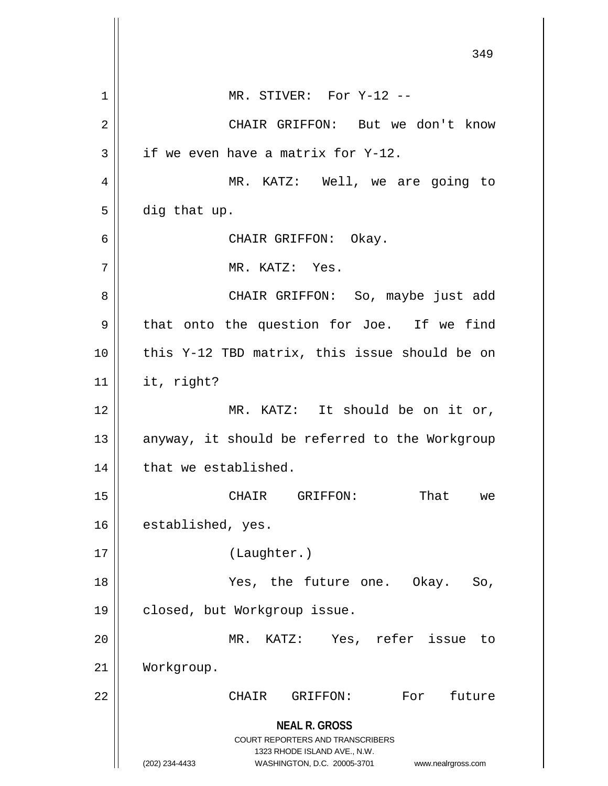**NEAL R. GROSS** COURT REPORTERS AND TRANSCRIBERS 1323 RHODE ISLAND AVE., N.W. (202) 234-4433 WASHINGTON, D.C. 20005-3701 www.nealrgross.com 349 1 || MR. STIVER: For Y-12 --2 CHAIR GRIFFON: But we don't know  $3 \parallel$  if we even have a matrix for Y-12. 4 || MR. KATZ: Well, we are going to  $5 \parallel$  dig that up. 6 CHAIR GRIFFON: Okay. 7 MR. KATZ: Yes. 8 CHAIR GRIFFON: So, maybe just add  $9 \parallel$  that onto the question for Joe. If we find 10 || this Y-12 TBD matrix, this issue should be on  $11$  | it, right? 12 || MR. KATZ: It should be on it or,  $13$  anyway, it should be referred to the Workgroup  $14$  | that we established. 15 CHAIR GRIFFON: That we 16 | established, yes. 17 (Laughter.) 18 Yes, the future one. Okay. So, 19 | closed, but Workgroup issue. 20 MR. KATZ: Yes, refer issue to 21 Workgroup. 22 CHAIR GRIFFON: For future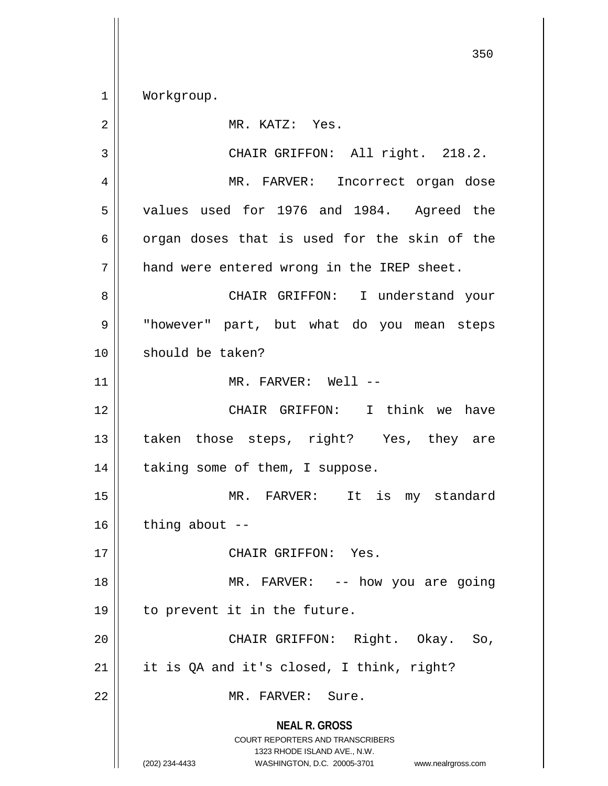1 Workgroup.

| 2  | MR. KATZ: Yes.                                                                                                                                                  |
|----|-----------------------------------------------------------------------------------------------------------------------------------------------------------------|
| 3  | CHAIR GRIFFON: All right. 218.2.                                                                                                                                |
| 4  | MR. FARVER: Incorrect organ dose                                                                                                                                |
| 5  | values used for 1976 and 1984. Agreed the                                                                                                                       |
| 6  | organ doses that is used for the skin of the                                                                                                                    |
| 7  | hand were entered wrong in the IREP sheet.                                                                                                                      |
| 8  | CHAIR GRIFFON: I understand your                                                                                                                                |
| 9  | "however" part, but what do you mean steps                                                                                                                      |
| 10 | should be taken?                                                                                                                                                |
| 11 | MR. FARVER: Well --                                                                                                                                             |
| 12 | CHAIR GRIFFON: I think we have                                                                                                                                  |
| 13 | taken those steps, right? Yes, they are                                                                                                                         |
| 14 | taking some of them, I suppose.                                                                                                                                 |
| 15 | MR. FARVER: It is my standard                                                                                                                                   |
| 16 | thing about $-$                                                                                                                                                 |
| 17 | CHAIR GRIFFON: Yes.                                                                                                                                             |
| 18 | MR. FARVER: -- how you are going                                                                                                                                |
| 19 | to prevent it in the future.                                                                                                                                    |
| 20 | CHAIR GRIFFON: Right. Okay. So,                                                                                                                                 |
| 21 | it is QA and it's closed, I think, right?                                                                                                                       |
| 22 | MR. FARVER: Sure.                                                                                                                                               |
|    | <b>NEAL R. GROSS</b><br>COURT REPORTERS AND TRANSCRIBERS<br>1323 RHODE ISLAND AVE., N.W.<br>(202) 234-4433<br>WASHINGTON, D.C. 20005-3701<br>www.nealrgross.com |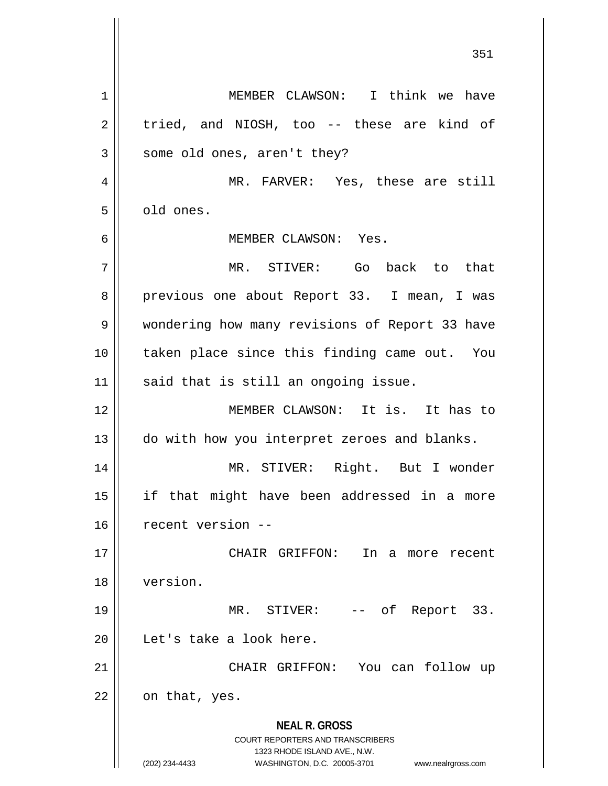**NEAL R. GROSS** COURT REPORTERS AND TRANSCRIBERS 1323 RHODE ISLAND AVE., N.W. (202) 234-4433 WASHINGTON, D.C. 20005-3701 www.nealrgross.com 1 || MEMBER CLAWSON: I think we have  $2 \parallel$  tried, and NIOSH, too -- these are kind of  $3 \parallel$  some old ones, aren't they? 4 MR. FARVER: Yes, these are still 5 | old ones. 6 MEMBER CLAWSON: Yes. 7 MR. STIVER: Go back to that 8 previous one about Report 33. I mean, I was 9 Wondering how many revisions of Report 33 have 10 taken place since this finding came out. You  $11$  said that is still an ongoing issue. 12 MEMBER CLAWSON: It is. It has to 13 || do with how you interpret zeroes and blanks. 14 || MR. STIVER: Right. But I wonder 15 if that might have been addressed in a more 16 recent version -- 17 CHAIR GRIFFON: In a more recent 18 version. 19 || MR. STIVER: -- of Report 33. 20 | Let's take a look here. 21 CHAIR GRIFFON: You can follow up  $22 \parallel$  on that, yes.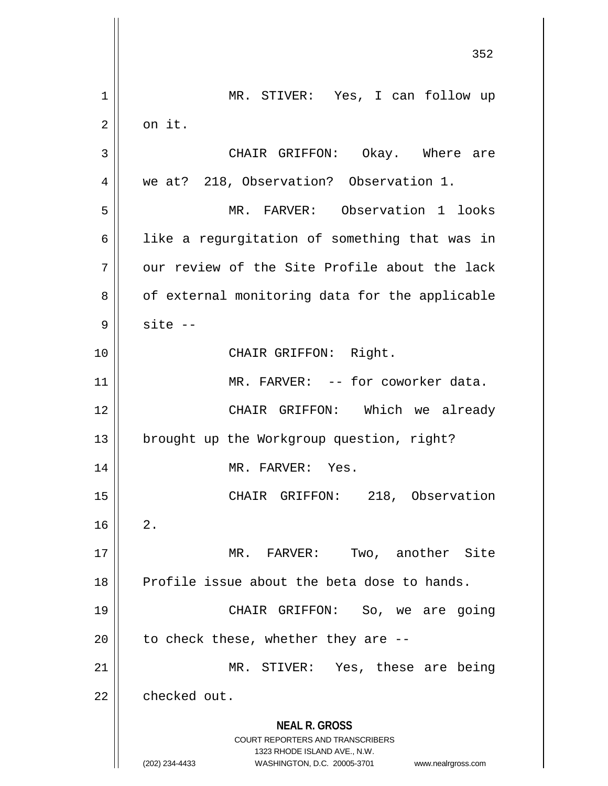**NEAL R. GROSS** COURT REPORTERS AND TRANSCRIBERS 1323 RHODE ISLAND AVE., N.W. (202) 234-4433 WASHINGTON, D.C. 20005-3701 www.nealrgross.com 1 MR. STIVER: Yes, I can follow up  $2 \parallel$  on it. 3 CHAIR GRIFFON: Okay. Where are 4 || we at? 218, Observation? Observation 1. 5 MR. FARVER: Observation 1 looks 6 || like a regurgitation of something that was in  $7$   $\parallel$  our review of the Site Profile about the lack 8 | of external monitoring data for the applicable  $9 \parallel$  site  $-$ 10 || CHAIR GRIFFON: Right. 11 || MR. FARVER: -- for coworker data. 12 CHAIR GRIFFON: Which we already 13 | brought up the Workgroup question, right? 14 || MR. FARVER: Yes. 15 || CHAIR GRIFFON: 218, Observation  $16 \parallel 2$ . 17 MR. FARVER: Two, another Site 18 Profile issue about the beta dose to hands. 19 CHAIR GRIFFON: So, we are going 20  $\parallel$  to check these, whether they are  $-$ 21 || MR. STIVER: Yes, these are being 22 | checked out.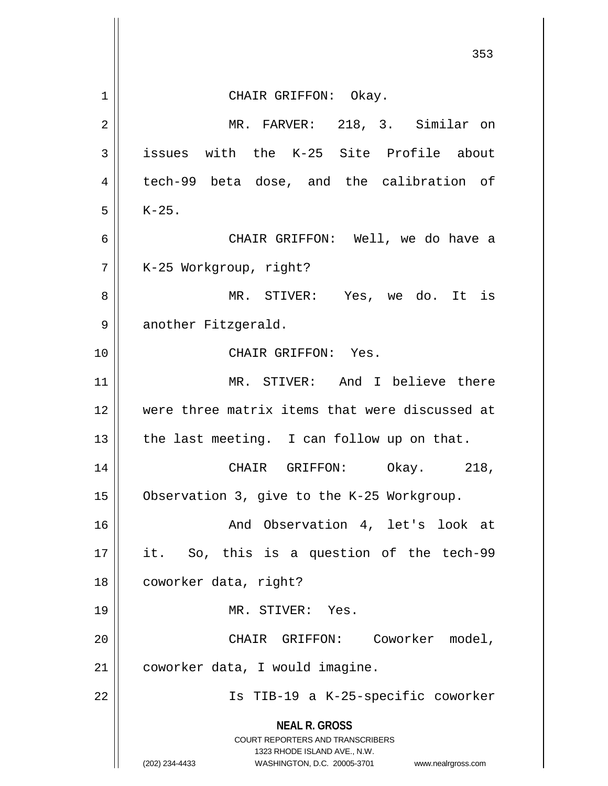|                | 353                                                                 |
|----------------|---------------------------------------------------------------------|
| 1              | CHAIR GRIFFON: Okay.                                                |
| $\overline{2}$ | MR. FARVER: 218, 3. Similar on                                      |
| 3              | issues with the K-25 Site Profile about                             |
| $\overline{4}$ | tech-99 beta dose, and the calibration of                           |
| 5              | $K-25$ .                                                            |
| 6              | CHAIR GRIFFON: Well, we do have a                                   |
| 7              | K-25 Workgroup, right?                                              |
| 8              | MR. STIVER: Yes, we do. It is                                       |
| 9              | another Fitzgerald.                                                 |
| 10             | CHAIR GRIFFON: Yes.                                                 |
| 11             | MR. STIVER: And I believe there                                     |
| 12             | were three matrix items that were discussed at                      |
| 13             | the last meeting. I can follow up on that.                          |
| 14             | CHAIR GRIFFON: Okay.<br>218,                                        |
| 15             | Observation 3, give to the K-25 Workgroup.                          |
| 16             | And Observation 4, let's look at                                    |
| 17             | it. So, this is a question of the tech-99                           |
| 18             | coworker data, right?                                               |
| 19             | MR. STIVER: Yes.                                                    |
| 20             | CHAIR GRIFFON: Coworker model,                                      |
| 21             | coworker data, I would imagine.                                     |
| 22             | Is TIB-19 a K-25-specific coworker                                  |
|                | <b>NEAL R. GROSS</b><br>COURT REPORTERS AND TRANSCRIBERS            |
|                | 1323 RHODE ISLAND AVE., N.W.                                        |
|                | (202) 234-4433<br>WASHINGTON, D.C. 20005-3701<br>www.nealrgross.com |

 $\mathbb{I}$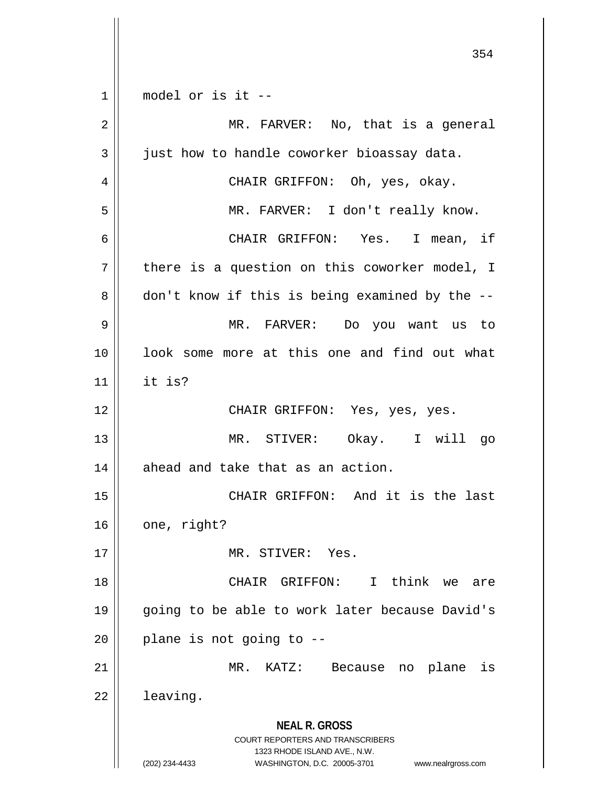**NEAL R. GROSS** COURT REPORTERS AND TRANSCRIBERS 1323 RHODE ISLAND AVE., N.W. (202) 234-4433 WASHINGTON, D.C. 20005-3701 www.nealrgross.com  $1 \parallel$  model or is it -- MR. FARVER: No, that is a general  $3 \parallel$  just how to handle coworker bioassay data. CHAIR GRIFFON: Oh, yes, okay. MR. FARVER: I don't really know. CHAIR GRIFFON: Yes. I mean, if || there is a question on this coworker model, I  $8 \parallel$  don't know if this is being examined by the  $-$  MR. FARVER: Do you want us to 10 || look some more at this one and find out what it is? CHAIR GRIFFON: Yes, yes, yes. MR. STIVER: Okay. I will go | ahead and take that as an action. CHAIR GRIFFON: And it is the last | one, right? MR. STIVER: Yes. CHAIR GRIFFON: I think we are 19 || going to be able to work later because David's | plane is not going to  $-$ - MR. KATZ: Because no plane is  $22 \parallel$  leaving.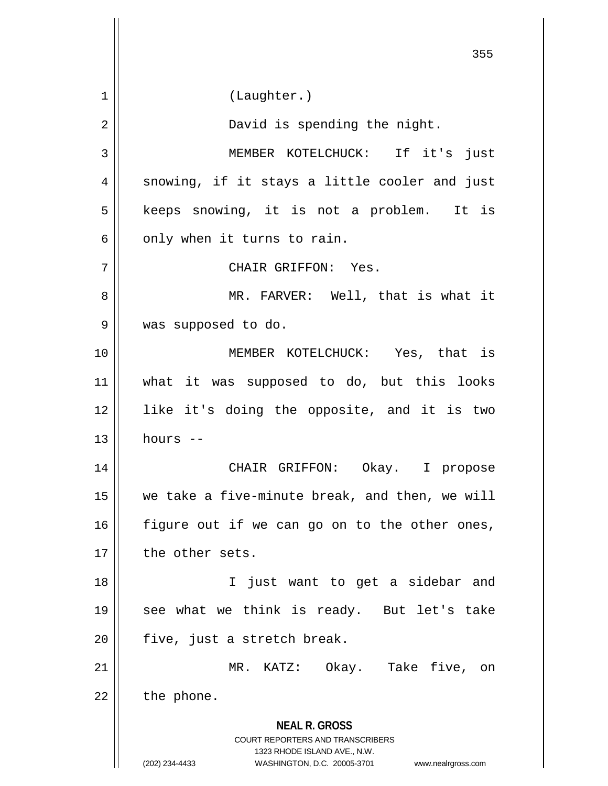**NEAL R. GROSS** COURT REPORTERS AND TRANSCRIBERS 1323 RHODE ISLAND AVE., N.W. (202) 234-4433 WASHINGTON, D.C. 20005-3701 www.nealrgross.com 355 1 | (Laughter.) 2 || David is spending the night. 3 || MEMBER KOTELCHUCK: If it's just  $4 \parallel$  snowing, if it stays a little cooler and just 5 || keeps snowing, it is not a problem. It is  $6 \parallel$  only when it turns to rain. 7 CHAIR GRIFFON: Yes. 8 MR. FARVER: Well, that is what it 9 was supposed to do. 10 MEMBER KOTELCHUCK: Yes, that is 11 what it was supposed to do, but this looks 12 like it's doing the opposite, and it is two  $13$  hours  $-$ 14 CHAIR GRIFFON: Okay. I propose 15 we take a five-minute break, and then, we will  $16$  figure out if we can go on to the other ones, 17 the other sets. 18 I just want to get a sidebar and 19 see what we think is ready. But let's take  $20$  | five, just a stretch break. 21 MR. KATZ: Okay. Take five, on  $22$  | the phone.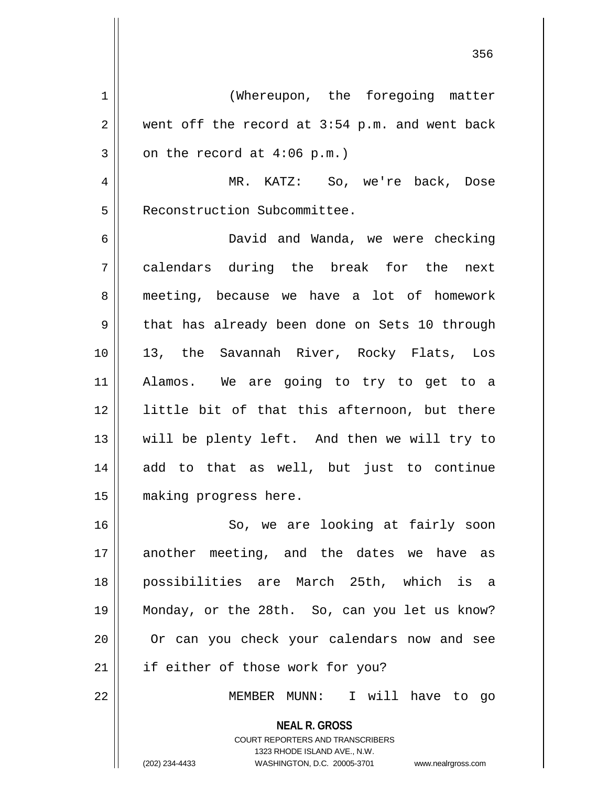1 | (Whereupon, the foregoing matter  $2 \parallel$  went off the record at 3:54 p.m. and went back  $3 \parallel$  on the record at 4:06 p.m.) 4 MR. KATZ: So, we're back, Dose 5 | Reconstruction Subcommittee. 6 David and Wanda, we were checking 7 calendars during the break for the next 8 || meeting, because we have a lot of homework 9 that has already been done on Sets 10 through 10 13, the Savannah River, Rocky Flats, Los 11 Alamos. We are going to try to get to a 12 || little bit of that this afternoon, but there 13 || will be plenty left. And then we will try to 14 add to that as well, but just to continue 15 making progress here.

16 || So, we are looking at fairly soon 17 another meeting, and the dates we have as 18 possibilities are March 25th, which is a 19 Monday, or the 28th. So, can you let us know? 20 || Or can you check your calendars now and see 21 || if either of those work for you?

22 MEMBER MUNN: I will have to go

**NEAL R. GROSS** COURT REPORTERS AND TRANSCRIBERS 1323 RHODE ISLAND AVE., N.W. (202) 234-4433 WASHINGTON, D.C. 20005-3701 www.nealrgross.com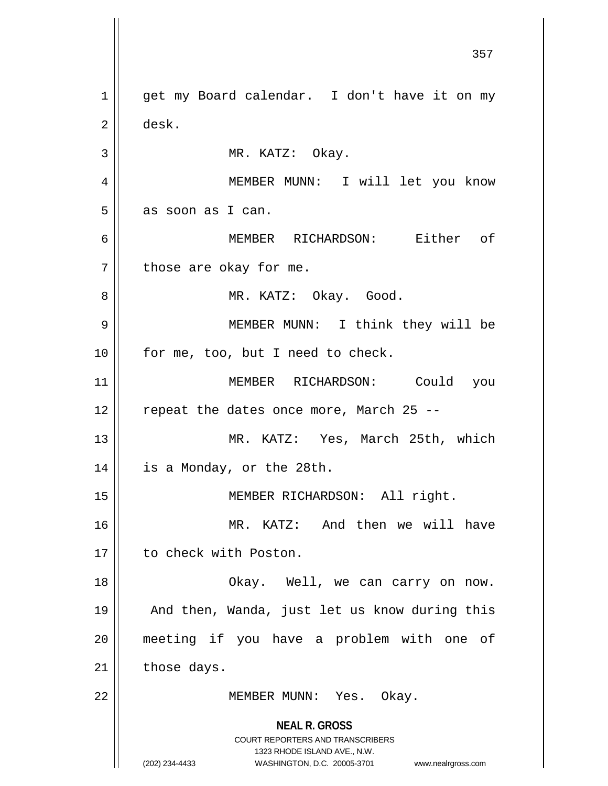**NEAL R. GROSS** COURT REPORTERS AND TRANSCRIBERS 1323 RHODE ISLAND AVE., N.W. (202) 234-4433 WASHINGTON, D.C. 20005-3701 www.nealrgross.com 1 || get my Board calendar. I don't have it on my 2 desk. 3 || MR. KATZ: Okay. 4 MEMBER MUNN: I will let you know  $5 \parallel$  as soon as I can. 6 MEMBER RICHARDSON: Either of  $7 \parallel$  those are okay for me. 8 MR. KATZ: Okay. Good. 9 MEMBER MUNN: I think they will be 10 || for me, too, but I need to check. 11 || MEMBER RICHARDSON: Could you  $12$  | repeat the dates once more, March 25 --13 MR. KATZ: Yes, March 25th, which 14 | is a Monday, or the 28th. 15 || **MEMBER RICHARDSON:** All right. 16 MR. KATZ: And then we will have 17 | to check with Poston. 18 Okay. Well, we can carry on now. 19 || And then, Wanda, just let us know during this 20 meeting if you have a problem with one of  $21$  those days. 22 || MEMBER MUNN: Yes. Okay.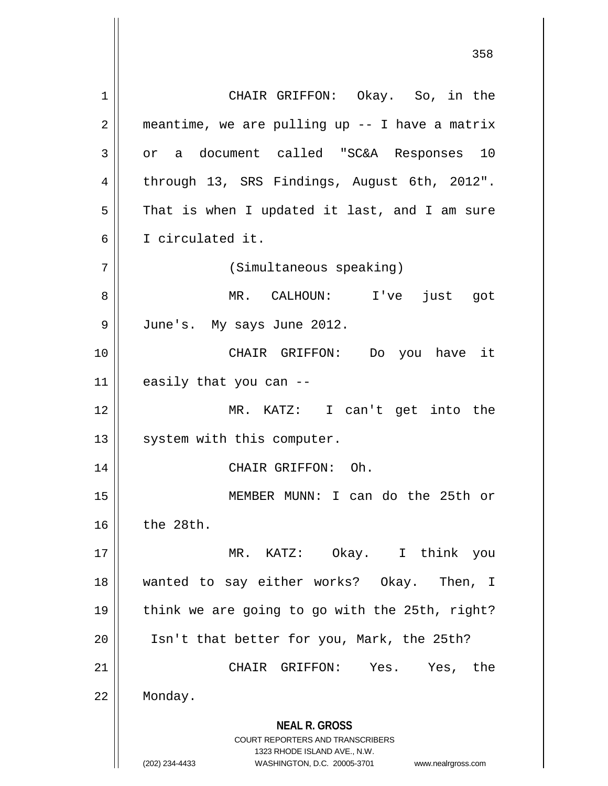**NEAL R. GROSS** COURT REPORTERS AND TRANSCRIBERS 1323 RHODE ISLAND AVE., N.W. (202) 234-4433 WASHINGTON, D.C. 20005-3701 www.nealrgross.com 1 CHAIR GRIFFON: Okay. So, in the  $2 \parallel$  meantime, we are pulling up -- I have a matrix  $3 \parallel$  or a document called "SC&A Responses 10 4 | through 13, SRS Findings, August 6th, 2012".  $5 \parallel$  That is when I updated it last, and I am sure 6 I circulated it. 7 (Simultaneous speaking) 8 MR. CALHOUN: I've just got 9 June's. My says June 2012. 10 CHAIR GRIFFON: Do you have it  $11$  | easily that you can --12 MR. KATZ: I can't get into the 13 | system with this computer. 14 || CHAIR GRIFFON: Oh. 15 MEMBER MUNN: I can do the 25th or 16 the 28th. 17 MR. KATZ: Okay. I think you 18 wanted to say either works? Okay. Then, I 19 || think we are going to go with the 25th, right? 20 Isn't that better for you, Mark, the 25th? 21 CHAIR GRIFFON: Yes. Yes, the 22 Monday.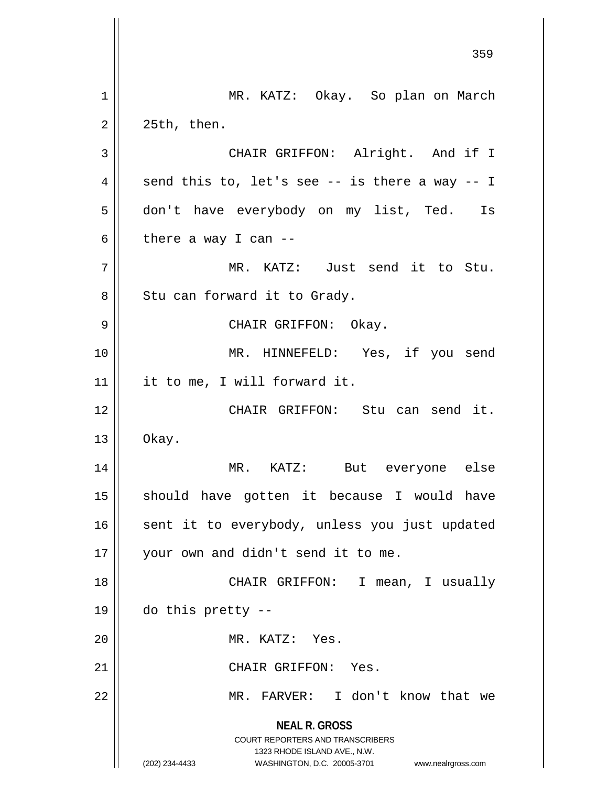**NEAL R. GROSS** COURT REPORTERS AND TRANSCRIBERS 1323 RHODE ISLAND AVE., N.W. (202) 234-4433 WASHINGTON, D.C. 20005-3701 www.nealrgross.com 359 1 || MR. KATZ: Okay. So plan on March  $2 \parallel 25th$ , then. 3 || CHAIR GRIFFON: Alright. And if I 4  $\parallel$  send this to, let's see -- is there a way -- I 5 don't have everybody on my list, Ted. Is 6 | there a way I can  $-$ 7 || MR. KATZ: Just send it to Stu.  $8 \parallel$  Stu can forward it to Grady. 9 CHAIR GRIFFON: Okay. 10 MR. HINNEFELD: Yes, if you send 11 | it to me, I will forward it. 12 CHAIR GRIFFON: Stu can send it.  $13 \parallel$  Okay. 14 MR. KATZ: But everyone else 15 || should have gotten it because I would have 16 || sent it to everybody, unless you just updated 17 || your own and didn't send it to me. 18 CHAIR GRIFFON: I mean, I usually  $19 \parallel$  do this pretty --20 || MR. KATZ: Yes. 21 | CHAIR GRIFFON: Yes. 22 MR. FARVER: I don't know that we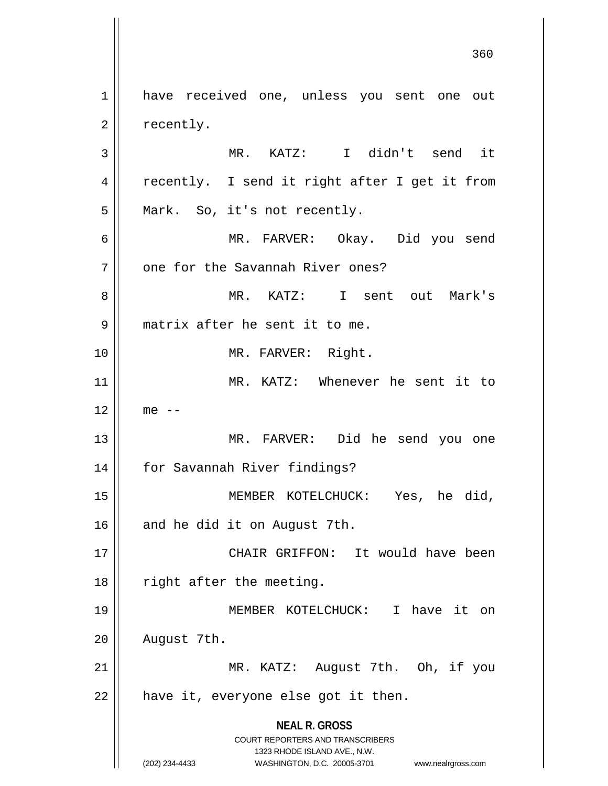**NEAL R. GROSS** COURT REPORTERS AND TRANSCRIBERS 1323 RHODE ISLAND AVE., N.W. (202) 234-4433 WASHINGTON, D.C. 20005-3701 www.nealrgross.com 1 || have received one, unless you sent one out  $2 \parallel$  recently. 3 MR. KATZ: I didn't send it 4 || recently. I send it right after I get it from 5 || Mark. So, it's not recently. 6 MR. FARVER: Okay. Did you send 7 | one for the Savannah River ones? 8 MR. KATZ: I sent out Mark's 9 || matrix after he sent it to me. 10 || MR. FARVER: Right. 11 MR. KATZ: Whenever he sent it to  $12 \parallel$  me  $-$ 13 MR. FARVER: Did he send you one 14 for Savannah River findings? 15 MEMBER KOTELCHUCK: Yes, he did, 16 and he did it on August 7th. 17 CHAIR GRIFFON: It would have been 18 || right after the meeting. 19 MEMBER KOTELCHUCK: I have it on  $20$  | August 7th. 21 || MR. KATZ: August 7th. Oh, if you  $22$  | have it, everyone else got it then.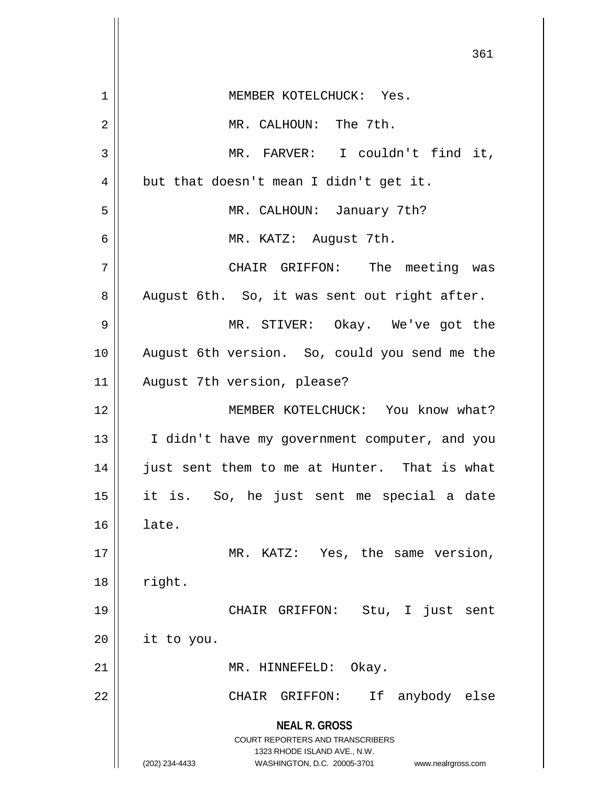| 361                                                      |
|----------------------------------------------------------|
| MEMBER KOTELCHUCK: Yes.                                  |
| MR. CALHOUN: The 7th.                                    |
| MR. FARVER: I couldn't find it,                          |
| but that doesn't mean I didn't get it.                   |
| MR. CALHOUN: January 7th?                                |
| MR. KATZ: August 7th.                                    |
| CHAIR GRIFFON: The meeting was                           |
| August 6th. So, it was sent out right after.             |
| MR. STIVER: Okay. We've got the                          |
| August 6th version. So, could you send me the            |
| August 7th version, please?                              |
| MEMBER KOTELCHUCK: You know what?                        |
| I didn't have my government computer, and you            |
| just sent them to me at Hunter. That is what             |
| it is. So, he just sent me special a date                |
| late.                                                    |
| MR. KATZ: Yes, the same version,                         |
| right.                                                   |
| just<br>CHAIR GRIFFON:<br>Stu, I<br>sent                 |
| it to you.                                               |
| MR. HINNEFELD:<br>Okay.                                  |
| If<br>anybody else<br>CHAIR GRIFFON:                     |
| <b>NEAL R. GROSS</b><br>COURT REPORTERS AND TRANSCRIBERS |
|                                                          |
|                                                          |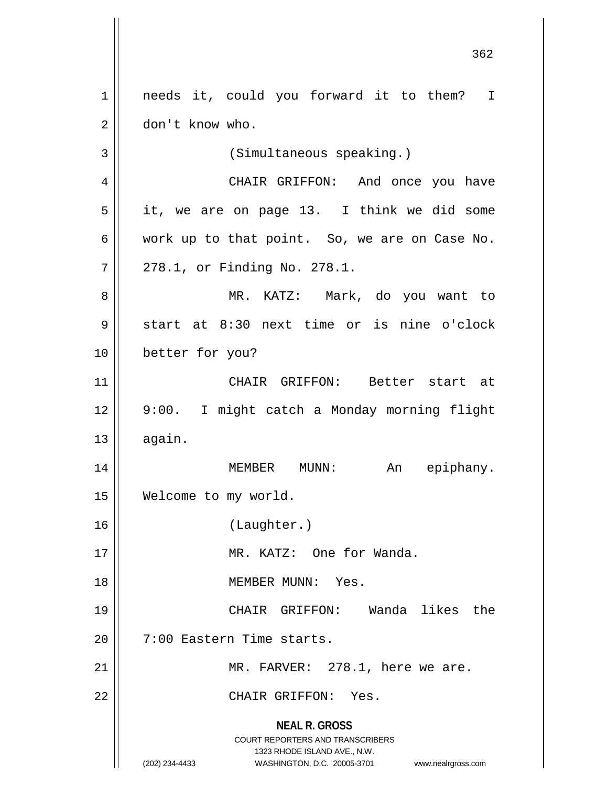**NEAL R. GROSS** COURT REPORTERS AND TRANSCRIBERS 1323 RHODE ISLAND AVE., N.W. (202) 234-4433 WASHINGTON, D.C. 20005-3701 www.nealrgross.com 1 || needs it, could you forward it to them? I 2 | don't know who. 3 (Simultaneous speaking.) 4 CHAIR GRIFFON: And once you have  $5 \parallel$  it, we are on page 13. I think we did some  $6 \parallel$  work up to that point. So, we are on Case No. 7 278.1, or Finding No. 278.1. 8 MR. KATZ: Mark, do you want to  $9 \parallel$  start at 8:30 next time or is nine o'clock 10 better for you? 11 CHAIR GRIFFON: Better start at 12 9:00. I might catch a Monday morning flight  $13 \parallel$  again. 14 MEMBER MUNN: An epiphany. 15 Welcome to my world. 16 (Laughter.) 17 MR. KATZ: One for Wanda. 18 MEMBER MUNN: Yes. 19 CHAIR GRIFFON: Wanda likes the 20 | 7:00 Eastern Time starts. 21 || MR. FARVER: 278.1, here we are. 22 CHAIR GRIFFON: Yes.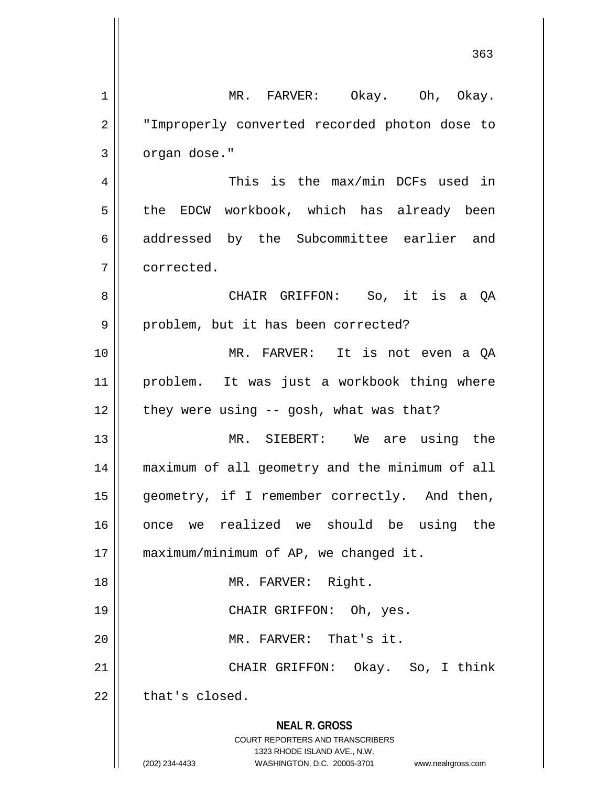**NEAL R. GROSS** COURT REPORTERS AND TRANSCRIBERS 1323 RHODE ISLAND AVE., N.W. (202) 234-4433 WASHINGTON, D.C. 20005-3701 www.nealrgross.com 1 MR. FARVER: Okay. Oh, Okay. 2 || "Improperly converted recorded photon dose to  $3 \parallel$  organ dose." 4 This is the max/min DCFs used in 5 || the EDCW workbook, which has already been 6 || addressed by the Subcommittee earlier and 7 corrected. 8 CHAIR GRIFFON: So, it is a QA 9 || problem, but it has been corrected? 10 MR. FARVER: It is not even a QA 11 problem. It was just a workbook thing where  $12$  | they were using  $-$  gosh, what was that? 13 MR. SIEBERT: We are using the 14 maximum of all geometry and the minimum of all 15 || geometry, if I remember correctly. And then, 16 || once we realized we should be using the 17 | maximum/minimum of AP, we changed it. 18 || MR. FARVER: Right. 19 CHAIR GRIFFON: Oh, yes. 20 || MR. FARVER: That's it. 21 CHAIR GRIFFON: Okay. So, I think  $22$   $\parallel$  that's closed.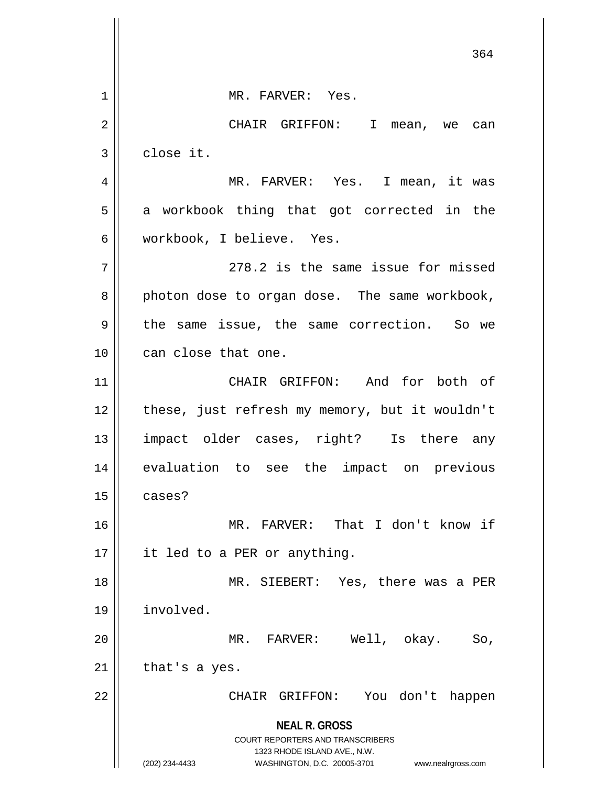**NEAL R. GROSS** COURT REPORTERS AND TRANSCRIBERS 1323 RHODE ISLAND AVE., N.W. (202) 234-4433 WASHINGTON, D.C. 20005-3701 www.nealrgross.com 364 1 || MR. FARVER: Yes. 2 CHAIR GRIFFON: I mean, we can  $3 \parallel$  close it. 4 MR. FARVER: Yes. I mean, it was 5 || a workbook thing that got corrected in the 6 workbook, I believe. Yes.  $7 \parallel$  278.2 is the same issue for missed 8 photon dose to organ dose. The same workbook, 9 the same issue, the same correction. So we 10 || can close that one. 11 || CHAIR GRIFFON: And for both of 12 || these, just refresh my memory, but it wouldn't 13 impact older cases, right? Is there any 14 evaluation to see the impact on previous  $15$   $\parallel$  cases? 16 MR. FARVER: That I don't know if 17 || it led to a PER or anything. 18 MR. SIEBERT: Yes, there was a PER 19 involved. 20 MR. FARVER: Well, okay. So,  $21$  | that's a yes. 22 CHAIR GRIFFON: You don't happen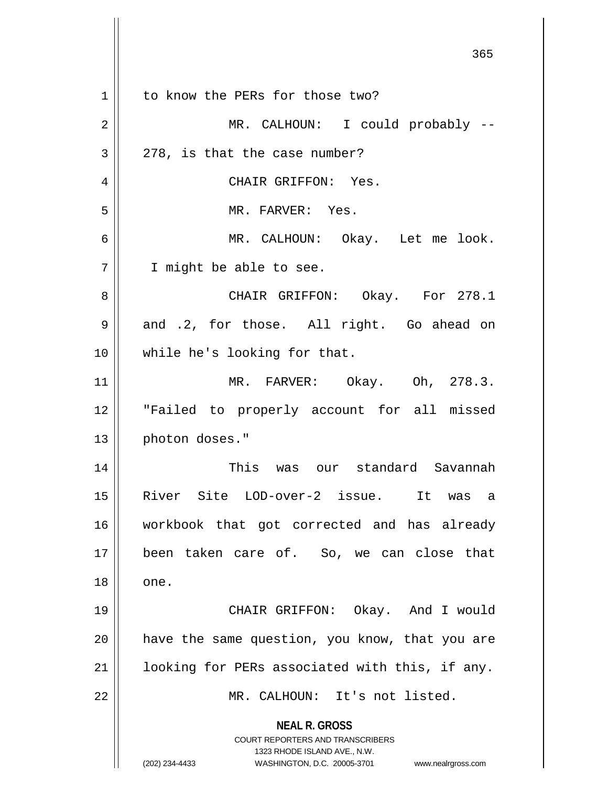|    | 365                                                                                                                                                             |
|----|-----------------------------------------------------------------------------------------------------------------------------------------------------------------|
| 1  | to know the PERs for those two?                                                                                                                                 |
| 2  | MR. CALHOUN: I could probably --                                                                                                                                |
| 3  | 278, is that the case number?                                                                                                                                   |
| 4  | CHAIR GRIFFON: Yes.                                                                                                                                             |
| 5  | MR. FARVER: Yes.                                                                                                                                                |
| 6  | MR. CALHOUN: Okay. Let me look.                                                                                                                                 |
| 7  | I might be able to see.                                                                                                                                         |
| 8  | CHAIR GRIFFON: Okay. For 278.1                                                                                                                                  |
| 9  | and .2, for those. All right. Go ahead on                                                                                                                       |
| 10 | while he's looking for that.                                                                                                                                    |
| 11 | MR. FARVER: Okay. Oh, 278.3.                                                                                                                                    |
| 12 | "Failed to properly account for all missed                                                                                                                      |
| 13 | photon doses."                                                                                                                                                  |
| 14 | This was our standard Savannah                                                                                                                                  |
| 15 | River Site LOD-over-2 issue. It was a                                                                                                                           |
| 16 | workbook that got corrected and has already                                                                                                                     |
| 17 | been taken care of. So, we can close that                                                                                                                       |
| 18 | one.                                                                                                                                                            |
| 19 | CHAIR GRIFFON: Okay. And I would                                                                                                                                |
| 20 | have the same question, you know, that you are                                                                                                                  |
| 21 | looking for PERs associated with this, if any.                                                                                                                  |
| 22 | MR. CALHOUN: It's not listed.                                                                                                                                   |
|    | <b>NEAL R. GROSS</b><br>COURT REPORTERS AND TRANSCRIBERS<br>1323 RHODE ISLAND AVE., N.W.<br>(202) 234-4433<br>WASHINGTON, D.C. 20005-3701<br>www.nealrgross.com |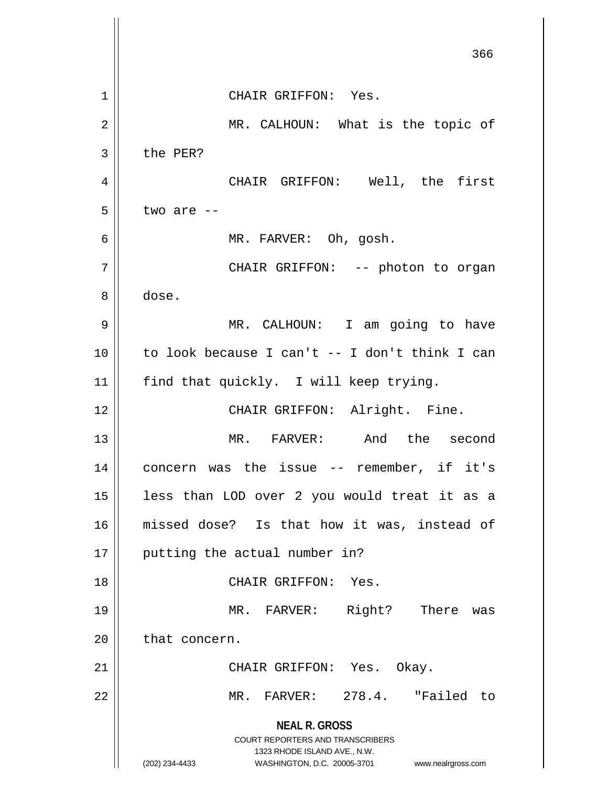|    | 366                                                                                              |
|----|--------------------------------------------------------------------------------------------------|
| 1  | CHAIR GRIFFON: Yes.                                                                              |
| 2  | MR. CALHOUN: What is the topic of                                                                |
| 3  | the PER?                                                                                         |
| 4  | CHAIR GRIFFON: Well, the first                                                                   |
| 5  | two are --                                                                                       |
| 6  | MR. FARVER: Oh, gosh.                                                                            |
| 7  | CHAIR GRIFFON: -- photon to organ                                                                |
| 8  | dose.                                                                                            |
| 9  | MR. CALHOUN: I am going to have                                                                  |
|    |                                                                                                  |
| 10 | to look because I can't -- I don't think I can                                                   |
| 11 | find that quickly. I will keep trying.                                                           |
| 12 | CHAIR GRIFFON: Alright. Fine.                                                                    |
| 13 | MR. FARVER: And the second                                                                       |
| 14 | concern was the issue -- remember, if it's                                                       |
| 15 | less than LOD over 2 you would treat it as a                                                     |
| 16 | missed dose? Is that how it was, instead of                                                      |
| 17 | putting the actual number in?                                                                    |
| 18 | CHAIR GRIFFON: Yes.                                                                              |
| 19 | MR. FARVER: Right? There was                                                                     |
| 20 | that concern.                                                                                    |
| 21 | CHAIR GRIFFON: Yes. Okay.                                                                        |
| 22 | MR. FARVER: 278.4. "Failed to                                                                    |
|    | <b>NEAL R. GROSS</b>                                                                             |
|    | COURT REPORTERS AND TRANSCRIBERS                                                                 |
|    | 1323 RHODE ISLAND AVE., N.W.<br>(202) 234-4433<br>WASHINGTON, D.C. 20005-3701 www.nealrgross.com |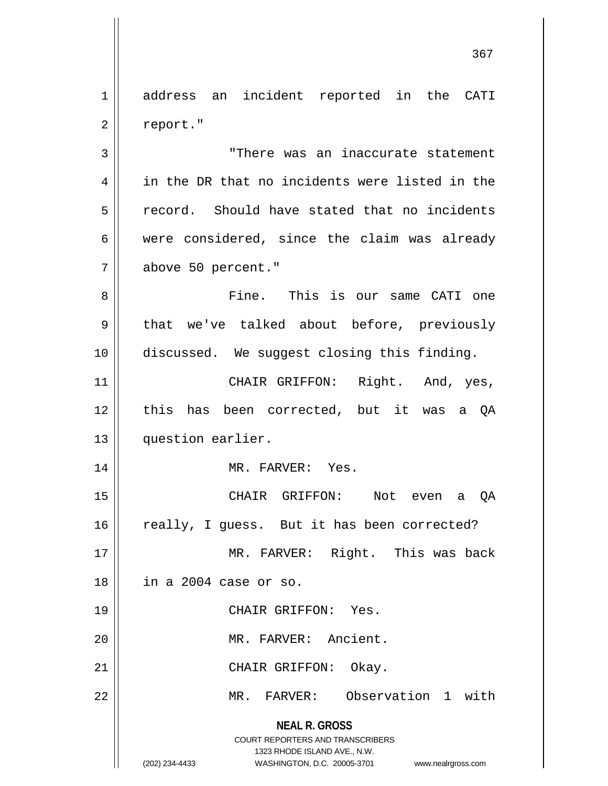1 address an incident reported in the CATI 2 | report."

3 "There was an inaccurate statement 4 in the DR that no incidents were listed in the 5 Fecord. Should have stated that no incidents 6 were considered, since the claim was already 7 above 50 percent."

8 Fine. This is our same CATI one  $9 \parallel$  that we've talked about before, previously 10 discussed. We suggest closing this finding.

11 || CHAIR GRIFFON: Right. And, yes, 12 || this has been corrected, but it was a QA 13 question earlier.

14 || MR. FARVER: Yes.

15 CHAIR GRIFFON: Not even a QA  $16$  really, I guess. But it has been corrected?

17 MR. FARVER: Right. This was back 18 in a 2004 case or so.

20 || MR. FARVER: Ancient.

21 || CHAIR GRIFFON: Okay.

19 || CHAIR GRIFFON: Yes.

22 MR. FARVER: Observation 1 with

**NEAL R. GROSS** COURT REPORTERS AND TRANSCRIBERS 1323 RHODE ISLAND AVE., N.W.

(202) 234-4433 WASHINGTON, D.C. 20005-3701 www.nealrgross.com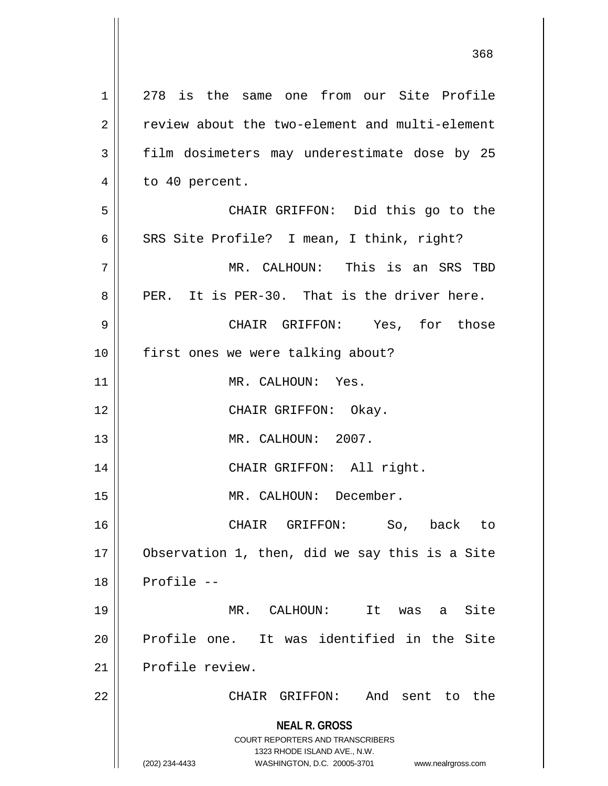| 1  | 278 is the same one from our Site Profile                           |
|----|---------------------------------------------------------------------|
| 2  | review about the two-element and multi-element                      |
| 3  | film dosimeters may underestimate dose by 25                        |
| 4  | to 40 percent.                                                      |
| 5  | CHAIR GRIFFON: Did this go to the                                   |
| 6  | SRS Site Profile? I mean, I think, right?                           |
| 7  | MR. CALHOUN: This is an SRS TBD                                     |
| 8  | PER. It is PER-30. That is the driver here.                         |
| 9  | CHAIR GRIFFON: Yes, for those                                       |
| 10 | first ones we were talking about?                                   |
| 11 | MR. CALHOUN: Yes.                                                   |
| 12 | CHAIR GRIFFON: Okay.                                                |
| 13 | MR. CALHOUN: 2007.                                                  |
| 14 | CHAIR GRIFFON: All right.                                           |
| 15 | MR. CALHOUN: December.                                              |
| 16 | CHAIR GRIFFON:<br>So, back to                                       |
| 17 | Observation 1, then, did we say this is a Site                      |
| 18 | Profile --                                                          |
| 19 | Site<br>MR. CALHOUN:<br>It<br>was a                                 |
| 20 | Profile one. It was identified in the Site                          |
| 21 | Profile review.                                                     |
| 22 | And sent to the<br>CHAIR GRIFFON:                                   |
|    |                                                                     |
|    | <b>NEAL R. GROSS</b><br><b>COURT REPORTERS AND TRANSCRIBERS</b>     |
|    | 1323 RHODE ISLAND AVE., N.W.                                        |
|    | (202) 234-4433<br>WASHINGTON, D.C. 20005-3701<br>www.nealrgross.com |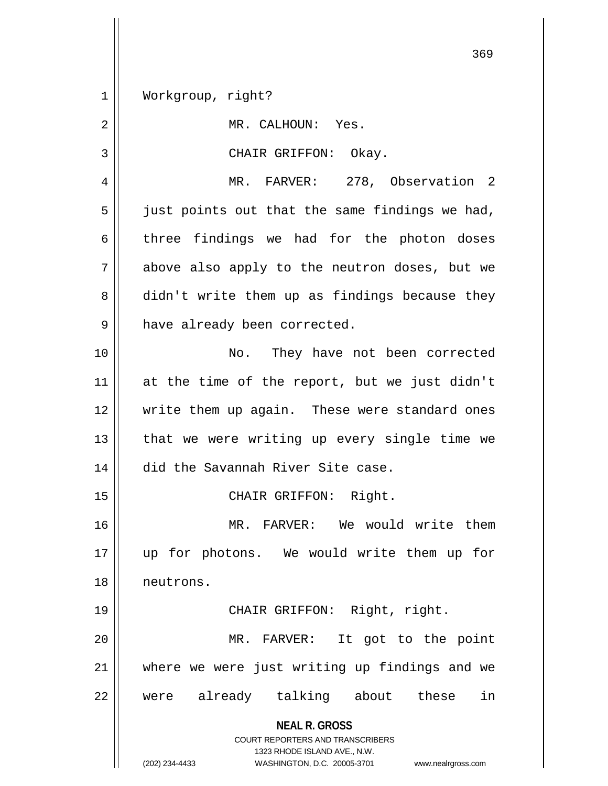1 | Workgroup, right?

**NEAL R. GROSS** COURT REPORTERS AND TRANSCRIBERS 1323 RHODE ISLAND AVE., N.W. (202) 234-4433 WASHINGTON, D.C. 20005-3701 www.nealrgross.com 2 || MR. CALHOUN: Yes. 3 CHAIR GRIFFON: Okay. 4 | MR. FARVER: 278, Observation 2  $5 \parallel$  just points out that the same findings we had,  $6$  three findings we had for the photon doses  $7 \parallel$  above also apply to the neutron doses, but we 8 didn't write them up as findings because they 9 | have already been corrected. 10 || No. They have not been corrected 11 at the time of the report, but we just didn't 12 write them up again. These were standard ones  $13$  | that we were writing up every single time we 14 did the Savannah River Site case. 15 || CHAIR GRIFFON: Right. 16 MR. FARVER: We would write them 17 up for photons. We would write them up for 18 neutrons. 19 CHAIR GRIFFON: Right, right. 20 || MR. FARVER: It got to the point 21 where we were just writing up findings and we 22 || were already talking about these in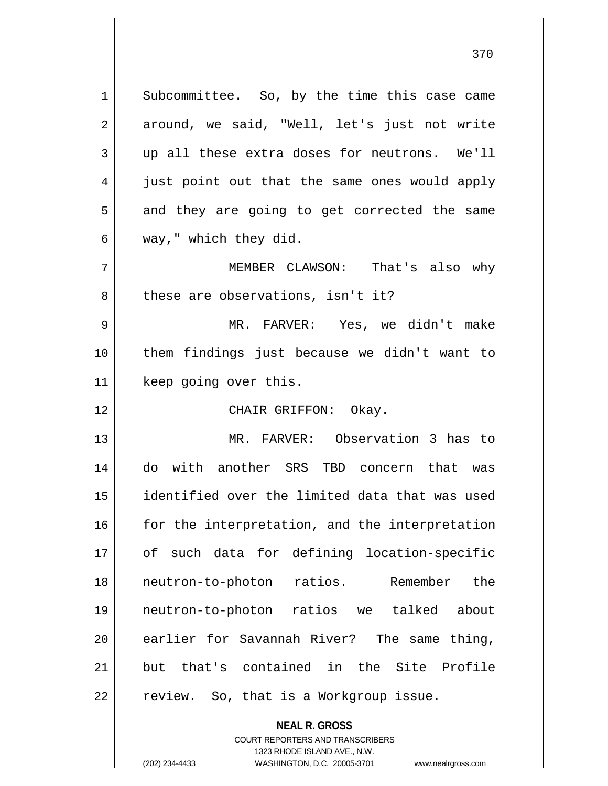1 | Subcommittee. So, by the time this case came 2 around, we said, "Well, let's just not write 3 up all these extra doses for neutrons. We'll 4 || just point out that the same ones would apply  $5 \parallel$  and they are going to get corrected the same  $6 \parallel$  way," which they did. 7 MEMBER CLAWSON: That's also why 8 decritations, isn't it? 9 MR. FARVER: Yes, we didn't make 10 them findings just because we didn't want to 11 | keep going over this. 12 CHAIR GRIFFON: Okay. 13 MR. FARVER: Observation 3 has to 14 do with another SRS TBD concern that was 15 identified over the limited data that was used  $16$   $\parallel$  for the interpretation, and the interpretation 17 || of such data for defining location-specific 18 || neutron-to-photon ratios. Remember the 19 neutron-to-photon ratios we talked about 20 earlier for Savannah River? The same thing, 21 but that's contained in the Site Profile  $22$  | review. So, that is a Workgroup issue.

> COURT REPORTERS AND TRANSCRIBERS 1323 RHODE ISLAND AVE., N.W.

**NEAL R. GROSS**

(202) 234-4433 WASHINGTON, D.C. 20005-3701 www.nealrgross.com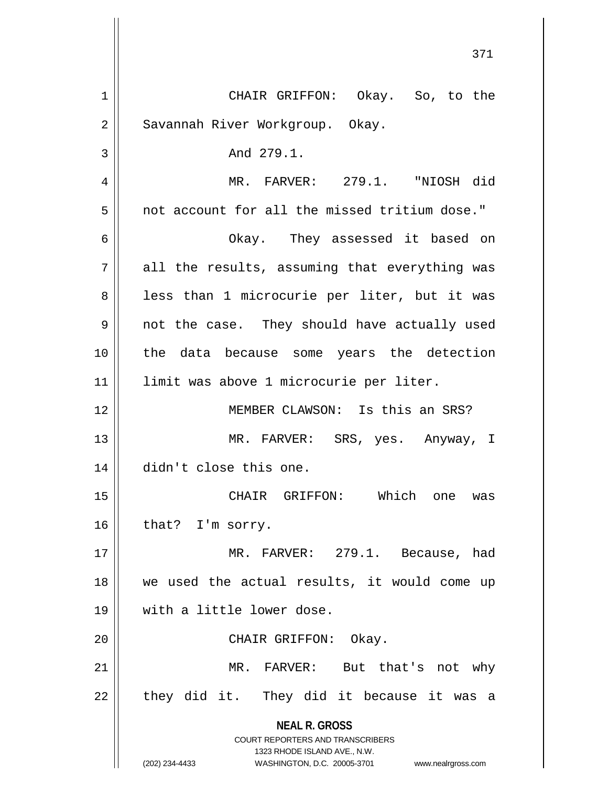| 1  | CHAIR GRIFFON: Okay. So, to the                                         |
|----|-------------------------------------------------------------------------|
| 2  | Savannah River Workgroup. Okay.                                         |
| 3  | And 279.1.                                                              |
| 4  | MR. FARVER: 279.1. "NIOSH did                                           |
| 5  | not account for all the missed tritium dose."                           |
| 6  | Okay. They assessed it based on                                         |
| 7  | all the results, assuming that everything was                           |
| 8  | less than 1 microcurie per liter, but it was                            |
| 9  | not the case. They should have actually used                            |
| 10 | the data because some years the detection                               |
| 11 | limit was above 1 microcurie per liter.                                 |
| 12 | MEMBER CLAWSON: Is this an SRS?                                         |
| 13 | MR. FARVER: SRS, yes. Anyway, I                                         |
| 14 | didn't close this one.                                                  |
| 15 | CHAIR GRIFFON: Which<br>one<br>was                                      |
| 16 | that? I'm sorry.                                                        |
| 17 | MR. FARVER: 279.1. Because, had                                         |
| 18 | we used the actual results, it would come up                            |
| 19 | with a little lower dose.                                               |
| 20 | CHAIR GRIFFON: Okay.                                                    |
| 21 | MR. FARVER: But that's not why                                          |
| 22 | they did it. They did it because it was a                               |
|    | <b>NEAL R. GROSS</b>                                                    |
|    | <b>COURT REPORTERS AND TRANSCRIBERS</b><br>1323 RHODE ISLAND AVE., N.W. |
|    | (202) 234-4433<br>WASHINGTON, D.C. 20005-3701 www.nealrgross.com        |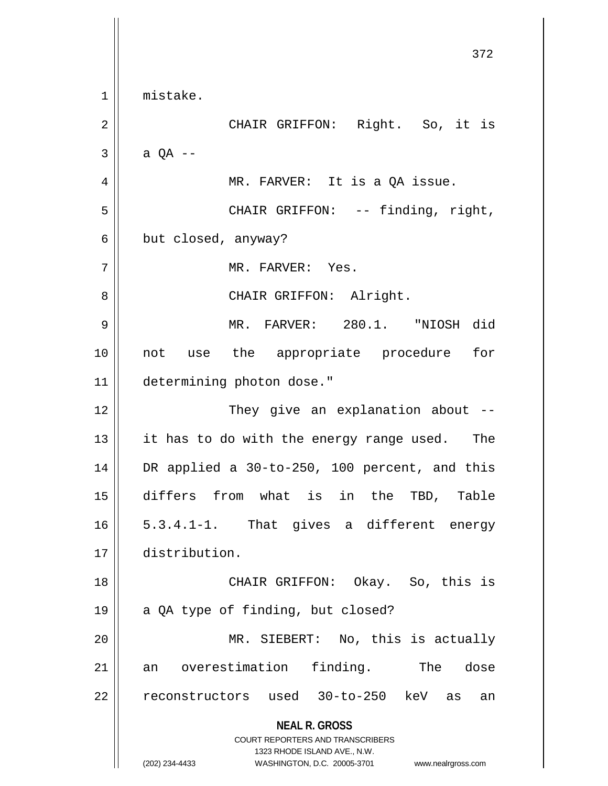**NEAL R. GROSS** COURT REPORTERS AND TRANSCRIBERS 1323 RHODE ISLAND AVE., N.W. (202) 234-4433 WASHINGTON, D.C. 20005-3701 www.nealrgross.com 372 1 mistake. 2 CHAIR GRIFFON: Right. So, it is  $3 \parallel$  a QA --4 || MR. FARVER: It is a QA issue. 5 CHAIR GRIFFON: -- finding, right,  $6 \parallel$  but closed, anyway? 7 MR. FARVER: Yes. 8 || CHAIR GRIFFON: Alright. 9 MR. FARVER: 280.1. "NIOSH did 10 not use the appropriate procedure for 11 determining photon dose." 12 || They give an explanation about -- $13$  || it has to do with the energy range used. The 14 DR applied a 30-to-250, 100 percent, and this 15 differs from what is in the TBD, Table  $16 \parallel 5.3.4.1 - 1$ . That gives a different energy 17 distribution. 18 CHAIR GRIFFON: Okay. So, this is 19  $\parallel$  a QA type of finding, but closed? 20 MR. SIEBERT: No, this is actually 21 an overestimation finding. The dose 22 || reconstructors used 30-to-250 keV as an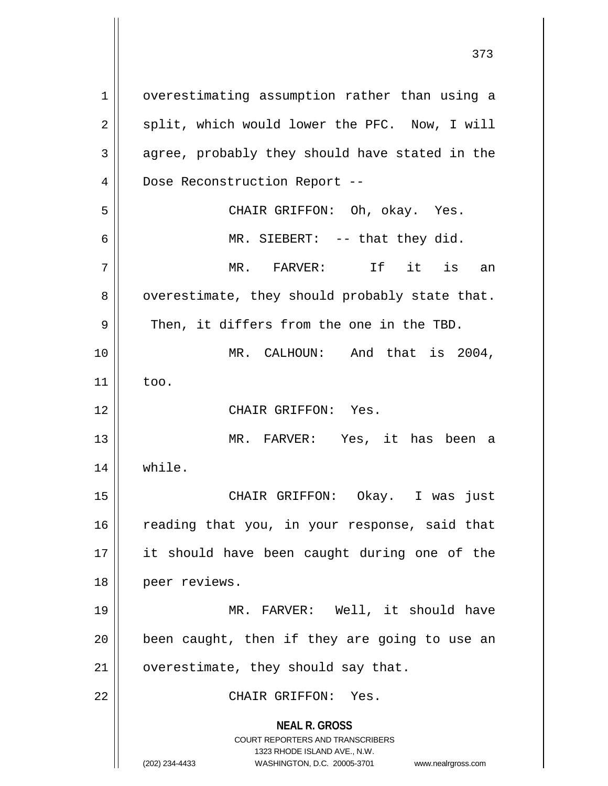**NEAL R. GROSS** COURT REPORTERS AND TRANSCRIBERS 1323 RHODE ISLAND AVE., N.W. (202) 234-4433 WASHINGTON, D.C. 20005-3701 www.nealrgross.com 1 | overestimating assumption rather than using a  $2 \parallel$  split, which would lower the PFC. Now, I will  $3 \parallel$  agree, probably they should have stated in the 4 | Dose Reconstruction Report --5 CHAIR GRIFFON: Oh, okay. Yes. 6 || MR. SIEBERT: -- that they did. 7 MR. FARVER: If it is an  $8 \parallel$  overestimate, they should probably state that.  $9 \parallel$  Then, it differs from the one in the TBD. 10 MR. CALHOUN: And that is 2004,  $11$   $\parallel$  too. 12 CHAIR GRIFFON: Yes. 13 MR. FARVER: Yes, it has been a 14 while. 15 CHAIR GRIFFON: Okay. I was just  $16$  reading that you, in your response, said that 17 it should have been caught during one of the 18 peer reviews. 19 MR. FARVER: Well, it should have  $20$  | been caught, then if they are going to use an  $21$  | overestimate, they should say that. 22 CHAIR GRIFFON: Yes.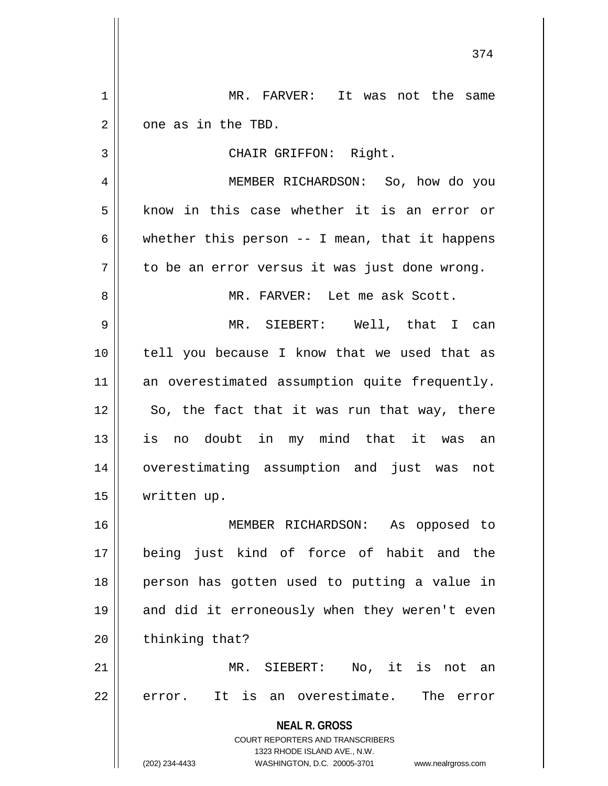**NEAL R. GROSS** COURT REPORTERS AND TRANSCRIBERS 1323 RHODE ISLAND AVE., N.W. (202) 234-4433 WASHINGTON, D.C. 20005-3701 www.nealrgross.com 1 MR. FARVER: It was not the same  $2 \parallel$  one as in the TBD. 3 || CHAIR GRIFFON: Right. 4 MEMBER RICHARDSON: So, how do you  $5 \parallel$  know in this case whether it is an error or 6 | whether this person  $-$  I mean, that it happens  $7 \parallel$  to be an error versus it was just done wrong. 8 || MR. FARVER: Let me ask Scott. 9 MR. SIEBERT: Well, that I can 10 tell you because I know that we used that as 11 an overestimated assumption quite frequently.  $12$  | So, the fact that it was run that way, there 13 is no doubt in my mind that it was an 14 overestimating assumption and just was not 15 written up. 16 MEMBER RICHARDSON: As opposed to 17 being just kind of force of habit and the 18 person has gotten used to putting a value in 19 || and did it erroneously when they weren't even  $20$  | thinking that? 21 MR. SIEBERT: No, it is not an  $22$   $\parallel$  error. It is an overestimate. The error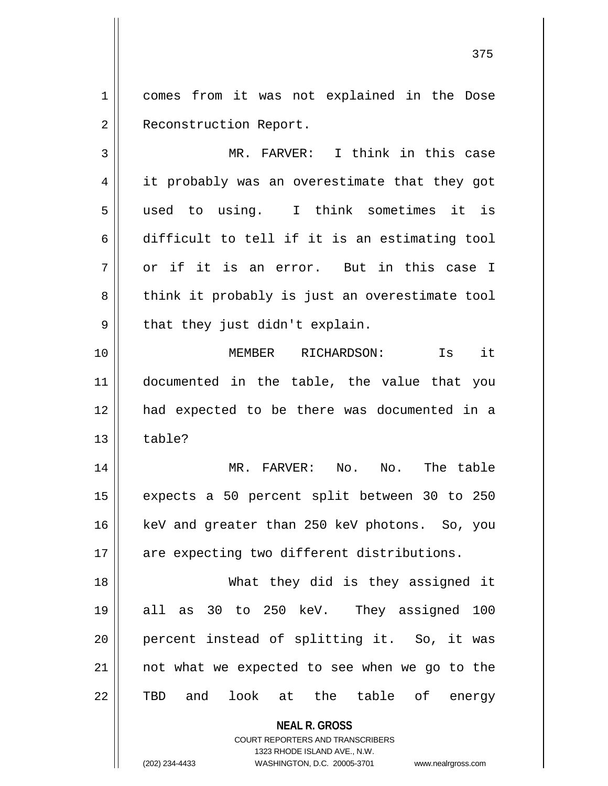1 || comes from it was not explained in the Dose 2 | Reconstruction Report.

3 MR. FARVER: I think in this case 4 || it probably was an overestimate that they got 5 used to using. I think sometimes it is  $6 \parallel$  difficult to tell if it is an estimating tool  $7 \parallel$  or if it is an error. But in this case I 8 || think it probably is just an overestimate tool  $9 \parallel$  that they just didn't explain. 10 MEMBER RICHARDSON: Is it 11 documented in the table, the value that you 12 had expected to be there was documented in a

 $13 \parallel$  table? 14 MR. FARVER: No. No. The table 15 expects a 50 percent split between 30 to 250 16 || keV and greater than 250 keV photons. So, you

17 are expecting two different distributions.

18 What they did is they assigned it 19 all as 30 to 250 keV. They assigned 100 20 || percent instead of splitting it. So, it was 21 || not what we expected to see when we go to the 22 TBD and look at the table of energy

> **NEAL R. GROSS** COURT REPORTERS AND TRANSCRIBERS 1323 RHODE ISLAND AVE., N.W.

(202) 234-4433 WASHINGTON, D.C. 20005-3701 www.nealrgross.com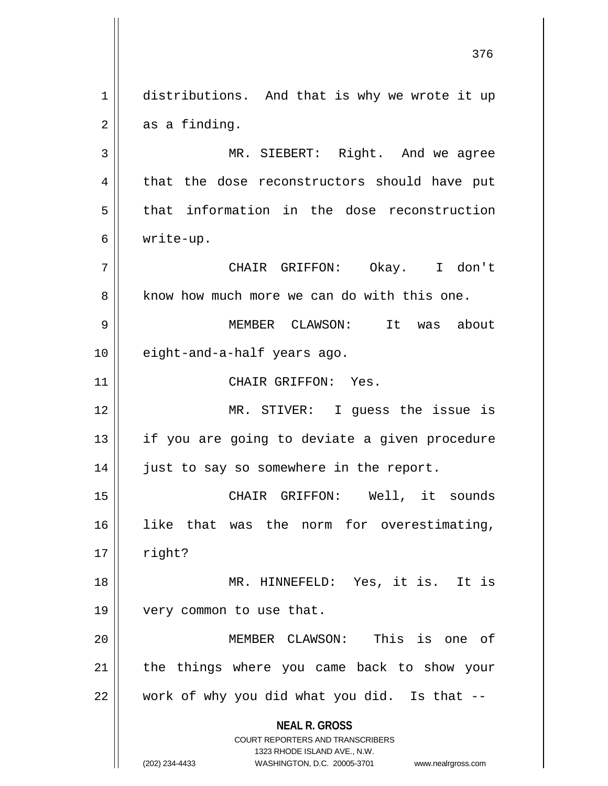**NEAL R. GROSS** COURT REPORTERS AND TRANSCRIBERS 1323 RHODE ISLAND AVE., N.W. (202) 234-4433 WASHINGTON, D.C. 20005-3701 www.nealrgross.com 1 distributions. And that is why we wrote it up  $2 \parallel$  as a finding. 3 || MR. SIEBERT: Right. And we agree 4 that the dose reconstructors should have put  $5$  that information in the dose reconstruction 6 write-up. 7 CHAIR GRIFFON: Okay. I don't 8 know how much more we can do with this one. 9 MEMBER CLAWSON: It was about 10 || eight-and-a-half years ago. 11 || CHAIR GRIFFON: Yes. 12 MR. STIVER: I guess the issue is 13 || if you are going to deviate a given procedure 14 | just to say so somewhere in the report. 15 CHAIR GRIFFON: Well, it sounds 16 like that was the norm for overestimating,  $17 \parallel$  right? 18 MR. HINNEFELD: Yes, it is. It is 19 || very common to use that. 20 MEMBER CLAWSON: This is one of  $21$  | the things where you came back to show your  $22$  | work of why you did what you did. Is that  $-$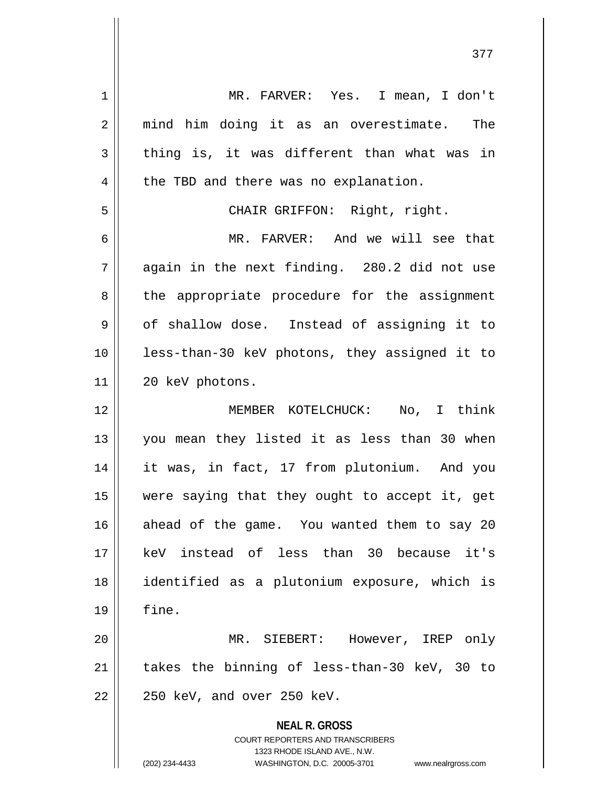| $\mathbf 1$ | MR. FARVER: Yes. I mean, I don't                                                                                                                                       |
|-------------|------------------------------------------------------------------------------------------------------------------------------------------------------------------------|
| 2           | mind him doing it as an overestimate. The                                                                                                                              |
| 3           | thing is, it was different than what was in                                                                                                                            |
| 4           | the TBD and there was no explanation.                                                                                                                                  |
| 5           | CHAIR GRIFFON: Right, right.                                                                                                                                           |
| 6           | MR. FARVER: And we will see that                                                                                                                                       |
| 7           | again in the next finding. 280.2 did not use                                                                                                                           |
| 8           | the appropriate procedure for the assignment                                                                                                                           |
| 9           | of shallow dose. Instead of assigning it to                                                                                                                            |
| 10          | less-than-30 keV photons, they assigned it to                                                                                                                          |
| 11          | 20 keV photons.                                                                                                                                                        |
| 12          | MEMBER KOTELCHUCK:<br>No, I think                                                                                                                                      |
| 13          | you mean they listed it as less than 30 when                                                                                                                           |
| 14          | it was, in fact, 17 from plutonium. And you                                                                                                                            |
| 15          | were saying that they ought to accept it, get                                                                                                                          |
| 16          | ahead of the game. You wanted them to say 20                                                                                                                           |
| 17          | keV instead of less than 30 because it's                                                                                                                               |
| 18          | identified as a plutonium exposure, which is                                                                                                                           |
| 19          | fine.                                                                                                                                                                  |
| 20          | MR. SIEBERT: However, IREP only                                                                                                                                        |
| 21          | takes the binning of less-than-30 keV, 30 to                                                                                                                           |
| 22          | 250 keV, and over 250 keV.                                                                                                                                             |
|             | <b>NEAL R. GROSS</b><br><b>COURT REPORTERS AND TRANSCRIBERS</b><br>1323 RHODE ISLAND AVE., N.W.<br>(202) 234-4433<br>WASHINGTON, D.C. 20005-3701<br>www.nealrgross.com |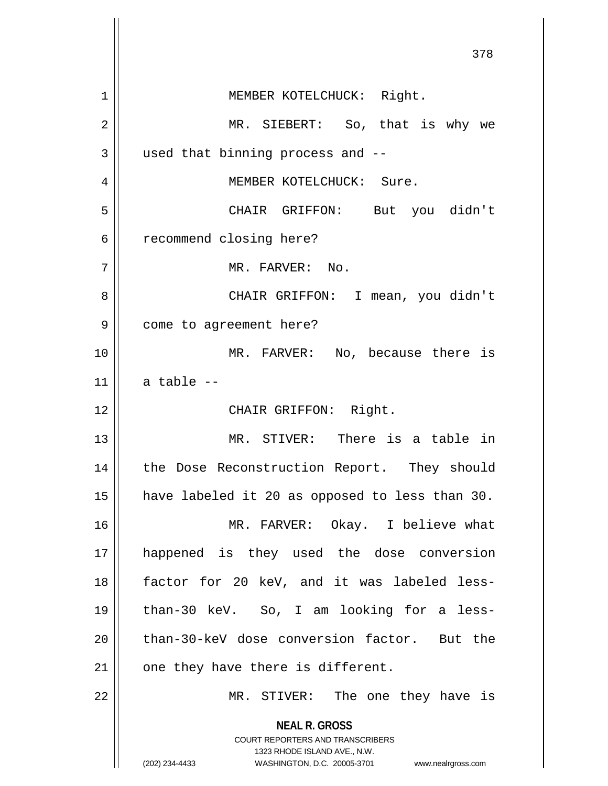|    | 378                                                                     |
|----|-------------------------------------------------------------------------|
| 1  | MEMBER KOTELCHUCK: Right.                                               |
| 2  | MR. SIEBERT: So, that is why we                                         |
| 3  | used that binning process and --                                        |
| 4  | MEMBER KOTELCHUCK: Sure.                                                |
| 5  | CHAIR GRIFFON: But you didn't                                           |
| 6  | recommend closing here?                                                 |
| 7  | MR. FARVER: No.                                                         |
| 8  | CHAIR GRIFFON: I mean, you didn't                                       |
| 9  | come to agreement here?                                                 |
| 10 | MR. FARVER: No, because there is                                        |
| 11 | a table --                                                              |
| 12 | CHAIR GRIFFON: Right.                                                   |
| 13 | MR. STIVER: There is a table in                                         |
| 14 | the Dose Reconstruction Report. They should                             |
| 15 | have labeled it 20 as opposed to less than 30.                          |
| 16 | MR. FARVER: Okay. I believe what                                        |
| 17 | happened is they used the dose conversion                               |
| 18 | factor for 20 keV, and it was labeled less-                             |
| 19 | than-30 keV. So, I am looking for a less-                               |
| 20 | than-30-keV dose conversion factor. But the                             |
| 21 | one they have there is different.                                       |
| 22 | MR. STIVER: The one they have is                                        |
|    | <b>NEAL R. GROSS</b>                                                    |
|    | <b>COURT REPORTERS AND TRANSCRIBERS</b><br>1323 RHODE ISLAND AVE., N.W. |
|    | (202) 234-4433<br>WASHINGTON, D.C. 20005-3701<br>www.nealrgross.com     |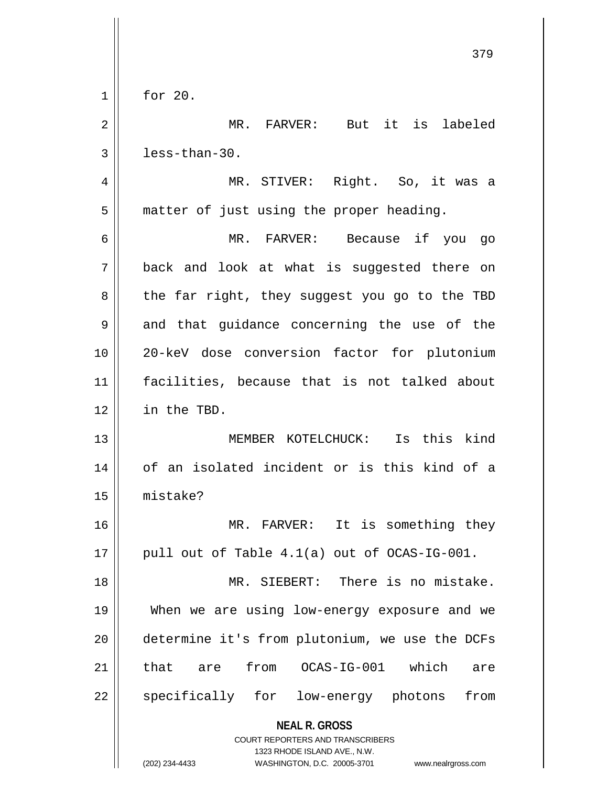|              | 379                                                                 |
|--------------|---------------------------------------------------------------------|
| $\mathbf 1$  | for 20.                                                             |
| 2            | MR. FARVER: But it is labeled                                       |
| $\mathbf{3}$ | less-than-30.                                                       |
| 4            | MR. STIVER: Right. So, it was a                                     |
| 5            | matter of just using the proper heading.                            |
| 6            | MR. FARVER: Because if you go                                       |
| 7            | back and look at what is suggested there on                         |
| 8            | the far right, they suggest you go to the TBD                       |
| 9            | and that guidance concerning the use of the                         |
| 10           | 20-keV dose conversion factor for plutonium                         |
| 11           | facilities, because that is not talked about                        |
| 12           | in the TBD.                                                         |
| 13           | MEMBER KOTELCHUCK: Is this kind                                     |
| 14           | of an isolated incident or is this kind of a                        |
| 15           | mistake?                                                            |
| 16           | MR. FARVER: It is something they                                    |
| 17           | pull out of Table 4.1(a) out of OCAS-IG-001.                        |
| 18           | MR. SIEBERT: There is no mistake.                                   |
| 19           | When we are using low-energy exposure and we                        |
| 20           | determine it's from plutonium, we use the DCFs                      |
| 21           | from OCAS-IG-001 which<br>that are<br>are                           |
| 22           | specifically for low-energy photons<br>from                         |
|              | <b>NEAL R. GROSS</b><br>COURT REPORTERS AND TRANSCRIBERS            |
|              | 1323 RHODE ISLAND AVE., N.W.                                        |
|              | (202) 234-4433<br>WASHINGTON, D.C. 20005-3701<br>www.nealrgross.com |

 $\mathbb{I}$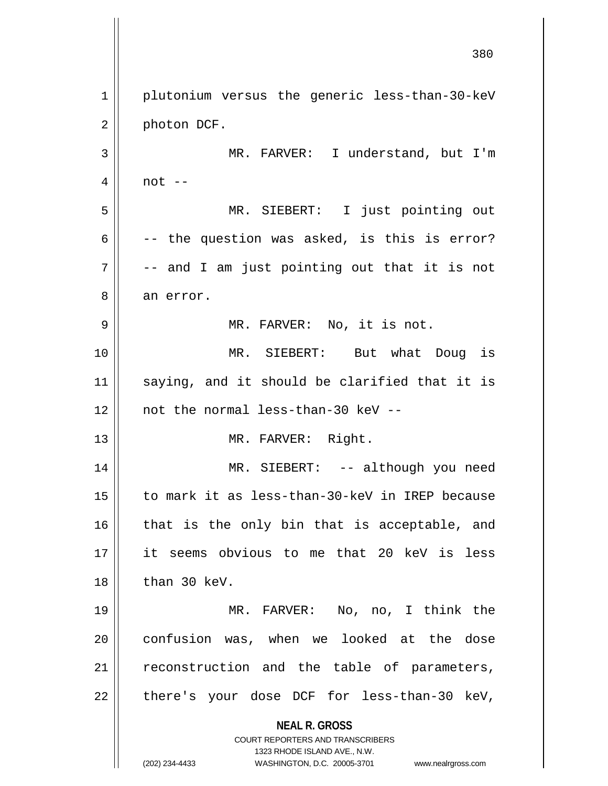**NEAL R. GROSS** COURT REPORTERS AND TRANSCRIBERS 1323 RHODE ISLAND AVE., N.W. (202) 234-4433 WASHINGTON, D.C. 20005-3701 www.nealrgross.com 1 | plutonium versus the generic less-than-30-keV 2 | photon DCF. 3 || MR. FARVER: I understand, but I'm  $4 \parallel$  not  $-$ 5 MR. SIEBERT: I just pointing out 6  $\vert$  -- the question was asked, is this is error?  $7 \parallel$  -- and I am just pointing out that it is not 8 an error. 9 || MR. FARVER: No, it is not. 10 MR. SIEBERT: But what Doug is 11 || saying, and it should be clarified that it is 12 not the normal less-than-30 keV -- 13 || MR. FARVER: Right. 14 || MR. SIEBERT: -- although you need 15 to mark it as less-than-30-keV in IREP because 16 || that is the only bin that is acceptable, and 17 it seems obvious to me that 20 keV is less  $18$  | than 30 keV. 19 MR. FARVER: No, no, I think the 20 || confusion was, when we looked at the dose 21 || reconstruction and the table of parameters,  $22$  || there's your dose DCF for less-than-30 keV,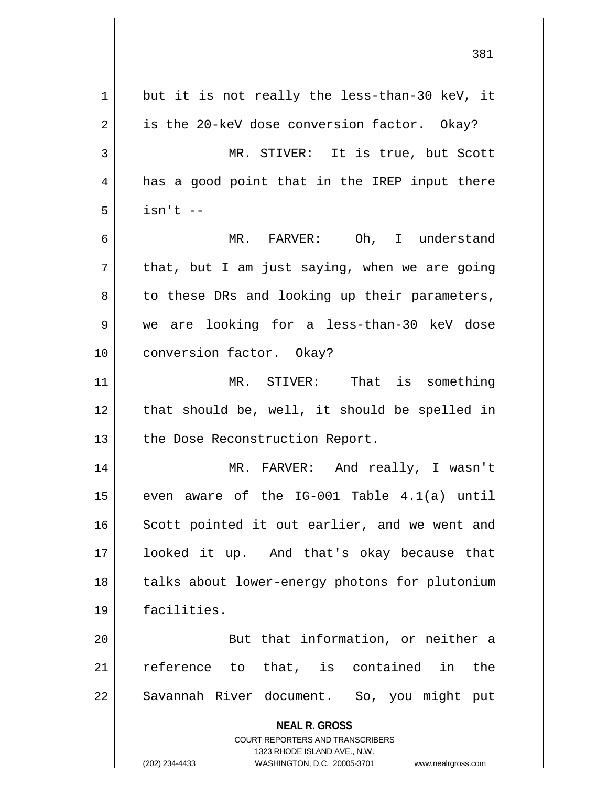**NEAL R. GROSS** COURT REPORTERS AND TRANSCRIBERS 1323 RHODE ISLAND AVE., N.W. (202) 234-4433 WASHINGTON, D.C. 20005-3701 www.nealrgross.com  $1 \parallel$  but it is not really the less-than-30 keV, it  $2 \parallel$  is the 20-keV dose conversion factor. Okay? 3 MR. STIVER: It is true, but Scott 4 || has a good point that in the IREP input there  $5 \parallel$  isn't  $-$ 6 MR. FARVER: Oh, I understand  $7 ||$  that, but I am just saying, when we are going  $8 \parallel$  to these DRs and looking up their parameters, 9 we are looking for a less-than-30 keV dose 10 || conversion factor. Okay? 11 MR. STIVER: That is something  $12$  | that should be, well, it should be spelled in 13 | the Dose Reconstruction Report. 14 MR. FARVER: And really, I wasn't 15  $\parallel$  even aware of the IG-001 Table 4.1(a) until 16 || Scott pointed it out earlier, and we went and 17 looked it up. And that's okay because that 18 || talks about lower-energy photons for plutonium 19 facilities. 20 || But that information, or neither a 21 || reference to that, is contained in the 22 || Savannah River document. So, you might put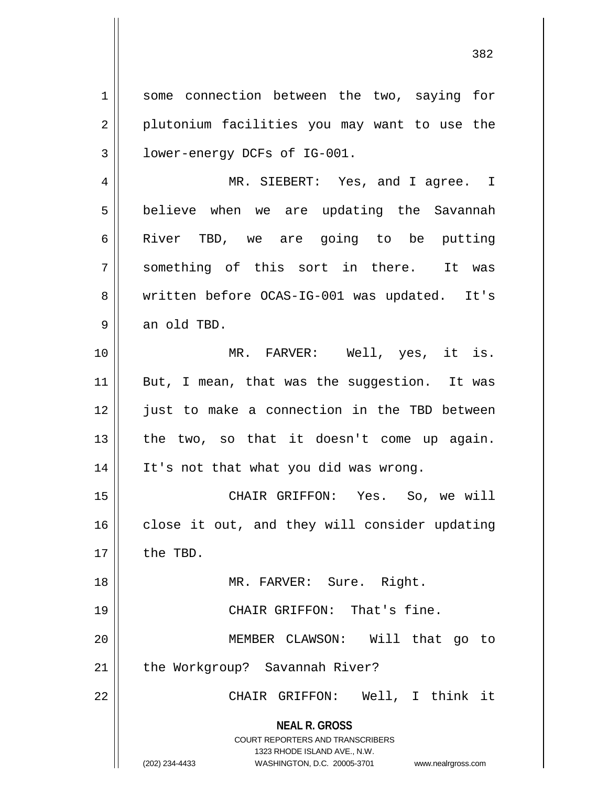1 || some connection between the two, saying for 2 || plutonium facilities you may want to use the 3 lower-energy DCFs of IG-001. 4 MR. SIEBERT: Yes, and I agree. I

5 | believe when we are updating the Savannah 6 River TBD, we are going to be putting 7 || something of this sort in there. It was 8 || written before OCAS-IG-001 was updated. It's  $9 \parallel$  an old TBD.

10 MR. FARVER: Well, yes, it is. 11 || But, I mean, that was the suggestion. It was 12 || just to make a connection in the TBD between  $13$  | the two, so that it doesn't come up again. 14 It's not that what you did was wrong.

15 CHAIR GRIFFON: Yes. So, we will  $16$  close it out, and they will consider updating 17 || the TBD.

18 || MR. FARVER: Sure. Right. 19 || CHAIR GRIFFON: That's fine. 20 MEMBER CLAWSON: Will that go to

21 | the Workgroup? Savannah River?

22 CHAIR GRIFFON: Well, I think it

**NEAL R. GROSS**

COURT REPORTERS AND TRANSCRIBERS 1323 RHODE ISLAND AVE., N.W. (202) 234-4433 WASHINGTON, D.C. 20005-3701 www.nealrgross.com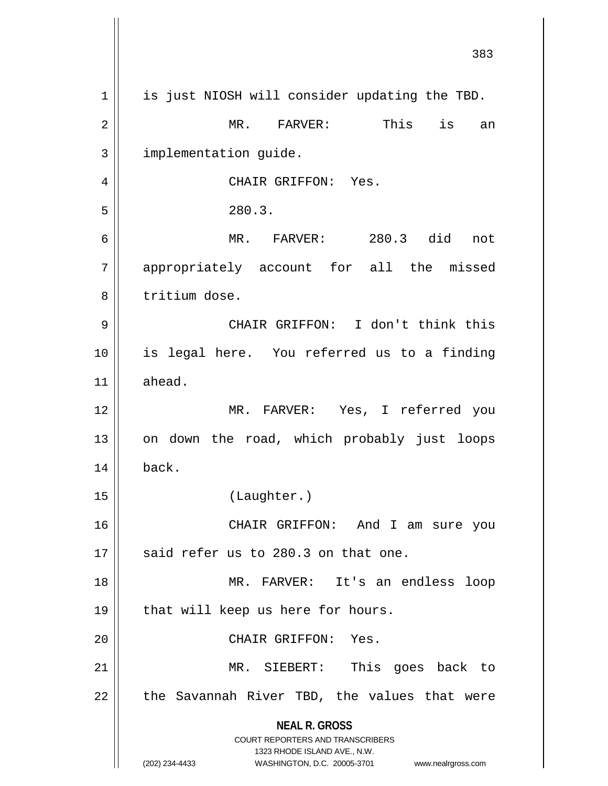|             | 383                                                                     |
|-------------|-------------------------------------------------------------------------|
| $\mathbf 1$ | is just NIOSH will consider updating the TBD.                           |
| 2           | is<br>This<br>MR. FARVER:<br>an                                         |
| 3           | implementation guide.                                                   |
| 4           | CHAIR GRIFFON: Yes.                                                     |
| 5           | 280.3.                                                                  |
| 6           | 280.3 did<br>MR. FARVER:<br>not                                         |
| 7           | appropriately account for all the missed                                |
| 8           | tritium dose.                                                           |
| 9           | CHAIR GRIFFON: I don't think this                                       |
| 10          | is legal here. You referred us to a finding                             |
| 11          | ahead.                                                                  |
| 12          | MR. FARVER: Yes, I referred you                                         |
| 13          | on down the road, which probably just loops                             |
| 14          | back.                                                                   |
| 15          | (Laughter.)                                                             |
| 16          | CHAIR GRIFFON: And I am sure you                                        |
| 17          | said refer us to 280.3 on that one.                                     |
| 18          | MR. FARVER: It's an endless<br>loop                                     |
| 19          | that will keep us here for hours.                                       |
| 20          | CHAIR GRIFFON: Yes.                                                     |
| 21          | MR. SIEBERT: This goes back to                                          |
| 22          | the Savannah River TBD, the values that were                            |
|             | <b>NEAL R. GROSS</b>                                                    |
|             | <b>COURT REPORTERS AND TRANSCRIBERS</b><br>1323 RHODE ISLAND AVE., N.W. |
|             | (202) 234-4433<br>WASHINGTON, D.C. 20005-3701<br>www.nealrgross.com     |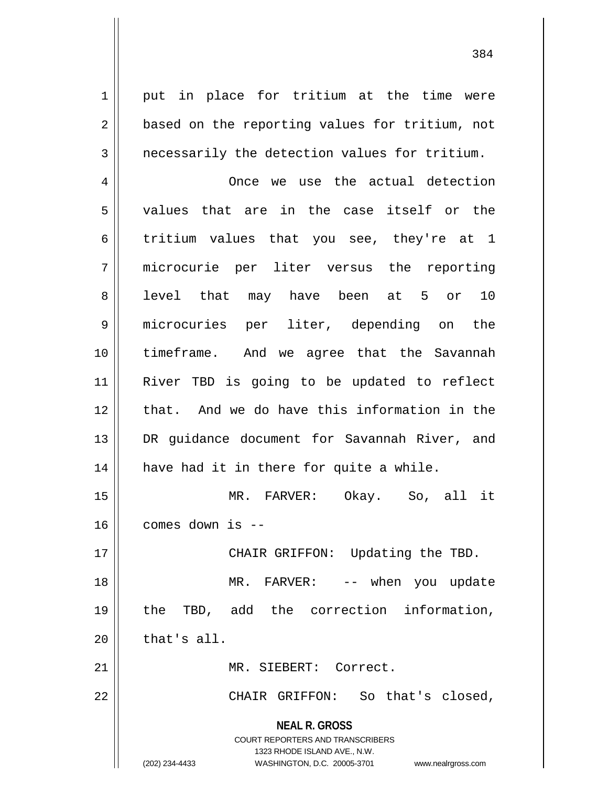1 || put in place for tritium at the time were 2 || based on the reporting values for tritium, not  $3 \parallel$  necessarily the detection values for tritium.

4 | Christen Conce we use the actual detection 5 values that are in the case itself or the 6 tritium values that you see, they're at 1 7 microcurie per liter versus the reporting 8 || level that may have been at 5 or 10 9 microcuries per liter, depending on the 10 || timeframe. And we agree that the Savannah 11 River TBD is going to be updated to reflect 12 that. And we do have this information in the 13 || DR guidance document for Savannah River, and  $14$  | have had it in there for quite a while.

15 MR. FARVER: Okay. So, all it  $16$  || comes down is --

17 || CHAIR GRIFFON: Updating the TBD. MR. FARVER: -- when you update the TBD, add the correction information, | that's all.

21 MR. SIEBERT: Correct.

22 CHAIR GRIFFON: So that's closed,

**NEAL R. GROSS** COURT REPORTERS AND TRANSCRIBERS

1323 RHODE ISLAND AVE., N.W.

(202) 234-4433 WASHINGTON, D.C. 20005-3701 www.nealrgross.com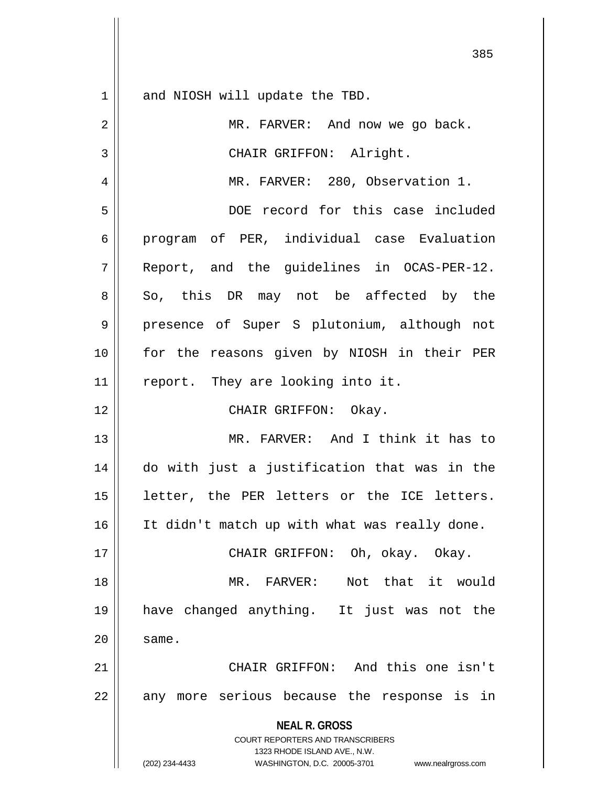$1 \parallel$  and NIOSH will update the TBD.

| $\overline{2}$ | MR. FARVER: And now we go back.                                                                                                                                 |
|----------------|-----------------------------------------------------------------------------------------------------------------------------------------------------------------|
| 3              | CHAIR GRIFFON: Alright.                                                                                                                                         |
| $\overline{4}$ | MR. FARVER: 280, Observation 1.                                                                                                                                 |
| 5              | DOE record for this case included                                                                                                                               |
| 6              | program of PER, individual case Evaluation                                                                                                                      |
| 7              | Report, and the guidelines in OCAS-PER-12.                                                                                                                      |
| 8              | So, this DR may not be affected by the                                                                                                                          |
| 9              | presence of Super S plutonium, although not                                                                                                                     |
| 10             | for the reasons given by NIOSH in their PER                                                                                                                     |
| 11             | report. They are looking into it.                                                                                                                               |
| 12             | CHAIR GRIFFON: Okay.                                                                                                                                            |
| 13             | MR. FARVER: And I think it has to                                                                                                                               |
| 14             | do with just a justification that was in the                                                                                                                    |
| 15             | letter, the PER letters or the ICE letters.                                                                                                                     |
| 16             | It didn't match up with what was really done.                                                                                                                   |
| 17             | CHAIR GRIFFON: Oh, okay. Okay.                                                                                                                                  |
| 18             | Not that it would<br>MR. FARVER:                                                                                                                                |
| 19             | have changed anything. It just was not the                                                                                                                      |
| 20             | same.                                                                                                                                                           |
| 21             | CHAIR GRIFFON: And this one isn't                                                                                                                               |
| 22             | any more serious because the response is in                                                                                                                     |
|                | <b>NEAL R. GROSS</b><br>COURT REPORTERS AND TRANSCRIBERS<br>1323 RHODE ISLAND AVE., N.W.<br>WASHINGTON, D.C. 20005-3701<br>(202) 234-4433<br>www.nealrgross.com |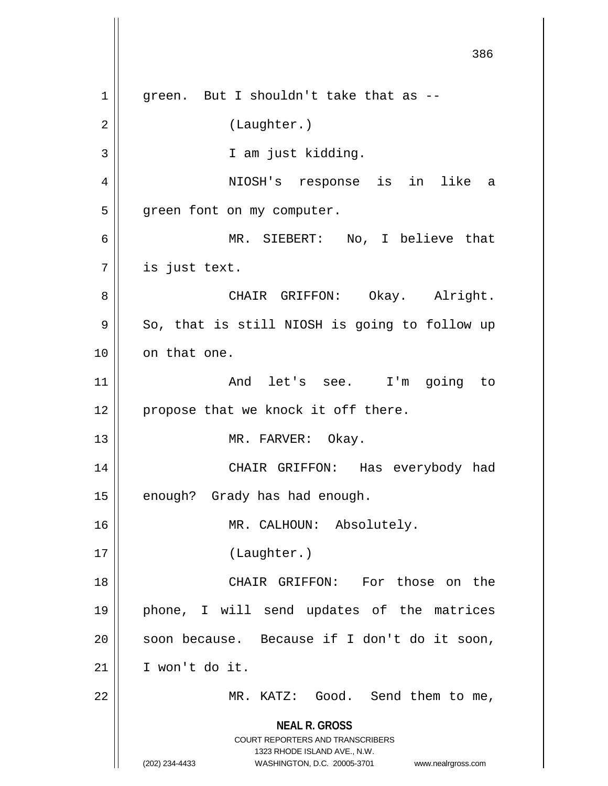**NEAL R. GROSS** COURT REPORTERS AND TRANSCRIBERS 1323 RHODE ISLAND AVE., N.W. (202) 234-4433 WASHINGTON, D.C. 20005-3701 www.nealrgross.com  $1$  | qreen. But I shouldn't take that as --2 | (Laughter.) 3 | T am just kidding. 4 NIOSH's response is in like a 5 | green font on my computer. 6 MR. SIEBERT: No, I believe that 7 is just text. 8 CHAIR GRIFFON: Okay. Alright.  $9 \parallel$  So, that is still NIOSH is going to follow up 10 | on that one. 11 || The Contract And let's see. I'm going to  $12$  | propose that we knock it off there. 13 || MR. FARVER: Okay. 14 CHAIR GRIFFON: Has everybody had 15 | enough? Grady has had enough. 16 MR. CALHOUN: Absolutely. 17 (Laughter.) 18 CHAIR GRIFFON: For those on the 19 phone, I will send updates of the matrices 20 || soon because. Because if I don't do it soon, 21 I won't do it. 22 || MR. KATZ: Good. Send them to me,